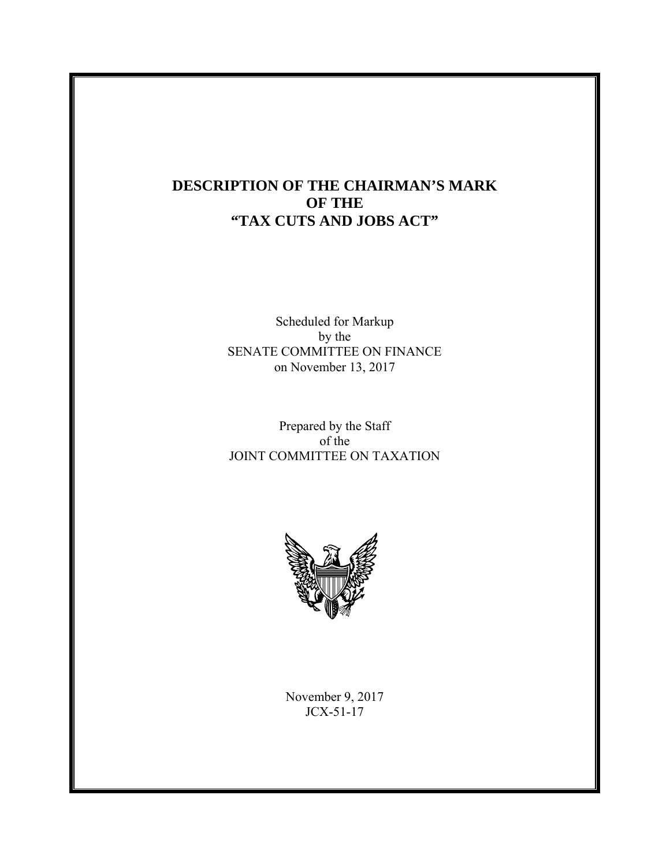# **DESCRIPTION OF THE CHAIRMAN'S MARK OF THE "TAX CUTS AND JOBS ACT"**

Scheduled for Markup by the SENATE COMMITTEE ON FINANCE on November 13, 2017

Prepared by the Staff of the JOINT COMMITTEE ON TAXATION



November 9, 2017 JCX-51-17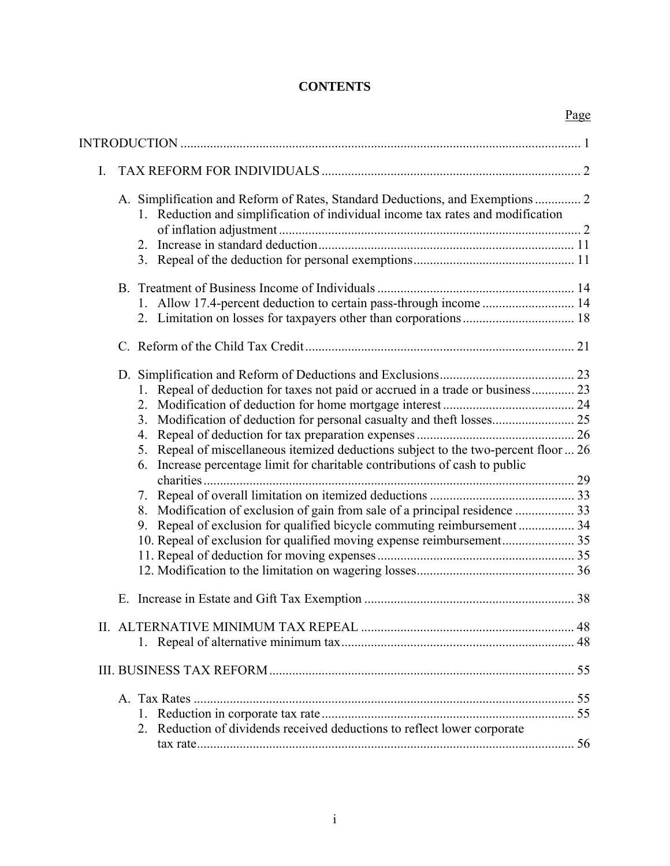# **CONTENTS**

|    |                                                                                                                                                                                                                                                                                                                                                          | Page |
|----|----------------------------------------------------------------------------------------------------------------------------------------------------------------------------------------------------------------------------------------------------------------------------------------------------------------------------------------------------------|------|
|    |                                                                                                                                                                                                                                                                                                                                                          |      |
| I. |                                                                                                                                                                                                                                                                                                                                                          |      |
|    | A. Simplification and Reform of Rates, Standard Deductions, and Exemptions 2<br>1. Reduction and simplification of individual income tax rates and modification                                                                                                                                                                                          |      |
|    | B.<br>1. Allow 17.4-percent deduction to certain pass-through income  14                                                                                                                                                                                                                                                                                 |      |
|    |                                                                                                                                                                                                                                                                                                                                                          |      |
|    | 1. Repeal of deduction for taxes not paid or accrued in a trade or business 23<br>2.<br>3.<br>4.<br>Repeal of miscellaneous itemized deductions subject to the two-percent floor  26<br>5.<br>Increase percentage limit for charitable contributions of cash to public<br>6.<br>9. Repeal of exclusion for qualified bicycle commuting reimbursement  34 |      |
|    |                                                                                                                                                                                                                                                                                                                                                          |      |
|    |                                                                                                                                                                                                                                                                                                                                                          |      |
|    |                                                                                                                                                                                                                                                                                                                                                          |      |
|    | 2. Reduction of dividends received deductions to reflect lower corporate                                                                                                                                                                                                                                                                                 | 56   |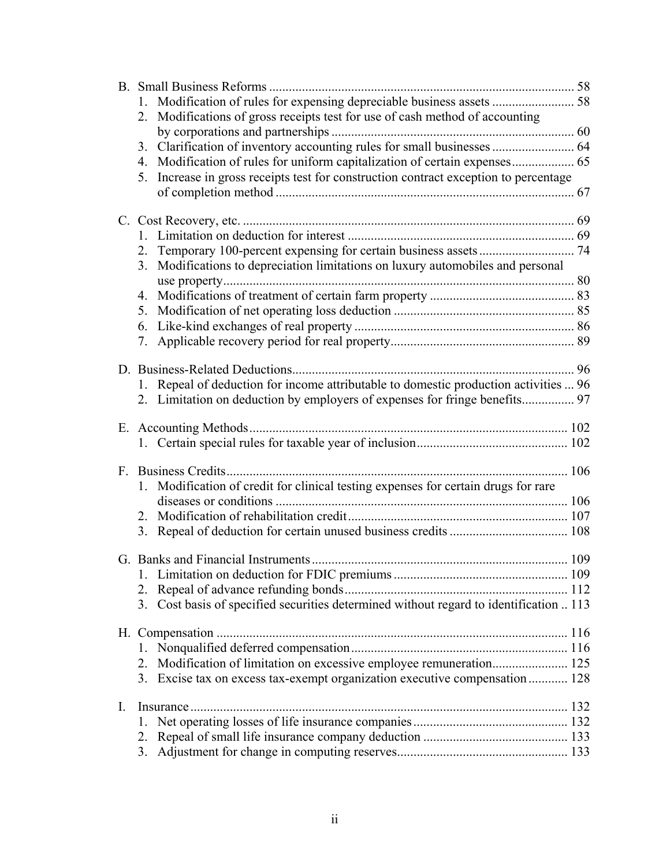|                | 1.                                                                                        |  |
|----------------|-------------------------------------------------------------------------------------------|--|
|                | Modifications of gross receipts test for use of cash method of accounting<br>2.           |  |
|                |                                                                                           |  |
|                | 3.                                                                                        |  |
|                | 4.                                                                                        |  |
|                | Increase in gross receipts test for construction contract exception to percentage<br>5.   |  |
|                |                                                                                           |  |
|                |                                                                                           |  |
|                |                                                                                           |  |
|                |                                                                                           |  |
|                | 3.                                                                                        |  |
|                | Modifications to depreciation limitations on luxury automobiles and personal              |  |
|                | 4.                                                                                        |  |
|                | 5.                                                                                        |  |
|                | 6.                                                                                        |  |
|                | 7.                                                                                        |  |
|                |                                                                                           |  |
|                |                                                                                           |  |
|                | Repeal of deduction for income attributable to domestic production activities  96<br>1.   |  |
|                | 2. Limitation on deduction by employers of expenses for fringe benefits 97                |  |
|                |                                                                                           |  |
|                |                                                                                           |  |
|                |                                                                                           |  |
|                |                                                                                           |  |
|                | 1. Modification of credit for clinical testing expenses for certain drugs for rare        |  |
|                |                                                                                           |  |
|                | 2.                                                                                        |  |
|                | 3.                                                                                        |  |
|                |                                                                                           |  |
|                |                                                                                           |  |
|                |                                                                                           |  |
|                | 2.                                                                                        |  |
|                | Cost basis of specified securities determined without regard to identification  113<br>3. |  |
|                |                                                                                           |  |
|                |                                                                                           |  |
|                | 1.                                                                                        |  |
|                | 2.                                                                                        |  |
|                | 3. Excise tax on excess tax-exempt organization executive compensation  128               |  |
| $\mathbf{I}$ . |                                                                                           |  |
|                | 1.                                                                                        |  |
|                | 2.                                                                                        |  |
|                | 3.                                                                                        |  |
|                |                                                                                           |  |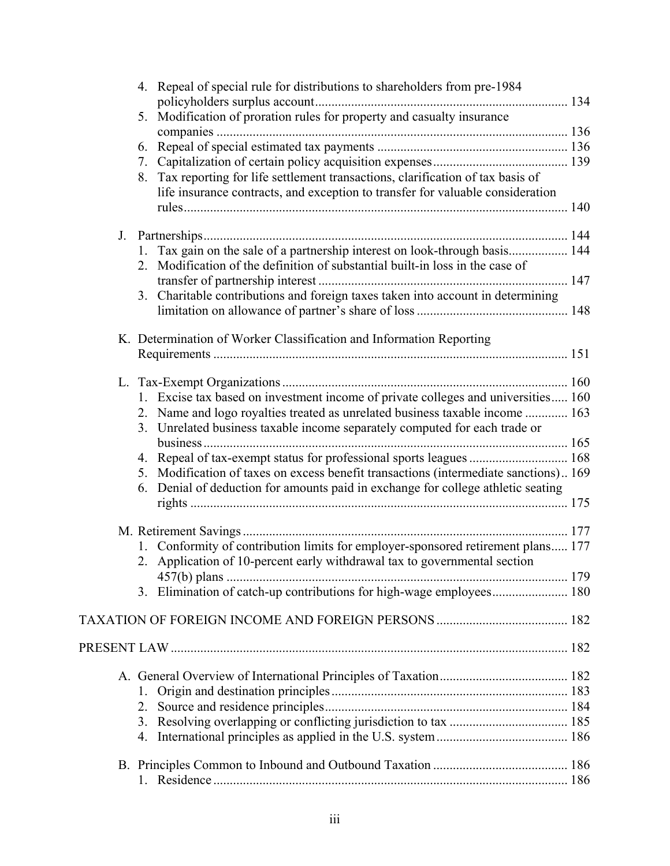|    |    | 4. Repeal of special rule for distributions to shareholders from pre-1984                                                                                                                                                                       |  |
|----|----|-------------------------------------------------------------------------------------------------------------------------------------------------------------------------------------------------------------------------------------------------|--|
|    |    | 5. Modification of proration rules for property and casualty insurance                                                                                                                                                                          |  |
|    |    |                                                                                                                                                                                                                                                 |  |
|    |    |                                                                                                                                                                                                                                                 |  |
|    |    |                                                                                                                                                                                                                                                 |  |
|    |    | 8. Tax reporting for life settlement transactions, clarification of tax basis of<br>life insurance contracts, and exception to transfer for valuable consideration                                                                              |  |
|    |    |                                                                                                                                                                                                                                                 |  |
| J. |    |                                                                                                                                                                                                                                                 |  |
|    |    | 1. Tax gain on the sale of a partnership interest on look-through basis 144                                                                                                                                                                     |  |
|    |    | 2. Modification of the definition of substantial built-in loss in the case of                                                                                                                                                                   |  |
|    |    | 3. Charitable contributions and foreign taxes taken into account in determining                                                                                                                                                                 |  |
|    |    |                                                                                                                                                                                                                                                 |  |
|    |    | K. Determination of Worker Classification and Information Reporting                                                                                                                                                                             |  |
|    |    |                                                                                                                                                                                                                                                 |  |
|    |    |                                                                                                                                                                                                                                                 |  |
|    |    |                                                                                                                                                                                                                                                 |  |
|    |    | 1. Excise tax based on investment income of private colleges and universities 160                                                                                                                                                               |  |
|    |    | 2. Name and logo royalties treated as unrelated business taxable income  163<br>3. Unrelated business taxable income separately computed for each trade or                                                                                      |  |
|    |    |                                                                                                                                                                                                                                                 |  |
|    |    | 4. Repeal of tax-exempt status for professional sports leagues  168<br>5. Modification of taxes on excess benefit transactions (intermediate sanctions) 169<br>6. Denial of deduction for amounts paid in exchange for college athletic seating |  |
|    |    |                                                                                                                                                                                                                                                 |  |
|    |    |                                                                                                                                                                                                                                                 |  |
|    |    | 1. Conformity of contribution limits for employer-sponsored retirement plans 177                                                                                                                                                                |  |
|    |    | 2. Application of 10-percent early withdrawal tax to governmental section                                                                                                                                                                       |  |
|    |    |                                                                                                                                                                                                                                                 |  |
|    | 3. | Elimination of catch-up contributions for high-wage employees 180                                                                                                                                                                               |  |
|    |    |                                                                                                                                                                                                                                                 |  |
|    |    |                                                                                                                                                                                                                                                 |  |
|    |    |                                                                                                                                                                                                                                                 |  |
|    | 1. |                                                                                                                                                                                                                                                 |  |
|    |    |                                                                                                                                                                                                                                                 |  |
|    |    |                                                                                                                                                                                                                                                 |  |
|    |    |                                                                                                                                                                                                                                                 |  |
|    |    |                                                                                                                                                                                                                                                 |  |
|    |    |                                                                                                                                                                                                                                                 |  |
|    |    |                                                                                                                                                                                                                                                 |  |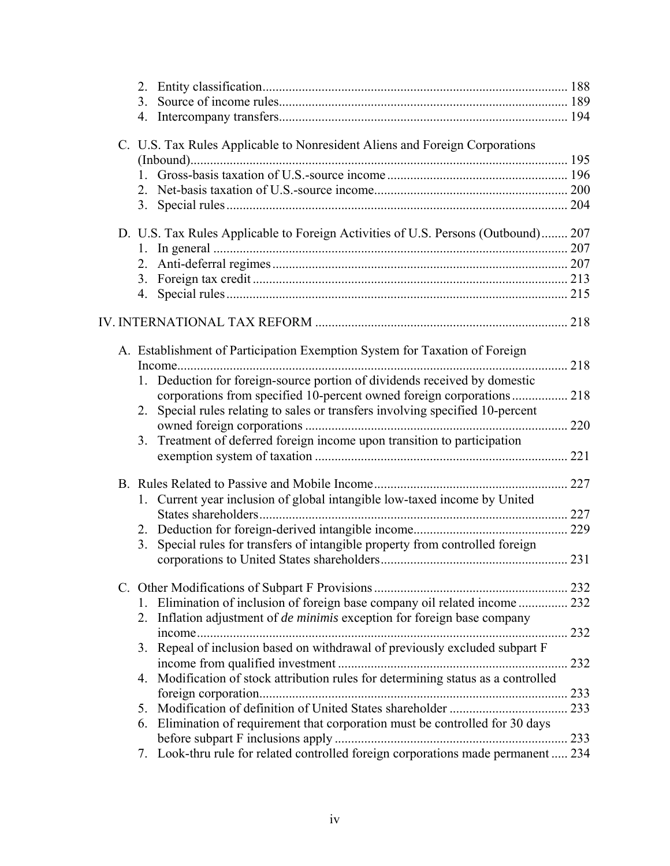| 2. |                                                                                   |     |
|----|-----------------------------------------------------------------------------------|-----|
| 3. |                                                                                   |     |
| 4. |                                                                                   |     |
|    | C. U.S. Tax Rules Applicable to Nonresident Aliens and Foreign Corporations       |     |
|    |                                                                                   |     |
|    |                                                                                   |     |
| 2. |                                                                                   |     |
| 3. |                                                                                   |     |
|    | D. U.S. Tax Rules Applicable to Foreign Activities of U.S. Persons (Outbound) 207 |     |
| 1. |                                                                                   | 207 |
| 2. |                                                                                   |     |
| 3. |                                                                                   |     |
| 4. |                                                                                   |     |
|    |                                                                                   |     |
|    | A. Establishment of Participation Exemption System for Taxation of Foreign        |     |
|    |                                                                                   | 218 |
|    | 1. Deduction for foreign-source portion of dividends received by domestic         |     |
|    | corporations from specified 10-percent owned foreign corporations                 | 218 |
| 2. | Special rules relating to sales or transfers involving specified 10-percent       |     |
|    |                                                                                   | 220 |
| 3. | Treatment of deferred foreign income upon transition to participation             |     |
|    |                                                                                   |     |
|    |                                                                                   | 227 |
|    | 1. Current year inclusion of global intangible low-taxed income by United         |     |
|    |                                                                                   |     |
| 2. |                                                                                   |     |
| 3. | Special rules for transfers of intangible property from controlled foreign        |     |
|    |                                                                                   |     |
|    |                                                                                   |     |
| 1. | Elimination of inclusion of foreign base company oil related income  232          |     |
| 2. | Inflation adjustment of <i>de minimis</i> exception for foreign base company      |     |
|    |                                                                                   | 232 |
| 3. | Repeal of inclusion based on withdrawal of previously excluded subpart F          |     |
|    |                                                                                   | 232 |
| 4. | Modification of stock attribution rules for determining status as a controlled    |     |
|    |                                                                                   | 233 |
| 5. |                                                                                   | 233 |
| 6. | Elimination of requirement that corporation must be controlled for 30 days        |     |
|    |                                                                                   |     |
| 7. | Look-thru rule for related controlled foreign corporations made permanent  234    |     |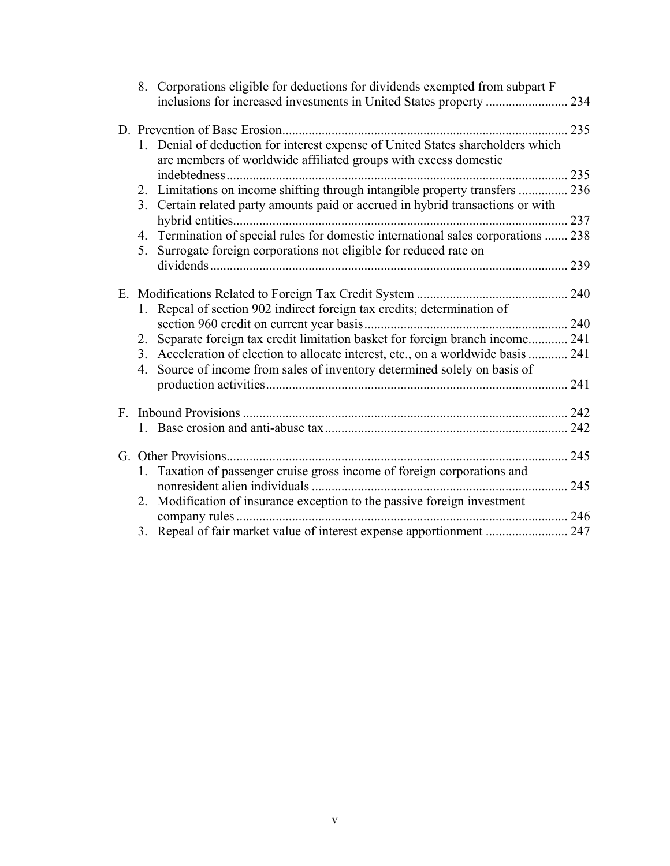|            | 8.       | Corporations eligible for deductions for dividends exempted from subpart F                                                                           | 234        |
|------------|----------|------------------------------------------------------------------------------------------------------------------------------------------------------|------------|
|            | 1.       | Denial of deduction for interest expense of United States shareholders which<br>are members of worldwide affiliated groups with excess domestic      | 235        |
|            |          |                                                                                                                                                      | 235        |
|            | 2.<br>3. | Limitations on income shifting through intangible property transfers<br>Certain related party amounts paid or accrued in hybrid transactions or with | 236<br>237 |
|            | 4.<br>5. | Termination of special rules for domestic international sales corporations<br>Surrogate foreign corporations not eligible for reduced rate on        | 238        |
|            |          |                                                                                                                                                      | 239        |
| Е.         | 1.       | Repeal of section 902 indirect foreign tax credits; determination of                                                                                 | 240        |
|            |          |                                                                                                                                                      | 240        |
|            | 2.       | Separate foreign tax credit limitation basket for foreign branch income                                                                              | 241        |
|            | 3.       | Acceleration of election to allocate interest, etc., on a worldwide basis                                                                            | 241        |
|            | 4.       | Source of income from sales of inventory determined solely on basis of                                                                               |            |
|            |          |                                                                                                                                                      | 241        |
| $F_{\tau}$ |          |                                                                                                                                                      | 242        |
|            |          |                                                                                                                                                      | 242        |
|            |          |                                                                                                                                                      | 245        |
|            |          | Taxation of passenger cruise gross income of foreign corporations and                                                                                |            |
|            |          |                                                                                                                                                      | 245        |
|            | 2.       | Modification of insurance exception to the passive foreign investment                                                                                |            |
|            |          |                                                                                                                                                      | 246        |
|            | 3.       | Repeal of fair market value of interest expense apportionment                                                                                        | 247        |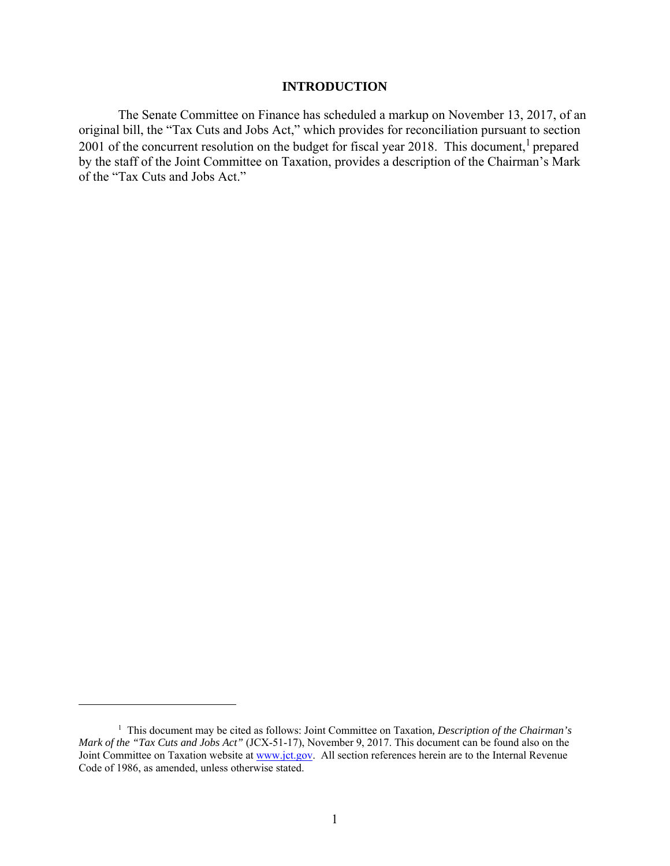## **INTRODUCTION**

The Senate Committee on Finance has scheduled a markup on November 13, 2017, of an original bill, the "Tax Cuts and Jobs Act," which provides for reconciliation pursuant to section 2001 of the concurrent resolution on the budget for fiscal year 2018. This document,  $\frac{1}{1}$  prepared by the staff of the Joint Committee on Taxation, provides a description of the Chairman's Mark of the "Tax Cuts and Jobs Act."

 $\overline{a}$ 

<sup>1</sup> This document may be cited as follows: Joint Committee on Taxation*, Description of the Chairman's Mark of the "Tax Cuts and Jobs Act"* (JCX-51-17), November 9, 2017. This document can be found also on the Joint Committee on Taxation website at www.jct.gov. All section references herein are to the Internal Revenue Code of 1986, as amended, unless otherwise stated.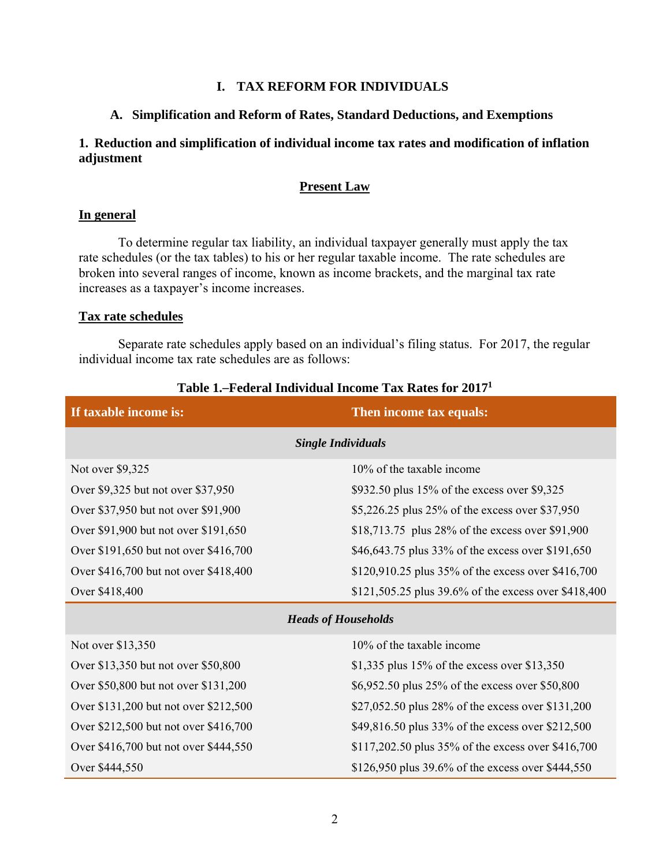## **I. TAX REFORM FOR INDIVIDUALS**

## **A. Simplification and Reform of Rates, Standard Deductions, and Exemptions**

## **1. Reduction and simplification of individual income tax rates and modification of inflation adjustment**

## **Present Law**

#### **In general**

To determine regular tax liability, an individual taxpayer generally must apply the tax rate schedules (or the tax tables) to his or her regular taxable income. The rate schedules are broken into several ranges of income, known as income brackets, and the marginal tax rate increases as a taxpayer's income increases.

#### **Tax rate schedules**

Separate rate schedules apply based on an individual's filing status. For 2017, the regular individual income tax rate schedules are as follows:

| If taxable income is:                 | Then income tax equals:                              |
|---------------------------------------|------------------------------------------------------|
| <b>Single Individuals</b>             |                                                      |
| Not over \$9,325                      | 10% of the taxable income                            |
| Over \$9,325 but not over \$37,950    | \$932.50 plus 15% of the excess over \$9,325         |
| Over \$37,950 but not over \$91,900   | \$5,226.25 plus 25% of the excess over \$37,950      |
| Over \$91,900 but not over \$191,650  | \$18,713.75 plus 28% of the excess over \$91,900     |
| Over \$191,650 but not over \$416,700 | \$46,643.75 plus 33% of the excess over \$191,650    |
| Over \$416,700 but not over \$418,400 | \$120,910.25 plus 35% of the excess over \$416,700   |
| Over \$418,400                        | \$121,505.25 plus 39.6% of the excess over \$418,400 |
| <b>Heads of Households</b>            |                                                      |
| Not over \$13,350                     | 10% of the taxable income                            |
| Over \$13,350 but not over \$50,800   | \$1,335 plus 15% of the excess over \$13,350         |
| Over \$50,800 but not over \$131,200  | \$6,952.50 plus 25% of the excess over \$50,800      |
| Over \$131,200 but not over \$212,500 | \$27,052.50 plus 28% of the excess over \$131,200    |
| Over \$212,500 but not over \$416,700 | \$49,816.50 plus 33% of the excess over \$212,500    |
| Over \$416,700 but not over \$444,550 | \$117,202.50 plus 35% of the excess over \$416,700   |
| Over \$444,550                        | \$126,950 plus 39.6% of the excess over \$444,550    |

#### **Table 1.─Federal Individual Income Tax Rates for 20171**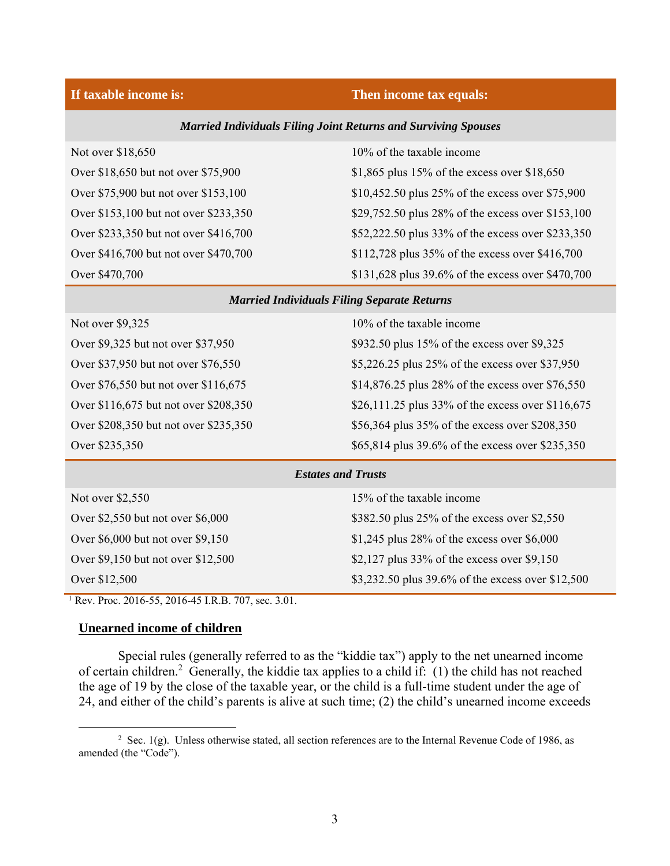#### **If taxable income is: Then income tax equals:**

#### *Married Individuals Filing Joint Returns and Surviving Spouses*

| Not over \$18,650                     | 10% of the taxable income                         |
|---------------------------------------|---------------------------------------------------|
| Over \$18,650 but not over \$75,900   | \$1,865 plus 15% of the excess over $$18,650$     |
| Over \$75,900 but not over \$153,100  | \$10,452.50 plus 25% of the excess over \$75,900  |
| Over \$153,100 but not over \$233,350 | \$29,752.50 plus 28% of the excess over \$153,100 |
| Over \$233,350 but not over \$416,700 | \$52,222.50 plus 33% of the excess over \$233,350 |
| Over \$416,700 but not over \$470,700 | \$112,728 plus 35% of the excess over \$416,700   |
| Over \$470,700                        | \$131,628 plus 39.6% of the excess over \$470,700 |

#### *Married Individuals Filing Separate Returns*

| Not over \$9,325                      | 10% of the taxable income                         |  |  |
|---------------------------------------|---------------------------------------------------|--|--|
| Over \$9,325 but not over \$37,950    | \$932.50 plus 15% of the excess over \$9,325      |  |  |
| Over \$37,950 but not over \$76,550   | \$5,226.25 plus 25% of the excess over \$37,950   |  |  |
| Over \$76,550 but not over \$116,675  | \$14,876.25 plus 28% of the excess over \$76,550  |  |  |
| Over \$116,675 but not over \$208,350 | \$26,111.25 plus 33% of the excess over \$116,675 |  |  |
| Over \$208,350 but not over \$235,350 | \$56,364 plus 35% of the excess over \$208,350    |  |  |
| Over \$235,350                        | \$65,814 plus 39.6% of the excess over \$235,350  |  |  |
| <b>Estates and Trusts</b>             |                                                   |  |  |
|                                       |                                                   |  |  |
| Not over \$2,550                      | 15% of the taxable income                         |  |  |
| Over $$2,550$ but not over $$6,000$   | \$382.50 plus 25% of the excess over \$2,550      |  |  |
| Over \$6,000 but not over \$9,150     | \$1,245 plus 28% of the excess over $$6,000$      |  |  |
| Over \$9,150 but not over \$12,500    | \$2,127 plus 33% of the excess over \$9,150       |  |  |
| Over \$12,500                         | \$3,232.50 plus 39.6% of the excess over \$12,500 |  |  |

1 Rev. Proc. 2016-55, 2016-45 I.R.B. 707, sec. 3.01.

#### **Unearned income of children**

Special rules (generally referred to as the "kiddie tax") apply to the net unearned income of certain children.<sup>2</sup> Generally, the kiddie tax applies to a child if:  $(1)$  the child has not reached the age of 19 by the close of the taxable year, or the child is a full-time student under the age of 24, and either of the child's parents is alive at such time; (2) the child's unearned income exceeds

 $\frac{1}{2}$ <sup>2</sup> Sec. 1(g). Unless otherwise stated, all section references are to the Internal Revenue Code of 1986, as amended (the "Code").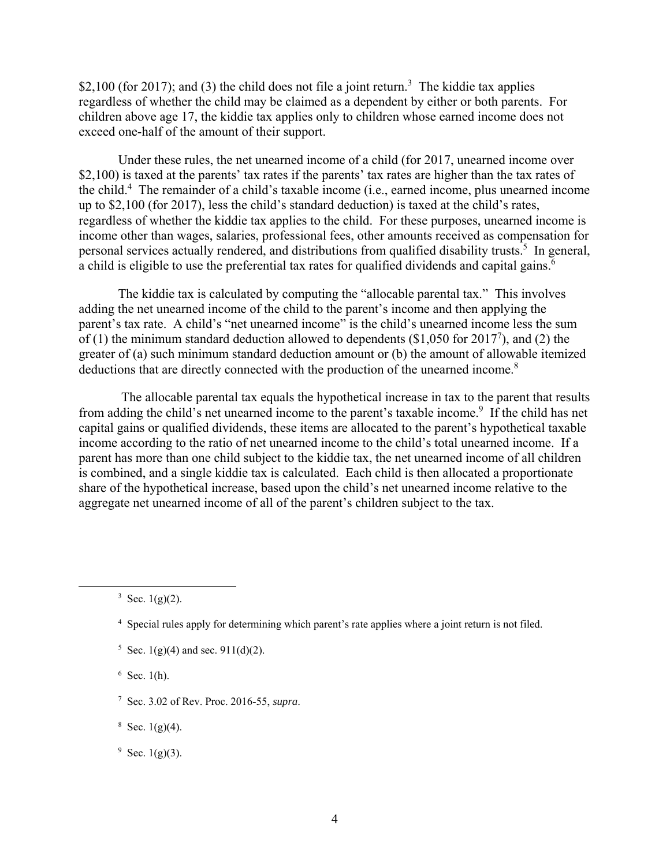\$2,100 (for 2017); and (3) the child does not file a joint return.<sup>3</sup> The kiddie tax applies regardless of whether the child may be claimed as a dependent by either or both parents. For children above age 17, the kiddie tax applies only to children whose earned income does not exceed one-half of the amount of their support.

Under these rules, the net unearned income of a child (for 2017, unearned income over \$2,100) is taxed at the parents' tax rates if the parents' tax rates are higher than the tax rates of the child.<sup>4</sup> The remainder of a child's taxable income (i.e., earned income, plus unearned income up to \$2,100 (for 2017), less the child's standard deduction) is taxed at the child's rates, regardless of whether the kiddie tax applies to the child. For these purposes, unearned income is income other than wages, salaries, professional fees, other amounts received as compensation for personal services actually rendered, and distributions from qualified disability trusts.<sup>5</sup> In general, a child is eligible to use the preferential tax rates for qualified dividends and capital gains.<sup>6</sup>

The kiddie tax is calculated by computing the "allocable parental tax." This involves adding the net unearned income of the child to the parent's income and then applying the parent's tax rate. A child's "net unearned income" is the child's unearned income less the sum of (1) the minimum standard deduction allowed to dependents  $(\$1,050$  for  $2017^7$ ), and (2) the greater of (a) such minimum standard deduction amount or (b) the amount of allowable itemized deductions that are directly connected with the production of the unearned income.<sup>8</sup>

 The allocable parental tax equals the hypothetical increase in tax to the parent that results from adding the child's net unearned income to the parent's taxable income.<sup>9</sup> If the child has net capital gains or qualified dividends, these items are allocated to the parent's hypothetical taxable income according to the ratio of net unearned income to the child's total unearned income. If a parent has more than one child subject to the kiddie tax, the net unearned income of all children is combined, and a single kiddie tax is calculated. Each child is then allocated a proportionate share of the hypothetical increase, based upon the child's net unearned income relative to the aggregate net unearned income of all of the parent's children subject to the tax.

<sup>5</sup> Sec. 1(g)(4) and sec. 911(d)(2).

 $6$  Sec. 1(h).

7 Sec. 3.02 of Rev. Proc. 2016-55, *supra*.

 $8$  Sec. 1(g)(4).

 <sup>3</sup> <sup>3</sup> Sec. 1(g)(2).

<sup>4</sup> Special rules apply for determining which parent's rate applies where a joint return is not filed.

 $9$  Sec. 1(g)(3).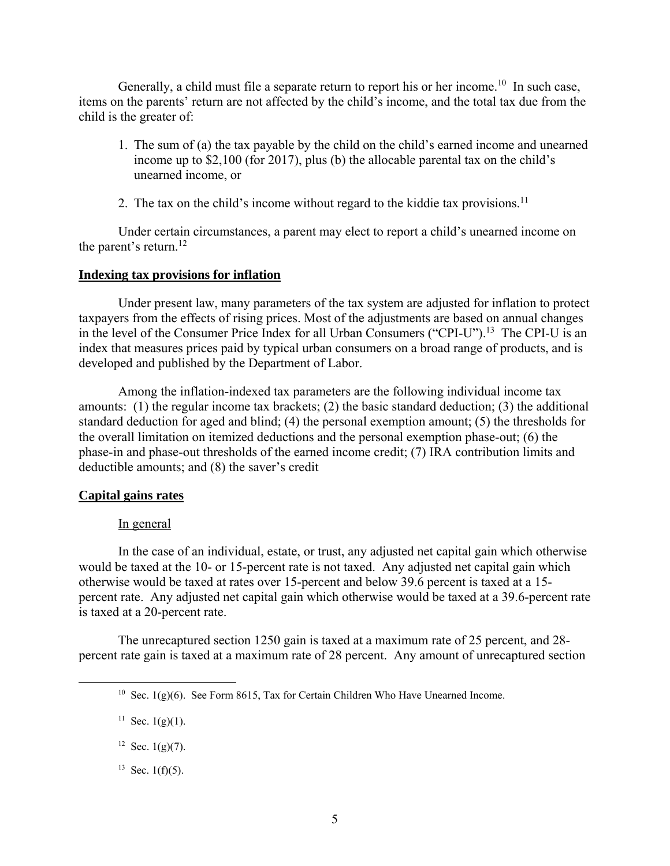Generally, a child must file a separate return to report his or her income.<sup>10</sup> In such case, items on the parents' return are not affected by the child's income, and the total tax due from the child is the greater of:

- 1. The sum of (a) the tax payable by the child on the child's earned income and unearned income up to \$2,100 (for 2017), plus (b) the allocable parental tax on the child's unearned income, or
- 2. The tax on the child's income without regard to the kiddie tax provisions.<sup>11</sup>

Under certain circumstances, a parent may elect to report a child's unearned income on the parent's return.<sup>12</sup>

#### **Indexing tax provisions for inflation**

Under present law, many parameters of the tax system are adjusted for inflation to protect taxpayers from the effects of rising prices. Most of the adjustments are based on annual changes in the level of the Consumer Price Index for all Urban Consumers ("CPI-U").<sup>13</sup> The CPI-U is an index that measures prices paid by typical urban consumers on a broad range of products, and is developed and published by the Department of Labor.

Among the inflation-indexed tax parameters are the following individual income tax amounts: (1) the regular income tax brackets; (2) the basic standard deduction; (3) the additional standard deduction for aged and blind; (4) the personal exemption amount; (5) the thresholds for the overall limitation on itemized deductions and the personal exemption phase-out; (6) the phase-in and phase-out thresholds of the earned income credit; (7) IRA contribution limits and deductible amounts; and (8) the saver's credit

### **Capital gains rates**

#### In general

In the case of an individual, estate, or trust, any adjusted net capital gain which otherwise would be taxed at the 10- or 15-percent rate is not taxed. Any adjusted net capital gain which otherwise would be taxed at rates over 15-percent and below 39.6 percent is taxed at a 15 percent rate. Any adjusted net capital gain which otherwise would be taxed at a 39.6-percent rate is taxed at a 20-percent rate.

The unrecaptured section 1250 gain is taxed at a maximum rate of 25 percent, and 28 percent rate gain is taxed at a maximum rate of 28 percent. Any amount of unrecaptured section

- <sup>12</sup> Sec. 1(g)(7).
- <sup>13</sup> Sec. 1(f)(5).

<sup>&</sup>lt;sup>10</sup> Sec.  $1(g)(6)$ . See Form 8615, Tax for Certain Children Who Have Unearned Income.

<sup>&</sup>lt;sup>11</sup> Sec. 1(g)(1).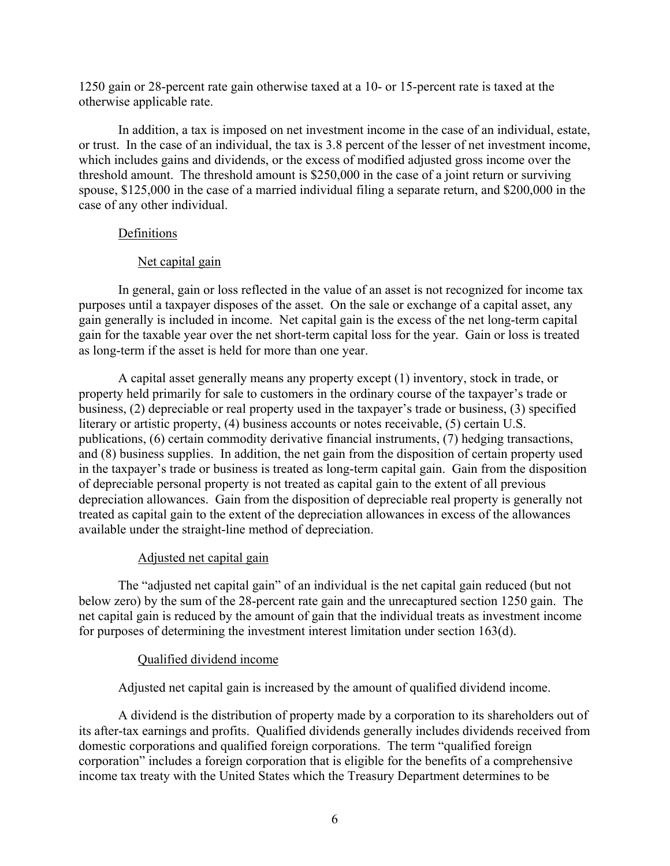1250 gain or 28-percent rate gain otherwise taxed at a 10- or 15-percent rate is taxed at the otherwise applicable rate.

In addition, a tax is imposed on net investment income in the case of an individual, estate, or trust. In the case of an individual, the tax is 3.8 percent of the lesser of net investment income, which includes gains and dividends, or the excess of modified adjusted gross income over the threshold amount. The threshold amount is \$250,000 in the case of a joint return or surviving spouse, \$125,000 in the case of a married individual filing a separate return, and \$200,000 in the case of any other individual.

## **Definitions**

## Net capital gain

In general, gain or loss reflected in the value of an asset is not recognized for income tax purposes until a taxpayer disposes of the asset. On the sale or exchange of a capital asset, any gain generally is included in income. Net capital gain is the excess of the net long-term capital gain for the taxable year over the net short-term capital loss for the year. Gain or loss is treated as long-term if the asset is held for more than one year.

A capital asset generally means any property except (1) inventory, stock in trade, or property held primarily for sale to customers in the ordinary course of the taxpayer's trade or business, (2) depreciable or real property used in the taxpayer's trade or business, (3) specified literary or artistic property, (4) business accounts or notes receivable, (5) certain U.S. publications, (6) certain commodity derivative financial instruments, (7) hedging transactions, and (8) business supplies. In addition, the net gain from the disposition of certain property used in the taxpayer's trade or business is treated as long-term capital gain. Gain from the disposition of depreciable personal property is not treated as capital gain to the extent of all previous depreciation allowances. Gain from the disposition of depreciable real property is generally not treated as capital gain to the extent of the depreciation allowances in excess of the allowances available under the straight-line method of depreciation.

## Adjusted net capital gain

The "adjusted net capital gain" of an individual is the net capital gain reduced (but not below zero) by the sum of the 28-percent rate gain and the unrecaptured section 1250 gain. The net capital gain is reduced by the amount of gain that the individual treats as investment income for purposes of determining the investment interest limitation under section 163(d).

## Qualified dividend income

Adjusted net capital gain is increased by the amount of qualified dividend income.

A dividend is the distribution of property made by a corporation to its shareholders out of its after-tax earnings and profits. Qualified dividends generally includes dividends received from domestic corporations and qualified foreign corporations. The term "qualified foreign corporation" includes a foreign corporation that is eligible for the benefits of a comprehensive income tax treaty with the United States which the Treasury Department determines to be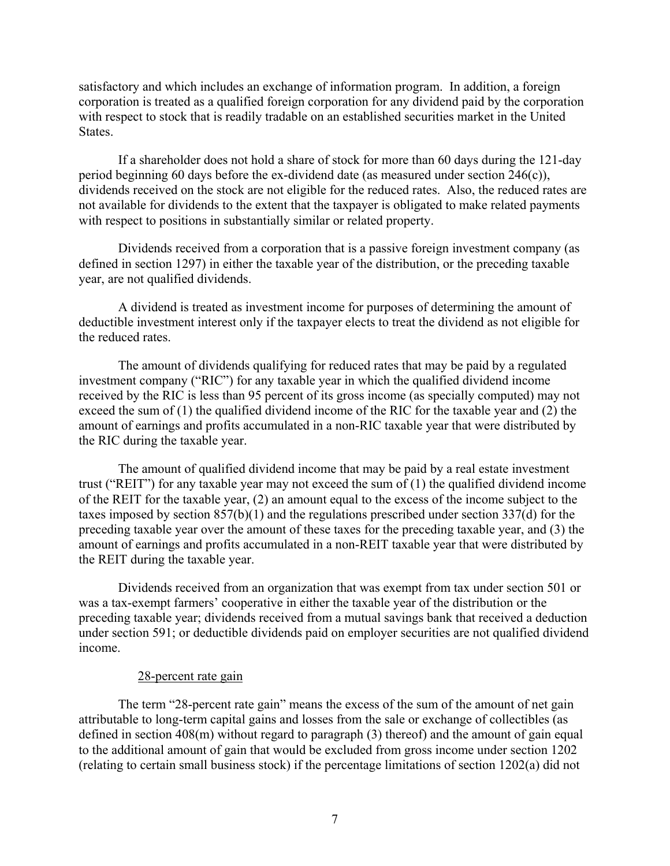satisfactory and which includes an exchange of information program. In addition, a foreign corporation is treated as a qualified foreign corporation for any dividend paid by the corporation with respect to stock that is readily tradable on an established securities market in the United States.

If a shareholder does not hold a share of stock for more than 60 days during the 121-day period beginning 60 days before the ex-dividend date (as measured under section 246(c)), dividends received on the stock are not eligible for the reduced rates. Also, the reduced rates are not available for dividends to the extent that the taxpayer is obligated to make related payments with respect to positions in substantially similar or related property.

Dividends received from a corporation that is a passive foreign investment company (as defined in section 1297) in either the taxable year of the distribution, or the preceding taxable year, are not qualified dividends.

A dividend is treated as investment income for purposes of determining the amount of deductible investment interest only if the taxpayer elects to treat the dividend as not eligible for the reduced rates.

The amount of dividends qualifying for reduced rates that may be paid by a regulated investment company ("RIC") for any taxable year in which the qualified dividend income received by the RIC is less than 95 percent of its gross income (as specially computed) may not exceed the sum of (1) the qualified dividend income of the RIC for the taxable year and (2) the amount of earnings and profits accumulated in a non-RIC taxable year that were distributed by the RIC during the taxable year.

The amount of qualified dividend income that may be paid by a real estate investment trust ("REIT") for any taxable year may not exceed the sum of (1) the qualified dividend income of the REIT for the taxable year, (2) an amount equal to the excess of the income subject to the taxes imposed by section  $857(b)(1)$  and the regulations prescribed under section 337(d) for the preceding taxable year over the amount of these taxes for the preceding taxable year, and (3) the amount of earnings and profits accumulated in a non-REIT taxable year that were distributed by the REIT during the taxable year.

Dividends received from an organization that was exempt from tax under section 501 or was a tax-exempt farmers' cooperative in either the taxable year of the distribution or the preceding taxable year; dividends received from a mutual savings bank that received a deduction under section 591; or deductible dividends paid on employer securities are not qualified dividend income.

#### 28-percent rate gain

The term "28-percent rate gain" means the excess of the sum of the amount of net gain attributable to long-term capital gains and losses from the sale or exchange of collectibles (as defined in section 408(m) without regard to paragraph (3) thereof) and the amount of gain equal to the additional amount of gain that would be excluded from gross income under section 1202 (relating to certain small business stock) if the percentage limitations of section 1202(a) did not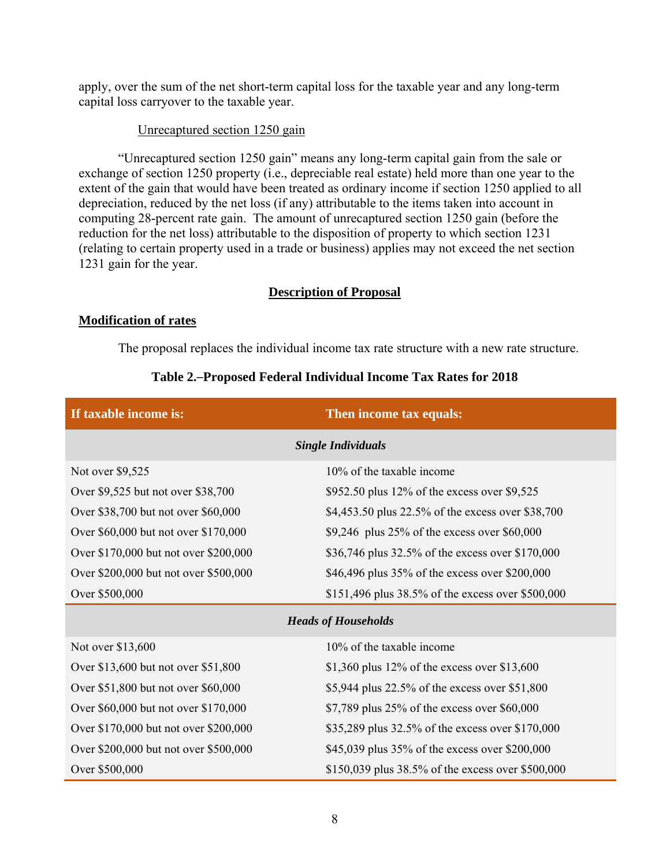apply, over the sum of the net short-term capital loss for the taxable year and any long-term capital loss carryover to the taxable year.

## Unrecaptured section 1250 gain

"Unrecaptured section 1250 gain" means any long-term capital gain from the sale or exchange of section 1250 property (i.e., depreciable real estate) held more than one year to the extent of the gain that would have been treated as ordinary income if section 1250 applied to all depreciation, reduced by the net loss (if any) attributable to the items taken into account in computing 28-percent rate gain. The amount of unrecaptured section 1250 gain (before the reduction for the net loss) attributable to the disposition of property to which section 1231 (relating to certain property used in a trade or business) applies may not exceed the net section 1231 gain for the year.

## **Description of Proposal**

## **Modification of rates**

The proposal replaces the individual income tax rate structure with a new rate structure.

| If taxable income is:                 | Then income tax equals:                           |  |  |  |
|---------------------------------------|---------------------------------------------------|--|--|--|
|                                       | <b>Single Individuals</b>                         |  |  |  |
| Not over \$9,525                      | 10% of the taxable income                         |  |  |  |
| Over \$9,525 but not over \$38,700    | \$952.50 plus 12% of the excess over \$9,525      |  |  |  |
| Over \$38,700 but not over \$60,000   | \$4,453.50 plus 22.5% of the excess over \$38,700 |  |  |  |
| Over \$60,000 but not over \$170,000  | \$9,246 plus $25\%$ of the excess over \$60,000   |  |  |  |
| Over \$170,000 but not over \$200,000 | \$36,746 plus 32.5% of the excess over \$170,000  |  |  |  |
| Over \$200,000 but not over \$500,000 | \$46,496 plus 35% of the excess over \$200,000    |  |  |  |
| Over \$500,000                        | \$151,496 plus 38.5% of the excess over \$500,000 |  |  |  |
| <b>Heads of Households</b>            |                                                   |  |  |  |
| Not over \$13,600                     | 10% of the taxable income                         |  |  |  |
| Over \$13,600 but not over \$51,800   | \$1,360 plus 12% of the excess over \$13,600      |  |  |  |
| Over \$51,800 but not over \$60,000   | \$5,944 plus 22.5% of the excess over \$51,800    |  |  |  |
| Over \$60,000 but not over \$170,000  | \$7,789 plus 25% of the excess over \$60,000      |  |  |  |
| Over \$170,000 but not over \$200,000 | \$35,289 plus 32.5% of the excess over \$170,000  |  |  |  |
| Over \$200,000 but not over \$500,000 | \$45,039 plus 35% of the excess over \$200,000    |  |  |  |
| Over \$500,000                        | \$150,039 plus 38.5% of the excess over \$500,000 |  |  |  |

## **Table 2.─Proposed Federal Individual Income Tax Rates for 2018**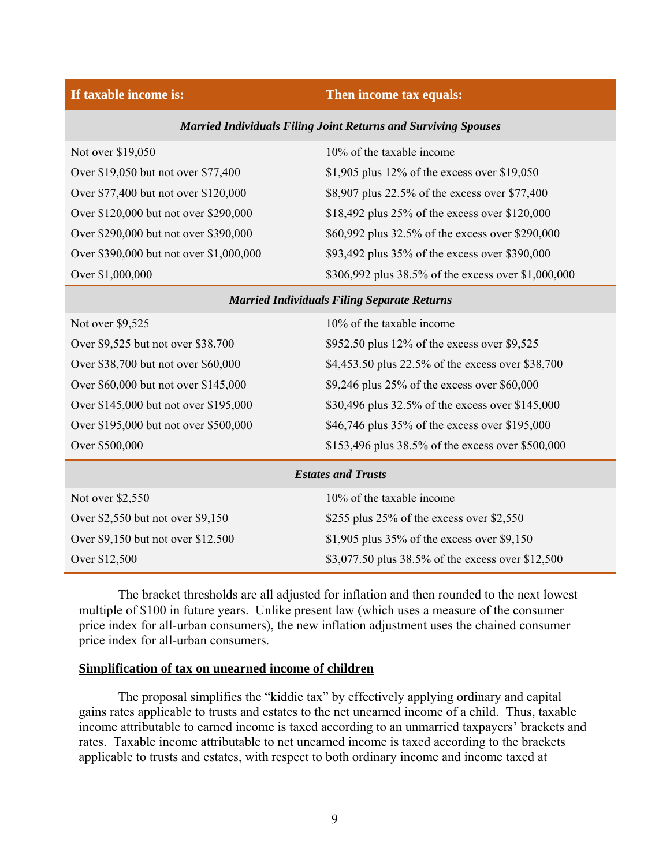#### **If taxable income is: Then income tax equals:**

| Not over \$19,050                                  | 10% of the taxable income                           |  |  |
|----------------------------------------------------|-----------------------------------------------------|--|--|
| Over \$19,050 but not over \$77,400                | \$1,905 plus 12% of the excess over \$19,050        |  |  |
| Over \$77,400 but not over \$120,000               | \$8,907 plus 22.5% of the excess over \$77,400      |  |  |
| Over \$120,000 but not over \$290,000              | \$18,492 plus 25% of the excess over \$120,000      |  |  |
| Over \$290,000 but not over \$390,000              | \$60,992 plus 32.5% of the excess over \$290,000    |  |  |
| Over \$390,000 but not over \$1,000,000            | \$93,492 plus 35% of the excess over \$390,000      |  |  |
| Over \$1,000,000                                   | \$306,992 plus 38.5% of the excess over \$1,000,000 |  |  |
| <b>Married Individuals Filing Separate Returns</b> |                                                     |  |  |
| Not over \$9,525                                   | 10% of the taxable income                           |  |  |
| Over \$9,525 but not over \$38,700                 | \$952.50 plus 12% of the excess over \$9,525        |  |  |
| Over \$38,700 but not over \$60,000                | \$4,453.50 plus 22.5% of the excess over \$38,700   |  |  |
| Over \$60,000 but not over \$145,000               | \$9,246 plus 25% of the excess over \$60,000        |  |  |
| Over \$145,000 but not over \$195,000              | \$30,496 plus 32.5% of the excess over \$145,000    |  |  |
| Over \$195,000 but not over \$500,000              | \$46,746 plus 35% of the excess over \$195,000      |  |  |
| Over \$500,000                                     | \$153,496 plus 38.5% of the excess over \$500,000   |  |  |
| <b>Estates and Trusts</b>                          |                                                     |  |  |
| Not over \$2,550                                   | 10% of the taxable income                           |  |  |
| Over \$2,550 but not over \$9,150                  | \$255 plus 25% of the excess over \$2,550           |  |  |
| Over \$9,150 but not over \$12,500                 | \$1,905 plus 35% of the excess over \$9,150         |  |  |
| Over \$12,500                                      | \$3,077.50 plus 38.5% of the excess over \$12,500   |  |  |

#### *Married Individuals Filing Joint Returns and Surviving Spouses*

The bracket thresholds are all adjusted for inflation and then rounded to the next lowest multiple of \$100 in future years. Unlike present law (which uses a measure of the consumer price index for all-urban consumers), the new inflation adjustment uses the chained consumer price index for all-urban consumers.

### **Simplification of tax on unearned income of children**

The proposal simplifies the "kiddie tax" by effectively applying ordinary and capital gains rates applicable to trusts and estates to the net unearned income of a child. Thus, taxable income attributable to earned income is taxed according to an unmarried taxpayers' brackets and rates. Taxable income attributable to net unearned income is taxed according to the brackets applicable to trusts and estates, with respect to both ordinary income and income taxed at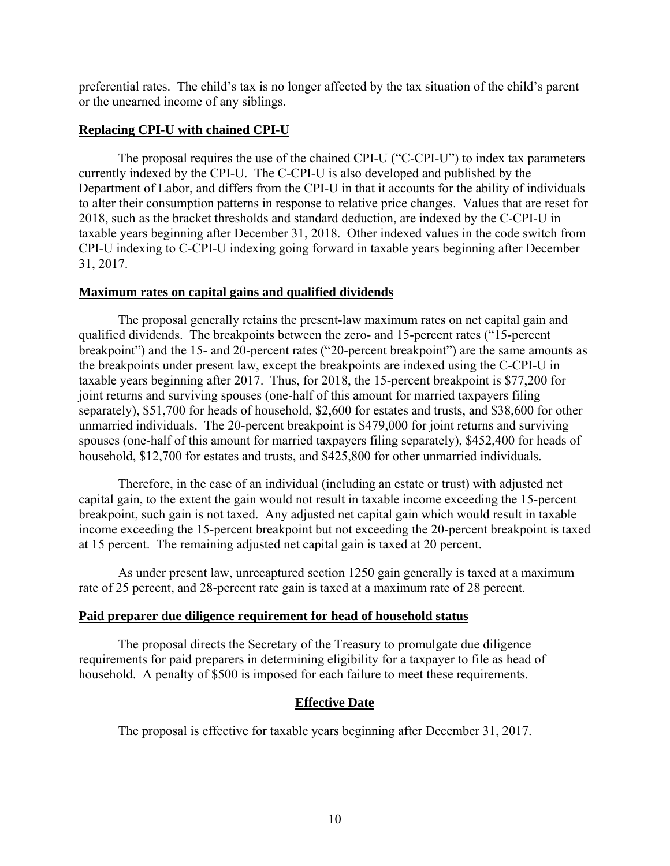preferential rates. The child's tax is no longer affected by the tax situation of the child's parent or the unearned income of any siblings.

## **Replacing CPI-U with chained CPI-U**

The proposal requires the use of the chained CPI-U ("C-CPI-U") to index tax parameters currently indexed by the CPI-U. The C-CPI-U is also developed and published by the Department of Labor, and differs from the CPI-U in that it accounts for the ability of individuals to alter their consumption patterns in response to relative price changes. Values that are reset for 2018, such as the bracket thresholds and standard deduction, are indexed by the C-CPI-U in taxable years beginning after December 31, 2018. Other indexed values in the code switch from CPI-U indexing to C-CPI-U indexing going forward in taxable years beginning after December 31, 2017.

## **Maximum rates on capital gains and qualified dividends**

The proposal generally retains the present-law maximum rates on net capital gain and qualified dividends. The breakpoints between the zero- and 15-percent rates ("15-percent breakpoint") and the 15- and 20-percent rates ("20-percent breakpoint") are the same amounts as the breakpoints under present law, except the breakpoints are indexed using the C-CPI-U in taxable years beginning after 2017. Thus, for 2018, the 15-percent breakpoint is \$77,200 for joint returns and surviving spouses (one-half of this amount for married taxpayers filing separately), \$51,700 for heads of household, \$2,600 for estates and trusts, and \$38,600 for other unmarried individuals. The 20-percent breakpoint is \$479,000 for joint returns and surviving spouses (one-half of this amount for married taxpayers filing separately), \$452,400 for heads of household, \$12,700 for estates and trusts, and \$425,800 for other unmarried individuals.

Therefore, in the case of an individual (including an estate or trust) with adjusted net capital gain, to the extent the gain would not result in taxable income exceeding the 15-percent breakpoint, such gain is not taxed. Any adjusted net capital gain which would result in taxable income exceeding the 15-percent breakpoint but not exceeding the 20-percent breakpoint is taxed at 15 percent. The remaining adjusted net capital gain is taxed at 20 percent.

As under present law, unrecaptured section 1250 gain generally is taxed at a maximum rate of 25 percent, and 28-percent rate gain is taxed at a maximum rate of 28 percent.

## **Paid preparer due diligence requirement for head of household status**

The proposal directs the Secretary of the Treasury to promulgate due diligence requirements for paid preparers in determining eligibility for a taxpayer to file as head of household. A penalty of \$500 is imposed for each failure to meet these requirements.

## **Effective Date**

The proposal is effective for taxable years beginning after December 31, 2017.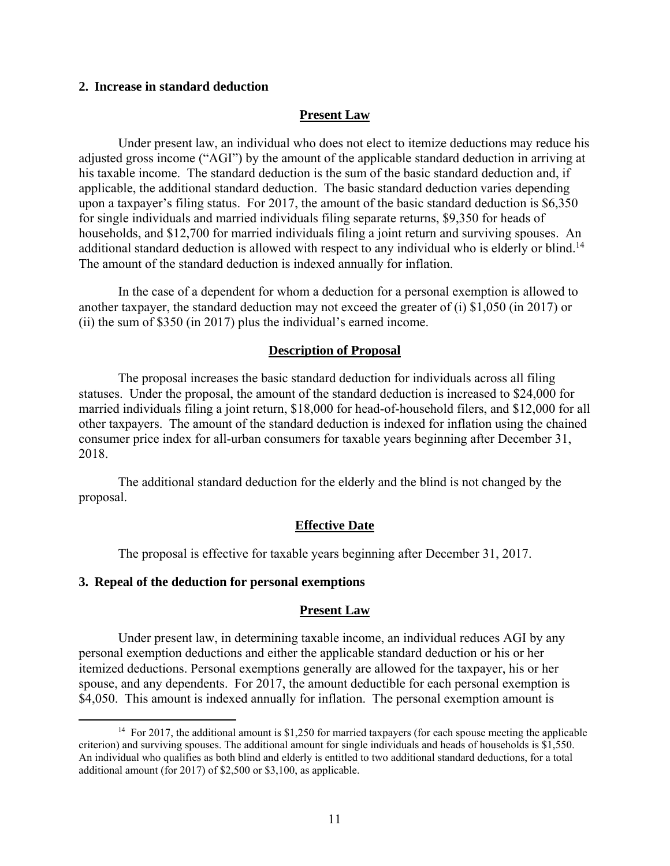#### **2. Increase in standard deduction**

#### **Present Law**

Under present law, an individual who does not elect to itemize deductions may reduce his adjusted gross income ("AGI") by the amount of the applicable standard deduction in arriving at his taxable income. The standard deduction is the sum of the basic standard deduction and, if applicable, the additional standard deduction. The basic standard deduction varies depending upon a taxpayer's filing status. For 2017, the amount of the basic standard deduction is \$6,350 for single individuals and married individuals filing separate returns, \$9,350 for heads of households, and \$12,700 for married individuals filing a joint return and surviving spouses. An additional standard deduction is allowed with respect to any individual who is elderly or blind.<sup>14</sup> The amount of the standard deduction is indexed annually for inflation.

In the case of a dependent for whom a deduction for a personal exemption is allowed to another taxpayer, the standard deduction may not exceed the greater of (i) \$1,050 (in 2017) or (ii) the sum of \$350 (in 2017) plus the individual's earned income.

#### **Description of Proposal**

The proposal increases the basic standard deduction for individuals across all filing statuses. Under the proposal, the amount of the standard deduction is increased to \$24,000 for married individuals filing a joint return, \$18,000 for head-of-household filers, and \$12,000 for all other taxpayers. The amount of the standard deduction is indexed for inflation using the chained consumer price index for all-urban consumers for taxable years beginning after December 31, 2018.

The additional standard deduction for the elderly and the blind is not changed by the proposal.

#### **Effective Date**

The proposal is effective for taxable years beginning after December 31, 2017.

#### **3. Repeal of the deduction for personal exemptions**

#### **Present Law**

Under present law, in determining taxable income, an individual reduces AGI by any personal exemption deductions and either the applicable standard deduction or his or her itemized deductions. Personal exemptions generally are allowed for the taxpayer, his or her spouse, and any dependents. For 2017, the amount deductible for each personal exemption is \$4,050. This amount is indexed annually for inflation. The personal exemption amount is

<sup>&</sup>lt;sup>14</sup> For 2017, the additional amount is \$1,250 for married taxpayers (for each spouse meeting the applicable criterion) and surviving spouses. The additional amount for single individuals and heads of households is \$1,550. An individual who qualifies as both blind and elderly is entitled to two additional standard deductions, for a total additional amount (for 2017) of \$2,500 or \$3,100, as applicable.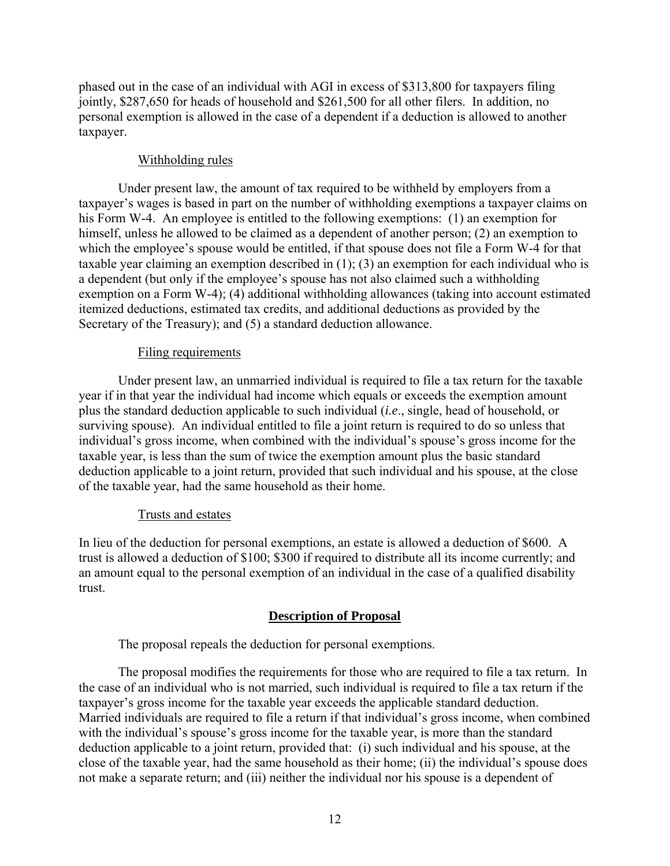phased out in the case of an individual with AGI in excess of \$313,800 for taxpayers filing jointly, \$287,650 for heads of household and \$261,500 for all other filers. In addition, no personal exemption is allowed in the case of a dependent if a deduction is allowed to another taxpayer.

## Withholding rules

Under present law, the amount of tax required to be withheld by employers from a taxpayer's wages is based in part on the number of withholding exemptions a taxpayer claims on his Form W-4. An employee is entitled to the following exemptions: (1) an exemption for himself, unless he allowed to be claimed as a dependent of another person; (2) an exemption to which the employee's spouse would be entitled, if that spouse does not file a Form W-4 for that taxable year claiming an exemption described in (1); (3) an exemption for each individual who is a dependent (but only if the employee's spouse has not also claimed such a withholding exemption on a Form W-4); (4) additional withholding allowances (taking into account estimated itemized deductions, estimated tax credits, and additional deductions as provided by the Secretary of the Treasury); and (5) a standard deduction allowance.

## Filing requirements

Under present law, an unmarried individual is required to file a tax return for the taxable year if in that year the individual had income which equals or exceeds the exemption amount plus the standard deduction applicable to such individual (*i.e*., single, head of household, or surviving spouse). An individual entitled to file a joint return is required to do so unless that individual's gross income, when combined with the individual's spouse's gross income for the taxable year, is less than the sum of twice the exemption amount plus the basic standard deduction applicable to a joint return, provided that such individual and his spouse, at the close of the taxable year, had the same household as their home.

## Trusts and estates

In lieu of the deduction for personal exemptions, an estate is allowed a deduction of \$600. A trust is allowed a deduction of \$100; \$300 if required to distribute all its income currently; and an amount equal to the personal exemption of an individual in the case of a qualified disability trust.

## **Description of Proposal**

The proposal repeals the deduction for personal exemptions.

The proposal modifies the requirements for those who are required to file a tax return. In the case of an individual who is not married, such individual is required to file a tax return if the taxpayer's gross income for the taxable year exceeds the applicable standard deduction. Married individuals are required to file a return if that individual's gross income, when combined with the individual's spouse's gross income for the taxable year, is more than the standard deduction applicable to a joint return, provided that: (i) such individual and his spouse, at the close of the taxable year, had the same household as their home; (ii) the individual's spouse does not make a separate return; and (iii) neither the individual nor his spouse is a dependent of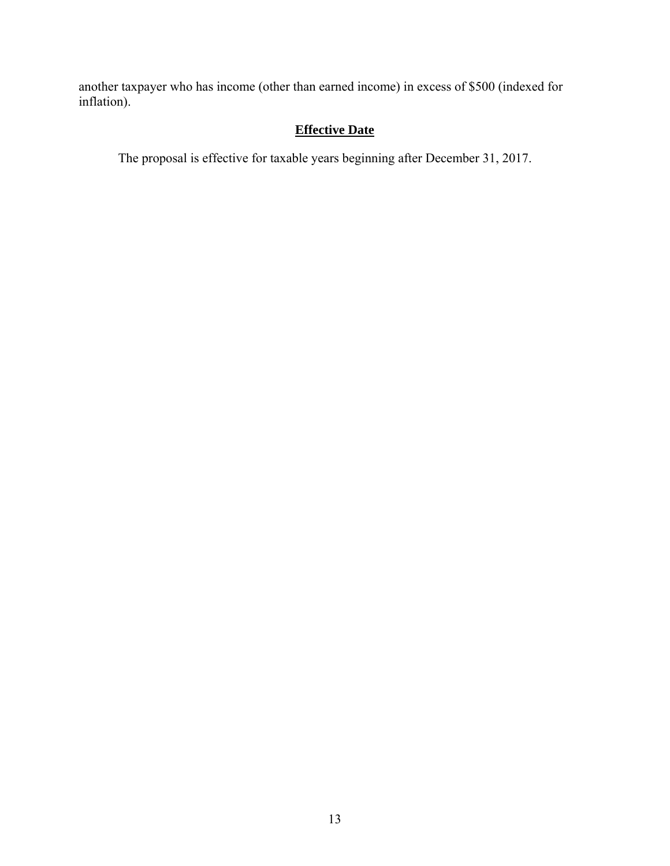another taxpayer who has income (other than earned income) in excess of \$500 (indexed for inflation).

# **Effective Date**

The proposal is effective for taxable years beginning after December 31, 2017.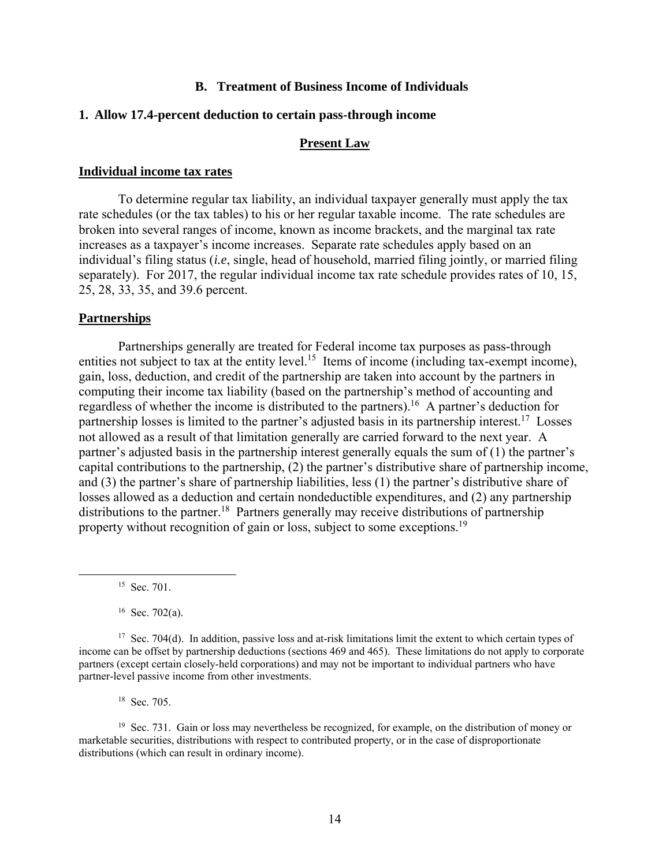#### **B. Treatment of Business Income of Individuals**

#### **1. Allow 17.4-percent deduction to certain pass-through income**

#### **Present Law**

#### **Individual income tax rates**

To determine regular tax liability, an individual taxpayer generally must apply the tax rate schedules (or the tax tables) to his or her regular taxable income. The rate schedules are broken into several ranges of income, known as income brackets, and the marginal tax rate increases as a taxpayer's income increases. Separate rate schedules apply based on an individual's filing status (*i.e*, single, head of household, married filing jointly, or married filing separately). For 2017, the regular individual income tax rate schedule provides rates of 10, 15, 25, 28, 33, 35, and 39.6 percent.

#### **Partnerships**

Partnerships generally are treated for Federal income tax purposes as pass-through entities not subject to tax at the entity level.<sup>15</sup> Items of income (including tax-exempt income), gain, loss, deduction, and credit of the partnership are taken into account by the partners in computing their income tax liability (based on the partnership's method of accounting and regardless of whether the income is distributed to the partners).<sup>16</sup> A partner's deduction for partnership losses is limited to the partner's adjusted basis in its partnership interest.<sup>17</sup> Losses not allowed as a result of that limitation generally are carried forward to the next year. A partner's adjusted basis in the partnership interest generally equals the sum of (1) the partner's capital contributions to the partnership, (2) the partner's distributive share of partnership income, and (3) the partner's share of partnership liabilities, less (1) the partner's distributive share of losses allowed as a deduction and certain nondeductible expenditures, and (2) any partnership distributions to the partner.<sup>18</sup> Partners generally may receive distributions of partnership property without recognition of gain or loss, subject to some exceptions.<sup>19</sup>

 $16$  Sec. 702(a).

<sup>17</sup> Sec. 704(d). In addition, passive loss and at-risk limitations limit the extent to which certain types of income can be offset by partnership deductions (sections 469 and 465). These limitations do not apply to corporate partners (except certain closely-held corporations) and may not be important to individual partners who have partner-level passive income from other investments.

18 Sec. 705.

<sup>19</sup> Sec. 731. Gain or loss may nevertheless be recognized, for example, on the distribution of money or marketable securities, distributions with respect to contributed property, or in the case of disproportionate distributions (which can result in ordinary income).

<sup>&</sup>lt;sup>15</sup> Sec. 701.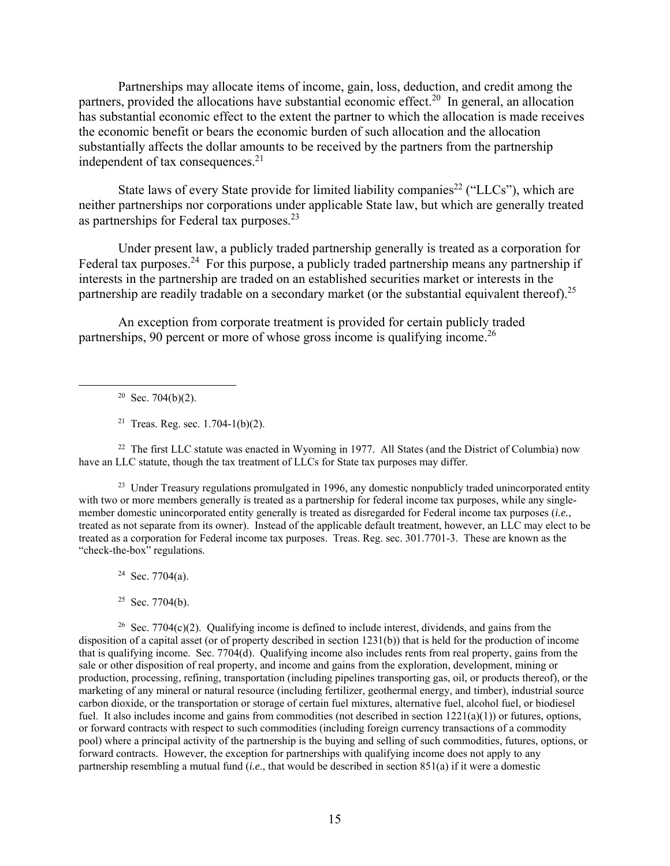Partnerships may allocate items of income, gain, loss, deduction, and credit among the partners, provided the allocations have substantial economic effect.<sup>20</sup> In general, an allocation has substantial economic effect to the extent the partner to which the allocation is made receives the economic benefit or bears the economic burden of such allocation and the allocation substantially affects the dollar amounts to be received by the partners from the partnership independent of tax consequences.<sup>21</sup>

State laws of every State provide for limited liability companies<sup>22</sup> ("LLCs"), which are neither partnerships nor corporations under applicable State law, but which are generally treated as partnerships for Federal tax purposes.23

Under present law, a publicly traded partnership generally is treated as a corporation for Federal tax purposes.<sup>24</sup> For this purpose, a publicly traded partnership means any partnership if interests in the partnership are traded on an established securities market or interests in the partnership are readily tradable on a secondary market (or the substantial equivalent thereof).<sup>25</sup>

An exception from corporate treatment is provided for certain publicly traded partnerships, 90 percent or more of whose gross income is qualifying income.<sup>26</sup>

<sup>20</sup> Sec. 704(b)(2).

<sup>21</sup> Treas. Reg. sec.  $1.704 - 1(b)(2)$ .

<sup>22</sup> The first LLC statute was enacted in Wyoming in 1977. All States (and the District of Columbia) now have an LLC statute, though the tax treatment of LLCs for State tax purposes may differ.

<sup>23</sup> Under Treasury regulations promulgated in 1996, any domestic nonpublicly traded unincorporated entity with two or more members generally is treated as a partnership for federal income tax purposes, while any singlemember domestic unincorporated entity generally is treated as disregarded for Federal income tax purposes (*i.e.*, treated as not separate from its owner). Instead of the applicable default treatment, however, an LLC may elect to be treated as a corporation for Federal income tax purposes. Treas. Reg. sec. 301.7701-3. These are known as the "check-the-box" regulations.

 $24$  Sec. 7704(a).

<sup>26</sup> Sec. 7704(c)(2). Qualifying income is defined to include interest, dividends, and gains from the disposition of a capital asset (or of property described in section 1231(b)) that is held for the production of income that is qualifying income. Sec. 7704(d). Qualifying income also includes rents from real property, gains from the sale or other disposition of real property, and income and gains from the exploration, development, mining or production, processing, refining, transportation (including pipelines transporting gas, oil, or products thereof), or the marketing of any mineral or natural resource (including fertilizer, geothermal energy, and timber), industrial source carbon dioxide, or the transportation or storage of certain fuel mixtures, alternative fuel, alcohol fuel, or biodiesel fuel. It also includes income and gains from commodities (not described in section 1221(a)(1)) or futures, options, or forward contracts with respect to such commodities (including foreign currency transactions of a commodity pool) where a principal activity of the partnership is the buying and selling of such commodities, futures, options, or forward contracts. However, the exception for partnerships with qualifying income does not apply to any partnership resembling a mutual fund (*i.e*., that would be described in section 851(a) if it were a domestic

 $25$  Sec. 7704(b).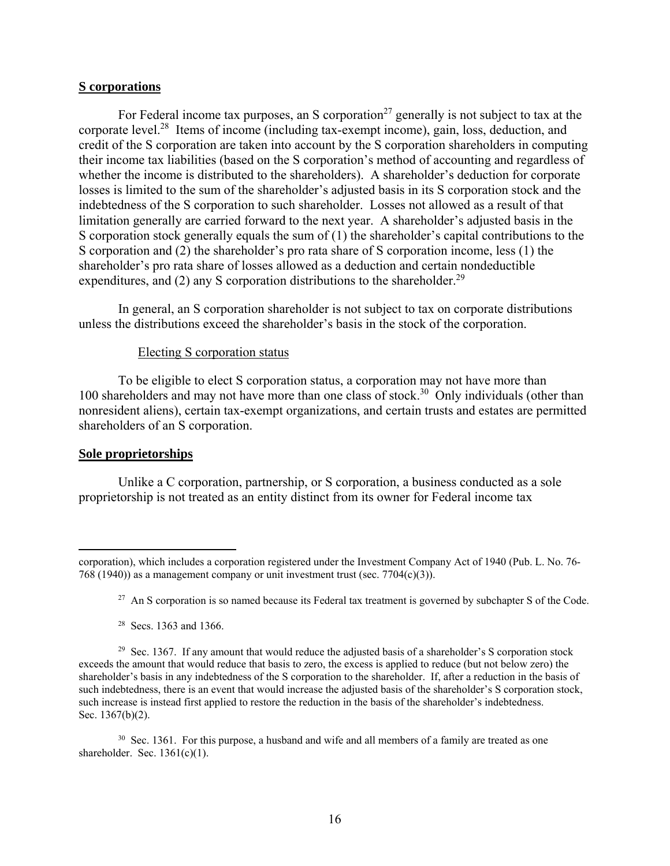#### **S corporations**

For Federal income tax purposes, an S corporation<sup>27</sup> generally is not subject to tax at the corporate level.28 Items of income (including tax-exempt income), gain, loss, deduction, and credit of the S corporation are taken into account by the S corporation shareholders in computing their income tax liabilities (based on the S corporation's method of accounting and regardless of whether the income is distributed to the shareholders). A shareholder's deduction for corporate losses is limited to the sum of the shareholder's adjusted basis in its S corporation stock and the indebtedness of the S corporation to such shareholder. Losses not allowed as a result of that limitation generally are carried forward to the next year. A shareholder's adjusted basis in the S corporation stock generally equals the sum of (1) the shareholder's capital contributions to the S corporation and (2) the shareholder's pro rata share of S corporation income, less (1) the shareholder's pro rata share of losses allowed as a deduction and certain nondeductible expenditures, and (2) any S corporation distributions to the shareholder.<sup>29</sup>

In general, an S corporation shareholder is not subject to tax on corporate distributions unless the distributions exceed the shareholder's basis in the stock of the corporation.

#### Electing S corporation status

To be eligible to elect S corporation status, a corporation may not have more than 100 shareholders and may not have more than one class of stock.<sup>30</sup> Only individuals (other than nonresident aliens), certain tax-exempt organizations, and certain trusts and estates are permitted shareholders of an S corporation.

#### **Sole proprietorships**

 $\overline{a}$ 

Unlike a C corporation, partnership, or S corporation, a business conducted as a sole proprietorship is not treated as an entity distinct from its owner for Federal income tax

28 Secs. 1363 and 1366.

corporation), which includes a corporation registered under the Investment Company Act of 1940 (Pub. L. No. 76- 768 (1940)) as a management company or unit investment trust (sec. 7704(c)(3)).

<sup>&</sup>lt;sup>27</sup> An S corporation is so named because its Federal tax treatment is governed by subchapter S of the Code.

 $29$  Sec. 1367. If any amount that would reduce the adjusted basis of a shareholder's S corporation stock exceeds the amount that would reduce that basis to zero, the excess is applied to reduce (but not below zero) the shareholder's basis in any indebtedness of the S corporation to the shareholder. If, after a reduction in the basis of such indebtedness, there is an event that would increase the adjusted basis of the shareholder's S corporation stock, such increase is instead first applied to restore the reduction in the basis of the shareholder's indebtedness. Sec. 1367(b)(2).

<sup>&</sup>lt;sup>30</sup> Sec. 1361. For this purpose, a husband and wife and all members of a family are treated as one shareholder. Sec.  $1361(c)(1)$ .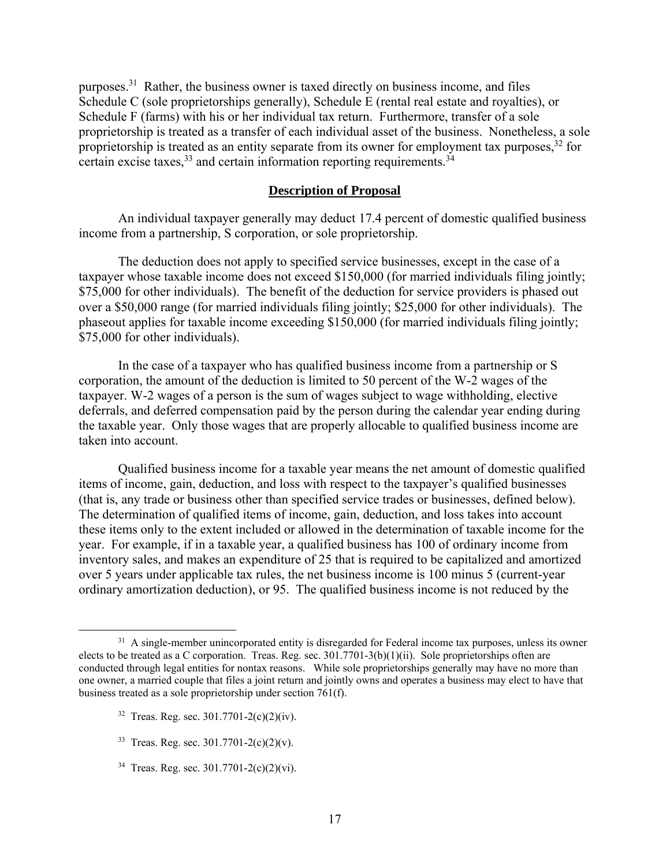purposes.31 Rather, the business owner is taxed directly on business income, and files Schedule C (sole proprietorships generally), Schedule E (rental real estate and royalties), or Schedule F (farms) with his or her individual tax return. Furthermore, transfer of a sole proprietorship is treated as a transfer of each individual asset of the business. Nonetheless, a sole proprietorship is treated as an entity separate from its owner for employment tax purposes,  $32$  for certain excise taxes,<sup>33</sup> and certain information reporting requirements.<sup>34</sup>

#### **Description of Proposal**

An individual taxpayer generally may deduct 17.4 percent of domestic qualified business income from a partnership, S corporation, or sole proprietorship.

The deduction does not apply to specified service businesses, except in the case of a taxpayer whose taxable income does not exceed \$150,000 (for married individuals filing jointly; \$75,000 for other individuals). The benefit of the deduction for service providers is phased out over a \$50,000 range (for married individuals filing jointly; \$25,000 for other individuals). The phaseout applies for taxable income exceeding \$150,000 (for married individuals filing jointly; \$75,000 for other individuals).

In the case of a taxpayer who has qualified business income from a partnership or S corporation, the amount of the deduction is limited to 50 percent of the W-2 wages of the taxpayer. W-2 wages of a person is the sum of wages subject to wage withholding, elective deferrals, and deferred compensation paid by the person during the calendar year ending during the taxable year. Only those wages that are properly allocable to qualified business income are taken into account.

Qualified business income for a taxable year means the net amount of domestic qualified items of income, gain, deduction, and loss with respect to the taxpayer's qualified businesses (that is, any trade or business other than specified service trades or businesses, defined below). The determination of qualified items of income, gain, deduction, and loss takes into account these items only to the extent included or allowed in the determination of taxable income for the year. For example, if in a taxable year, a qualified business has 100 of ordinary income from inventory sales, and makes an expenditure of 25 that is required to be capitalized and amortized over 5 years under applicable tax rules, the net business income is 100 minus 5 (current-year ordinary amortization deduction), or 95. The qualified business income is not reduced by the

34 Treas. Reg. sec. 301.7701-2(c)(2)(vi).

<sup>&</sup>lt;sup>31</sup> A single-member unincorporated entity is disregarded for Federal income tax purposes, unless its owner elects to be treated as a C corporation. Treas. Reg. sec. 301.7701-3(b)(1)(ii). Sole proprietorships often are conducted through legal entities for nontax reasons. While sole proprietorships generally may have no more than one owner, a married couple that files a joint return and jointly owns and operates a business may elect to have that business treated as a sole proprietorship under section 761(f).

 $32$  Treas. Reg. sec.  $301.7701 - 2(c)(2)(iv)$ .

<sup>33</sup> Treas. Reg. sec. 301.7701-2(c)(2)(v).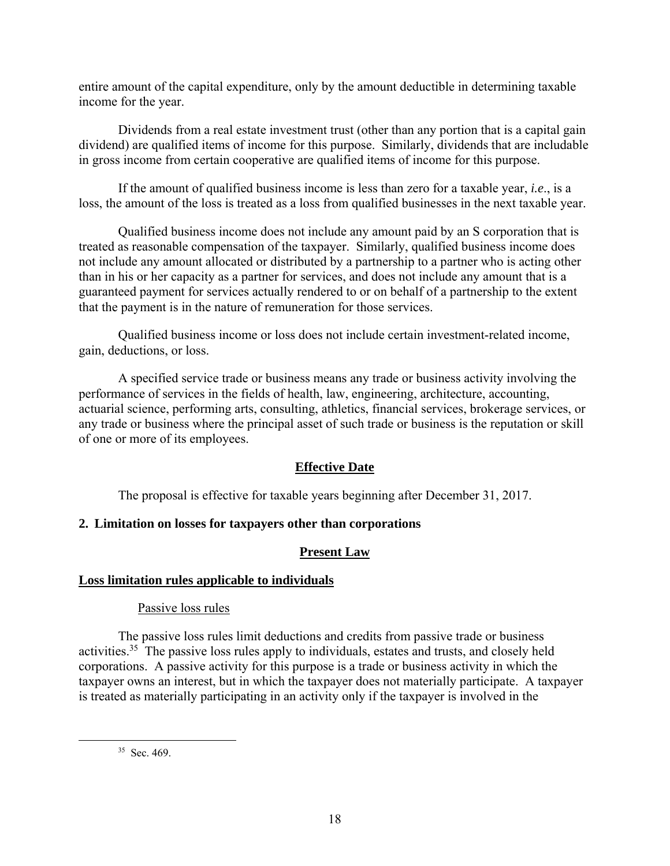entire amount of the capital expenditure, only by the amount deductible in determining taxable income for the year.

Dividends from a real estate investment trust (other than any portion that is a capital gain dividend) are qualified items of income for this purpose. Similarly, dividends that are includable in gross income from certain cooperative are qualified items of income for this purpose.

If the amount of qualified business income is less than zero for a taxable year, *i.e*., is a loss, the amount of the loss is treated as a loss from qualified businesses in the next taxable year.

Qualified business income does not include any amount paid by an S corporation that is treated as reasonable compensation of the taxpayer. Similarly, qualified business income does not include any amount allocated or distributed by a partnership to a partner who is acting other than in his or her capacity as a partner for services, and does not include any amount that is a guaranteed payment for services actually rendered to or on behalf of a partnership to the extent that the payment is in the nature of remuneration for those services.

Qualified business income or loss does not include certain investment-related income, gain, deductions, or loss.

A specified service trade or business means any trade or business activity involving the performance of services in the fields of health, law, engineering, architecture, accounting, actuarial science, performing arts, consulting, athletics, financial services, brokerage services, or any trade or business where the principal asset of such trade or business is the reputation or skill of one or more of its employees.

## **Effective Date**

The proposal is effective for taxable years beginning after December 31, 2017.

## **2. Limitation on losses for taxpayers other than corporations**

## **Present Law**

## **Loss limitation rules applicable to individuals**

## Passive loss rules

The passive loss rules limit deductions and credits from passive trade or business activities.<sup>35</sup> The passive loss rules apply to individuals, estates and trusts, and closely held corporations. A passive activity for this purpose is a trade or business activity in which the taxpayer owns an interest, but in which the taxpayer does not materially participate. A taxpayer is treated as materially participating in an activity only if the taxpayer is involved in the

35 Sec. 469.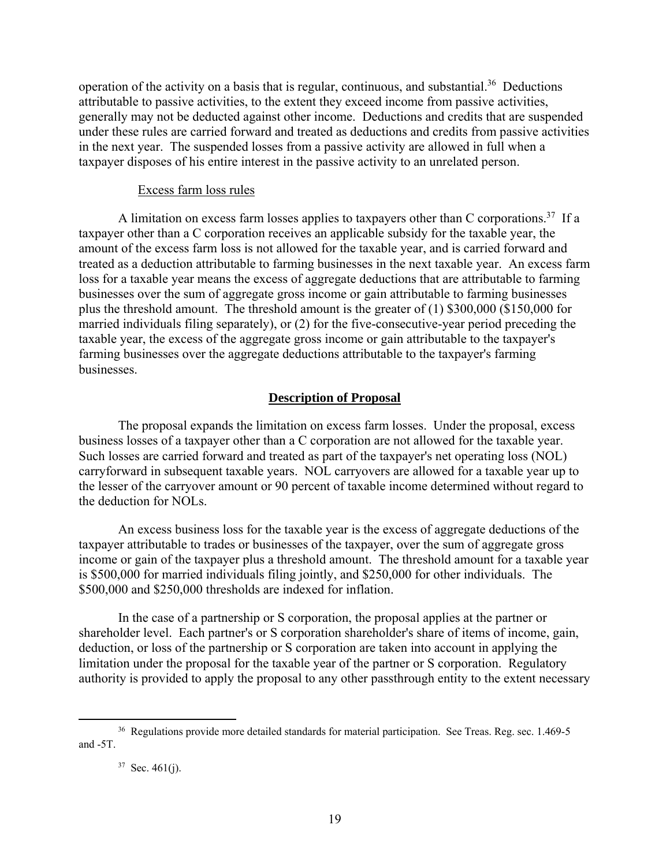operation of the activity on a basis that is regular, continuous, and substantial.<sup>36</sup> Deductions attributable to passive activities, to the extent they exceed income from passive activities, generally may not be deducted against other income. Deductions and credits that are suspended under these rules are carried forward and treated as deductions and credits from passive activities in the next year. The suspended losses from a passive activity are allowed in full when a taxpayer disposes of his entire interest in the passive activity to an unrelated person.

### Excess farm loss rules

A limitation on excess farm losses applies to taxpayers other than C corporations.<sup>37</sup> If a taxpayer other than a C corporation receives an applicable subsidy for the taxable year, the amount of the excess farm loss is not allowed for the taxable year, and is carried forward and treated as a deduction attributable to farming businesses in the next taxable year. An excess farm loss for a taxable year means the excess of aggregate deductions that are attributable to farming businesses over the sum of aggregate gross income or gain attributable to farming businesses plus the threshold amount. The threshold amount is the greater of (1) \$300,000 (\$150,000 for married individuals filing separately), or (2) for the five-consecutive-year period preceding the taxable year, the excess of the aggregate gross income or gain attributable to the taxpayer's farming businesses over the aggregate deductions attributable to the taxpayer's farming businesses.

## **Description of Proposal**

The proposal expands the limitation on excess farm losses. Under the proposal, excess business losses of a taxpayer other than a C corporation are not allowed for the taxable year. Such losses are carried forward and treated as part of the taxpayer's net operating loss (NOL) carryforward in subsequent taxable years. NOL carryovers are allowed for a taxable year up to the lesser of the carryover amount or 90 percent of taxable income determined without regard to the deduction for NOLs.

An excess business loss for the taxable year is the excess of aggregate deductions of the taxpayer attributable to trades or businesses of the taxpayer, over the sum of aggregate gross income or gain of the taxpayer plus a threshold amount. The threshold amount for a taxable year is \$500,000 for married individuals filing jointly, and \$250,000 for other individuals. The \$500,000 and \$250,000 thresholds are indexed for inflation.

In the case of a partnership or S corporation, the proposal applies at the partner or shareholder level. Each partner's or S corporation shareholder's share of items of income, gain, deduction, or loss of the partnership or S corporation are taken into account in applying the limitation under the proposal for the taxable year of the partner or S corporation. Regulatory authority is provided to apply the proposal to any other passthrough entity to the extent necessary

<sup>&</sup>lt;sup>36</sup> Regulations provide more detailed standards for material participation. See Treas. Reg. sec. 1.469-5 and -5T.

 $37$  Sec. 461(i).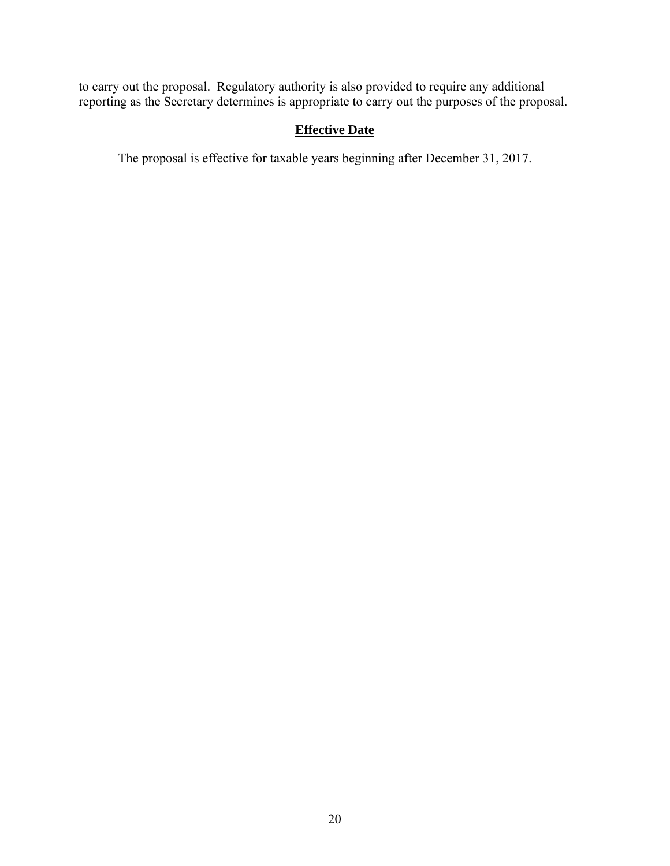to carry out the proposal. Regulatory authority is also provided to require any additional reporting as the Secretary determines is appropriate to carry out the purposes of the proposal.

# **Effective Date**

The proposal is effective for taxable years beginning after December 31, 2017.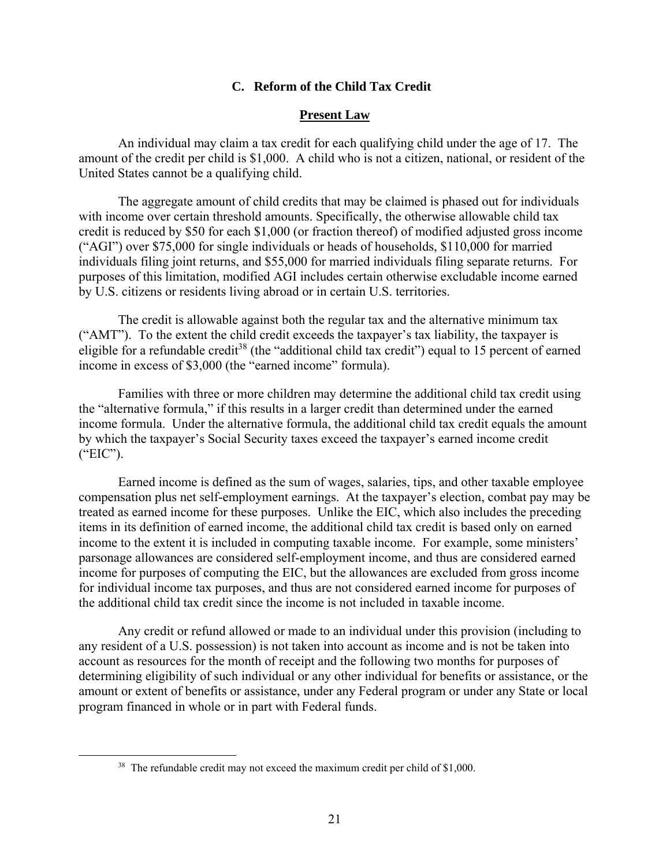#### **C. Reform of the Child Tax Credit**

#### **Present Law**

An individual may claim a tax credit for each qualifying child under the age of 17. The amount of the credit per child is \$1,000. A child who is not a citizen, national, or resident of the United States cannot be a qualifying child.

The aggregate amount of child credits that may be claimed is phased out for individuals with income over certain threshold amounts. Specifically, the otherwise allowable child tax credit is reduced by \$50 for each \$1,000 (or fraction thereof) of modified adjusted gross income ("AGI") over \$75,000 for single individuals or heads of households, \$110,000 for married individuals filing joint returns, and \$55,000 for married individuals filing separate returns. For purposes of this limitation, modified AGI includes certain otherwise excludable income earned by U.S. citizens or residents living abroad or in certain U.S. territories.

The credit is allowable against both the regular tax and the alternative minimum tax ("AMT"). To the extent the child credit exceeds the taxpayer's tax liability, the taxpayer is eligible for a refundable credit<sup>38</sup> (the "additional child tax credit") equal to 15 percent of earned income in excess of \$3,000 (the "earned income" formula).

Families with three or more children may determine the additional child tax credit using the "alternative formula," if this results in a larger credit than determined under the earned income formula. Under the alternative formula, the additional child tax credit equals the amount by which the taxpayer's Social Security taxes exceed the taxpayer's earned income credit ("EIC").

Earned income is defined as the sum of wages, salaries, tips, and other taxable employee compensation plus net self-employment earnings. At the taxpayer's election, combat pay may be treated as earned income for these purposes. Unlike the EIC, which also includes the preceding items in its definition of earned income, the additional child tax credit is based only on earned income to the extent it is included in computing taxable income. For example, some ministers' parsonage allowances are considered self-employment income, and thus are considered earned income for purposes of computing the EIC, but the allowances are excluded from gross income for individual income tax purposes, and thus are not considered earned income for purposes of the additional child tax credit since the income is not included in taxable income.

Any credit or refund allowed or made to an individual under this provision (including to any resident of a U.S. possession) is not taken into account as income and is not be taken into account as resources for the month of receipt and the following two months for purposes of determining eligibility of such individual or any other individual for benefits or assistance, or the amount or extent of benefits or assistance, under any Federal program or under any State or local program financed in whole or in part with Federal funds.

<sup>&</sup>lt;sup>38</sup> The refundable credit may not exceed the maximum credit per child of \$1,000.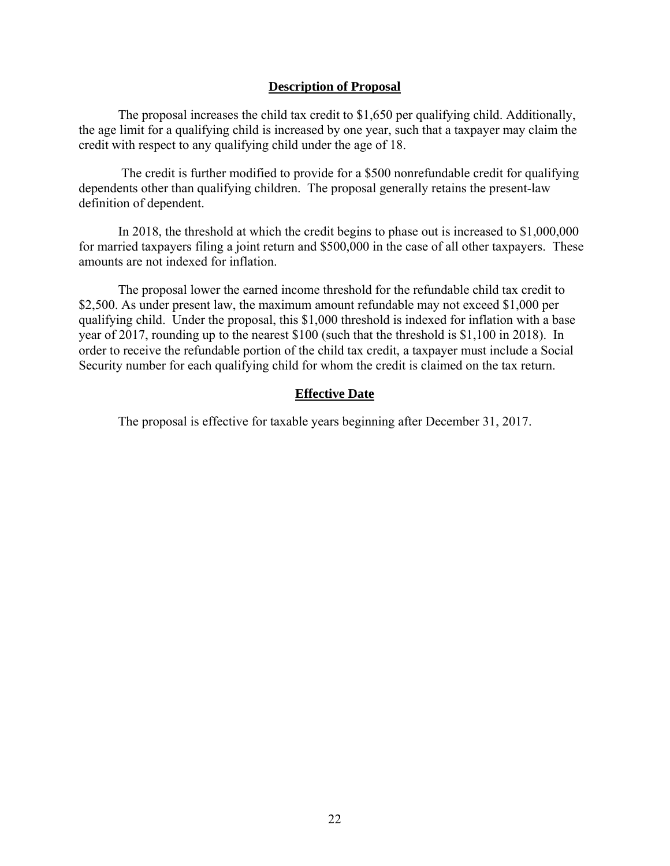## **Description of Proposal**

The proposal increases the child tax credit to \$1,650 per qualifying child. Additionally, the age limit for a qualifying child is increased by one year, such that a taxpayer may claim the credit with respect to any qualifying child under the age of 18.

 The credit is further modified to provide for a \$500 nonrefundable credit for qualifying dependents other than qualifying children. The proposal generally retains the present-law definition of dependent.

In 2018, the threshold at which the credit begins to phase out is increased to \$1,000,000 for married taxpayers filing a joint return and \$500,000 in the case of all other taxpayers. These amounts are not indexed for inflation.

The proposal lower the earned income threshold for the refundable child tax credit to \$2,500. As under present law, the maximum amount refundable may not exceed \$1,000 per qualifying child. Under the proposal, this \$1,000 threshold is indexed for inflation with a base year of 2017, rounding up to the nearest \$100 (such that the threshold is \$1,100 in 2018). In order to receive the refundable portion of the child tax credit, a taxpayer must include a Social Security number for each qualifying child for whom the credit is claimed on the tax return.

## **Effective Date**

The proposal is effective for taxable years beginning after December 31, 2017.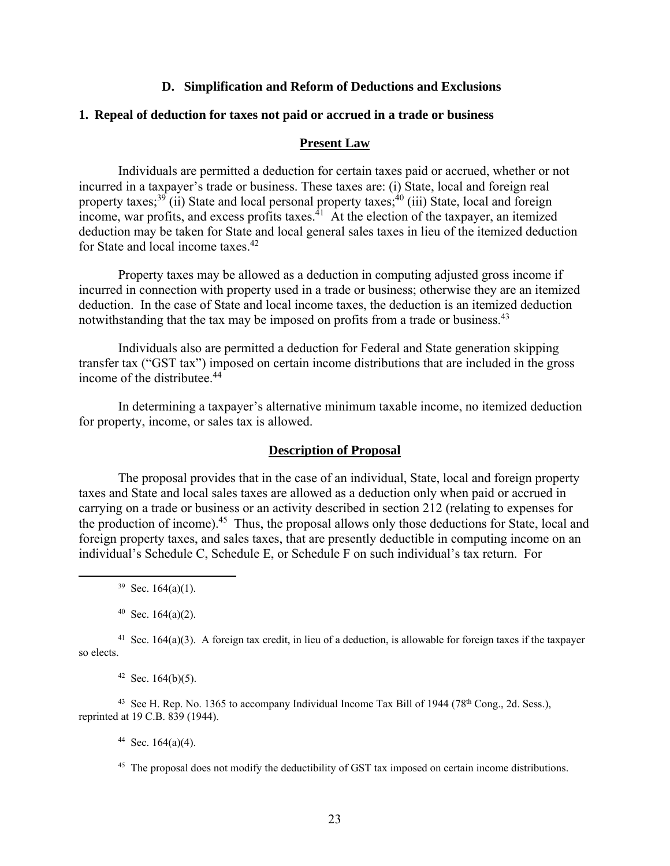#### **D. Simplification and Reform of Deductions and Exclusions**

## **1. Repeal of deduction for taxes not paid or accrued in a trade or business**

#### **Present Law**

Individuals are permitted a deduction for certain taxes paid or accrued, whether or not incurred in a taxpayer's trade or business. These taxes are: (i) State, local and foreign real property taxes; $39$  (ii) State and local personal property taxes; $40$  (iii) State, local and foreign income, war profits, and excess profits taxes. $41$  At the election of the taxpayer, an itemized deduction may be taken for State and local general sales taxes in lieu of the itemized deduction for State and local income taxes.42

Property taxes may be allowed as a deduction in computing adjusted gross income if incurred in connection with property used in a trade or business; otherwise they are an itemized deduction. In the case of State and local income taxes, the deduction is an itemized deduction notwithstanding that the tax may be imposed on profits from a trade or business.<sup>43</sup>

Individuals also are permitted a deduction for Federal and State generation skipping transfer tax ("GST tax") imposed on certain income distributions that are included in the gross income of the distributee.<sup>44</sup>

In determining a taxpayer's alternative minimum taxable income, no itemized deduction for property, income, or sales tax is allowed.

#### **Description of Proposal**

The proposal provides that in the case of an individual, State, local and foreign property taxes and State and local sales taxes are allowed as a deduction only when paid or accrued in carrying on a trade or business or an activity described in section 212 (relating to expenses for the production of income).45 Thus, the proposal allows only those deductions for State, local and foreign property taxes, and sales taxes, that are presently deductible in computing income on an individual's Schedule C, Schedule E, or Schedule F on such individual's tax return. For

 $40$  Sec. 164(a)(2).

<sup>41</sup> Sec. 164(a)(3). A foreign tax credit, in lieu of a deduction, is allowable for foreign taxes if the taxpayer so elects.

42 Sec.  $164(b)(5)$ .

<sup>43</sup> See H. Rep. No. 1365 to accompany Individual Income Tax Bill of 1944 (78<sup>th</sup> Cong., 2d. Sess.), reprinted at 19 C.B. 839 (1944).

 $44$  Sec. 164(a)(4).

<sup>45</sup> The proposal does not modify the deductibility of GST tax imposed on certain income distributions.

 $39$  Sec. 164(a)(1).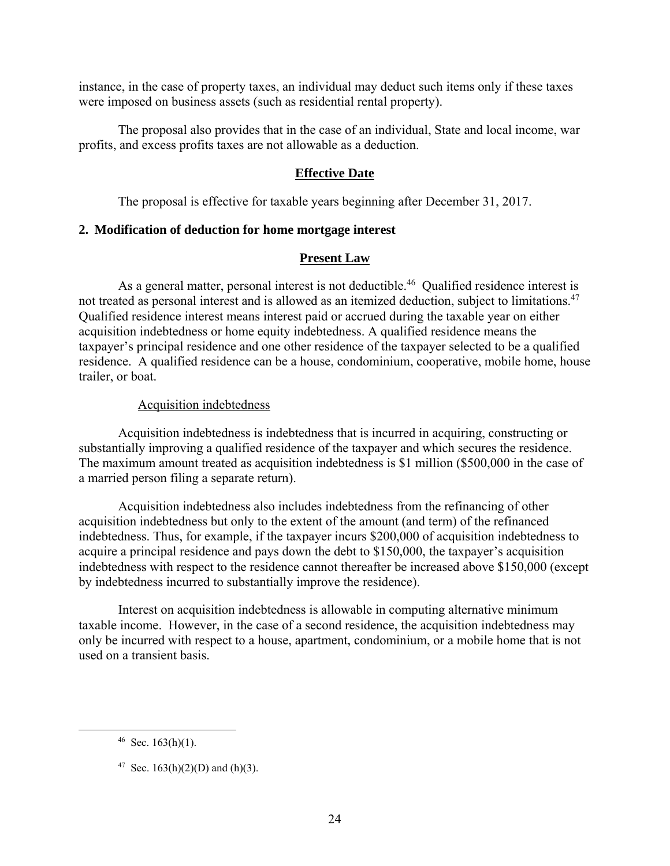instance, in the case of property taxes, an individual may deduct such items only if these taxes were imposed on business assets (such as residential rental property).

The proposal also provides that in the case of an individual, State and local income, war profits, and excess profits taxes are not allowable as a deduction.

## **Effective Date**

The proposal is effective for taxable years beginning after December 31, 2017.

## **2. Modification of deduction for home mortgage interest**

## **Present Law**

As a general matter, personal interest is not deductible.<sup>46</sup> Qualified residence interest is not treated as personal interest and is allowed as an itemized deduction, subject to limitations.<sup>47</sup> Qualified residence interest means interest paid or accrued during the taxable year on either acquisition indebtedness or home equity indebtedness. A qualified residence means the taxpayer's principal residence and one other residence of the taxpayer selected to be a qualified residence. A qualified residence can be a house, condominium, cooperative, mobile home, house trailer, or boat.

## Acquisition indebtedness

Acquisition indebtedness is indebtedness that is incurred in acquiring, constructing or substantially improving a qualified residence of the taxpayer and which secures the residence. The maximum amount treated as acquisition indebtedness is \$1 million (\$500,000 in the case of a married person filing a separate return).

Acquisition indebtedness also includes indebtedness from the refinancing of other acquisition indebtedness but only to the extent of the amount (and term) of the refinanced indebtedness. Thus, for example, if the taxpayer incurs \$200,000 of acquisition indebtedness to acquire a principal residence and pays down the debt to \$150,000, the taxpayer's acquisition indebtedness with respect to the residence cannot thereafter be increased above \$150,000 (except by indebtedness incurred to substantially improve the residence).

Interest on acquisition indebtedness is allowable in computing alternative minimum taxable income. However, in the case of a second residence, the acquisition indebtedness may only be incurred with respect to a house, apartment, condominium, or a mobile home that is not used on a transient basis.

 $46$  Sec. 163(h)(1).

<sup>&</sup>lt;sup>47</sup> Sec. 163(h)(2)(D) and (h)(3).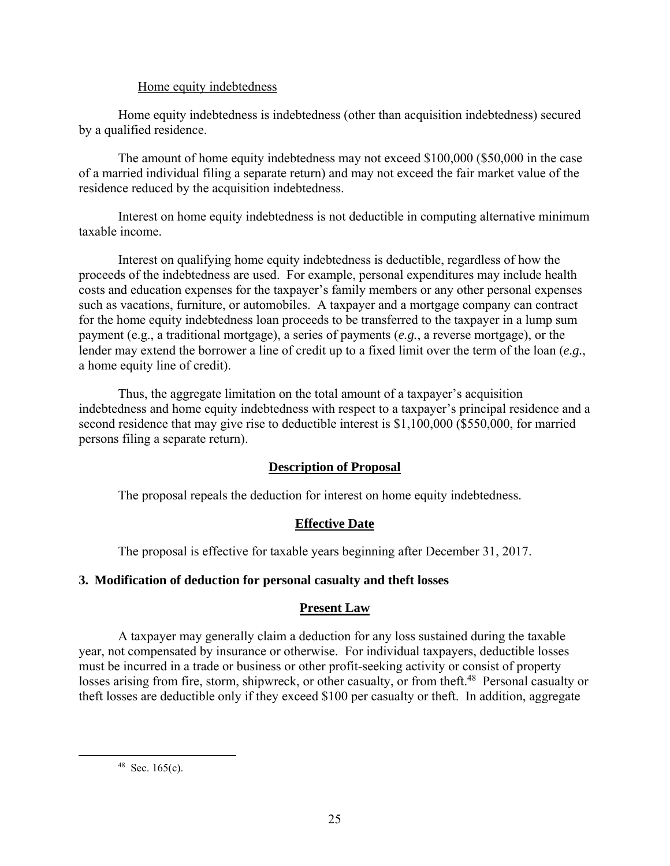## Home equity indebtedness

Home equity indebtedness is indebtedness (other than acquisition indebtedness) secured by a qualified residence.

The amount of home equity indebtedness may not exceed \$100,000 (\$50,000 in the case of a married individual filing a separate return) and may not exceed the fair market value of the residence reduced by the acquisition indebtedness.

Interest on home equity indebtedness is not deductible in computing alternative minimum taxable income.

Interest on qualifying home equity indebtedness is deductible, regardless of how the proceeds of the indebtedness are used. For example, personal expenditures may include health costs and education expenses for the taxpayer's family members or any other personal expenses such as vacations, furniture, or automobiles. A taxpayer and a mortgage company can contract for the home equity indebtedness loan proceeds to be transferred to the taxpayer in a lump sum payment (e.g., a traditional mortgage), a series of payments (*e.g.*, a reverse mortgage), or the lender may extend the borrower a line of credit up to a fixed limit over the term of the loan (*e.g.*, a home equity line of credit).

Thus, the aggregate limitation on the total amount of a taxpayer's acquisition indebtedness and home equity indebtedness with respect to a taxpayer's principal residence and a second residence that may give rise to deductible interest is \$1,100,000 (\$550,000, for married persons filing a separate return).

## **Description of Proposal**

The proposal repeals the deduction for interest on home equity indebtedness.

# **Effective Date**

The proposal is effective for taxable years beginning after December 31, 2017.

## **3. Modification of deduction for personal casualty and theft losses**

# **Present Law**

A taxpayer may generally claim a deduction for any loss sustained during the taxable year, not compensated by insurance or otherwise. For individual taxpayers, deductible losses must be incurred in a trade or business or other profit-seeking activity or consist of property losses arising from fire, storm, shipwreck, or other casualty, or from theft.<sup>48</sup> Personal casualty or theft losses are deductible only if they exceed \$100 per casualty or theft. In addition, aggregate

 $48$  Sec. 165(c).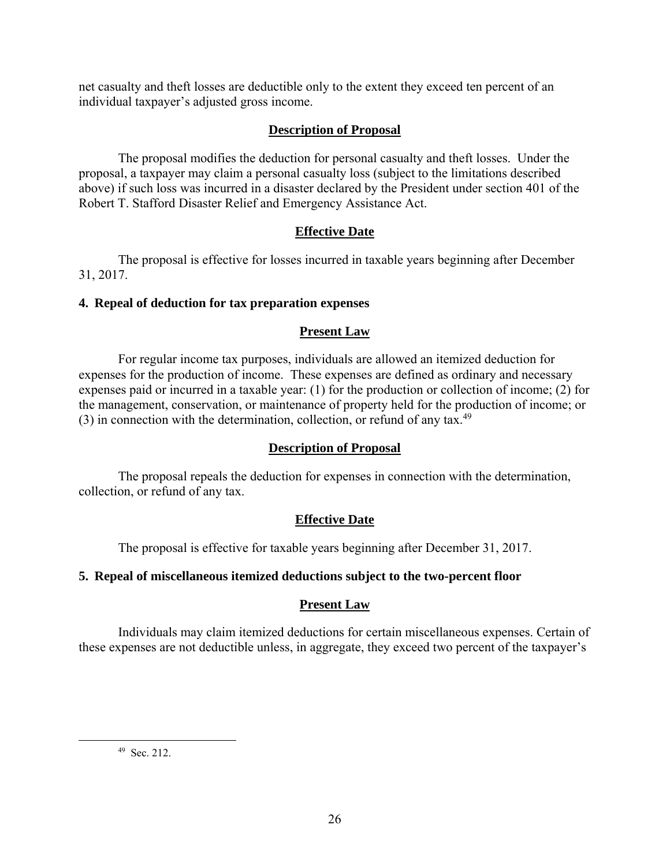net casualty and theft losses are deductible only to the extent they exceed ten percent of an individual taxpayer's adjusted gross income.

## **Description of Proposal**

The proposal modifies the deduction for personal casualty and theft losses. Under the proposal, a taxpayer may claim a personal casualty loss (subject to the limitations described above) if such loss was incurred in a disaster declared by the President under section 401 of the Robert T. Stafford Disaster Relief and Emergency Assistance Act.

## **Effective Date**

The proposal is effective for losses incurred in taxable years beginning after December 31, 2017.

## **4. Repeal of deduction for tax preparation expenses**

# **Present Law**

For regular income tax purposes, individuals are allowed an itemized deduction for expenses for the production of income. These expenses are defined as ordinary and necessary expenses paid or incurred in a taxable year: (1) for the production or collection of income; (2) for the management, conservation, or maintenance of property held for the production of income; or (3) in connection with the determination, collection, or refund of any tax.<sup>49</sup>

# **Description of Proposal**

The proposal repeals the deduction for expenses in connection with the determination, collection, or refund of any tax.

# **Effective Date**

The proposal is effective for taxable years beginning after December 31, 2017.

## **5. Repeal of miscellaneous itemized deductions subject to the two-percent floor**

# **Present Law**

Individuals may claim itemized deductions for certain miscellaneous expenses. Certain of these expenses are not deductible unless, in aggregate, they exceed two percent of the taxpayer's

49 Sec. 212.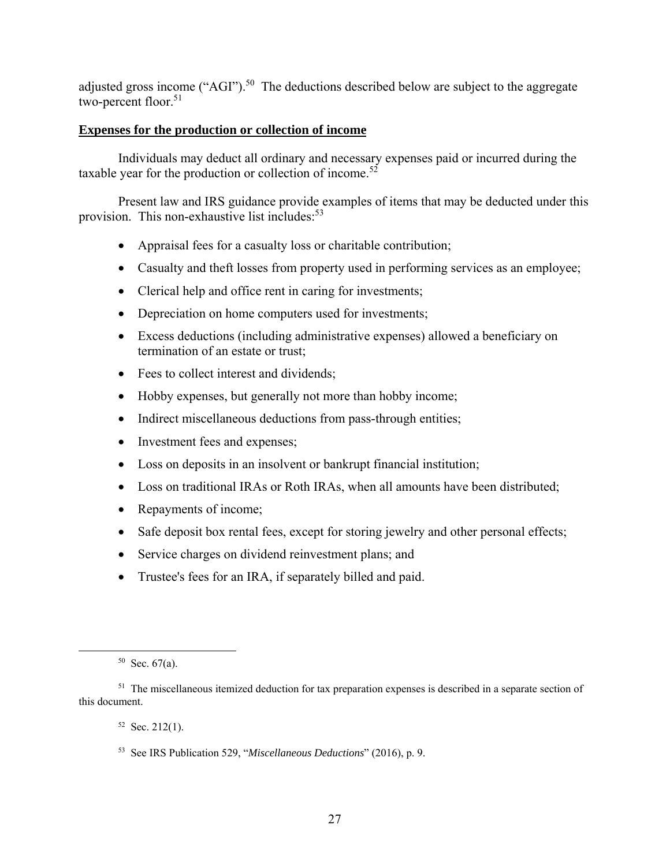adjusted gross income ("AGI").<sup>50</sup> The deductions described below are subject to the aggregate two-percent floor.<sup>51</sup>

## **Expenses for the production or collection of income**

Individuals may deduct all ordinary and necessary expenses paid or incurred during the taxable year for the production or collection of income.<sup>52</sup>

Present law and IRS guidance provide examples of items that may be deducted under this provision. This non-exhaustive list includes:<sup>53</sup>

- Appraisal fees for a casualty loss or charitable contribution;
- Casualty and theft losses from property used in performing services as an employee;
- Clerical help and office rent in caring for investments;
- Depreciation on home computers used for investments;
- Excess deductions (including administrative expenses) allowed a beneficiary on termination of an estate or trust;
- Fees to collect interest and dividends;
- Hobby expenses, but generally not more than hobby income;
- Indirect miscellaneous deductions from pass-through entities;
- Investment fees and expenses;
- Loss on deposits in an insolvent or bankrupt financial institution;
- Loss on traditional IRAs or Roth IRAs, when all amounts have been distributed;
- Repayments of income;
- Safe deposit box rental fees, except for storing jewelry and other personal effects;
- Service charges on dividend reinvestment plans; and
- Trustee's fees for an IRA, if separately billed and paid.

 $50$  Sec.  $67(a)$ .

<sup>&</sup>lt;sup>51</sup> The miscellaneous itemized deduction for tax preparation expenses is described in a separate section of this document.

 $52$  Sec. 212(1).

<sup>53</sup> See IRS Publication 529, "*Miscellaneous Deductions*" (2016), p. 9.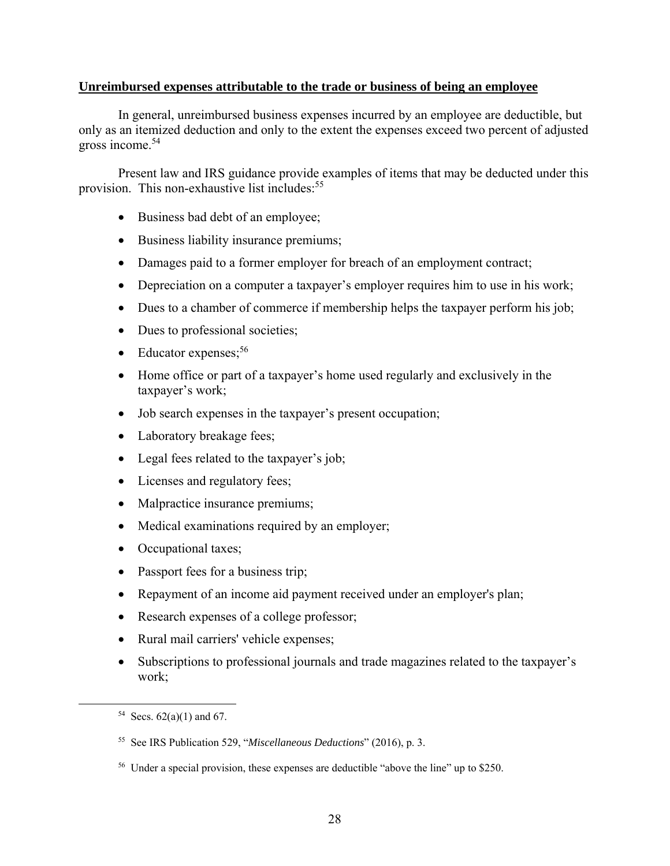## **Unreimbursed expenses attributable to the trade or business of being an employee**

In general, unreimbursed business expenses incurred by an employee are deductible, but only as an itemized deduction and only to the extent the expenses exceed two percent of adjusted gross income.54

Present law and IRS guidance provide examples of items that may be deducted under this provision. This non-exhaustive list includes:<sup>55</sup>

- Business bad debt of an employee;
- Business liability insurance premiums;
- Damages paid to a former employer for breach of an employment contract;
- Depreciation on a computer a taxpayer's employer requires him to use in his work;
- Dues to a chamber of commerce if membership helps the taxpayer perform his job;
- Dues to professional societies;
- $\bullet$  Educator expenses;<sup>56</sup>
- Home office or part of a taxpayer's home used regularly and exclusively in the taxpayer's work;
- Job search expenses in the taxpayer's present occupation;
- Laboratory breakage fees;
- Legal fees related to the taxpayer's job;
- Licenses and regulatory fees;
- Malpractice insurance premiums;
- Medical examinations required by an employer;
- Occupational taxes;
- Passport fees for a business trip;
- Repayment of an income aid payment received under an employer's plan;
- Research expenses of a college professor;
- Rural mail carriers' vehicle expenses;
- Subscriptions to professional journals and trade magazines related to the taxpayer's work;

<sup>&</sup>lt;sup>54</sup> Secs.  $62(a)(1)$  and 67.

<sup>55</sup> See IRS Publication 529, "*Miscellaneous Deductions*" (2016), p. 3.

<sup>&</sup>lt;sup>56</sup> Under a special provision, these expenses are deductible "above the line" up to \$250.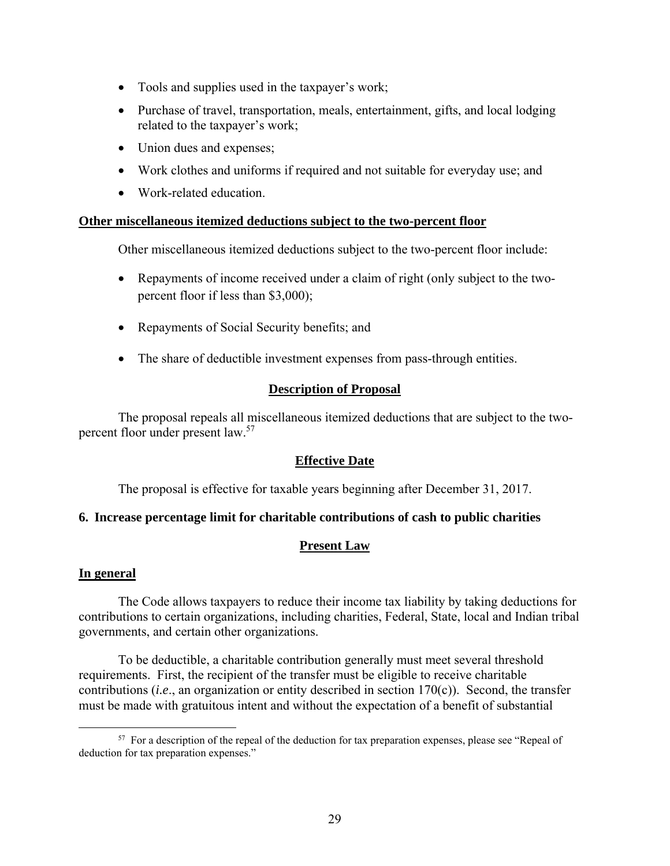- Tools and supplies used in the taxpayer's work;
- Purchase of travel, transportation, meals, entertainment, gifts, and local lodging related to the taxpayer's work;
- Union dues and expenses;
- Work clothes and uniforms if required and not suitable for everyday use; and
- Work-related education.

## **Other miscellaneous itemized deductions subject to the two-percent floor**

Other miscellaneous itemized deductions subject to the two-percent floor include:

- Repayments of income received under a claim of right (only subject to the twopercent floor if less than \$3,000);
- Repayments of Social Security benefits; and
- The share of deductible investment expenses from pass-through entities.

# **Description of Proposal**

The proposal repeals all miscellaneous itemized deductions that are subject to the twopercent floor under present law.57

## **Effective Date**

The proposal is effective for taxable years beginning after December 31, 2017.

## **6. Increase percentage limit for charitable contributions of cash to public charities**

# **Present Law**

## **In general**

The Code allows taxpayers to reduce their income tax liability by taking deductions for contributions to certain organizations, including charities, Federal, State, local and Indian tribal governments, and certain other organizations.

To be deductible, a charitable contribution generally must meet several threshold requirements. First, the recipient of the transfer must be eligible to receive charitable contributions (*i.e*., an organization or entity described in section 170(c)). Second, the transfer must be made with gratuitous intent and without the expectation of a benefit of substantial

<sup>&</sup>lt;sup>57</sup> For a description of the repeal of the deduction for tax preparation expenses, please see "Repeal of deduction for tax preparation expenses."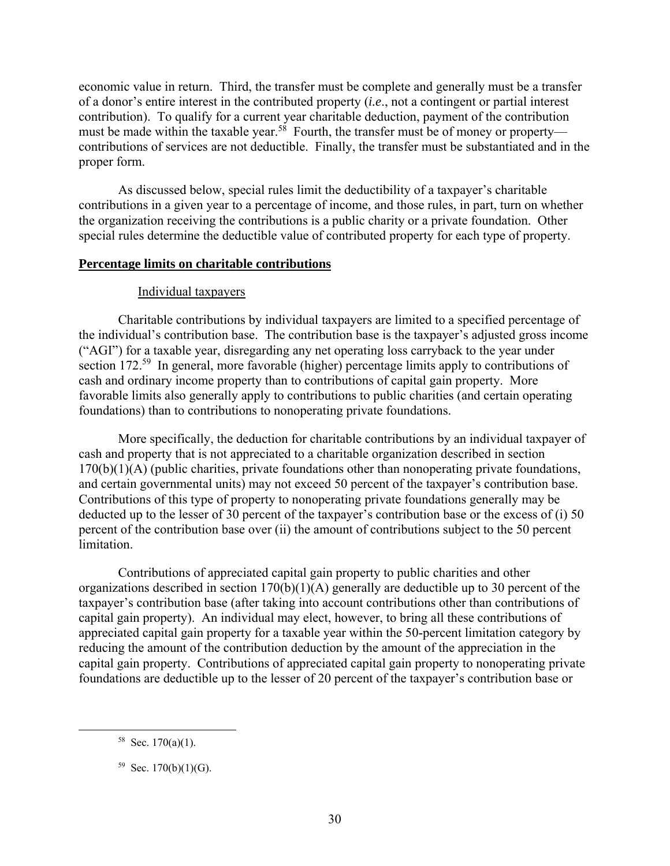economic value in return. Third, the transfer must be complete and generally must be a transfer of a donor's entire interest in the contributed property (*i.e*., not a contingent or partial interest contribution). To qualify for a current year charitable deduction, payment of the contribution must be made within the taxable year.<sup>58</sup> Fourth, the transfer must be of money or property contributions of services are not deductible. Finally, the transfer must be substantiated and in the proper form.

As discussed below, special rules limit the deductibility of a taxpayer's charitable contributions in a given year to a percentage of income, and those rules, in part, turn on whether the organization receiving the contributions is a public charity or a private foundation. Other special rules determine the deductible value of contributed property for each type of property.

#### **Percentage limits on charitable contributions**

#### Individual taxpayers

Charitable contributions by individual taxpayers are limited to a specified percentage of the individual's contribution base. The contribution base is the taxpayer's adjusted gross income ("AGI") for a taxable year, disregarding any net operating loss carryback to the year under section 172.<sup>59</sup> In general, more favorable (higher) percentage limits apply to contributions of cash and ordinary income property than to contributions of capital gain property. More favorable limits also generally apply to contributions to public charities (and certain operating foundations) than to contributions to nonoperating private foundations.

More specifically, the deduction for charitable contributions by an individual taxpayer of cash and property that is not appreciated to a charitable organization described in section 170(b)(1)(A) (public charities, private foundations other than nonoperating private foundations, and certain governmental units) may not exceed 50 percent of the taxpayer's contribution base. Contributions of this type of property to nonoperating private foundations generally may be deducted up to the lesser of 30 percent of the taxpayer's contribution base or the excess of (i) 50 percent of the contribution base over (ii) the amount of contributions subject to the 50 percent limitation.

Contributions of appreciated capital gain property to public charities and other organizations described in section  $170(b)(1)(A)$  generally are deductible up to 30 percent of the taxpayer's contribution base (after taking into account contributions other than contributions of capital gain property). An individual may elect, however, to bring all these contributions of appreciated capital gain property for a taxable year within the 50-percent limitation category by reducing the amount of the contribution deduction by the amount of the appreciation in the capital gain property. Contributions of appreciated capital gain property to nonoperating private foundations are deductible up to the lesser of 20 percent of the taxpayer's contribution base or

 $58$  Sec. 170(a)(1).

<sup>59</sup> Sec.  $170(b)(1)(G)$ .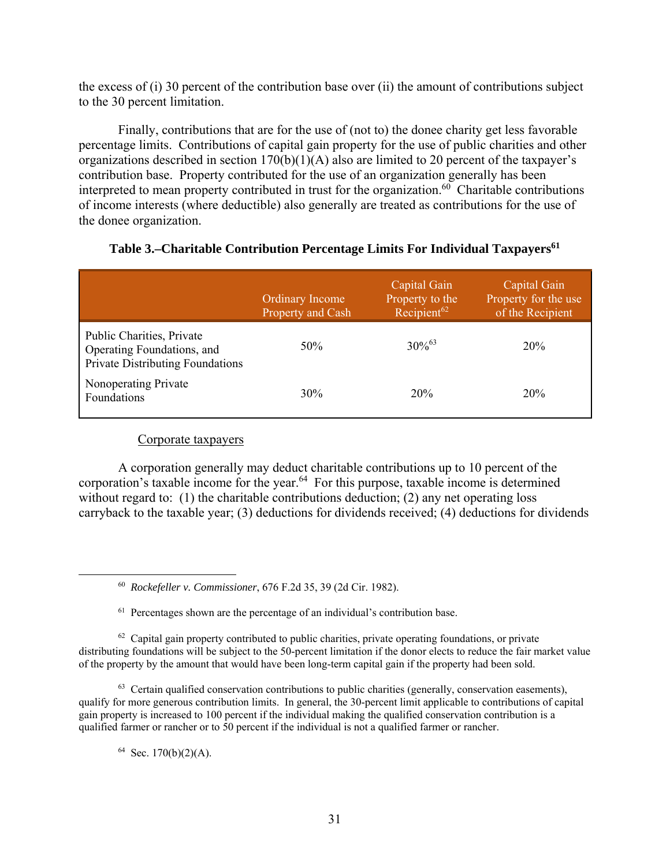the excess of (i) 30 percent of the contribution base over (ii) the amount of contributions subject to the 30 percent limitation.

Finally, contributions that are for the use of (not to) the donee charity get less favorable percentage limits. Contributions of capital gain property for the use of public charities and other organizations described in section 170(b)(1)(A) also are limited to 20 percent of the taxpayer's contribution base. Property contributed for the use of an organization generally has been interpreted to mean property contributed in trust for the organization.<sup>60</sup> Charitable contributions of income interests (where deductible) also generally are treated as contributions for the use of the donee organization.

|                                                                                                    | Ordinary Income<br>Property and Cash | Capital Gain<br>Property to the<br>Recipient <sup><math>62</math></sup> | Capital Gain<br>Property for the use<br>of the Recipient |
|----------------------------------------------------------------------------------------------------|--------------------------------------|-------------------------------------------------------------------------|----------------------------------------------------------|
| Public Charities, Private<br>Operating Foundations, and<br><b>Private Distributing Foundations</b> | 50%                                  | $30\%^{63}$                                                             | 20%                                                      |
| Nonoperating Private<br>Foundations                                                                | 30%                                  | 20%                                                                     | 20%                                                      |

## Table 3.–Charitable Contribution Percentage Limits For Individual Taxpayers<sup>61</sup>

## Corporate taxpayers

A corporation generally may deduct charitable contributions up to 10 percent of the corporation's taxable income for the year. $64$  For this purpose, taxable income is determined without regard to: (1) the charitable contributions deduction; (2) any net operating loss carryback to the taxable year; (3) deductions for dividends received; (4) deductions for dividends

60 *Rockefeller v. Commissioner*, 676 F.2d 35, 39 (2d Cir. 1982).

 $61$  Percentages shown are the percentage of an individual's contribution base.

 $62$  Capital gain property contributed to public charities, private operating foundations, or private distributing foundations will be subject to the 50-percent limitation if the donor elects to reduce the fair market value of the property by the amount that would have been long-term capital gain if the property had been sold.

 $63$  Certain qualified conservation contributions to public charities (generally, conservation easements), qualify for more generous contribution limits. In general, the 30-percent limit applicable to contributions of capital gain property is increased to 100 percent if the individual making the qualified conservation contribution is a qualified farmer or rancher or to 50 percent if the individual is not a qualified farmer or rancher.

 $64$  Sec. 170(b)(2)(A).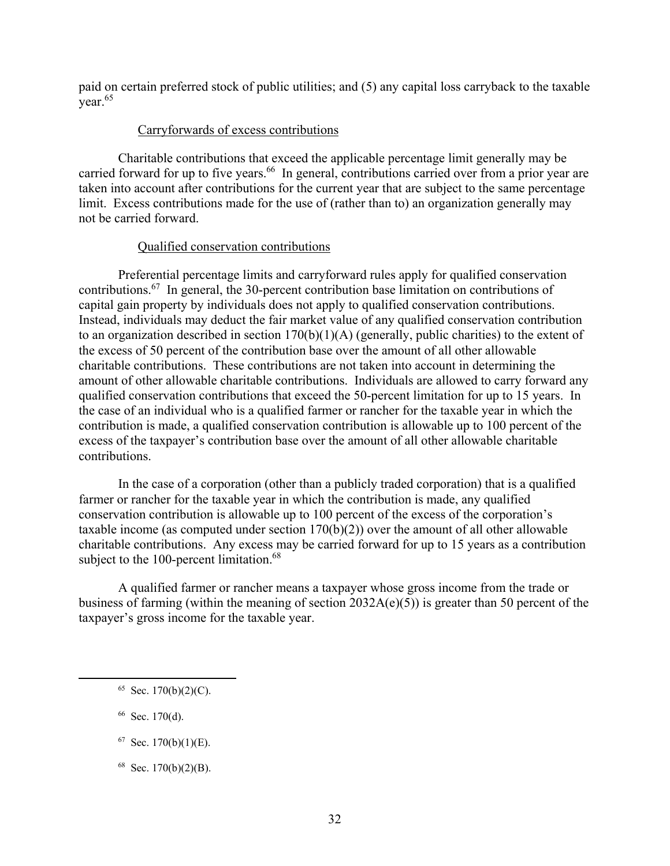paid on certain preferred stock of public utilities; and (5) any capital loss carryback to the taxable year.<sup>65</sup>

## Carryforwards of excess contributions

Charitable contributions that exceed the applicable percentage limit generally may be carried forward for up to five years.<sup>66</sup> In general, contributions carried over from a prior year are taken into account after contributions for the current year that are subject to the same percentage limit. Excess contributions made for the use of (rather than to) an organization generally may not be carried forward.

## Qualified conservation contributions

Preferential percentage limits and carryforward rules apply for qualified conservation contributions.67 In general, the 30-percent contribution base limitation on contributions of capital gain property by individuals does not apply to qualified conservation contributions. Instead, individuals may deduct the fair market value of any qualified conservation contribution to an organization described in section 170(b)(1)(A) (generally, public charities) to the extent of the excess of 50 percent of the contribution base over the amount of all other allowable charitable contributions. These contributions are not taken into account in determining the amount of other allowable charitable contributions. Individuals are allowed to carry forward any qualified conservation contributions that exceed the 50-percent limitation for up to 15 years. In the case of an individual who is a qualified farmer or rancher for the taxable year in which the contribution is made, a qualified conservation contribution is allowable up to 100 percent of the excess of the taxpayer's contribution base over the amount of all other allowable charitable contributions.

In the case of a corporation (other than a publicly traded corporation) that is a qualified farmer or rancher for the taxable year in which the contribution is made, any qualified conservation contribution is allowable up to 100 percent of the excess of the corporation's taxable income (as computed under section 170(b)(2)) over the amount of all other allowable charitable contributions. Any excess may be carried forward for up to 15 years as a contribution subject to the 100-percent limitation.<sup>68</sup>

A qualified farmer or rancher means a taxpayer whose gross income from the trade or business of farming (within the meaning of section 2032A(e)(5)) is greater than 50 percent of the taxpayer's gross income for the taxable year.

66 Sec. 170(d).

- $67$  Sec. 170(b)(1)(E).
- $68$  Sec. 170(b)(2)(B).

 $65$  Sec. 170(b)(2)(C).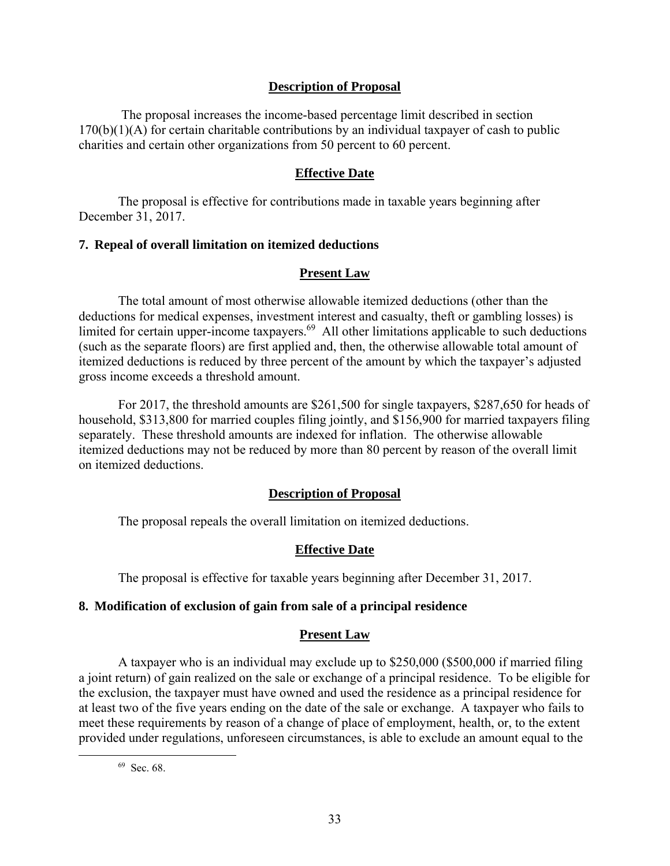## **Description of Proposal**

 The proposal increases the income-based percentage limit described in section 170(b)(1)(A) for certain charitable contributions by an individual taxpayer of cash to public charities and certain other organizations from 50 percent to 60 percent.

## **Effective Date**

The proposal is effective for contributions made in taxable years beginning after December 31, 2017.

## **7. Repeal of overall limitation on itemized deductions**

## **Present Law**

The total amount of most otherwise allowable itemized deductions (other than the deductions for medical expenses, investment interest and casualty, theft or gambling losses) is limited for certain upper-income taxpayers.<sup>69</sup> All other limitations applicable to such deductions (such as the separate floors) are first applied and, then, the otherwise allowable total amount of itemized deductions is reduced by three percent of the amount by which the taxpayer's adjusted gross income exceeds a threshold amount.

For 2017, the threshold amounts are \$261,500 for single taxpayers, \$287,650 for heads of household, \$313,800 for married couples filing jointly, and \$156,900 for married taxpayers filing separately. These threshold amounts are indexed for inflation. The otherwise allowable itemized deductions may not be reduced by more than 80 percent by reason of the overall limit on itemized deductions.

## **Description of Proposal**

The proposal repeals the overall limitation on itemized deductions.

## **Effective Date**

The proposal is effective for taxable years beginning after December 31, 2017.

## **8. Modification of exclusion of gain from sale of a principal residence**

## **Present Law**

A taxpayer who is an individual may exclude up to \$250,000 (\$500,000 if married filing a joint return) of gain realized on the sale or exchange of a principal residence. To be eligible for the exclusion, the taxpayer must have owned and used the residence as a principal residence for at least two of the five years ending on the date of the sale or exchange. A taxpayer who fails to meet these requirements by reason of a change of place of employment, health, or, to the extent provided under regulations, unforeseen circumstances, is able to exclude an amount equal to the

 <sup>69</sup> Sec. 68.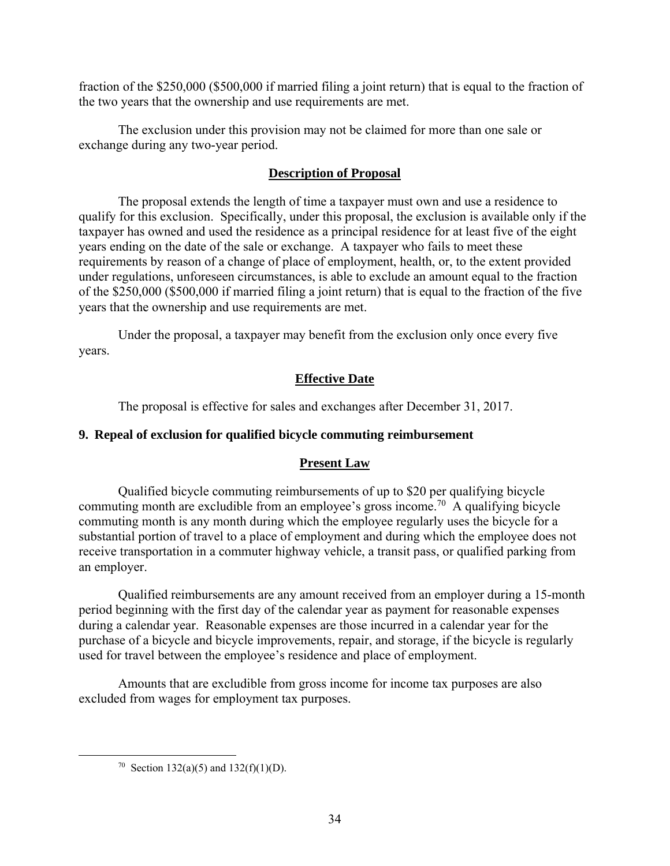fraction of the \$250,000 (\$500,000 if married filing a joint return) that is equal to the fraction of the two years that the ownership and use requirements are met.

The exclusion under this provision may not be claimed for more than one sale or exchange during any two-year period.

## **Description of Proposal**

The proposal extends the length of time a taxpayer must own and use a residence to qualify for this exclusion. Specifically, under this proposal, the exclusion is available only if the taxpayer has owned and used the residence as a principal residence for at least five of the eight years ending on the date of the sale or exchange. A taxpayer who fails to meet these requirements by reason of a change of place of employment, health, or, to the extent provided under regulations, unforeseen circumstances, is able to exclude an amount equal to the fraction of the \$250,000 (\$500,000 if married filing a joint return) that is equal to the fraction of the five years that the ownership and use requirements are met.

Under the proposal, a taxpayer may benefit from the exclusion only once every five years.

## **Effective Date**

The proposal is effective for sales and exchanges after December 31, 2017.

## **9. Repeal of exclusion for qualified bicycle commuting reimbursement**

## **Present Law**

Qualified bicycle commuting reimbursements of up to \$20 per qualifying bicycle commuting month are excludible from an employee's gross income.70 A qualifying bicycle commuting month is any month during which the employee regularly uses the bicycle for a substantial portion of travel to a place of employment and during which the employee does not receive transportation in a commuter highway vehicle, a transit pass, or qualified parking from an employer.

Qualified reimbursements are any amount received from an employer during a 15-month period beginning with the first day of the calendar year as payment for reasonable expenses during a calendar year. Reasonable expenses are those incurred in a calendar year for the purchase of a bicycle and bicycle improvements, repair, and storage, if the bicycle is regularly used for travel between the employee's residence and place of employment.

Amounts that are excludible from gross income for income tax purposes are also excluded from wages for employment tax purposes.

<sup>&</sup>lt;sup>70</sup> Section 132(a)(5) and 132(f)(1)(D).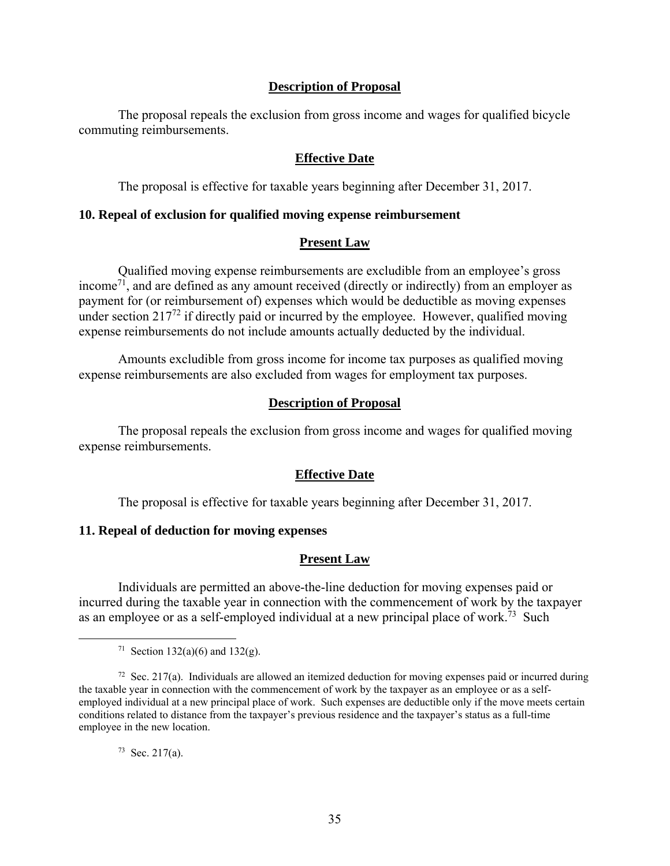### **Description of Proposal**

The proposal repeals the exclusion from gross income and wages for qualified bicycle commuting reimbursements.

### **Effective Date**

The proposal is effective for taxable years beginning after December 31, 2017.

### **10. Repeal of exclusion for qualified moving expense reimbursement**

### **Present Law**

Qualified moving expense reimbursements are excludible from an employee's gross income<sup>71</sup>, and are defined as any amount received (directly or indirectly) from an employer as payment for (or reimbursement of) expenses which would be deductible as moving expenses under section  $217<sup>72</sup>$  if directly paid or incurred by the employee. However, qualified moving expense reimbursements do not include amounts actually deducted by the individual.

Amounts excludible from gross income for income tax purposes as qualified moving expense reimbursements are also excluded from wages for employment tax purposes.

### **Description of Proposal**

The proposal repeals the exclusion from gross income and wages for qualified moving expense reimbursements.

### **Effective Date**

The proposal is effective for taxable years beginning after December 31, 2017.

### **11. Repeal of deduction for moving expenses**

## **Present Law**

Individuals are permitted an above-the-line deduction for moving expenses paid or incurred during the taxable year in connection with the commencement of work by the taxpayer as an employee or as a self-employed individual at a new principal place of work.<sup>73</sup> Such

 $73$  Sec. 217(a).

<sup>&</sup>lt;sup>71</sup> Section 132(a)(6) and 132(g).

 $72$  Sec. 217(a). Individuals are allowed an itemized deduction for moving expenses paid or incurred during the taxable year in connection with the commencement of work by the taxpayer as an employee or as a selfemployed individual at a new principal place of work. Such expenses are deductible only if the move meets certain conditions related to distance from the taxpayer's previous residence and the taxpayer's status as a full-time employee in the new location.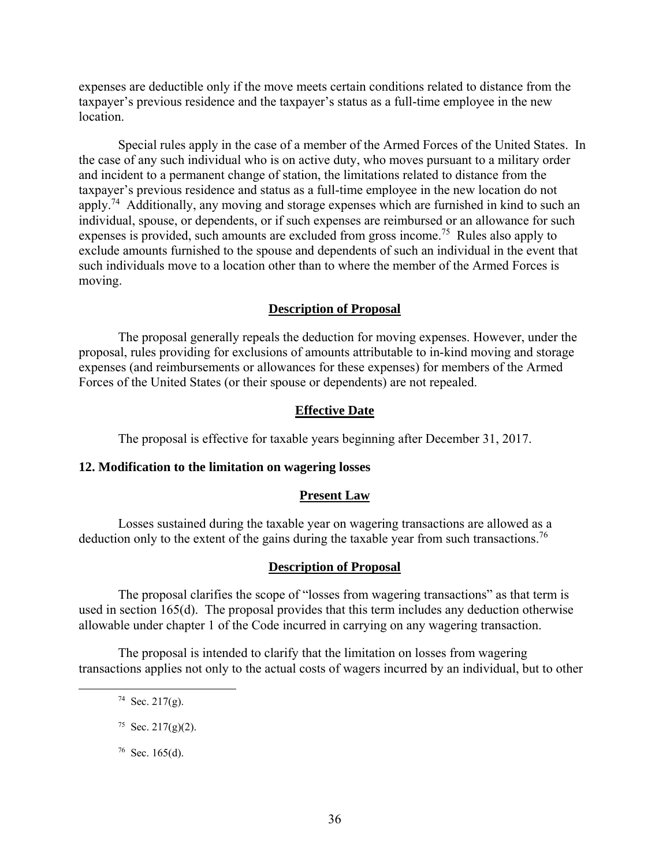expenses are deductible only if the move meets certain conditions related to distance from the taxpayer's previous residence and the taxpayer's status as a full-time employee in the new location.

Special rules apply in the case of a member of the Armed Forces of the United States. In the case of any such individual who is on active duty, who moves pursuant to a military order and incident to a permanent change of station, the limitations related to distance from the taxpayer's previous residence and status as a full-time employee in the new location do not apply.<sup>74</sup> Additionally, any moving and storage expenses which are furnished in kind to such an individual, spouse, or dependents, or if such expenses are reimbursed or an allowance for such expenses is provided, such amounts are excluded from gross income.<sup>75</sup> Rules also apply to exclude amounts furnished to the spouse and dependents of such an individual in the event that such individuals move to a location other than to where the member of the Armed Forces is moving.

### **Description of Proposal**

The proposal generally repeals the deduction for moving expenses. However, under the proposal, rules providing for exclusions of amounts attributable to in-kind moving and storage expenses (and reimbursements or allowances for these expenses) for members of the Armed Forces of the United States (or their spouse or dependents) are not repealed.

### **Effective Date**

The proposal is effective for taxable years beginning after December 31, 2017.

#### **12. Modification to the limitation on wagering losses**

### **Present Law**

Losses sustained during the taxable year on wagering transactions are allowed as a deduction only to the extent of the gains during the taxable year from such transactions.<sup>76</sup>

#### **Description of Proposal**

The proposal clarifies the scope of "losses from wagering transactions" as that term is used in section 165(d). The proposal provides that this term includes any deduction otherwise allowable under chapter 1 of the Code incurred in carrying on any wagering transaction.

The proposal is intended to clarify that the limitation on losses from wagering transactions applies not only to the actual costs of wagers incurred by an individual, but to other

 $74$  Sec. 217(g).

- $75$  Sec. 217(g)(2).
- $76$  Sec. 165(d).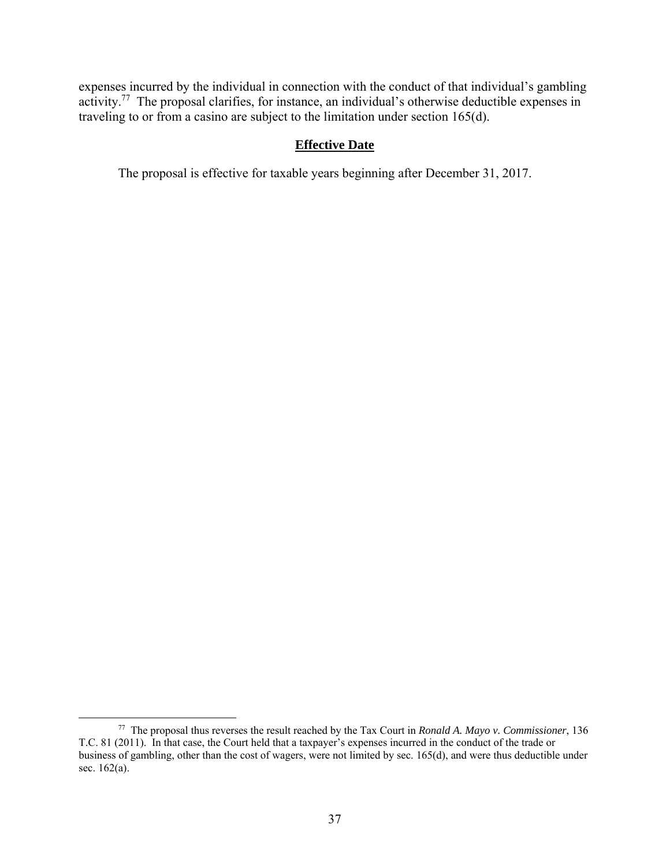expenses incurred by the individual in connection with the conduct of that individual's gambling activity.<sup>77</sup> The proposal clarifies, for instance, an individual's otherwise deductible expenses in traveling to or from a casino are subject to the limitation under section 165(d).

## **Effective Date**

The proposal is effective for taxable years beginning after December 31, 2017.

 <sup>77</sup> The proposal thus reverses the result reached by the Tax Court in *Ronald A. Mayo v. Commissioner*, 136 T.C. 81 (2011). In that case, the Court held that a taxpayer's expenses incurred in the conduct of the trade or business of gambling, other than the cost of wagers, were not limited by sec. 165(d), and were thus deductible under sec. 162(a).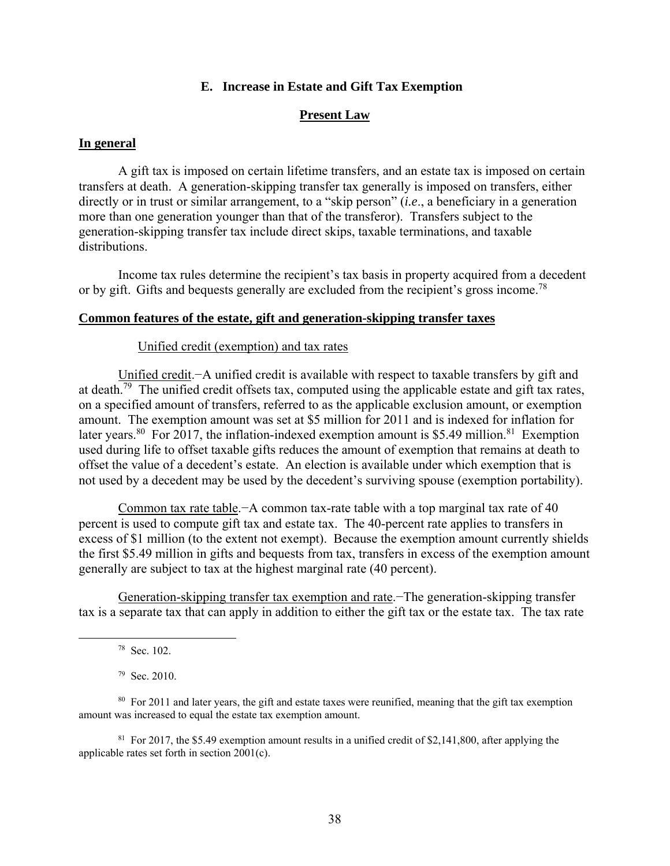## **E. Increase in Estate and Gift Tax Exemption**

## **Present Law**

### **In general**

A gift tax is imposed on certain lifetime transfers, and an estate tax is imposed on certain transfers at death. A generation-skipping transfer tax generally is imposed on transfers, either directly or in trust or similar arrangement, to a "skip person" (*i.e*., a beneficiary in a generation more than one generation younger than that of the transferor). Transfers subject to the generation-skipping transfer tax include direct skips, taxable terminations, and taxable distributions.

Income tax rules determine the recipient's tax basis in property acquired from a decedent or by gift. Gifts and bequests generally are excluded from the recipient's gross income.<sup>78</sup>

### **Common features of the estate, gift and generation-skipping transfer taxes**

#### Unified credit (exemption) and tax rates

Unified credit.−A unified credit is available with respect to taxable transfers by gift and at death.<sup>79</sup> The unified credit offsets tax, computed using the applicable estate and gift tax rates, on a specified amount of transfers, referred to as the applicable exclusion amount, or exemption amount. The exemption amount was set at \$5 million for 2011 and is indexed for inflation for later years.<sup>80</sup> For 2017, the inflation-indexed exemption amount is \$5.49 million.<sup>81</sup> Exemption used during life to offset taxable gifts reduces the amount of exemption that remains at death to offset the value of a decedent's estate. An election is available under which exemption that is not used by a decedent may be used by the decedent's surviving spouse (exemption portability).

Common tax rate table.−A common tax-rate table with a top marginal tax rate of 40 percent is used to compute gift tax and estate tax. The 40-percent rate applies to transfers in excess of \$1 million (to the extent not exempt). Because the exemption amount currently shields the first \$5.49 million in gifts and bequests from tax, transfers in excess of the exemption amount generally are subject to tax at the highest marginal rate (40 percent).

Generation-skipping transfer tax exemption and rate.−The generation-skipping transfer tax is a separate tax that can apply in addition to either the gift tax or the estate tax. The tax rate

<sup>81</sup> For 2017, the \$5.49 exemption amount results in a unified credit of \$2,141,800, after applying the applicable rates set forth in section 2001(c).

 <sup>78</sup> Sec. 102.

<sup>79</sup> Sec. 2010.

<sup>&</sup>lt;sup>80</sup> For 2011 and later years, the gift and estate taxes were reunified, meaning that the gift tax exemption amount was increased to equal the estate tax exemption amount.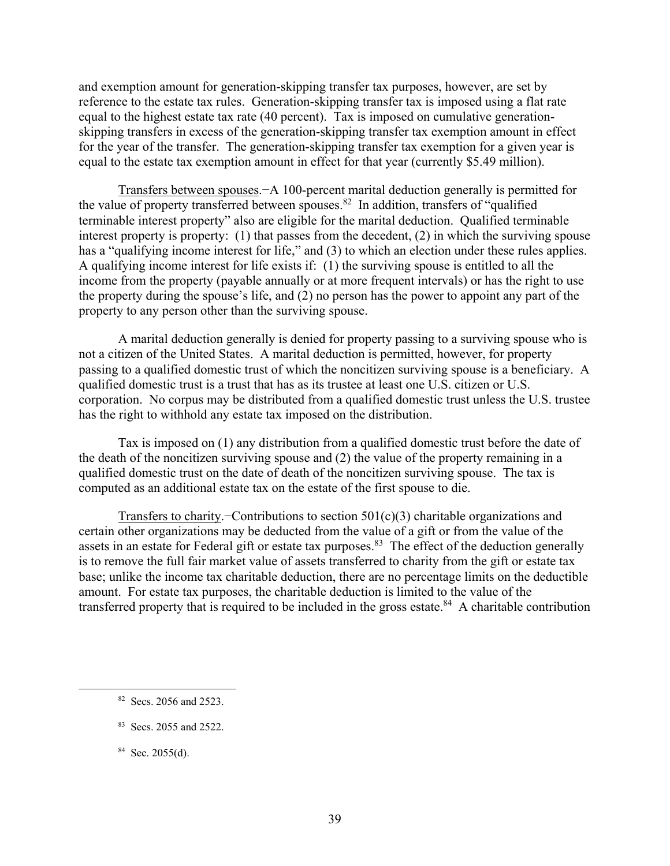and exemption amount for generation-skipping transfer tax purposes, however, are set by reference to the estate tax rules. Generation-skipping transfer tax is imposed using a flat rate equal to the highest estate tax rate (40 percent). Tax is imposed on cumulative generationskipping transfers in excess of the generation-skipping transfer tax exemption amount in effect for the year of the transfer. The generation-skipping transfer tax exemption for a given year is equal to the estate tax exemption amount in effect for that year (currently \$5.49 million).

Transfers between spouses.−A 100-percent marital deduction generally is permitted for the value of property transferred between spouses.<sup>82</sup> In addition, transfers of "qualified" terminable interest property" also are eligible for the marital deduction. Qualified terminable interest property is property: (1) that passes from the decedent, (2) in which the surviving spouse has a "qualifying income interest for life," and (3) to which an election under these rules applies. A qualifying income interest for life exists if: (1) the surviving spouse is entitled to all the income from the property (payable annually or at more frequent intervals) or has the right to use the property during the spouse's life, and (2) no person has the power to appoint any part of the property to any person other than the surviving spouse.

A marital deduction generally is denied for property passing to a surviving spouse who is not a citizen of the United States. A marital deduction is permitted, however, for property passing to a qualified domestic trust of which the noncitizen surviving spouse is a beneficiary. A qualified domestic trust is a trust that has as its trustee at least one U.S. citizen or U.S. corporation. No corpus may be distributed from a qualified domestic trust unless the U.S. trustee has the right to withhold any estate tax imposed on the distribution.

Tax is imposed on (1) any distribution from a qualified domestic trust before the date of the death of the noncitizen surviving spouse and (2) the value of the property remaining in a qualified domestic trust on the date of death of the noncitizen surviving spouse. The tax is computed as an additional estate tax on the estate of the first spouse to die.

Transfers to charity.−Contributions to section 501(c)(3) charitable organizations and certain other organizations may be deducted from the value of a gift or from the value of the assets in an estate for Federal gift or estate tax purposes.<sup>83</sup> The effect of the deduction generally is to remove the full fair market value of assets transferred to charity from the gift or estate tax base; unlike the income tax charitable deduction, there are no percentage limits on the deductible amount. For estate tax purposes, the charitable deduction is limited to the value of the transferred property that is required to be included in the gross estate.<sup>84</sup> A charitable contribution

<sup>&</sup>lt;sup>82</sup> Secs. 2056 and 2523.

<sup>83</sup> Secs. 2055 and 2522.

 $84$  Sec. 2055(d).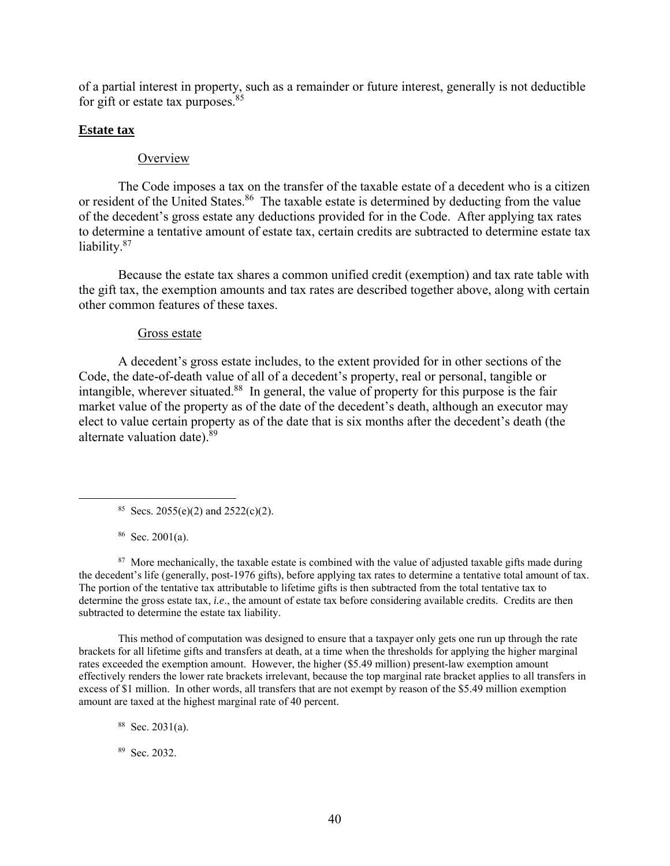of a partial interest in property, such as a remainder or future interest, generally is not deductible for gift or estate tax purposes.  $85$ 

#### **Estate tax**

#### **Overview**

The Code imposes a tax on the transfer of the taxable estate of a decedent who is a citizen or resident of the United States.<sup>86</sup> The taxable estate is determined by deducting from the value of the decedent's gross estate any deductions provided for in the Code. After applying tax rates to determine a tentative amount of estate tax, certain credits are subtracted to determine estate tax liability.<sup>87</sup>

Because the estate tax shares a common unified credit (exemption) and tax rate table with the gift tax, the exemption amounts and tax rates are described together above, along with certain other common features of these taxes.

#### Gross estate

A decedent's gross estate includes, to the extent provided for in other sections of the Code, the date-of-death value of all of a decedent's property, real or personal, tangible or intangible, wherever situated.<sup>88</sup> In general, the value of property for this purpose is the fair market value of the property as of the date of the decedent's death, although an executor may elect to value certain property as of the date that is six months after the decedent's death (the alternate valuation date).89

<sup>85</sup> Secs. 2055(e)(2) and 2522(c)(2).

 $86$  Sec. 2001(a).

<sup>87</sup> More mechanically, the taxable estate is combined with the value of adjusted taxable gifts made during the decedent's life (generally, post-1976 gifts), before applying tax rates to determine a tentative total amount of tax. The portion of the tentative tax attributable to lifetime gifts is then subtracted from the total tentative tax to determine the gross estate tax, *i.e*., the amount of estate tax before considering available credits. Credits are then subtracted to determine the estate tax liability.

This method of computation was designed to ensure that a taxpayer only gets one run up through the rate brackets for all lifetime gifts and transfers at death, at a time when the thresholds for applying the higher marginal rates exceeded the exemption amount. However, the higher (\$5.49 million) present-law exemption amount effectively renders the lower rate brackets irrelevant, because the top marginal rate bracket applies to all transfers in excess of \$1 million. In other words, all transfers that are not exempt by reason of the \$5.49 million exemption amount are taxed at the highest marginal rate of 40 percent.

88 Sec. 2031(a).

89 Sec. 2032.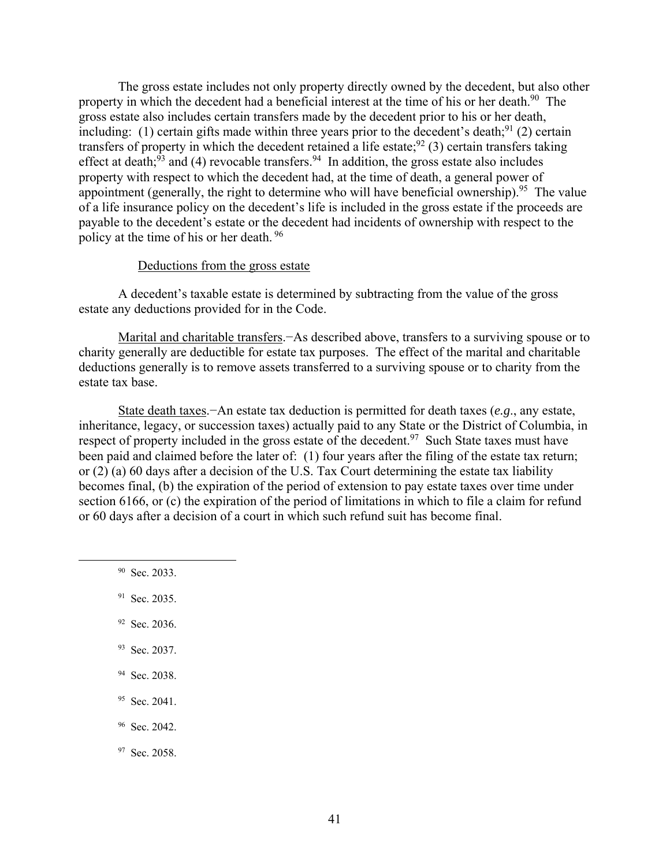The gross estate includes not only property directly owned by the decedent, but also other property in which the decedent had a beneficial interest at the time of his or her death.<sup>90</sup> The gross estate also includes certain transfers made by the decedent prior to his or her death, including: (1) certain gifts made within three years prior to the decedent's death;<sup>91</sup> (2) certain transfers of property in which the decedent retained a life estate;  $92$  (3) certain transfers taking effect at death;<sup>93</sup> and (4) revocable transfers.<sup>94</sup> In addition, the gross estate also includes property with respect to which the decedent had, at the time of death, a general power of appointment (generally, the right to determine who will have beneficial ownership).<sup>95</sup> The value of a life insurance policy on the decedent's life is included in the gross estate if the proceeds are payable to the decedent's estate or the decedent had incidents of ownership with respect to the policy at the time of his or her death. 96

#### Deductions from the gross estate

A decedent's taxable estate is determined by subtracting from the value of the gross estate any deductions provided for in the Code.

Marital and charitable transfers.−As described above, transfers to a surviving spouse or to charity generally are deductible for estate tax purposes. The effect of the marital and charitable deductions generally is to remove assets transferred to a surviving spouse or to charity from the estate tax base.

State death taxes.−An estate tax deduction is permitted for death taxes (*e.g*., any estate, inheritance, legacy, or succession taxes) actually paid to any State or the District of Columbia, in respect of property included in the gross estate of the decedent.<sup>97</sup> Such State taxes must have been paid and claimed before the later of: (1) four years after the filing of the estate tax return; or (2) (a) 60 days after a decision of the U.S. Tax Court determining the estate tax liability becomes final, (b) the expiration of the period of extension to pay estate taxes over time under section 6166, or (c) the expiration of the period of limitations in which to file a claim for refund or 60 days after a decision of a court in which such refund suit has become final.

90 Sec. 2033.

- 91 Sec. 2035.
- <sup>92</sup> Sec. 2036.
- 93 Sec. 2037.
- 94 Sec. 2038.
- <sup>95</sup> Sec. 2041.
- <sup>96</sup> Sec. 2042.
- 97 Sec. 2058.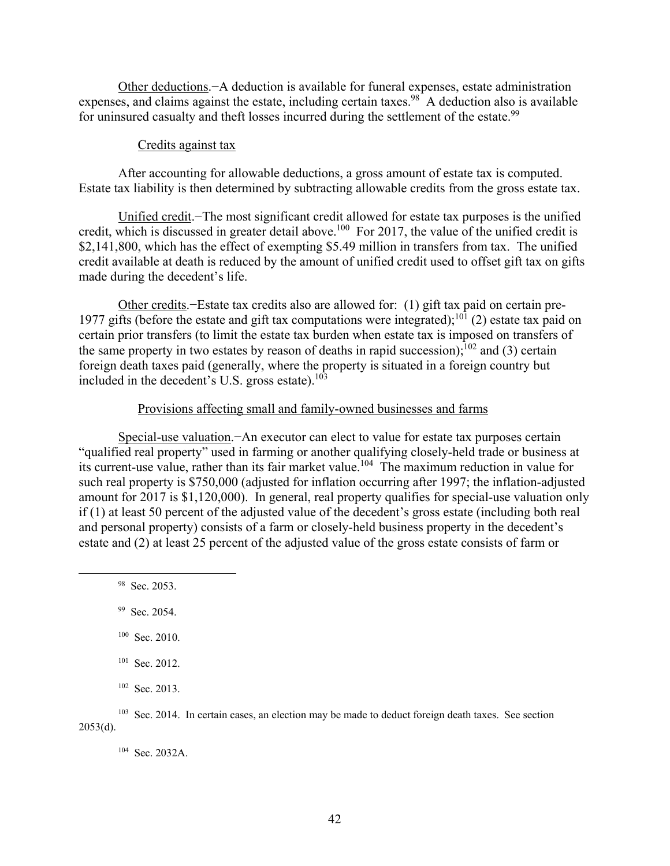Other deductions.−A deduction is available for funeral expenses, estate administration expenses, and claims against the estate, including certain taxes.<sup>98</sup> A deduction also is available for uninsured casualty and theft losses incurred during the settlement of the estate.<sup>99</sup>

#### Credits against tax

After accounting for allowable deductions, a gross amount of estate tax is computed. Estate tax liability is then determined by subtracting allowable credits from the gross estate tax.

Unified credit.−The most significant credit allowed for estate tax purposes is the unified credit, which is discussed in greater detail above.<sup>100</sup> For 2017, the value of the unified credit is \$2,141,800, which has the effect of exempting \$5.49 million in transfers from tax. The unified credit available at death is reduced by the amount of unified credit used to offset gift tax on gifts made during the decedent's life.

Other credits.−Estate tax credits also are allowed for: (1) gift tax paid on certain pre-1977 gifts (before the estate and gift tax computations were integrated);<sup>101</sup> (2) estate tax paid on certain prior transfers (to limit the estate tax burden when estate tax is imposed on transfers of the same property in two estates by reason of deaths in rapid succession);<sup>102</sup> and (3) certain foreign death taxes paid (generally, where the property is situated in a foreign country but included in the decedent's U.S. gross estate). $103$ 

### Provisions affecting small and family-owned businesses and farms

Special-use valuation.−An executor can elect to value for estate tax purposes certain "qualified real property" used in farming or another qualifying closely-held trade or business at its current-use value, rather than its fair market value.104 The maximum reduction in value for such real property is \$750,000 (adjusted for inflation occurring after 1997; the inflation-adjusted amount for 2017 is \$1,120,000). In general, real property qualifies for special-use valuation only if (1) at least 50 percent of the adjusted value of the decedent's gross estate (including both real and personal property) consists of a farm or closely-held business property in the decedent's estate and (2) at least 25 percent of the adjusted value of the gross estate consists of farm or

99 Sec. 2054.

- 101 Sec. 2012.
- 102 Sec. 2013.

<sup>103</sup> Sec. 2014. In certain cases, an election may be made to deduct foreign death taxes. See section  $2053(d)$ .

104 Sec. 2032A.

 <sup>98</sup> Sec. 2053.

<sup>100</sup> Sec. 2010.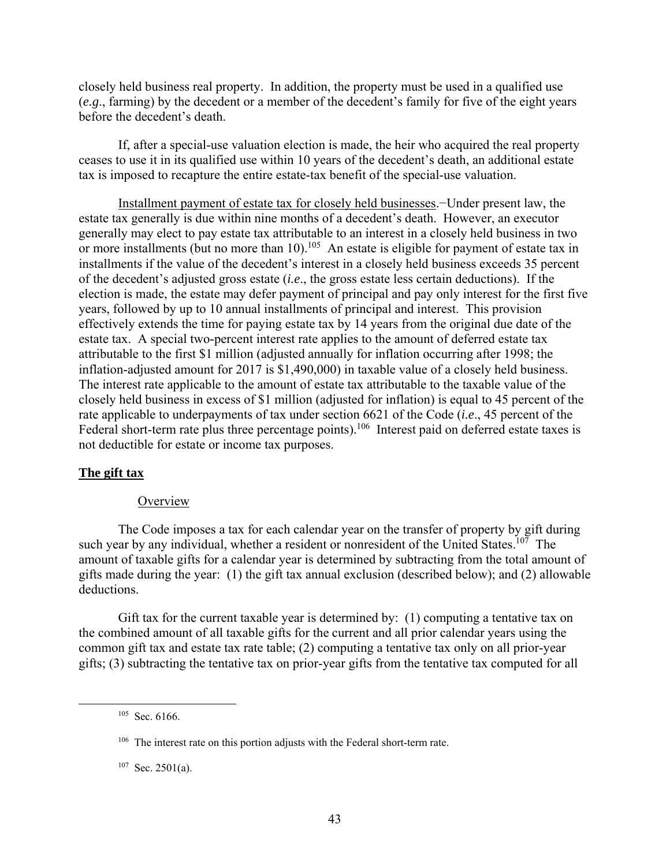closely held business real property. In addition, the property must be used in a qualified use (*e.g*., farming) by the decedent or a member of the decedent's family for five of the eight years before the decedent's death.

If, after a special-use valuation election is made, the heir who acquired the real property ceases to use it in its qualified use within 10 years of the decedent's death, an additional estate tax is imposed to recapture the entire estate-tax benefit of the special-use valuation.

Installment payment of estate tax for closely held businesses.−Under present law, the estate tax generally is due within nine months of a decedent's death. However, an executor generally may elect to pay estate tax attributable to an interest in a closely held business in two or more installments (but no more than 10).<sup>105</sup> An estate is eligible for payment of estate tax in installments if the value of the decedent's interest in a closely held business exceeds 35 percent of the decedent's adjusted gross estate (*i.e*., the gross estate less certain deductions). If the election is made, the estate may defer payment of principal and pay only interest for the first five years, followed by up to 10 annual installments of principal and interest. This provision effectively extends the time for paying estate tax by 14 years from the original due date of the estate tax. A special two-percent interest rate applies to the amount of deferred estate tax attributable to the first \$1 million (adjusted annually for inflation occurring after 1998; the inflation-adjusted amount for 2017 is \$1,490,000) in taxable value of a closely held business. The interest rate applicable to the amount of estate tax attributable to the taxable value of the closely held business in excess of \$1 million (adjusted for inflation) is equal to 45 percent of the rate applicable to underpayments of tax under section 6621 of the Code (*i.e*., 45 percent of the Federal short-term rate plus three percentage points).<sup>106</sup> Interest paid on deferred estate taxes is not deductible for estate or income tax purposes.

## **The gift tax**

## **Overview**

The Code imposes a tax for each calendar year on the transfer of property by gift during such year by any individual, whether a resident or nonresident of the United States.<sup>107</sup> The amount of taxable gifts for a calendar year is determined by subtracting from the total amount of gifts made during the year: (1) the gift tax annual exclusion (described below); and (2) allowable deductions.

Gift tax for the current taxable year is determined by: (1) computing a tentative tax on the combined amount of all taxable gifts for the current and all prior calendar years using the common gift tax and estate tax rate table; (2) computing a tentative tax only on all prior-year gifts; (3) subtracting the tentative tax on prior-year gifts from the tentative tax computed for all

 $105$  Sec. 6166.

<sup>&</sup>lt;sup>106</sup> The interest rate on this portion adjusts with the Federal short-term rate.

 $107$  Sec. 2501(a).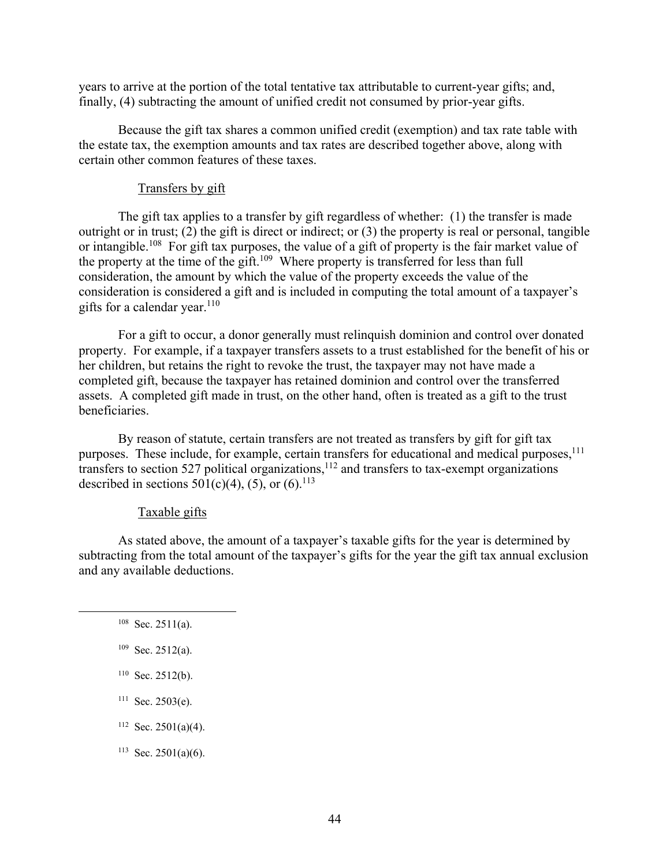years to arrive at the portion of the total tentative tax attributable to current-year gifts; and, finally, (4) subtracting the amount of unified credit not consumed by prior-year gifts.

Because the gift tax shares a common unified credit (exemption) and tax rate table with the estate tax, the exemption amounts and tax rates are described together above, along with certain other common features of these taxes.

### Transfers by gift

The gift tax applies to a transfer by gift regardless of whether: (1) the transfer is made outright or in trust; (2) the gift is direct or indirect; or (3) the property is real or personal, tangible or intangible.<sup>108</sup> For gift tax purposes, the value of a gift of property is the fair market value of the property at the time of the gift.<sup>109</sup> Where property is transferred for less than full consideration, the amount by which the value of the property exceeds the value of the consideration is considered a gift and is included in computing the total amount of a taxpayer's gifts for a calendar year. $110$ 

For a gift to occur, a donor generally must relinquish dominion and control over donated property. For example, if a taxpayer transfers assets to a trust established for the benefit of his or her children, but retains the right to revoke the trust, the taxpayer may not have made a completed gift, because the taxpayer has retained dominion and control over the transferred assets. A completed gift made in trust, on the other hand, often is treated as a gift to the trust beneficiaries.

By reason of statute, certain transfers are not treated as transfers by gift for gift tax purposes. These include, for example, certain transfers for educational and medical purposes,<sup>111</sup> transfers to section 527 political organizations,<sup>112</sup> and transfers to tax-exempt organizations described in sections  $501(c)(4)$ ,  $(5)$ , or  $(6)$ .<sup>113</sup>

#### Taxable gifts

As stated above, the amount of a taxpayer's taxable gifts for the year is determined by subtracting from the total amount of the taxpayer's gifts for the year the gift tax annual exclusion and any available deductions.

- $110$  Sec. 2512(b).
- $111$  Sec. 2503(e).
- $112$  Sec. 2501(a)(4).
- $113$  Sec. 2501(a)(6).

 $108$  Sec. 2511(a).

 $109$  Sec. 2512(a).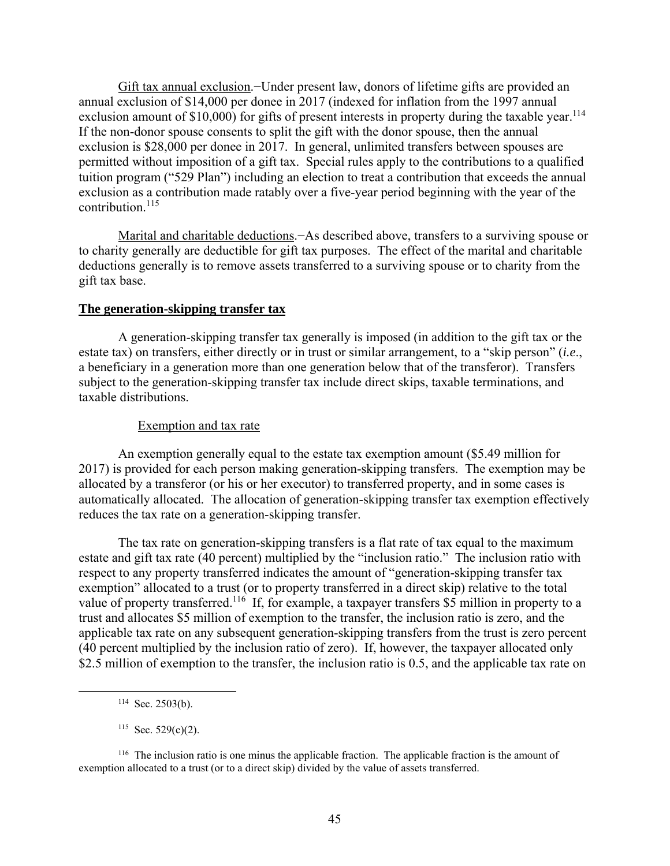Gift tax annual exclusion.−Under present law, donors of lifetime gifts are provided an annual exclusion of \$14,000 per donee in 2017 (indexed for inflation from the 1997 annual exclusion amount of \$10,000) for gifts of present interests in property during the taxable year.<sup>114</sup> If the non-donor spouse consents to split the gift with the donor spouse, then the annual exclusion is \$28,000 per donee in 2017. In general, unlimited transfers between spouses are permitted without imposition of a gift tax. Special rules apply to the contributions to a qualified tuition program ("529 Plan") including an election to treat a contribution that exceeds the annual exclusion as a contribution made ratably over a five-year period beginning with the year of the contribution $115$ 

Marital and charitable deductions.−As described above, transfers to a surviving spouse or to charity generally are deductible for gift tax purposes. The effect of the marital and charitable deductions generally is to remove assets transferred to a surviving spouse or to charity from the gift tax base.

### **The generation-skipping transfer tax**

A generation-skipping transfer tax generally is imposed (in addition to the gift tax or the estate tax) on transfers, either directly or in trust or similar arrangement, to a "skip person" (*i.e*., a beneficiary in a generation more than one generation below that of the transferor). Transfers subject to the generation-skipping transfer tax include direct skips, taxable terminations, and taxable distributions.

### Exemption and tax rate

An exemption generally equal to the estate tax exemption amount (\$5.49 million for 2017) is provided for each person making generation-skipping transfers. The exemption may be allocated by a transferor (or his or her executor) to transferred property, and in some cases is automatically allocated. The allocation of generation-skipping transfer tax exemption effectively reduces the tax rate on a generation-skipping transfer.

The tax rate on generation-skipping transfers is a flat rate of tax equal to the maximum estate and gift tax rate (40 percent) multiplied by the "inclusion ratio." The inclusion ratio with respect to any property transferred indicates the amount of "generation-skipping transfer tax exemption" allocated to a trust (or to property transferred in a direct skip) relative to the total value of property transferred.<sup>116</sup> If, for example, a taxpayer transfers \$5 million in property to a trust and allocates \$5 million of exemption to the transfer, the inclusion ratio is zero, and the applicable tax rate on any subsequent generation-skipping transfers from the trust is zero percent (40 percent multiplied by the inclusion ratio of zero). If, however, the taxpayer allocated only \$2.5 million of exemption to the transfer, the inclusion ratio is 0.5, and the applicable tax rate on

<sup>&</sup>lt;sup>114</sup> Sec. 2503(b).

 $115$  Sec. 529(c)(2).

<sup>116</sup> The inclusion ratio is one minus the applicable fraction. The applicable fraction is the amount of exemption allocated to a trust (or to a direct skip) divided by the value of assets transferred.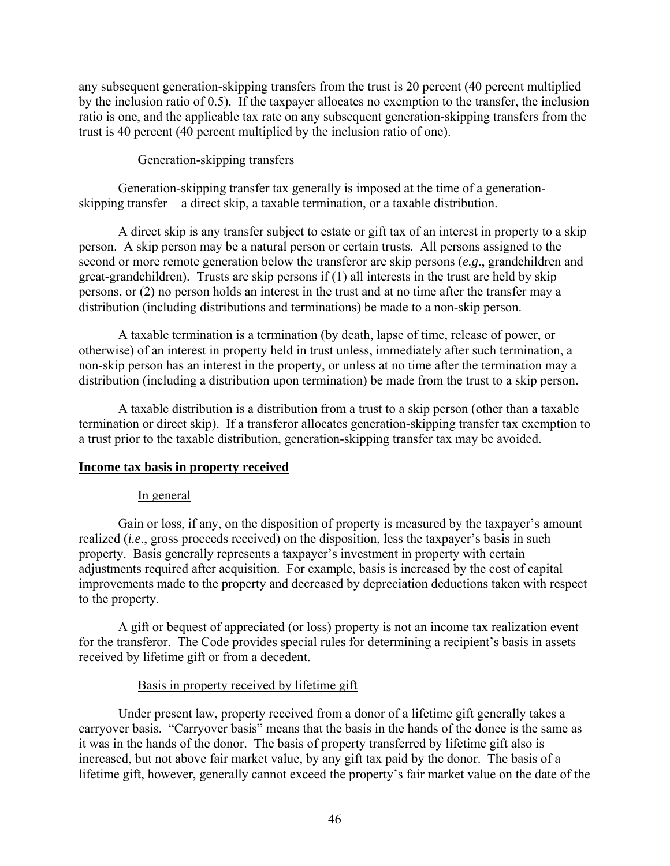any subsequent generation-skipping transfers from the trust is 20 percent (40 percent multiplied by the inclusion ratio of 0.5). If the taxpayer allocates no exemption to the transfer, the inclusion ratio is one, and the applicable tax rate on any subsequent generation-skipping transfers from the trust is 40 percent (40 percent multiplied by the inclusion ratio of one).

## Generation-skipping transfers

Generation-skipping transfer tax generally is imposed at the time of a generationskipping transfer − a direct skip, a taxable termination, or a taxable distribution.

A direct skip is any transfer subject to estate or gift tax of an interest in property to a skip person. A skip person may be a natural person or certain trusts. All persons assigned to the second or more remote generation below the transferor are skip persons (*e.g*., grandchildren and great-grandchildren). Trusts are skip persons if (1) all interests in the trust are held by skip persons, or (2) no person holds an interest in the trust and at no time after the transfer may a distribution (including distributions and terminations) be made to a non-skip person.

A taxable termination is a termination (by death, lapse of time, release of power, or otherwise) of an interest in property held in trust unless, immediately after such termination, a non-skip person has an interest in the property, or unless at no time after the termination may a distribution (including a distribution upon termination) be made from the trust to a skip person.

A taxable distribution is a distribution from a trust to a skip person (other than a taxable termination or direct skip). If a transferor allocates generation-skipping transfer tax exemption to a trust prior to the taxable distribution, generation-skipping transfer tax may be avoided.

## **Income tax basis in property received**

## In general

Gain or loss, if any, on the disposition of property is measured by the taxpayer's amount realized (*i.e*., gross proceeds received) on the disposition, less the taxpayer's basis in such property. Basis generally represents a taxpayer's investment in property with certain adjustments required after acquisition. For example, basis is increased by the cost of capital improvements made to the property and decreased by depreciation deductions taken with respect to the property.

A gift or bequest of appreciated (or loss) property is not an income tax realization event for the transferor. The Code provides special rules for determining a recipient's basis in assets received by lifetime gift or from a decedent.

## Basis in property received by lifetime gift

Under present law, property received from a donor of a lifetime gift generally takes a carryover basis. "Carryover basis" means that the basis in the hands of the donee is the same as it was in the hands of the donor. The basis of property transferred by lifetime gift also is increased, but not above fair market value, by any gift tax paid by the donor. The basis of a lifetime gift, however, generally cannot exceed the property's fair market value on the date of the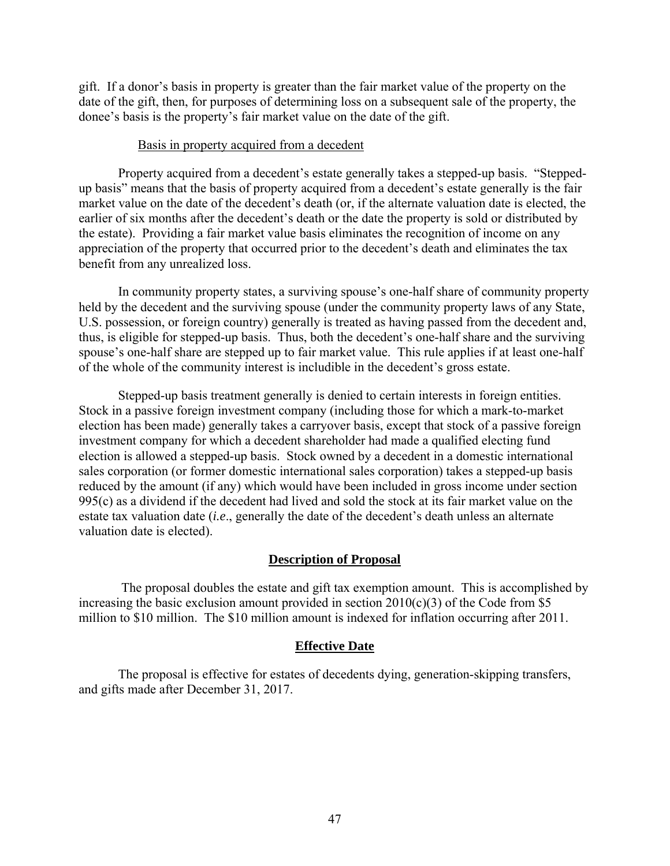gift. If a donor's basis in property is greater than the fair market value of the property on the date of the gift, then, for purposes of determining loss on a subsequent sale of the property, the donee's basis is the property's fair market value on the date of the gift.

### Basis in property acquired from a decedent

Property acquired from a decedent's estate generally takes a stepped-up basis. "Steppedup basis" means that the basis of property acquired from a decedent's estate generally is the fair market value on the date of the decedent's death (or, if the alternate valuation date is elected, the earlier of six months after the decedent's death or the date the property is sold or distributed by the estate). Providing a fair market value basis eliminates the recognition of income on any appreciation of the property that occurred prior to the decedent's death and eliminates the tax benefit from any unrealized loss.

In community property states, a surviving spouse's one-half share of community property held by the decedent and the surviving spouse (under the community property laws of any State, U.S. possession, or foreign country) generally is treated as having passed from the decedent and, thus, is eligible for stepped-up basis. Thus, both the decedent's one-half share and the surviving spouse's one-half share are stepped up to fair market value. This rule applies if at least one-half of the whole of the community interest is includible in the decedent's gross estate.

Stepped-up basis treatment generally is denied to certain interests in foreign entities. Stock in a passive foreign investment company (including those for which a mark-to-market election has been made) generally takes a carryover basis, except that stock of a passive foreign investment company for which a decedent shareholder had made a qualified electing fund election is allowed a stepped-up basis. Stock owned by a decedent in a domestic international sales corporation (or former domestic international sales corporation) takes a stepped-up basis reduced by the amount (if any) which would have been included in gross income under section 995(c) as a dividend if the decedent had lived and sold the stock at its fair market value on the estate tax valuation date (*i.e*., generally the date of the decedent's death unless an alternate valuation date is elected).

## **Description of Proposal**

 The proposal doubles the estate and gift tax exemption amount. This is accomplished by increasing the basic exclusion amount provided in section  $2010(c)(3)$  of the Code from \$5 million to \$10 million. The \$10 million amount is indexed for inflation occurring after 2011.

## **Effective Date**

The proposal is effective for estates of decedents dying, generation-skipping transfers, and gifts made after December 31, 2017.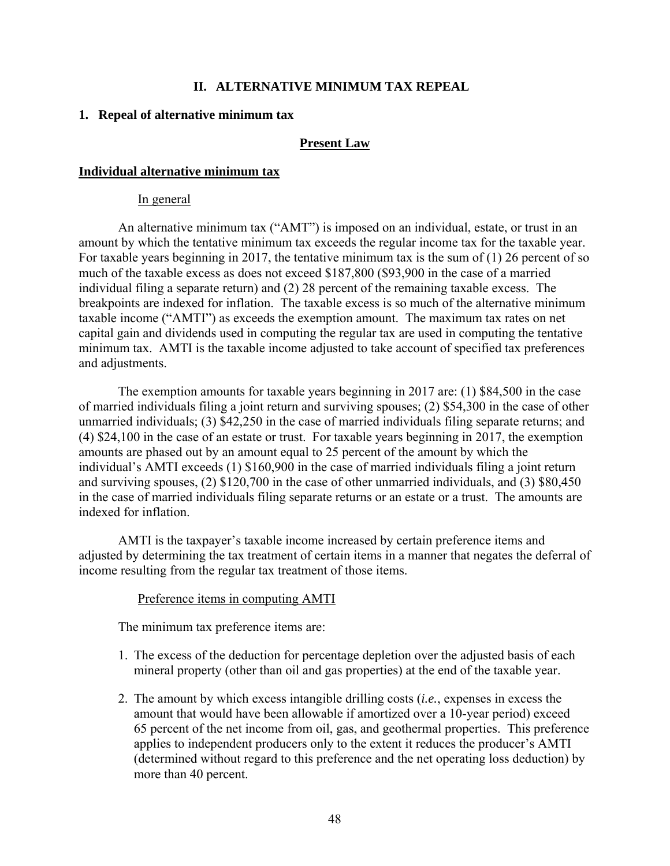## **II. ALTERNATIVE MINIMUM TAX REPEAL**

#### **1. Repeal of alternative minimum tax**

### **Present Law**

#### **Individual alternative minimum tax**

#### In general

An alternative minimum tax ("AMT") is imposed on an individual, estate, or trust in an amount by which the tentative minimum tax exceeds the regular income tax for the taxable year. For taxable years beginning in 2017, the tentative minimum tax is the sum of (1) 26 percent of so much of the taxable excess as does not exceed \$187,800 (\$93,900 in the case of a married individual filing a separate return) and (2) 28 percent of the remaining taxable excess. The breakpoints are indexed for inflation. The taxable excess is so much of the alternative minimum taxable income ("AMTI") as exceeds the exemption amount. The maximum tax rates on net capital gain and dividends used in computing the regular tax are used in computing the tentative minimum tax. AMTI is the taxable income adjusted to take account of specified tax preferences and adjustments.

The exemption amounts for taxable years beginning in 2017 are: (1) \$84,500 in the case of married individuals filing a joint return and surviving spouses; (2) \$54,300 in the case of other unmarried individuals; (3) \$42,250 in the case of married individuals filing separate returns; and (4) \$24,100 in the case of an estate or trust. For taxable years beginning in 2017, the exemption amounts are phased out by an amount equal to 25 percent of the amount by which the individual's AMTI exceeds (1) \$160,900 in the case of married individuals filing a joint return and surviving spouses, (2) \$120,700 in the case of other unmarried individuals, and (3) \$80,450 in the case of married individuals filing separate returns or an estate or a trust. The amounts are indexed for inflation.

AMTI is the taxpayer's taxable income increased by certain preference items and adjusted by determining the tax treatment of certain items in a manner that negates the deferral of income resulting from the regular tax treatment of those items.

### Preference items in computing AMTI

The minimum tax preference items are:

- 1. The excess of the deduction for percentage depletion over the adjusted basis of each mineral property (other than oil and gas properties) at the end of the taxable year.
- 2. The amount by which excess intangible drilling costs (*i.e.*, expenses in excess the amount that would have been allowable if amortized over a 10-year period) exceed 65 percent of the net income from oil, gas, and geothermal properties. This preference applies to independent producers only to the extent it reduces the producer's AMTI (determined without regard to this preference and the net operating loss deduction) by more than 40 percent.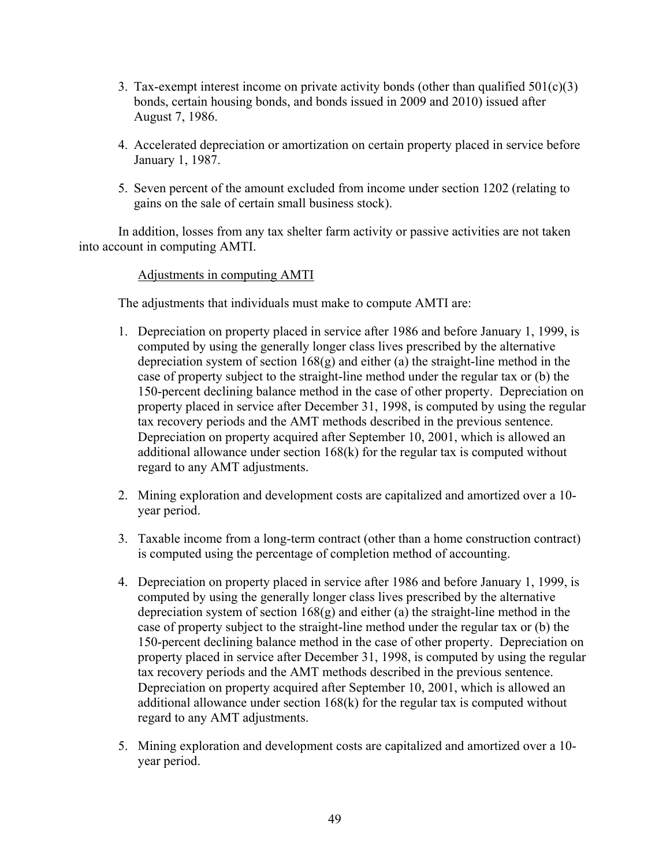- 3. Tax-exempt interest income on private activity bonds (other than qualified  $501(c)(3)$ ) bonds, certain housing bonds, and bonds issued in 2009 and 2010) issued after August 7, 1986.
- 4. Accelerated depreciation or amortization on certain property placed in service before January 1, 1987.
- 5. Seven percent of the amount excluded from income under section 1202 (relating to gains on the sale of certain small business stock).

In addition, losses from any tax shelter farm activity or passive activities are not taken into account in computing AMTI.

## Adjustments in computing AMTI

The adjustments that individuals must make to compute AMTI are:

- 1. Depreciation on property placed in service after 1986 and before January 1, 1999, is computed by using the generally longer class lives prescribed by the alternative depreciation system of section 168(g) and either (a) the straight-line method in the case of property subject to the straight-line method under the regular tax or (b) the 150-percent declining balance method in the case of other property. Depreciation on property placed in service after December 31, 1998, is computed by using the regular tax recovery periods and the AMT methods described in the previous sentence. Depreciation on property acquired after September 10, 2001, which is allowed an additional allowance under section 168(k) for the regular tax is computed without regard to any AMT adjustments.
- 2. Mining exploration and development costs are capitalized and amortized over a 10 year period.
- 3. Taxable income from a long-term contract (other than a home construction contract) is computed using the percentage of completion method of accounting.
- 4. Depreciation on property placed in service after 1986 and before January 1, 1999, is computed by using the generally longer class lives prescribed by the alternative depreciation system of section 168(g) and either (a) the straight-line method in the case of property subject to the straight-line method under the regular tax or (b) the 150-percent declining balance method in the case of other property. Depreciation on property placed in service after December 31, 1998, is computed by using the regular tax recovery periods and the AMT methods described in the previous sentence. Depreciation on property acquired after September 10, 2001, which is allowed an additional allowance under section 168(k) for the regular tax is computed without regard to any AMT adjustments.
- 5. Mining exploration and development costs are capitalized and amortized over a 10 year period.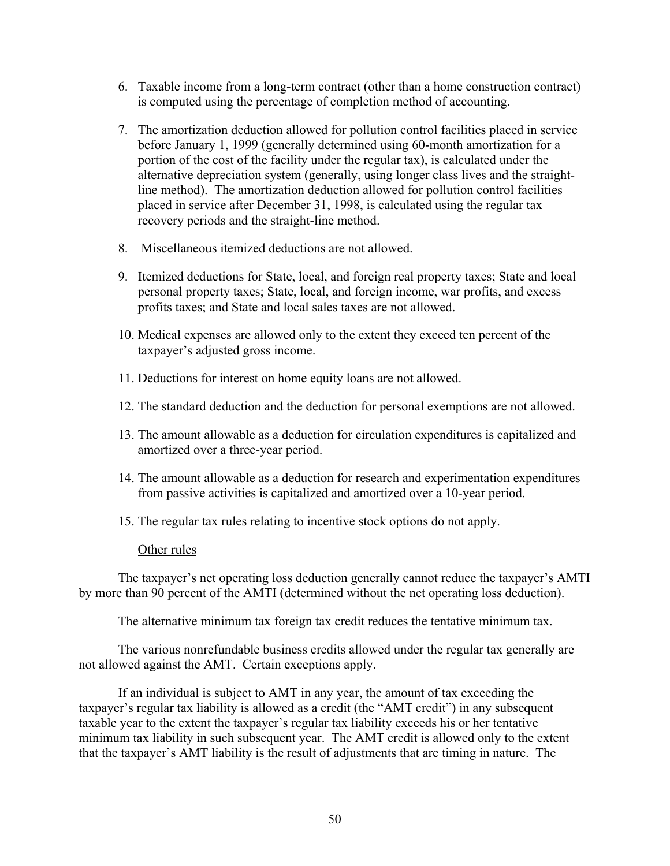- 6. Taxable income from a long-term contract (other than a home construction contract) is computed using the percentage of completion method of accounting.
- 7. The amortization deduction allowed for pollution control facilities placed in service before January 1, 1999 (generally determined using 60-month amortization for a portion of the cost of the facility under the regular tax), is calculated under the alternative depreciation system (generally, using longer class lives and the straightline method). The amortization deduction allowed for pollution control facilities placed in service after December 31, 1998, is calculated using the regular tax recovery periods and the straight-line method.
- 8. Miscellaneous itemized deductions are not allowed.
- 9. Itemized deductions for State, local, and foreign real property taxes; State and local personal property taxes; State, local, and foreign income, war profits, and excess profits taxes; and State and local sales taxes are not allowed.
- 10. Medical expenses are allowed only to the extent they exceed ten percent of the taxpayer's adjusted gross income.
- 11. Deductions for interest on home equity loans are not allowed.
- 12. The standard deduction and the deduction for personal exemptions are not allowed.
- 13. The amount allowable as a deduction for circulation expenditures is capitalized and amortized over a three-year period.
- 14. The amount allowable as a deduction for research and experimentation expenditures from passive activities is capitalized and amortized over a 10-year period.
- 15. The regular tax rules relating to incentive stock options do not apply.

### Other rules

The taxpayer's net operating loss deduction generally cannot reduce the taxpayer's AMTI by more than 90 percent of the AMTI (determined without the net operating loss deduction).

The alternative minimum tax foreign tax credit reduces the tentative minimum tax.

The various nonrefundable business credits allowed under the regular tax generally are not allowed against the AMT. Certain exceptions apply.

If an individual is subject to AMT in any year, the amount of tax exceeding the taxpayer's regular tax liability is allowed as a credit (the "AMT credit") in any subsequent taxable year to the extent the taxpayer's regular tax liability exceeds his or her tentative minimum tax liability in such subsequent year. The AMT credit is allowed only to the extent that the taxpayer's AMT liability is the result of adjustments that are timing in nature. The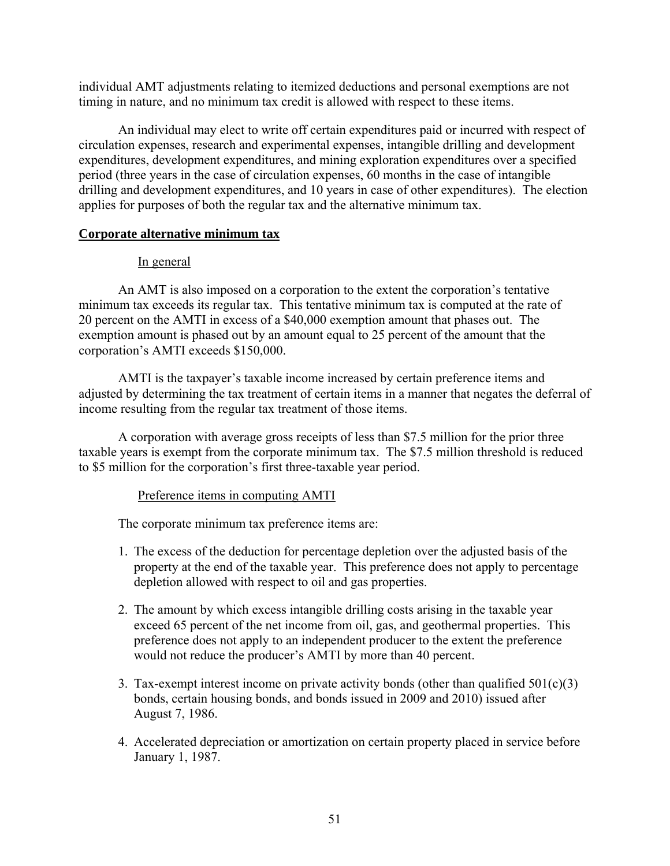individual AMT adjustments relating to itemized deductions and personal exemptions are not timing in nature, and no minimum tax credit is allowed with respect to these items.

An individual may elect to write off certain expenditures paid or incurred with respect of circulation expenses, research and experimental expenses, intangible drilling and development expenditures, development expenditures, and mining exploration expenditures over a specified period (three years in the case of circulation expenses, 60 months in the case of intangible drilling and development expenditures, and 10 years in case of other expenditures). The election applies for purposes of both the regular tax and the alternative minimum tax.

## **Corporate alternative minimum tax**

## In general

An AMT is also imposed on a corporation to the extent the corporation's tentative minimum tax exceeds its regular tax. This tentative minimum tax is computed at the rate of 20 percent on the AMTI in excess of a \$40,000 exemption amount that phases out. The exemption amount is phased out by an amount equal to 25 percent of the amount that the corporation's AMTI exceeds \$150,000.

AMTI is the taxpayer's taxable income increased by certain preference items and adjusted by determining the tax treatment of certain items in a manner that negates the deferral of income resulting from the regular tax treatment of those items.

A corporation with average gross receipts of less than \$7.5 million for the prior three taxable years is exempt from the corporate minimum tax. The \$7.5 million threshold is reduced to \$5 million for the corporation's first three-taxable year period.

## Preference items in computing AMTI

The corporate minimum tax preference items are:

- 1. The excess of the deduction for percentage depletion over the adjusted basis of the property at the end of the taxable year. This preference does not apply to percentage depletion allowed with respect to oil and gas properties.
- 2. The amount by which excess intangible drilling costs arising in the taxable year exceed 65 percent of the net income from oil, gas, and geothermal properties. This preference does not apply to an independent producer to the extent the preference would not reduce the producer's AMTI by more than 40 percent.
- 3. Tax-exempt interest income on private activity bonds (other than qualified  $501(c)(3)$ ) bonds, certain housing bonds, and bonds issued in 2009 and 2010) issued after August 7, 1986.
- 4. Accelerated depreciation or amortization on certain property placed in service before January 1, 1987.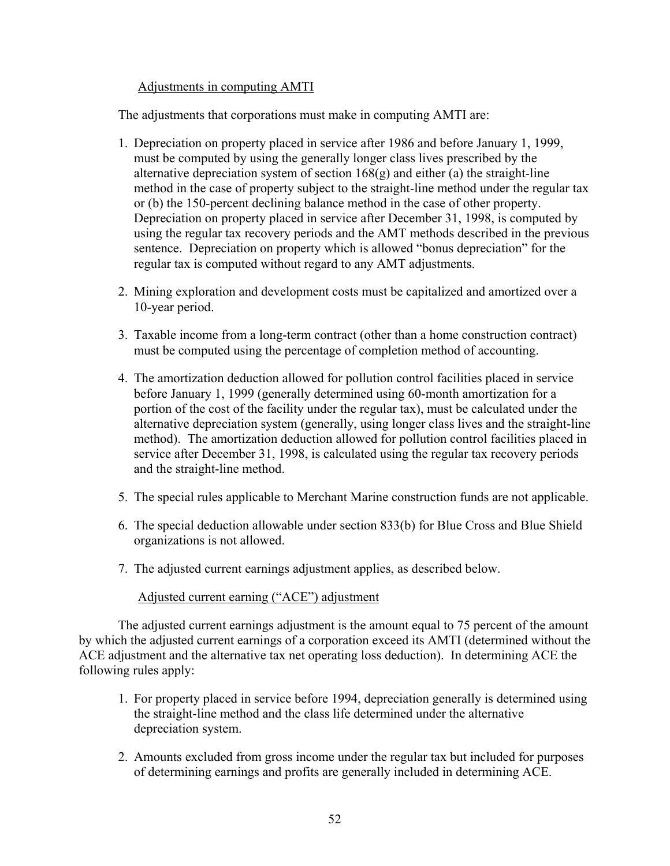## Adjustments in computing AMTI

The adjustments that corporations must make in computing AMTI are:

- 1. Depreciation on property placed in service after 1986 and before January 1, 1999, must be computed by using the generally longer class lives prescribed by the alternative depreciation system of section  $168(g)$  and either (a) the straight-line method in the case of property subject to the straight-line method under the regular tax or (b) the 150-percent declining balance method in the case of other property. Depreciation on property placed in service after December 31, 1998, is computed by using the regular tax recovery periods and the AMT methods described in the previous sentence. Depreciation on property which is allowed "bonus depreciation" for the regular tax is computed without regard to any AMT adjustments.
- 2. Mining exploration and development costs must be capitalized and amortized over a 10-year period.
- 3. Taxable income from a long-term contract (other than a home construction contract) must be computed using the percentage of completion method of accounting.
- 4. The amortization deduction allowed for pollution control facilities placed in service before January 1, 1999 (generally determined using 60-month amortization for a portion of the cost of the facility under the regular tax), must be calculated under the alternative depreciation system (generally, using longer class lives and the straight-line method). The amortization deduction allowed for pollution control facilities placed in service after December 31, 1998, is calculated using the regular tax recovery periods and the straight-line method.
- 5. The special rules applicable to Merchant Marine construction funds are not applicable.
- 6. The special deduction allowable under section 833(b) for Blue Cross and Blue Shield organizations is not allowed.
- 7. The adjusted current earnings adjustment applies, as described below.

## Adjusted current earning ("ACE") adjustment

The adjusted current earnings adjustment is the amount equal to 75 percent of the amount by which the adjusted current earnings of a corporation exceed its AMTI (determined without the ACE adjustment and the alternative tax net operating loss deduction). In determining ACE the following rules apply:

- 1. For property placed in service before 1994, depreciation generally is determined using the straight-line method and the class life determined under the alternative depreciation system.
- 2. Amounts excluded from gross income under the regular tax but included for purposes of determining earnings and profits are generally included in determining ACE.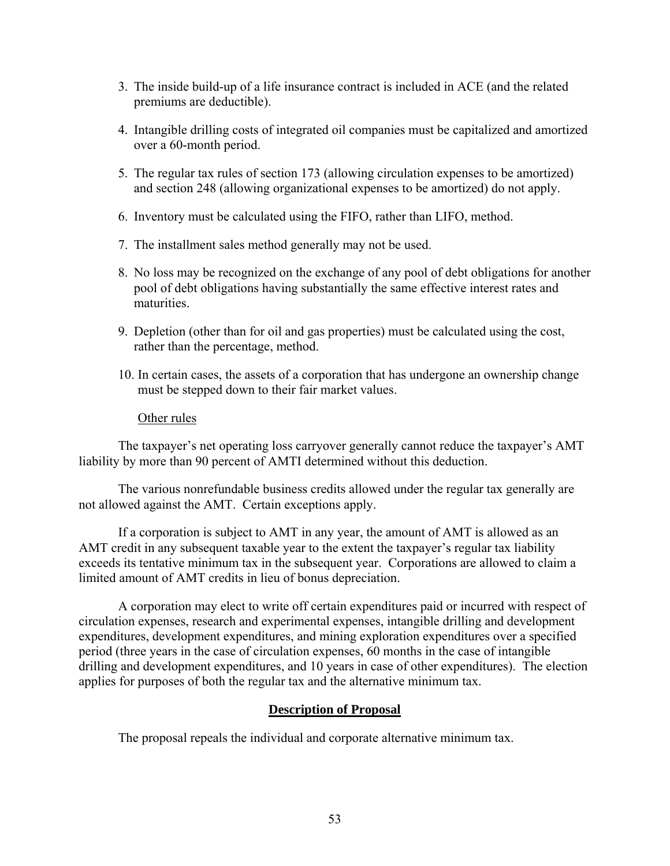- 3. The inside build-up of a life insurance contract is included in ACE (and the related premiums are deductible).
- 4. Intangible drilling costs of integrated oil companies must be capitalized and amortized over a 60-month period.
- 5. The regular tax rules of section 173 (allowing circulation expenses to be amortized) and section 248 (allowing organizational expenses to be amortized) do not apply.
- 6. Inventory must be calculated using the FIFO, rather than LIFO, method.
- 7. The installment sales method generally may not be used.
- 8. No loss may be recognized on the exchange of any pool of debt obligations for another pool of debt obligations having substantially the same effective interest rates and maturities.
- 9. Depletion (other than for oil and gas properties) must be calculated using the cost, rather than the percentage, method.
- 10. In certain cases, the assets of a corporation that has undergone an ownership change must be stepped down to their fair market values.

### Other rules

The taxpayer's net operating loss carryover generally cannot reduce the taxpayer's AMT liability by more than 90 percent of AMTI determined without this deduction.

The various nonrefundable business credits allowed under the regular tax generally are not allowed against the AMT. Certain exceptions apply.

If a corporation is subject to AMT in any year, the amount of AMT is allowed as an AMT credit in any subsequent taxable year to the extent the taxpayer's regular tax liability exceeds its tentative minimum tax in the subsequent year. Corporations are allowed to claim a limited amount of AMT credits in lieu of bonus depreciation.

A corporation may elect to write off certain expenditures paid or incurred with respect of circulation expenses, research and experimental expenses, intangible drilling and development expenditures, development expenditures, and mining exploration expenditures over a specified period (three years in the case of circulation expenses, 60 months in the case of intangible drilling and development expenditures, and 10 years in case of other expenditures). The election applies for purposes of both the regular tax and the alternative minimum tax.

## **Description of Proposal**

The proposal repeals the individual and corporate alternative minimum tax.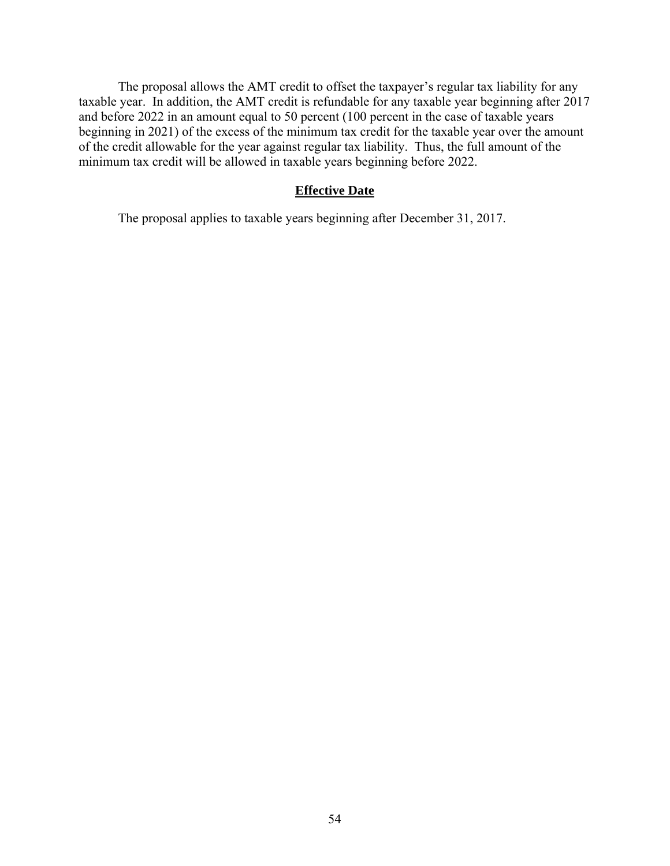The proposal allows the AMT credit to offset the taxpayer's regular tax liability for any taxable year. In addition, the AMT credit is refundable for any taxable year beginning after 2017 and before 2022 in an amount equal to 50 percent (100 percent in the case of taxable years beginning in 2021) of the excess of the minimum tax credit for the taxable year over the amount of the credit allowable for the year against regular tax liability. Thus, the full amount of the minimum tax credit will be allowed in taxable years beginning before 2022.

## **Effective Date**

The proposal applies to taxable years beginning after December 31, 2017.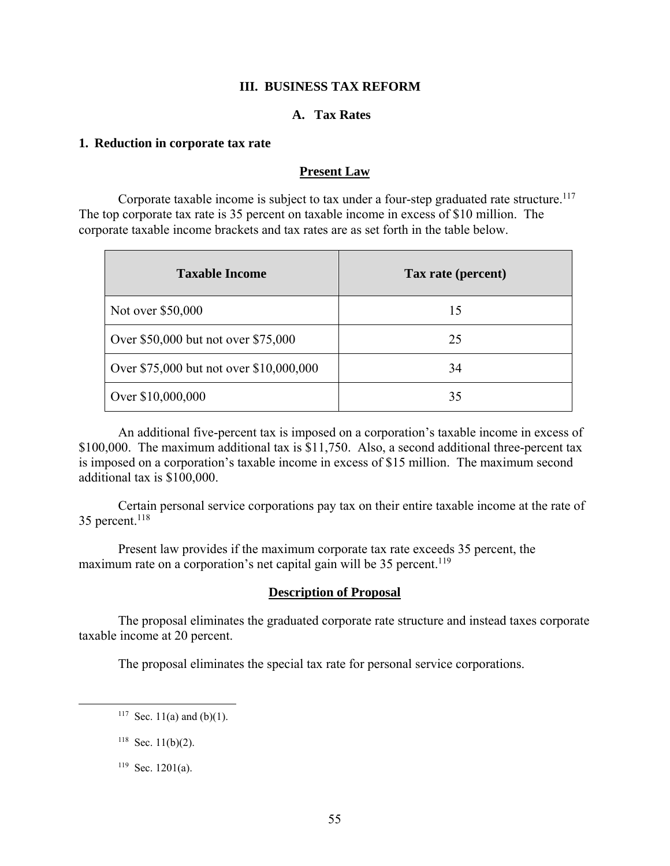## **III. BUSINESS TAX REFORM**

## **A. Tax Rates**

### **1. Reduction in corporate tax rate**

## **Present Law**

Corporate taxable income is subject to tax under a four-step graduated rate structure.<sup>117</sup> The top corporate tax rate is 35 percent on taxable income in excess of \$10 million. The corporate taxable income brackets and tax rates are as set forth in the table below.

| <b>Taxable Income</b>                   | Tax rate (percent) |
|-----------------------------------------|--------------------|
| Not over \$50,000                       | 15                 |
| Over \$50,000 but not over \$75,000     | 25                 |
| Over \$75,000 but not over \$10,000,000 | 34                 |
| Over \$10,000,000                       | 35                 |

An additional five-percent tax is imposed on a corporation's taxable income in excess of \$100,000. The maximum additional tax is \$11,750. Also, a second additional three-percent tax is imposed on a corporation's taxable income in excess of \$15 million. The maximum second additional tax is \$100,000.

Certain personal service corporations pay tax on their entire taxable income at the rate of  $35$  percent.<sup>118</sup>

Present law provides if the maximum corporate tax rate exceeds 35 percent, the maximum rate on a corporation's net capital gain will be 35 percent.<sup>119</sup>

### **Description of Proposal**

The proposal eliminates the graduated corporate rate structure and instead taxes corporate taxable income at 20 percent.

The proposal eliminates the special tax rate for personal service corporations.

- $118$  Sec. 11(b)(2).
- $119$  Sec. 1201(a).

<sup>&</sup>lt;sup>117</sup> Sec. 11(a) and (b)(1).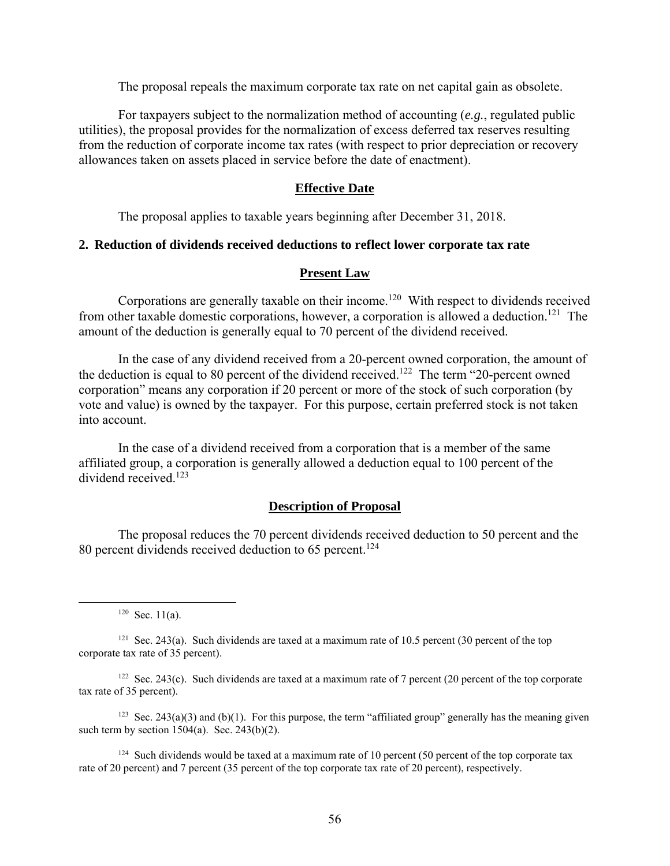The proposal repeals the maximum corporate tax rate on net capital gain as obsolete.

For taxpayers subject to the normalization method of accounting (*e.g.*, regulated public utilities), the proposal provides for the normalization of excess deferred tax reserves resulting from the reduction of corporate income tax rates (with respect to prior depreciation or recovery allowances taken on assets placed in service before the date of enactment).

### **Effective Date**

The proposal applies to taxable years beginning after December 31, 2018.

#### **2. Reduction of dividends received deductions to reflect lower corporate tax rate**

### **Present Law**

Corporations are generally taxable on their income.<sup>120</sup> With respect to dividends received from other taxable domestic corporations, however, a corporation is allowed a deduction.<sup>121</sup> The amount of the deduction is generally equal to 70 percent of the dividend received.

In the case of any dividend received from a 20-percent owned corporation, the amount of the deduction is equal to 80 percent of the dividend received.<sup>122</sup> The term "20-percent owned" corporation" means any corporation if 20 percent or more of the stock of such corporation (by vote and value) is owned by the taxpayer. For this purpose, certain preferred stock is not taken into account.

In the case of a dividend received from a corporation that is a member of the same affiliated group, a corporation is generally allowed a deduction equal to 100 percent of the dividend received.<sup>123</sup>

### **Description of Proposal**

The proposal reduces the 70 percent dividends received deduction to 50 percent and the 80 percent dividends received deduction to 65 percent.<sup>124</sup>

 $120$  Sec. 11(a).

<sup>121</sup> Sec. 243(a). Such dividends are taxed at a maximum rate of 10.5 percent (30 percent of the top corporate tax rate of 35 percent).

<sup>122</sup> Sec. 243(c). Such dividends are taxed at a maximum rate of 7 percent (20 percent of the top corporate tax rate of 35 percent).

<sup>123</sup> Sec. 243(a)(3) and (b)(1). For this purpose, the term "affiliated group" generally has the meaning given such term by section  $1504(a)$ . Sec.  $243(b)(2)$ .

 $124$  Such dividends would be taxed at a maximum rate of 10 percent (50 percent of the top corporate tax rate of 20 percent) and 7 percent (35 percent of the top corporate tax rate of 20 percent), respectively.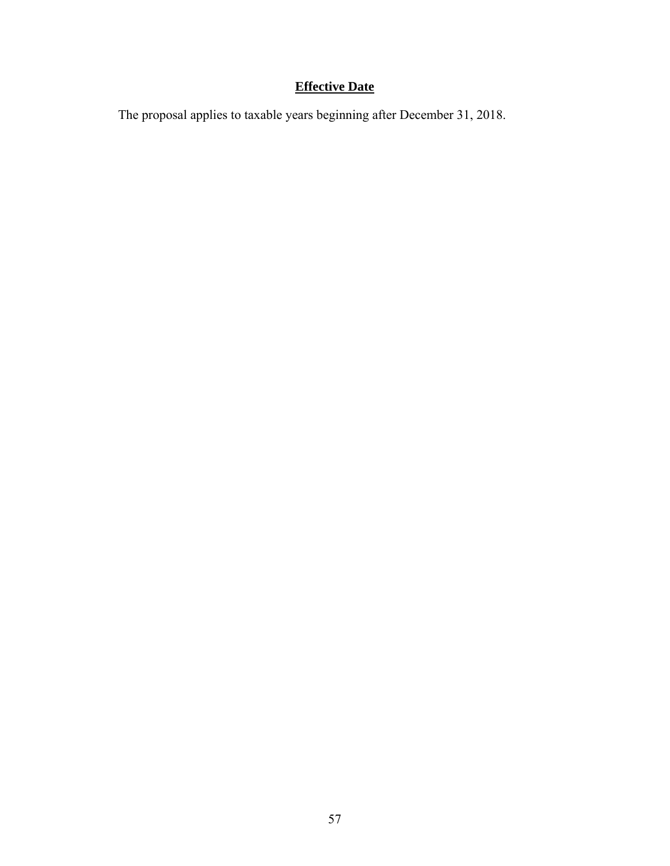# **Effective Date**

The proposal applies to taxable years beginning after December 31, 2018.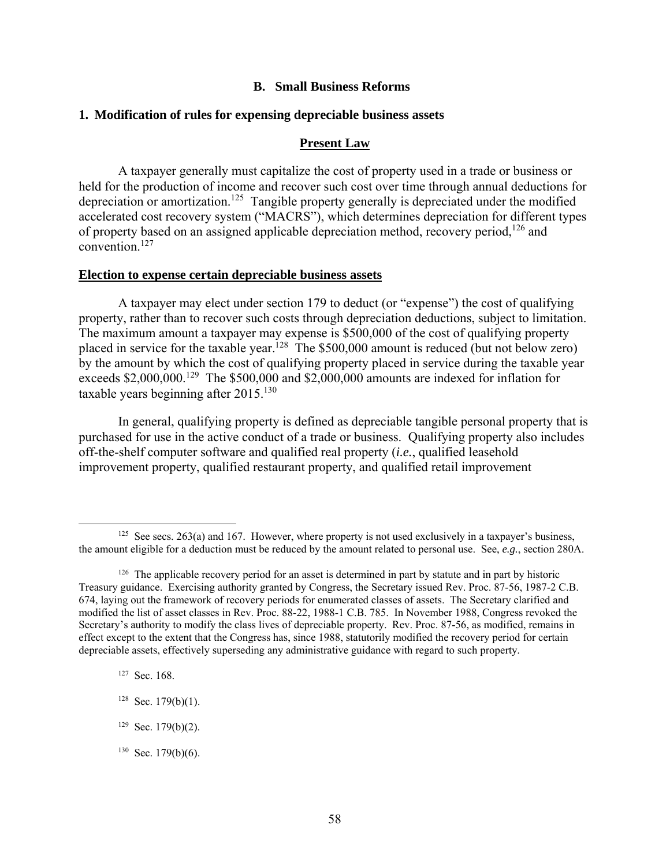#### **B. Small Business Reforms**

## **1. Modification of rules for expensing depreciable business assets**

#### **Present Law**

A taxpayer generally must capitalize the cost of property used in a trade or business or held for the production of income and recover such cost over time through annual deductions for depreciation or amortization.<sup>125</sup> Tangible property generally is depreciated under the modified accelerated cost recovery system ("MACRS"), which determines depreciation for different types of property based on an assigned applicable depreciation method, recovery period,<sup>126</sup> and convention.127

#### **Election to expense certain depreciable business assets**

A taxpayer may elect under section 179 to deduct (or "expense") the cost of qualifying property, rather than to recover such costs through depreciation deductions, subject to limitation. The maximum amount a taxpayer may expense is \$500,000 of the cost of qualifying property placed in service for the taxable year.<sup>128</sup> The \$500,000 amount is reduced (but not below zero) by the amount by which the cost of qualifying property placed in service during the taxable year exceeds  $$2,000,000$ .<sup>129</sup> The  $$500,000$  and  $$2,000,000$  amounts are indexed for inflation for taxable years beginning after  $2015$ .<sup>130</sup>

In general, qualifying property is defined as depreciable tangible personal property that is purchased for use in the active conduct of a trade or business. Qualifying property also includes off-the-shelf computer software and qualified real property (*i.e.*, qualified leasehold improvement property, qualified restaurant property, and qualified retail improvement

- $129$  Sec. 179(b)(2).
- $130$  Sec. 179(b)(6).

 $125$  See secs. 263(a) and 167. However, where property is not used exclusively in a taxpayer's business, the amount eligible for a deduction must be reduced by the amount related to personal use. See, *e.g.*, section 280A.

<sup>&</sup>lt;sup>126</sup> The applicable recovery period for an asset is determined in part by statute and in part by historic Treasury guidance. Exercising authority granted by Congress, the Secretary issued Rev. Proc. 87-56, 1987-2 C.B. 674, laying out the framework of recovery periods for enumerated classes of assets. The Secretary clarified and modified the list of asset classes in Rev. Proc. 88-22, 1988-1 C.B. 785. In November 1988, Congress revoked the Secretary's authority to modify the class lives of depreciable property. Rev. Proc. 87-56, as modified, remains in effect except to the extent that the Congress has, since 1988, statutorily modified the recovery period for certain depreciable assets, effectively superseding any administrative guidance with regard to such property.

<sup>127</sup> Sec. 168.

 $128$  Sec. 179(b)(1).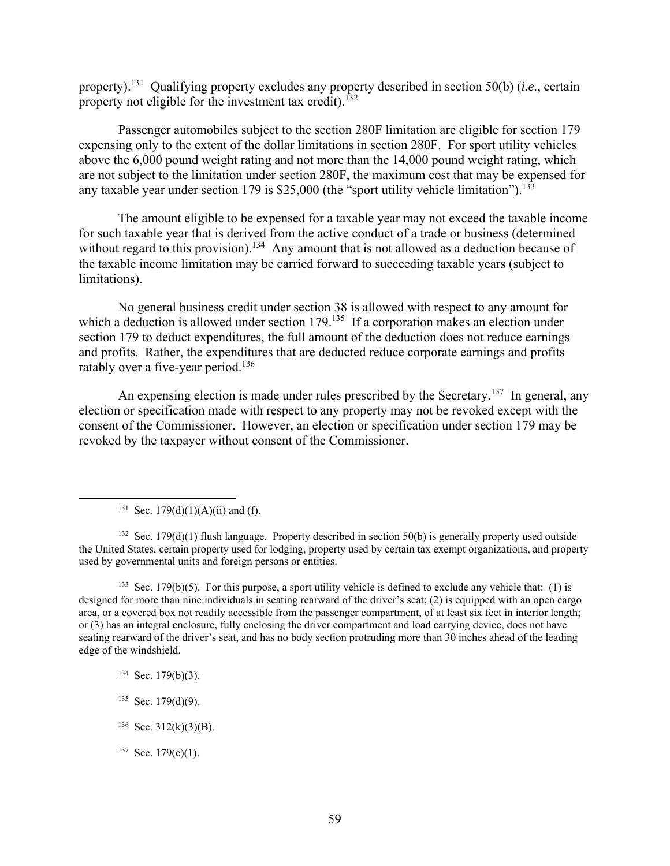property).131 Qualifying property excludes any property described in section 50(b) (*i.e.*, certain property not eligible for the investment tax credit).<sup>132</sup>

Passenger automobiles subject to the section 280F limitation are eligible for section 179 expensing only to the extent of the dollar limitations in section 280F. For sport utility vehicles above the 6,000 pound weight rating and not more than the 14,000 pound weight rating, which are not subject to the limitation under section 280F, the maximum cost that may be expensed for any taxable year under section 179 is  $$25,000$  (the "sport utility vehicle limitation").<sup>133</sup>

The amount eligible to be expensed for a taxable year may not exceed the taxable income for such taxable year that is derived from the active conduct of a trade or business (determined without regard to this provision).<sup>134</sup> Any amount that is not allowed as a deduction because of the taxable income limitation may be carried forward to succeeding taxable years (subject to limitations).

No general business credit under section 38 is allowed with respect to any amount for which a deduction is allowed under section 179.<sup>135</sup> If a corporation makes an election under section 179 to deduct expenditures, the full amount of the deduction does not reduce earnings and profits. Rather, the expenditures that are deducted reduce corporate earnings and profits ratably over a five-year period.<sup>136</sup>

An expensing election is made under rules prescribed by the Secretary.<sup>137</sup> In general, any election or specification made with respect to any property may not be revoked except with the consent of the Commissioner. However, an election or specification under section 179 may be revoked by the taxpayer without consent of the Commissioner.

<sup>133</sup> Sec. 179(b)(5). For this purpose, a sport utility vehicle is defined to exclude any vehicle that: (1) is designed for more than nine individuals in seating rearward of the driver's seat; (2) is equipped with an open cargo area, or a covered box not readily accessible from the passenger compartment, of at least six feet in interior length; or (3) has an integral enclosure, fully enclosing the driver compartment and load carrying device, does not have seating rearward of the driver's seat, and has no body section protruding more than 30 inches ahead of the leading edge of the windshield.

- $136$  Sec. 312(k)(3)(B).
- $137$  Sec. 179(c)(1).

<sup>&</sup>lt;sup>131</sup> Sec. 179(d)(1)(A)(ii) and (f).

<sup>&</sup>lt;sup>132</sup> Sec. 179(d)(1) flush language. Property described in section 50(b) is generally property used outside the United States, certain property used for lodging, property used by certain tax exempt organizations, and property used by governmental units and foreign persons or entities.

 $134$  Sec. 179(b)(3).

 $135$  Sec. 179(d)(9).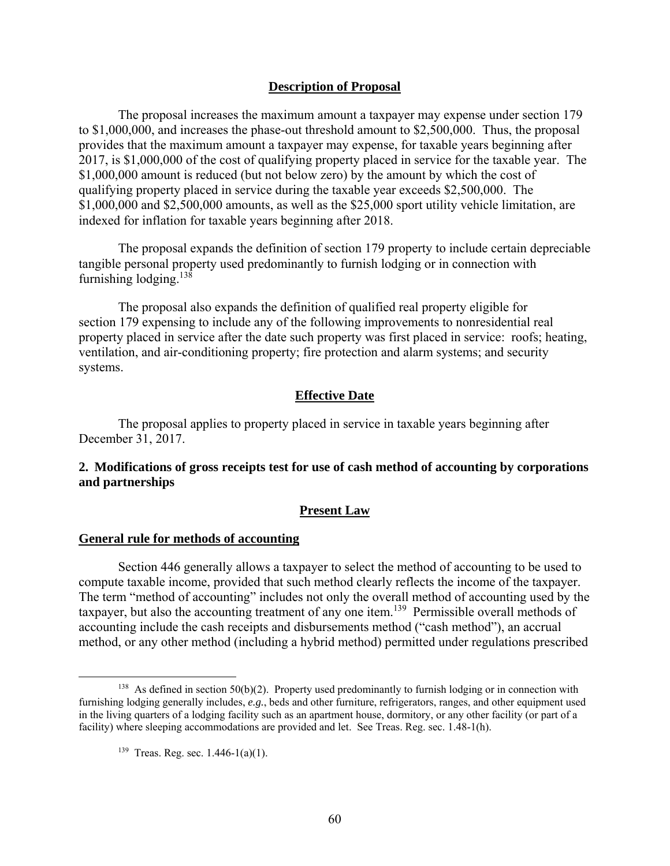### **Description of Proposal**

The proposal increases the maximum amount a taxpayer may expense under section 179 to \$1,000,000, and increases the phase-out threshold amount to \$2,500,000. Thus, the proposal provides that the maximum amount a taxpayer may expense, for taxable years beginning after 2017, is \$1,000,000 of the cost of qualifying property placed in service for the taxable year. The \$1,000,000 amount is reduced (but not below zero) by the amount by which the cost of qualifying property placed in service during the taxable year exceeds \$2,500,000. The \$1,000,000 and \$2,500,000 amounts, as well as the \$25,000 sport utility vehicle limitation, are indexed for inflation for taxable years beginning after 2018.

The proposal expands the definition of section 179 property to include certain depreciable tangible personal property used predominantly to furnish lodging or in connection with furnishing lodging.<sup>138</sup>

The proposal also expands the definition of qualified real property eligible for section 179 expensing to include any of the following improvements to nonresidential real property placed in service after the date such property was first placed in service: roofs; heating, ventilation, and air-conditioning property; fire protection and alarm systems; and security systems.

### **Effective Date**

The proposal applies to property placed in service in taxable years beginning after December 31, 2017.

### **2. Modifications of gross receipts test for use of cash method of accounting by corporations and partnerships**

#### **Present Law**

#### **General rule for methods of accounting**

Section 446 generally allows a taxpayer to select the method of accounting to be used to compute taxable income, provided that such method clearly reflects the income of the taxpayer. The term "method of accounting" includes not only the overall method of accounting used by the taxpayer, but also the accounting treatment of any one item.139 Permissible overall methods of accounting include the cash receipts and disbursements method ("cash method"), an accrual method, or any other method (including a hybrid method) permitted under regulations prescribed

<sup>&</sup>lt;sup>138</sup> As defined in section  $50(b)(2)$ . Property used predominantly to furnish lodging or in connection with furnishing lodging generally includes, *e.g.*, beds and other furniture, refrigerators, ranges, and other equipment used in the living quarters of a lodging facility such as an apartment house, dormitory, or any other facility (or part of a facility) where sleeping accommodations are provided and let. See Treas. Reg. sec. 1.48-1(h).

<sup>&</sup>lt;sup>139</sup> Treas. Reg. sec.  $1.446 - 1(a)(1)$ .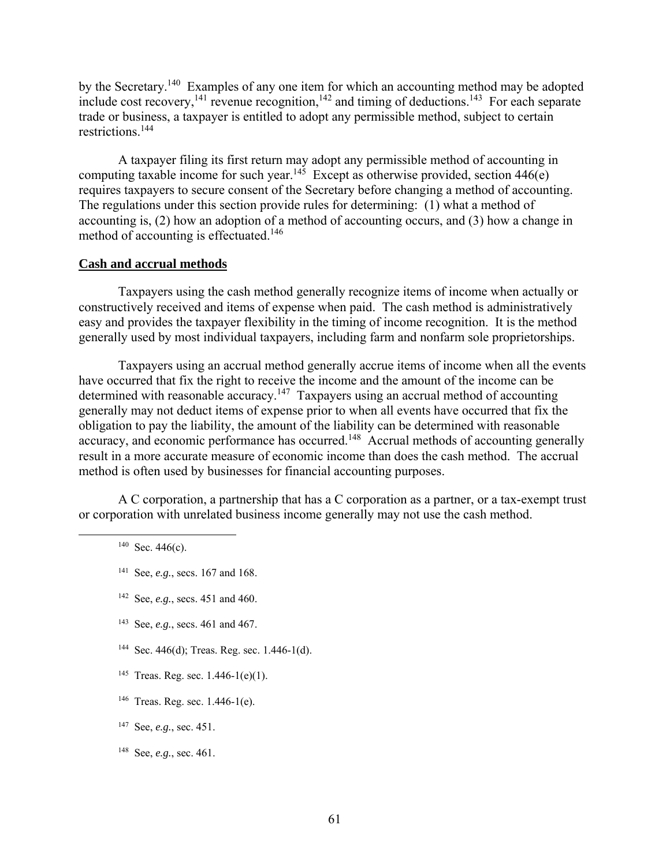by the Secretary.140 Examples of any one item for which an accounting method may be adopted include cost recovery,<sup>141</sup> revenue recognition,<sup>142</sup> and timing of deductions.<sup>143</sup> For each separate trade or business, a taxpayer is entitled to adopt any permissible method, subject to certain restrictions.144

A taxpayer filing its first return may adopt any permissible method of accounting in computing taxable income for such year.<sup>145</sup> Except as otherwise provided, section  $446(e)$ requires taxpayers to secure consent of the Secretary before changing a method of accounting. The regulations under this section provide rules for determining: (1) what a method of accounting is, (2) how an adoption of a method of accounting occurs, and (3) how a change in method of accounting is effectuated.146

#### **Cash and accrual methods**

Taxpayers using the cash method generally recognize items of income when actually or constructively received and items of expense when paid. The cash method is administratively easy and provides the taxpayer flexibility in the timing of income recognition. It is the method generally used by most individual taxpayers, including farm and nonfarm sole proprietorships.

Taxpayers using an accrual method generally accrue items of income when all the events have occurred that fix the right to receive the income and the amount of the income can be determined with reasonable accuracy.<sup>147</sup> Taxpayers using an accrual method of accounting generally may not deduct items of expense prior to when all events have occurred that fix the obligation to pay the liability, the amount of the liability can be determined with reasonable accuracy, and economic performance has occurred.<sup>148</sup> Accrual methods of accounting generally result in a more accurate measure of economic income than does the cash method. The accrual method is often used by businesses for financial accounting purposes.

A C corporation, a partnership that has a C corporation as a partner, or a tax-exempt trust or corporation with unrelated business income generally may not use the cash method.

- 141 See, *e.g.*, secs. 167 and 168.
- 142 See, *e.g.*, secs. 451 and 460.
- 143 See, *e.g.*, secs. 461 and 467.
- <sup>144</sup> Sec. 446(d); Treas. Reg. sec. 1.446-1(d).
- 145 Treas. Reg. sec. 1.446-1(e)(1).
- 146 Treas. Reg. sec. 1.446-1(e).
- 147 See, *e.g.*, sec. 451.
- 148 See, *e.g.*, sec. 461.

 $140$  Sec. 446(c).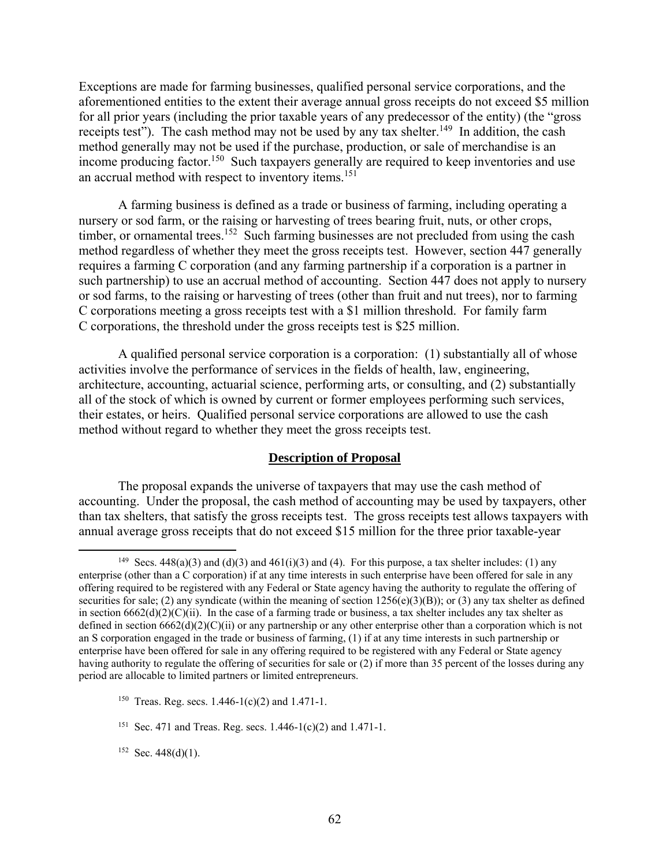Exceptions are made for farming businesses, qualified personal service corporations, and the aforementioned entities to the extent their average annual gross receipts do not exceed \$5 million for all prior years (including the prior taxable years of any predecessor of the entity) (the "gross receipts test"). The cash method may not be used by any tax shelter.<sup>149</sup> In addition, the cash method generally may not be used if the purchase, production, or sale of merchandise is an income producing factor.<sup>150</sup> Such taxpayers generally are required to keep inventories and use an accrual method with respect to inventory items.151

A farming business is defined as a trade or business of farming, including operating a nursery or sod farm, or the raising or harvesting of trees bearing fruit, nuts, or other crops, timber, or ornamental trees.<sup>152</sup> Such farming businesses are not precluded from using the cash method regardless of whether they meet the gross receipts test. However, section 447 generally requires a farming C corporation (and any farming partnership if a corporation is a partner in such partnership) to use an accrual method of accounting. Section 447 does not apply to nursery or sod farms, to the raising or harvesting of trees (other than fruit and nut trees), nor to farming C corporations meeting a gross receipts test with a \$1 million threshold. For family farm C corporations, the threshold under the gross receipts test is \$25 million.

A qualified personal service corporation is a corporation: (1) substantially all of whose activities involve the performance of services in the fields of health, law, engineering, architecture, accounting, actuarial science, performing arts, or consulting, and (2) substantially all of the stock of which is owned by current or former employees performing such services, their estates, or heirs. Qualified personal service corporations are allowed to use the cash method without regard to whether they meet the gross receipts test.

## **Description of Proposal**

The proposal expands the universe of taxpayers that may use the cash method of accounting. Under the proposal, the cash method of accounting may be used by taxpayers, other than tax shelters, that satisfy the gross receipts test. The gross receipts test allows taxpayers with annual average gross receipts that do not exceed \$15 million for the three prior taxable-year

<sup>150</sup> Treas. Reg. secs. 1.446-1(c)(2) and 1.471-1.

<sup>&</sup>lt;sup>149</sup> Secs. 448(a)(3) and (d)(3) and 461(i)(3) and (4). For this purpose, a tax shelter includes: (1) any enterprise (other than a C corporation) if at any time interests in such enterprise have been offered for sale in any offering required to be registered with any Federal or State agency having the authority to regulate the offering of securities for sale; (2) any syndicate (within the meaning of section  $1256(e)(3)(B)$ ); or (3) any tax shelter as defined in section  $6662(d)(2)(C)(ii)$ . In the case of a farming trade or business, a tax shelter includes any tax shelter as defined in section  $6662(d)(2)(C)(ii)$  or any partnership or any other enterprise other than a corporation which is not an S corporation engaged in the trade or business of farming, (1) if at any time interests in such partnership or enterprise have been offered for sale in any offering required to be registered with any Federal or State agency having authority to regulate the offering of securities for sale or (2) if more than 35 percent of the losses during any period are allocable to limited partners or limited entrepreneurs.

<sup>151</sup> Sec. 471 and Treas. Reg. secs. 1.446-1(c)(2) and 1.471-1.

 $152$  Sec. 448(d)(1).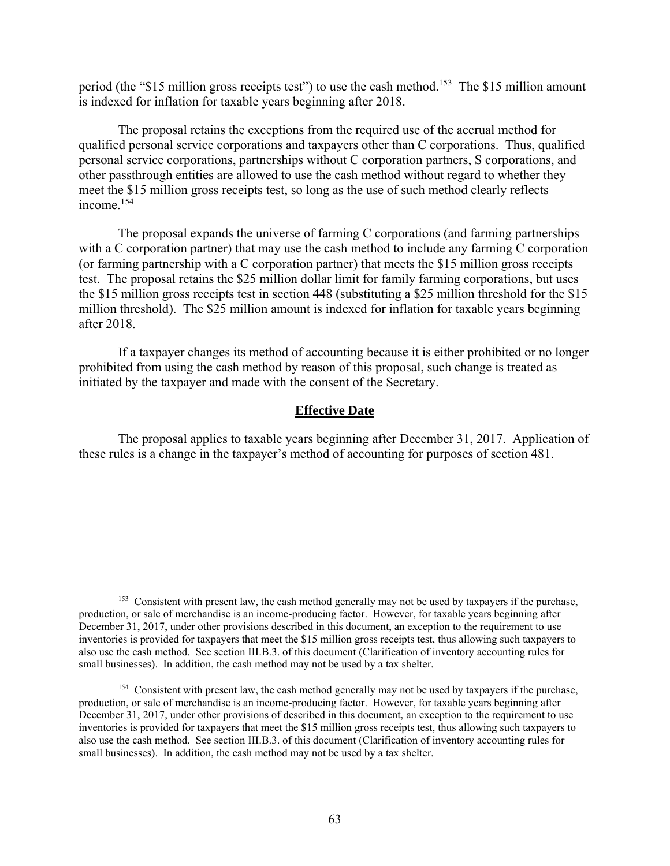period (the "\$15 million gross receipts test") to use the cash method.<sup>153</sup> The \$15 million amount is indexed for inflation for taxable years beginning after 2018.

The proposal retains the exceptions from the required use of the accrual method for qualified personal service corporations and taxpayers other than C corporations. Thus, qualified personal service corporations, partnerships without C corporation partners, S corporations, and other passthrough entities are allowed to use the cash method without regard to whether they meet the \$15 million gross receipts test, so long as the use of such method clearly reflects income.154

The proposal expands the universe of farming C corporations (and farming partnerships with a C corporation partner) that may use the cash method to include any farming C corporation (or farming partnership with a C corporation partner) that meets the \$15 million gross receipts test. The proposal retains the \$25 million dollar limit for family farming corporations, but uses the \$15 million gross receipts test in section 448 (substituting a \$25 million threshold for the \$15 million threshold). The \$25 million amount is indexed for inflation for taxable years beginning after 2018.

If a taxpayer changes its method of accounting because it is either prohibited or no longer prohibited from using the cash method by reason of this proposal, such change is treated as initiated by the taxpayer and made with the consent of the Secretary.

### **Effective Date**

The proposal applies to taxable years beginning after December 31, 2017. Application of these rules is a change in the taxpayer's method of accounting for purposes of section 481.

<sup>&</sup>lt;sup>153</sup> Consistent with present law, the cash method generally may not be used by taxpayers if the purchase, production, or sale of merchandise is an income-producing factor. However, for taxable years beginning after December 31, 2017, under other provisions described in this document, an exception to the requirement to use inventories is provided for taxpayers that meet the \$15 million gross receipts test, thus allowing such taxpayers to also use the cash method. See section III.B.3. of this document (Clarification of inventory accounting rules for small businesses). In addition, the cash method may not be used by a tax shelter.

<sup>&</sup>lt;sup>154</sup> Consistent with present law, the cash method generally may not be used by taxpayers if the purchase, production, or sale of merchandise is an income-producing factor. However, for taxable years beginning after December 31, 2017, under other provisions of described in this document, an exception to the requirement to use inventories is provided for taxpayers that meet the \$15 million gross receipts test, thus allowing such taxpayers to also use the cash method. See section III.B.3. of this document (Clarification of inventory accounting rules for small businesses). In addition, the cash method may not be used by a tax shelter.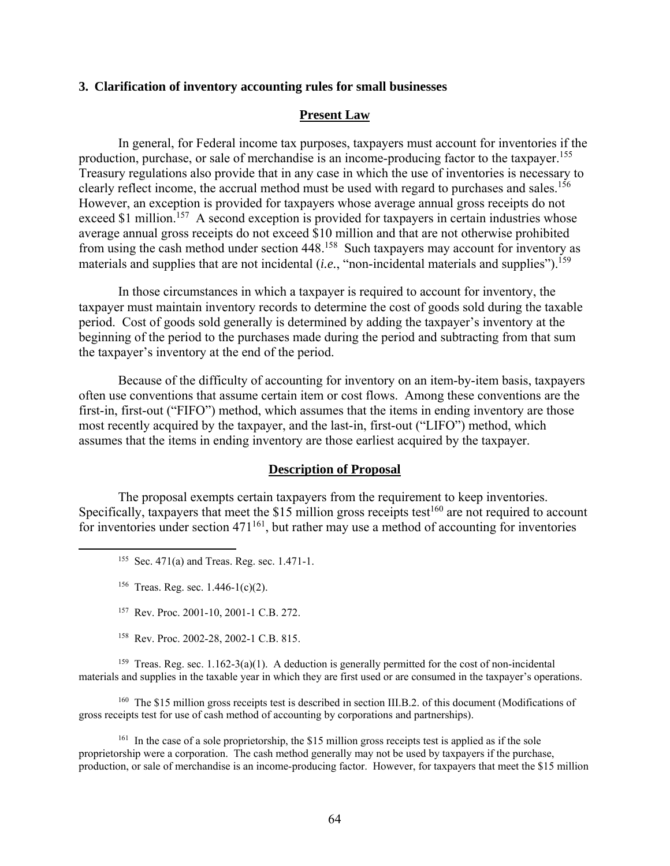#### **3. Clarification of inventory accounting rules for small businesses**

#### **Present Law**

In general, for Federal income tax purposes, taxpayers must account for inventories if the production, purchase, or sale of merchandise is an income-producing factor to the taxpayer.155 Treasury regulations also provide that in any case in which the use of inventories is necessary to clearly reflect income, the accrual method must be used with regard to purchases and sales.<sup>156</sup> However, an exception is provided for taxpayers whose average annual gross receipts do not exceed \$1 million.<sup>157</sup> A second exception is provided for taxpayers in certain industries whose average annual gross receipts do not exceed \$10 million and that are not otherwise prohibited from using the cash method under section 448.158 Such taxpayers may account for inventory as materials and supplies that are not incidental  $(i.e.,$  "non-incidental materials and supplies").<sup>159</sup>

In those circumstances in which a taxpayer is required to account for inventory, the taxpayer must maintain inventory records to determine the cost of goods sold during the taxable period. Cost of goods sold generally is determined by adding the taxpayer's inventory at the beginning of the period to the purchases made during the period and subtracting from that sum the taxpayer's inventory at the end of the period.

Because of the difficulty of accounting for inventory on an item-by-item basis, taxpayers often use conventions that assume certain item or cost flows. Among these conventions are the first-in, first-out ("FIFO") method, which assumes that the items in ending inventory are those most recently acquired by the taxpayer, and the last-in, first-out ("LIFO") method, which assumes that the items in ending inventory are those earliest acquired by the taxpayer.

## **Description of Proposal**

The proposal exempts certain taxpayers from the requirement to keep inventories. Specifically, taxpayers that meet the \$15 million gross receipts test<sup>160</sup> are not required to account for inventories under section  $471^{161}$ , but rather may use a method of accounting for inventories

- 157 Rev. Proc. 2001-10, 2001-1 C.B. 272.
- 158 Rev. Proc. 2002-28, 2002-1 C.B. 815.

<sup>159</sup> Treas. Reg. sec. 1.162-3(a)(1). A deduction is generally permitted for the cost of non-incidental materials and supplies in the taxable year in which they are first used or are consumed in the taxpayer's operations.

160 The \$15 million gross receipts test is described in section III.B.2. of this document (Modifications of gross receipts test for use of cash method of accounting by corporations and partnerships).

<sup>161</sup> In the case of a sole proprietorship, the \$15 million gross receipts test is applied as if the sole proprietorship were a corporation. The cash method generally may not be used by taxpayers if the purchase, production, or sale of merchandise is an income-producing factor. However, for taxpayers that meet the \$15 million

 <sup>155</sup> Sec. 471(a) and Treas. Reg. sec. 1.471-1.

<sup>&</sup>lt;sup>156</sup> Treas. Reg. sec.  $1.446 - 1(c)(2)$ .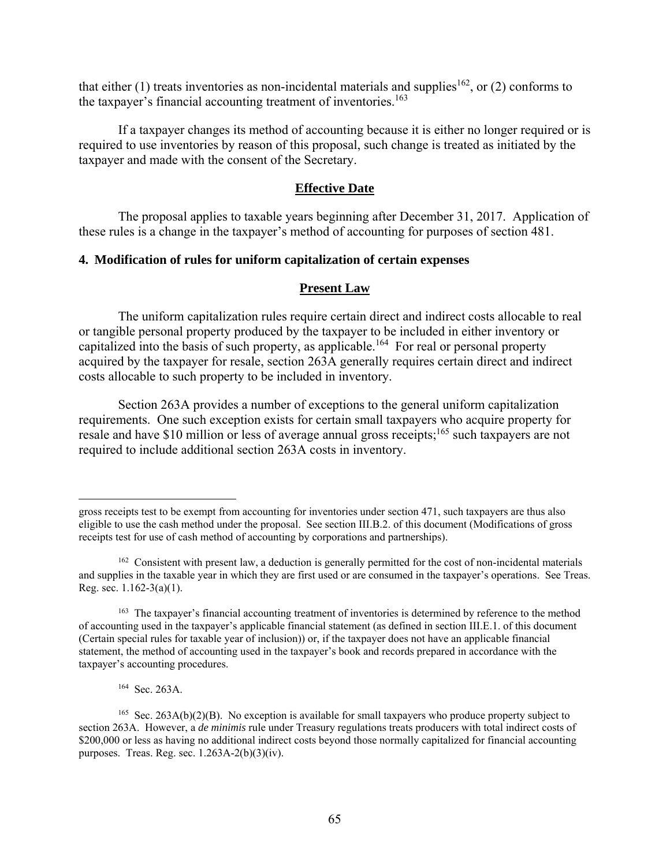that either (1) treats inventories as non-incidental materials and supplies<sup>162</sup>, or (2) conforms to the taxpayer's financial accounting treatment of inventories.<sup>163</sup>

If a taxpayer changes its method of accounting because it is either no longer required or is required to use inventories by reason of this proposal, such change is treated as initiated by the taxpayer and made with the consent of the Secretary.

## **Effective Date**

The proposal applies to taxable years beginning after December 31, 2017. Application of these rules is a change in the taxpayer's method of accounting for purposes of section 481.

## **4. Modification of rules for uniform capitalization of certain expenses**

## **Present Law**

The uniform capitalization rules require certain direct and indirect costs allocable to real or tangible personal property produced by the taxpayer to be included in either inventory or capitalized into the basis of such property, as applicable.<sup>164</sup> For real or personal property acquired by the taxpayer for resale, section 263A generally requires certain direct and indirect costs allocable to such property to be included in inventory.

Section 263A provides a number of exceptions to the general uniform capitalization requirements. One such exception exists for certain small taxpayers who acquire property for resale and have \$10 million or less of average annual gross receipts;<sup>165</sup> such taxpayers are not required to include additional section 263A costs in inventory.

 $\overline{a}$ 

gross receipts test to be exempt from accounting for inventories under section 471, such taxpayers are thus also eligible to use the cash method under the proposal. See section III.B.2. of this document (Modifications of gross receipts test for use of cash method of accounting by corporations and partnerships).

<sup>&</sup>lt;sup>162</sup> Consistent with present law, a deduction is generally permitted for the cost of non-incidental materials and supplies in the taxable year in which they are first used or are consumed in the taxpayer's operations. See Treas. Reg. sec.  $1.162-3(a)(1)$ .

<sup>&</sup>lt;sup>163</sup> The taxpayer's financial accounting treatment of inventories is determined by reference to the method of accounting used in the taxpayer's applicable financial statement (as defined in section III.E.1. of this document (Certain special rules for taxable year of inclusion)) or, if the taxpayer does not have an applicable financial statement, the method of accounting used in the taxpayer's book and records prepared in accordance with the taxpayer's accounting procedures.

<sup>164</sup> Sec. 263A.

<sup>&</sup>lt;sup>165</sup> Sec. 263A(b)(2)(B). No exception is available for small taxpayers who produce property subject to section 263A. However, a *de minimis* rule under Treasury regulations treats producers with total indirect costs of \$200,000 or less as having no additional indirect costs beyond those normally capitalized for financial accounting purposes. Treas. Reg. sec.  $1.263A-2(b)(3)(iv)$ .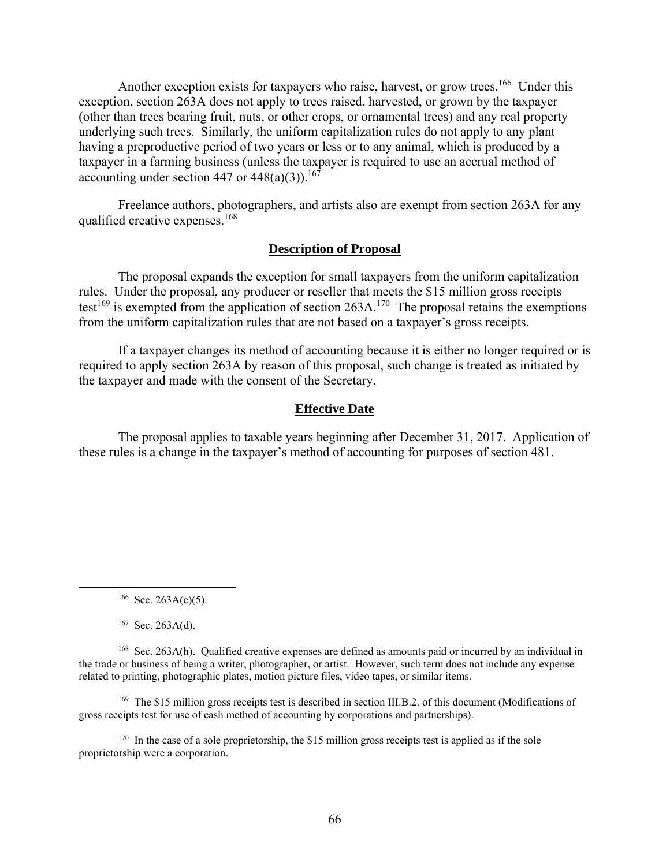Another exception exists for taxpayers who raise, harvest, or grow trees.<sup>166</sup> Under this exception, section 263A does not apply to trees raised, harvested, or grown by the taxpayer (other than trees bearing fruit, nuts, or other crops, or ornamental trees) and any real property underlying such trees. Similarly, the uniform capitalization rules do not apply to any plant having a preproductive period of two years or less or to any animal, which is produced by a taxpayer in a farming business (unless the taxpayer is required to use an accrual method of accounting under section 447 or  $448(a)(3)$ .<sup>167</sup>

Freelance authors, photographers, and artists also are exempt from section 263A for any qualified creative expenses.168

### **Description of Proposal**

The proposal expands the exception for small taxpayers from the uniform capitalization rules. Under the proposal, any producer or reseller that meets the \$15 million gross receipts test<sup>169</sup> is exempted from the application of section  $263A$ <sup>170</sup>. The proposal retains the exemptions from the uniform capitalization rules that are not based on a taxpayer's gross receipts.

If a taxpayer changes its method of accounting because it is either no longer required or is required to apply section 263A by reason of this proposal, such change is treated as initiated by the taxpayer and made with the consent of the Secretary.

#### **Effective Date**

The proposal applies to taxable years beginning after December 31, 2017. Application of these rules is a change in the taxpayer's method of accounting for purposes of section 481.

<sup>166</sup> Sec. 263A(c)(5).

 $167$  Sec. 263A(d).

168 Sec. 263A(h). Qualified creative expenses are defined as amounts paid or incurred by an individual in the trade or business of being a writer, photographer, or artist. However, such term does not include any expense related to printing, photographic plates, motion picture files, video tapes, or similar items.

<sup>169</sup> The \$15 million gross receipts test is described in section III.B.2. of this document (Modifications of gross receipts test for use of cash method of accounting by corporations and partnerships).

<sup>170</sup> In the case of a sole proprietorship, the \$15 million gross receipts test is applied as if the sole proprietorship were a corporation.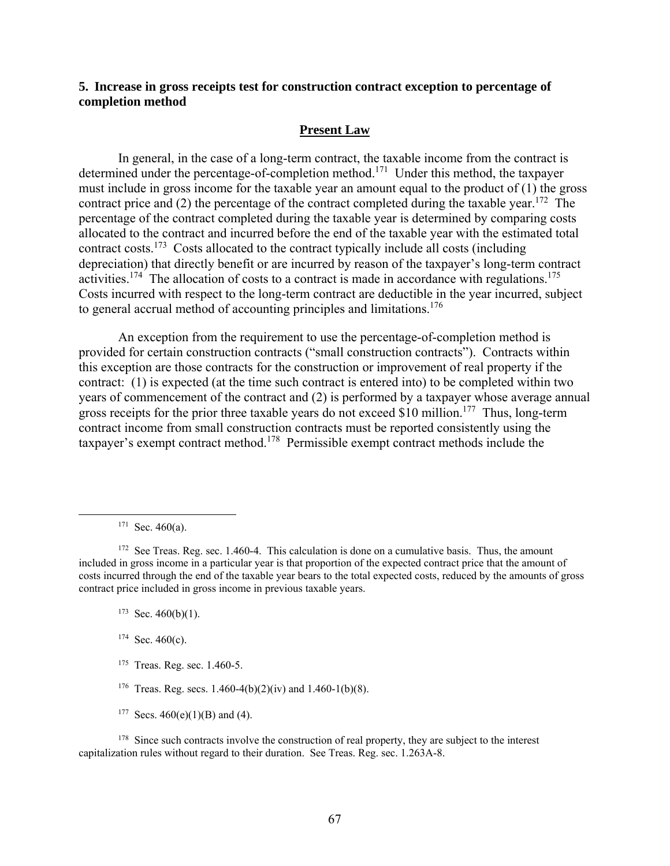## **5. Increase in gross receipts test for construction contract exception to percentage of completion method**

## **Present Law**

In general, in the case of a long-term contract, the taxable income from the contract is determined under the percentage-of-completion method.171 Under this method, the taxpayer must include in gross income for the taxable year an amount equal to the product of (1) the gross contract price and (2) the percentage of the contract completed during the taxable year.<sup>172</sup> The percentage of the contract completed during the taxable year is determined by comparing costs allocated to the contract and incurred before the end of the taxable year with the estimated total contract costs.<sup>173</sup> Costs allocated to the contract typically include all costs (including depreciation) that directly benefit or are incurred by reason of the taxpayer's long-term contract activities.<sup>174</sup> The allocation of costs to a contract is made in accordance with regulations.<sup>175</sup> Costs incurred with respect to the long-term contract are deductible in the year incurred, subject to general accrual method of accounting principles and limitations.176

An exception from the requirement to use the percentage-of-completion method is provided for certain construction contracts ("small construction contracts"). Contracts within this exception are those contracts for the construction or improvement of real property if the contract: (1) is expected (at the time such contract is entered into) to be completed within two years of commencement of the contract and (2) is performed by a taxpayer whose average annual gross receipts for the prior three taxable years do not exceed \$10 million.<sup>177</sup> Thus, long-term contract income from small construction contracts must be reported consistently using the taxpayer's exempt contract method.178 Permissible exempt contract methods include the

- 175 Treas. Reg. sec. 1.460-5.
- <sup>176</sup> Treas. Reg. secs. 1.460-4(b)(2)(iv) and 1.460-1(b)(8).
- <sup>177</sup> Secs. 460(e)(1)(B) and (4).

<sup>178</sup> Since such contracts involve the construction of real property, they are subject to the interest capitalization rules without regard to their duration. See Treas. Reg. sec. 1.263A-8.

 $171$  Sec. 460(a).

<sup>&</sup>lt;sup>172</sup> See Treas. Reg. sec. 1.460-4. This calculation is done on a cumulative basis. Thus, the amount included in gross income in a particular year is that proportion of the expected contract price that the amount of costs incurred through the end of the taxable year bears to the total expected costs, reduced by the amounts of gross contract price included in gross income in previous taxable years.

 $173$  Sec. 460(b)(1).

 $174$  Sec. 460(c).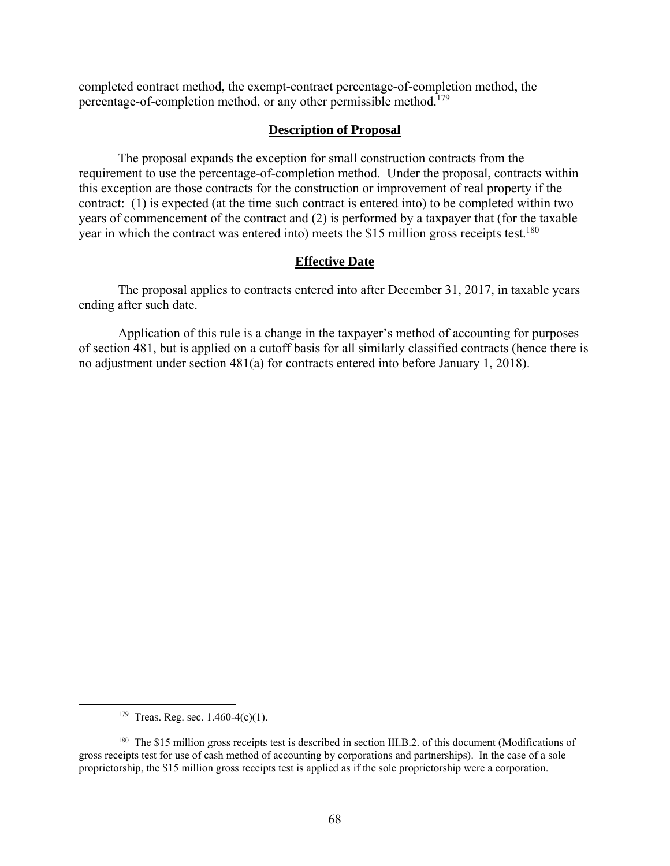completed contract method, the exempt-contract percentage-of-completion method, the percentage-of-completion method, or any other permissible method.<sup>179</sup>

## **Description of Proposal**

The proposal expands the exception for small construction contracts from the requirement to use the percentage-of-completion method. Under the proposal, contracts within this exception are those contracts for the construction or improvement of real property if the contract: (1) is expected (at the time such contract is entered into) to be completed within two years of commencement of the contract and (2) is performed by a taxpayer that (for the taxable year in which the contract was entered into) meets the \$15 million gross receipts test.<sup>180</sup>

## **Effective Date**

The proposal applies to contracts entered into after December 31, 2017, in taxable years ending after such date.

Application of this rule is a change in the taxpayer's method of accounting for purposes of section 481, but is applied on a cutoff basis for all similarly classified contracts (hence there is no adjustment under section 481(a) for contracts entered into before January 1, 2018).

<sup>&</sup>lt;sup>179</sup> Treas. Reg. sec. 1.460-4(c)(1).

<sup>&</sup>lt;sup>180</sup> The \$15 million gross receipts test is described in section III.B.2. of this document (Modifications of gross receipts test for use of cash method of accounting by corporations and partnerships). In the case of a sole proprietorship, the \$15 million gross receipts test is applied as if the sole proprietorship were a corporation.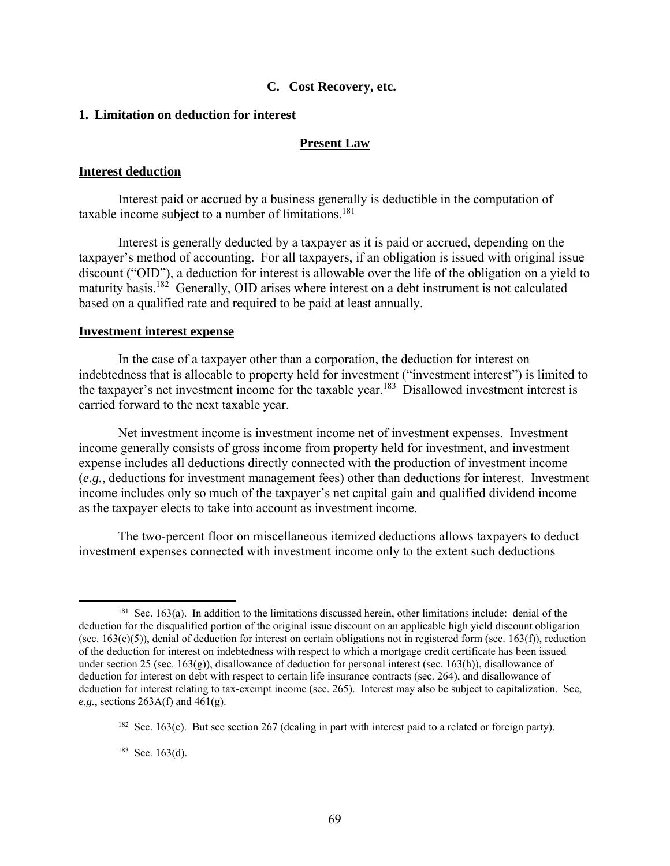#### **C. Cost Recovery, etc.**

## **1. Limitation on deduction for interest**

### **Present Law**

#### **Interest deduction**

Interest paid or accrued by a business generally is deductible in the computation of taxable income subject to a number of limitations.<sup>181</sup>

Interest is generally deducted by a taxpayer as it is paid or accrued, depending on the taxpayer's method of accounting. For all taxpayers, if an obligation is issued with original issue discount ("OID"), a deduction for interest is allowable over the life of the obligation on a yield to maturity basis.<sup>182</sup> Generally, OID arises where interest on a debt instrument is not calculated based on a qualified rate and required to be paid at least annually.

#### **Investment interest expense**

In the case of a taxpayer other than a corporation, the deduction for interest on indebtedness that is allocable to property held for investment ("investment interest") is limited to the taxpayer's net investment income for the taxable year.<sup>183</sup> Disallowed investment interest is carried forward to the next taxable year.

Net investment income is investment income net of investment expenses. Investment income generally consists of gross income from property held for investment, and investment expense includes all deductions directly connected with the production of investment income (*e.g.*, deductions for investment management fees) other than deductions for interest. Investment income includes only so much of the taxpayer's net capital gain and qualified dividend income as the taxpayer elects to take into account as investment income.

The two-percent floor on miscellaneous itemized deductions allows taxpayers to deduct investment expenses connected with investment income only to the extent such deductions

 <sup>181</sup> Sec. 163(a). In addition to the limitations discussed herein, other limitations include: denial of the deduction for the disqualified portion of the original issue discount on an applicable high yield discount obligation (sec.  $163(e)(5)$ ), denial of deduction for interest on certain obligations not in registered form (sec.  $163(f)$ ), reduction of the deduction for interest on indebtedness with respect to which a mortgage credit certificate has been issued under section 25 (sec. 163(g)), disallowance of deduction for personal interest (sec. 163(h)), disallowance of deduction for interest on debt with respect to certain life insurance contracts (sec. 264), and disallowance of deduction for interest relating to tax-exempt income (sec. 265). Interest may also be subject to capitalization. See, *e.g.*, sections 263A(f) and 461(g).

<sup>&</sup>lt;sup>182</sup> Sec. 163(e). But see section 267 (dealing in part with interest paid to a related or foreign party).

 $183$  Sec. 163(d).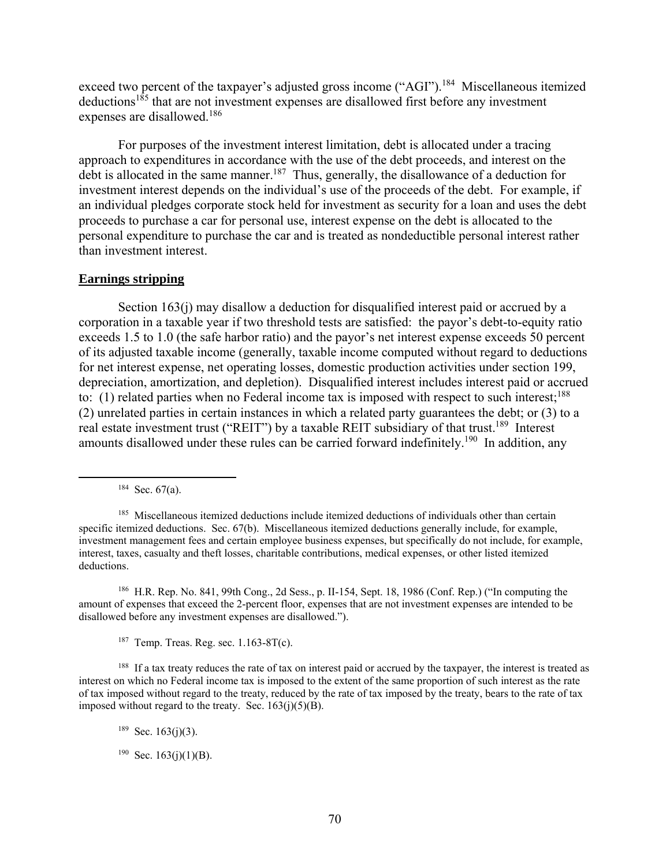exceed two percent of the taxpayer's adjusted gross income ("AGI").<sup>184</sup> Miscellaneous itemized deductions<sup>185</sup> that are not investment expenses are disallowed first before any investment expenses are disallowed.186

For purposes of the investment interest limitation, debt is allocated under a tracing approach to expenditures in accordance with the use of the debt proceeds, and interest on the debt is allocated in the same manner.<sup>187</sup> Thus, generally, the disallowance of a deduction for investment interest depends on the individual's use of the proceeds of the debt. For example, if an individual pledges corporate stock held for investment as security for a loan and uses the debt proceeds to purchase a car for personal use, interest expense on the debt is allocated to the personal expenditure to purchase the car and is treated as nondeductible personal interest rather than investment interest.

### **Earnings stripping**

Section 163(j) may disallow a deduction for disqualified interest paid or accrued by a corporation in a taxable year if two threshold tests are satisfied: the payor's debt-to-equity ratio exceeds 1.5 to 1.0 (the safe harbor ratio) and the payor's net interest expense exceeds 50 percent of its adjusted taxable income (generally, taxable income computed without regard to deductions for net interest expense, net operating losses, domestic production activities under section 199, depreciation, amortization, and depletion). Disqualified interest includes interest paid or accrued to: (1) related parties when no Federal income tax is imposed with respect to such interest;<sup>188</sup> (2) unrelated parties in certain instances in which a related party guarantees the debt; or (3) to a real estate investment trust ("REIT") by a taxable REIT subsidiary of that trust.<sup>189</sup> Interest amounts disallowed under these rules can be carried forward indefinitely.<sup>190</sup> In addition, any

 $184$  Sec. 67(a).

186 H.R. Rep. No. 841, 99th Cong., 2d Sess., p. II-154, Sept. 18, 1986 (Conf. Rep.) ("In computing the amount of expenses that exceed the 2-percent floor, expenses that are not investment expenses are intended to be disallowed before any investment expenses are disallowed.").

 $187$  Temp. Treas. Reg. sec. 1.163-8T(c).

 $190$  Sec.  $163(i)(1)(B)$ .

<sup>&</sup>lt;sup>185</sup> Miscellaneous itemized deductions include itemized deductions of individuals other than certain specific itemized deductions. Sec. 67(b). Miscellaneous itemized deductions generally include, for example, investment management fees and certain employee business expenses, but specifically do not include, for example, interest, taxes, casualty and theft losses, charitable contributions, medical expenses, or other listed itemized deductions.

<sup>&</sup>lt;sup>188</sup> If a tax treaty reduces the rate of tax on interest paid or accrued by the taxpayer, the interest is treated as interest on which no Federal income tax is imposed to the extent of the same proportion of such interest as the rate of tax imposed without regard to the treaty, reduced by the rate of tax imposed by the treaty, bears to the rate of tax imposed without regard to the treaty. Sec.  $163(j)(5)(B)$ .

 $189$  Sec. 163(j)(3).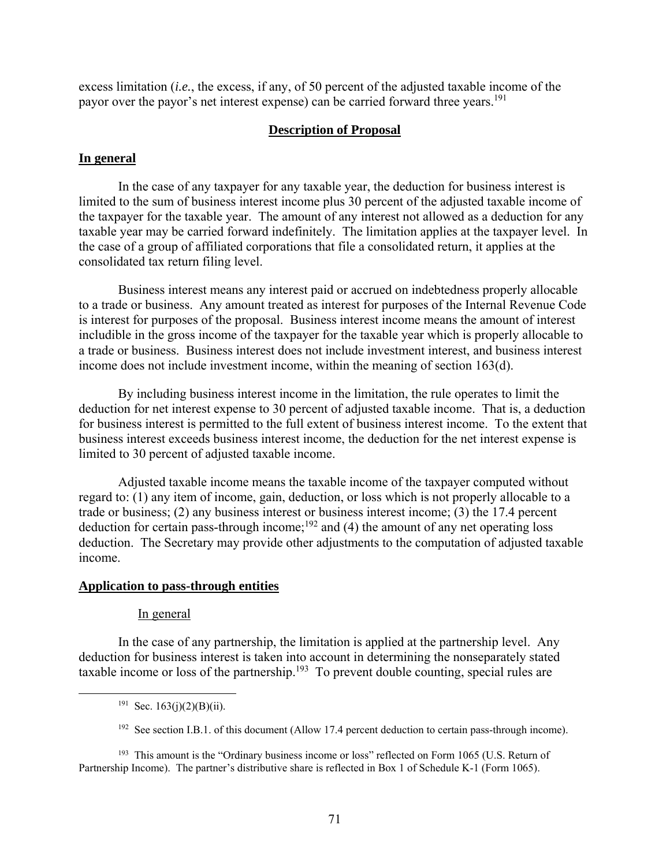excess limitation (*i.e.*, the excess, if any, of 50 percent of the adjusted taxable income of the payor over the payor's net interest expense) can be carried forward three years.<sup>191</sup>

#### **Description of Proposal**

### **In general**

In the case of any taxpayer for any taxable year, the deduction for business interest is limited to the sum of business interest income plus 30 percent of the adjusted taxable income of the taxpayer for the taxable year. The amount of any interest not allowed as a deduction for any taxable year may be carried forward indefinitely. The limitation applies at the taxpayer level. In the case of a group of affiliated corporations that file a consolidated return, it applies at the consolidated tax return filing level.

Business interest means any interest paid or accrued on indebtedness properly allocable to a trade or business. Any amount treated as interest for purposes of the Internal Revenue Code is interest for purposes of the proposal. Business interest income means the amount of interest includible in the gross income of the taxpayer for the taxable year which is properly allocable to a trade or business. Business interest does not include investment interest, and business interest income does not include investment income, within the meaning of section 163(d).

By including business interest income in the limitation, the rule operates to limit the deduction for net interest expense to 30 percent of adjusted taxable income. That is, a deduction for business interest is permitted to the full extent of business interest income. To the extent that business interest exceeds business interest income, the deduction for the net interest expense is limited to 30 percent of adjusted taxable income.

Adjusted taxable income means the taxable income of the taxpayer computed without regard to: (1) any item of income, gain, deduction, or loss which is not properly allocable to a trade or business; (2) any business interest or business interest income; (3) the 17.4 percent deduction for certain pass-through income;<sup>192</sup> and (4) the amount of any net operating loss deduction. The Secretary may provide other adjustments to the computation of adjusted taxable income.

### **Application to pass-through entities**

#### In general

In the case of any partnership, the limitation is applied at the partnership level. Any deduction for business interest is taken into account in determining the nonseparately stated taxable income or loss of the partnership.<sup>193</sup> To prevent double counting, special rules are

<sup>191</sup> Sec. 163(j)(2)(B)(ii).

<sup>&</sup>lt;sup>192</sup> See section I.B.1. of this document (Allow 17.4 percent deduction to certain pass-through income).

<sup>&</sup>lt;sup>193</sup> This amount is the "Ordinary business income or loss" reflected on Form 1065 (U.S. Return of Partnership Income). The partner's distributive share is reflected in Box 1 of Schedule K-1 (Form 1065).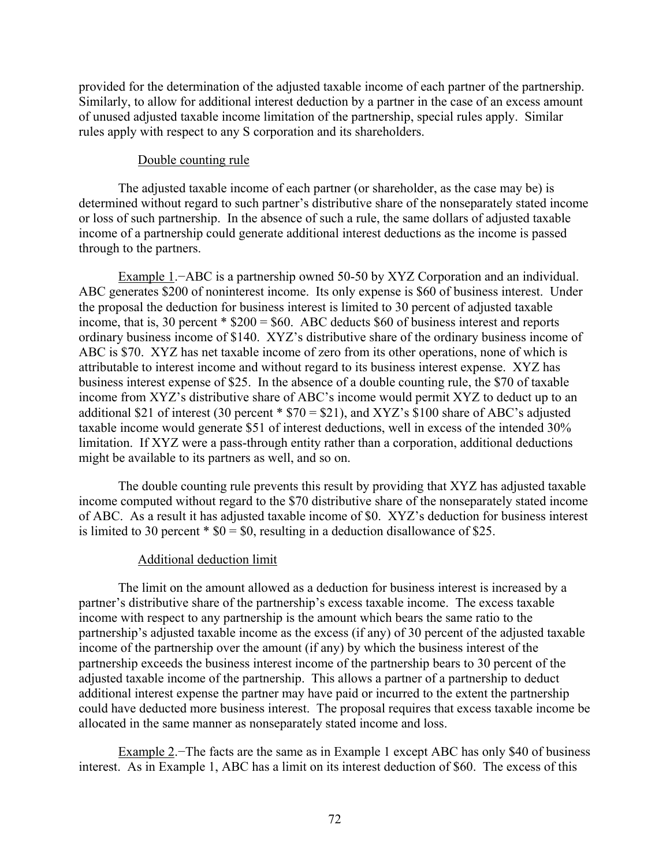provided for the determination of the adjusted taxable income of each partner of the partnership. Similarly, to allow for additional interest deduction by a partner in the case of an excess amount of unused adjusted taxable income limitation of the partnership, special rules apply. Similar rules apply with respect to any S corporation and its shareholders.

## Double counting rule

The adjusted taxable income of each partner (or shareholder, as the case may be) is determined without regard to such partner's distributive share of the nonseparately stated income or loss of such partnership. In the absence of such a rule, the same dollars of adjusted taxable income of a partnership could generate additional interest deductions as the income is passed through to the partners.

Example 1.−ABC is a partnership owned 50-50 by XYZ Corporation and an individual. ABC generates \$200 of noninterest income. Its only expense is \$60 of business interest. Under the proposal the deduction for business interest is limited to 30 percent of adjusted taxable income, that is, 30 percent \* \$200 = \$60. ABC deducts \$60 of business interest and reports ordinary business income of \$140. XYZ's distributive share of the ordinary business income of ABC is \$70. XYZ has net taxable income of zero from its other operations, none of which is attributable to interest income and without regard to its business interest expense. XYZ has business interest expense of \$25. In the absence of a double counting rule, the \$70 of taxable income from XYZ's distributive share of ABC's income would permit XYZ to deduct up to an additional \$21 of interest (30 percent  $*$  \$70 = \$21), and XYZ's \$100 share of ABC's adjusted taxable income would generate \$51 of interest deductions, well in excess of the intended 30% limitation. If XYZ were a pass-through entity rather than a corporation, additional deductions might be available to its partners as well, and so on.

The double counting rule prevents this result by providing that XYZ has adjusted taxable income computed without regard to the \$70 distributive share of the nonseparately stated income of ABC. As a result it has adjusted taxable income of \$0. XYZ's deduction for business interest is limited to 30 percent  $*$  \$0 = \$0, resulting in a deduction disallowance of \$25.

## Additional deduction limit

The limit on the amount allowed as a deduction for business interest is increased by a partner's distributive share of the partnership's excess taxable income. The excess taxable income with respect to any partnership is the amount which bears the same ratio to the partnership's adjusted taxable income as the excess (if any) of 30 percent of the adjusted taxable income of the partnership over the amount (if any) by which the business interest of the partnership exceeds the business interest income of the partnership bears to 30 percent of the adjusted taxable income of the partnership. This allows a partner of a partnership to deduct additional interest expense the partner may have paid or incurred to the extent the partnership could have deducted more business interest. The proposal requires that excess taxable income be allocated in the same manner as nonseparately stated income and loss.

Example 2.−The facts are the same as in Example 1 except ABC has only \$40 of business interest. As in Example 1, ABC has a limit on its interest deduction of \$60. The excess of this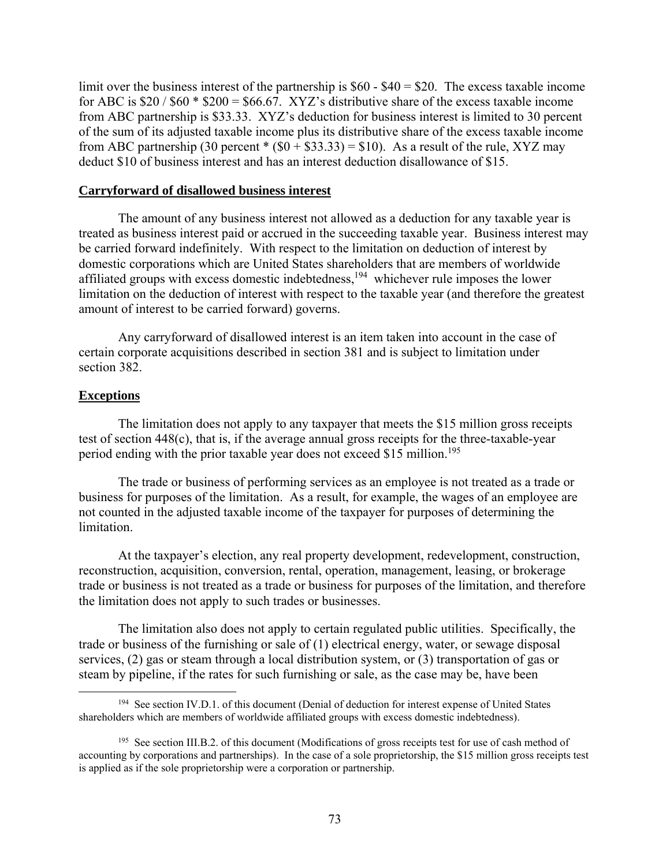limit over the business interest of the partnership is  $$60 - $40 = $20$ . The excess taxable income for ABC is  $$20 / $60 * $200 = $66.67$ . XYZ's distributive share of the excess taxable income from ABC partnership is \$33.33. XYZ's deduction for business interest is limited to 30 percent of the sum of its adjusted taxable income plus its distributive share of the excess taxable income from ABC partnership (30 percent  $*(\$0 + \$33.33) = \$10$ ). As a result of the rule, XYZ may deduct \$10 of business interest and has an interest deduction disallowance of \$15.

#### **Carryforward of disallowed business interest**

The amount of any business interest not allowed as a deduction for any taxable year is treated as business interest paid or accrued in the succeeding taxable year. Business interest may be carried forward indefinitely. With respect to the limitation on deduction of interest by domestic corporations which are United States shareholders that are members of worldwide affiliated groups with excess domestic indebtedness,194 whichever rule imposes the lower limitation on the deduction of interest with respect to the taxable year (and therefore the greatest amount of interest to be carried forward) governs.

Any carryforward of disallowed interest is an item taken into account in the case of certain corporate acquisitions described in section 381 and is subject to limitation under section 382.

### **Exceptions**

The limitation does not apply to any taxpayer that meets the \$15 million gross receipts test of section 448(c), that is, if the average annual gross receipts for the three-taxable-year period ending with the prior taxable year does not exceed \$15 million.<sup>195</sup>

The trade or business of performing services as an employee is not treated as a trade or business for purposes of the limitation. As a result, for example, the wages of an employee are not counted in the adjusted taxable income of the taxpayer for purposes of determining the limitation.

At the taxpayer's election, any real property development, redevelopment, construction, reconstruction, acquisition, conversion, rental, operation, management, leasing, or brokerage trade or business is not treated as a trade or business for purposes of the limitation, and therefore the limitation does not apply to such trades or businesses.

The limitation also does not apply to certain regulated public utilities. Specifically, the trade or business of the furnishing or sale of (1) electrical energy, water, or sewage disposal services, (2) gas or steam through a local distribution system, or (3) transportation of gas or steam by pipeline, if the rates for such furnishing or sale, as the case may be, have been

<sup>&</sup>lt;sup>194</sup> See section IV.D.1. of this document (Denial of deduction for interest expense of United States shareholders which are members of worldwide affiliated groups with excess domestic indebtedness).

<sup>&</sup>lt;sup>195</sup> See section III.B.2. of this document (Modifications of gross receipts test for use of cash method of accounting by corporations and partnerships). In the case of a sole proprietorship, the \$15 million gross receipts test is applied as if the sole proprietorship were a corporation or partnership.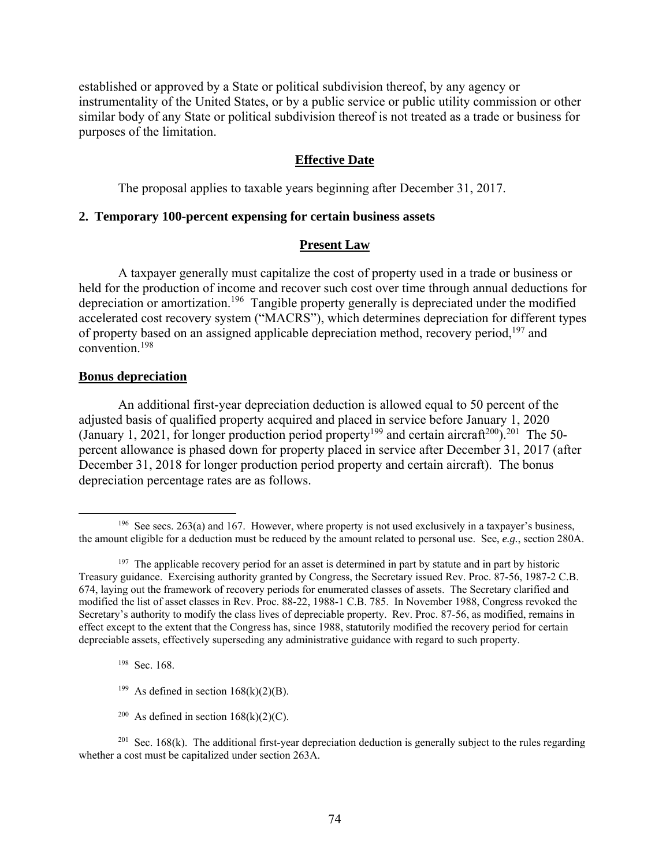established or approved by a State or political subdivision thereof, by any agency or instrumentality of the United States, or by a public service or public utility commission or other similar body of any State or political subdivision thereof is not treated as a trade or business for purposes of the limitation.

## **Effective Date**

The proposal applies to taxable years beginning after December 31, 2017.

#### **2. Temporary 100-percent expensing for certain business assets**

#### **Present Law**

A taxpayer generally must capitalize the cost of property used in a trade or business or held for the production of income and recover such cost over time through annual deductions for depreciation or amortization.196 Tangible property generally is depreciated under the modified accelerated cost recovery system ("MACRS"), which determines depreciation for different types of property based on an assigned applicable depreciation method, recovery period,<sup>197</sup> and convention.198

## **Bonus depreciation**

An additional first-year depreciation deduction is allowed equal to 50 percent of the adjusted basis of qualified property acquired and placed in service before January 1, 2020 (January 1, 2021, for longer production period property<sup>199</sup> and certain aircraft<sup>200</sup>).<sup>201</sup> The 50percent allowance is phased down for property placed in service after December 31, 2017 (after December 31, 2018 for longer production period property and certain aircraft). The bonus depreciation percentage rates are as follows.

198 Sec. 168.

- <sup>199</sup> As defined in section  $168(k)(2)(B)$ .
- <sup>200</sup> As defined in section  $168(k)(2)(C)$ .

<sup>&</sup>lt;sup>196</sup> See secs. 263(a) and 167. However, where property is not used exclusively in a taxpayer's business, the amount eligible for a deduction must be reduced by the amount related to personal use. See, *e.g.*, section 280A.

<sup>&</sup>lt;sup>197</sup> The applicable recovery period for an asset is determined in part by statute and in part by historic Treasury guidance. Exercising authority granted by Congress, the Secretary issued Rev. Proc. 87-56, 1987-2 C.B. 674, laying out the framework of recovery periods for enumerated classes of assets. The Secretary clarified and modified the list of asset classes in Rev. Proc. 88-22, 1988-1 C.B. 785. In November 1988, Congress revoked the Secretary's authority to modify the class lives of depreciable property. Rev. Proc. 87-56, as modified, remains in effect except to the extent that the Congress has, since 1988, statutorily modified the recovery period for certain depreciable assets, effectively superseding any administrative guidance with regard to such property.

<sup>&</sup>lt;sup>201</sup> Sec. 168(k). The additional first-year depreciation deduction is generally subject to the rules regarding whether a cost must be capitalized under section 263A.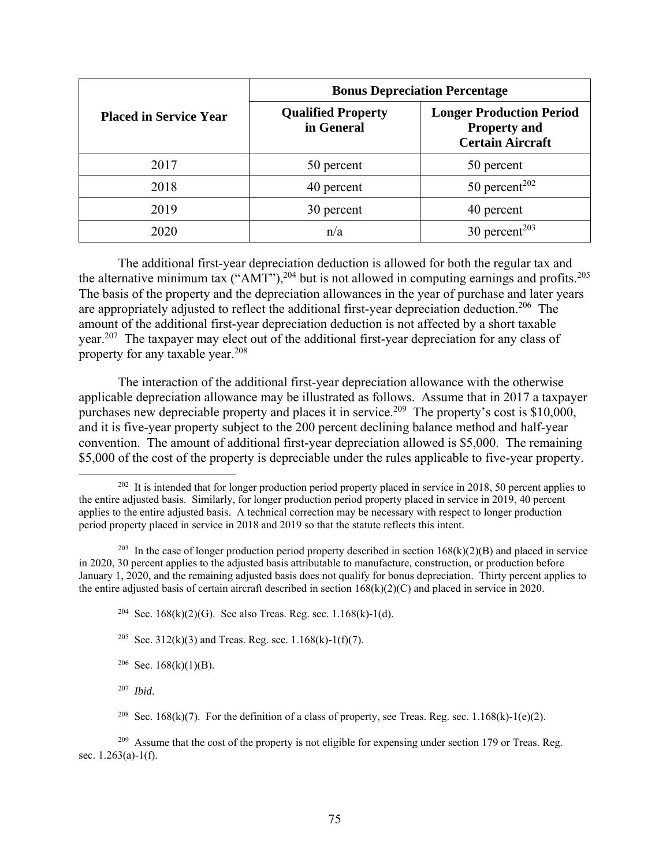|                               | <b>Bonus Depreciation Percentage</b>    |                                                                                   |  |  |  |
|-------------------------------|-----------------------------------------|-----------------------------------------------------------------------------------|--|--|--|
| <b>Placed in Service Year</b> | <b>Qualified Property</b><br>in General | <b>Longer Production Period</b><br><b>Property and</b><br><b>Certain Aircraft</b> |  |  |  |
| 2017                          | 50 percent                              | 50 percent                                                                        |  |  |  |
| 2018                          | 40 percent                              | 50 percent <sup>202</sup>                                                         |  |  |  |
| 2019                          | 30 percent                              | 40 percent                                                                        |  |  |  |
| 2020                          | n/a                                     | 30 percent <sup>203</sup>                                                         |  |  |  |

The additional first-year depreciation deduction is allowed for both the regular tax and the alternative minimum tax ("AMT"),<sup>204</sup> but is not allowed in computing earnings and profits.<sup>205</sup> The basis of the property and the depreciation allowances in the year of purchase and later years are appropriately adjusted to reflect the additional first-year depreciation deduction.<sup>206</sup> The amount of the additional first-year depreciation deduction is not affected by a short taxable year.<sup>207</sup> The taxpayer may elect out of the additional first-year depreciation for any class of property for any taxable year.<sup>208</sup>

The interaction of the additional first-year depreciation allowance with the otherwise applicable depreciation allowance may be illustrated as follows. Assume that in 2017 a taxpayer purchases new depreciable property and places it in service.<sup>209</sup> The property's cost is  $$10,000$ , and it is five-year property subject to the 200 percent declining balance method and half-year convention. The amount of additional first-year depreciation allowed is \$5,000. The remaining \$5,000 of the cost of the property is depreciable under the rules applicable to five-year property.

<sup>203</sup> In the case of longer production period property described in section  $168(k)(2)(B)$  and placed in service in 2020, 30 percent applies to the adjusted basis attributable to manufacture, construction, or production before January 1, 2020, and the remaining adjusted basis does not qualify for bonus depreciation. Thirty percent applies to the entire adjusted basis of certain aircraft described in section 168(k)(2)(C) and placed in service in 2020.

207 *Ibid*.

<sup>&</sup>lt;sup>202</sup> It is intended that for longer production period property placed in service in 2018, 50 percent applies to the entire adjusted basis. Similarly, for longer production period property placed in service in 2019, 40 percent applies to the entire adjusted basis. A technical correction may be necessary with respect to longer production period property placed in service in 2018 and 2019 so that the statute reflects this intent.

<sup>&</sup>lt;sup>204</sup> Sec. 168(k)(2)(G). See also Treas. Reg. sec. 1.168(k)-1(d).

<sup>&</sup>lt;sup>205</sup> Sec. 312(k)(3) and Treas. Reg. sec. 1.168(k)-1(f)(7).

<sup>&</sup>lt;sup>206</sup> Sec. 168(k)(1)(B).

<sup>&</sup>lt;sup>208</sup> Sec. 168(k)(7). For the definition of a class of property, see Treas. Reg. sec. 1.168(k)-1(e)(2).

<sup>&</sup>lt;sup>209</sup> Assume that the cost of the property is not eligible for expensing under section 179 or Treas. Reg. sec. 1.263(a)-1(f).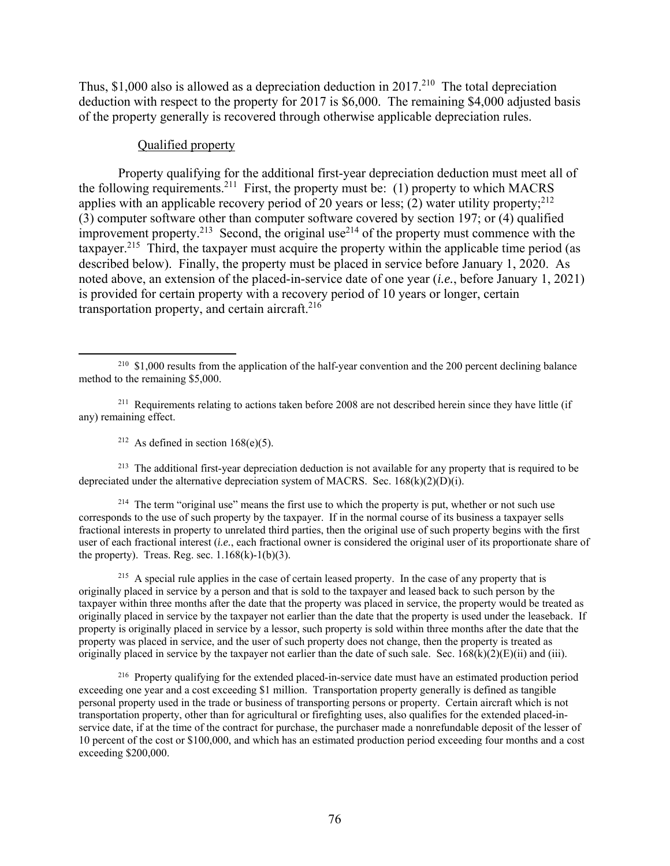Thus, \$1,000 also is allowed as a depreciation deduction in  $2017<sup>210</sup>$  The total depreciation deduction with respect to the property for 2017 is \$6,000. The remaining \$4,000 adjusted basis of the property generally is recovered through otherwise applicable depreciation rules.

## Qualified property

Property qualifying for the additional first-year depreciation deduction must meet all of the following requirements.<sup>211</sup> First, the property must be: (1) property to which MACRS applies with an applicable recovery period of 20 years or less; (2) water utility property;  $^{212}$ (3) computer software other than computer software covered by section 197; or (4) qualified improvement property.<sup>213</sup> Second, the original use<sup>214</sup> of the property must commence with the taxpayer.215 Third, the taxpayer must acquire the property within the applicable time period (as described below). Finally, the property must be placed in service before January 1, 2020. As noted above, an extension of the placed-in-service date of one year (*i.e.*, before January 1, 2021) is provided for certain property with a recovery period of 10 years or longer, certain transportation property, and certain aircraft. $216$ 

<sup>213</sup> The additional first-year depreciation deduction is not available for any property that is required to be depreciated under the alternative depreciation system of MACRS. Sec.  $168(k)(2)(D)(i)$ .

<sup>214</sup> The term "original use" means the first use to which the property is put, whether or not such use corresponds to the use of such property by the taxpayer. If in the normal course of its business a taxpayer sells fractional interests in property to unrelated third parties, then the original use of such property begins with the first user of each fractional interest (*i.e.*, each fractional owner is considered the original user of its proportionate share of the property). Treas. Reg. sec.  $1.168(k)-1(b)(3)$ .

<sup>215</sup> A special rule applies in the case of certain leased property. In the case of any property that is originally placed in service by a person and that is sold to the taxpayer and leased back to such person by the taxpayer within three months after the date that the property was placed in service, the property would be treated as originally placed in service by the taxpayer not earlier than the date that the property is used under the leaseback. If property is originally placed in service by a lessor, such property is sold within three months after the date that the property was placed in service, and the user of such property does not change, then the property is treated as originally placed in service by the taxpayer not earlier than the date of such sale. Sec.  $168(k)(2)(E)(ii)$  and (iii).

<sup>216</sup> Property qualifying for the extended placed-in-service date must have an estimated production period exceeding one year and a cost exceeding \$1 million. Transportation property generally is defined as tangible personal property used in the trade or business of transporting persons or property. Certain aircraft which is not transportation property, other than for agricultural or firefighting uses, also qualifies for the extended placed-inservice date, if at the time of the contract for purchase, the purchaser made a nonrefundable deposit of the lesser of 10 percent of the cost or \$100,000, and which has an estimated production period exceeding four months and a cost exceeding \$200,000.

<sup>&</sup>lt;sup>210</sup> \$1,000 results from the application of the half-year convention and the 200 percent declining balance method to the remaining \$5,000.

<sup>&</sup>lt;sup>211</sup> Requirements relating to actions taken before 2008 are not described herein since they have little (if any) remaining effect.

<sup>&</sup>lt;sup>212</sup> As defined in section  $168(e)(5)$ .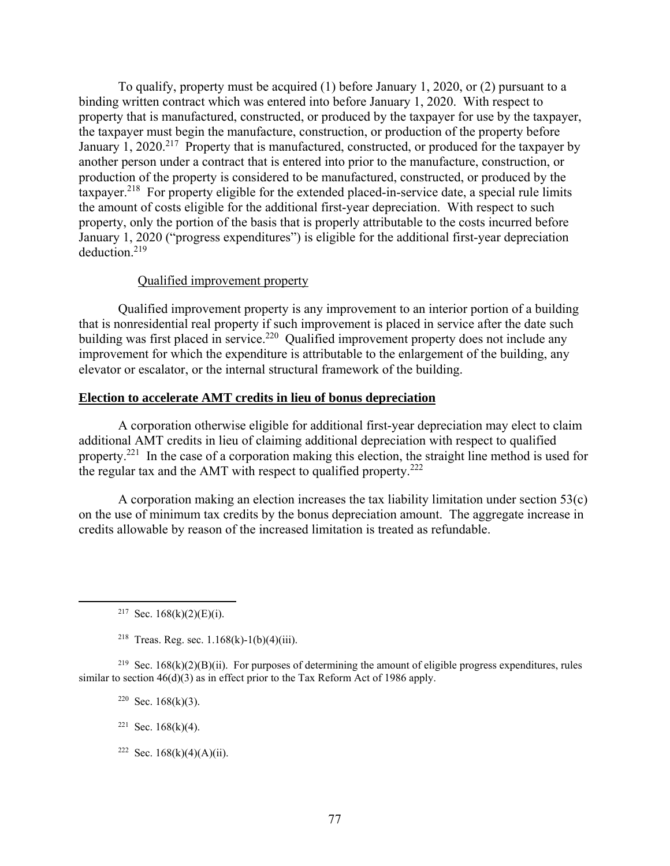To qualify, property must be acquired (1) before January 1, 2020, or (2) pursuant to a binding written contract which was entered into before January 1, 2020. With respect to property that is manufactured, constructed, or produced by the taxpayer for use by the taxpayer, the taxpayer must begin the manufacture, construction, or production of the property before January 1, 2020.<sup>217</sup> Property that is manufactured, constructed, or produced for the taxpayer by another person under a contract that is entered into prior to the manufacture, construction, or production of the property is considered to be manufactured, constructed, or produced by the taxpayer.<sup>218</sup> For property eligible for the extended placed-in-service date, a special rule limits the amount of costs eligible for the additional first-year depreciation. With respect to such property, only the portion of the basis that is properly attributable to the costs incurred before January 1, 2020 ("progress expenditures") is eligible for the additional first-year depreciation deduction.<sup>219</sup>

### Qualified improvement property

Qualified improvement property is any improvement to an interior portion of a building that is nonresidential real property if such improvement is placed in service after the date such building was first placed in service.<sup>220</sup> Qualified improvement property does not include any improvement for which the expenditure is attributable to the enlargement of the building, any elevator or escalator, or the internal structural framework of the building.

## **Election to accelerate AMT credits in lieu of bonus depreciation**

A corporation otherwise eligible for additional first-year depreciation may elect to claim additional AMT credits in lieu of claiming additional depreciation with respect to qualified property.221 In the case of a corporation making this election, the straight line method is used for the regular tax and the AMT with respect to qualified property.222

A corporation making an election increases the tax liability limitation under section 53(c) on the use of minimum tax credits by the bonus depreciation amount. The aggregate increase in credits allowable by reason of the increased limitation is treated as refundable.

<sup>219</sup> Sec. 168(k)(2)(B)(ii). For purposes of determining the amount of eligible progress expenditures, rules similar to section  $46(d)(3)$  as in effect prior to the Tax Reform Act of 1986 apply.

 $220$  Sec. 168(k)(3).

 $221$  Sec. 168(k)(4).

<sup>222</sup> Sec. 168(k)(4)(A)(ii).

<sup>&</sup>lt;sup>217</sup> Sec. 168(k)(2)(E)(i).

<sup>&</sup>lt;sup>218</sup> Treas. Reg. sec.  $1.168(k) - 1(b)(4)(iii)$ .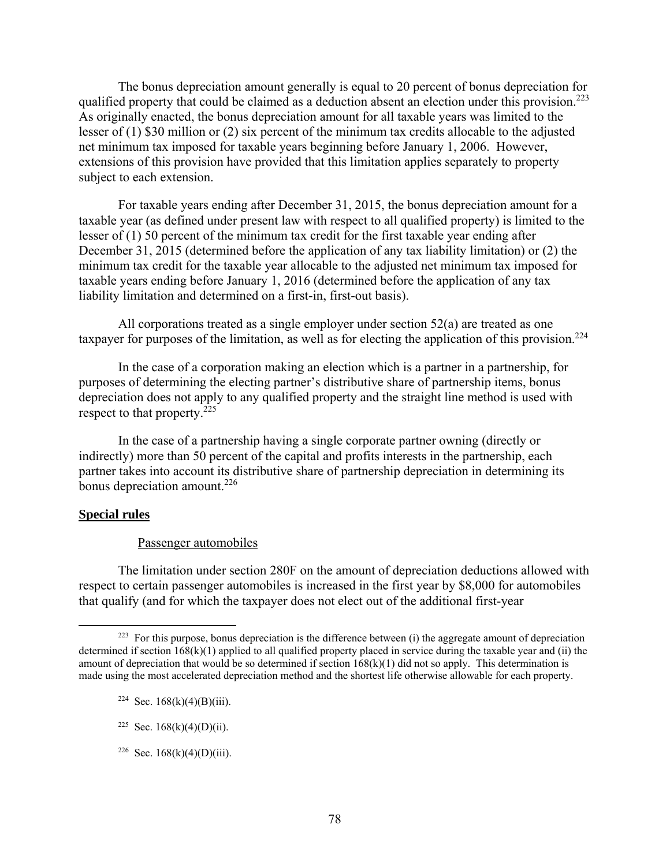The bonus depreciation amount generally is equal to 20 percent of bonus depreciation for qualified property that could be claimed as a deduction absent an election under this provision.<sup>223</sup> As originally enacted, the bonus depreciation amount for all taxable years was limited to the lesser of (1) \$30 million or (2) six percent of the minimum tax credits allocable to the adjusted net minimum tax imposed for taxable years beginning before January 1, 2006. However, extensions of this provision have provided that this limitation applies separately to property subject to each extension.

For taxable years ending after December 31, 2015, the bonus depreciation amount for a taxable year (as defined under present law with respect to all qualified property) is limited to the lesser of (1) 50 percent of the minimum tax credit for the first taxable year ending after December 31, 2015 (determined before the application of any tax liability limitation) or (2) the minimum tax credit for the taxable year allocable to the adjusted net minimum tax imposed for taxable years ending before January 1, 2016 (determined before the application of any tax liability limitation and determined on a first-in, first-out basis).

All corporations treated as a single employer under section 52(a) are treated as one taxpayer for purposes of the limitation, as well as for electing the application of this provision.<sup>224</sup>

In the case of a corporation making an election which is a partner in a partnership, for purposes of determining the electing partner's distributive share of partnership items, bonus depreciation does not apply to any qualified property and the straight line method is used with respect to that property.225

In the case of a partnership having a single corporate partner owning (directly or indirectly) more than 50 percent of the capital and profits interests in the partnership, each partner takes into account its distributive share of partnership depreciation in determining its bonus depreciation amount.<sup>226</sup>

## **Special rules**

#### Passenger automobiles

The limitation under section 280F on the amount of depreciation deductions allowed with respect to certain passenger automobiles is increased in the first year by \$8,000 for automobiles that qualify (and for which the taxpayer does not elect out of the additional first-year

<sup>226</sup> Sec. 168(k)(4)(D)(iii).

<sup>&</sup>lt;sup>223</sup> For this purpose, bonus depreciation is the difference between (i) the aggregate amount of depreciation determined if section  $168(k)(1)$  applied to all qualified property placed in service during the taxable year and (ii) the amount of depreciation that would be so determined if section  $168(k)(1)$  did not so apply. This determination is made using the most accelerated depreciation method and the shortest life otherwise allowable for each property.

<sup>&</sup>lt;sup>224</sup> Sec. 168(k)(4)(B)(iii).

<sup>&</sup>lt;sup>225</sup> Sec. 168(k)(4)(D)(ii).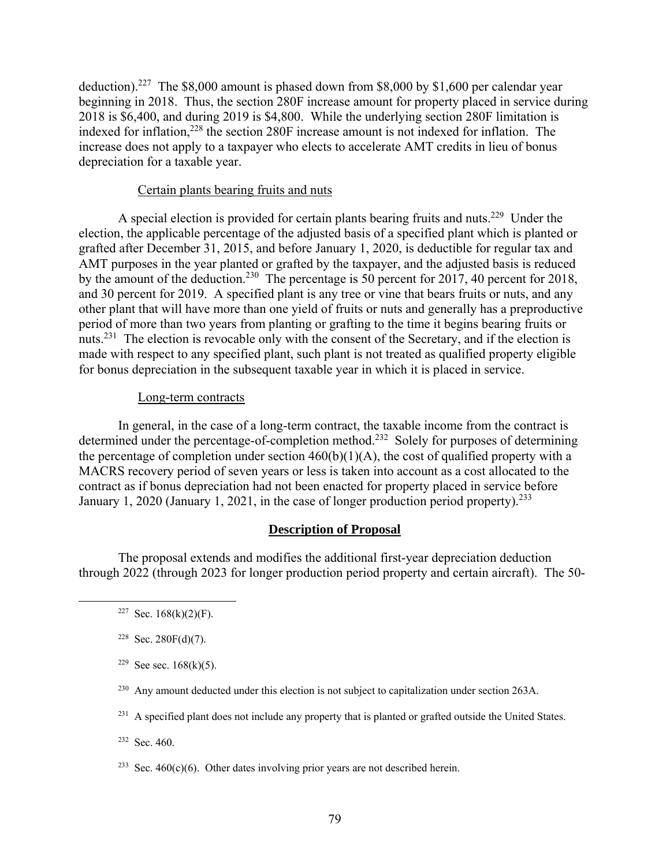deduction).<sup>227</sup> The \$8,000 amount is phased down from \$8,000 by \$1,600 per calendar year beginning in 2018. Thus, the section 280F increase amount for property placed in service during 2018 is \$6,400, and during 2019 is \$4,800. While the underlying section 280F limitation is indexed for inflation,228 the section 280F increase amount is not indexed for inflation. The increase does not apply to a taxpayer who elects to accelerate AMT credits in lieu of bonus depreciation for a taxable year.

## Certain plants bearing fruits and nuts

A special election is provided for certain plants bearing fruits and nuts.<sup>229</sup> Under the election, the applicable percentage of the adjusted basis of a specified plant which is planted or grafted after December 31, 2015, and before January 1, 2020, is deductible for regular tax and AMT purposes in the year planted or grafted by the taxpayer, and the adjusted basis is reduced by the amount of the deduction.<sup>230</sup> The percentage is 50 percent for 2017, 40 percent for 2018, and 30 percent for 2019. A specified plant is any tree or vine that bears fruits or nuts, and any other plant that will have more than one yield of fruits or nuts and generally has a preproductive period of more than two years from planting or grafting to the time it begins bearing fruits or nuts.<sup>231</sup> The election is revocable only with the consent of the Secretary, and if the election is made with respect to any specified plant, such plant is not treated as qualified property eligible for bonus depreciation in the subsequent taxable year in which it is placed in service.

#### Long-term contracts

In general, in the case of a long-term contract, the taxable income from the contract is determined under the percentage-of-completion method.<sup>232</sup> Solely for purposes of determining the percentage of completion under section  $460(b)(1)(A)$ , the cost of qualified property with a MACRS recovery period of seven years or less is taken into account as a cost allocated to the contract as if bonus depreciation had not been enacted for property placed in service before January 1, 2020 (January 1, 2021, in the case of longer production period property).<sup>233</sup>

## **Description of Proposal**

The proposal extends and modifies the additional first-year depreciation deduction through 2022 (through 2023 for longer production period property and certain aircraft). The 50-

<sup>227</sup> Sec. 168(k)(2)(F).

 $228$  Sec. 280F(d)(7).

<sup>229</sup> See sec.  $168(k)(5)$ .

<sup>230</sup> Any amount deducted under this election is not subject to capitalization under section 263A.

<sup>231</sup> A specified plant does not include any property that is planted or grafted outside the United States.

232 Sec. 460.

<sup>233</sup> Sec. 460(c)(6). Other dates involving prior years are not described herein.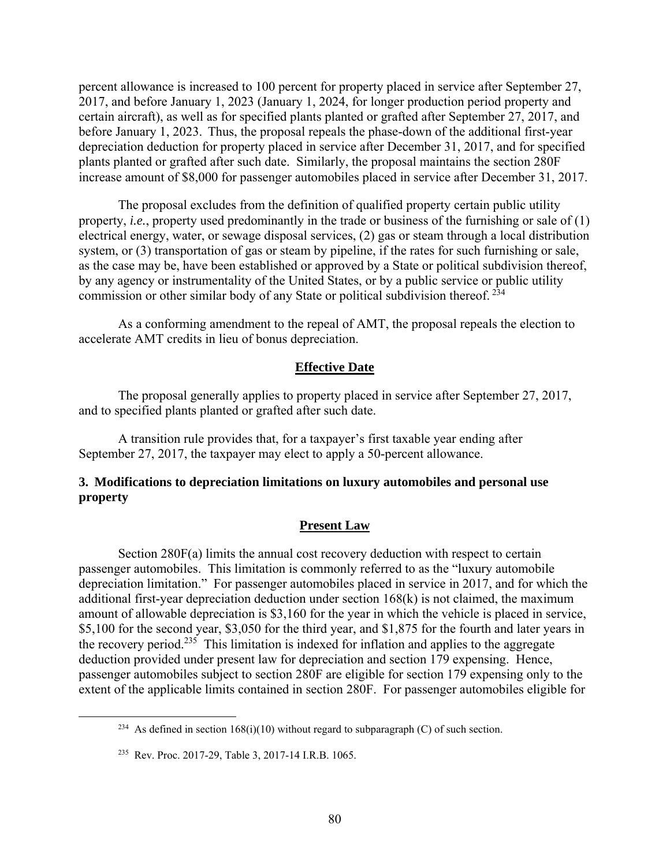percent allowance is increased to 100 percent for property placed in service after September 27, 2017, and before January 1, 2023 (January 1, 2024, for longer production period property and certain aircraft), as well as for specified plants planted or grafted after September 27, 2017, and before January 1, 2023. Thus, the proposal repeals the phase-down of the additional first-year depreciation deduction for property placed in service after December 31, 2017, and for specified plants planted or grafted after such date. Similarly, the proposal maintains the section 280F increase amount of \$8,000 for passenger automobiles placed in service after December 31, 2017.

The proposal excludes from the definition of qualified property certain public utility property, *i.e.*, property used predominantly in the trade or business of the furnishing or sale of (1) electrical energy, water, or sewage disposal services, (2) gas or steam through a local distribution system, or (3) transportation of gas or steam by pipeline, if the rates for such furnishing or sale, as the case may be, have been established or approved by a State or political subdivision thereof, by any agency or instrumentality of the United States, or by a public service or public utility commission or other similar body of any State or political subdivision thereof. 234

As a conforming amendment to the repeal of AMT, the proposal repeals the election to accelerate AMT credits in lieu of bonus depreciation.

## **Effective Date**

The proposal generally applies to property placed in service after September 27, 2017, and to specified plants planted or grafted after such date.

A transition rule provides that, for a taxpayer's first taxable year ending after September 27, 2017, the taxpayer may elect to apply a 50-percent allowance.

## **3. Modifications to depreciation limitations on luxury automobiles and personal use property**

## **Present Law**

Section 280F(a) limits the annual cost recovery deduction with respect to certain passenger automobiles. This limitation is commonly referred to as the "luxury automobile depreciation limitation." For passenger automobiles placed in service in 2017, and for which the additional first-year depreciation deduction under section 168(k) is not claimed, the maximum amount of allowable depreciation is \$3,160 for the year in which the vehicle is placed in service, \$5,100 for the second year, \$3,050 for the third year, and \$1,875 for the fourth and later years in the recovery period.<sup>235</sup> This limitation is indexed for inflation and applies to the aggregate deduction provided under present law for depreciation and section 179 expensing. Hence, passenger automobiles subject to section 280F are eligible for section 179 expensing only to the extent of the applicable limits contained in section 280F. For passenger automobiles eligible for

<sup>&</sup>lt;sup>234</sup> As defined in section 168(i)(10) without regard to subparagraph (C) of such section.

<sup>235</sup> Rev. Proc. 2017-29, Table 3, 2017-14 I.R.B. 1065.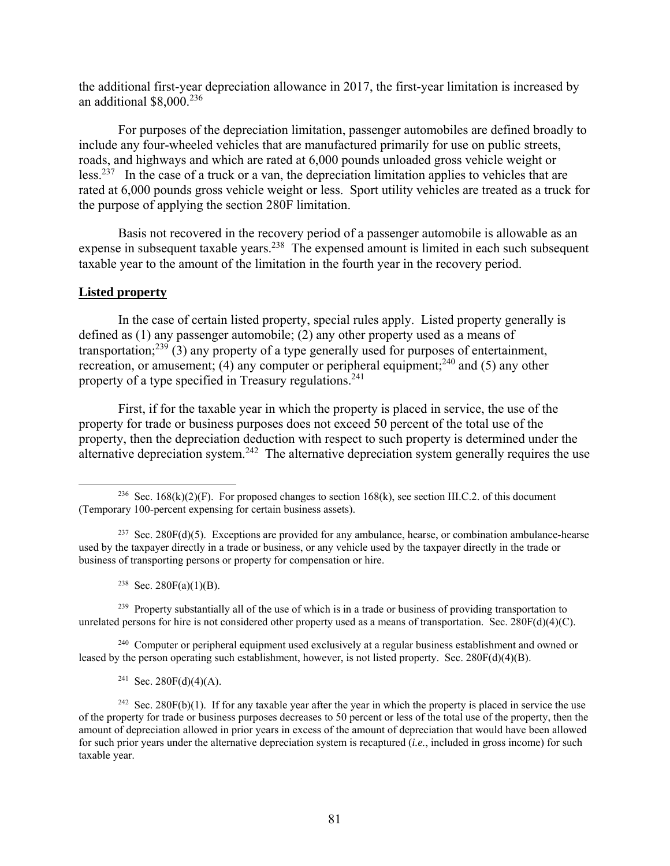the additional first-year depreciation allowance in 2017, the first-year limitation is increased by an additional \$8,000.236

For purposes of the depreciation limitation, passenger automobiles are defined broadly to include any four-wheeled vehicles that are manufactured primarily for use on public streets, roads, and highways and which are rated at 6,000 pounds unloaded gross vehicle weight or less.<sup>237</sup> In the case of a truck or a van, the depreciation limitation applies to vehicles that are rated at 6,000 pounds gross vehicle weight or less. Sport utility vehicles are treated as a truck for the purpose of applying the section 280F limitation.

Basis not recovered in the recovery period of a passenger automobile is allowable as an expense in subsequent taxable years.<sup>238</sup> The expensed amount is limited in each such subsequent taxable year to the amount of the limitation in the fourth year in the recovery period.

### **Listed property**

In the case of certain listed property, special rules apply. Listed property generally is defined as (1) any passenger automobile; (2) any other property used as a means of transportation;<sup>239</sup> (3) any property of a type generally used for purposes of entertainment, recreation, or amusement; (4) any computer or peripheral equipment;<sup>240</sup> and (5) any other property of a type specified in Treasury regulations.<sup>241</sup>

First, if for the taxable year in which the property is placed in service, the use of the property for trade or business purposes does not exceed 50 percent of the total use of the property, then the depreciation deduction with respect to such property is determined under the alternative depreciation system.<sup>242</sup> The alternative depreciation system generally requires the use

<sup>238</sup> Sec. 280F(a)(1)(B).

<sup>239</sup> Property substantially all of the use of which is in a trade or business of providing transportation to unrelated persons for hire is not considered other property used as a means of transportation. Sec. 280F(d)(4)(C).

<sup>240</sup> Computer or peripheral equipment used exclusively at a regular business establishment and owned or leased by the person operating such establishment, however, is not listed property. Sec. 280F(d)(4)(B).

<sup>241</sup> Sec. 280F(d)(4)(A).

<sup>&</sup>lt;sup>236</sup> Sec. 168(k)(2)(F). For proposed changes to section 168(k), see section III.C.2. of this document (Temporary 100-percent expensing for certain business assets).

<sup>&</sup>lt;sup>237</sup> Sec. 280 $F(d)(5)$ . Exceptions are provided for any ambulance, hearse, or combination ambulance-hearse used by the taxpayer directly in a trade or business, or any vehicle used by the taxpayer directly in the trade or business of transporting persons or property for compensation or hire.

<sup>&</sup>lt;sup>242</sup> Sec. 280F(b)(1). If for any taxable year after the year in which the property is placed in service the use of the property for trade or business purposes decreases to 50 percent or less of the total use of the property, then the amount of depreciation allowed in prior years in excess of the amount of depreciation that would have been allowed for such prior years under the alternative depreciation system is recaptured (*i.e.*, included in gross income) for such taxable year.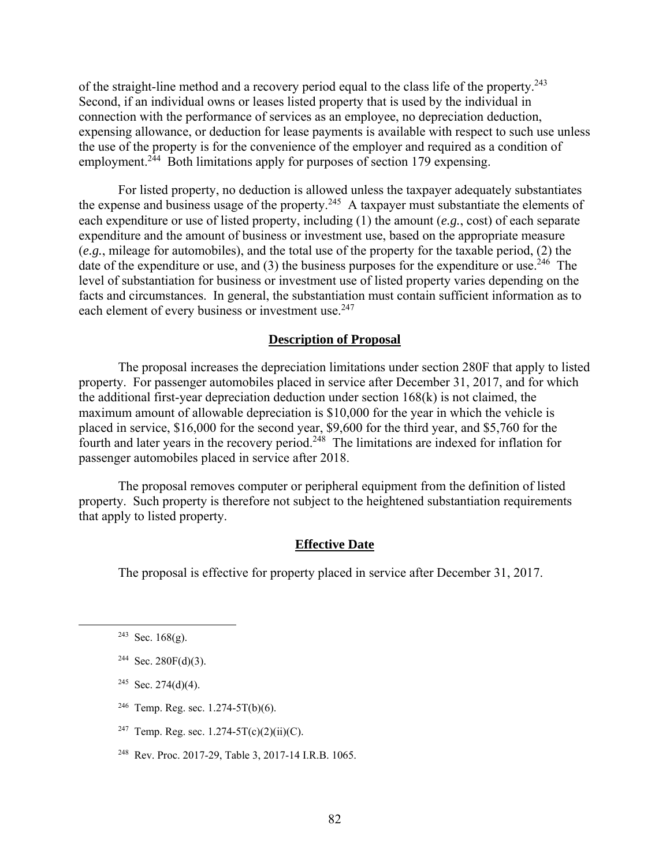of the straight-line method and a recovery period equal to the class life of the property.<sup>243</sup> Second, if an individual owns or leases listed property that is used by the individual in connection with the performance of services as an employee, no depreciation deduction, expensing allowance, or deduction for lease payments is available with respect to such use unless the use of the property is for the convenience of the employer and required as a condition of employment.<sup>244</sup> Both limitations apply for purposes of section 179 expensing.

For listed property, no deduction is allowed unless the taxpayer adequately substantiates the expense and business usage of the property.<sup>245</sup> A taxpayer must substantiate the elements of each expenditure or use of listed property, including (1) the amount (*e.g.*, cost) of each separate expenditure and the amount of business or investment use, based on the appropriate measure (*e.g.*, mileage for automobiles), and the total use of the property for the taxable period, (2) the date of the expenditure or use, and (3) the business purposes for the expenditure or use.<sup>246</sup> The level of substantiation for business or investment use of listed property varies depending on the facts and circumstances. In general, the substantiation must contain sufficient information as to each element of every business or investment use.<sup>247</sup>

## **Description of Proposal**

The proposal increases the depreciation limitations under section 280F that apply to listed property. For passenger automobiles placed in service after December 31, 2017, and for which the additional first-year depreciation deduction under section 168(k) is not claimed, the maximum amount of allowable depreciation is \$10,000 for the year in which the vehicle is placed in service, \$16,000 for the second year, \$9,600 for the third year, and \$5,760 for the fourth and later years in the recovery period.<sup>248</sup> The limitations are indexed for inflation for passenger automobiles placed in service after 2018.

The proposal removes computer or peripheral equipment from the definition of listed property. Such property is therefore not subject to the heightened substantiation requirements that apply to listed property.

#### **Effective Date**

The proposal is effective for property placed in service after December 31, 2017.

- <sup>246</sup> Temp. Reg. sec.  $1.274 5T(b)(6)$ .
- <sup>247</sup> Temp. Reg. sec.  $1.274 5T(c)(2)(ii)(C)$ .
- 248 Rev. Proc. 2017-29, Table 3, 2017-14 I.R.B. 1065.

 $243$  Sec. 168(g).

 $244$  Sec. 280F(d)(3).

 $245$  Sec. 274(d)(4).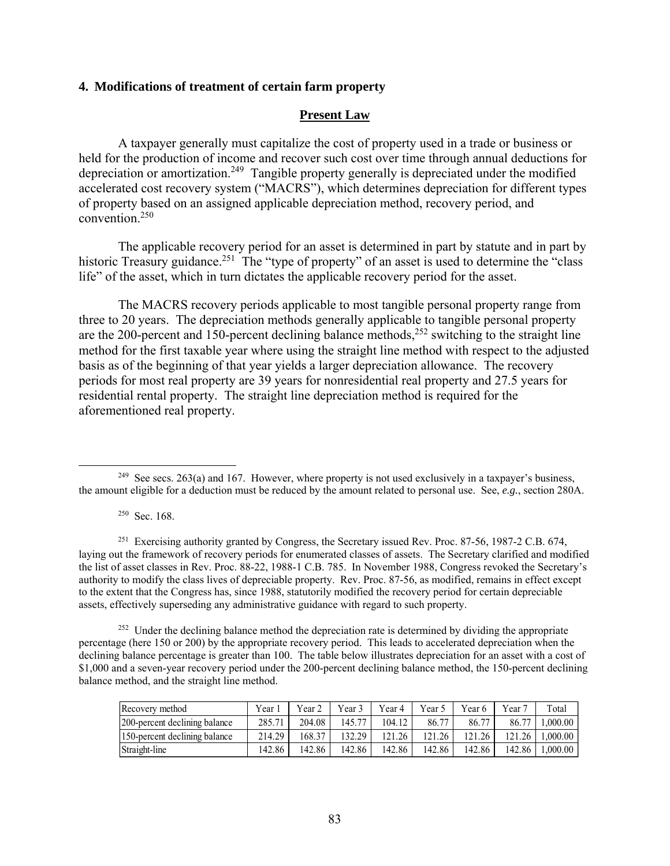## **4. Modifications of treatment of certain farm property**

## **Present Law**

A taxpayer generally must capitalize the cost of property used in a trade or business or held for the production of income and recover such cost over time through annual deductions for depreciation or amortization.<sup>249</sup> Tangible property generally is depreciated under the modified accelerated cost recovery system ("MACRS"), which determines depreciation for different types of property based on an assigned applicable depreciation method, recovery period, and convention.250

The applicable recovery period for an asset is determined in part by statute and in part by historic Treasury guidance.<sup>251</sup> The "type of property" of an asset is used to determine the "class" life" of the asset, which in turn dictates the applicable recovery period for the asset.

The MACRS recovery periods applicable to most tangible personal property range from three to 20 years. The depreciation methods generally applicable to tangible personal property are the 200-percent and 150-percent declining balance methods,<sup>252</sup> switching to the straight line method for the first taxable year where using the straight line method with respect to the adjusted basis as of the beginning of that year yields a larger depreciation allowance. The recovery periods for most real property are 39 years for nonresidential real property and 27.5 years for residential rental property. The straight line depreciation method is required for the aforementioned real property.

250 Sec. 168.

251 Exercising authority granted by Congress, the Secretary issued Rev. Proc. 87-56, 1987-2 C.B. 674, laying out the framework of recovery periods for enumerated classes of assets. The Secretary clarified and modified the list of asset classes in Rev. Proc. 88-22, 1988-1 C.B. 785. In November 1988, Congress revoked the Secretary's authority to modify the class lives of depreciable property. Rev. Proc. 87-56, as modified, remains in effect except to the extent that the Congress has, since 1988, statutorily modified the recovery period for certain depreciable assets, effectively superseding any administrative guidance with regard to such property.

<sup>252</sup> Under the declining balance method the depreciation rate is determined by dividing the appropriate percentage (here 150 or 200) by the appropriate recovery period. This leads to accelerated depreciation when the declining balance percentage is greater than 100. The table below illustrates depreciation for an asset with a cost of \$1,000 and a seven-year recovery period under the 200-percent declining balance method, the 150-percent declining balance method, and the straight line method.

| Recovery method               | $Year_1$ | Year 2 | Year 3 | Year 4 | Year 5 | V <sub>ear 6</sub> | Year 7 | Total   |
|-------------------------------|----------|--------|--------|--------|--------|--------------------|--------|---------|
| 200-percent declining balance | 285.71   | 204.08 | 145.77 | 104.12 | 86.77  | 86.77              | 86.77  | .000.00 |
| 150-percent declining balance | 214.29   | 168.37 | 32.29  | 121.26 | 121.26 | 121.26             | 26     | .000.00 |
| Straight-line                 | 142.86   | 142.86 | 142.86 | 142.86 | 142.86 | 142.86             | 142.86 | .000.00 |

<sup>&</sup>lt;sup>249</sup> See secs. 263(a) and 167. However, where property is not used exclusively in a taxpayer's business, the amount eligible for a deduction must be reduced by the amount related to personal use. See, *e.g.*, section 280A.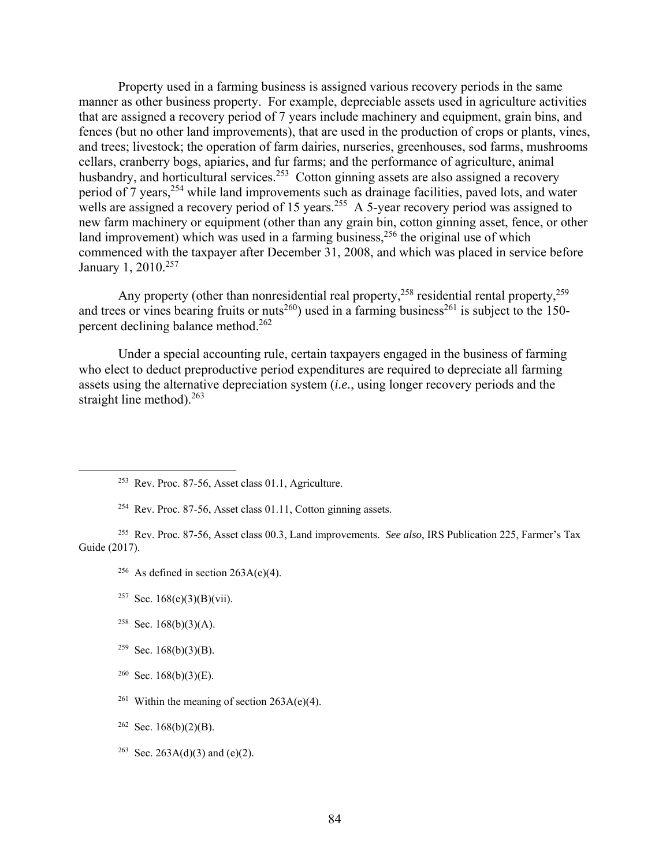Property used in a farming business is assigned various recovery periods in the same manner as other business property. For example, depreciable assets used in agriculture activities that are assigned a recovery period of 7 years include machinery and equipment, grain bins, and fences (but no other land improvements), that are used in the production of crops or plants, vines, and trees; livestock; the operation of farm dairies, nurseries, greenhouses, sod farms, mushrooms cellars, cranberry bogs, apiaries, and fur farms; and the performance of agriculture, animal husbandry, and horticultural services.<sup>253</sup> Cotton ginning assets are also assigned a recovery period of 7 years,<sup>254</sup> while land improvements such as drainage facilities, paved lots, and water wells are assigned a recovery period of 15 years.<sup>255</sup> A 5-year recovery period was assigned to new farm machinery or equipment (other than any grain bin, cotton ginning asset, fence, or other land improvement) which was used in a farming business,  $256$  the original use of which commenced with the taxpayer after December 31, 2008, and which was placed in service before January 1, 2010.<sup>257</sup>

Any property (other than nonresidential real property,  $258$  residential rental property,  $259$ and trees or vines bearing fruits or nuts<sup>260</sup>) used in a farming business<sup>261</sup> is subject to the 150percent declining balance method.262

Under a special accounting rule, certain taxpayers engaged in the business of farming who elect to deduct preproductive period expenditures are required to depreciate all farming assets using the alternative depreciation system (*i.e.*, using longer recovery periods and the straight line method). $263$ 

255 Rev. Proc. 87-56, Asset class 00.3, Land improvements. *See also*, IRS Publication 225, Farmer's Tax Guide (2017).

- <sup>256</sup> As defined in section  $263A(e)(4)$ .
- <sup>257</sup> Sec. 168(e)(3)(B)(vii).
- <sup>258</sup> Sec. 168(b)(3)(A).
- <sup>259</sup> Sec. 168(b)(3)(B).
- $260$  Sec. 168(b)(3)(E).
- <sup>261</sup> Within the meaning of section  $263A(e)(4)$ .
- $262$  Sec. 168(b)(2)(B).
- <sup>263</sup> Sec. 263A(d)(3) and (e)(2).

<sup>&</sup>lt;sup>253</sup> Rev. Proc. 87-56, Asset class 01.1, Agriculture.

<sup>254</sup> Rev. Proc. 87-56, Asset class 01.11, Cotton ginning assets.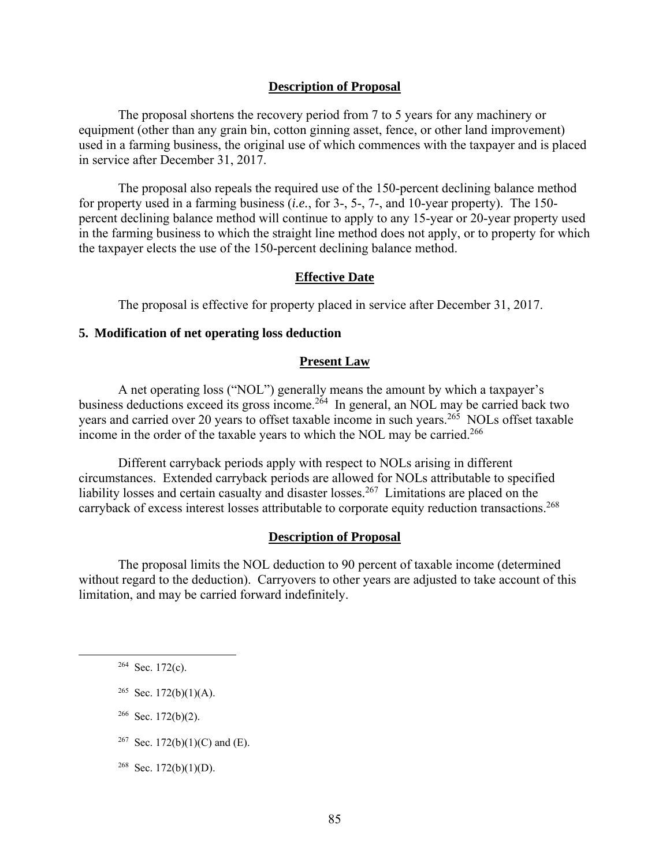### **Description of Proposal**

The proposal shortens the recovery period from 7 to 5 years for any machinery or equipment (other than any grain bin, cotton ginning asset, fence, or other land improvement) used in a farming business, the original use of which commences with the taxpayer and is placed in service after December 31, 2017.

The proposal also repeals the required use of the 150-percent declining balance method for property used in a farming business (*i.e.*, for 3-, 5-, 7-, and 10-year property). The 150 percent declining balance method will continue to apply to any 15-year or 20-year property used in the farming business to which the straight line method does not apply, or to property for which the taxpayer elects the use of the 150-percent declining balance method.

#### **Effective Date**

The proposal is effective for property placed in service after December 31, 2017.

## **5. Modification of net operating loss deduction**

## **Present Law**

A net operating loss ("NOL") generally means the amount by which a taxpayer's business deductions exceed its gross income.<sup>264</sup> In general, an NOL may be carried back two years and carried over 20 years to offset taxable income in such years.<sup>265</sup> NOLs offset taxable income in the order of the taxable years to which the NOL may be carried.<sup>266</sup>

Different carryback periods apply with respect to NOLs arising in different circumstances. Extended carryback periods are allowed for NOLs attributable to specified liability losses and certain casualty and disaster losses.<sup>267</sup> Limitations are placed on the carryback of excess interest losses attributable to corporate equity reduction transactions.<sup>268</sup>

#### **Description of Proposal**

The proposal limits the NOL deduction to 90 percent of taxable income (determined without regard to the deduction). Carryovers to other years are adjusted to take account of this limitation, and may be carried forward indefinitely.

 $266$  Sec. 172(b)(2).

- <sup>267</sup> Sec. 172(b)(1)(C) and (E).
- <sup>268</sup> Sec. 172(b)(1)(D).

 $264$  Sec. 172(c).

 $265$  Sec. 172(b)(1)(A).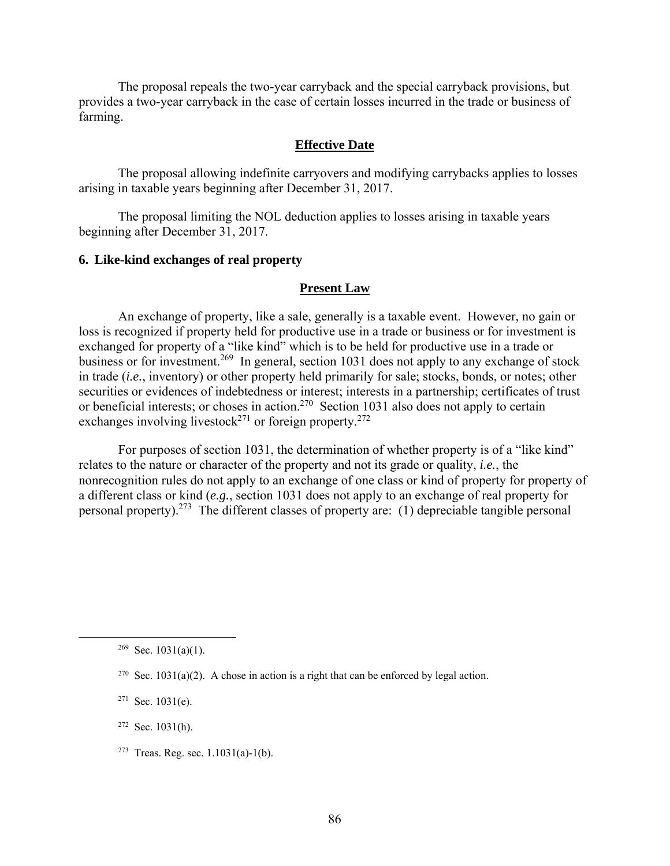The proposal repeals the two-year carryback and the special carryback provisions, but provides a two-year carryback in the case of certain losses incurred in the trade or business of farming.

#### **Effective Date**

The proposal allowing indefinite carryovers and modifying carrybacks applies to losses arising in taxable years beginning after December 31, 2017.

The proposal limiting the NOL deduction applies to losses arising in taxable years beginning after December 31, 2017.

#### **6. Like-kind exchanges of real property**

## **Present Law**

An exchange of property, like a sale, generally is a taxable event. However, no gain or loss is recognized if property held for productive use in a trade or business or for investment is exchanged for property of a "like kind" which is to be held for productive use in a trade or business or for investment.<sup>269</sup> In general, section 1031 does not apply to any exchange of stock in trade (*i.e.*, inventory) or other property held primarily for sale; stocks, bonds, or notes; other securities or evidences of indebtedness or interest; interests in a partnership; certificates of trust or beneficial interests; or choses in action.<sup>270</sup> Section 1031 also does not apply to certain exchanges involving livestock<sup>271</sup> or foreign property.<sup>272</sup>

For purposes of section 1031, the determination of whether property is of a "like kind" relates to the nature or character of the property and not its grade or quality, *i.e.*, the nonrecognition rules do not apply to an exchange of one class or kind of property for property of a different class or kind (*e.g.*, section 1031 does not apply to an exchange of real property for personal property).273 The different classes of property are: (1) depreciable tangible personal

 $269$  Sec. 1031(a)(1).

 $272$  Sec. 1031(h).

<sup>273</sup> Treas. Reg. sec.  $1.1031(a)-1(b)$ .

<sup>&</sup>lt;sup>270</sup> Sec. 1031(a)(2). A chose in action is a right that can be enforced by legal action.

 $271$  Sec. 1031(e).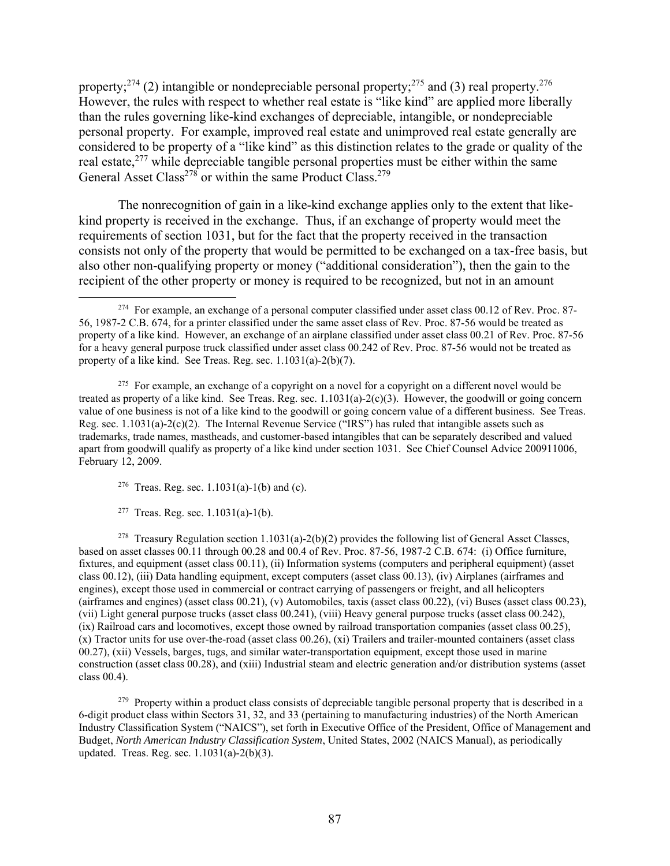property;<sup>274</sup> (2) intangible or nondepreciable personal property;<sup>275</sup> and (3) real property.<sup>276</sup> However, the rules with respect to whether real estate is "like kind" are applied more liberally than the rules governing like-kind exchanges of depreciable, intangible, or nondepreciable personal property. For example, improved real estate and unimproved real estate generally are considered to be property of a "like kind" as this distinction relates to the grade or quality of the real estate,<sup>277</sup> while depreciable tangible personal properties must be either within the same General Asset Class<sup>278</sup> or within the same Product Class.<sup>279</sup>

The nonrecognition of gain in a like-kind exchange applies only to the extent that likekind property is received in the exchange. Thus, if an exchange of property would meet the requirements of section 1031, but for the fact that the property received in the transaction consists not only of the property that would be permitted to be exchanged on a tax-free basis, but also other non-qualifying property or money ("additional consideration"), then the gain to the recipient of the other property or money is required to be recognized, but not in an amount

- <sup>276</sup> Treas. Reg. sec.  $1.1031(a)-1(b)$  and (c).
- <sup>277</sup> Treas. Reg. sec.  $1.1031(a)-1(b)$ .

<sup>278</sup> Treasury Regulation section  $1.1031(a)-2(b)(2)$  provides the following list of General Asset Classes, based on asset classes 00.11 through 00.28 and 00.4 of Rev. Proc. 87-56, 1987-2 C.B. 674: (i) Office furniture, fixtures, and equipment (asset class 00.11), (ii) Information systems (computers and peripheral equipment) (asset class 00.12), (iii) Data handling equipment, except computers (asset class 00.13), (iv) Airplanes (airframes and engines), except those used in commercial or contract carrying of passengers or freight, and all helicopters (airframes and engines) (asset class 00.21), (v) Automobiles, taxis (asset class 00.22), (vi) Buses (asset class 00.23), (vii) Light general purpose trucks (asset class 00.241), (viii) Heavy general purpose trucks (asset class 00.242), (ix) Railroad cars and locomotives, except those owned by railroad transportation companies (asset class 00.25), (x) Tractor units for use over-the-road (asset class 00.26), (xi) Trailers and trailer-mounted containers (asset class 00.27), (xii) Vessels, barges, tugs, and similar water-transportation equipment, except those used in marine construction (asset class 00.28), and (xiii) Industrial steam and electric generation and/or distribution systems (asset class 00.4).

<sup>279</sup> Property within a product class consists of depreciable tangible personal property that is described in a 6-digit product class within Sectors 31, 32, and 33 (pertaining to manufacturing industries) of the North American Industry Classification System ("NAICS"), set forth in Executive Office of the President, Office of Management and Budget, *North American Industry Classification System*, United States, 2002 (NAICS Manual), as periodically updated. Treas. Reg. sec. 1.1031(a)-2(b)(3).

<sup>&</sup>lt;sup>274</sup> For example, an exchange of a personal computer classified under asset class 00.12 of Rev. Proc. 87-56, 1987-2 C.B. 674, for a printer classified under the same asset class of Rev. Proc. 87-56 would be treated as property of a like kind. However, an exchange of an airplane classified under asset class 00.21 of Rev. Proc. 87-56 for a heavy general purpose truck classified under asset class 00.242 of Rev. Proc. 87-56 would not be treated as property of a like kind. See Treas. Reg. sec. 1.1031(a)-2(b)(7).

<sup>&</sup>lt;sup>275</sup> For example, an exchange of a copyright on a novel for a copyright on a different novel would be treated as property of a like kind. See Treas. Reg. sec. 1.1031(a)-2(c)(3). However, the goodwill or going concern value of one business is not of a like kind to the goodwill or going concern value of a different business. See Treas. Reg. sec.  $1.1031(a)-2(c)(2)$ . The Internal Revenue Service ("IRS") has ruled that intangible assets such as trademarks, trade names, mastheads, and customer-based intangibles that can be separately described and valued apart from goodwill qualify as property of a like kind under section 1031. See Chief Counsel Advice 200911006, February 12, 2009.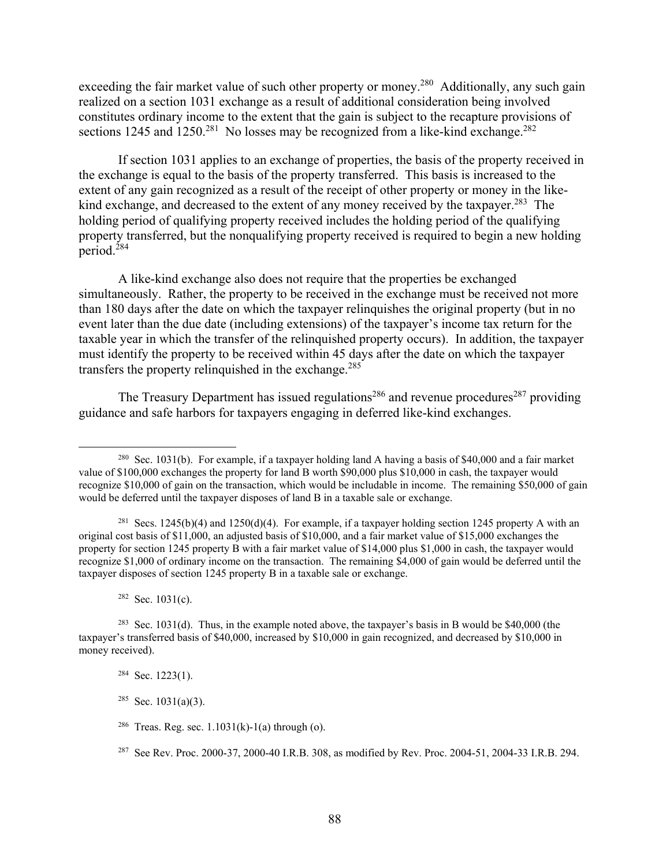exceeding the fair market value of such other property or money.<sup>280</sup> Additionally, any such gain realized on a section 1031 exchange as a result of additional consideration being involved constitutes ordinary income to the extent that the gain is subject to the recapture provisions of sections 1245 and 1250.<sup>281</sup> No losses may be recognized from a like-kind exchange.<sup>282</sup>

If section 1031 applies to an exchange of properties, the basis of the property received in the exchange is equal to the basis of the property transferred. This basis is increased to the extent of any gain recognized as a result of the receipt of other property or money in the likekind exchange, and decreased to the extent of any money received by the taxpayer.<sup>283</sup> The holding period of qualifying property received includes the holding period of the qualifying property transferred, but the nonqualifying property received is required to begin a new holding period.<sup>284</sup>

A like-kind exchange also does not require that the properties be exchanged simultaneously. Rather, the property to be received in the exchange must be received not more than 180 days after the date on which the taxpayer relinquishes the original property (but in no event later than the due date (including extensions) of the taxpayer's income tax return for the taxable year in which the transfer of the relinquished property occurs). In addition, the taxpayer must identify the property to be received within 45 days after the date on which the taxpayer transfers the property relinquished in the exchange.<sup>285</sup>

The Treasury Department has issued regulations<sup>286</sup> and revenue procedures<sup>287</sup> providing guidance and safe harbors for taxpayers engaging in deferred like-kind exchanges.

 $282$  Sec. 1031(c).

<sup>283</sup> Sec. 1031(d). Thus, in the example noted above, the taxpayer's basis in B would be \$40,000 (the taxpayer's transferred basis of \$40,000, increased by \$10,000 in gain recognized, and decreased by \$10,000 in money received).

<sup>&</sup>lt;sup>280</sup> Sec. 1031(b). For example, if a taxpayer holding land A having a basis of \$40,000 and a fair market value of \$100,000 exchanges the property for land B worth \$90,000 plus \$10,000 in cash, the taxpayer would recognize \$10,000 of gain on the transaction, which would be includable in income. The remaining \$50,000 of gain would be deferred until the taxpayer disposes of land B in a taxable sale or exchange.

<sup>&</sup>lt;sup>281</sup> Secs. 1245(b)(4) and 1250(d)(4). For example, if a taxpayer holding section 1245 property A with an original cost basis of \$11,000, an adjusted basis of \$10,000, and a fair market value of \$15,000 exchanges the property for section 1245 property B with a fair market value of \$14,000 plus \$1,000 in cash, the taxpayer would recognize \$1,000 of ordinary income on the transaction. The remaining \$4,000 of gain would be deferred until the taxpayer disposes of section 1245 property B in a taxable sale or exchange.

 $284$  Sec. 1223(1).

 $285$  Sec. 1031(a)(3).

<sup>&</sup>lt;sup>286</sup> Treas. Reg. sec.  $1.1031(k) - 1(a)$  through (o).

<sup>287</sup> See Rev. Proc. 2000-37, 2000-40 I.R.B. 308, as modified by Rev. Proc. 2004-51, 2004-33 I.R.B. 294.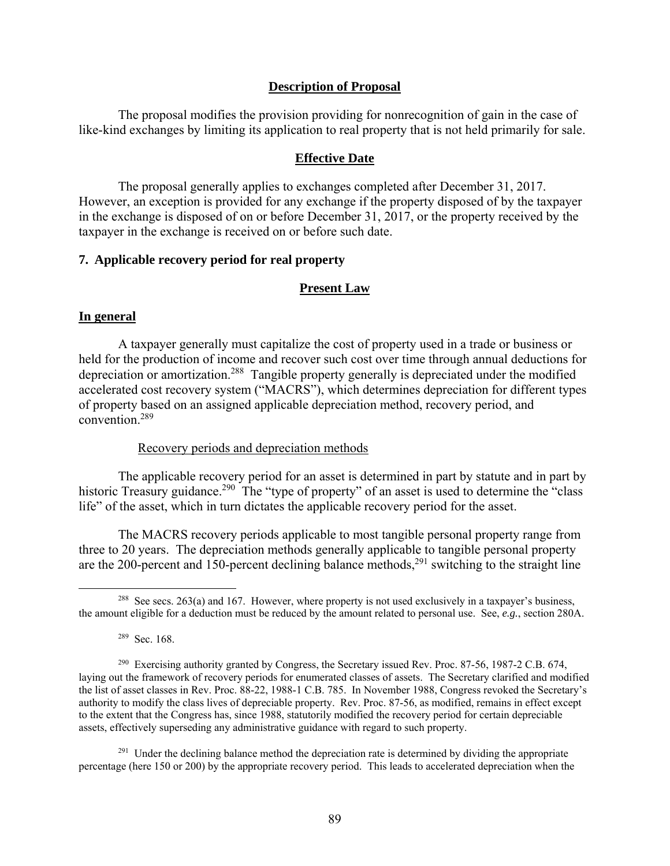## **Description of Proposal**

The proposal modifies the provision providing for nonrecognition of gain in the case of like-kind exchanges by limiting its application to real property that is not held primarily for sale.

## **Effective Date**

The proposal generally applies to exchanges completed after December 31, 2017. However, an exception is provided for any exchange if the property disposed of by the taxpayer in the exchange is disposed of on or before December 31, 2017, or the property received by the taxpayer in the exchange is received on or before such date.

### **7. Applicable recovery period for real property**

## **Present Law**

### **In general**

A taxpayer generally must capitalize the cost of property used in a trade or business or held for the production of income and recover such cost over time through annual deductions for depreciation or amortization.288 Tangible property generally is depreciated under the modified accelerated cost recovery system ("MACRS"), which determines depreciation for different types of property based on an assigned applicable depreciation method, recovery period, and convention<sup>289</sup>

### Recovery periods and depreciation methods

The applicable recovery period for an asset is determined in part by statute and in part by historic Treasury guidance.<sup>290</sup> The "type of property" of an asset is used to determine the "class" life" of the asset, which in turn dictates the applicable recovery period for the asset.

The MACRS recovery periods applicable to most tangible personal property range from three to 20 years. The depreciation methods generally applicable to tangible personal property are the 200-percent and 150-percent declining balance methods,<sup>291</sup> switching to the straight line

<sup>291</sup> Under the declining balance method the depreciation rate is determined by dividing the appropriate percentage (here 150 or 200) by the appropriate recovery period. This leads to accelerated depreciation when the

 <sup>288</sup> See secs. 263(a) and 167. However, where property is not used exclusively in a taxpayer's business, the amount eligible for a deduction must be reduced by the amount related to personal use. See, *e.g.*, section 280A.

<sup>289</sup> Sec. 168.

<sup>290</sup> Exercising authority granted by Congress, the Secretary issued Rev. Proc. 87-56, 1987-2 C.B. 674, laying out the framework of recovery periods for enumerated classes of assets. The Secretary clarified and modified the list of asset classes in Rev. Proc. 88-22, 1988-1 C.B. 785. In November 1988, Congress revoked the Secretary's authority to modify the class lives of depreciable property. Rev. Proc. 87-56, as modified, remains in effect except to the extent that the Congress has, since 1988, statutorily modified the recovery period for certain depreciable assets, effectively superseding any administrative guidance with regard to such property.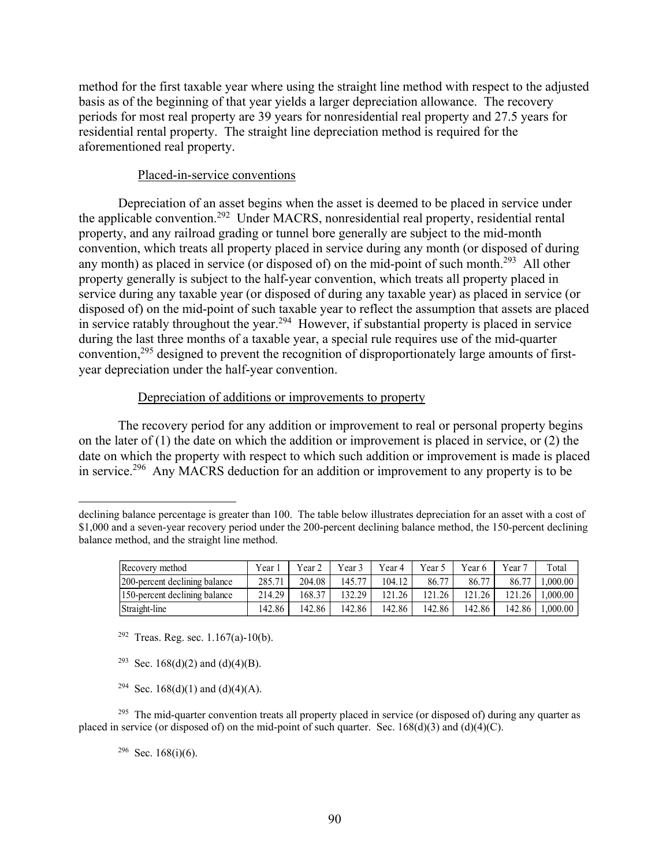method for the first taxable year where using the straight line method with respect to the adjusted basis as of the beginning of that year yields a larger depreciation allowance. The recovery periods for most real property are 39 years for nonresidential real property and 27.5 years for residential rental property. The straight line depreciation method is required for the aforementioned real property.

## Placed-in-service conventions

Depreciation of an asset begins when the asset is deemed to be placed in service under the applicable convention.292 Under MACRS, nonresidential real property, residential rental property, and any railroad grading or tunnel bore generally are subject to the mid-month convention, which treats all property placed in service during any month (or disposed of during any month) as placed in service (or disposed of) on the mid-point of such month.<sup>293</sup> All other property generally is subject to the half-year convention, which treats all property placed in service during any taxable year (or disposed of during any taxable year) as placed in service (or disposed of) on the mid-point of such taxable year to reflect the assumption that assets are placed in service ratably throughout the year.<sup>294</sup> However, if substantial property is placed in service during the last three months of a taxable year, a special rule requires use of the mid-quarter convention,295 designed to prevent the recognition of disproportionately large amounts of firstyear depreciation under the half-year convention.

## Depreciation of additions or improvements to property

The recovery period for any addition or improvement to real or personal property begins on the later of (1) the date on which the addition or improvement is placed in service, or (2) the date on which the property with respect to which such addition or improvement is made is placed in service.296 Any MACRS deduction for an addition or improvement to any property is to be

declining balance percentage is greater than 100. The table below illustrates depreciation for an asset with a cost of \$1,000 and a seven-year recovery period under the 200-percent declining balance method, the 150-percent declining balance method, and the straight line method.

| Recovery method               | Year   | Year 2 | Year 3 | Year 4 | Year 5 | Vear 6 | Year 7 | Total   |
|-------------------------------|--------|--------|--------|--------|--------|--------|--------|---------|
| 200-percent declining balance | 285.7  | 204.08 | 145.77 | 104.12 | 86.77  | 86.77  | 86.77  | .000.00 |
| 150-percent declining balance | 214.29 | 168.37 | 132.29 | 121.26 | 121.26 |        | .26    | .000.00 |
| Straight-line                 | 142.86 | 142.86 | 142.86 | 142.86 | 142.86 | 142.86 | 142.86 | .000.00 |

<sup>292</sup> Treas. Reg. sec.  $1.167(a) - 10(b)$ .

- <sup>293</sup> Sec. 168(d)(2) and (d)(4)(B).
- <sup>294</sup> Sec. 168(d)(1) and (d)(4)(A).

<sup>295</sup> The mid-quarter convention treats all property placed in service (or disposed of) during any quarter as placed in service (or disposed of) on the mid-point of such quarter. Sec.  $168(d)(3)$  and  $(d)(4)(C)$ .

 $296$  Sec. 168(i)(6).

 $\overline{a}$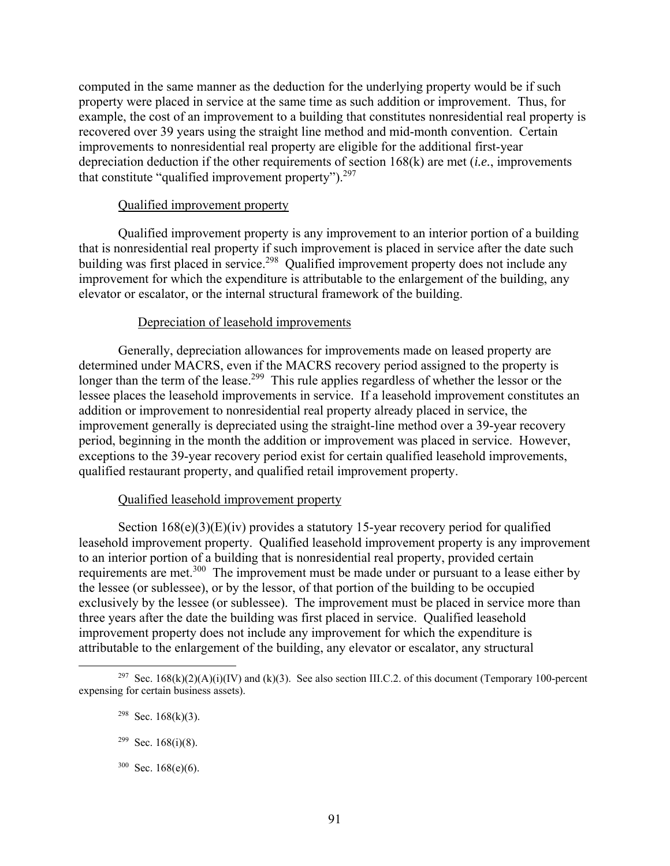computed in the same manner as the deduction for the underlying property would be if such property were placed in service at the same time as such addition or improvement. Thus, for example, the cost of an improvement to a building that constitutes nonresidential real property is recovered over 39 years using the straight line method and mid-month convention. Certain improvements to nonresidential real property are eligible for the additional first-year depreciation deduction if the other requirements of section 168(k) are met (*i.e.*, improvements that constitute "qualified improvement property"). $297$ 

## Qualified improvement property

Qualified improvement property is any improvement to an interior portion of a building that is nonresidential real property if such improvement is placed in service after the date such building was first placed in service.<sup>298</sup> Qualified improvement property does not include any improvement for which the expenditure is attributable to the enlargement of the building, any elevator or escalator, or the internal structural framework of the building.

## Depreciation of leasehold improvements

Generally, depreciation allowances for improvements made on leased property are determined under MACRS, even if the MACRS recovery period assigned to the property is longer than the term of the lease.<sup>299</sup> This rule applies regardless of whether the lessor or the lessee places the leasehold improvements in service. If a leasehold improvement constitutes an addition or improvement to nonresidential real property already placed in service, the improvement generally is depreciated using the straight-line method over a 39-year recovery period, beginning in the month the addition or improvement was placed in service. However, exceptions to the 39-year recovery period exist for certain qualified leasehold improvements, qualified restaurant property, and qualified retail improvement property.

## Qualified leasehold improvement property

Section  $168(e)(3)(E)(iv)$  provides a statutory 15-year recovery period for qualified leasehold improvement property. Qualified leasehold improvement property is any improvement to an interior portion of a building that is nonresidential real property, provided certain requirements are met.300 The improvement must be made under or pursuant to a lease either by the lessee (or sublessee), or by the lessor, of that portion of the building to be occupied exclusively by the lessee (or sublessee). The improvement must be placed in service more than three years after the date the building was first placed in service. Qualified leasehold improvement property does not include any improvement for which the expenditure is attributable to the enlargement of the building, any elevator or escalator, any structural

 $300$  Sec. 168(e)(6).

<sup>&</sup>lt;sup>297</sup> Sec.  $168(k)(2)(A)(i)(IV)$  and  $(k)(3)$ . See also section III.C.2. of this document (Temporary 100-percent expensing for certain business assets).

 $298$  Sec. 168(k)(3).

 $299$  Sec. 168(i)(8).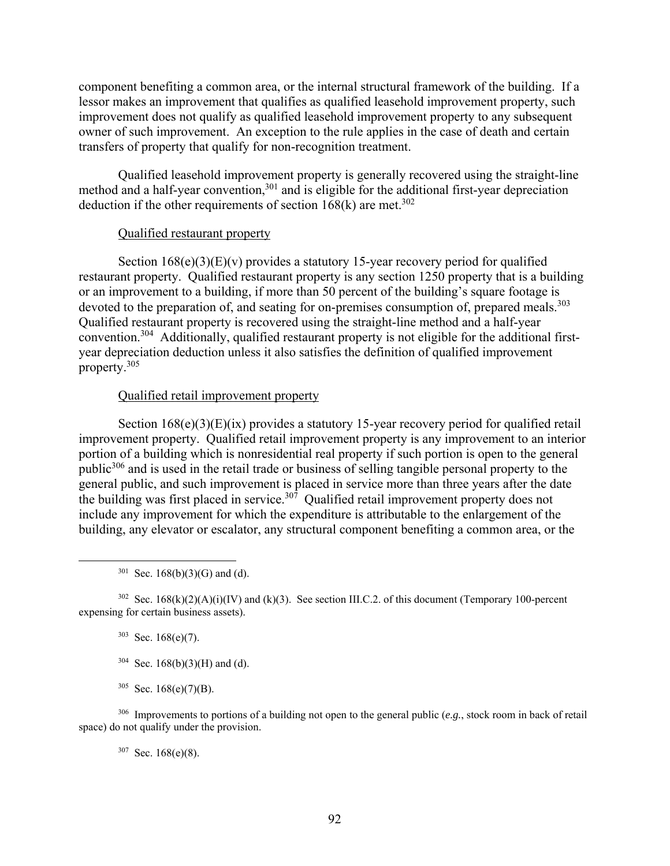component benefiting a common area, or the internal structural framework of the building. If a lessor makes an improvement that qualifies as qualified leasehold improvement property, such improvement does not qualify as qualified leasehold improvement property to any subsequent owner of such improvement. An exception to the rule applies in the case of death and certain transfers of property that qualify for non-recognition treatment.

Qualified leasehold improvement property is generally recovered using the straight-line method and a half-year convention,<sup>301</sup> and is eligible for the additional first-year depreciation deduction if the other requirements of section  $168(k)$  are met.<sup>302</sup>

### Qualified restaurant property

Section  $168(e)(3)(E)(v)$  provides a statutory 15-year recovery period for qualified restaurant property. Qualified restaurant property is any section 1250 property that is a building or an improvement to a building, if more than 50 percent of the building's square footage is devoted to the preparation of, and seating for on-premises consumption of, prepared meals.<sup>303</sup> Qualified restaurant property is recovered using the straight-line method and a half-year convention.304 Additionally, qualified restaurant property is not eligible for the additional firstyear depreciation deduction unless it also satisfies the definition of qualified improvement property.305

### Qualified retail improvement property

Section  $168(e)(3)(E)(ix)$  provides a statutory 15-year recovery period for qualified retail improvement property. Qualified retail improvement property is any improvement to an interior portion of a building which is nonresidential real property if such portion is open to the general public306 and is used in the retail trade or business of selling tangible personal property to the general public, and such improvement is placed in service more than three years after the date the building was first placed in service.<sup>307</sup> Qualified retail improvement property does not include any improvement for which the expenditure is attributable to the enlargement of the building, any elevator or escalator, any structural component benefiting a common area, or the

<sup>302</sup> Sec.  $168(k)(2)(A)(i)(IV)$  and  $(k)(3)$ . See section III.C.2. of this document (Temporary 100-percent expensing for certain business assets).

- $303$  Sec. 168(e)(7).
- $304$  Sec. 168(b)(3)(H) and (d).
- $305$  Sec. 168(e)(7)(B).

306 Improvements to portions of a building not open to the general public (*e.g.*, stock room in back of retail space) do not qualify under the provision.

 $307$  Sec. 168(e)(8).

 $301$  Sec. 168(b)(3)(G) and (d).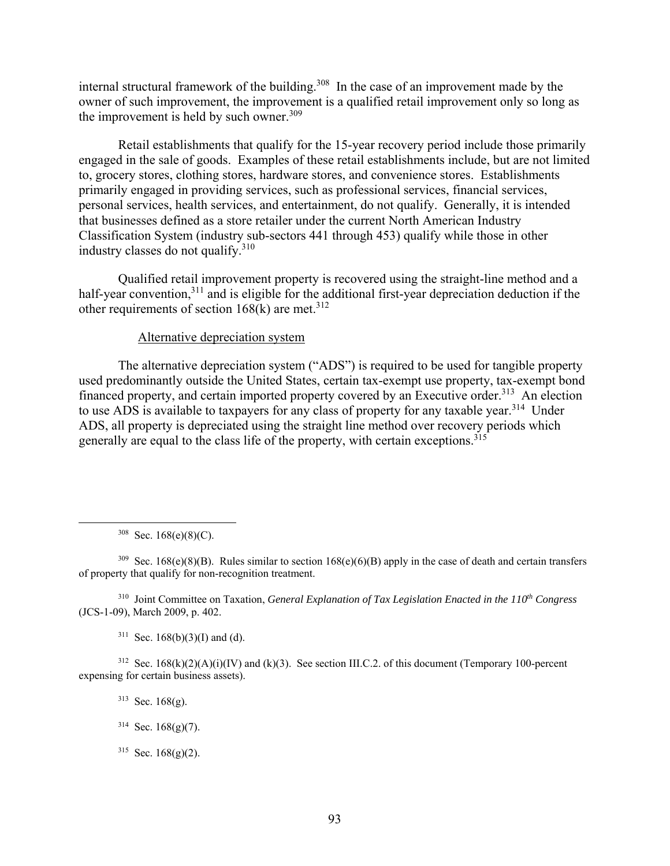internal structural framework of the building.<sup>308</sup> In the case of an improvement made by the owner of such improvement, the improvement is a qualified retail improvement only so long as the improvement is held by such owner. $309$ 

Retail establishments that qualify for the 15-year recovery period include those primarily engaged in the sale of goods. Examples of these retail establishments include, but are not limited to, grocery stores, clothing stores, hardware stores, and convenience stores. Establishments primarily engaged in providing services, such as professional services, financial services, personal services, health services, and entertainment, do not qualify. Generally, it is intended that businesses defined as a store retailer under the current North American Industry Classification System (industry sub-sectors 441 through 453) qualify while those in other industry classes do not qualify. $310$ 

Qualified retail improvement property is recovered using the straight-line method and a half-year convention,<sup>311</sup> and is eligible for the additional first-year depreciation deduction if the other requirements of section  $168(k)$  are met.<sup>312</sup>

## Alternative depreciation system

The alternative depreciation system ("ADS") is required to be used for tangible property used predominantly outside the United States, certain tax-exempt use property, tax-exempt bond financed property, and certain imported property covered by an Executive order.<sup>313</sup> An election to use ADS is available to taxpayers for any class of property for any taxable year.<sup>314</sup> Under ADS, all property is depreciated using the straight line method over recovery periods which generally are equal to the class life of the property, with certain exceptions.<sup>315</sup>

 $308$  Sec. 168(e)(8)(C).

<sup>309</sup> Sec. 168(e)(8)(B). Rules similar to section 168(e)(6)(B) apply in the case of death and certain transfers of property that qualify for non-recognition treatment.

<sup>310</sup> Joint Committee on Taxation, *General Explanation of Tax Legislation Enacted in the 110<sup>th</sup> Congress* (JCS-1-09), March 2009, p. 402.

 $311$  Sec. 168(b)(3)(I) and (d).

<sup>312</sup> Sec.  $168(k)(2)(A)(i)(IV)$  and  $(k)(3)$ . See section III.C.2. of this document (Temporary 100-percent expensing for certain business assets).

 $313$  Sec. 168(g).

 $314$  Sec. 168(g)(7).

 $315$  Sec. 168(g)(2).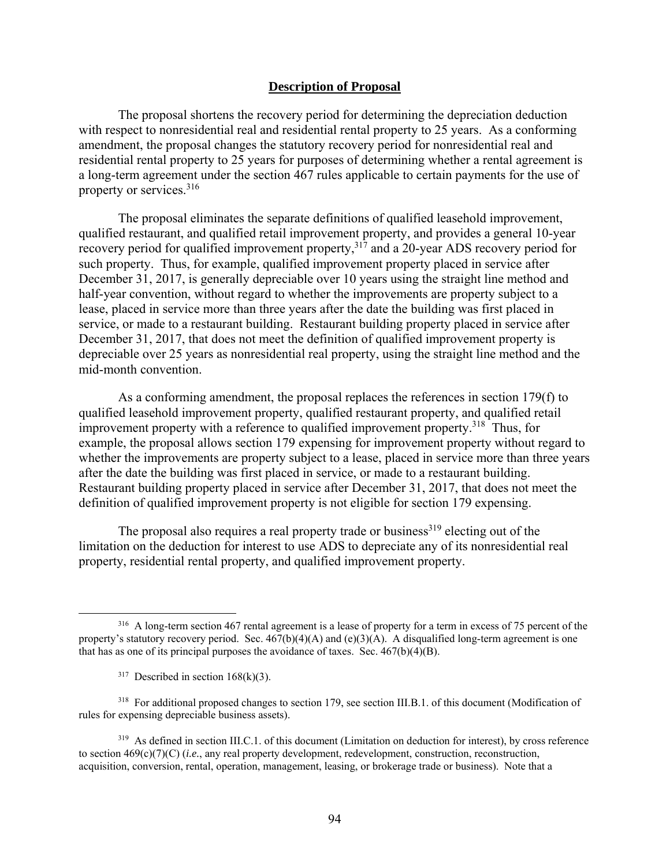### **Description of Proposal**

The proposal shortens the recovery period for determining the depreciation deduction with respect to nonresidential real and residential rental property to 25 years. As a conforming amendment, the proposal changes the statutory recovery period for nonresidential real and residential rental property to 25 years for purposes of determining whether a rental agreement is a long-term agreement under the section 467 rules applicable to certain payments for the use of property or services.  $316$ 

The proposal eliminates the separate definitions of qualified leasehold improvement, qualified restaurant, and qualified retail improvement property, and provides a general 10-year recovery period for qualified improvement property,<sup>317</sup> and a 20-year ADS recovery period for such property. Thus, for example, qualified improvement property placed in service after December 31, 2017, is generally depreciable over 10 years using the straight line method and half-year convention, without regard to whether the improvements are property subject to a lease, placed in service more than three years after the date the building was first placed in service, or made to a restaurant building. Restaurant building property placed in service after December 31, 2017, that does not meet the definition of qualified improvement property is depreciable over 25 years as nonresidential real property, using the straight line method and the mid-month convention.

As a conforming amendment, the proposal replaces the references in section 179(f) to qualified leasehold improvement property, qualified restaurant property, and qualified retail improvement property with a reference to qualified improvement property.318 Thus, for example, the proposal allows section 179 expensing for improvement property without regard to whether the improvements are property subject to a lease, placed in service more than three years after the date the building was first placed in service, or made to a restaurant building. Restaurant building property placed in service after December 31, 2017, that does not meet the definition of qualified improvement property is not eligible for section 179 expensing.

The proposal also requires a real property trade or business<sup>319</sup> electing out of the limitation on the deduction for interest to use ADS to depreciate any of its nonresidential real property, residential rental property, and qualified improvement property.

<sup>&</sup>lt;sup>316</sup> A long-term section 467 rental agreement is a lease of property for a term in excess of 75 percent of the property's statutory recovery period. Sec.  $467(b)(4)(A)$  and  $(e)(3)(A)$ . A disqualified long-term agreement is one that has as one of its principal purposes the avoidance of taxes. Sec. 467(b)(4)(B).

 $317$  Described in section 168(k)(3).

<sup>318</sup> For additional proposed changes to section 179, see section III.B.1. of this document (Modification of rules for expensing depreciable business assets).

<sup>&</sup>lt;sup>319</sup> As defined in section III.C.1. of this document (Limitation on deduction for interest), by cross reference to section 469(c)(7)(C) (*i.e.*, any real property development, redevelopment, construction, reconstruction, acquisition, conversion, rental, operation, management, leasing, or brokerage trade or business). Note that a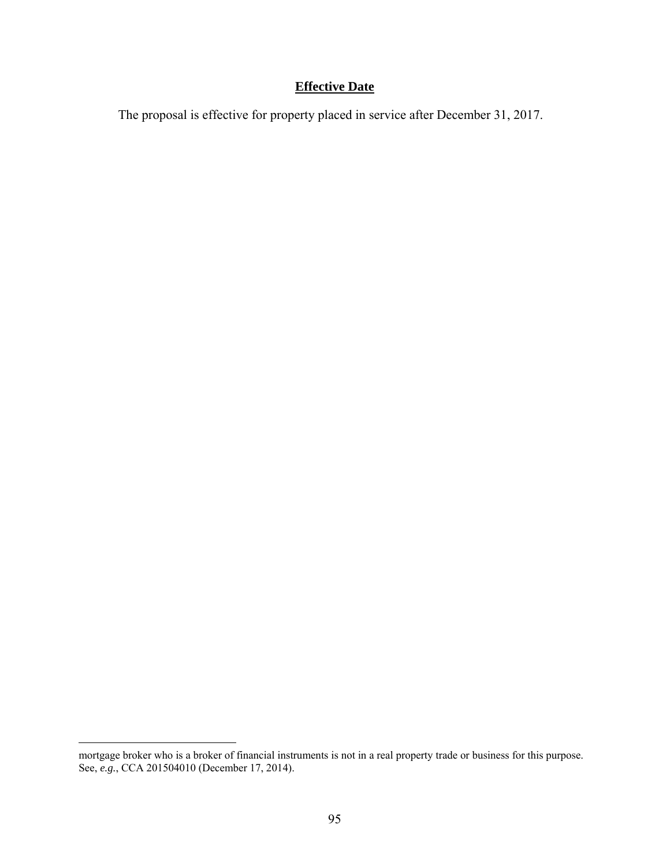# **Effective Date**

The proposal is effective for property placed in service after December 31, 2017.

 $\overline{a}$ 

mortgage broker who is a broker of financial instruments is not in a real property trade or business for this purpose. See, *e.g.*, CCA 201504010 (December 17, 2014).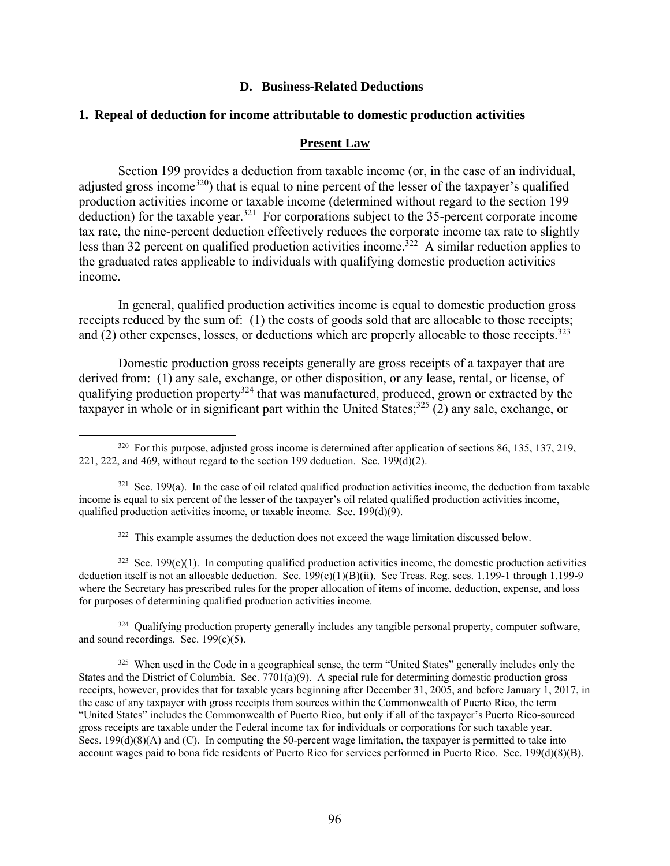#### **D. Business-Related Deductions**

#### **1. Repeal of deduction for income attributable to domestic production activities**

#### **Present Law**

Section 199 provides a deduction from taxable income (or, in the case of an individual, adjusted gross income<sup>320</sup>) that is equal to nine percent of the lesser of the taxpayer's qualified production activities income or taxable income (determined without regard to the section 199 deduction) for the taxable year.<sup>321</sup> For corporations subject to the 35-percent corporate income tax rate, the nine-percent deduction effectively reduces the corporate income tax rate to slightly less than 32 percent on qualified production activities income.<sup>322</sup> A similar reduction applies to the graduated rates applicable to individuals with qualifying domestic production activities income.

In general, qualified production activities income is equal to domestic production gross receipts reduced by the sum of: (1) the costs of goods sold that are allocable to those receipts; and  $(2)$  other expenses, losses, or deductions which are properly allocable to those receipts.<sup>323</sup>

Domestic production gross receipts generally are gross receipts of a taxpayer that are derived from: (1) any sale, exchange, or other disposition, or any lease, rental, or license, of qualifying production property<sup>324</sup> that was manufactured, produced, grown or extracted by the taxpayer in whole or in significant part within the United States; $325$  (2) any sale, exchange, or

<sup>322</sup> This example assumes the deduction does not exceed the wage limitation discussed below.

 $323$  Sec. 199(c)(1). In computing qualified production activities income, the domestic production activities deduction itself is not an allocable deduction. Sec.  $199(c)(1)(B)(ii)$ . See Treas. Reg. secs. 1.199-1 through 1.199-9 where the Secretary has prescribed rules for the proper allocation of items of income, deduction, expense, and loss for purposes of determining qualified production activities income.

<sup>324</sup> Qualifying production property generally includes any tangible personal property, computer software, and sound recordings. Sec.  $199(c)(5)$ .

 <sup>320</sup> For this purpose, adjusted gross income is determined after application of sections 86, 135, 137, 219, 221, 222, and 469, without regard to the section 199 deduction. Sec. 199(d)(2).

 $321$  Sec. 199(a). In the case of oil related qualified production activities income, the deduction from taxable income is equal to six percent of the lesser of the taxpayer's oil related qualified production activities income, qualified production activities income, or taxable income. Sec. 199(d)(9).

<sup>&</sup>lt;sup>325</sup> When used in the Code in a geographical sense, the term "United States" generally includes only the States and the District of Columbia. Sec.  $7701(a)(9)$ . A special rule for determining domestic production gross receipts, however, provides that for taxable years beginning after December 31, 2005, and before January 1, 2017, in the case of any taxpayer with gross receipts from sources within the Commonwealth of Puerto Rico, the term "United States" includes the Commonwealth of Puerto Rico, but only if all of the taxpayer's Puerto Rico-sourced gross receipts are taxable under the Federal income tax for individuals or corporations for such taxable year. Secs. 199(d)(8)(A) and (C). In computing the 50-percent wage limitation, the taxpayer is permitted to take into account wages paid to bona fide residents of Puerto Rico for services performed in Puerto Rico. Sec. 199(d)(8)(B).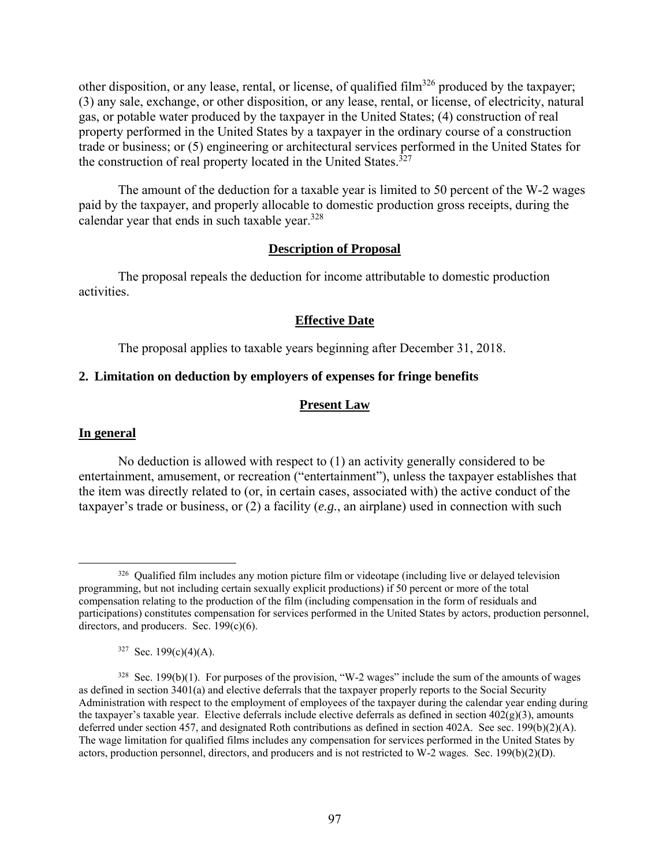other disposition, or any lease, rental, or license, of qualified film<sup>326</sup> produced by the taxpayer; (3) any sale, exchange, or other disposition, or any lease, rental, or license, of electricity, natural gas, or potable water produced by the taxpayer in the United States; (4) construction of real property performed in the United States by a taxpayer in the ordinary course of a construction trade or business; or (5) engineering or architectural services performed in the United States for the construction of real property located in the United States.<sup>327</sup>

The amount of the deduction for a taxable year is limited to 50 percent of the W-2 wages paid by the taxpayer, and properly allocable to domestic production gross receipts, during the calendar year that ends in such taxable year. $328$ 

## **Description of Proposal**

The proposal repeals the deduction for income attributable to domestic production activities.

## **Effective Date**

The proposal applies to taxable years beginning after December 31, 2018.

## **2. Limitation on deduction by employers of expenses for fringe benefits**

## **Present Law**

## **In general**

No deduction is allowed with respect to (1) an activity generally considered to be entertainment, amusement, or recreation ("entertainment"), unless the taxpayer establishes that the item was directly related to (or, in certain cases, associated with) the active conduct of the taxpayer's trade or business, or (2) a facility (*e.g.*, an airplane) used in connection with such

<sup>&</sup>lt;sup>326</sup> Qualified film includes any motion picture film or videotape (including live or delayed television programming, but not including certain sexually explicit productions) if 50 percent or more of the total compensation relating to the production of the film (including compensation in the form of residuals and participations) constitutes compensation for services performed in the United States by actors, production personnel, directors, and producers. Sec. 199(c)(6).

 $327$  Sec. 199(c)(4)(A).

<sup>328</sup> Sec. 199(b)(1). For purposes of the provision, "W-2 wages" include the sum of the amounts of wages as defined in section 3401(a) and elective deferrals that the taxpayer properly reports to the Social Security Administration with respect to the employment of employees of the taxpayer during the calendar year ending during the taxpayer's taxable year. Elective deferrals include elective deferrals as defined in section  $402(g)(3)$ , amounts deferred under section 457, and designated Roth contributions as defined in section 402A. See sec. 199(b)(2)(A). The wage limitation for qualified films includes any compensation for services performed in the United States by actors, production personnel, directors, and producers and is not restricted to W-2 wages. Sec. 199(b)(2)(D).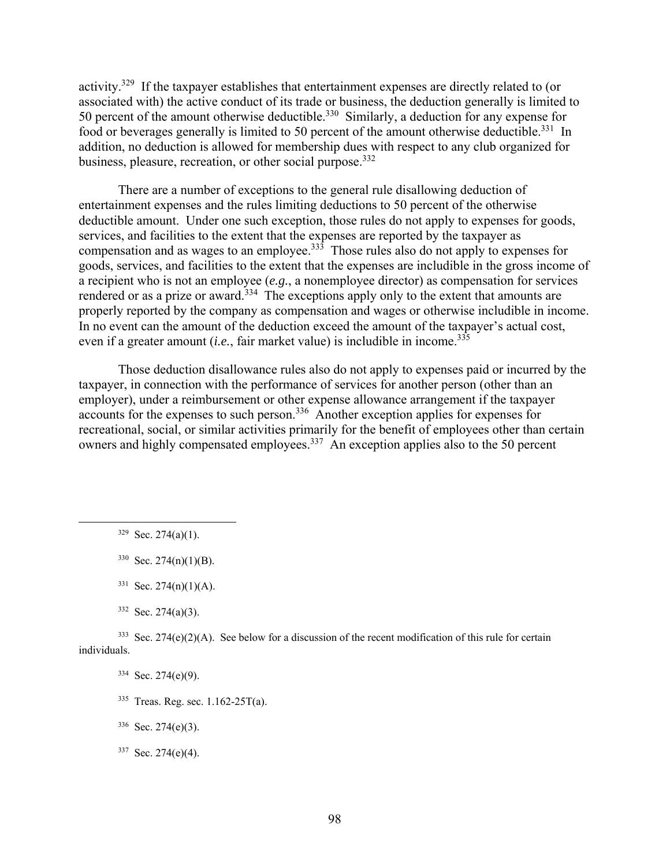activity.<sup>329</sup> If the taxpayer establishes that entertainment expenses are directly related to (or associated with) the active conduct of its trade or business, the deduction generally is limited to 50 percent of the amount otherwise deductible.<sup>330</sup> Similarly, a deduction for any expense for food or beverages generally is limited to 50 percent of the amount otherwise deductible.<sup>331</sup> In addition, no deduction is allowed for membership dues with respect to any club organized for business, pleasure, recreation, or other social purpose.<sup>332</sup>

There are a number of exceptions to the general rule disallowing deduction of entertainment expenses and the rules limiting deductions to 50 percent of the otherwise deductible amount. Under one such exception, those rules do not apply to expenses for goods, services, and facilities to the extent that the expenses are reported by the taxpayer as compensation and as wages to an employee.<sup>333</sup> Those rules also do not apply to expenses for goods, services, and facilities to the extent that the expenses are includible in the gross income of a recipient who is not an employee (*e.g.*, a nonemployee director) as compensation for services rendered or as a prize or award.<sup>334</sup> The exceptions apply only to the extent that amounts are properly reported by the company as compensation and wages or otherwise includible in income. In no event can the amount of the deduction exceed the amount of the taxpayer's actual cost, even if a greater amount  $(i.e.,$  fair market value) is includible in income.<sup>335</sup>

Those deduction disallowance rules also do not apply to expenses paid or incurred by the taxpayer, in connection with the performance of services for another person (other than an employer), under a reimbursement or other expense allowance arrangement if the taxpayer accounts for the expenses to such person.336 Another exception applies for expenses for recreational, social, or similar activities primarily for the benefit of employees other than certain owners and highly compensated employees.<sup>337</sup> An exception applies also to the 50 percent

 $332$  Sec. 274(a)(3).

- 335 Treas. Reg. sec. 1.162-25T(a).
- $336$  Sec. 274(e)(3).
- $337$  Sec. 274(e)(4).

 $329$  Sec. 274(a)(1).

 $330$  Sec. 274(n)(1)(B).

 $331$  Sec. 274(n)(1)(A).

 $333$  Sec. 274(e)(2)(A). See below for a discussion of the recent modification of this rule for certain individuals.

 $334$  Sec. 274(e)(9).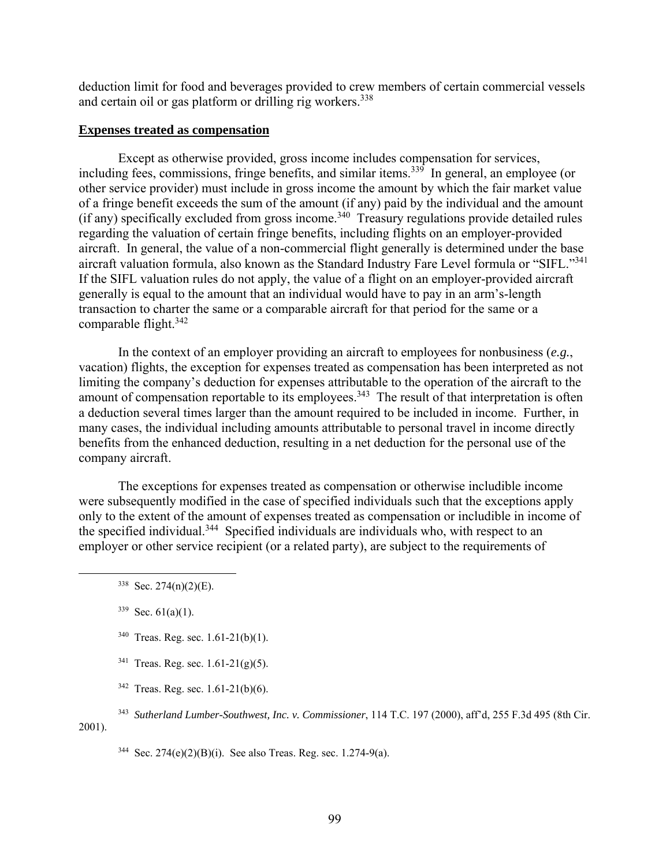deduction limit for food and beverages provided to crew members of certain commercial vessels and certain oil or gas platform or drilling rig workers.<sup>338</sup>

#### **Expenses treated as compensation**

Except as otherwise provided, gross income includes compensation for services, including fees, commissions, fringe benefits, and similar items.<sup>339</sup> In general, an employee (or other service provider) must include in gross income the amount by which the fair market value of a fringe benefit exceeds the sum of the amount (if any) paid by the individual and the amount  $(i)$  (if any) specifically excluded from gross income.<sup>340</sup> Treasury regulations provide detailed rules regarding the valuation of certain fringe benefits, including flights on an employer-provided aircraft. In general, the value of a non-commercial flight generally is determined under the base aircraft valuation formula, also known as the Standard Industry Fare Level formula or "SIFL."<sup>341</sup> If the SIFL valuation rules do not apply, the value of a flight on an employer-provided aircraft generally is equal to the amount that an individual would have to pay in an arm's-length transaction to charter the same or a comparable aircraft for that period for the same or a comparable flight.<sup>342</sup>

In the context of an employer providing an aircraft to employees for nonbusiness (*e.g.*, vacation) flights, the exception for expenses treated as compensation has been interpreted as not limiting the company's deduction for expenses attributable to the operation of the aircraft to the amount of compensation reportable to its employees.<sup>343</sup> The result of that interpretation is often a deduction several times larger than the amount required to be included in income. Further, in many cases, the individual including amounts attributable to personal travel in income directly benefits from the enhanced deduction, resulting in a net deduction for the personal use of the company aircraft.

The exceptions for expenses treated as compensation or otherwise includible income were subsequently modified in the case of specified individuals such that the exceptions apply only to the extent of the amount of expenses treated as compensation or includible in income of the specified individual.<sup>344</sup> Specified individuals are individuals who, with respect to an employer or other service recipient (or a related party), are subject to the requirements of

 $339$  Sec. 61(a)(1).

- $340$  Treas. Reg. sec. 1.61-21(b)(1).
- $341$  Treas. Reg. sec.  $1.61-21(g)(5)$ .
- $342$  Treas. Reg. sec. 1.61-21(b)(6).

343 *Sutherland Lumber-Southwest, Inc. v. Commissioner*, 114 T.C. 197 (2000), aff'd, 255 F.3d 495 (8th Cir. 2001).

<sup>344</sup> Sec. 274(e)(2)(B)(i). See also Treas. Reg. sec. 1.274-9(a).

 $338$  Sec. 274(n)(2)(E).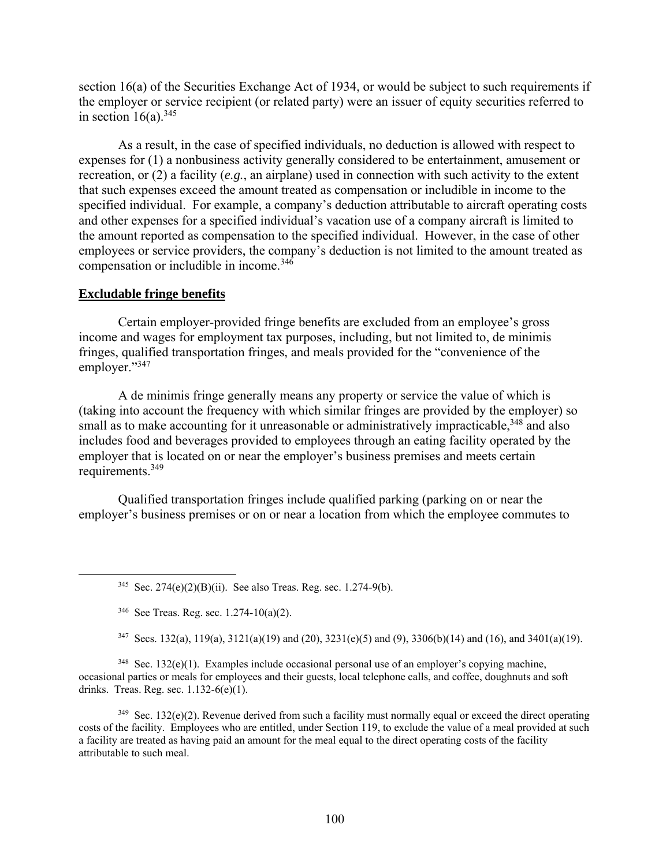section 16(a) of the Securities Exchange Act of 1934, or would be subject to such requirements if the employer or service recipient (or related party) were an issuer of equity securities referred to in section  $16(a)$ .<sup>345</sup>

As a result, in the case of specified individuals, no deduction is allowed with respect to expenses for (1) a nonbusiness activity generally considered to be entertainment, amusement or recreation, or (2) a facility (*e.g.*, an airplane) used in connection with such activity to the extent that such expenses exceed the amount treated as compensation or includible in income to the specified individual. For example, a company's deduction attributable to aircraft operating costs and other expenses for a specified individual's vacation use of a company aircraft is limited to the amount reported as compensation to the specified individual. However, in the case of other employees or service providers, the company's deduction is not limited to the amount treated as compensation or includible in income.<sup>346</sup>

### **Excludable fringe benefits**

Certain employer-provided fringe benefits are excluded from an employee's gross income and wages for employment tax purposes, including, but not limited to, de minimis fringes, qualified transportation fringes, and meals provided for the "convenience of the employer."347

A de minimis fringe generally means any property or service the value of which is (taking into account the frequency with which similar fringes are provided by the employer) so small as to make accounting for it unreasonable or administratively impracticable,<sup>348</sup> and also includes food and beverages provided to employees through an eating facility operated by the employer that is located on or near the employer's business premises and meets certain requirements.349

Qualified transportation fringes include qualified parking (parking on or near the employer's business premises or on or near a location from which the employee commutes to

 $348$  Sec. 132(e)(1). Examples include occasional personal use of an employer's copying machine. occasional parties or meals for employees and their guests, local telephone calls, and coffee, doughnuts and soft drinks. Treas. Reg. sec. 1.132-6(e)(1).

<sup>349</sup> Sec. 132(e)(2). Revenue derived from such a facility must normally equal or exceed the direct operating costs of the facility. Employees who are entitled, under Section 119, to exclude the value of a meal provided at such a facility are treated as having paid an amount for the meal equal to the direct operating costs of the facility attributable to such meal.

<sup>&</sup>lt;sup>345</sup> Sec. 274(e)(2)(B)(ii). See also Treas. Reg. sec. 1.274-9(b).

<sup>346</sup> See Treas. Reg. sec. 1.274-10(a)(2).

<sup>&</sup>lt;sup>347</sup> Secs. 132(a), 119(a), 3121(a)(19) and (20), 3231(e)(5) and (9), 3306(b)(14) and (16), and 3401(a)(19).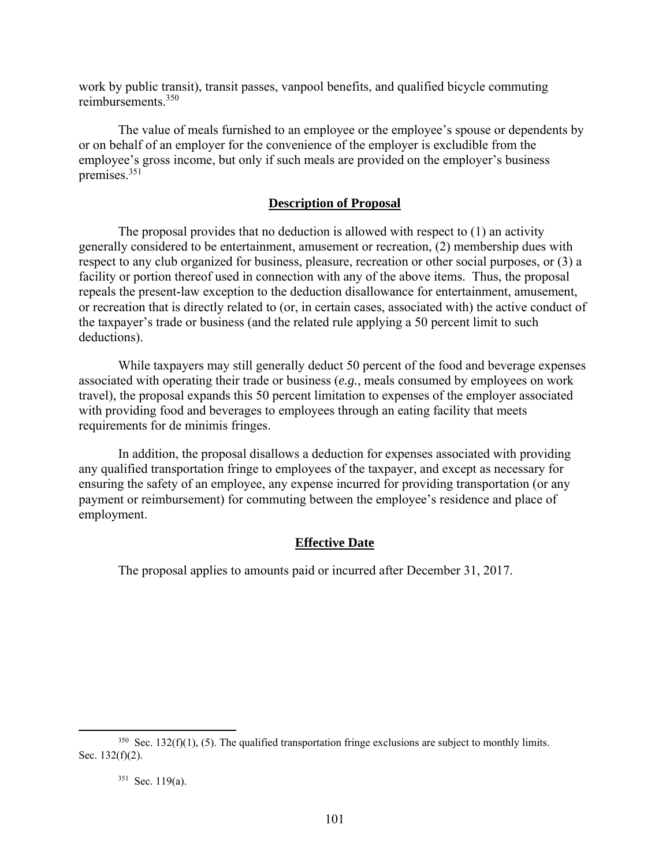work by public transit), transit passes, vanpool benefits, and qualified bicycle commuting reimbursements.350

The value of meals furnished to an employee or the employee's spouse or dependents by or on behalf of an employer for the convenience of the employer is excludible from the employee's gross income, but only if such meals are provided on the employer's business premises.351

## **Description of Proposal**

The proposal provides that no deduction is allowed with respect to (1) an activity generally considered to be entertainment, amusement or recreation, (2) membership dues with respect to any club organized for business, pleasure, recreation or other social purposes, or (3) a facility or portion thereof used in connection with any of the above items. Thus, the proposal repeals the present-law exception to the deduction disallowance for entertainment, amusement, or recreation that is directly related to (or, in certain cases, associated with) the active conduct of the taxpayer's trade or business (and the related rule applying a 50 percent limit to such deductions).

While taxpayers may still generally deduct 50 percent of the food and beverage expenses associated with operating their trade or business (*e.g.*, meals consumed by employees on work travel), the proposal expands this 50 percent limitation to expenses of the employer associated with providing food and beverages to employees through an eating facility that meets requirements for de minimis fringes.

In addition, the proposal disallows a deduction for expenses associated with providing any qualified transportation fringe to employees of the taxpayer, and except as necessary for ensuring the safety of an employee, any expense incurred for providing transportation (or any payment or reimbursement) for commuting between the employee's residence and place of employment.

### **Effective Date**

The proposal applies to amounts paid or incurred after December 31, 2017.

<sup>&</sup>lt;sup>350</sup> Sec. 132(f)(1), (5). The qualified transportation fringe exclusions are subject to monthly limits. Sec. 132(f)(2).

<sup>351</sup> Sec. 119(a).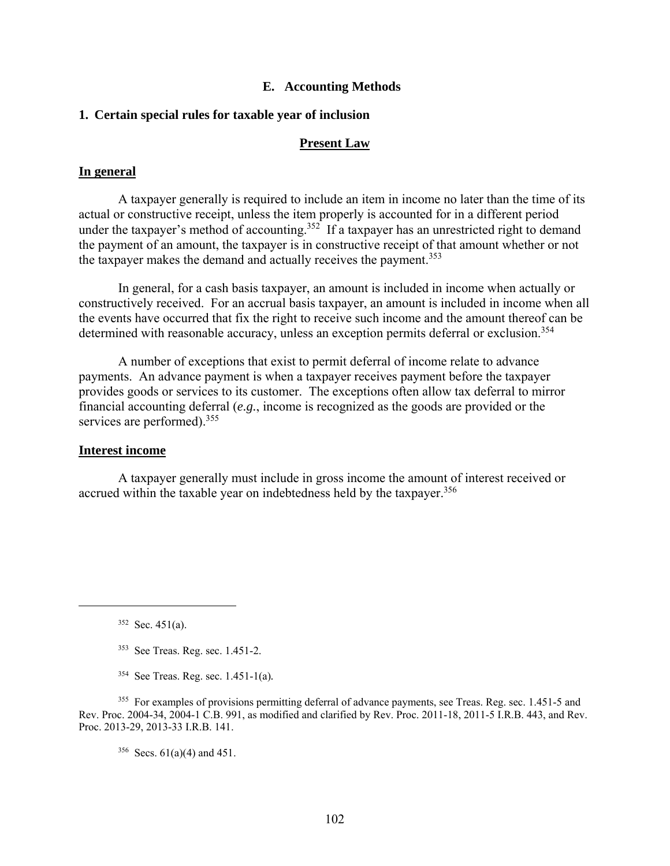### **E. Accounting Methods**

## **1. Certain special rules for taxable year of inclusion**

### **Present Law**

### **In general**

A taxpayer generally is required to include an item in income no later than the time of its actual or constructive receipt, unless the item properly is accounted for in a different period under the taxpayer's method of accounting.<sup>352</sup> If a taxpayer has an unrestricted right to demand the payment of an amount, the taxpayer is in constructive receipt of that amount whether or not the taxpayer makes the demand and actually receives the payment.<sup>353</sup>

In general, for a cash basis taxpayer, an amount is included in income when actually or constructively received. For an accrual basis taxpayer, an amount is included in income when all the events have occurred that fix the right to receive such income and the amount thereof can be determined with reasonable accuracy, unless an exception permits deferral or exclusion.<sup>354</sup>

A number of exceptions that exist to permit deferral of income relate to advance payments. An advance payment is when a taxpayer receives payment before the taxpayer provides goods or services to its customer. The exceptions often allow tax deferral to mirror financial accounting deferral (*e.g.*, income is recognized as the goods are provided or the services are performed).<sup>355</sup>

### **Interest income**

 $\overline{a}$ 

A taxpayer generally must include in gross income the amount of interest received or accrued within the taxable year on indebtedness held by the taxpayer.<sup>356</sup>

 $352$  Sec. 451(a).

- 353 See Treas. Reg. sec. 1.451-2.
- 354 See Treas. Reg. sec. 1.451-1(a)*.*

<sup>355</sup> For examples of provisions permitting deferral of advance payments, see Treas. Reg. sec. 1.451-5 and Rev. Proc. 2004-34, 2004-1 C.B. 991, as modified and clarified by Rev. Proc. 2011-18, 2011-5 I.R.B. 443, and Rev. Proc. 2013-29, 2013-33 I.R.B. 141.

 $356$  Secs. 61(a)(4) and 451.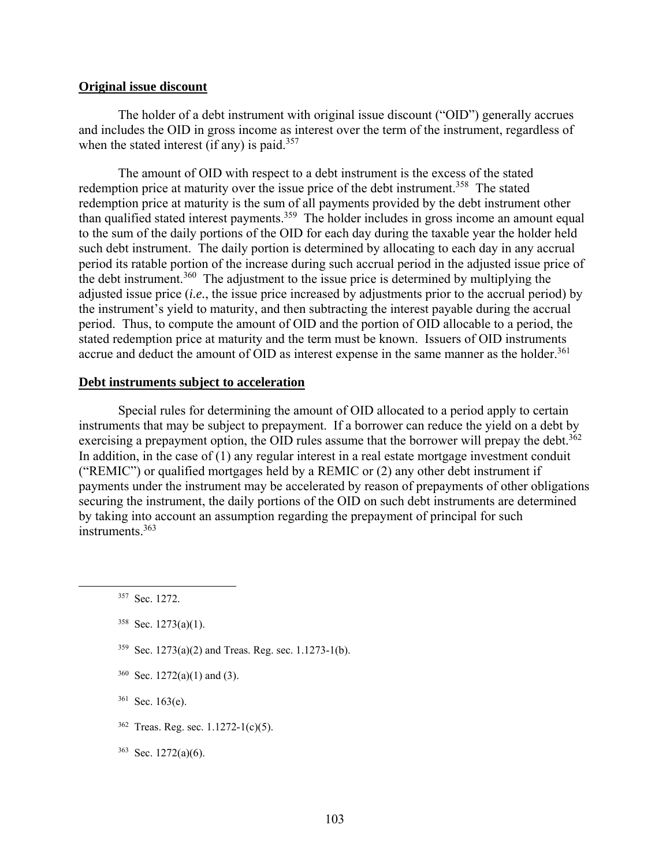#### **Original issue discount**

The holder of a debt instrument with original issue discount ("OID") generally accrues and includes the OID in gross income as interest over the term of the instrument, regardless of when the stated interest (if any) is paid.<sup>357</sup>

The amount of OID with respect to a debt instrument is the excess of the stated redemption price at maturity over the issue price of the debt instrument.<sup>358</sup> The stated redemption price at maturity is the sum of all payments provided by the debt instrument other than qualified stated interest payments.<sup>359</sup> The holder includes in gross income an amount equal to the sum of the daily portions of the OID for each day during the taxable year the holder held such debt instrument. The daily portion is determined by allocating to each day in any accrual period its ratable portion of the increase during such accrual period in the adjusted issue price of the debt instrument.<sup>360</sup> The adjustment to the issue price is determined by multiplying the adjusted issue price (*i.e.*, the issue price increased by adjustments prior to the accrual period) by the instrument's yield to maturity, and then subtracting the interest payable during the accrual period. Thus, to compute the amount of OID and the portion of OID allocable to a period, the stated redemption price at maturity and the term must be known. Issuers of OID instruments accrue and deduct the amount of OID as interest expense in the same manner as the holder.<sup>361</sup>

#### **Debt instruments subject to acceleration**

Special rules for determining the amount of OID allocated to a period apply to certain instruments that may be subject to prepayment. If a borrower can reduce the yield on a debt by exercising a prepayment option, the OID rules assume that the borrower will prepay the debt.<sup>362</sup> In addition, in the case of  $(1)$  any regular interest in a real estate mortgage investment conduit ("REMIC") or qualified mortgages held by a REMIC or (2) any other debt instrument if payments under the instrument may be accelerated by reason of prepayments of other obligations securing the instrument, the daily portions of the OID on such debt instruments are determined by taking into account an assumption regarding the prepayment of principal for such instruments<sup>363</sup>

- 359 Sec. 1273(a)(2) and Treas. Reg. sec. 1.1273-1(b).
- 360 Sec. 1272(a)(1) and (3).

 $361$  Sec. 163(e).

362 Treas. Reg. sec. 1.1272-1(c)(5).

 $363$  Sec. 1272(a)(6).

 <sup>357</sup> Sec. 1272.

 $358$  Sec. 1273(a)(1).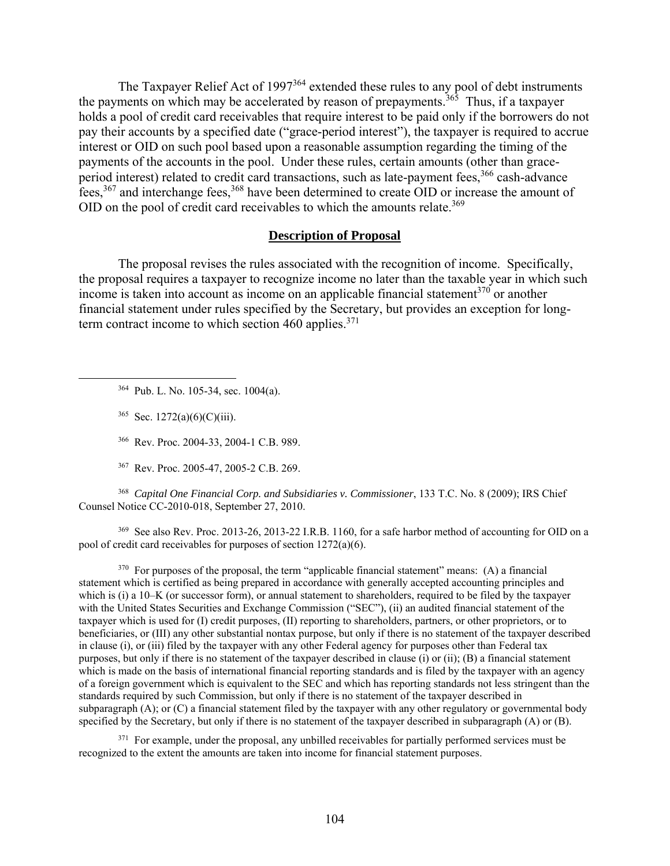The Taxpayer Relief Act of 1997<sup>364</sup> extended these rules to any pool of debt instruments the payments on which may be accelerated by reason of prepayments.<sup>365</sup> Thus, if a taxpayer holds a pool of credit card receivables that require interest to be paid only if the borrowers do not pay their accounts by a specified date ("grace-period interest"), the taxpayer is required to accrue interest or OID on such pool based upon a reasonable assumption regarding the timing of the payments of the accounts in the pool. Under these rules, certain amounts (other than graceperiod interest) related to credit card transactions, such as late-payment fees,<sup>366</sup> cash-advance fees,367 and interchange fees,368 have been determined to create OID or increase the amount of OID on the pool of credit card receivables to which the amounts relate.<sup>369</sup>

#### **Description of Proposal**

The proposal revises the rules associated with the recognition of income. Specifically, the proposal requires a taxpayer to recognize income no later than the taxable year in which such income is taken into account as income on an applicable financial statement<sup>370</sup> or another financial statement under rules specified by the Secretary, but provides an exception for longterm contract income to which section  $460$  applies.<sup>371</sup>

364 Pub. L. No. 105-34, sec. 1004(a).

 $365$  Sec. 1272(a)(6)(C)(iii).

366 Rev. Proc. 2004-33, 2004-1 C.B. 989.

367 Rev. Proc. 2005-47, 2005-2 C.B. 269.

368 *Capital One Financial Corp. and Subsidiaries v. Commissioner*, 133 T.C. No. 8 (2009); IRS Chief Counsel Notice CC-2010-018, September 27, 2010.

369 See also Rev. Proc. 2013-26, 2013-22 I.R.B. 1160, for a safe harbor method of accounting for OID on a pool of credit card receivables for purposes of section 1272(a)(6).

<sup>370</sup> For purposes of the proposal, the term "applicable financial statement" means: (A) a financial statement which is certified as being prepared in accordance with generally accepted accounting principles and which is (i) a 10–K (or successor form), or annual statement to shareholders, required to be filed by the taxpayer with the United States Securities and Exchange Commission ("SEC"), (ii) an audited financial statement of the taxpayer which is used for (I) credit purposes, (II) reporting to shareholders, partners, or other proprietors, or to beneficiaries, or (III) any other substantial nontax purpose, but only if there is no statement of the taxpayer described in clause (i), or (iii) filed by the taxpayer with any other Federal agency for purposes other than Federal tax purposes, but only if there is no statement of the taxpayer described in clause (i) or (ii); (B) a financial statement which is made on the basis of international financial reporting standards and is filed by the taxpayer with an agency of a foreign government which is equivalent to the SEC and which has reporting standards not less stringent than the standards required by such Commission, but only if there is no statement of the taxpayer described in subparagraph (A); or (C) a financial statement filed by the taxpayer with any other regulatory or governmental body specified by the Secretary, but only if there is no statement of the taxpayer described in subparagraph (A) or (B).

<sup>371</sup> For example, under the proposal, any unbilled receivables for partially performed services must be recognized to the extent the amounts are taken into income for financial statement purposes.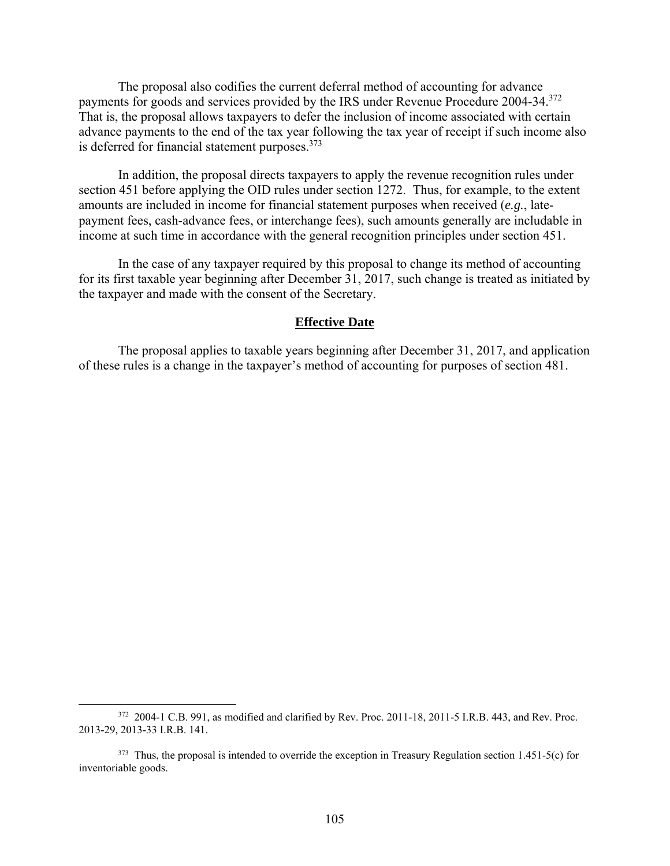The proposal also codifies the current deferral method of accounting for advance payments for goods and services provided by the IRS under Revenue Procedure 2004-34.<sup>372</sup> That is, the proposal allows taxpayers to defer the inclusion of income associated with certain advance payments to the end of the tax year following the tax year of receipt if such income also is deferred for financial statement purposes. $373$ 

In addition, the proposal directs taxpayers to apply the revenue recognition rules under section 451 before applying the OID rules under section 1272. Thus, for example, to the extent amounts are included in income for financial statement purposes when received (*e.g.*, latepayment fees, cash-advance fees, or interchange fees), such amounts generally are includable in income at such time in accordance with the general recognition principles under section 451.

In the case of any taxpayer required by this proposal to change its method of accounting for its first taxable year beginning after December 31, 2017, such change is treated as initiated by the taxpayer and made with the consent of the Secretary.

#### **Effective Date**

The proposal applies to taxable years beginning after December 31, 2017, and application of these rules is a change in the taxpayer's method of accounting for purposes of section 481.

 <sup>372 2004-1</sup> C.B. 991, as modified and clarified by Rev. Proc. 2011-18, 2011-5 I.R.B. 443, and Rev. Proc. 2013-29, 2013-33 I.R.B. 141.

<sup>&</sup>lt;sup>373</sup> Thus, the proposal is intended to override the exception in Treasury Regulation section 1.451-5(c) for inventoriable goods.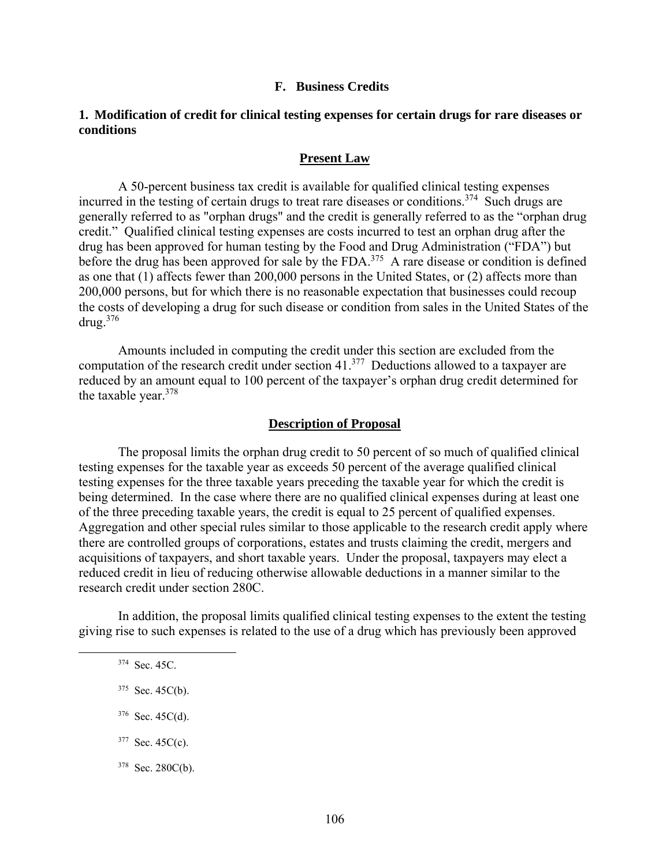#### **F. Business Credits**

## **1. Modification of credit for clinical testing expenses for certain drugs for rare diseases or conditions**

#### **Present Law**

A 50-percent business tax credit is available for qualified clinical testing expenses incurred in the testing of certain drugs to treat rare diseases or conditions.<sup>374</sup> Such drugs are generally referred to as "orphan drugs" and the credit is generally referred to as the "orphan drug credit." Qualified clinical testing expenses are costs incurred to test an orphan drug after the drug has been approved for human testing by the Food and Drug Administration ("FDA") but before the drug has been approved for sale by the FDA.<sup>375</sup> A rare disease or condition is defined as one that (1) affects fewer than 200,000 persons in the United States, or (2) affects more than 200,000 persons, but for which there is no reasonable expectation that businesses could recoup the costs of developing a drug for such disease or condition from sales in the United States of the drug. $376$ 

Amounts included in computing the credit under this section are excluded from the computation of the research credit under section 41.377 Deductions allowed to a taxpayer are reduced by an amount equal to 100 percent of the taxpayer's orphan drug credit determined for the taxable year.378

#### **Description of Proposal**

The proposal limits the orphan drug credit to 50 percent of so much of qualified clinical testing expenses for the taxable year as exceeds 50 percent of the average qualified clinical testing expenses for the three taxable years preceding the taxable year for which the credit is being determined. In the case where there are no qualified clinical expenses during at least one of the three preceding taxable years, the credit is equal to 25 percent of qualified expenses. Aggregation and other special rules similar to those applicable to the research credit apply where there are controlled groups of corporations, estates and trusts claiming the credit, mergers and acquisitions of taxpayers, and short taxable years. Under the proposal, taxpayers may elect a reduced credit in lieu of reducing otherwise allowable deductions in a manner similar to the research credit under section 280C.

In addition, the proposal limits qualified clinical testing expenses to the extent the testing giving rise to such expenses is related to the use of a drug which has previously been approved

- $375$  Sec. 45C(b).
- 376 Sec. 45C(d).
- 377 Sec. 45C(c).
- <sup>378</sup> Sec. 280C(b).

 <sup>374</sup> Sec. 45C.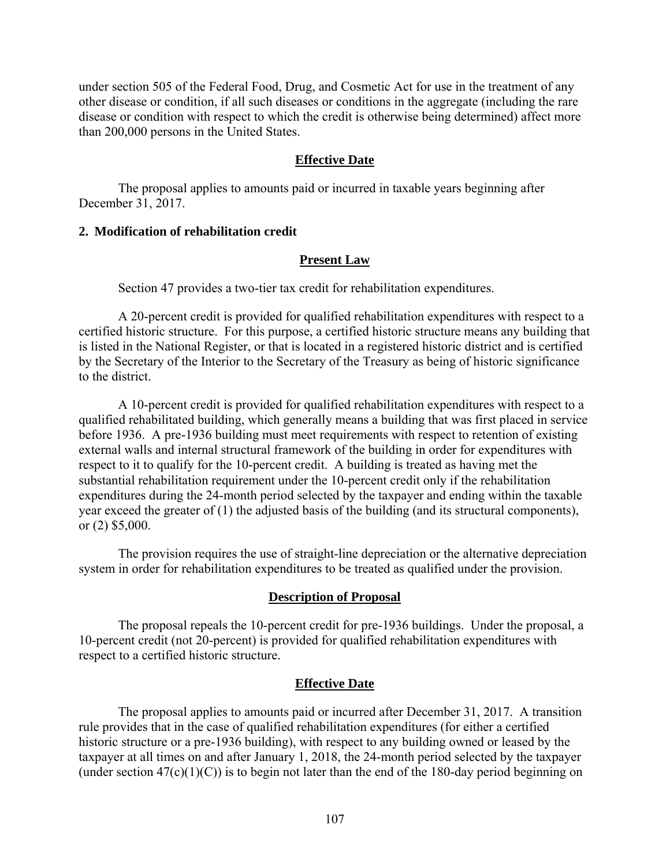under section 505 of the Federal Food, Drug, and Cosmetic Act for use in the treatment of any other disease or condition, if all such diseases or conditions in the aggregate (including the rare disease or condition with respect to which the credit is otherwise being determined) affect more than 200,000 persons in the United States.

### **Effective Date**

The proposal applies to amounts paid or incurred in taxable years beginning after December 31, 2017.

### **2. Modification of rehabilitation credit**

#### **Present Law**

Section 47 provides a two-tier tax credit for rehabilitation expenditures.

A 20-percent credit is provided for qualified rehabilitation expenditures with respect to a certified historic structure. For this purpose, a certified historic structure means any building that is listed in the National Register, or that is located in a registered historic district and is certified by the Secretary of the Interior to the Secretary of the Treasury as being of historic significance to the district.

A 10-percent credit is provided for qualified rehabilitation expenditures with respect to a qualified rehabilitated building, which generally means a building that was first placed in service before 1936. A pre-1936 building must meet requirements with respect to retention of existing external walls and internal structural framework of the building in order for expenditures with respect to it to qualify for the 10-percent credit. A building is treated as having met the substantial rehabilitation requirement under the 10-percent credit only if the rehabilitation expenditures during the 24-month period selected by the taxpayer and ending within the taxable year exceed the greater of (1) the adjusted basis of the building (and its structural components), or (2) \$5,000.

The provision requires the use of straight-line depreciation or the alternative depreciation system in order for rehabilitation expenditures to be treated as qualified under the provision.

#### **Description of Proposal**

The proposal repeals the 10-percent credit for pre-1936 buildings. Under the proposal, a 10-percent credit (not 20-percent) is provided for qualified rehabilitation expenditures with respect to a certified historic structure.

#### **Effective Date**

The proposal applies to amounts paid or incurred after December 31, 2017. A transition rule provides that in the case of qualified rehabilitation expenditures (for either a certified historic structure or a pre-1936 building), with respect to any building owned or leased by the taxpayer at all times on and after January 1, 2018, the 24-month period selected by the taxpayer (under section  $47(c)(1)(C)$ ) is to begin not later than the end of the 180-day period beginning on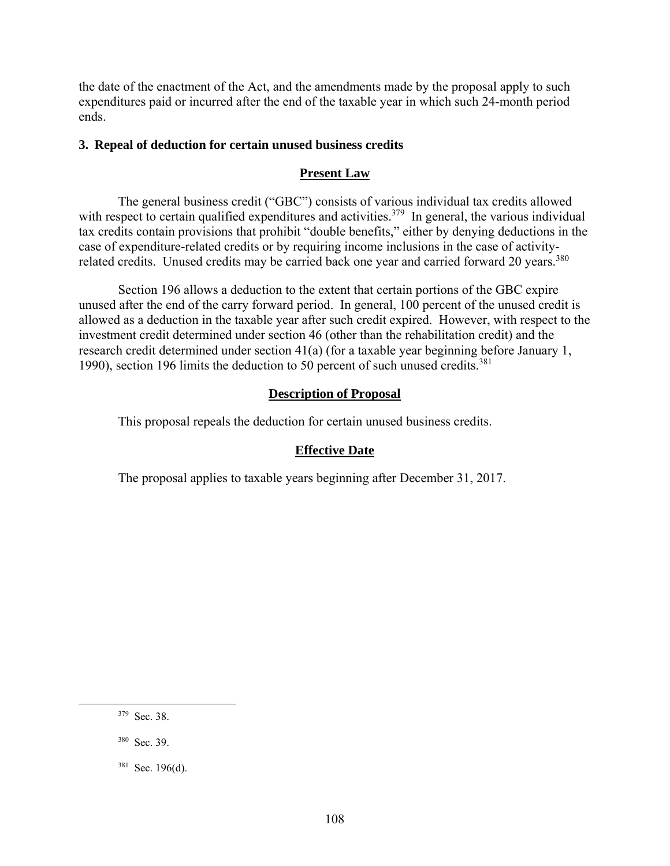the date of the enactment of the Act, and the amendments made by the proposal apply to such expenditures paid or incurred after the end of the taxable year in which such 24-month period ends.

## **3. Repeal of deduction for certain unused business credits**

## **Present Law**

The general business credit ("GBC") consists of various individual tax credits allowed with respect to certain qualified expenditures and activities.<sup>379</sup> In general, the various individual tax credits contain provisions that prohibit "double benefits," either by denying deductions in the case of expenditure-related credits or by requiring income inclusions in the case of activityrelated credits. Unused credits may be carried back one year and carried forward 20 years.<sup>380</sup>

Section 196 allows a deduction to the extent that certain portions of the GBC expire unused after the end of the carry forward period. In general, 100 percent of the unused credit is allowed as a deduction in the taxable year after such credit expired. However, with respect to the investment credit determined under section 46 (other than the rehabilitation credit) and the research credit determined under section 41(a) (for a taxable year beginning before January 1, 1990), section 196 limits the deduction to 50 percent of such unused credits.381

## **Description of Proposal**

This proposal repeals the deduction for certain unused business credits.

## **Effective Date**

The proposal applies to taxable years beginning after December 31, 2017.

 <sup>379</sup> Sec. 38.

<sup>380</sup> Sec. 39.

 $381$  Sec. 196(d).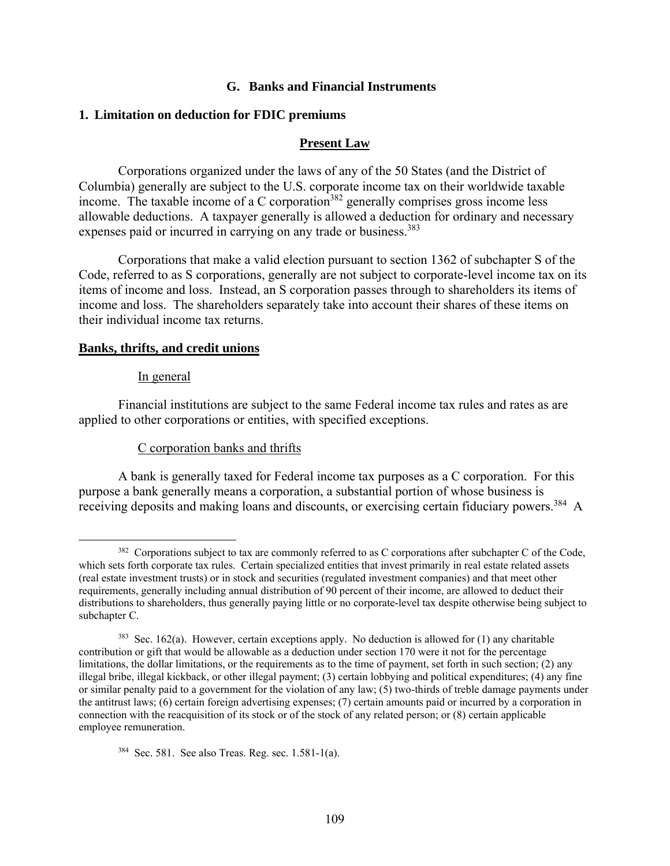#### **G. Banks and Financial Instruments**

#### **1. Limitation on deduction for FDIC premiums**

#### **Present Law**

Corporations organized under the laws of any of the 50 States (and the District of Columbia) generally are subject to the U.S. corporate income tax on their worldwide taxable income. The taxable income of a C corporation<sup>382</sup> generally comprises gross income less allowable deductions. A taxpayer generally is allowed a deduction for ordinary and necessary expenses paid or incurred in carrying on any trade or business.<sup>383</sup>

Corporations that make a valid election pursuant to section 1362 of subchapter S of the Code, referred to as S corporations, generally are not subject to corporate-level income tax on its items of income and loss. Instead, an S corporation passes through to shareholders its items of income and loss. The shareholders separately take into account their shares of these items on their individual income tax returns.

#### **Banks, thrifts, and credit unions**

#### In general

Financial institutions are subject to the same Federal income tax rules and rates as are applied to other corporations or entities, with specified exceptions.

#### C corporation banks and thrifts

A bank is generally taxed for Federal income tax purposes as a C corporation. For this purpose a bank generally means a corporation, a substantial portion of whose business is receiving deposits and making loans and discounts, or exercising certain fiduciary powers.<sup>384</sup> A

384 Sec. 581. See also Treas. Reg. sec. 1.581-1(a).

<sup>&</sup>lt;sup>382</sup> Corporations subject to tax are commonly referred to as C corporations after subchapter C of the Code, which sets forth corporate tax rules. Certain specialized entities that invest primarily in real estate related assets (real estate investment trusts) or in stock and securities (regulated investment companies) and that meet other requirements, generally including annual distribution of 90 percent of their income, are allowed to deduct their distributions to shareholders, thus generally paying little or no corporate-level tax despite otherwise being subject to subchapter C.

 $383$  Sec. 162(a). However, certain exceptions apply. No deduction is allowed for (1) any charitable contribution or gift that would be allowable as a deduction under section 170 were it not for the percentage limitations, the dollar limitations, or the requirements as to the time of payment, set forth in such section; (2) any illegal bribe, illegal kickback, or other illegal payment; (3) certain lobbying and political expenditures; (4) any fine or similar penalty paid to a government for the violation of any law; (5) two-thirds of treble damage payments under the antitrust laws; (6) certain foreign advertising expenses; (7) certain amounts paid or incurred by a corporation in connection with the reacquisition of its stock or of the stock of any related person; or (8) certain applicable employee remuneration.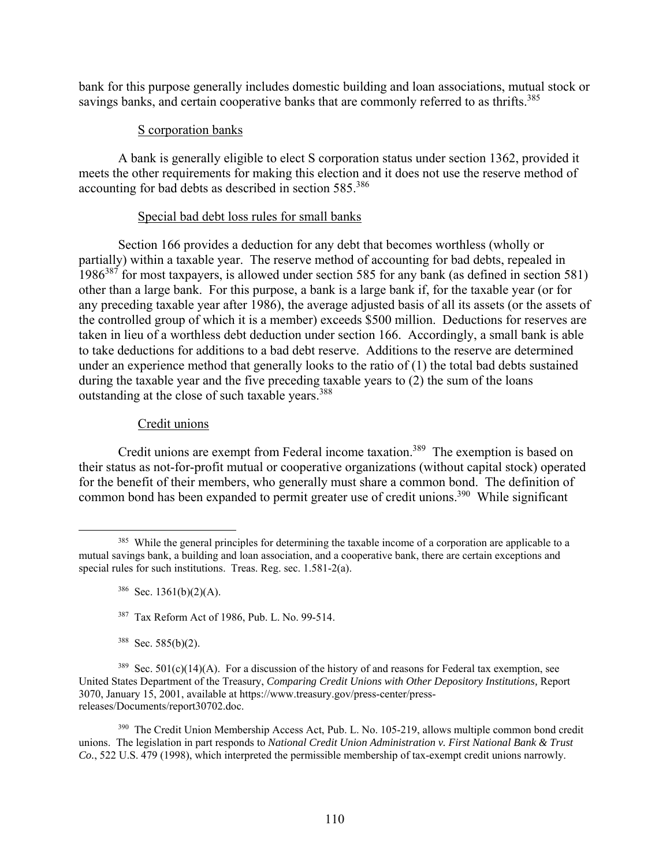bank for this purpose generally includes domestic building and loan associations, mutual stock or savings banks, and certain cooperative banks that are commonly referred to as thrifts.<sup>385</sup>

## S corporation banks

A bank is generally eligible to elect S corporation status under section 1362, provided it meets the other requirements for making this election and it does not use the reserve method of accounting for bad debts as described in section 585.386

## Special bad debt loss rules for small banks

Section 166 provides a deduction for any debt that becomes worthless (wholly or partially) within a taxable year. The reserve method of accounting for bad debts, repealed in 1986387 for most taxpayers, is allowed under section 585 for any bank (as defined in section 581) other than a large bank. For this purpose, a bank is a large bank if, for the taxable year (or for any preceding taxable year after 1986), the average adjusted basis of all its assets (or the assets of the controlled group of which it is a member) exceeds \$500 million. Deductions for reserves are taken in lieu of a worthless debt deduction under section 166. Accordingly, a small bank is able to take deductions for additions to a bad debt reserve. Additions to the reserve are determined under an experience method that generally looks to the ratio of (1) the total bad debts sustained during the taxable year and the five preceding taxable years to (2) the sum of the loans outstanding at the close of such taxable years.<sup>388</sup>

## Credit unions

Credit unions are exempt from Federal income taxation.<sup>389</sup> The exemption is based on their status as not-for-profit mutual or cooperative organizations (without capital stock) operated for the benefit of their members, who generally must share a common bond. The definition of common bond has been expanded to permit greater use of credit unions.<sup>390</sup> While significant

<sup>&</sup>lt;sup>385</sup> While the general principles for determining the taxable income of a corporation are applicable to a mutual savings bank, a building and loan association, and a cooperative bank, there are certain exceptions and special rules for such institutions. Treas. Reg. sec. 1.581-2(a).

 $386$  Sec. 1361(b)(2)(A).

<sup>387</sup> Tax Reform Act of 1986, Pub. L. No. 99-514.

<sup>388</sup> Sec. 585(b)(2).

<sup>&</sup>lt;sup>389</sup> Sec. 501(c)(14)(A). For a discussion of the history of and reasons for Federal tax exemption, see United States Department of the Treasury, *Comparing Credit Unions with Other Depository Institutions,* Report 3070, January 15, 2001, available at https://www.treasury.gov/press-center/pressreleases/Documents/report30702.doc.

<sup>&</sup>lt;sup>390</sup> The Credit Union Membership Access Act, Pub. L. No. 105-219, allows multiple common bond credit unions. The legislation in part responds to *National Credit Union Administration v. First National Bank & Trust Co.*, 522 U.S. 479 (1998), which interpreted the permissible membership of tax-exempt credit unions narrowly.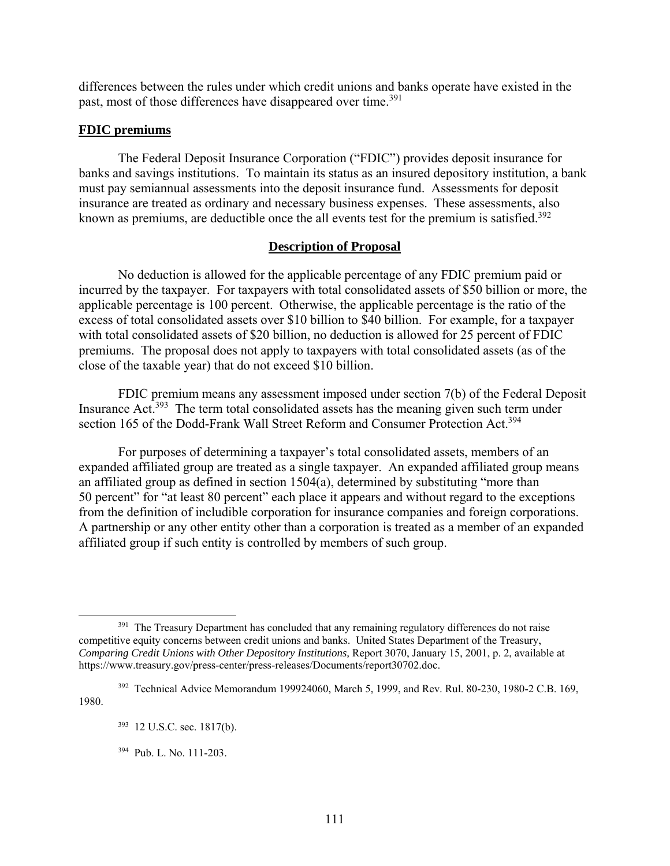differences between the rules under which credit unions and banks operate have existed in the past, most of those differences have disappeared over time.<sup>391</sup>

#### **FDIC premiums**

The Federal Deposit Insurance Corporation ("FDIC") provides deposit insurance for banks and savings institutions. To maintain its status as an insured depository institution, a bank must pay semiannual assessments into the deposit insurance fund. Assessments for deposit insurance are treated as ordinary and necessary business expenses. These assessments, also known as premiums, are deductible once the all events test for the premium is satisfied.<sup>392</sup>

#### **Description of Proposal**

No deduction is allowed for the applicable percentage of any FDIC premium paid or incurred by the taxpayer. For taxpayers with total consolidated assets of \$50 billion or more, the applicable percentage is 100 percent. Otherwise, the applicable percentage is the ratio of the excess of total consolidated assets over \$10 billion to \$40 billion. For example, for a taxpayer with total consolidated assets of \$20 billion, no deduction is allowed for 25 percent of FDIC premiums. The proposal does not apply to taxpayers with total consolidated assets (as of the close of the taxable year) that do not exceed \$10 billion.

FDIC premium means any assessment imposed under section 7(b) of the Federal Deposit Insurance Act.393 The term total consolidated assets has the meaning given such term under section 165 of the Dodd-Frank Wall Street Reform and Consumer Protection Act.<sup>394</sup>

For purposes of determining a taxpayer's total consolidated assets, members of an expanded affiliated group are treated as a single taxpayer. An expanded affiliated group means an affiliated group as defined in section 1504(a), determined by substituting "more than 50 percent" for "at least 80 percent" each place it appears and without regard to the exceptions from the definition of includible corporation for insurance companies and foreign corporations. A partnership or any other entity other than a corporation is treated as a member of an expanded affiliated group if such entity is controlled by members of such group.

<sup>&</sup>lt;sup>391</sup> The Treasury Department has concluded that any remaining regulatory differences do not raise competitive equity concerns between credit unions and banks. United States Department of the Treasury, *Comparing Credit Unions with Other Depository Institutions,* Report 3070, January 15, 2001, p. 2, available at https://www.treasury.gov/press-center/press-releases/Documents/report30702.doc.

<sup>392</sup> Technical Advice Memorandum 199924060, March 5, 1999, and Rev. Rul. 80-230, 1980-2 C.B. 169, 1980.

<sup>393 12</sup> U.S.C. sec. 1817(b).

<sup>394</sup> Pub. L. No. 111-203.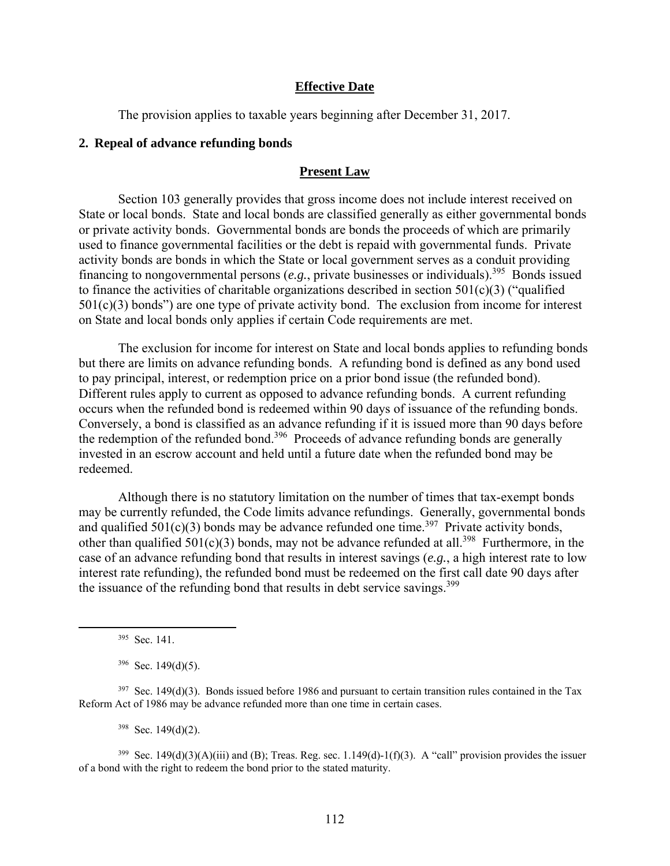#### **Effective Date**

The provision applies to taxable years beginning after December 31, 2017.

#### **2. Repeal of advance refunding bonds**

## **Present Law**

Section 103 generally provides that gross income does not include interest received on State or local bonds. State and local bonds are classified generally as either governmental bonds or private activity bonds. Governmental bonds are bonds the proceeds of which are primarily used to finance governmental facilities or the debt is repaid with governmental funds. Private activity bonds are bonds in which the State or local government serves as a conduit providing financing to nongovernmental persons (*e.g.*, private businesses or individuals).<sup>395</sup> Bonds issued to finance the activities of charitable organizations described in section  $501(c)(3)$  ("qualified  $501(c)(3)$  bonds") are one type of private activity bond. The exclusion from income for interest on State and local bonds only applies if certain Code requirements are met.

The exclusion for income for interest on State and local bonds applies to refunding bonds but there are limits on advance refunding bonds. A refunding bond is defined as any bond used to pay principal, interest, or redemption price on a prior bond issue (the refunded bond). Different rules apply to current as opposed to advance refunding bonds. A current refunding occurs when the refunded bond is redeemed within 90 days of issuance of the refunding bonds. Conversely, a bond is classified as an advance refunding if it is issued more than 90 days before the redemption of the refunded bond.<sup>396</sup> Proceeds of advance refunding bonds are generally invested in an escrow account and held until a future date when the refunded bond may be redeemed.

Although there is no statutory limitation on the number of times that tax-exempt bonds may be currently refunded, the Code limits advance refundings. Generally, governmental bonds and qualified  $501(c)(3)$  bonds may be advance refunded one time.<sup>397</sup> Private activity bonds, other than qualified  $501(c)(3)$  bonds, may not be advance refunded at all.<sup>398</sup> Furthermore, in the case of an advance refunding bond that results in interest savings (*e.g.*, a high interest rate to low interest rate refunding), the refunded bond must be redeemed on the first call date 90 days after the issuance of the refunding bond that results in debt service savings.<sup>399</sup>

398 Sec. 149(d)(2).

<sup>399</sup> Sec. 149(d)(3)(A)(iii) and (B); Treas. Reg. sec. 1.149(d)-1(f)(3). A "call" provision provides the issuer of a bond with the right to redeem the bond prior to the stated maturity.

 <sup>395</sup> Sec. 141.

 $396$  Sec. 149(d)(5).

 $397$  Sec. 149(d)(3). Bonds issued before 1986 and pursuant to certain transition rules contained in the Tax Reform Act of 1986 may be advance refunded more than one time in certain cases.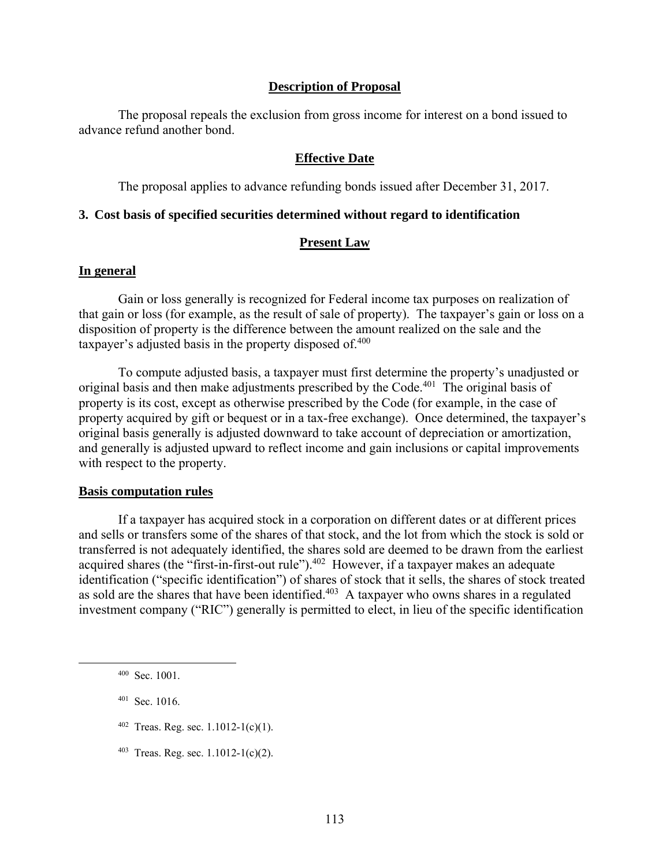#### **Description of Proposal**

The proposal repeals the exclusion from gross income for interest on a bond issued to advance refund another bond.

#### **Effective Date**

The proposal applies to advance refunding bonds issued after December 31, 2017.

#### **3. Cost basis of specified securities determined without regard to identification**

#### **Present Law**

#### **In general**

Gain or loss generally is recognized for Federal income tax purposes on realization of that gain or loss (for example, as the result of sale of property). The taxpayer's gain or loss on a disposition of property is the difference between the amount realized on the sale and the taxpayer's adjusted basis in the property disposed of. $400$ 

To compute adjusted basis, a taxpayer must first determine the property's unadjusted or original basis and then make adjustments prescribed by the Code.<sup>401</sup> The original basis of property is its cost, except as otherwise prescribed by the Code (for example, in the case of property acquired by gift or bequest or in a tax-free exchange). Once determined, the taxpayer's original basis generally is adjusted downward to take account of depreciation or amortization, and generally is adjusted upward to reflect income and gain inclusions or capital improvements with respect to the property.

#### **Basis computation rules**

If a taxpayer has acquired stock in a corporation on different dates or at different prices and sells or transfers some of the shares of that stock, and the lot from which the stock is sold or transferred is not adequately identified, the shares sold are deemed to be drawn from the earliest acquired shares (the "first-in-first-out rule").<sup>402</sup> However, if a taxpayer makes an adequate identification ("specific identification") of shares of stock that it sells, the shares of stock treated as sold are the shares that have been identified. $403$  A taxpayer who owns shares in a regulated investment company ("RIC") generally is permitted to elect, in lieu of the specific identification

 $401$  Sec. 1016.

- $402$  Treas. Reg. sec. 1.1012-1(c)(1).
- $403$  Treas. Reg. sec. 1.1012-1(c)(2).

 <sup>400</sup> Sec. 1001.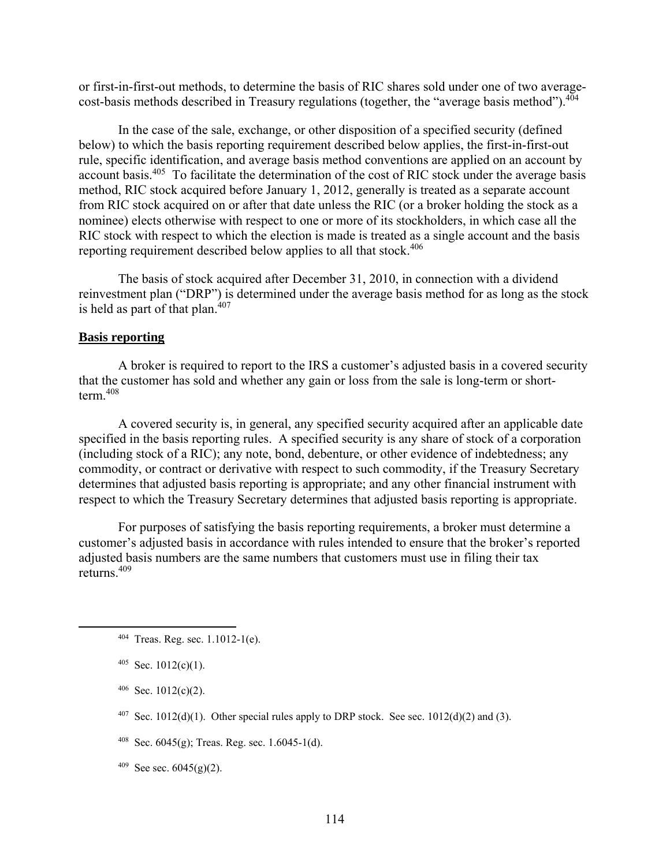or first-in-first-out methods, to determine the basis of RIC shares sold under one of two averagecost-basis methods described in Treasury regulations (together, the "average basis method").<sup>404</sup>

In the case of the sale, exchange, or other disposition of a specified security (defined below) to which the basis reporting requirement described below applies, the first-in-first-out rule, specific identification, and average basis method conventions are applied on an account by account basis.<sup>405</sup> To facilitate the determination of the cost of RIC stock under the average basis method, RIC stock acquired before January 1, 2012, generally is treated as a separate account from RIC stock acquired on or after that date unless the RIC (or a broker holding the stock as a nominee) elects otherwise with respect to one or more of its stockholders, in which case all the RIC stock with respect to which the election is made is treated as a single account and the basis reporting requirement described below applies to all that stock.<sup>406</sup>

The basis of stock acquired after December 31, 2010, in connection with a dividend reinvestment plan ("DRP") is determined under the average basis method for as long as the stock is held as part of that plan. $407$ 

#### **Basis reporting**

A broker is required to report to the IRS a customer's adjusted basis in a covered security that the customer has sold and whether any gain or loss from the sale is long-term or shortterm. $408$ 

A covered security is, in general, any specified security acquired after an applicable date specified in the basis reporting rules. A specified security is any share of stock of a corporation (including stock of a RIC); any note, bond, debenture, or other evidence of indebtedness; any commodity, or contract or derivative with respect to such commodity, if the Treasury Secretary determines that adjusted basis reporting is appropriate; and any other financial instrument with respect to which the Treasury Secretary determines that adjusted basis reporting is appropriate.

For purposes of satisfying the basis reporting requirements, a broker must determine a customer's adjusted basis in accordance with rules intended to ensure that the broker's reported adjusted basis numbers are the same numbers that customers must use in filing their tax returns.<sup>409</sup>

- $406$  Sec. 1012(c)(2).
- <sup>407</sup> Sec. 1012(d)(1). Other special rules apply to DRP stock. See sec. 1012(d)(2) and (3).
- <sup>408</sup> Sec. 6045(g); Treas. Reg. sec. 1.6045-1(d).
- $409$  See sec.  $6045(g)(2)$ .

 <sup>404</sup> Treas. Reg. sec. 1.1012-1(e).

 $405$  Sec. 1012(c)(1).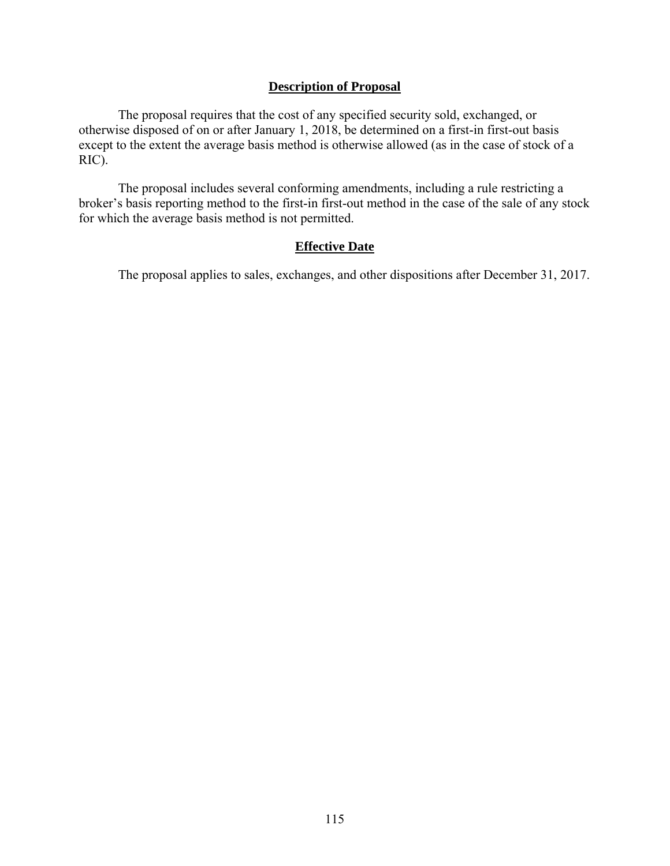## **Description of Proposal**

The proposal requires that the cost of any specified security sold, exchanged, or otherwise disposed of on or after January 1, 2018, be determined on a first-in first-out basis except to the extent the average basis method is otherwise allowed (as in the case of stock of a RIC).

The proposal includes several conforming amendments, including a rule restricting a broker's basis reporting method to the first-in first-out method in the case of the sale of any stock for which the average basis method is not permitted.

## **Effective Date**

The proposal applies to sales, exchanges, and other dispositions after December 31, 2017.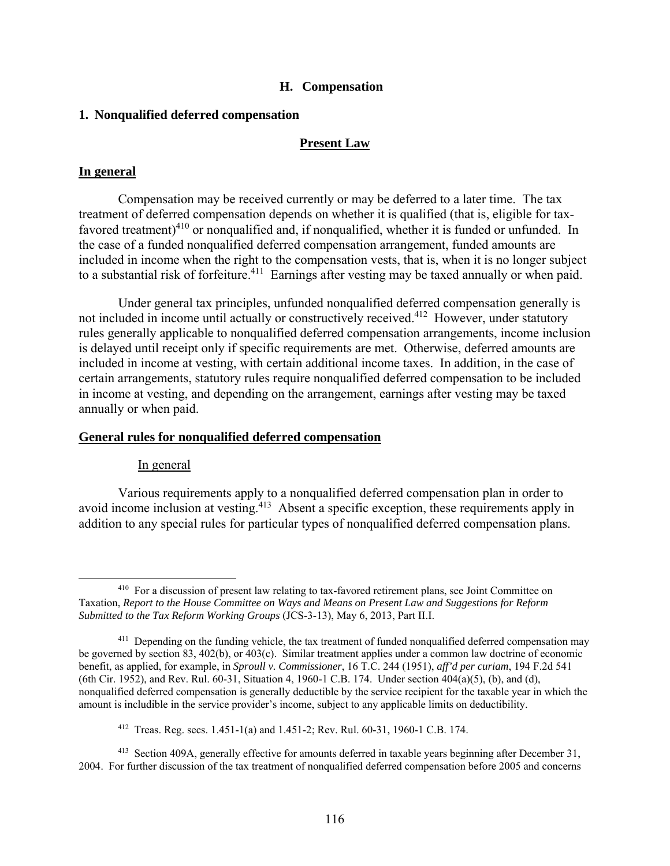#### **H. Compensation**

### **1. Nonqualified deferred compensation**

#### **Present Law**

#### **In general**

Compensation may be received currently or may be deferred to a later time. The tax treatment of deferred compensation depends on whether it is qualified (that is, eligible for taxfavored treatment)<sup>410</sup> or nonqualified and, if nonqualified, whether it is funded or unfunded. In the case of a funded nonqualified deferred compensation arrangement, funded amounts are included in income when the right to the compensation vests, that is, when it is no longer subject to a substantial risk of forfeiture.411 Earnings after vesting may be taxed annually or when paid.

Under general tax principles, unfunded nonqualified deferred compensation generally is not included in income until actually or constructively received.<sup>412</sup> However, under statutory rules generally applicable to nonqualified deferred compensation arrangements, income inclusion is delayed until receipt only if specific requirements are met. Otherwise, deferred amounts are included in income at vesting, with certain additional income taxes. In addition, in the case of certain arrangements, statutory rules require nonqualified deferred compensation to be included in income at vesting, and depending on the arrangement, earnings after vesting may be taxed annually or when paid.

#### **General rules for nonqualified deferred compensation**

#### In general

Various requirements apply to a nonqualified deferred compensation plan in order to avoid income inclusion at vesting.<sup>413</sup> Absent a specific exception, these requirements apply in addition to any special rules for particular types of nonqualified deferred compensation plans.

 <sup>410</sup> For a discussion of present law relating to tax-favored retirement plans, see Joint Committee on Taxation, *Report to the House Committee on Ways and Means on Present Law and Suggestions for Reform Submitted to the Tax Reform Working Groups* (JCS-3-13), May 6, 2013, Part II.I.

<sup>&</sup>lt;sup>411</sup> Depending on the funding vehicle, the tax treatment of funded nonqualified deferred compensation may be governed by section 83, 402(b), or 403(c). Similar treatment applies under a common law doctrine of economic benefit, as applied, for example, in *Sproull v. Commissioner*, 16 T.C. 244 (1951), *aff'd per curiam*, 194 F.2d 541 (6th Cir. 1952), and Rev. Rul. 60-31, Situation 4, 1960-1 C.B. 174. Under section 404(a)(5), (b), and (d), nonqualified deferred compensation is generally deductible by the service recipient for the taxable year in which the amount is includible in the service provider's income, subject to any applicable limits on deductibility.

<sup>412</sup> Treas. Reg. secs. 1.451-1(a) and 1.451-2; Rev. Rul. 60-31, 1960-1 C.B. 174.

<sup>413</sup> Section 409A, generally effective for amounts deferred in taxable years beginning after December 31, 2004. For further discussion of the tax treatment of nonqualified deferred compensation before 2005 and concerns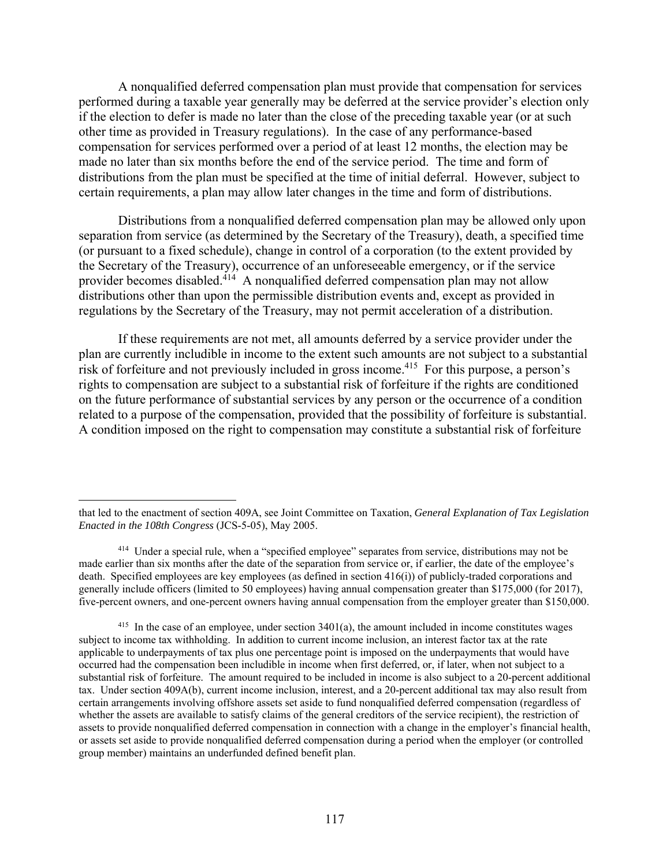A nonqualified deferred compensation plan must provide that compensation for services performed during a taxable year generally may be deferred at the service provider's election only if the election to defer is made no later than the close of the preceding taxable year (or at such other time as provided in Treasury regulations). In the case of any performance-based compensation for services performed over a period of at least 12 months, the election may be made no later than six months before the end of the service period. The time and form of distributions from the plan must be specified at the time of initial deferral. However, subject to certain requirements, a plan may allow later changes in the time and form of distributions.

Distributions from a nonqualified deferred compensation plan may be allowed only upon separation from service (as determined by the Secretary of the Treasury), death, a specified time (or pursuant to a fixed schedule), change in control of a corporation (to the extent provided by the Secretary of the Treasury), occurrence of an unforeseeable emergency, or if the service provider becomes disabled.414 A nonqualified deferred compensation plan may not allow distributions other than upon the permissible distribution events and, except as provided in regulations by the Secretary of the Treasury, may not permit acceleration of a distribution.

If these requirements are not met, all amounts deferred by a service provider under the plan are currently includible in income to the extent such amounts are not subject to a substantial risk of forfeiture and not previously included in gross income.<sup>415</sup> For this purpose, a person's rights to compensation are subject to a substantial risk of forfeiture if the rights are conditioned on the future performance of substantial services by any person or the occurrence of a condition related to a purpose of the compensation, provided that the possibility of forfeiture is substantial. A condition imposed on the right to compensation may constitute a substantial risk of forfeiture

 $\overline{a}$ 

that led to the enactment of section 409A, see Joint Committee on Taxation, *General Explanation of Tax Legislation Enacted in the 108th Congress* (JCS-5-05), May 2005.

<sup>414</sup> Under a special rule, when a "specified employee" separates from service, distributions may not be made earlier than six months after the date of the separation from service or, if earlier, the date of the employee's death. Specified employees are key employees (as defined in section 416(i)) of publicly-traded corporations and generally include officers (limited to 50 employees) having annual compensation greater than \$175,000 (for 2017), five-percent owners, and one-percent owners having annual compensation from the employer greater than \$150,000.

 $415$  In the case of an employee, under section 3401(a), the amount included in income constitutes wages subject to income tax withholding. In addition to current income inclusion, an interest factor tax at the rate applicable to underpayments of tax plus one percentage point is imposed on the underpayments that would have occurred had the compensation been includible in income when first deferred, or, if later, when not subject to a substantial risk of forfeiture. The amount required to be included in income is also subject to a 20-percent additional tax. Under section 409A(b), current income inclusion, interest, and a 20-percent additional tax may also result from certain arrangements involving offshore assets set aside to fund nonqualified deferred compensation (regardless of whether the assets are available to satisfy claims of the general creditors of the service recipient), the restriction of assets to provide nonqualified deferred compensation in connection with a change in the employer's financial health, or assets set aside to provide nonqualified deferred compensation during a period when the employer (or controlled group member) maintains an underfunded defined benefit plan.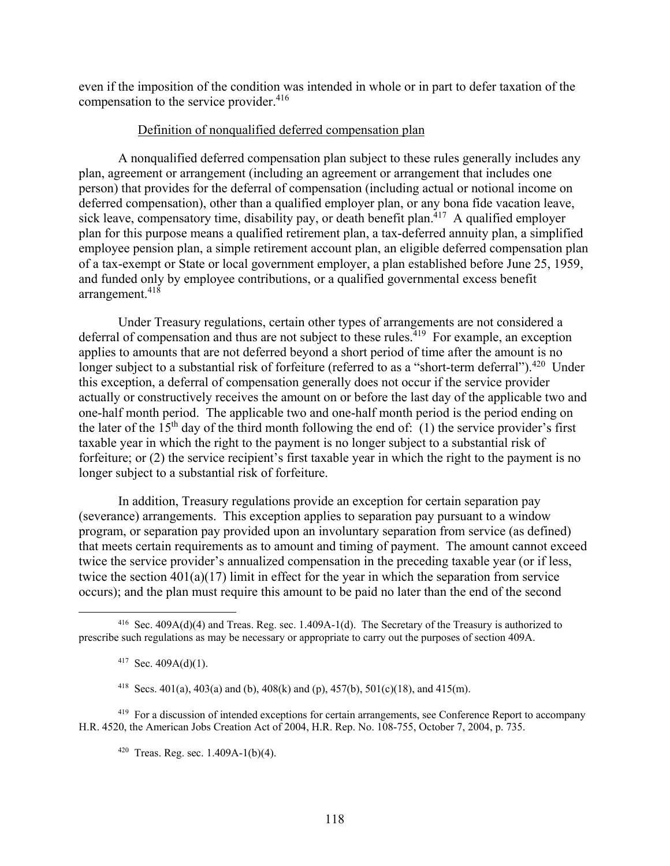even if the imposition of the condition was intended in whole or in part to defer taxation of the compensation to the service provider.<sup>416</sup>

## Definition of nonqualified deferred compensation plan

A nonqualified deferred compensation plan subject to these rules generally includes any plan, agreement or arrangement (including an agreement or arrangement that includes one person) that provides for the deferral of compensation (including actual or notional income on deferred compensation), other than a qualified employer plan, or any bona fide vacation leave, sick leave, compensatory time, disability pay, or death benefit plan.<sup>417</sup> A qualified employer plan for this purpose means a qualified retirement plan, a tax-deferred annuity plan, a simplified employee pension plan, a simple retirement account plan, an eligible deferred compensation plan of a tax-exempt or State or local government employer, a plan established before June 25, 1959, and funded only by employee contributions, or a qualified governmental excess benefit arrangement.<sup>418</sup>

Under Treasury regulations, certain other types of arrangements are not considered a deferral of compensation and thus are not subject to these rules.<sup> $419$ </sup> For example, an exception applies to amounts that are not deferred beyond a short period of time after the amount is no longer subject to a substantial risk of forfeiture (referred to as a "short-term deferral").<sup>420</sup> Under this exception, a deferral of compensation generally does not occur if the service provider actually or constructively receives the amount on or before the last day of the applicable two and one-half month period. The applicable two and one-half month period is the period ending on the later of the  $15<sup>th</sup>$  day of the third month following the end of: (1) the service provider's first taxable year in which the right to the payment is no longer subject to a substantial risk of forfeiture; or (2) the service recipient's first taxable year in which the right to the payment is no longer subject to a substantial risk of forfeiture.

In addition, Treasury regulations provide an exception for certain separation pay (severance) arrangements. This exception applies to separation pay pursuant to a window program, or separation pay provided upon an involuntary separation from service (as defined) that meets certain requirements as to amount and timing of payment. The amount cannot exceed twice the service provider's annualized compensation in the preceding taxable year (or if less, twice the section  $401(a)(17)$  limit in effect for the year in which the separation from service occurs); and the plan must require this amount to be paid no later than the end of the second

<sup>419</sup> For a discussion of intended exceptions for certain arrangements, see Conference Report to accompany H.R. 4520, the American Jobs Creation Act of 2004, H.R. Rep. No. 108-755, October 7, 2004, p. 735.

 $420$  Treas. Reg. sec. 1.409A-1(b)(4).

<sup>&</sup>lt;sup>416</sup> Sec. 409A(d)(4) and Treas. Reg. sec. 1.409A-1(d). The Secretary of the Treasury is authorized to prescribe such regulations as may be necessary or appropriate to carry out the purposes of section 409A.

 $417$  Sec.  $409A(d)(1)$ .

<sup>&</sup>lt;sup>418</sup> Secs. 401(a), 403(a) and (b), 408(k) and (p), 457(b), 501(c)(18), and 415(m).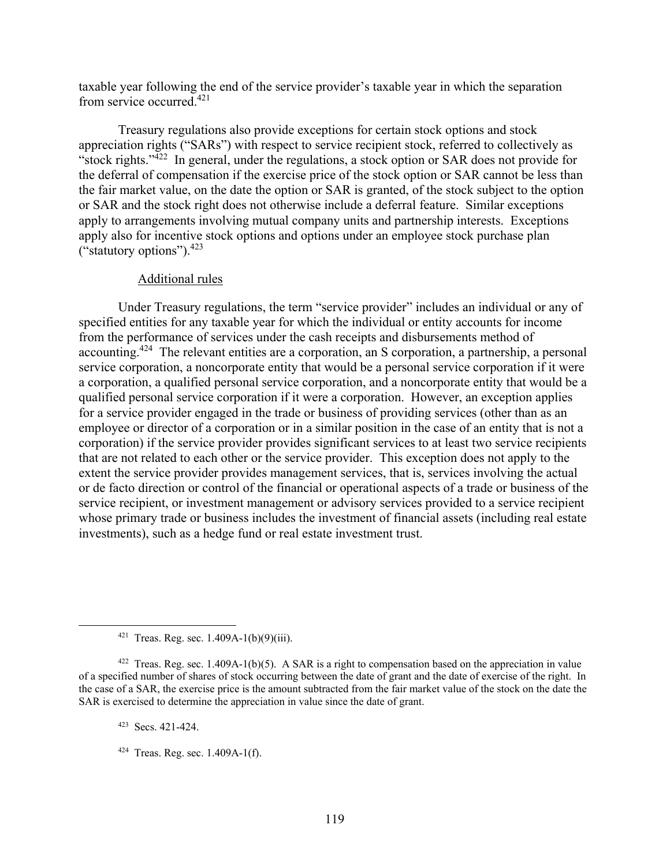taxable year following the end of the service provider's taxable year in which the separation from service occurred.421

Treasury regulations also provide exceptions for certain stock options and stock appreciation rights ("SARs") with respect to service recipient stock, referred to collectively as "stock rights." $422$  In general, under the regulations, a stock option or SAR does not provide for the deferral of compensation if the exercise price of the stock option or SAR cannot be less than the fair market value, on the date the option or SAR is granted, of the stock subject to the option or SAR and the stock right does not otherwise include a deferral feature. Similar exceptions apply to arrangements involving mutual company units and partnership interests. Exceptions apply also for incentive stock options and options under an employee stock purchase plan ("statutory options").  $423$ 

#### Additional rules

Under Treasury regulations, the term "service provider" includes an individual or any of specified entities for any taxable year for which the individual or entity accounts for income from the performance of services under the cash receipts and disbursements method of accounting.424 The relevant entities are a corporation, an S corporation, a partnership, a personal service corporation, a noncorporate entity that would be a personal service corporation if it were a corporation, a qualified personal service corporation, and a noncorporate entity that would be a qualified personal service corporation if it were a corporation. However, an exception applies for a service provider engaged in the trade or business of providing services (other than as an employee or director of a corporation or in a similar position in the case of an entity that is not a corporation) if the service provider provides significant services to at least two service recipients that are not related to each other or the service provider. This exception does not apply to the extent the service provider provides management services, that is, services involving the actual or de facto direction or control of the financial or operational aspects of a trade or business of the service recipient, or investment management or advisory services provided to a service recipient whose primary trade or business includes the investment of financial assets (including real estate investments), such as a hedge fund or real estate investment trust.

424 Treas. Reg. sec. 1.409A-1(f).

<sup>421</sup> Treas. Reg. sec.  $1.409A-1(b)(9)(iii)$ .

<sup>&</sup>lt;sup>422</sup> Treas. Reg. sec. 1.409A-1(b)(5). A SAR is a right to compensation based on the appreciation in value of a specified number of shares of stock occurring between the date of grant and the date of exercise of the right. In the case of a SAR, the exercise price is the amount subtracted from the fair market value of the stock on the date the SAR is exercised to determine the appreciation in value since the date of grant.

<sup>423</sup> Secs. 421-424.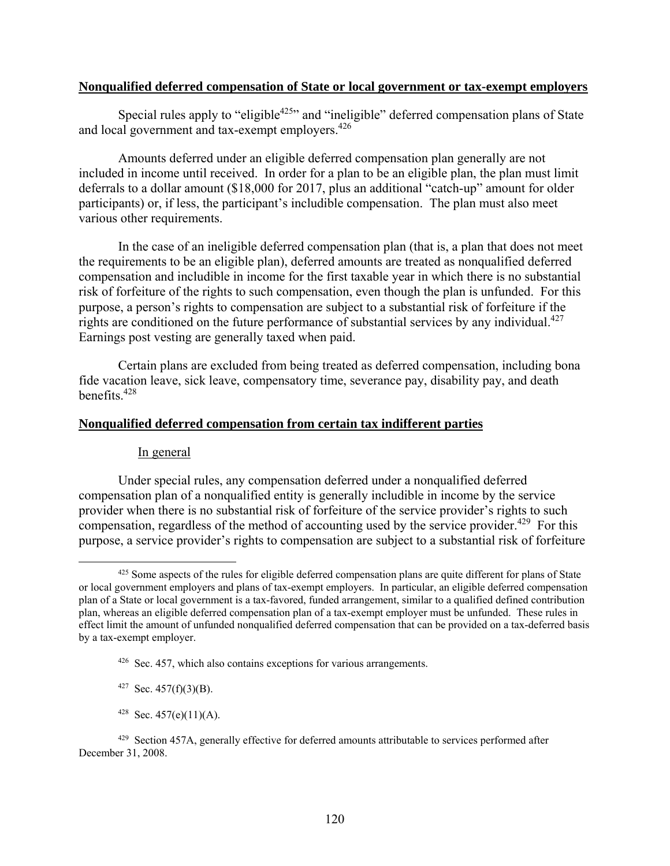### **Nonqualified deferred compensation of State or local government or tax-exempt employers**

Special rules apply to "eligible<sup>425</sup>" and "ineligible" deferred compensation plans of State and local government and tax-exempt employers.<sup>426</sup>

Amounts deferred under an eligible deferred compensation plan generally are not included in income until received. In order for a plan to be an eligible plan, the plan must limit deferrals to a dollar amount (\$18,000 for 2017, plus an additional "catch-up" amount for older participants) or, if less, the participant's includible compensation. The plan must also meet various other requirements.

In the case of an ineligible deferred compensation plan (that is, a plan that does not meet the requirements to be an eligible plan), deferred amounts are treated as nonqualified deferred compensation and includible in income for the first taxable year in which there is no substantial risk of forfeiture of the rights to such compensation, even though the plan is unfunded. For this purpose, a person's rights to compensation are subject to a substantial risk of forfeiture if the rights are conditioned on the future performance of substantial services by any individual.<sup>427</sup> Earnings post vesting are generally taxed when paid.

Certain plans are excluded from being treated as deferred compensation, including bona fide vacation leave, sick leave, compensatory time, severance pay, disability pay, and death benefits. $428$ 

## **Nonqualified deferred compensation from certain tax indifferent parties**

#### In general

Under special rules, any compensation deferred under a nonqualified deferred compensation plan of a nonqualified entity is generally includible in income by the service provider when there is no substantial risk of forfeiture of the service provider's rights to such compensation, regardless of the method of accounting used by the service provider.<sup>429</sup> For this purpose, a service provider's rights to compensation are subject to a substantial risk of forfeiture

<sup>428</sup> Sec. 457(e)(11)(A).

<sup>&</sup>lt;sup>425</sup> Some aspects of the rules for eligible deferred compensation plans are quite different for plans of State or local government employers and plans of tax-exempt employers. In particular, an eligible deferred compensation plan of a State or local government is a tax-favored, funded arrangement, similar to a qualified defined contribution plan, whereas an eligible deferred compensation plan of a tax-exempt employer must be unfunded. These rules in effect limit the amount of unfunded nonqualified deferred compensation that can be provided on a tax-deferred basis by a tax-exempt employer.

<sup>426</sup> Sec. 457, which also contains exceptions for various arrangements.

 $427$  Sec.  $457(f)(3)(B)$ .

<sup>429</sup> Section 457A, generally effective for deferred amounts attributable to services performed after December 31, 2008.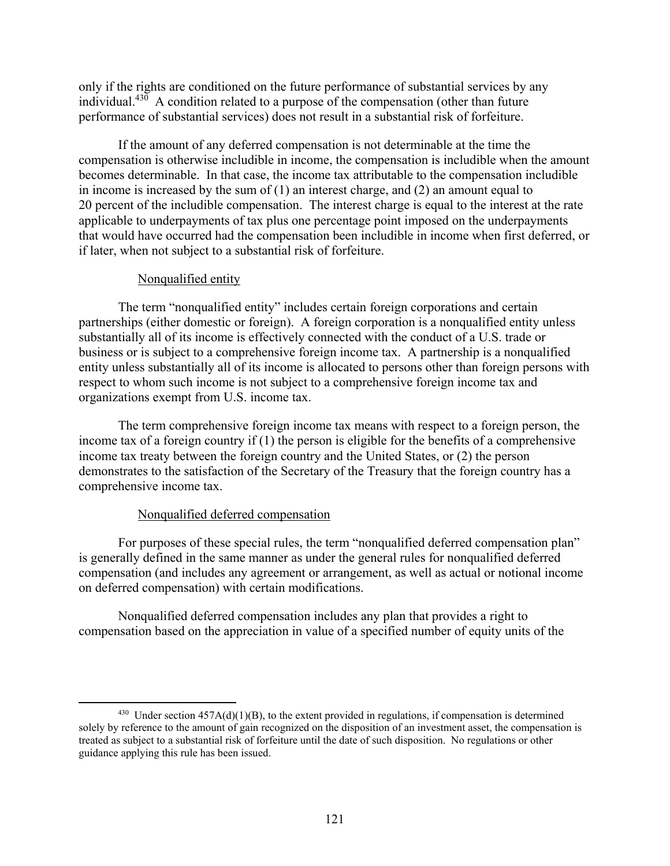only if the rights are conditioned on the future performance of substantial services by any individual. $430$  A condition related to a purpose of the compensation (other than future performance of substantial services) does not result in a substantial risk of forfeiture.

If the amount of any deferred compensation is not determinable at the time the compensation is otherwise includible in income, the compensation is includible when the amount becomes determinable. In that case, the income tax attributable to the compensation includible in income is increased by the sum of  $(1)$  an interest charge, and  $(2)$  an amount equal to 20 percent of the includible compensation. The interest charge is equal to the interest at the rate applicable to underpayments of tax plus one percentage point imposed on the underpayments that would have occurred had the compensation been includible in income when first deferred, or if later, when not subject to a substantial risk of forfeiture.

## Nonqualified entity

The term "nonqualified entity" includes certain foreign corporations and certain partnerships (either domestic or foreign). A foreign corporation is a nonqualified entity unless substantially all of its income is effectively connected with the conduct of a U.S. trade or business or is subject to a comprehensive foreign income tax. A partnership is a nonqualified entity unless substantially all of its income is allocated to persons other than foreign persons with respect to whom such income is not subject to a comprehensive foreign income tax and organizations exempt from U.S. income tax.

The term comprehensive foreign income tax means with respect to a foreign person, the income tax of a foreign country if  $(1)$  the person is eligible for the benefits of a comprehensive income tax treaty between the foreign country and the United States, or (2) the person demonstrates to the satisfaction of the Secretary of the Treasury that the foreign country has a comprehensive income tax.

## Nonqualified deferred compensation

For purposes of these special rules, the term "nonqualified deferred compensation plan" is generally defined in the same manner as under the general rules for nonqualified deferred compensation (and includes any agreement or arrangement, as well as actual or notional income on deferred compensation) with certain modifications.

Nonqualified deferred compensation includes any plan that provides a right to compensation based on the appreciation in value of a specified number of equity units of the

 $^{430}$  Under section  $457A(d)(1)(B)$ , to the extent provided in regulations, if compensation is determined solely by reference to the amount of gain recognized on the disposition of an investment asset, the compensation is treated as subject to a substantial risk of forfeiture until the date of such disposition. No regulations or other guidance applying this rule has been issued.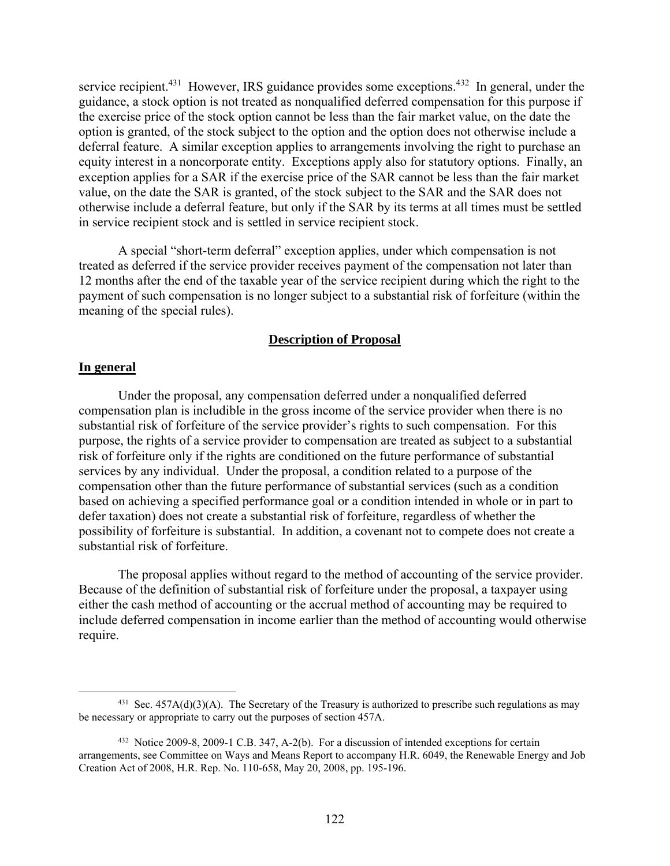service recipient.<sup>431</sup> However, IRS guidance provides some exceptions.<sup>432</sup> In general, under the guidance, a stock option is not treated as nonqualified deferred compensation for this purpose if the exercise price of the stock option cannot be less than the fair market value, on the date the option is granted, of the stock subject to the option and the option does not otherwise include a deferral feature. A similar exception applies to arrangements involving the right to purchase an equity interest in a noncorporate entity. Exceptions apply also for statutory options. Finally, an exception applies for a SAR if the exercise price of the SAR cannot be less than the fair market value, on the date the SAR is granted, of the stock subject to the SAR and the SAR does not otherwise include a deferral feature, but only if the SAR by its terms at all times must be settled in service recipient stock and is settled in service recipient stock.

A special "short-term deferral" exception applies, under which compensation is not treated as deferred if the service provider receives payment of the compensation not later than 12 months after the end of the taxable year of the service recipient during which the right to the payment of such compensation is no longer subject to a substantial risk of forfeiture (within the meaning of the special rules).

#### **Description of Proposal**

#### **In general**

Under the proposal, any compensation deferred under a nonqualified deferred compensation plan is includible in the gross income of the service provider when there is no substantial risk of forfeiture of the service provider's rights to such compensation. For this purpose, the rights of a service provider to compensation are treated as subject to a substantial risk of forfeiture only if the rights are conditioned on the future performance of substantial services by any individual. Under the proposal, a condition related to a purpose of the compensation other than the future performance of substantial services (such as a condition based on achieving a specified performance goal or a condition intended in whole or in part to defer taxation) does not create a substantial risk of forfeiture, regardless of whether the possibility of forfeiture is substantial. In addition, a covenant not to compete does not create a substantial risk of forfeiture.

The proposal applies without regard to the method of accounting of the service provider. Because of the definition of substantial risk of forfeiture under the proposal, a taxpayer using either the cash method of accounting or the accrual method of accounting may be required to include deferred compensation in income earlier than the method of accounting would otherwise require.

 $431$  Sec.  $457A(d)(3)(A)$ . The Secretary of the Treasury is authorized to prescribe such regulations as may be necessary or appropriate to carry out the purposes of section 457A.

<sup>432</sup> Notice 2009-8, 2009-1 C.B. 347, A-2(b). For a discussion of intended exceptions for certain arrangements, see Committee on Ways and Means Report to accompany H.R. 6049, the Renewable Energy and Job Creation Act of 2008, H.R. Rep. No. 110-658, May 20, 2008, pp. 195-196.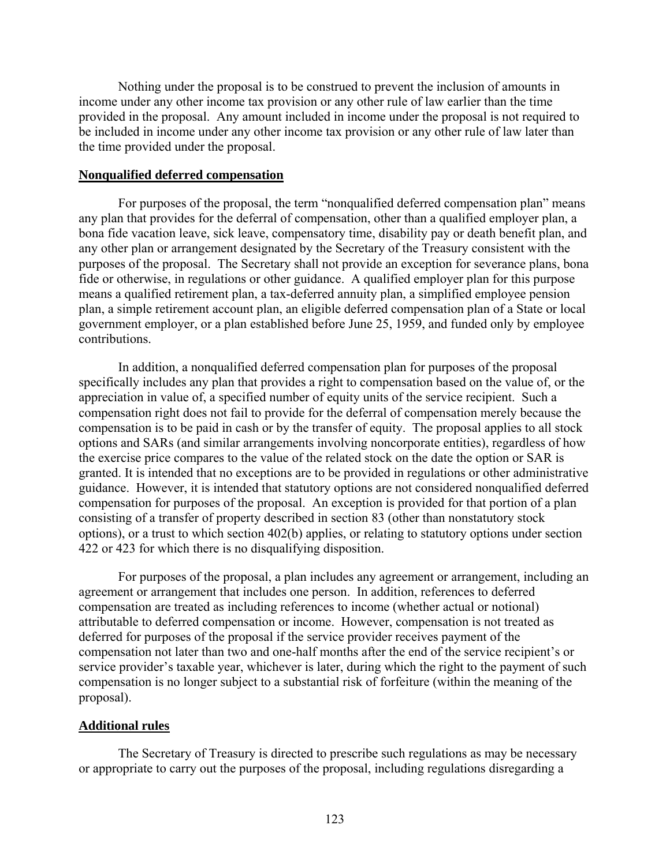Nothing under the proposal is to be construed to prevent the inclusion of amounts in income under any other income tax provision or any other rule of law earlier than the time provided in the proposal. Any amount included in income under the proposal is not required to be included in income under any other income tax provision or any other rule of law later than the time provided under the proposal.

#### **Nonqualified deferred compensation**

For purposes of the proposal, the term "nonqualified deferred compensation plan" means any plan that provides for the deferral of compensation, other than a qualified employer plan, a bona fide vacation leave, sick leave, compensatory time, disability pay or death benefit plan, and any other plan or arrangement designated by the Secretary of the Treasury consistent with the purposes of the proposal. The Secretary shall not provide an exception for severance plans, bona fide or otherwise, in regulations or other guidance. A qualified employer plan for this purpose means a qualified retirement plan, a tax-deferred annuity plan, a simplified employee pension plan, a simple retirement account plan, an eligible deferred compensation plan of a State or local government employer, or a plan established before June 25, 1959, and funded only by employee contributions.

In addition, a nonqualified deferred compensation plan for purposes of the proposal specifically includes any plan that provides a right to compensation based on the value of, or the appreciation in value of, a specified number of equity units of the service recipient. Such a compensation right does not fail to provide for the deferral of compensation merely because the compensation is to be paid in cash or by the transfer of equity. The proposal applies to all stock options and SARs (and similar arrangements involving noncorporate entities), regardless of how the exercise price compares to the value of the related stock on the date the option or SAR is granted. It is intended that no exceptions are to be provided in regulations or other administrative guidance. However, it is intended that statutory options are not considered nonqualified deferred compensation for purposes of the proposal. An exception is provided for that portion of a plan consisting of a transfer of property described in section 83 (other than nonstatutory stock options), or a trust to which section 402(b) applies, or relating to statutory options under section 422 or 423 for which there is no disqualifying disposition.

For purposes of the proposal, a plan includes any agreement or arrangement, including an agreement or arrangement that includes one person. In addition, references to deferred compensation are treated as including references to income (whether actual or notional) attributable to deferred compensation or income. However, compensation is not treated as deferred for purposes of the proposal if the service provider receives payment of the compensation not later than two and one-half months after the end of the service recipient's or service provider's taxable year, whichever is later, during which the right to the payment of such compensation is no longer subject to a substantial risk of forfeiture (within the meaning of the proposal).

#### **Additional rules**

The Secretary of Treasury is directed to prescribe such regulations as may be necessary or appropriate to carry out the purposes of the proposal, including regulations disregarding a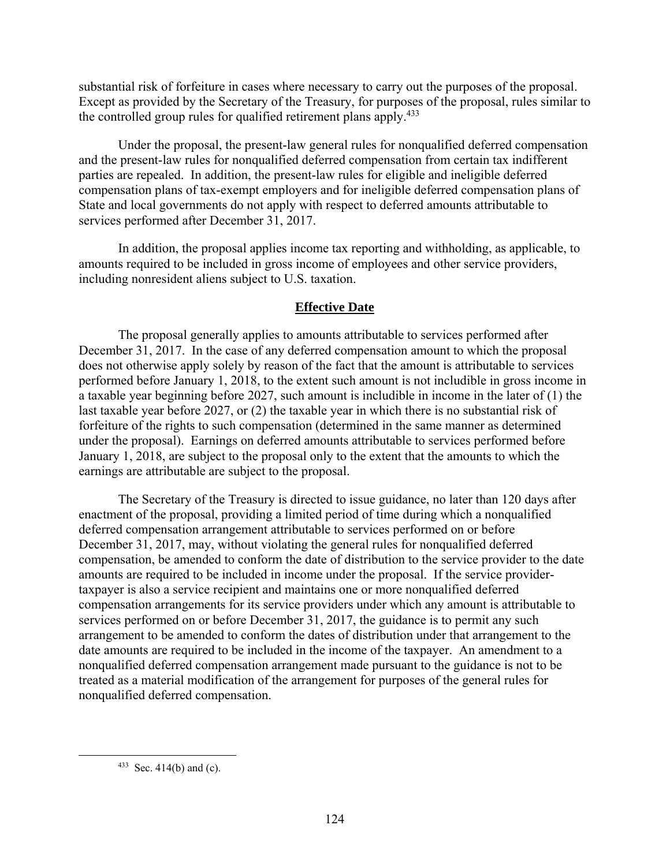substantial risk of forfeiture in cases where necessary to carry out the purposes of the proposal. Except as provided by the Secretary of the Treasury, for purposes of the proposal, rules similar to the controlled group rules for qualified retirement plans apply.<sup>433</sup>

Under the proposal, the present-law general rules for nonqualified deferred compensation and the present-law rules for nonqualified deferred compensation from certain tax indifferent parties are repealed. In addition, the present-law rules for eligible and ineligible deferred compensation plans of tax-exempt employers and for ineligible deferred compensation plans of State and local governments do not apply with respect to deferred amounts attributable to services performed after December 31, 2017.

In addition, the proposal applies income tax reporting and withholding, as applicable, to amounts required to be included in gross income of employees and other service providers, including nonresident aliens subject to U.S. taxation.

## **Effective Date**

The proposal generally applies to amounts attributable to services performed after December 31, 2017. In the case of any deferred compensation amount to which the proposal does not otherwise apply solely by reason of the fact that the amount is attributable to services performed before January 1, 2018, to the extent such amount is not includible in gross income in a taxable year beginning before 2027, such amount is includible in income in the later of (1) the last taxable year before 2027, or (2) the taxable year in which there is no substantial risk of forfeiture of the rights to such compensation (determined in the same manner as determined under the proposal). Earnings on deferred amounts attributable to services performed before January 1, 2018, are subject to the proposal only to the extent that the amounts to which the earnings are attributable are subject to the proposal.

The Secretary of the Treasury is directed to issue guidance, no later than 120 days after enactment of the proposal, providing a limited period of time during which a nonqualified deferred compensation arrangement attributable to services performed on or before December 31, 2017, may, without violating the general rules for nonqualified deferred compensation, be amended to conform the date of distribution to the service provider to the date amounts are required to be included in income under the proposal. If the service providertaxpayer is also a service recipient and maintains one or more nonqualified deferred compensation arrangements for its service providers under which any amount is attributable to services performed on or before December 31, 2017, the guidance is to permit any such arrangement to be amended to conform the dates of distribution under that arrangement to the date amounts are required to be included in the income of the taxpayer. An amendment to a nonqualified deferred compensation arrangement made pursuant to the guidance is not to be treated as a material modification of the arrangement for purposes of the general rules for nonqualified deferred compensation.

<sup>433</sup> Sec. 414(b) and (c).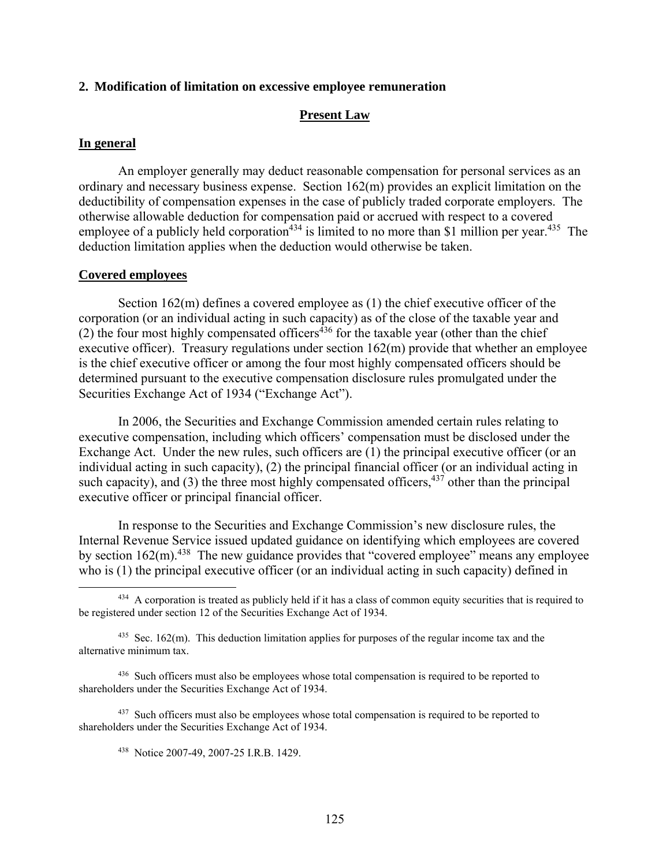#### **2. Modification of limitation on excessive employee remuneration**

#### **Present Law**

#### **In general**

An employer generally may deduct reasonable compensation for personal services as an ordinary and necessary business expense. Section 162(m) provides an explicit limitation on the deductibility of compensation expenses in the case of publicly traded corporate employers. The otherwise allowable deduction for compensation paid or accrued with respect to a covered employee of a publicly held corporation<sup>434</sup> is limited to no more than \$1 million per year.<sup>435</sup> The deduction limitation applies when the deduction would otherwise be taken.

#### **Covered employees**

Section 162(m) defines a covered employee as (1) the chief executive officer of the corporation (or an individual acting in such capacity) as of the close of the taxable year and (2) the four most highly compensated officers<sup> $436$ </sup> for the taxable year (other than the chief executive officer). Treasury regulations under section 162(m) provide that whether an employee is the chief executive officer or among the four most highly compensated officers should be determined pursuant to the executive compensation disclosure rules promulgated under the Securities Exchange Act of 1934 ("Exchange Act").

In 2006, the Securities and Exchange Commission amended certain rules relating to executive compensation, including which officers' compensation must be disclosed under the Exchange Act. Under the new rules, such officers are (1) the principal executive officer (or an individual acting in such capacity), (2) the principal financial officer (or an individual acting in such capacity), and (3) the three most highly compensated officers,  $437$  other than the principal executive officer or principal financial officer.

In response to the Securities and Exchange Commission's new disclosure rules, the Internal Revenue Service issued updated guidance on identifying which employees are covered by section  $162(m)$ .<sup>438</sup> The new guidance provides that "covered employee" means any employee who is (1) the principal executive officer (or an individual acting in such capacity) defined in

<sup>437</sup> Such officers must also be employees whose total compensation is required to be reported to shareholders under the Securities Exchange Act of 1934.

<sup>&</sup>lt;sup>434</sup> A corporation is treated as publicly held if it has a class of common equity securities that is required to be registered under section 12 of the Securities Exchange Act of 1934.

 $435$  Sec. 162(m). This deduction limitation applies for purposes of the regular income tax and the alternative minimum tax.

<sup>&</sup>lt;sup>436</sup> Such officers must also be employees whose total compensation is required to be reported to shareholders under the Securities Exchange Act of 1934.

<sup>438</sup> Notice 2007-49, 2007-25 I.R.B. 1429.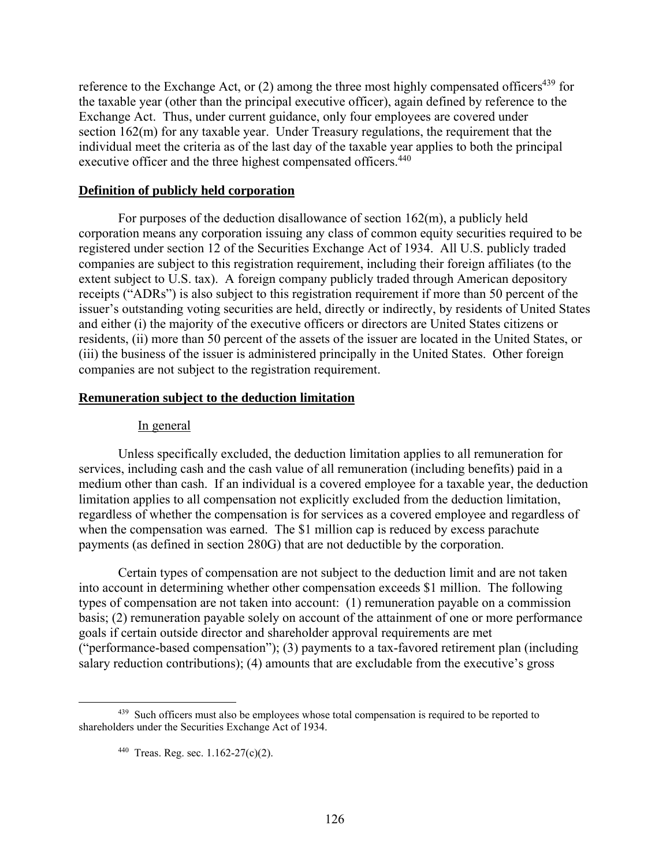reference to the Exchange Act, or  $(2)$  among the three most highly compensated officers<sup>439</sup> for the taxable year (other than the principal executive officer), again defined by reference to the Exchange Act. Thus, under current guidance, only four employees are covered under section 162(m) for any taxable year. Under Treasury regulations, the requirement that the individual meet the criteria as of the last day of the taxable year applies to both the principal executive officer and the three highest compensated officers.<sup>440</sup>

#### **Definition of publicly held corporation**

For purposes of the deduction disallowance of section 162(m), a publicly held corporation means any corporation issuing any class of common equity securities required to be registered under section 12 of the Securities Exchange Act of 1934. All U.S. publicly traded companies are subject to this registration requirement, including their foreign affiliates (to the extent subject to U.S. tax). A foreign company publicly traded through American depository receipts ("ADRs") is also subject to this registration requirement if more than 50 percent of the issuer's outstanding voting securities are held, directly or indirectly, by residents of United States and either (i) the majority of the executive officers or directors are United States citizens or residents, (ii) more than 50 percent of the assets of the issuer are located in the United States, or (iii) the business of the issuer is administered principally in the United States. Other foreign companies are not subject to the registration requirement.

#### **Remuneration subject to the deduction limitation**

#### In general

Unless specifically excluded, the deduction limitation applies to all remuneration for services, including cash and the cash value of all remuneration (including benefits) paid in a medium other than cash. If an individual is a covered employee for a taxable year, the deduction limitation applies to all compensation not explicitly excluded from the deduction limitation, regardless of whether the compensation is for services as a covered employee and regardless of when the compensation was earned. The \$1 million cap is reduced by excess parachute payments (as defined in section 280G) that are not deductible by the corporation.

Certain types of compensation are not subject to the deduction limit and are not taken into account in determining whether other compensation exceeds \$1 million. The following types of compensation are not taken into account: (1) remuneration payable on a commission basis; (2) remuneration payable solely on account of the attainment of one or more performance goals if certain outside director and shareholder approval requirements are met ("performance-based compensation"); (3) payments to a tax-favored retirement plan (including salary reduction contributions); (4) amounts that are excludable from the executive's gross

<sup>&</sup>lt;sup>439</sup> Such officers must also be employees whose total compensation is required to be reported to shareholders under the Securities Exchange Act of 1934.

<sup>440</sup> Treas. Reg. sec.  $1.162 - 27(c)(2)$ .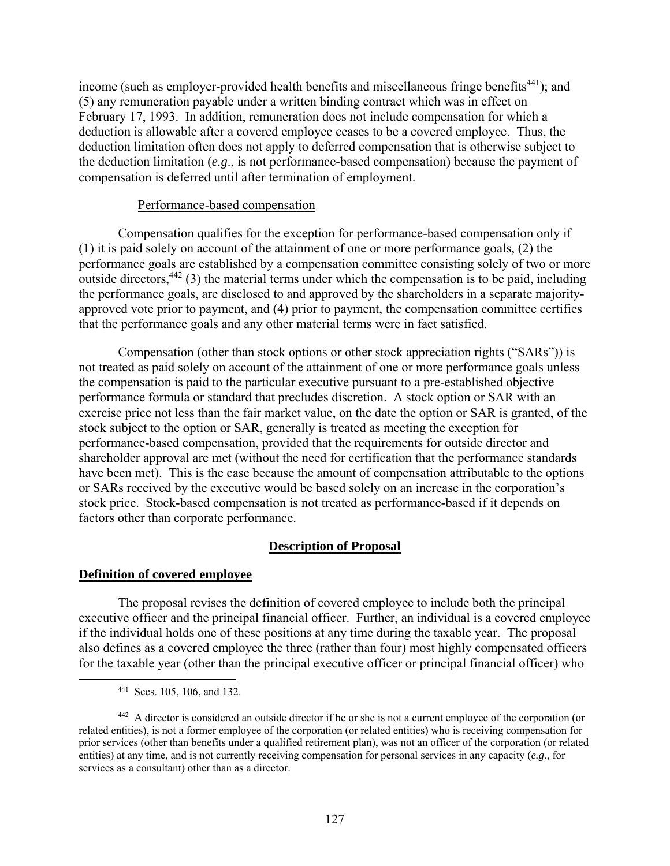income (such as employer-provided health benefits and miscellaneous fringe benefits $441$ ); and (5) any remuneration payable under a written binding contract which was in effect on February 17, 1993. In addition, remuneration does not include compensation for which a deduction is allowable after a covered employee ceases to be a covered employee. Thus, the deduction limitation often does not apply to deferred compensation that is otherwise subject to the deduction limitation (*e.g*., is not performance-based compensation) because the payment of compensation is deferred until after termination of employment.

#### Performance-based compensation

Compensation qualifies for the exception for performance-based compensation only if (1) it is paid solely on account of the attainment of one or more performance goals, (2) the performance goals are established by a compensation committee consisting solely of two or more outside directors,  $442$  (3) the material terms under which the compensation is to be paid, including the performance goals, are disclosed to and approved by the shareholders in a separate majorityapproved vote prior to payment, and (4) prior to payment, the compensation committee certifies that the performance goals and any other material terms were in fact satisfied.

Compensation (other than stock options or other stock appreciation rights ("SARs")) is not treated as paid solely on account of the attainment of one or more performance goals unless the compensation is paid to the particular executive pursuant to a pre-established objective performance formula or standard that precludes discretion. A stock option or SAR with an exercise price not less than the fair market value, on the date the option or SAR is granted, of the stock subject to the option or SAR, generally is treated as meeting the exception for performance-based compensation, provided that the requirements for outside director and shareholder approval are met (without the need for certification that the performance standards have been met). This is the case because the amount of compensation attributable to the options or SARs received by the executive would be based solely on an increase in the corporation's stock price. Stock-based compensation is not treated as performance-based if it depends on factors other than corporate performance.

## **Description of Proposal**

## **Definition of covered employee**

The proposal revises the definition of covered employee to include both the principal executive officer and the principal financial officer. Further, an individual is a covered employee if the individual holds one of these positions at any time during the taxable year. The proposal also defines as a covered employee the three (rather than four) most highly compensated officers for the taxable year (other than the principal executive officer or principal financial officer) who

 <sup>441</sup> Secs. 105, 106, and 132.

<sup>442</sup> A director is considered an outside director if he or she is not a current employee of the corporation (or related entities), is not a former employee of the corporation (or related entities) who is receiving compensation for prior services (other than benefits under a qualified retirement plan), was not an officer of the corporation (or related entities) at any time, and is not currently receiving compensation for personal services in any capacity (*e.g*., for services as a consultant) other than as a director.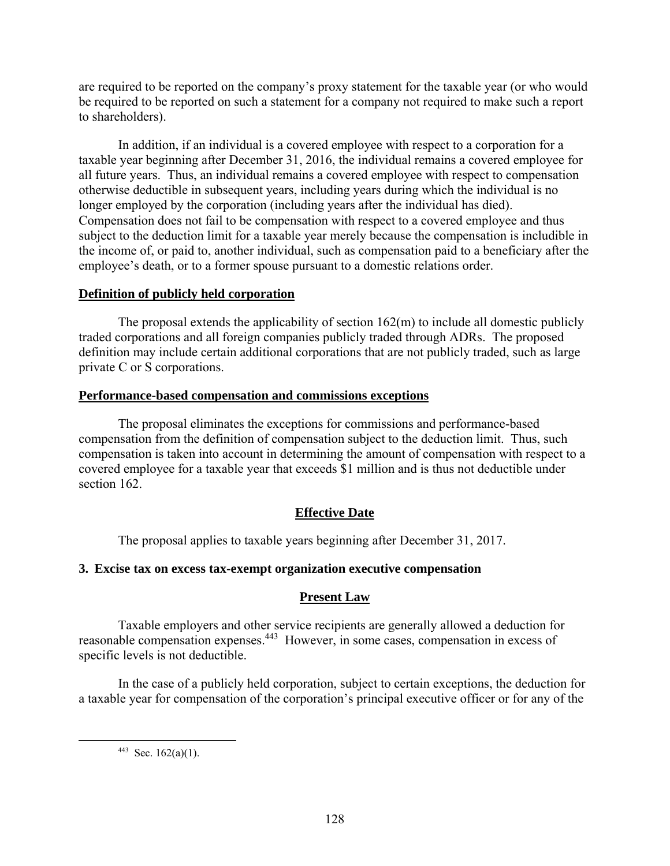are required to be reported on the company's proxy statement for the taxable year (or who would be required to be reported on such a statement for a company not required to make such a report to shareholders).

In addition, if an individual is a covered employee with respect to a corporation for a taxable year beginning after December 31, 2016, the individual remains a covered employee for all future years. Thus, an individual remains a covered employee with respect to compensation otherwise deductible in subsequent years, including years during which the individual is no longer employed by the corporation (including years after the individual has died). Compensation does not fail to be compensation with respect to a covered employee and thus subject to the deduction limit for a taxable year merely because the compensation is includible in the income of, or paid to, another individual, such as compensation paid to a beneficiary after the employee's death, or to a former spouse pursuant to a domestic relations order.

## **Definition of publicly held corporation**

The proposal extends the applicability of section 162(m) to include all domestic publicly traded corporations and all foreign companies publicly traded through ADRs. The proposed definition may include certain additional corporations that are not publicly traded, such as large private C or S corporations.

## **Performance-based compensation and commissions exceptions**

The proposal eliminates the exceptions for commissions and performance-based compensation from the definition of compensation subject to the deduction limit. Thus, such compensation is taken into account in determining the amount of compensation with respect to a covered employee for a taxable year that exceeds \$1 million and is thus not deductible under section 162.

## **Effective Date**

The proposal applies to taxable years beginning after December 31, 2017.

## **3. Excise tax on excess tax-exempt organization executive compensation**

## **Present Law**

Taxable employers and other service recipients are generally allowed a deduction for reasonable compensation expenses.443 However, in some cases, compensation in excess of specific levels is not deductible.

In the case of a publicly held corporation, subject to certain exceptions, the deduction for a taxable year for compensation of the corporation's principal executive officer or for any of the

 $443$  Sec. 162(a)(1).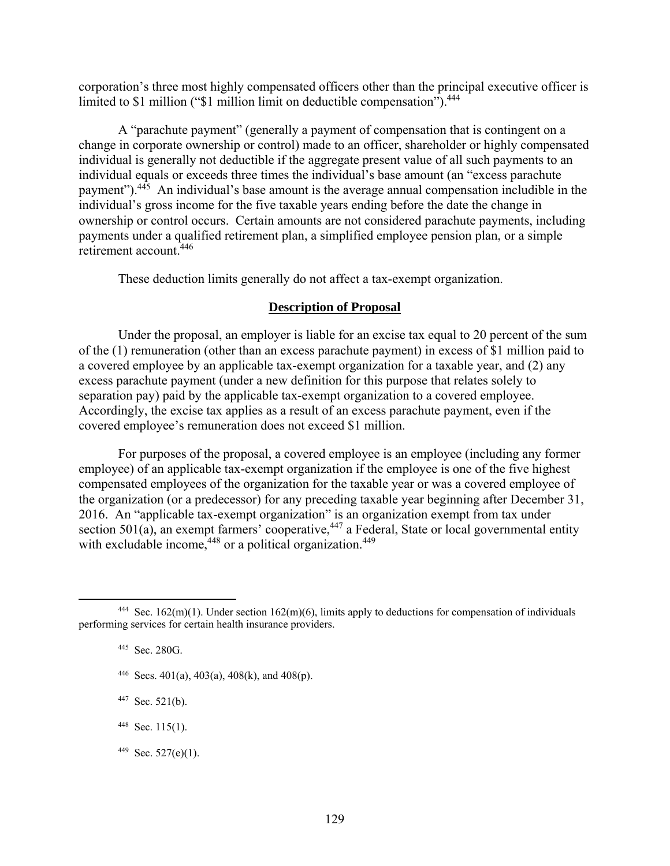corporation's three most highly compensated officers other than the principal executive officer is limited to \$1 million ("\$1 million limit on deductible compensation").<sup>444</sup>

A "parachute payment" (generally a payment of compensation that is contingent on a change in corporate ownership or control) made to an officer, shareholder or highly compensated individual is generally not deductible if the aggregate present value of all such payments to an individual equals or exceeds three times the individual's base amount (an "excess parachute payment").445 An individual's base amount is the average annual compensation includible in the individual's gross income for the five taxable years ending before the date the change in ownership or control occurs. Certain amounts are not considered parachute payments, including payments under a qualified retirement plan, a simplified employee pension plan, or a simple retirement account.446

These deduction limits generally do not affect a tax-exempt organization.

## **Description of Proposal**

Under the proposal, an employer is liable for an excise tax equal to 20 percent of the sum of the (1) remuneration (other than an excess parachute payment) in excess of \$1 million paid to a covered employee by an applicable tax-exempt organization for a taxable year, and (2) any excess parachute payment (under a new definition for this purpose that relates solely to separation pay) paid by the applicable tax-exempt organization to a covered employee. Accordingly, the excise tax applies as a result of an excess parachute payment, even if the covered employee's remuneration does not exceed \$1 million.

For purposes of the proposal, a covered employee is an employee (including any former employee) of an applicable tax-exempt organization if the employee is one of the five highest compensated employees of the organization for the taxable year or was a covered employee of the organization (or a predecessor) for any preceding taxable year beginning after December 31, 2016. An "applicable tax-exempt organization" is an organization exempt from tax under section 501(a), an exempt farmers' cooperative,  $447$  a Federal, State or local governmental entity with excludable income,  $448$  or a political organization.  $449$ 

445 Sec. 280G.

446 Secs. 401(a), 403(a), 408(k), and 408(p).

 $447$  Sec. 521(b).

- $448$  Sec. 115(1).
- $449$  Sec.  $527(e)(1)$ .

<sup>&</sup>lt;sup>444</sup> Sec. 162(m)(1). Under section 162(m)(6), limits apply to deductions for compensation of individuals performing services for certain health insurance providers.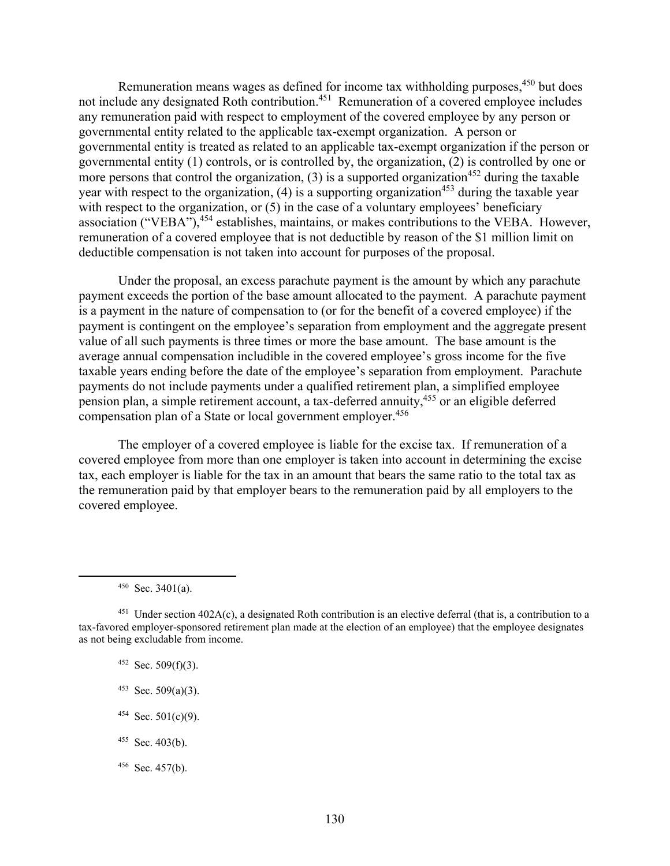Remuneration means wages as defined for income tax withholding purposes,<sup>450</sup> but does not include any designated Roth contribution.<sup>451</sup> Remuneration of a covered employee includes any remuneration paid with respect to employment of the covered employee by any person or governmental entity related to the applicable tax-exempt organization. A person or governmental entity is treated as related to an applicable tax-exempt organization if the person or governmental entity  $(1)$  controls, or is controlled by, the organization,  $(2)$  is controlled by one or more persons that control the organization,  $(3)$  is a supported organization<sup>452</sup> during the taxable year with respect to the organization,  $(4)$  is a supporting organization<sup>453</sup> during the taxable year with respect to the organization, or  $(5)$  in the case of a voluntary employees' beneficiary association ("VEBA"),<sup>454</sup> establishes, maintains, or makes contributions to the VEBA. However, remuneration of a covered employee that is not deductible by reason of the \$1 million limit on deductible compensation is not taken into account for purposes of the proposal.

Under the proposal, an excess parachute payment is the amount by which any parachute payment exceeds the portion of the base amount allocated to the payment. A parachute payment is a payment in the nature of compensation to (or for the benefit of a covered employee) if the payment is contingent on the employee's separation from employment and the aggregate present value of all such payments is three times or more the base amount. The base amount is the average annual compensation includible in the covered employee's gross income for the five taxable years ending before the date of the employee's separation from employment. Parachute payments do not include payments under a qualified retirement plan, a simplified employee pension plan, a simple retirement account, a tax-deferred annuity,455 or an eligible deferred compensation plan of a State or local government employer.<sup>456</sup>

The employer of a covered employee is liable for the excise tax. If remuneration of a covered employee from more than one employer is taken into account in determining the excise tax, each employer is liable for the tax in an amount that bears the same ratio to the total tax as the remuneration paid by that employer bears to the remuneration paid by all employers to the covered employee.

- $453$  Sec. 509(a)(3).
- $454$  Sec.  $501(c)(9)$ .
- $455$  Sec. 403(b).
- $456$  Sec. 457(b).

 $450$  Sec. 3401(a).

 $451$  Under section  $402A(c)$ , a designated Roth contribution is an elective deferral (that is, a contribution to a tax-favored employer-sponsored retirement plan made at the election of an employee) that the employee designates as not being excludable from income.

 $452$  Sec.  $509(f)(3)$ .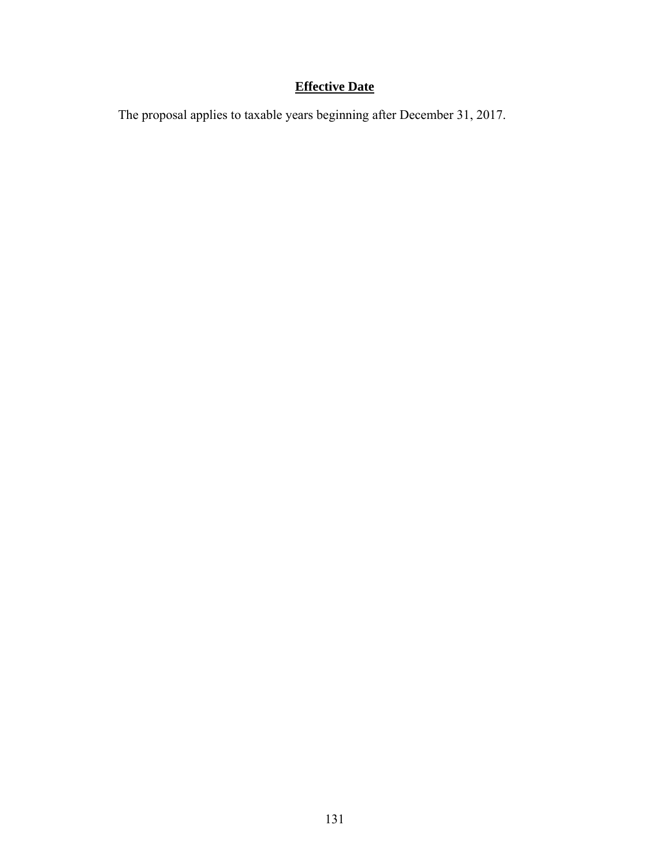# **Effective Date**

The proposal applies to taxable years beginning after December 31, 2017.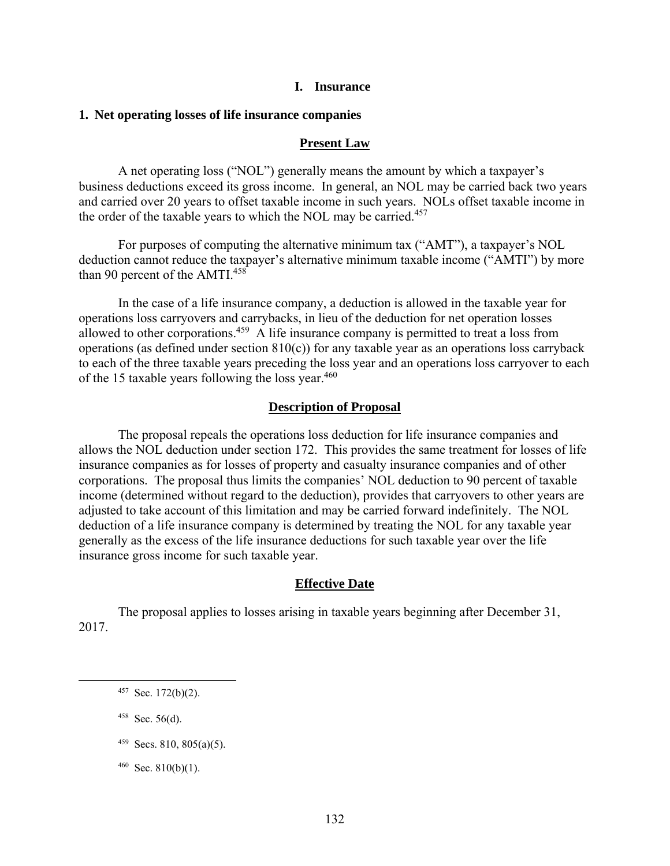#### **I. Insurance**

## **1. Net operating losses of life insurance companies**

#### **Present Law**

A net operating loss ("NOL") generally means the amount by which a taxpayer's business deductions exceed its gross income. In general, an NOL may be carried back two years and carried over 20 years to offset taxable income in such years. NOLs offset taxable income in the order of the taxable years to which the NOL may be carried.<sup>457</sup>

For purposes of computing the alternative minimum tax ("AMT"), a taxpayer's NOL deduction cannot reduce the taxpayer's alternative minimum taxable income ("AMTI") by more than 90 percent of the AMTI.<sup>458</sup>

In the case of a life insurance company, a deduction is allowed in the taxable year for operations loss carryovers and carrybacks, in lieu of the deduction for net operation losses allowed to other corporations.<sup>459</sup> A life insurance company is permitted to treat a loss from operations (as defined under section  $810(c)$ ) for any taxable year as an operations loss carryback to each of the three taxable years preceding the loss year and an operations loss carryover to each of the 15 taxable years following the loss year.<sup>460</sup>

#### **Description of Proposal**

The proposal repeals the operations loss deduction for life insurance companies and allows the NOL deduction under section 172. This provides the same treatment for losses of life insurance companies as for losses of property and casualty insurance companies and of other corporations. The proposal thus limits the companies' NOL deduction to 90 percent of taxable income (determined without regard to the deduction), provides that carryovers to other years are adjusted to take account of this limitation and may be carried forward indefinitely. The NOL deduction of a life insurance company is determined by treating the NOL for any taxable year generally as the excess of the life insurance deductions for such taxable year over the life insurance gross income for such taxable year.

#### **Effective Date**

The proposal applies to losses arising in taxable years beginning after December 31, 2017.

458 Sec. 56(d).

- $459$  Secs. 810, 805(a)(5).
- $460$  Sec.  $810(b)(1)$ .

 <sup>457</sup> Sec. 172(b)(2).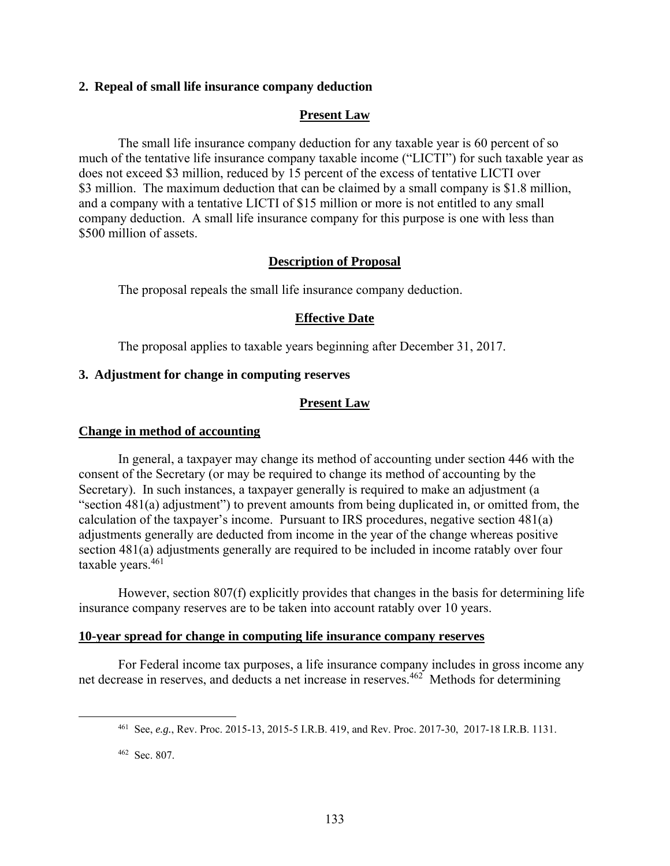## **2. Repeal of small life insurance company deduction**

## **Present Law**

The small life insurance company deduction for any taxable year is 60 percent of so much of the tentative life insurance company taxable income ("LICTI") for such taxable year as does not exceed \$3 million, reduced by 15 percent of the excess of tentative LICTI over \$3 million. The maximum deduction that can be claimed by a small company is \$1.8 million, and a company with a tentative LICTI of \$15 million or more is not entitled to any small company deduction. A small life insurance company for this purpose is one with less than \$500 million of assets.

## **Description of Proposal**

The proposal repeals the small life insurance company deduction.

## **Effective Date**

The proposal applies to taxable years beginning after December 31, 2017.

## **3. Adjustment for change in computing reserves**

## **Present Law**

## **Change in method of accounting**

In general, a taxpayer may change its method of accounting under section 446 with the consent of the Secretary (or may be required to change its method of accounting by the Secretary). In such instances, a taxpayer generally is required to make an adjustment (a "section 481(a) adjustment") to prevent amounts from being duplicated in, or omitted from, the calculation of the taxpayer's income. Pursuant to IRS procedures, negative section 481(a) adjustments generally are deducted from income in the year of the change whereas positive section 481(a) adjustments generally are required to be included in income ratably over four taxable years.<sup>461</sup>

However, section 807(f) explicitly provides that changes in the basis for determining life insurance company reserves are to be taken into account ratably over 10 years.

## **10-year spread for change in computing life insurance company reserves**

For Federal income tax purposes, a life insurance company includes in gross income any net decrease in reserves, and deducts a net increase in reserves.<sup>462</sup> Methods for determining

 <sup>461</sup> See, *e.g.*, Rev. Proc. 2015-13, 2015-5 I.R.B. 419, and Rev. Proc. 2017-30, 2017-18 I.R.B. 1131.

<sup>462</sup> Sec. 807.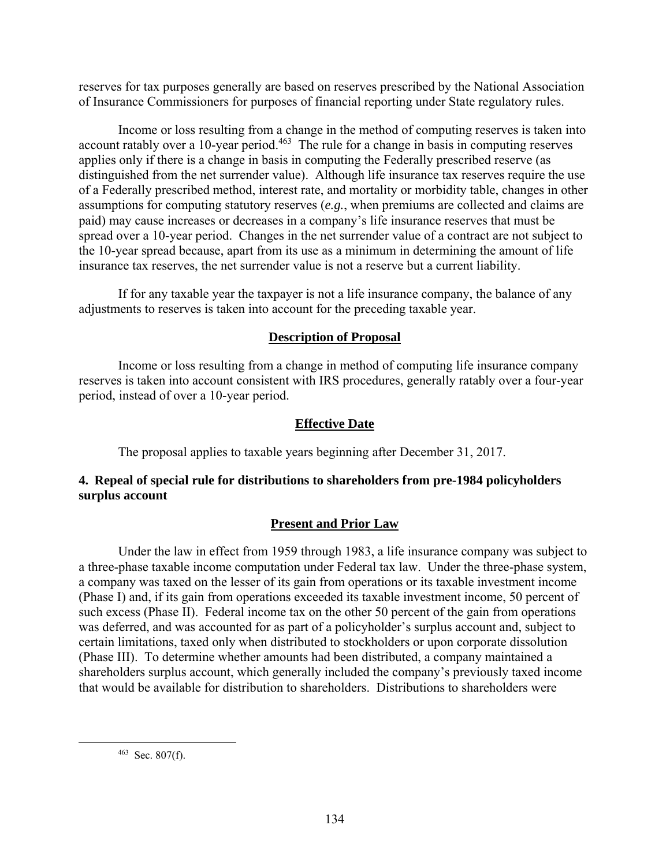reserves for tax purposes generally are based on reserves prescribed by the National Association of Insurance Commissioners for purposes of financial reporting under State regulatory rules.

Income or loss resulting from a change in the method of computing reserves is taken into account ratably over a 10-year period.<sup>463</sup> The rule for a change in basis in computing reserves applies only if there is a change in basis in computing the Federally prescribed reserve (as distinguished from the net surrender value). Although life insurance tax reserves require the use of a Federally prescribed method, interest rate, and mortality or morbidity table, changes in other assumptions for computing statutory reserves (*e.g.*, when premiums are collected and claims are paid) may cause increases or decreases in a company's life insurance reserves that must be spread over a 10-year period. Changes in the net surrender value of a contract are not subject to the 10-year spread because, apart from its use as a minimum in determining the amount of life insurance tax reserves, the net surrender value is not a reserve but a current liability.

If for any taxable year the taxpayer is not a life insurance company, the balance of any adjustments to reserves is taken into account for the preceding taxable year.

## **Description of Proposal**

Income or loss resulting from a change in method of computing life insurance company reserves is taken into account consistent with IRS procedures, generally ratably over a four-year period, instead of over a 10-year period.

## **Effective Date**

The proposal applies to taxable years beginning after December 31, 2017.

## **4. Repeal of special rule for distributions to shareholders from pre-1984 policyholders surplus account**

## **Present and Prior Law**

Under the law in effect from 1959 through 1983, a life insurance company was subject to a three-phase taxable income computation under Federal tax law. Under the three-phase system, a company was taxed on the lesser of its gain from operations or its taxable investment income (Phase I) and, if its gain from operations exceeded its taxable investment income, 50 percent of such excess (Phase II). Federal income tax on the other 50 percent of the gain from operations was deferred, and was accounted for as part of a policyholder's surplus account and, subject to certain limitations, taxed only when distributed to stockholders or upon corporate dissolution (Phase III). To determine whether amounts had been distributed, a company maintained a shareholders surplus account, which generally included the company's previously taxed income that would be available for distribution to shareholders. Distributions to shareholders were

 $463$  Sec. 807(f).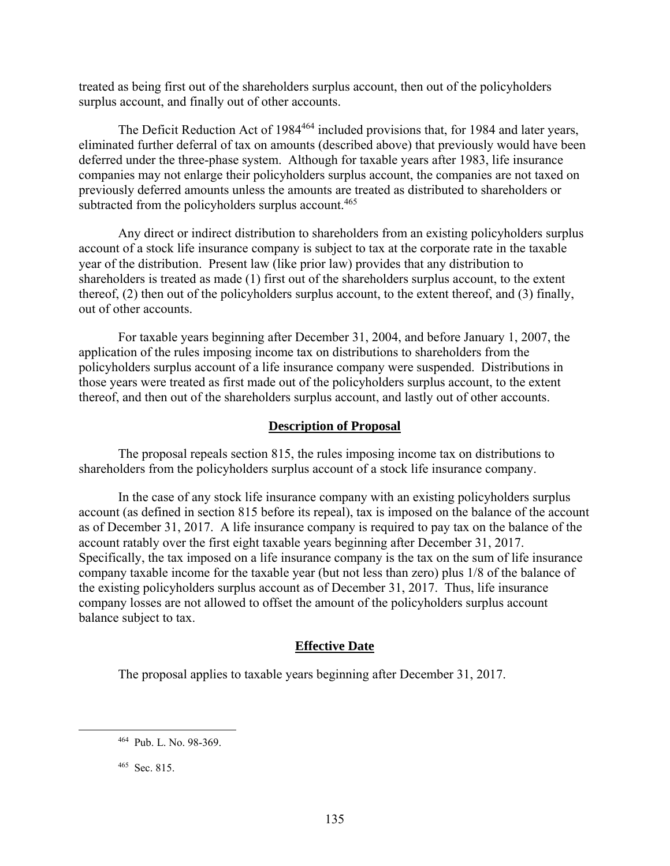treated as being first out of the shareholders surplus account, then out of the policyholders surplus account, and finally out of other accounts.

The Deficit Reduction Act of 1984<sup>464</sup> included provisions that, for 1984 and later years, eliminated further deferral of tax on amounts (described above) that previously would have been deferred under the three-phase system. Although for taxable years after 1983, life insurance companies may not enlarge their policyholders surplus account, the companies are not taxed on previously deferred amounts unless the amounts are treated as distributed to shareholders or subtracted from the policyholders surplus account.<sup>465</sup>

Any direct or indirect distribution to shareholders from an existing policyholders surplus account of a stock life insurance company is subject to tax at the corporate rate in the taxable year of the distribution. Present law (like prior law) provides that any distribution to shareholders is treated as made (1) first out of the shareholders surplus account, to the extent thereof, (2) then out of the policyholders surplus account, to the extent thereof, and (3) finally, out of other accounts.

For taxable years beginning after December 31, 2004, and before January 1, 2007, the application of the rules imposing income tax on distributions to shareholders from the policyholders surplus account of a life insurance company were suspended. Distributions in those years were treated as first made out of the policyholders surplus account, to the extent thereof, and then out of the shareholders surplus account, and lastly out of other accounts.

### **Description of Proposal**

The proposal repeals section 815, the rules imposing income tax on distributions to shareholders from the policyholders surplus account of a stock life insurance company.

In the case of any stock life insurance company with an existing policyholders surplus account (as defined in section 815 before its repeal), tax is imposed on the balance of the account as of December 31, 2017. A life insurance company is required to pay tax on the balance of the account ratably over the first eight taxable years beginning after December 31, 2017. Specifically, the tax imposed on a life insurance company is the tax on the sum of life insurance company taxable income for the taxable year (but not less than zero) plus 1/8 of the balance of the existing policyholders surplus account as of December 31, 2017. Thus, life insurance company losses are not allowed to offset the amount of the policyholders surplus account balance subject to tax.

## **Effective Date**

The proposal applies to taxable years beginning after December 31, 2017.

465 Sec. 815.

 <sup>464</sup> Pub. L. No. 98-369.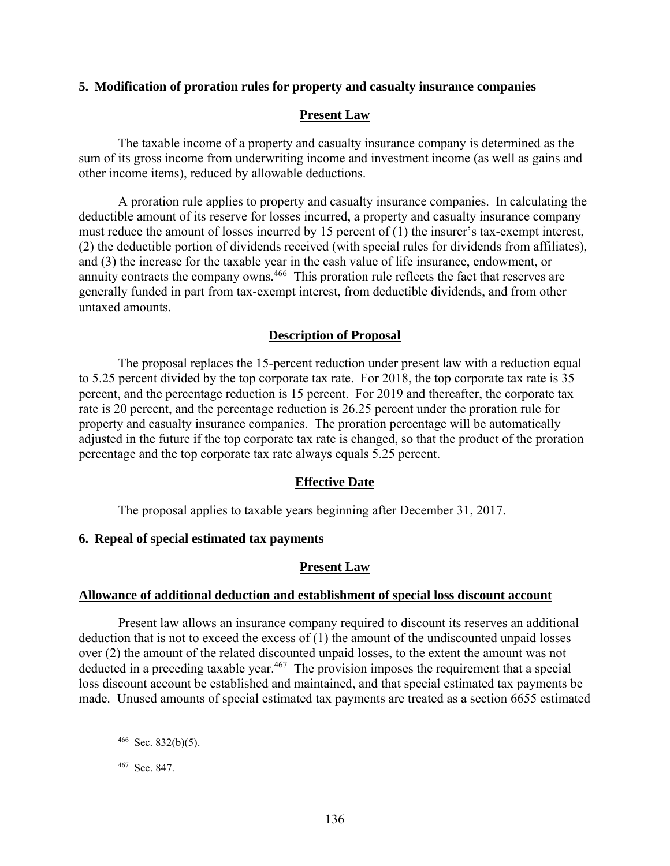## **5. Modification of proration rules for property and casualty insurance companies**

## **Present Law**

The taxable income of a property and casualty insurance company is determined as the sum of its gross income from underwriting income and investment income (as well as gains and other income items), reduced by allowable deductions.

A proration rule applies to property and casualty insurance companies. In calculating the deductible amount of its reserve for losses incurred, a property and casualty insurance company must reduce the amount of losses incurred by 15 percent of (1) the insurer's tax-exempt interest, (2) the deductible portion of dividends received (with special rules for dividends from affiliates), and (3) the increase for the taxable year in the cash value of life insurance, endowment, or annuity contracts the company owns.<sup>466</sup> This proration rule reflects the fact that reserves are generally funded in part from tax-exempt interest, from deductible dividends, and from other untaxed amounts.

## **Description of Proposal**

The proposal replaces the 15-percent reduction under present law with a reduction equal to 5.25 percent divided by the top corporate tax rate. For 2018, the top corporate tax rate is 35 percent, and the percentage reduction is 15 percent. For 2019 and thereafter, the corporate tax rate is 20 percent, and the percentage reduction is 26.25 percent under the proration rule for property and casualty insurance companies. The proration percentage will be automatically adjusted in the future if the top corporate tax rate is changed, so that the product of the proration percentage and the top corporate tax rate always equals 5.25 percent.

## **Effective Date**

The proposal applies to taxable years beginning after December 31, 2017.

## **6. Repeal of special estimated tax payments**

## **Present Law**

## **Allowance of additional deduction and establishment of special loss discount account**

Present law allows an insurance company required to discount its reserves an additional deduction that is not to exceed the excess of (1) the amount of the undiscounted unpaid losses over (2) the amount of the related discounted unpaid losses, to the extent the amount was not deducted in a preceding taxable year.<sup>467</sup> The provision imposes the requirement that a special loss discount account be established and maintained, and that special estimated tax payments be made. Unused amounts of special estimated tax payments are treated as a section 6655 estimated

 <sup>466</sup> Sec. 832(b)(5).

<sup>467</sup> Sec. 847.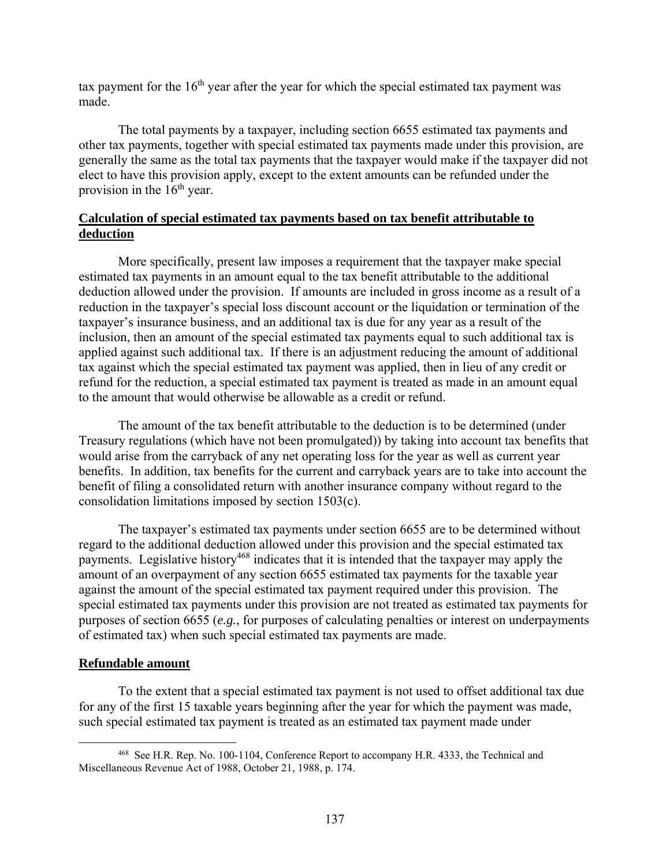tax payment for the  $16<sup>th</sup>$  year after the year for which the special estimated tax payment was made.

The total payments by a taxpayer, including section 6655 estimated tax payments and other tax payments, together with special estimated tax payments made under this provision, are generally the same as the total tax payments that the taxpayer would make if the taxpayer did not elect to have this provision apply, except to the extent amounts can be refunded under the provision in the  $16<sup>th</sup>$  year.

## **Calculation of special estimated tax payments based on tax benefit attributable to deduction**

More specifically, present law imposes a requirement that the taxpayer make special estimated tax payments in an amount equal to the tax benefit attributable to the additional deduction allowed under the provision. If amounts are included in gross income as a result of a reduction in the taxpayer's special loss discount account or the liquidation or termination of the taxpayer's insurance business, and an additional tax is due for any year as a result of the inclusion, then an amount of the special estimated tax payments equal to such additional tax is applied against such additional tax. If there is an adjustment reducing the amount of additional tax against which the special estimated tax payment was applied, then in lieu of any credit or refund for the reduction, a special estimated tax payment is treated as made in an amount equal to the amount that would otherwise be allowable as a credit or refund.

The amount of the tax benefit attributable to the deduction is to be determined (under Treasury regulations (which have not been promulgated)) by taking into account tax benefits that would arise from the carryback of any net operating loss for the year as well as current year benefits. In addition, tax benefits for the current and carryback years are to take into account the benefit of filing a consolidated return with another insurance company without regard to the consolidation limitations imposed by section 1503(c).

The taxpayer's estimated tax payments under section 6655 are to be determined without regard to the additional deduction allowed under this provision and the special estimated tax payments. Legislative history<sup>468</sup> indicates that it is intended that the taxpayer may apply the amount of an overpayment of any section 6655 estimated tax payments for the taxable year against the amount of the special estimated tax payment required under this provision. The special estimated tax payments under this provision are not treated as estimated tax payments for purposes of section 6655 (*e.g.*, for purposes of calculating penalties or interest on underpayments of estimated tax) when such special estimated tax payments are made.

#### **Refundable amount**

To the extent that a special estimated tax payment is not used to offset additional tax due for any of the first 15 taxable years beginning after the year for which the payment was made, such special estimated tax payment is treated as an estimated tax payment made under

 <sup>468</sup> See H.R. Rep. No. 100-1104, Conference Report to accompany H.R. 4333, the Technical and Miscellaneous Revenue Act of 1988, October 21, 1988, p. 174.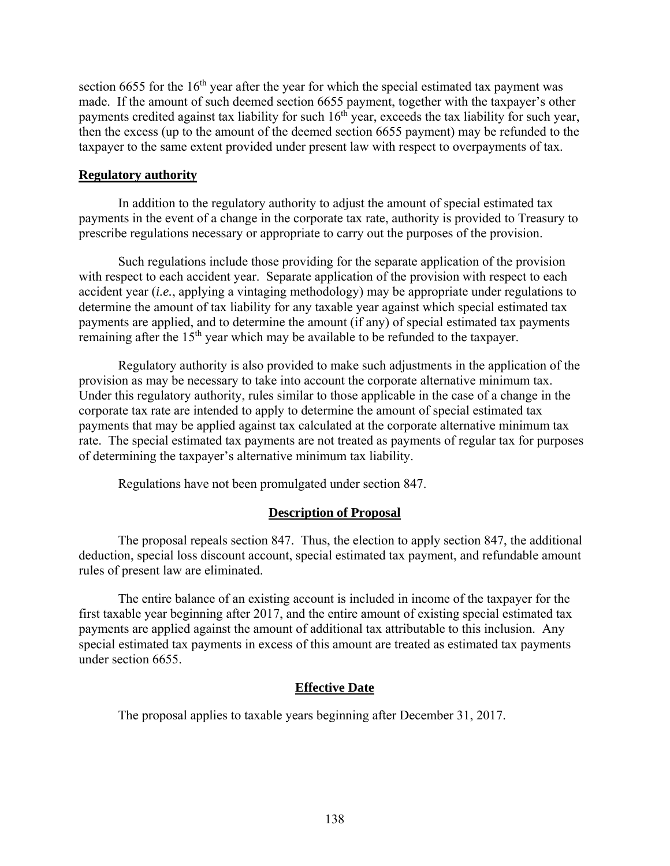section 6655 for the  $16<sup>th</sup>$  year after the year for which the special estimated tax payment was made. If the amount of such deemed section 6655 payment, together with the taxpayer's other payments credited against tax liability for such  $16<sup>th</sup>$  year, exceeds the tax liability for such year, then the excess (up to the amount of the deemed section 6655 payment) may be refunded to the taxpayer to the same extent provided under present law with respect to overpayments of tax.

## **Regulatory authority**

In addition to the regulatory authority to adjust the amount of special estimated tax payments in the event of a change in the corporate tax rate, authority is provided to Treasury to prescribe regulations necessary or appropriate to carry out the purposes of the provision.

Such regulations include those providing for the separate application of the provision with respect to each accident year. Separate application of the provision with respect to each accident year (*i.e.*, applying a vintaging methodology) may be appropriate under regulations to determine the amount of tax liability for any taxable year against which special estimated tax payments are applied, and to determine the amount (if any) of special estimated tax payments remaining after the 15th year which may be available to be refunded to the taxpayer.

Regulatory authority is also provided to make such adjustments in the application of the provision as may be necessary to take into account the corporate alternative minimum tax. Under this regulatory authority, rules similar to those applicable in the case of a change in the corporate tax rate are intended to apply to determine the amount of special estimated tax payments that may be applied against tax calculated at the corporate alternative minimum tax rate. The special estimated tax payments are not treated as payments of regular tax for purposes of determining the taxpayer's alternative minimum tax liability.

Regulations have not been promulgated under section 847.

## **Description of Proposal**

The proposal repeals section 847. Thus, the election to apply section 847, the additional deduction, special loss discount account, special estimated tax payment, and refundable amount rules of present law are eliminated.

The entire balance of an existing account is included in income of the taxpayer for the first taxable year beginning after 2017, and the entire amount of existing special estimated tax payments are applied against the amount of additional tax attributable to this inclusion. Any special estimated tax payments in excess of this amount are treated as estimated tax payments under section 6655.

## **Effective Date**

The proposal applies to taxable years beginning after December 31, 2017.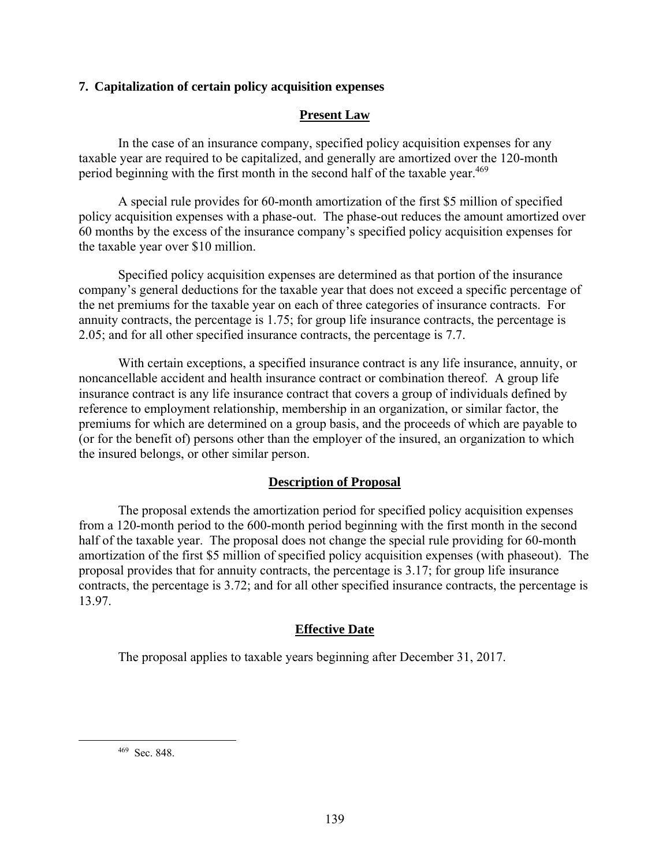# **7. Capitalization of certain policy acquisition expenses**

# **Present Law**

In the case of an insurance company, specified policy acquisition expenses for any taxable year are required to be capitalized, and generally are amortized over the 120-month period beginning with the first month in the second half of the taxable year.<sup>469</sup>

A special rule provides for 60-month amortization of the first \$5 million of specified policy acquisition expenses with a phase-out. The phase-out reduces the amount amortized over 60 months by the excess of the insurance company's specified policy acquisition expenses for the taxable year over \$10 million.

Specified policy acquisition expenses are determined as that portion of the insurance company's general deductions for the taxable year that does not exceed a specific percentage of the net premiums for the taxable year on each of three categories of insurance contracts. For annuity contracts, the percentage is 1.75; for group life insurance contracts, the percentage is 2.05; and for all other specified insurance contracts, the percentage is 7.7.

With certain exceptions, a specified insurance contract is any life insurance, annuity, or noncancellable accident and health insurance contract or combination thereof. A group life insurance contract is any life insurance contract that covers a group of individuals defined by reference to employment relationship, membership in an organization, or similar factor, the premiums for which are determined on a group basis, and the proceeds of which are payable to (or for the benefit of) persons other than the employer of the insured, an organization to which the insured belongs, or other similar person.

# **Description of Proposal**

The proposal extends the amortization period for specified policy acquisition expenses from a 120-month period to the 600-month period beginning with the first month in the second half of the taxable year. The proposal does not change the special rule providing for 60-month amortization of the first \$5 million of specified policy acquisition expenses (with phaseout). The proposal provides that for annuity contracts, the percentage is 3.17; for group life insurance contracts, the percentage is 3.72; and for all other specified insurance contracts, the percentage is 13.97.

# **Effective Date**

The proposal applies to taxable years beginning after December 31, 2017.

 <sup>469</sup> Sec. 848.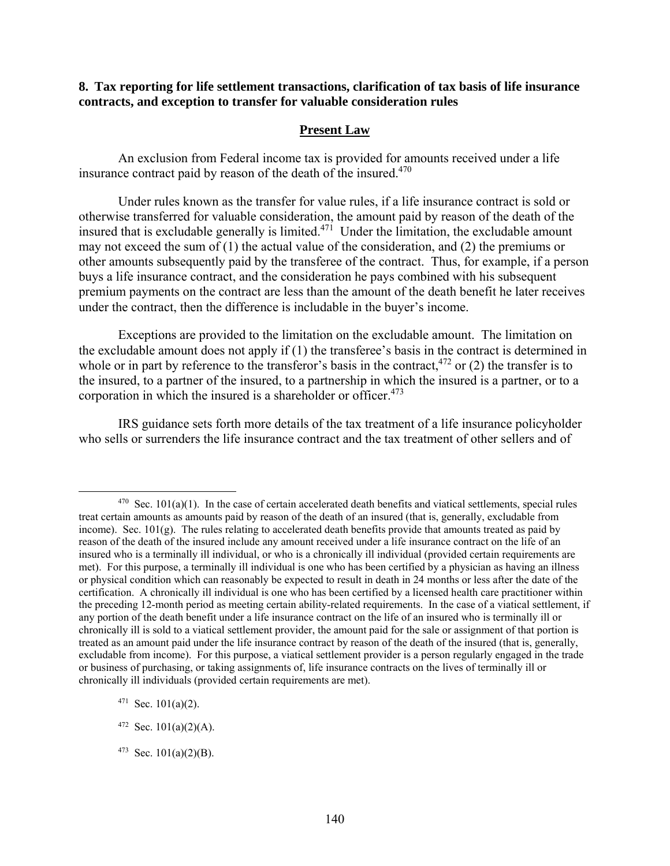## **8. Tax reporting for life settlement transactions, clarification of tax basis of life insurance contracts, and exception to transfer for valuable consideration rules**

### **Present Law**

An exclusion from Federal income tax is provided for amounts received under a life insurance contract paid by reason of the death of the insured.470

Under rules known as the transfer for value rules, if a life insurance contract is sold or otherwise transferred for valuable consideration, the amount paid by reason of the death of the insured that is excludable generally is limited. $471$  Under the limitation, the excludable amount may not exceed the sum of (1) the actual value of the consideration, and (2) the premiums or other amounts subsequently paid by the transferee of the contract. Thus, for example, if a person buys a life insurance contract, and the consideration he pays combined with his subsequent premium payments on the contract are less than the amount of the death benefit he later receives under the contract, then the difference is includable in the buyer's income.

Exceptions are provided to the limitation on the excludable amount. The limitation on the excludable amount does not apply if (1) the transferee's basis in the contract is determined in whole or in part by reference to the transferor's basis in the contract,  $472$  or (2) the transfer is to the insured, to a partner of the insured, to a partnership in which the insured is a partner, or to a corporation in which the insured is a shareholder or officer. $473$ 

IRS guidance sets forth more details of the tax treatment of a life insurance policyholder who sells or surrenders the life insurance contract and the tax treatment of other sellers and of

 $472$  Sec. 101(a)(2)(A).

 $470$  Sec.  $101(a)(1)$ . In the case of certain accelerated death benefits and viatical settlements, special rules treat certain amounts as amounts paid by reason of the death of an insured (that is, generally, excludable from income). Sec.  $101(g)$ . The rules relating to accelerated death benefits provide that amounts treated as paid by reason of the death of the insured include any amount received under a life insurance contract on the life of an insured who is a terminally ill individual, or who is a chronically ill individual (provided certain requirements are met). For this purpose, a terminally ill individual is one who has been certified by a physician as having an illness or physical condition which can reasonably be expected to result in death in 24 months or less after the date of the certification. A chronically ill individual is one who has been certified by a licensed health care practitioner within the preceding 12-month period as meeting certain ability-related requirements. In the case of a viatical settlement, if any portion of the death benefit under a life insurance contract on the life of an insured who is terminally ill or chronically ill is sold to a viatical settlement provider, the amount paid for the sale or assignment of that portion is treated as an amount paid under the life insurance contract by reason of the death of the insured (that is, generally, excludable from income). For this purpose, a viatical settlement provider is a person regularly engaged in the trade or business of purchasing, or taking assignments of, life insurance contracts on the lives of terminally ill or chronically ill individuals (provided certain requirements are met).

 $471$  Sec. 101(a)(2).

 $473$  Sec. 101(a)(2)(B).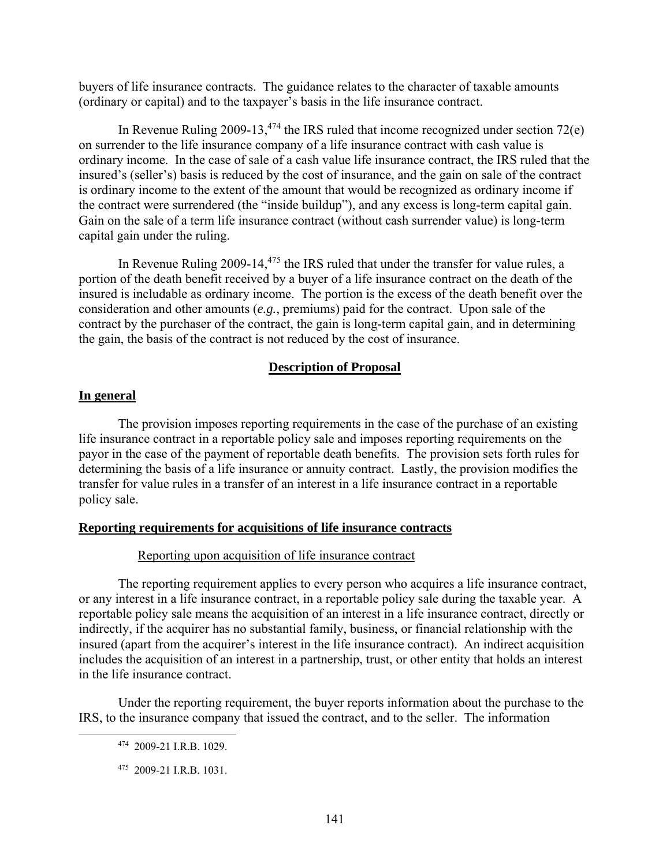buyers of life insurance contracts. The guidance relates to the character of taxable amounts (ordinary or capital) and to the taxpayer's basis in the life insurance contract.

In Revenue Ruling 2009-13,<sup>474</sup> the IRS ruled that income recognized under section 72(e) on surrender to the life insurance company of a life insurance contract with cash value is ordinary income. In the case of sale of a cash value life insurance contract, the IRS ruled that the insured's (seller's) basis is reduced by the cost of insurance, and the gain on sale of the contract is ordinary income to the extent of the amount that would be recognized as ordinary income if the contract were surrendered (the "inside buildup"), and any excess is long-term capital gain. Gain on the sale of a term life insurance contract (without cash surrender value) is long-term capital gain under the ruling.

In Revenue Ruling 2009-14,<sup>475</sup> the IRS ruled that under the transfer for value rules, a portion of the death benefit received by a buyer of a life insurance contract on the death of the insured is includable as ordinary income. The portion is the excess of the death benefit over the consideration and other amounts (*e.g.*, premiums) paid for the contract. Upon sale of the contract by the purchaser of the contract, the gain is long-term capital gain, and in determining the gain, the basis of the contract is not reduced by the cost of insurance.

# **Description of Proposal**

# **In general**

The provision imposes reporting requirements in the case of the purchase of an existing life insurance contract in a reportable policy sale and imposes reporting requirements on the payor in the case of the payment of reportable death benefits. The provision sets forth rules for determining the basis of a life insurance or annuity contract. Lastly, the provision modifies the transfer for value rules in a transfer of an interest in a life insurance contract in a reportable policy sale.

# **Reporting requirements for acquisitions of life insurance contracts**

# Reporting upon acquisition of life insurance contract

The reporting requirement applies to every person who acquires a life insurance contract, or any interest in a life insurance contract, in a reportable policy sale during the taxable year. A reportable policy sale means the acquisition of an interest in a life insurance contract, directly or indirectly, if the acquirer has no substantial family, business, or financial relationship with the insured (apart from the acquirer's interest in the life insurance contract). An indirect acquisition includes the acquisition of an interest in a partnership, trust, or other entity that holds an interest in the life insurance contract.

Under the reporting requirement, the buyer reports information about the purchase to the IRS, to the insurance company that issued the contract, and to the seller. The information

 <sup>474 2009-21</sup> I.R.B. 1029.

<sup>475 2009-21</sup> I.R.B. 1031.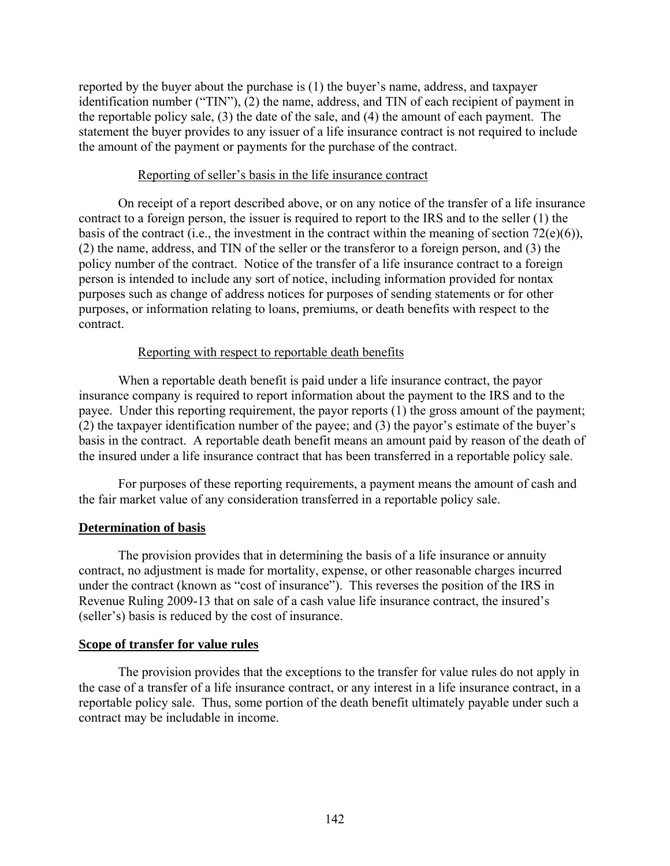reported by the buyer about the purchase is (1) the buyer's name, address, and taxpayer identification number ("TIN"), (2) the name, address, and TIN of each recipient of payment in the reportable policy sale, (3) the date of the sale, and (4) the amount of each payment. The statement the buyer provides to any issuer of a life insurance contract is not required to include the amount of the payment or payments for the purchase of the contract.

## Reporting of seller's basis in the life insurance contract

On receipt of a report described above, or on any notice of the transfer of a life insurance contract to a foreign person, the issuer is required to report to the IRS and to the seller (1) the basis of the contract (i.e., the investment in the contract within the meaning of section  $72(e)(6)$ ), (2) the name, address, and TIN of the seller or the transferor to a foreign person, and (3) the policy number of the contract. Notice of the transfer of a life insurance contract to a foreign person is intended to include any sort of notice, including information provided for nontax purposes such as change of address notices for purposes of sending statements or for other purposes, or information relating to loans, premiums, or death benefits with respect to the contract.

## Reporting with respect to reportable death benefits

When a reportable death benefit is paid under a life insurance contract, the payor insurance company is required to report information about the payment to the IRS and to the payee. Under this reporting requirement, the payor reports (1) the gross amount of the payment; (2) the taxpayer identification number of the payee; and (3) the payor's estimate of the buyer's basis in the contract. A reportable death benefit means an amount paid by reason of the death of the insured under a life insurance contract that has been transferred in a reportable policy sale.

For purposes of these reporting requirements, a payment means the amount of cash and the fair market value of any consideration transferred in a reportable policy sale.

# **Determination of basis**

The provision provides that in determining the basis of a life insurance or annuity contract, no adjustment is made for mortality, expense, or other reasonable charges incurred under the contract (known as "cost of insurance"). This reverses the position of the IRS in Revenue Ruling 2009-13 that on sale of a cash value life insurance contract, the insured's (seller's) basis is reduced by the cost of insurance.

# **Scope of transfer for value rules**

The provision provides that the exceptions to the transfer for value rules do not apply in the case of a transfer of a life insurance contract, or any interest in a life insurance contract, in a reportable policy sale. Thus, some portion of the death benefit ultimately payable under such a contract may be includable in income.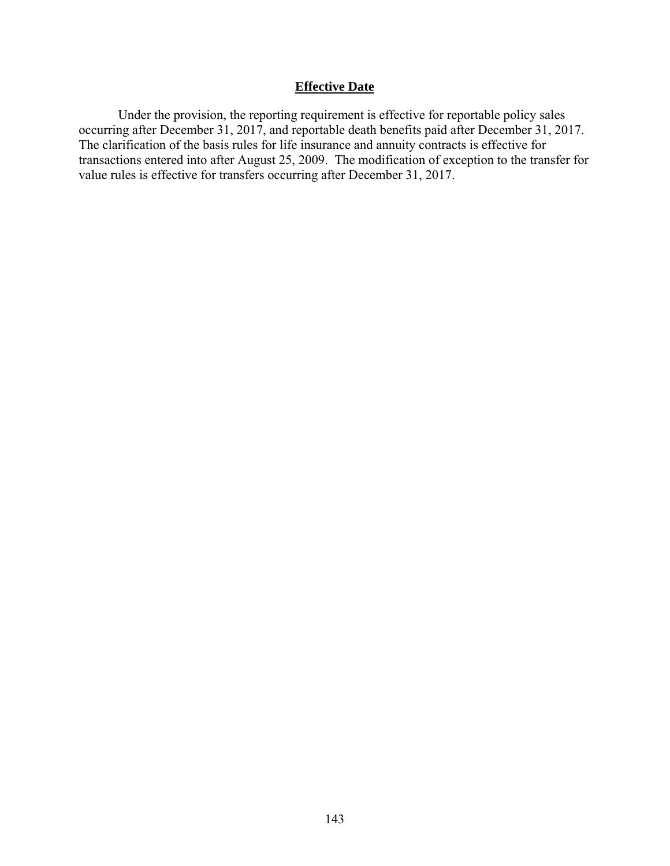# **Effective Date**

Under the provision, the reporting requirement is effective for reportable policy sales occurring after December 31, 2017, and reportable death benefits paid after December 31, 2017. The clarification of the basis rules for life insurance and annuity contracts is effective for transactions entered into after August 25, 2009. The modification of exception to the transfer for value rules is effective for transfers occurring after December 31, 2017.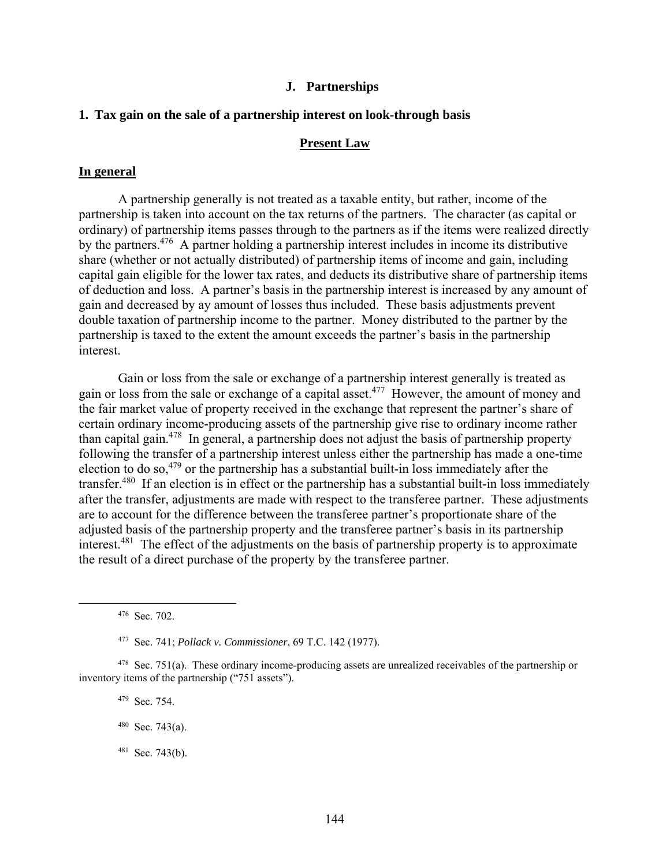### **J. Partnerships**

# **1. Tax gain on the sale of a partnership interest on look-through basis**

### **Present Law**

### **In general**

A partnership generally is not treated as a taxable entity, but rather, income of the partnership is taken into account on the tax returns of the partners. The character (as capital or ordinary) of partnership items passes through to the partners as if the items were realized directly by the partners.476 A partner holding a partnership interest includes in income its distributive share (whether or not actually distributed) of partnership items of income and gain, including capital gain eligible for the lower tax rates, and deducts its distributive share of partnership items of deduction and loss. A partner's basis in the partnership interest is increased by any amount of gain and decreased by ay amount of losses thus included. These basis adjustments prevent double taxation of partnership income to the partner. Money distributed to the partner by the partnership is taxed to the extent the amount exceeds the partner's basis in the partnership interest.

Gain or loss from the sale or exchange of a partnership interest generally is treated as gain or loss from the sale or exchange of a capital asset.477 However, the amount of money and the fair market value of property received in the exchange that represent the partner's share of certain ordinary income-producing assets of the partnership give rise to ordinary income rather than capital gain.478 In general, a partnership does not adjust the basis of partnership property following the transfer of a partnership interest unless either the partnership has made a one-time election to do so,  $479$  or the partnership has a substantial built-in loss immediately after the transfer.480 If an election is in effect or the partnership has a substantial built-in loss immediately after the transfer, adjustments are made with respect to the transferee partner. These adjustments are to account for the difference between the transferee partner's proportionate share of the adjusted basis of the partnership property and the transferee partner's basis in its partnership interest.<sup>481</sup> The effect of the adjustments on the basis of partnership property is to approximate the result of a direct purchase of the property by the transferee partner.

 $478$  Sec. 751(a). These ordinary income-producing assets are unrealized receivables of the partnership or inventory items of the partnership ("751 assets").

479 Sec. 754.

480 Sec. 743(a).

481 Sec. 743(b).

 <sup>476</sup> Sec. 702.

<sup>477</sup> Sec. 741; *Pollack v. Commissioner*, 69 T.C. 142 (1977).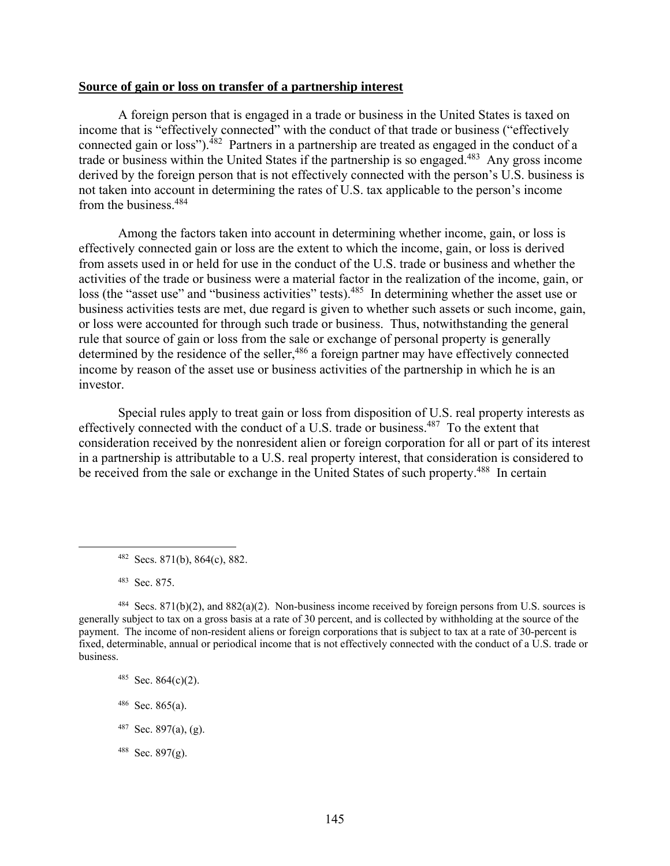#### **Source of gain or loss on transfer of a partnership interest**

A foreign person that is engaged in a trade or business in the United States is taxed on income that is "effectively connected" with the conduct of that trade or business ("effectively connected gain or loss").<sup>482</sup> Partners in a partnership are treated as engaged in the conduct of a trade or business within the United States if the partnership is so engaged.<sup>483</sup> Any gross income derived by the foreign person that is not effectively connected with the person's U.S. business is not taken into account in determining the rates of U.S. tax applicable to the person's income from the business.484

Among the factors taken into account in determining whether income, gain, or loss is effectively connected gain or loss are the extent to which the income, gain, or loss is derived from assets used in or held for use in the conduct of the U.S. trade or business and whether the activities of the trade or business were a material factor in the realization of the income, gain, or loss (the "asset use" and "business activities" tests).<sup>485</sup> In determining whether the asset use or business activities tests are met, due regard is given to whether such assets or such income, gain, or loss were accounted for through such trade or business. Thus, notwithstanding the general rule that source of gain or loss from the sale or exchange of personal property is generally determined by the residence of the seller,<sup>486</sup> a foreign partner may have effectively connected income by reason of the asset use or business activities of the partnership in which he is an investor.

Special rules apply to treat gain or loss from disposition of U.S. real property interests as effectively connected with the conduct of a U.S. trade or business.<sup>487</sup> To the extent that consideration received by the nonresident alien or foreign corporation for all or part of its interest in a partnership is attributable to a U.S. real property interest, that consideration is considered to be received from the sale or exchange in the United States of such property.<sup>488</sup> In certain

483 Sec. 875.

- $487$  Sec. 897(a), (g).
- $488$  Sec. 897(g).

 <sup>482</sup> Secs. 871(b), 864(c), 882.

<sup>&</sup>lt;sup>484</sup> Secs. 871(b)(2), and 882(a)(2). Non-business income received by foreign persons from U.S. sources is generally subject to tax on a gross basis at a rate of 30 percent, and is collected by withholding at the source of the payment. The income of non-resident aliens or foreign corporations that is subject to tax at a rate of 30-percent is fixed, determinable, annual or periodical income that is not effectively connected with the conduct of a U.S. trade or business.

 $485$  Sec. 864(c)(2).

<sup>486</sup> Sec. 865(a).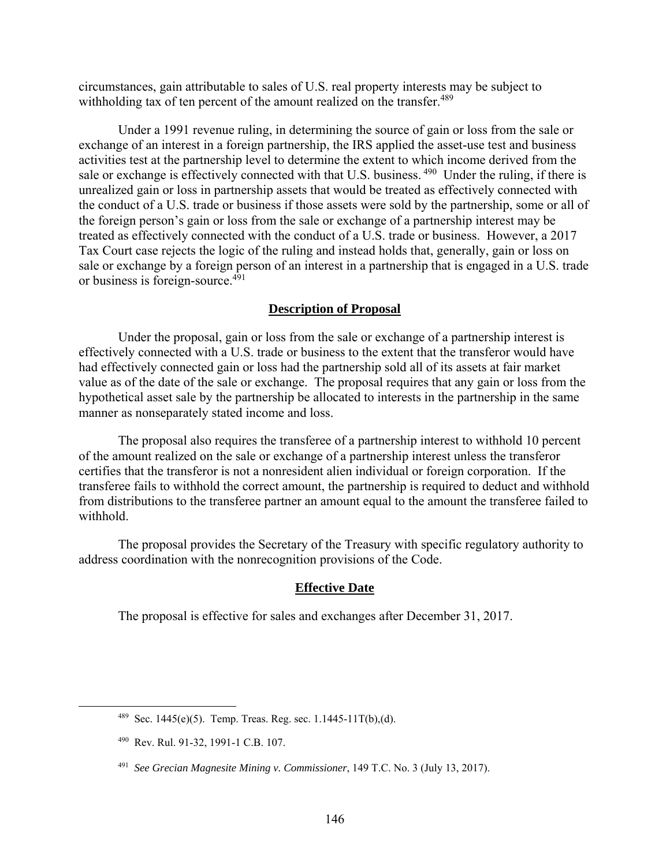circumstances, gain attributable to sales of U.S. real property interests may be subject to withholding tax of ten percent of the amount realized on the transfer.<sup>489</sup>

Under a 1991 revenue ruling, in determining the source of gain or loss from the sale or exchange of an interest in a foreign partnership, the IRS applied the asset-use test and business activities test at the partnership level to determine the extent to which income derived from the sale or exchange is effectively connected with that U.S. business. <sup>490</sup> Under the ruling, if there is unrealized gain or loss in partnership assets that would be treated as effectively connected with the conduct of a U.S. trade or business if those assets were sold by the partnership, some or all of the foreign person's gain or loss from the sale or exchange of a partnership interest may be treated as effectively connected with the conduct of a U.S. trade or business. However, a 2017 Tax Court case rejects the logic of the ruling and instead holds that, generally, gain or loss on sale or exchange by a foreign person of an interest in a partnership that is engaged in a U.S. trade or business is foreign-source.<sup>491</sup>

## **Description of Proposal**

Under the proposal, gain or loss from the sale or exchange of a partnership interest is effectively connected with a U.S. trade or business to the extent that the transferor would have had effectively connected gain or loss had the partnership sold all of its assets at fair market value as of the date of the sale or exchange. The proposal requires that any gain or loss from the hypothetical asset sale by the partnership be allocated to interests in the partnership in the same manner as nonseparately stated income and loss.

The proposal also requires the transferee of a partnership interest to withhold 10 percent of the amount realized on the sale or exchange of a partnership interest unless the transferor certifies that the transferor is not a nonresident alien individual or foreign corporation. If the transferee fails to withhold the correct amount, the partnership is required to deduct and withhold from distributions to the transferee partner an amount equal to the amount the transferee failed to withhold.

The proposal provides the Secretary of the Treasury with specific regulatory authority to address coordination with the nonrecognition provisions of the Code.

#### **Effective Date**

The proposal is effective for sales and exchanges after December 31, 2017.

<sup>&</sup>lt;sup>489</sup> Sec. 1445(e)(5). Temp. Treas. Reg. sec. 1.1445-11T(b),(d).

<sup>490</sup> Rev. Rul. 91-32, 1991-1 C.B. 107.

<sup>491</sup> *See Grecian Magnesite Mining v. Commissioner*, 149 T.C. No. 3 (July 13, 2017).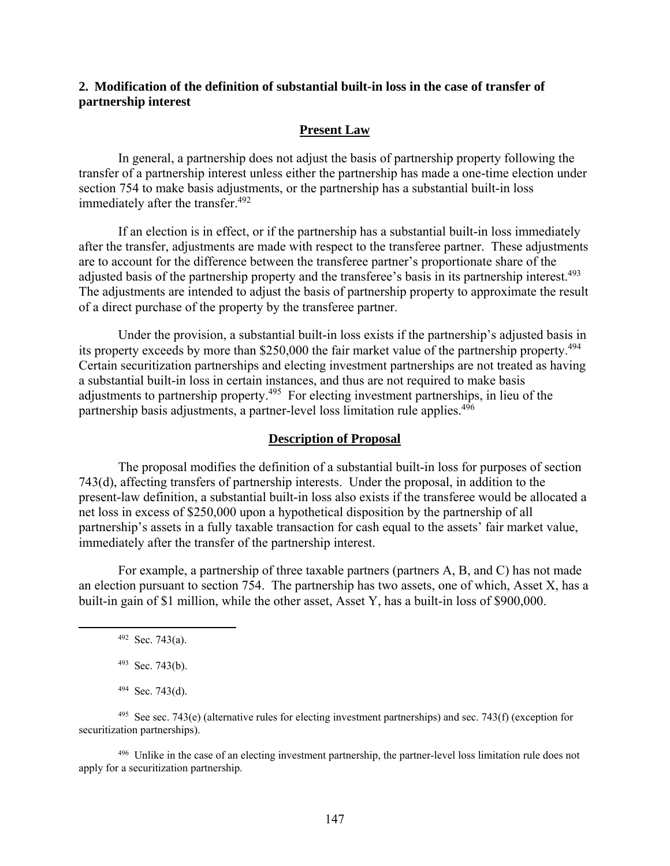# **2. Modification of the definition of substantial built-in loss in the case of transfer of partnership interest**

## **Present Law**

In general, a partnership does not adjust the basis of partnership property following the transfer of a partnership interest unless either the partnership has made a one-time election under section 754 to make basis adjustments, or the partnership has a substantial built-in loss immediately after the transfer.<sup>492</sup>

If an election is in effect, or if the partnership has a substantial built-in loss immediately after the transfer, adjustments are made with respect to the transferee partner. These adjustments are to account for the difference between the transferee partner's proportionate share of the adjusted basis of the partnership property and the transferee's basis in its partnership interest.<sup>493</sup> The adjustments are intended to adjust the basis of partnership property to approximate the result of a direct purchase of the property by the transferee partner.

Under the provision, a substantial built-in loss exists if the partnership's adjusted basis in its property exceeds by more than \$250,000 the fair market value of the partnership property.<sup>494</sup> Certain securitization partnerships and electing investment partnerships are not treated as having a substantial built-in loss in certain instances, and thus are not required to make basis adjustments to partnership property.<sup>495</sup> For electing investment partnerships, in lieu of the partnership basis adjustments, a partner-level loss limitation rule applies.<sup>496</sup>

## **Description of Proposal**

The proposal modifies the definition of a substantial built-in loss for purposes of section 743(d), affecting transfers of partnership interests. Under the proposal, in addition to the present-law definition, a substantial built-in loss also exists if the transferee would be allocated a net loss in excess of \$250,000 upon a hypothetical disposition by the partnership of all partnership's assets in a fully taxable transaction for cash equal to the assets' fair market value, immediately after the transfer of the partnership interest.

For example, a partnership of three taxable partners (partners A, B, and C) has not made an election pursuant to section 754. The partnership has two assets, one of which, Asset X, has a built-in gain of \$1 million, while the other asset, Asset Y, has a built-in loss of \$900,000.

 $492$  Sec. 743(a).

493 Sec. 743(b).

494 Sec. 743(d).

<sup>495</sup> See sec. 743(e) (alternative rules for electing investment partnerships) and sec. 743(f) (exception for securitization partnerships).

496 Unlike in the case of an electing investment partnership, the partner-level loss limitation rule does not apply for a securitization partnership.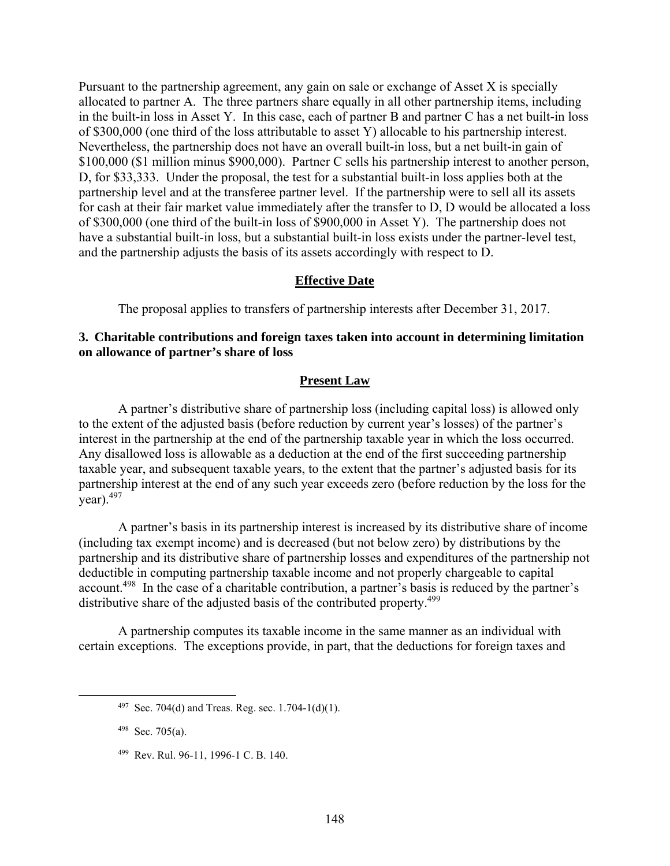Pursuant to the partnership agreement, any gain on sale or exchange of Asset X is specially allocated to partner A. The three partners share equally in all other partnership items, including in the built-in loss in Asset Y. In this case, each of partner B and partner C has a net built-in loss of \$300,000 (one third of the loss attributable to asset Y) allocable to his partnership interest. Nevertheless, the partnership does not have an overall built-in loss, but a net built-in gain of \$100,000 (\$1 million minus \$900,000). Partner C sells his partnership interest to another person, D, for \$33,333. Under the proposal, the test for a substantial built-in loss applies both at the partnership level and at the transferee partner level. If the partnership were to sell all its assets for cash at their fair market value immediately after the transfer to D, D would be allocated a loss of \$300,000 (one third of the built-in loss of \$900,000 in Asset Y). The partnership does not have a substantial built-in loss, but a substantial built-in loss exists under the partner-level test, and the partnership adjusts the basis of its assets accordingly with respect to D.

# **Effective Date**

The proposal applies to transfers of partnership interests after December 31, 2017.

# **3. Charitable contributions and foreign taxes taken into account in determining limitation on allowance of partner's share of loss**

# **Present Law**

A partner's distributive share of partnership loss (including capital loss) is allowed only to the extent of the adjusted basis (before reduction by current year's losses) of the partner's interest in the partnership at the end of the partnership taxable year in which the loss occurred. Any disallowed loss is allowable as a deduction at the end of the first succeeding partnership taxable year, and subsequent taxable years, to the extent that the partner's adjusted basis for its partnership interest at the end of any such year exceeds zero (before reduction by the loss for the year). $497$ 

A partner's basis in its partnership interest is increased by its distributive share of income (including tax exempt income) and is decreased (but not below zero) by distributions by the partnership and its distributive share of partnership losses and expenditures of the partnership not deductible in computing partnership taxable income and not properly chargeable to capital account.498 In the case of a charitable contribution, a partner's basis is reduced by the partner's distributive share of the adjusted basis of the contributed property.<sup>499</sup>

A partnership computes its taxable income in the same manner as an individual with certain exceptions. The exceptions provide, in part, that the deductions for foreign taxes and

499 Rev. Rul. 96-11, 1996-1 C. B. 140.

 $497$  Sec. 704(d) and Treas. Reg. sec. 1.704-1(d)(1).

 $498$  Sec. 705(a).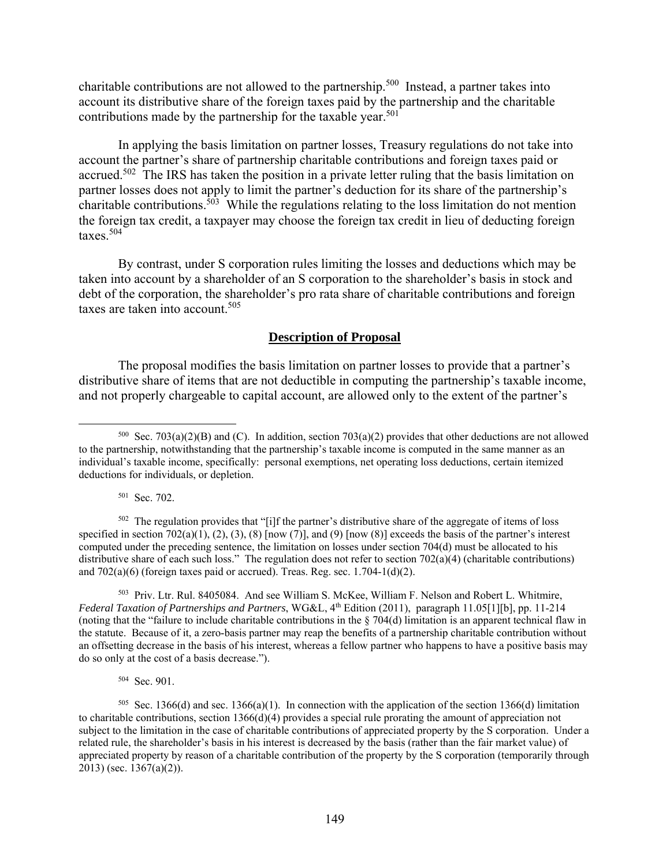charitable contributions are not allowed to the partnership.500 Instead, a partner takes into account its distributive share of the foreign taxes paid by the partnership and the charitable contributions made by the partnership for the taxable year.<sup>501</sup>

In applying the basis limitation on partner losses, Treasury regulations do not take into account the partner's share of partnership charitable contributions and foreign taxes paid or accrued.<sup>502</sup> The IRS has taken the position in a private letter ruling that the basis limitation on partner losses does not apply to limit the partner's deduction for its share of the partnership's charitable contributions.<sup>503</sup> While the regulations relating to the loss limitation do not mention the foreign tax credit, a taxpayer may choose the foreign tax credit in lieu of deducting foreign taxes. $504$ 

By contrast, under S corporation rules limiting the losses and deductions which may be taken into account by a shareholder of an S corporation to the shareholder's basis in stock and debt of the corporation, the shareholder's pro rata share of charitable contributions and foreign taxes are taken into account.<sup>505</sup>

### **Description of Proposal**

The proposal modifies the basis limitation on partner losses to provide that a partner's distributive share of items that are not deductible in computing the partnership's taxable income, and not properly chargeable to capital account, are allowed only to the extent of the partner's

501 Sec. 702.

<sup>502</sup> The regulation provides that "[i]f the partner's distributive share of the aggregate of items of loss specified in section 702(a)(1), (2), (3), (8) [now (7)], and (9) [now (8)] exceeds the basis of the partner's interest computed under the preceding sentence, the limitation on losses under section 704(d) must be allocated to his distributive share of each such loss." The regulation does not refer to section  $702(a)(4)$  (charitable contributions) and  $702(a)(6)$  (foreign taxes paid or accrued). Treas. Reg. sec.  $1.704-1(d)(2)$ .

503 Priv. Ltr. Rul. 8405084. And see William S. McKee, William F. Nelson and Robert L. Whitmire, *Federal Taxation of Partnerships and Partners*, WG&L, 4th Edition (2011), paragraph 11.05[1][b], pp. 11-214 (noting that the "failure to include charitable contributions in the § 704(d) limitation is an apparent technical flaw in the statute. Because of it, a zero-basis partner may reap the benefits of a partnership charitable contribution without an offsetting decrease in the basis of his interest, whereas a fellow partner who happens to have a positive basis may do so only at the cost of a basis decrease.").

504 Sec. 901.

<sup>505</sup> Sec. 1366(d) and sec. 1366(a)(1). In connection with the application of the section 1366(d) limitation to charitable contributions, section  $1366(d)(4)$  provides a special rule prorating the amount of appreciation not subject to the limitation in the case of charitable contributions of appreciated property by the S corporation. Under a related rule, the shareholder's basis in his interest is decreased by the basis (rather than the fair market value) of appreciated property by reason of a charitable contribution of the property by the S corporation (temporarily through 2013) (sec. 1367(a)(2)).

 $500$  Sec. 703(a)(2)(B) and (C). In addition, section 703(a)(2) provides that other deductions are not allowed to the partnership, notwithstanding that the partnership's taxable income is computed in the same manner as an individual's taxable income, specifically: personal exemptions, net operating loss deductions, certain itemized deductions for individuals, or depletion.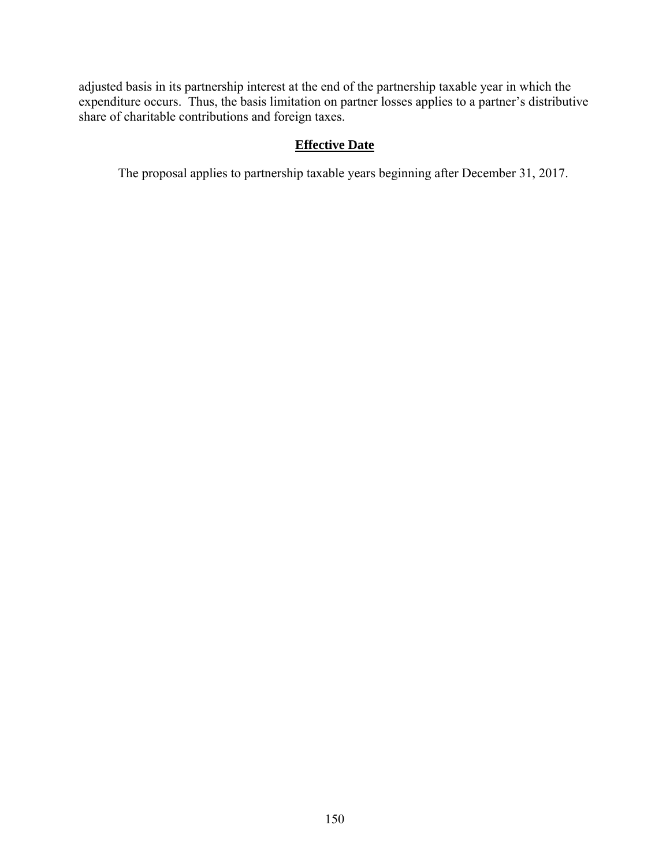adjusted basis in its partnership interest at the end of the partnership taxable year in which the expenditure occurs. Thus, the basis limitation on partner losses applies to a partner's distributive share of charitable contributions and foreign taxes.

# **Effective Date**

The proposal applies to partnership taxable years beginning after December 31, 2017.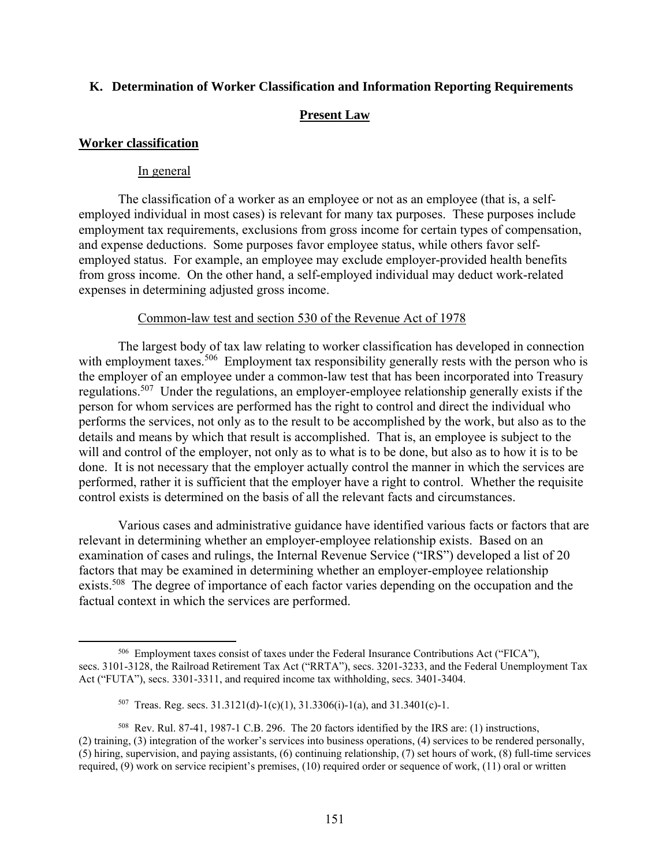# **K. Determination of Worker Classification and Information Reporting Requirements**

## **Present Law**

### **Worker classification**

### In general

The classification of a worker as an employee or not as an employee (that is, a selfemployed individual in most cases) is relevant for many tax purposes. These purposes include employment tax requirements, exclusions from gross income for certain types of compensation, and expense deductions. Some purposes favor employee status, while others favor selfemployed status. For example, an employee may exclude employer-provided health benefits from gross income. On the other hand, a self-employed individual may deduct work-related expenses in determining adjusted gross income.

#### Common-law test and section 530 of the Revenue Act of 1978

The largest body of tax law relating to worker classification has developed in connection with employment taxes.<sup>506</sup> Employment tax responsibility generally rests with the person who is the employer of an employee under a common-law test that has been incorporated into Treasury regulations.507 Under the regulations, an employer-employee relationship generally exists if the person for whom services are performed has the right to control and direct the individual who performs the services, not only as to the result to be accomplished by the work, but also as to the details and means by which that result is accomplished. That is, an employee is subject to the will and control of the employer, not only as to what is to be done, but also as to how it is to be done. It is not necessary that the employer actually control the manner in which the services are performed, rather it is sufficient that the employer have a right to control. Whether the requisite control exists is determined on the basis of all the relevant facts and circumstances.

Various cases and administrative guidance have identified various facts or factors that are relevant in determining whether an employer-employee relationship exists. Based on an examination of cases and rulings, the Internal Revenue Service ("IRS") developed a list of 20 factors that may be examined in determining whether an employer-employee relationship exists.<sup>508</sup> The degree of importance of each factor varies depending on the occupation and the factual context in which the services are performed.

 $506$  Employment taxes consist of taxes under the Federal Insurance Contributions Act ("FICA"), secs. 3101-3128, the Railroad Retirement Tax Act ("RRTA"), secs. 3201-3233, and the Federal Unemployment Tax Act ("FUTA"), secs. 3301-3311, and required income tax withholding, secs. 3401-3404.

 $507$  Treas. Reg. secs. 31.3121(d)-1(c)(1), 31.3306(i)-1(a), and 31.3401(c)-1.

<sup>508</sup> Rev. Rul. 87-41, 1987-1 C.B. 296. The 20 factors identified by the IRS are: (1) instructions, (2) training, (3) integration of the worker's services into business operations, (4) services to be rendered personally, (5) hiring, supervision, and paying assistants, (6) continuing relationship, (7) set hours of work, (8) full-time services required, (9) work on service recipient's premises, (10) required order or sequence of work, (11) oral or written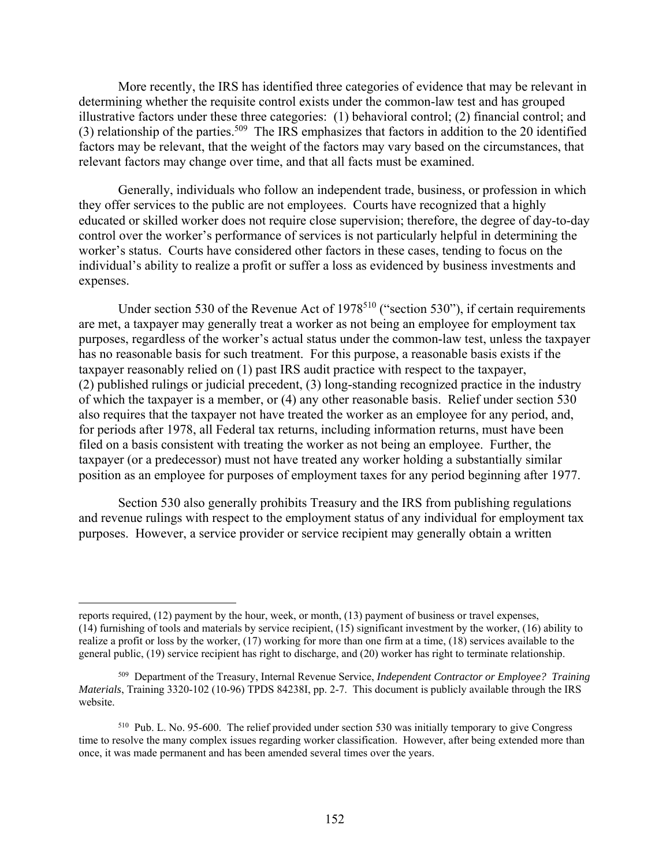More recently, the IRS has identified three categories of evidence that may be relevant in determining whether the requisite control exists under the common-law test and has grouped illustrative factors under these three categories: (1) behavioral control; (2) financial control; and (3) relationship of the parties.<sup>509</sup> The IRS emphasizes that factors in addition to the 20 identified factors may be relevant, that the weight of the factors may vary based on the circumstances, that relevant factors may change over time, and that all facts must be examined.

Generally, individuals who follow an independent trade, business, or profession in which they offer services to the public are not employees. Courts have recognized that a highly educated or skilled worker does not require close supervision; therefore, the degree of day-to-day control over the worker's performance of services is not particularly helpful in determining the worker's status. Courts have considered other factors in these cases, tending to focus on the individual's ability to realize a profit or suffer a loss as evidenced by business investments and expenses.

Under section 530 of the Revenue Act of  $1978<sup>510</sup>$  ("section 530"), if certain requirements are met, a taxpayer may generally treat a worker as not being an employee for employment tax purposes, regardless of the worker's actual status under the common-law test, unless the taxpayer has no reasonable basis for such treatment. For this purpose, a reasonable basis exists if the taxpayer reasonably relied on (1) past IRS audit practice with respect to the taxpayer, (2) published rulings or judicial precedent, (3) long-standing recognized practice in the industry of which the taxpayer is a member, or (4) any other reasonable basis. Relief under section 530 also requires that the taxpayer not have treated the worker as an employee for any period, and, for periods after 1978, all Federal tax returns, including information returns, must have been filed on a basis consistent with treating the worker as not being an employee. Further, the taxpayer (or a predecessor) must not have treated any worker holding a substantially similar position as an employee for purposes of employment taxes for any period beginning after 1977.

Section 530 also generally prohibits Treasury and the IRS from publishing regulations and revenue rulings with respect to the employment status of any individual for employment tax purposes. However, a service provider or service recipient may generally obtain a written

1

reports required, (12) payment by the hour, week, or month, (13) payment of business or travel expenses, (14) furnishing of tools and materials by service recipient, (15) significant investment by the worker, (16) ability to realize a profit or loss by the worker, (17) working for more than one firm at a time, (18) services available to the general public, (19) service recipient has right to discharge, and (20) worker has right to terminate relationship.

<sup>509</sup> Department of the Treasury, Internal Revenue Service, *Independent Contractor or Employee? Training Materials*, Training 3320-102 (10-96) TPDS 84238I, pp. 2-7. This document is publicly available through the IRS website.

<sup>510</sup> Pub. L. No. 95-600. The relief provided under section 530 was initially temporary to give Congress time to resolve the many complex issues regarding worker classification. However, after being extended more than once, it was made permanent and has been amended several times over the years.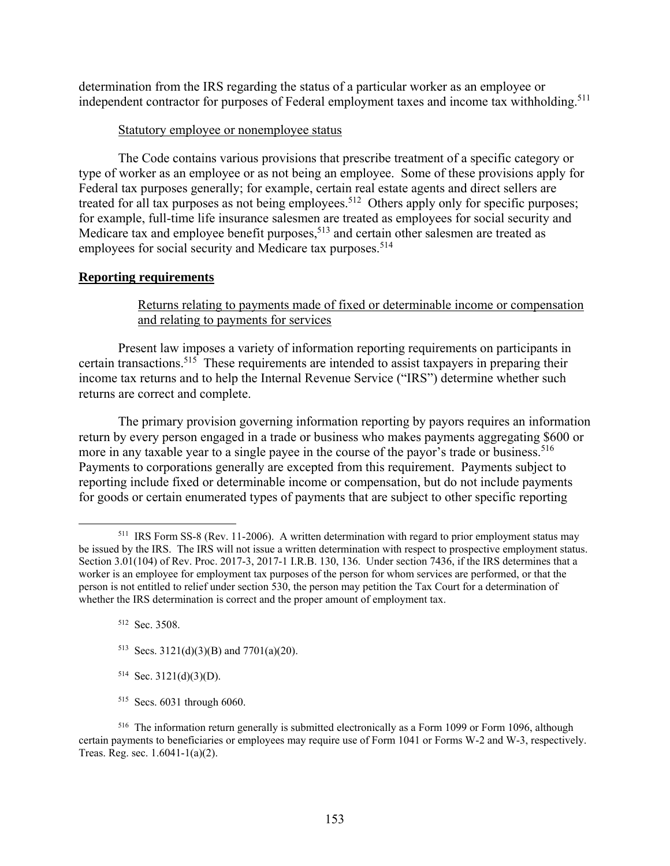determination from the IRS regarding the status of a particular worker as an employee or independent contractor for purposes of Federal employment taxes and income tax withholding.<sup>511</sup>

# Statutory employee or nonemployee status

The Code contains various provisions that prescribe treatment of a specific category or type of worker as an employee or as not being an employee. Some of these provisions apply for Federal tax purposes generally; for example, certain real estate agents and direct sellers are treated for all tax purposes as not being employees.<sup>512</sup> Others apply only for specific purposes; for example, full-time life insurance salesmen are treated as employees for social security and Medicare tax and employee benefit purposes,<sup>513</sup> and certain other salesmen are treated as employees for social security and Medicare tax purposes.<sup>514</sup>

# **Reporting requirements**

Returns relating to payments made of fixed or determinable income or compensation and relating to payments for services

Present law imposes a variety of information reporting requirements on participants in certain transactions.<sup>515</sup> These requirements are intended to assist taxpayers in preparing their income tax returns and to help the Internal Revenue Service ("IRS") determine whether such returns are correct and complete.

The primary provision governing information reporting by payors requires an information return by every person engaged in a trade or business who makes payments aggregating \$600 or more in any taxable year to a single payee in the course of the payor's trade or business.<sup>516</sup> Payments to corporations generally are excepted from this requirement. Payments subject to reporting include fixed or determinable income or compensation, but do not include payments for goods or certain enumerated types of payments that are subject to other specific reporting

512 Sec. 3508.

- 513 Secs. 3121(d)(3)(B) and 7701(a)(20).
- 514 Sec.  $3121(d)(3)(D)$ .
- 515 Secs. 6031 through 6060.

 <sup>511</sup> IRS Form SS-8 (Rev. 11-2006). A written determination with regard to prior employment status may be issued by the IRS. The IRS will not issue a written determination with respect to prospective employment status. Section 3.01(104) of Rev. Proc. 2017-3, 2017-1 I.R.B. 130, 136. Under section 7436, if the IRS determines that a worker is an employee for employment tax purposes of the person for whom services are performed, or that the person is not entitled to relief under section 530, the person may petition the Tax Court for a determination of whether the IRS determination is correct and the proper amount of employment tax.

<sup>&</sup>lt;sup>516</sup> The information return generally is submitted electronically as a Form 1099 or Form 1096, although certain payments to beneficiaries or employees may require use of Form 1041 or Forms W-2 and W-3, respectively. Treas. Reg. sec. 1.6041-1(a)(2).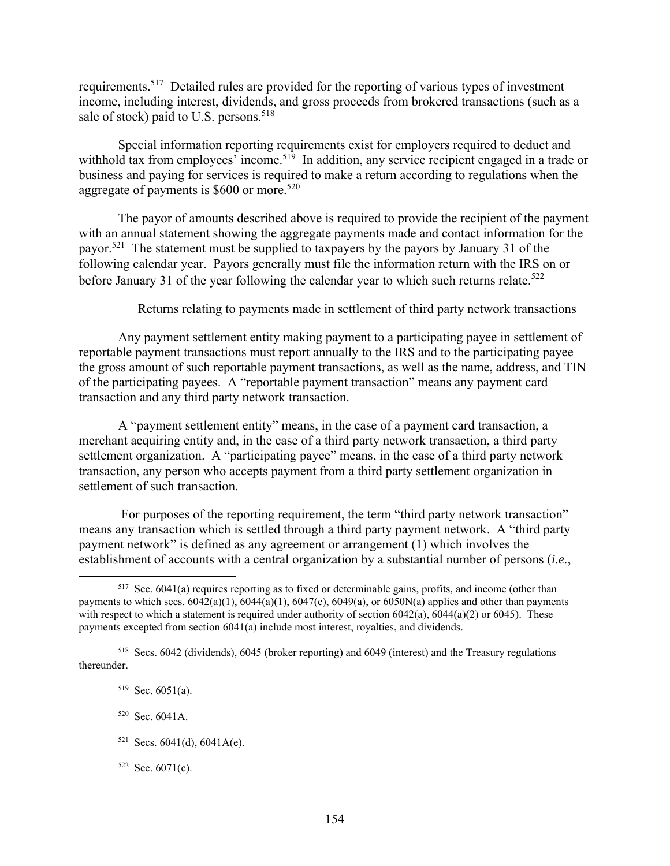requirements.517 Detailed rules are provided for the reporting of various types of investment income, including interest, dividends, and gross proceeds from brokered transactions (such as a sale of stock) paid to U.S. persons.<sup>518</sup>

Special information reporting requirements exist for employers required to deduct and withhold tax from employees' income.<sup>519</sup> In addition, any service recipient engaged in a trade or business and paying for services is required to make a return according to regulations when the aggregate of payments is  $$600$  or more.<sup>520</sup>

The payor of amounts described above is required to provide the recipient of the payment with an annual statement showing the aggregate payments made and contact information for the payor.521 The statement must be supplied to taxpayers by the payors by January 31 of the following calendar year. Payors generally must file the information return with the IRS on or before January 31 of the year following the calendar year to which such returns relate.<sup>522</sup>

# Returns relating to payments made in settlement of third party network transactions

Any payment settlement entity making payment to a participating payee in settlement of reportable payment transactions must report annually to the IRS and to the participating payee the gross amount of such reportable payment transactions, as well as the name, address, and TIN of the participating payees. A "reportable payment transaction" means any payment card transaction and any third party network transaction.

A "payment settlement entity" means, in the case of a payment card transaction, a merchant acquiring entity and, in the case of a third party network transaction, a third party settlement organization. A "participating payee" means, in the case of a third party network transaction, any person who accepts payment from a third party settlement organization in settlement of such transaction.

 For purposes of the reporting requirement, the term "third party network transaction" means any transaction which is settled through a third party payment network. A "third party payment network" is defined as any agreement or arrangement (1) which involves the establishment of accounts with a central organization by a substantial number of persons (*i.e.*,

520 Sec. 6041A.

- $521$  Secs. 6041(d), 6041A(e).
- $522$  Sec. 6071(c).

 $517$  Sec. 6041(a) requires reporting as to fixed or determinable gains, profits, and income (other than payments to which secs.  $6042(a)(1)$ ,  $6044(a)(1)$ ,  $6047(c)$ ,  $6049(a)$ , or  $6050N(a)$  applies and other than payments with respect to which a statement is required under authority of section  $6042(a)$ ,  $6044(a)(2)$  or  $6045$ ). These payments excepted from section 6041(a) include most interest, royalties, and dividends.

<sup>518</sup> Secs. 6042 (dividends), 6045 (broker reporting) and 6049 (interest) and the Treasury regulations thereunder.

 $519$  Sec. 6051(a).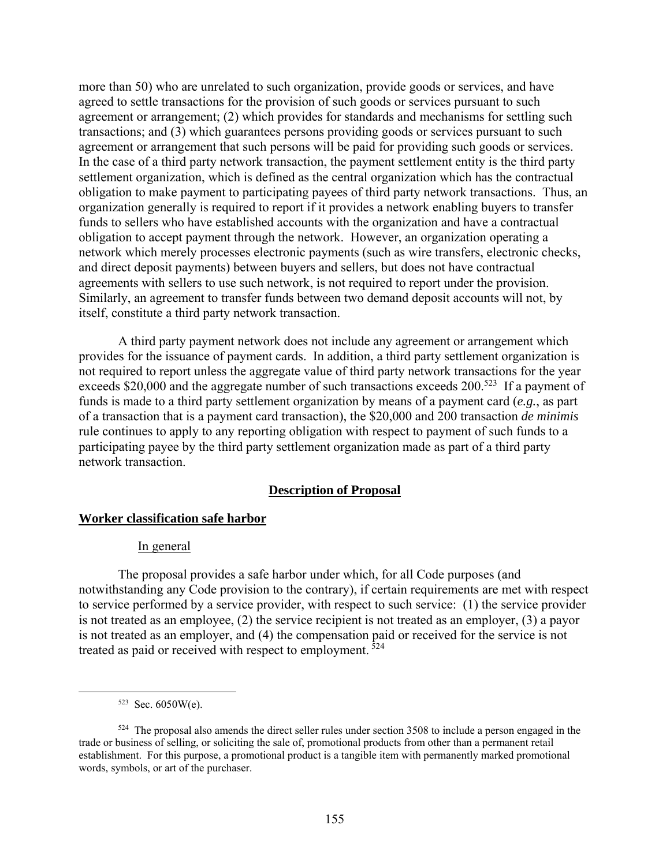more than 50) who are unrelated to such organization, provide goods or services, and have agreed to settle transactions for the provision of such goods or services pursuant to such agreement or arrangement; (2) which provides for standards and mechanisms for settling such transactions; and (3) which guarantees persons providing goods or services pursuant to such agreement or arrangement that such persons will be paid for providing such goods or services. In the case of a third party network transaction, the payment settlement entity is the third party settlement organization, which is defined as the central organization which has the contractual obligation to make payment to participating payees of third party network transactions. Thus, an organization generally is required to report if it provides a network enabling buyers to transfer funds to sellers who have established accounts with the organization and have a contractual obligation to accept payment through the network. However, an organization operating a network which merely processes electronic payments (such as wire transfers, electronic checks, and direct deposit payments) between buyers and sellers, but does not have contractual agreements with sellers to use such network, is not required to report under the provision. Similarly, an agreement to transfer funds between two demand deposit accounts will not, by itself, constitute a third party network transaction.

A third party payment network does not include any agreement or arrangement which provides for the issuance of payment cards. In addition, a third party settlement organization is not required to report unless the aggregate value of third party network transactions for the year exceeds \$20,000 and the aggregate number of such transactions exceeds 200.<sup>523</sup> If a payment of funds is made to a third party settlement organization by means of a payment card (*e.g.*, as part of a transaction that is a payment card transaction), the \$20,000 and 200 transaction *de minimis* rule continues to apply to any reporting obligation with respect to payment of such funds to a participating payee by the third party settlement organization made as part of a third party network transaction.

# **Description of Proposal**

# **Worker classification safe harbor**

#### In general

The proposal provides a safe harbor under which, for all Code purposes (and notwithstanding any Code provision to the contrary), if certain requirements are met with respect to service performed by a service provider, with respect to such service: (1) the service provider is not treated as an employee, (2) the service recipient is not treated as an employer, (3) a payor is not treated as an employer, and (4) the compensation paid or received for the service is not treated as paid or received with respect to employment.  $524$ 

 $523$  Sec. 6050W(e).

 $524$  The proposal also amends the direct seller rules under section 3508 to include a person engaged in the trade or business of selling, or soliciting the sale of, promotional products from other than a permanent retail establishment. For this purpose, a promotional product is a tangible item with permanently marked promotional words, symbols, or art of the purchaser.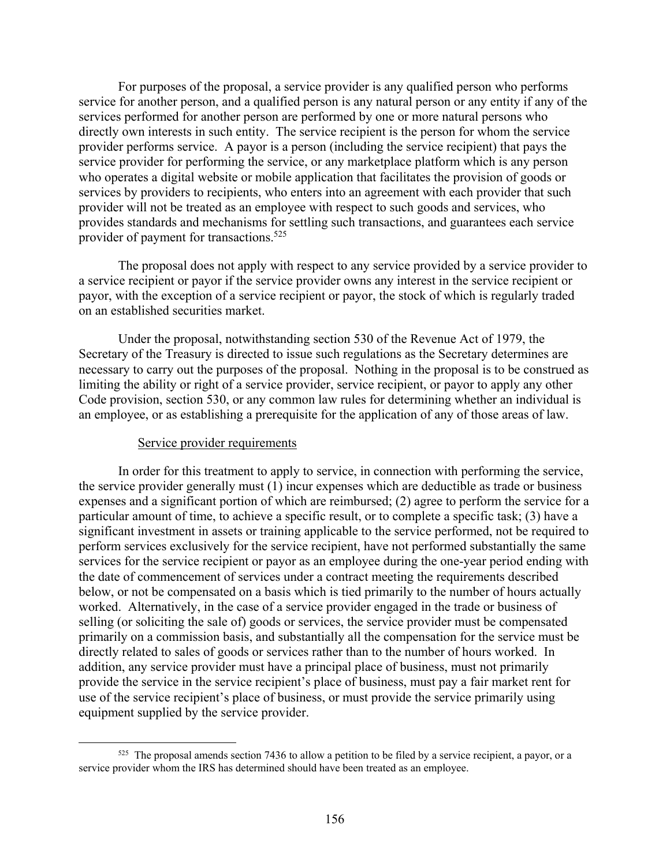For purposes of the proposal, a service provider is any qualified person who performs service for another person, and a qualified person is any natural person or any entity if any of the services performed for another person are performed by one or more natural persons who directly own interests in such entity. The service recipient is the person for whom the service provider performs service. A payor is a person (including the service recipient) that pays the service provider for performing the service, or any marketplace platform which is any person who operates a digital website or mobile application that facilitates the provision of goods or services by providers to recipients, who enters into an agreement with each provider that such provider will not be treated as an employee with respect to such goods and services, who provides standards and mechanisms for settling such transactions, and guarantees each service provider of payment for transactions.<sup>525</sup>

The proposal does not apply with respect to any service provided by a service provider to a service recipient or payor if the service provider owns any interest in the service recipient or payor, with the exception of a service recipient or payor, the stock of which is regularly traded on an established securities market.

Under the proposal, notwithstanding section 530 of the Revenue Act of 1979, the Secretary of the Treasury is directed to issue such regulations as the Secretary determines are necessary to carry out the purposes of the proposal. Nothing in the proposal is to be construed as limiting the ability or right of a service provider, service recipient, or payor to apply any other Code provision, section 530, or any common law rules for determining whether an individual is an employee, or as establishing a prerequisite for the application of any of those areas of law.

#### Service provider requirements

In order for this treatment to apply to service, in connection with performing the service, the service provider generally must (1) incur expenses which are deductible as trade or business expenses and a significant portion of which are reimbursed; (2) agree to perform the service for a particular amount of time, to achieve a specific result, or to complete a specific task; (3) have a significant investment in assets or training applicable to the service performed, not be required to perform services exclusively for the service recipient, have not performed substantially the same services for the service recipient or payor as an employee during the one-year period ending with the date of commencement of services under a contract meeting the requirements described below, or not be compensated on a basis which is tied primarily to the number of hours actually worked. Alternatively, in the case of a service provider engaged in the trade or business of selling (or soliciting the sale of) goods or services, the service provider must be compensated primarily on a commission basis, and substantially all the compensation for the service must be directly related to sales of goods or services rather than to the number of hours worked. In addition, any service provider must have a principal place of business, must not primarily provide the service in the service recipient's place of business, must pay a fair market rent for use of the service recipient's place of business, or must provide the service primarily using equipment supplied by the service provider.

 $525$  The proposal amends section 7436 to allow a petition to be filed by a service recipient, a payor, or a service provider whom the IRS has determined should have been treated as an employee.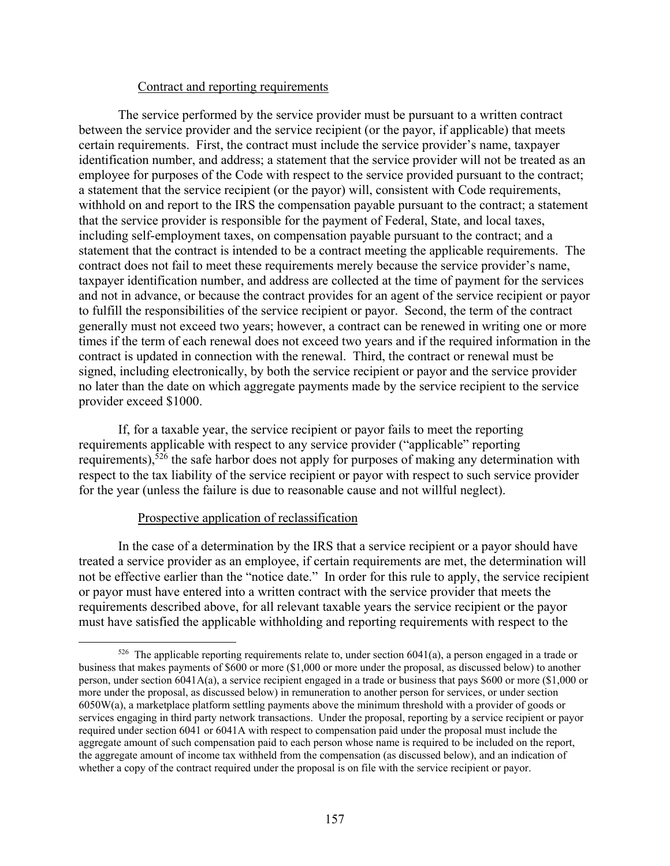# Contract and reporting requirements

The service performed by the service provider must be pursuant to a written contract between the service provider and the service recipient (or the payor, if applicable) that meets certain requirements. First, the contract must include the service provider's name, taxpayer identification number, and address; a statement that the service provider will not be treated as an employee for purposes of the Code with respect to the service provided pursuant to the contract; a statement that the service recipient (or the payor) will, consistent with Code requirements, withhold on and report to the IRS the compensation payable pursuant to the contract; a statement that the service provider is responsible for the payment of Federal, State, and local taxes, including self-employment taxes, on compensation payable pursuant to the contract; and a statement that the contract is intended to be a contract meeting the applicable requirements. The contract does not fail to meet these requirements merely because the service provider's name, taxpayer identification number, and address are collected at the time of payment for the services and not in advance, or because the contract provides for an agent of the service recipient or payor to fulfill the responsibilities of the service recipient or payor. Second, the term of the contract generally must not exceed two years; however, a contract can be renewed in writing one or more times if the term of each renewal does not exceed two years and if the required information in the contract is updated in connection with the renewal. Third, the contract or renewal must be signed, including electronically, by both the service recipient or payor and the service provider no later than the date on which aggregate payments made by the service recipient to the service provider exceed \$1000.

If, for a taxable year, the service recipient or payor fails to meet the reporting requirements applicable with respect to any service provider ("applicable" reporting requirements),<sup>526</sup> the safe harbor does not apply for purposes of making any determination with respect to the tax liability of the service recipient or payor with respect to such service provider for the year (unless the failure is due to reasonable cause and not willful neglect).

# Prospective application of reclassification

In the case of a determination by the IRS that a service recipient or a payor should have treated a service provider as an employee, if certain requirements are met, the determination will not be effective earlier than the "notice date." In order for this rule to apply, the service recipient or payor must have entered into a written contract with the service provider that meets the requirements described above, for all relevant taxable years the service recipient or the payor must have satisfied the applicable withholding and reporting requirements with respect to the

 $526$  The applicable reporting requirements relate to, under section 6041(a), a person engaged in a trade or business that makes payments of \$600 or more (\$1,000 or more under the proposal, as discussed below) to another person, under section 6041A(a), a service recipient engaged in a trade or business that pays \$600 or more (\$1,000 or more under the proposal, as discussed below) in remuneration to another person for services, or under section 6050W(a), a marketplace platform settling payments above the minimum threshold with a provider of goods or services engaging in third party network transactions. Under the proposal, reporting by a service recipient or payor required under section 6041 or 6041A with respect to compensation paid under the proposal must include the aggregate amount of such compensation paid to each person whose name is required to be included on the report, the aggregate amount of income tax withheld from the compensation (as discussed below), and an indication of whether a copy of the contract required under the proposal is on file with the service recipient or payor.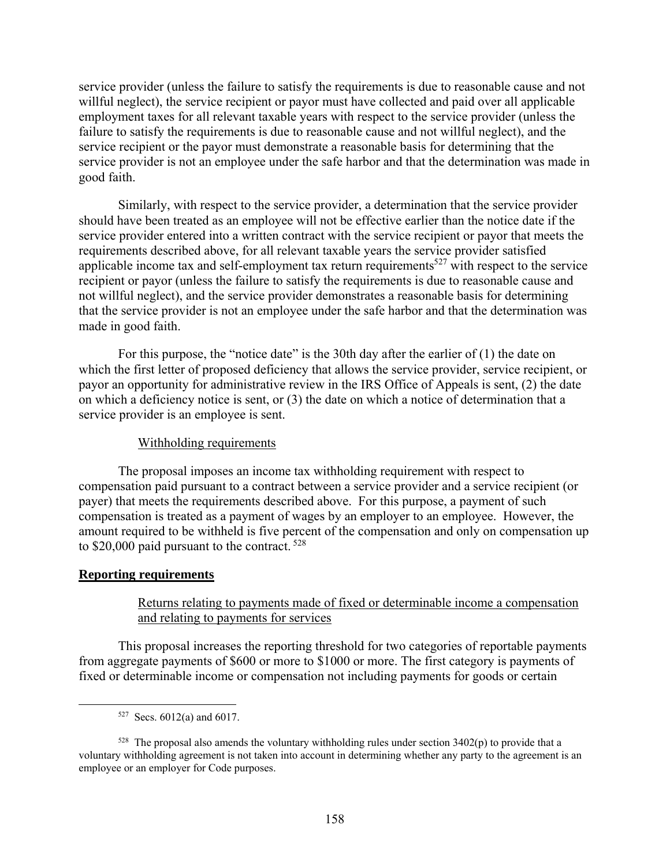service provider (unless the failure to satisfy the requirements is due to reasonable cause and not willful neglect), the service recipient or payor must have collected and paid over all applicable employment taxes for all relevant taxable years with respect to the service provider (unless the failure to satisfy the requirements is due to reasonable cause and not willful neglect), and the service recipient or the payor must demonstrate a reasonable basis for determining that the service provider is not an employee under the safe harbor and that the determination was made in good faith.

Similarly, with respect to the service provider, a determination that the service provider should have been treated as an employee will not be effective earlier than the notice date if the service provider entered into a written contract with the service recipient or payor that meets the requirements described above, for all relevant taxable years the service provider satisfied applicable income tax and self-employment tax return requirements<sup>527</sup> with respect to the service recipient or payor (unless the failure to satisfy the requirements is due to reasonable cause and not willful neglect), and the service provider demonstrates a reasonable basis for determining that the service provider is not an employee under the safe harbor and that the determination was made in good faith.

For this purpose, the "notice date" is the 30th day after the earlier of (1) the date on which the first letter of proposed deficiency that allows the service provider, service recipient, or payor an opportunity for administrative review in the IRS Office of Appeals is sent, (2) the date on which a deficiency notice is sent, or (3) the date on which a notice of determination that a service provider is an employee is sent.

### Withholding requirements

The proposal imposes an income tax withholding requirement with respect to compensation paid pursuant to a contract between a service provider and a service recipient (or payer) that meets the requirements described above. For this purpose, a payment of such compensation is treated as a payment of wages by an employer to an employee. However, the amount required to be withheld is five percent of the compensation and only on compensation up to  $$20,000$  paid pursuant to the contract. <sup>528</sup>

### **Reporting requirements**

# Returns relating to payments made of fixed or determinable income a compensation and relating to payments for services

This proposal increases the reporting threshold for two categories of reportable payments from aggregate payments of \$600 or more to \$1000 or more. The first category is payments of fixed or determinable income or compensation not including payments for goods or certain

 $527$  Secs. 6012(a) and 6017.

<sup>&</sup>lt;sup>528</sup> The proposal also amends the voluntary withholding rules under section  $3402(p)$  to provide that a voluntary withholding agreement is not taken into account in determining whether any party to the agreement is an employee or an employer for Code purposes.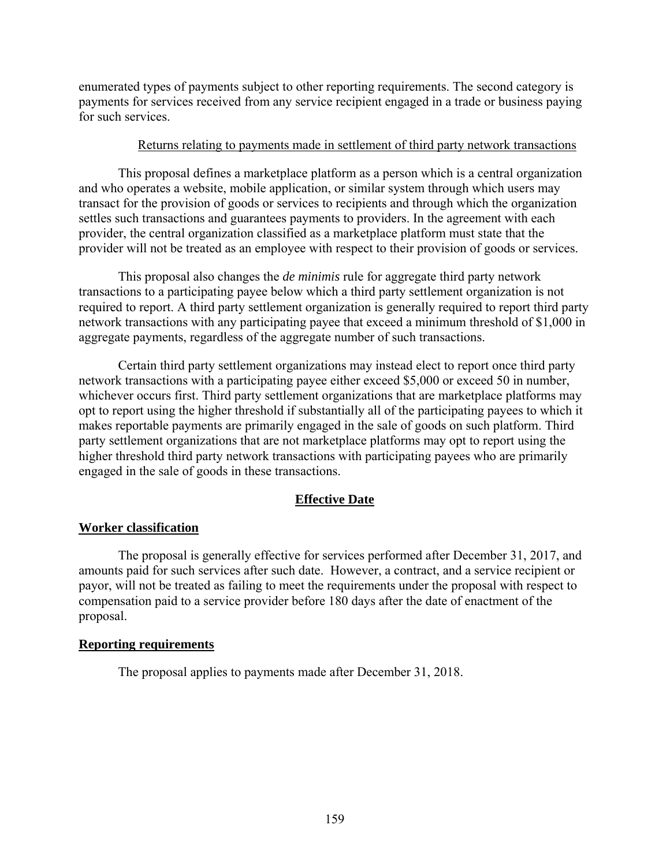enumerated types of payments subject to other reporting requirements. The second category is payments for services received from any service recipient engaged in a trade or business paying for such services.

## Returns relating to payments made in settlement of third party network transactions

This proposal defines a marketplace platform as a person which is a central organization and who operates a website, mobile application, or similar system through which users may transact for the provision of goods or services to recipients and through which the organization settles such transactions and guarantees payments to providers. In the agreement with each provider, the central organization classified as a marketplace platform must state that the provider will not be treated as an employee with respect to their provision of goods or services.

This proposal also changes the *de minimis* rule for aggregate third party network transactions to a participating payee below which a third party settlement organization is not required to report. A third party settlement organization is generally required to report third party network transactions with any participating payee that exceed a minimum threshold of \$1,000 in aggregate payments, regardless of the aggregate number of such transactions.

Certain third party settlement organizations may instead elect to report once third party network transactions with a participating payee either exceed \$5,000 or exceed 50 in number, whichever occurs first. Third party settlement organizations that are marketplace platforms may opt to report using the higher threshold if substantially all of the participating payees to which it makes reportable payments are primarily engaged in the sale of goods on such platform. Third party settlement organizations that are not marketplace platforms may opt to report using the higher threshold third party network transactions with participating payees who are primarily engaged in the sale of goods in these transactions.

# **Effective Date**

# **Worker classification**

The proposal is generally effective for services performed after December 31, 2017, and amounts paid for such services after such date. However, a contract, and a service recipient or payor, will not be treated as failing to meet the requirements under the proposal with respect to compensation paid to a service provider before 180 days after the date of enactment of the proposal.

# **Reporting requirements**

The proposal applies to payments made after December 31, 2018.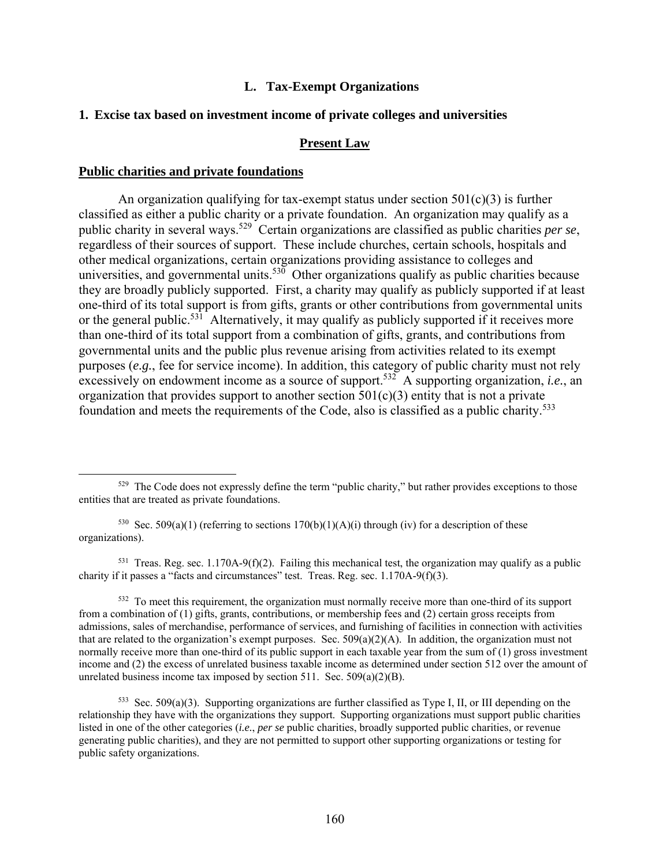### **L. Tax-Exempt Organizations**

## **1. Excise tax based on investment income of private colleges and universities**

#### **Present Law**

#### **Public charities and private foundations**

An organization qualifying for tax-exempt status under section  $501(c)(3)$  is further classified as either a public charity or a private foundation. An organization may qualify as a public charity in several ways.529 Certain organizations are classified as public charities *per se*, regardless of their sources of support. These include churches, certain schools, hospitals and other medical organizations, certain organizations providing assistance to colleges and universities, and governmental units.<sup>530</sup> Other organizations qualify as public charities because they are broadly publicly supported. First, a charity may qualify as publicly supported if at least one-third of its total support is from gifts, grants or other contributions from governmental units or the general public.<sup>531</sup> Alternatively, it may qualify as publicly supported if it receives more than one-third of its total support from a combination of gifts, grants, and contributions from governmental units and the public plus revenue arising from activities related to its exempt purposes (*e.g.*, fee for service income). In addition, this category of public charity must not rely excessively on endowment income as a source of support.532 A supporting organization, *i.e.*, an organization that provides support to another section  $501(c)(3)$  entity that is not a private foundation and meets the requirements of the Code, also is classified as a public charity.<sup>533</sup>

530 Sec. 509(a)(1) (referring to sections  $170(b)(1)(A)(i)$  through (iv) for a description of these organizations).

 $531$  Treas. Reg. sec. 1.170A-9(f)(2). Failing this mechanical test, the organization may qualify as a public charity if it passes a "facts and circumstances" test. Treas. Reg. sec. 1.170A-9(f)(3).

<sup>532</sup> To meet this requirement, the organization must normally receive more than one-third of its support from a combination of (1) gifts, grants, contributions, or membership fees and (2) certain gross receipts from admissions, sales of merchandise, performance of services, and furnishing of facilities in connection with activities that are related to the organization's exempt purposes. Sec.  $509(a)(2)(A)$ . In addition, the organization must not normally receive more than one-third of its public support in each taxable year from the sum of (1) gross investment income and (2) the excess of unrelated business taxable income as determined under section 512 over the amount of unrelated business income tax imposed by section 511. Sec.  $509(a)(2)(B)$ .

 $533$  Sec. 509(a)(3). Supporting organizations are further classified as Type I, II, or III depending on the relationship they have with the organizations they support. Supporting organizations must support public charities listed in one of the other categories (*i.e.*, *per se* public charities, broadly supported public charities, or revenue generating public charities), and they are not permitted to support other supporting organizations or testing for public safety organizations.

<sup>&</sup>lt;sup>529</sup> The Code does not expressly define the term "public charity," but rather provides exceptions to those entities that are treated as private foundations.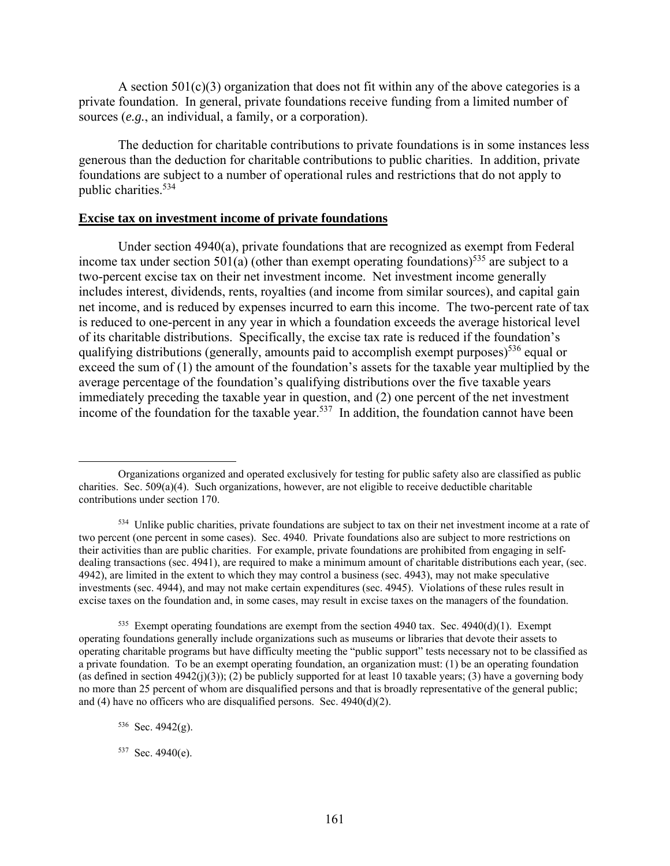A section  $501(c)(3)$  organization that does not fit within any of the above categories is a private foundation. In general, private foundations receive funding from a limited number of sources (*e.g.*, an individual, a family, or a corporation).

The deduction for charitable contributions to private foundations is in some instances less generous than the deduction for charitable contributions to public charities. In addition, private foundations are subject to a number of operational rules and restrictions that do not apply to public charities.534

#### **Excise tax on investment income of private foundations**

Under section 4940(a), private foundations that are recognized as exempt from Federal income tax under section 501(a) (other than exempt operating foundations)<sup>535</sup> are subject to a two-percent excise tax on their net investment income. Net investment income generally includes interest, dividends, rents, royalties (and income from similar sources), and capital gain net income, and is reduced by expenses incurred to earn this income. The two-percent rate of tax is reduced to one-percent in any year in which a foundation exceeds the average historical level of its charitable distributions. Specifically, the excise tax rate is reduced if the foundation's qualifying distributions (generally, amounts paid to accomplish exempt purposes)<sup>536</sup> equal or exceed the sum of (1) the amount of the foundation's assets for the taxable year multiplied by the average percentage of the foundation's qualifying distributions over the five taxable years immediately preceding the taxable year in question, and (2) one percent of the net investment income of the foundation for the taxable year.<sup>537</sup> In addition, the foundation cannot have been

 $535$  Exempt operating foundations are exempt from the section 4940 tax. Sec. 4940(d)(1). Exempt operating foundations generally include organizations such as museums or libraries that devote their assets to operating charitable programs but have difficulty meeting the "public support" tests necessary not to be classified as a private foundation. To be an exempt operating foundation, an organization must: (1) be an operating foundation (as defined in section  $4942(j)(3)$ ); (2) be publicly supported for at least 10 taxable years; (3) have a governing body no more than 25 percent of whom are disqualified persons and that is broadly representative of the general public; and (4) have no officers who are disqualified persons. Sec.  $4940(d)(2)$ .

536 Sec.  $4942(g)$ .

Organizations organized and operated exclusively for testing for public safety also are classified as public charities. Sec. 509(a)(4). Such organizations, however, are not eligible to receive deductible charitable contributions under section 170.

<sup>534</sup> Unlike public charities, private foundations are subject to tax on their net investment income at a rate of two percent (one percent in some cases). Sec. 4940. Private foundations also are subject to more restrictions on their activities than are public charities. For example, private foundations are prohibited from engaging in selfdealing transactions (sec. 4941), are required to make a minimum amount of charitable distributions each year, (sec. 4942), are limited in the extent to which they may control a business (sec. 4943), may not make speculative investments (sec. 4944), and may not make certain expenditures (sec. 4945). Violations of these rules result in excise taxes on the foundation and, in some cases, may result in excise taxes on the managers of the foundation.

<sup>537</sup> Sec. 4940(e).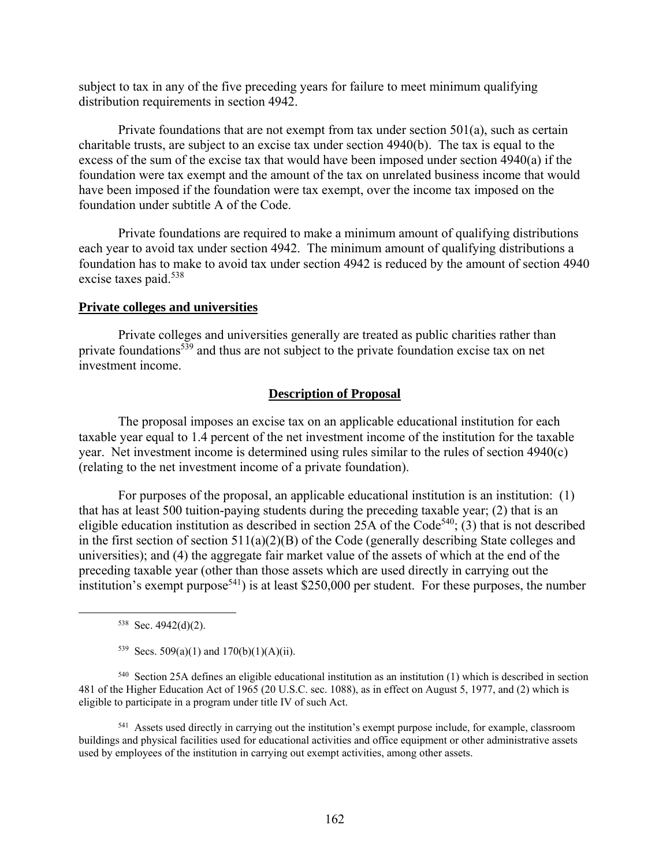subject to tax in any of the five preceding years for failure to meet minimum qualifying distribution requirements in section 4942.

Private foundations that are not exempt from tax under section 501(a), such as certain charitable trusts, are subject to an excise tax under section 4940(b). The tax is equal to the excess of the sum of the excise tax that would have been imposed under section 4940(a) if the foundation were tax exempt and the amount of the tax on unrelated business income that would have been imposed if the foundation were tax exempt, over the income tax imposed on the foundation under subtitle A of the Code.

Private foundations are required to make a minimum amount of qualifying distributions each year to avoid tax under section 4942. The minimum amount of qualifying distributions a foundation has to make to avoid tax under section 4942 is reduced by the amount of section 4940 excise taxes paid.<sup>538</sup>

## **Private colleges and universities**

Private colleges and universities generally are treated as public charities rather than private foundations<sup>539</sup> and thus are not subject to the private foundation excise tax on net investment income.

### **Description of Proposal**

The proposal imposes an excise tax on an applicable educational institution for each taxable year equal to 1.4 percent of the net investment income of the institution for the taxable year. Net investment income is determined using rules similar to the rules of section 4940(c) (relating to the net investment income of a private foundation).

For purposes of the proposal, an applicable educational institution is an institution: (1) that has at least 500 tuition-paying students during the preceding taxable year; (2) that is an eligible education institution as described in section 25A of the  $Code<sup>540</sup>$ ; (3) that is not described in the first section of section 511(a)(2)(B) of the Code (generally describing State colleges and universities); and (4) the aggregate fair market value of the assets of which at the end of the preceding taxable year (other than those assets which are used directly in carrying out the institution's exempt purpose<sup>541</sup>) is at least \$250,000 per student. For these purposes, the number

538 Sec.  $4942(d)(2)$ .

539 Secs. 509(a)(1) and  $170(b)(1)(A)(ii)$ .

540 Section 25A defines an eligible educational institution as an institution (1) which is described in section 481 of the Higher Education Act of 1965 (20 U.S.C. sec. 1088), as in effect on August 5, 1977, and (2) which is eligible to participate in a program under title IV of such Act.

<sup>541</sup> Assets used directly in carrying out the institution's exempt purpose include, for example, classroom buildings and physical facilities used for educational activities and office equipment or other administrative assets used by employees of the institution in carrying out exempt activities, among other assets.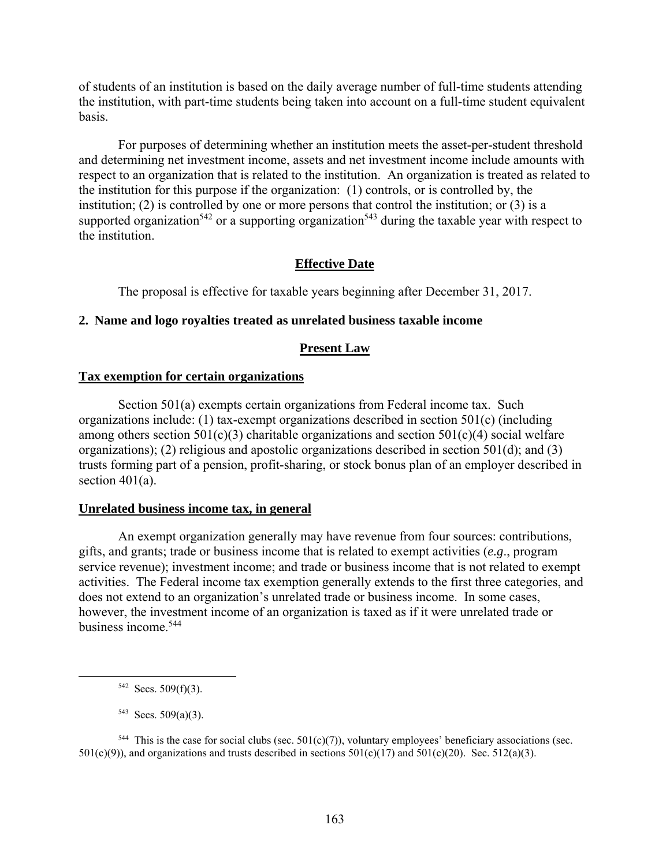of students of an institution is based on the daily average number of full-time students attending the institution, with part-time students being taken into account on a full-time student equivalent basis.

For purposes of determining whether an institution meets the asset-per-student threshold and determining net investment income, assets and net investment income include amounts with respect to an organization that is related to the institution. An organization is treated as related to the institution for this purpose if the organization: (1) controls, or is controlled by, the institution; (2) is controlled by one or more persons that control the institution; or (3) is a supported organization<sup>542</sup> or a supporting organization<sup>543</sup> during the taxable year with respect to the institution.

# **Effective Date**

The proposal is effective for taxable years beginning after December 31, 2017.

# **2. Name and logo royalties treated as unrelated business taxable income**

# **Present Law**

# **Tax exemption for certain organizations**

Section 501(a) exempts certain organizations from Federal income tax. Such organizations include: (1) tax-exempt organizations described in section 501(c) (including among others section  $501(c)(3)$  charitable organizations and section  $501(c)(4)$  social welfare organizations); (2) religious and apostolic organizations described in section 501(d); and (3) trusts forming part of a pension, profit-sharing, or stock bonus plan of an employer described in section  $401(a)$ .

# **Unrelated business income tax, in general**

An exempt organization generally may have revenue from four sources: contributions, gifts, and grants; trade or business income that is related to exempt activities (*e.g*., program service revenue); investment income; and trade or business income that is not related to exempt activities. The Federal income tax exemption generally extends to the first three categories, and does not extend to an organization's unrelated trade or business income. In some cases, however, the investment income of an organization is taxed as if it were unrelated trade or business income.544

 $543$  Secs. 509(a)(3).

 $544$  This is the case for social clubs (sec.  $501(c)(7)$ ), voluntary employees' beneficiary associations (sec.  $501(c)(9)$ ), and organizations and trusts described in sections  $501(c)(17)$  and  $501(c)(20)$ . Sec.  $512(a)(3)$ .

 $542$  Secs.  $509(f)(3)$ .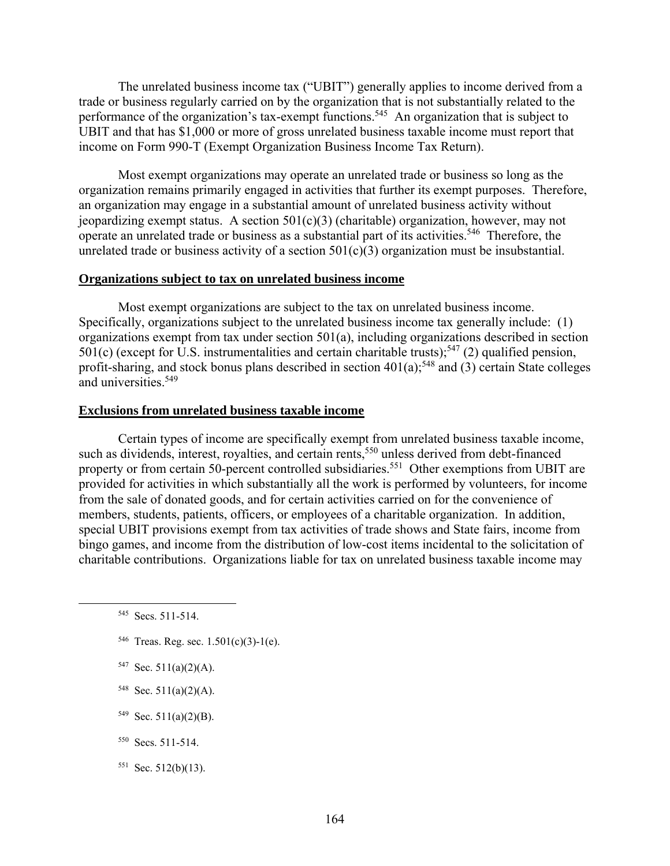The unrelated business income tax ("UBIT") generally applies to income derived from a trade or business regularly carried on by the organization that is not substantially related to the performance of the organization's tax-exempt functions.<sup>545</sup> An organization that is subject to UBIT and that has \$1,000 or more of gross unrelated business taxable income must report that income on Form 990-T (Exempt Organization Business Income Tax Return).

Most exempt organizations may operate an unrelated trade or business so long as the organization remains primarily engaged in activities that further its exempt purposes. Therefore, an organization may engage in a substantial amount of unrelated business activity without jeopardizing exempt status. A section 501(c)(3) (charitable) organization, however, may not operate an unrelated trade or business as a substantial part of its activities.<sup>546</sup> Therefore, the unrelated trade or business activity of a section  $501(c)(3)$  organization must be insubstantial.

## **Organizations subject to tax on unrelated business income**

Most exempt organizations are subject to the tax on unrelated business income. Specifically, organizations subject to the unrelated business income tax generally include: (1) organizations exempt from tax under section 501(a), including organizations described in section  $501(c)$  (except for U.S. instrumentalities and certain charitable trusts);<sup>547</sup> (2) qualified pension, profit-sharing, and stock bonus plans described in section  $401(a)$ ;<sup>548</sup> and (3) certain State colleges and universities.<sup>549</sup>

#### **Exclusions from unrelated business taxable income**

Certain types of income are specifically exempt from unrelated business taxable income, such as dividends, interest, royalties, and certain rents,<sup>550</sup> unless derived from debt-financed property or from certain 50-percent controlled subsidiaries.<sup>551</sup> Other exemptions from UBIT are provided for activities in which substantially all the work is performed by volunteers, for income from the sale of donated goods, and for certain activities carried on for the convenience of members, students, patients, officers, or employees of a charitable organization. In addition, special UBIT provisions exempt from tax activities of trade shows and State fairs, income from bingo games, and income from the distribution of low-cost items incidental to the solicitation of charitable contributions. Organizations liable for tax on unrelated business taxable income may

- $546$  Treas. Reg. sec. 1.501(c)(3)-1(e).
- $547$  Sec.  $511(a)(2)(A)$ .
- $548$  Sec.  $511(a)(2)(A)$ .
- $549$  Sec.  $511(a)(2)(B)$ .
- 550 Secs. 511-514.
- $551$  Sec.  $512(b)(13)$ .

 <sup>545</sup> Secs. 511-514.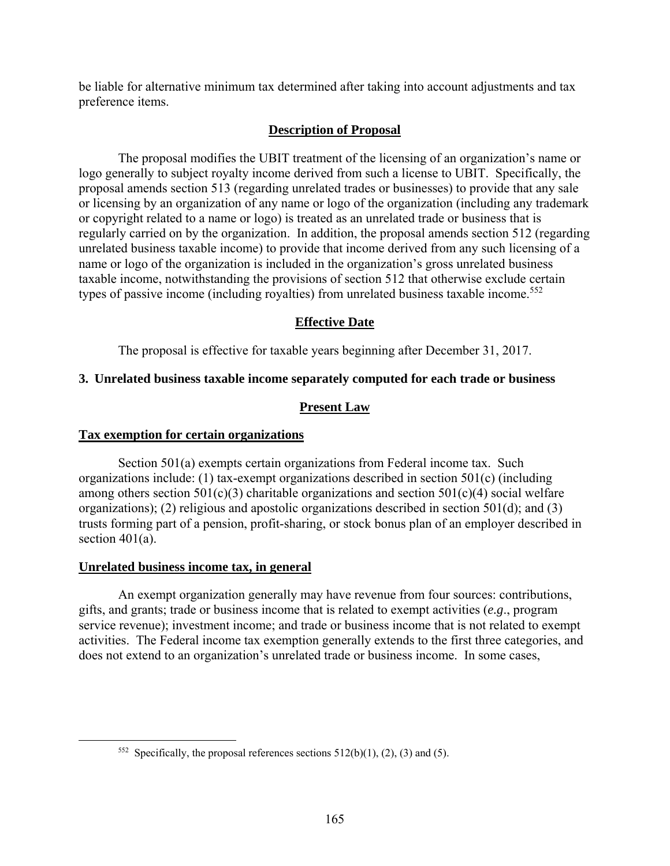be liable for alternative minimum tax determined after taking into account adjustments and tax preference items.

# **Description of Proposal**

The proposal modifies the UBIT treatment of the licensing of an organization's name or logo generally to subject royalty income derived from such a license to UBIT. Specifically, the proposal amends section 513 (regarding unrelated trades or businesses) to provide that any sale or licensing by an organization of any name or logo of the organization (including any trademark or copyright related to a name or logo) is treated as an unrelated trade or business that is regularly carried on by the organization. In addition, the proposal amends section 512 (regarding unrelated business taxable income) to provide that income derived from any such licensing of a name or logo of the organization is included in the organization's gross unrelated business taxable income, notwithstanding the provisions of section 512 that otherwise exclude certain types of passive income (including royalties) from unrelated business taxable income.<sup>552</sup>

# **Effective Date**

The proposal is effective for taxable years beginning after December 31, 2017.

# **3. Unrelated business taxable income separately computed for each trade or business**

# **Present Law**

# **Tax exemption for certain organizations**

Section 501(a) exempts certain organizations from Federal income tax. Such organizations include: (1) tax-exempt organizations described in section 501(c) (including among others section  $501(c)(3)$  charitable organizations and section  $501(c)(4)$  social welfare organizations); (2) religious and apostolic organizations described in section 501(d); and (3) trusts forming part of a pension, profit-sharing, or stock bonus plan of an employer described in section 401(a).

# **Unrelated business income tax, in general**

An exempt organization generally may have revenue from four sources: contributions, gifts, and grants; trade or business income that is related to exempt activities (*e.g*., program service revenue); investment income; and trade or business income that is not related to exempt activities. The Federal income tax exemption generally extends to the first three categories, and does not extend to an organization's unrelated trade or business income. In some cases,

 $552$  Specifically, the proposal references sections  $512(b)(1)$ ,  $(2)$ ,  $(3)$  and  $(5)$ .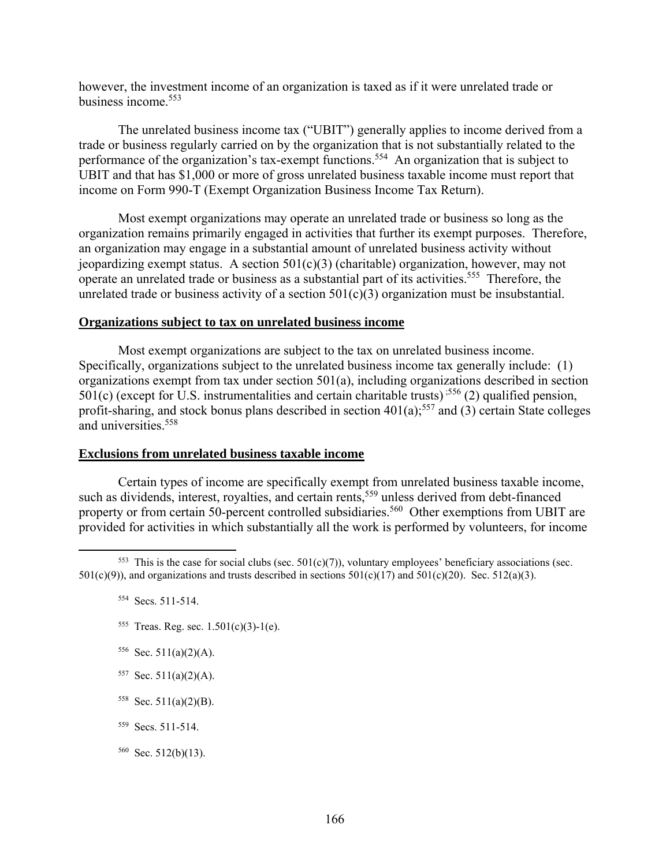however, the investment income of an organization is taxed as if it were unrelated trade or business income  $553$ 

The unrelated business income tax ("UBIT") generally applies to income derived from a trade or business regularly carried on by the organization that is not substantially related to the performance of the organization's tax-exempt functions.<sup>554</sup> An organization that is subject to UBIT and that has \$1,000 or more of gross unrelated business taxable income must report that income on Form 990-T (Exempt Organization Business Income Tax Return).

Most exempt organizations may operate an unrelated trade or business so long as the organization remains primarily engaged in activities that further its exempt purposes. Therefore, an organization may engage in a substantial amount of unrelated business activity without jeopardizing exempt status. A section 501(c)(3) (charitable) organization, however, may not operate an unrelated trade or business as a substantial part of its activities.555 Therefore, the unrelated trade or business activity of a section  $501(c)(3)$  organization must be insubstantial.

## **Organizations subject to tax on unrelated business income**

Most exempt organizations are subject to the tax on unrelated business income. Specifically, organizations subject to the unrelated business income tax generally include: (1) organizations exempt from tax under section 501(a), including organizations described in section  $501(c)$  (except for U.S. instrumentalities and certain charitable trusts)  $;556$  (2) qualified pension, profit-sharing, and stock bonus plans described in section  $401(a)$ ;<sup>557</sup> and (3) certain State colleges and universities.<sup>558</sup>

#### **Exclusions from unrelated business taxable income**

Certain types of income are specifically exempt from unrelated business taxable income, such as dividends, interest, royalties, and certain rents,<sup>559</sup> unless derived from debt-financed property or from certain 50-percent controlled subsidiaries.<sup>560</sup> Other exemptions from UBIT are provided for activities in which substantially all the work is performed by volunteers, for income

- 555 Treas. Reg. sec.  $1.501(c)(3)-1(e)$ .
- $556$  Sec.  $511(a)(2)(A)$ .
- 557 Sec. 511(a)(2)(A).
- $558$  Sec.  $511(a)(2)(B)$ .
- 559 Secs. 511-514.
- $560$  Sec.  $512(b)(13)$ .

<sup>&</sup>lt;sup>553</sup> This is the case for social clubs (sec. 501(c)(7)), voluntary employees' beneficiary associations (sec.  $501(c)(9)$ , and organizations and trusts described in sections  $501(c)(17)$  and  $501(c)(20)$ . Sec.  $512(a)(3)$ .

<sup>554</sup> Secs. 511-514.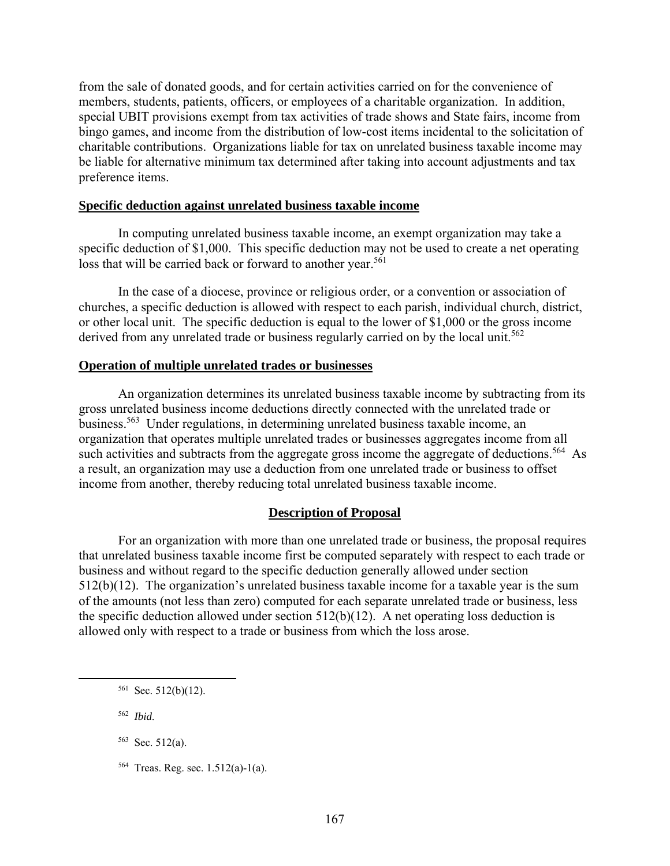from the sale of donated goods, and for certain activities carried on for the convenience of members, students, patients, officers, or employees of a charitable organization. In addition, special UBIT provisions exempt from tax activities of trade shows and State fairs, income from bingo games, and income from the distribution of low-cost items incidental to the solicitation of charitable contributions. Organizations liable for tax on unrelated business taxable income may be liable for alternative minimum tax determined after taking into account adjustments and tax preference items.

## **Specific deduction against unrelated business taxable income**

In computing unrelated business taxable income, an exempt organization may take a specific deduction of \$1,000. This specific deduction may not be used to create a net operating loss that will be carried back or forward to another year.<sup>561</sup>

In the case of a diocese, province or religious order, or a convention or association of churches, a specific deduction is allowed with respect to each parish, individual church, district, or other local unit. The specific deduction is equal to the lower of \$1,000 or the gross income derived from any unrelated trade or business regularly carried on by the local unit.<sup>562</sup>

## **Operation of multiple unrelated trades or businesses**

An organization determines its unrelated business taxable income by subtracting from its gross unrelated business income deductions directly connected with the unrelated trade or business.563 Under regulations, in determining unrelated business taxable income, an organization that operates multiple unrelated trades or businesses aggregates income from all such activities and subtracts from the aggregate gross income the aggregate of deductions.<sup>564</sup> As a result, an organization may use a deduction from one unrelated trade or business to offset income from another, thereby reducing total unrelated business taxable income.

# **Description of Proposal**

For an organization with more than one unrelated trade or business, the proposal requires that unrelated business taxable income first be computed separately with respect to each trade or business and without regard to the specific deduction generally allowed under section 512(b)(12). The organization's unrelated business taxable income for a taxable year is the sum of the amounts (not less than zero) computed for each separate unrelated trade or business, less the specific deduction allowed under section 512(b)(12). A net operating loss deduction is allowed only with respect to a trade or business from which the loss arose.

562 *Ibid*.

- 563 Sec. 512(a).
- 564 Treas. Reg. sec. 1.512(a)-1(a).

 $561$  Sec.  $512(b)(12)$ .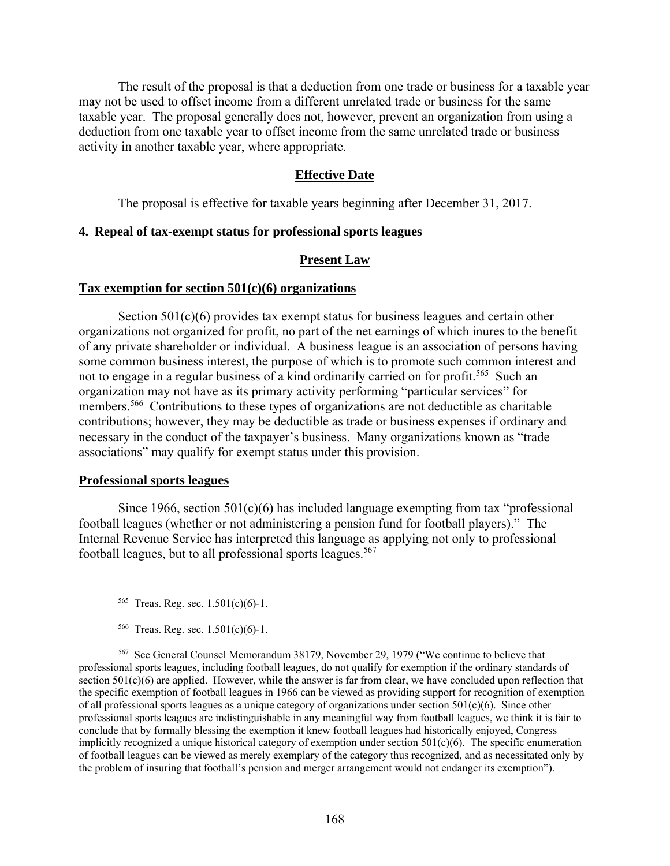The result of the proposal is that a deduction from one trade or business for a taxable year may not be used to offset income from a different unrelated trade or business for the same taxable year. The proposal generally does not, however, prevent an organization from using a deduction from one taxable year to offset income from the same unrelated trade or business activity in another taxable year, where appropriate.

# **Effective Date**

The proposal is effective for taxable years beginning after December 31, 2017.

# **4. Repeal of tax-exempt status for professional sports leagues**

# **Present Law**

### **Tax exemption for section 501(c)(6) organizations**

Section  $501(c)(6)$  provides tax exempt status for business leagues and certain other organizations not organized for profit, no part of the net earnings of which inures to the benefit of any private shareholder or individual. A business league is an association of persons having some common business interest, the purpose of which is to promote such common interest and not to engage in a regular business of a kind ordinarily carried on for profit.<sup>565</sup> Such an organization may not have as its primary activity performing "particular services" for members.<sup>566</sup> Contributions to these types of organizations are not deductible as charitable contributions; however, they may be deductible as trade or business expenses if ordinary and necessary in the conduct of the taxpayer's business. Many organizations known as "trade associations" may qualify for exempt status under this provision.

### **Professional sports leagues**

Since 1966, section  $501(c)(6)$  has included language exempting from tax "professional football leagues (whether or not administering a pension fund for football players)." The Internal Revenue Service has interpreted this language as applying not only to professional football leagues, but to all professional sports leagues.<sup>567</sup>

 $565$  Treas. Reg. sec.  $1.501(c)(6)-1$ .

566 Treas. Reg. sec. 1.501(c)(6)-1.

567 See General Counsel Memorandum 38179, November 29, 1979 ("We continue to believe that professional sports leagues, including football leagues, do not qualify for exemption if the ordinary standards of section  $501(c)(6)$  are applied. However, while the answer is far from clear, we have concluded upon reflection that the specific exemption of football leagues in 1966 can be viewed as providing support for recognition of exemption of all professional sports leagues as a unique category of organizations under section  $501(c)(6)$ . Since other professional sports leagues are indistinguishable in any meaningful way from football leagues, we think it is fair to conclude that by formally blessing the exemption it knew football leagues had historically enjoyed, Congress implicitly recognized a unique historical category of exemption under section  $501(c)(6)$ . The specific enumeration of football leagues can be viewed as merely exemplary of the category thus recognized, and as necessitated only by the problem of insuring that football's pension and merger arrangement would not endanger its exemption").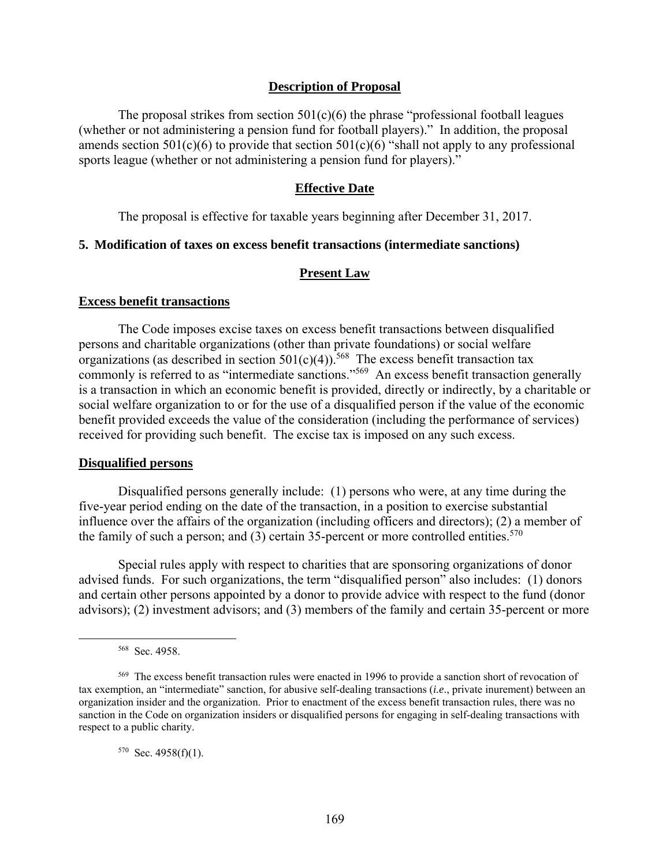### **Description of Proposal**

The proposal strikes from section  $501(c)(6)$  the phrase "professional football leagues (whether or not administering a pension fund for football players)." In addition, the proposal amends section  $501(c)(6)$  to provide that section  $501(c)(6)$  "shall not apply to any professional sports league (whether or not administering a pension fund for players)."

### **Effective Date**

The proposal is effective for taxable years beginning after December 31, 2017.

#### **5. Modification of taxes on excess benefit transactions (intermediate sanctions)**

### **Present Law**

#### **Excess benefit transactions**

The Code imposes excise taxes on excess benefit transactions between disqualified persons and charitable organizations (other than private foundations) or social welfare organizations (as described in section 501(c)(4)).<sup>568</sup> The excess benefit transaction tax commonly is referred to as "intermediate sanctions."569 An excess benefit transaction generally is a transaction in which an economic benefit is provided, directly or indirectly, by a charitable or social welfare organization to or for the use of a disqualified person if the value of the economic benefit provided exceeds the value of the consideration (including the performance of services) received for providing such benefit. The excise tax is imposed on any such excess.

#### **Disqualified persons**

Disqualified persons generally include: (1) persons who were, at any time during the five-year period ending on the date of the transaction, in a position to exercise substantial influence over the affairs of the organization (including officers and directors); (2) a member of the family of such a person; and  $(3)$  certain 35-percent or more controlled entities.<sup>570</sup>

Special rules apply with respect to charities that are sponsoring organizations of donor advised funds. For such organizations, the term "disqualified person" also includes: (1) donors and certain other persons appointed by a donor to provide advice with respect to the fund (donor advisors); (2) investment advisors; and (3) members of the family and certain 35-percent or more

 $570$  Sec. 4958(f)(1).

 <sup>568</sup> Sec. 4958.

<sup>569</sup> The excess benefit transaction rules were enacted in 1996 to provide a sanction short of revocation of tax exemption, an "intermediate" sanction, for abusive self-dealing transactions (*i.e*., private inurement) between an organization insider and the organization. Prior to enactment of the excess benefit transaction rules, there was no sanction in the Code on organization insiders or disqualified persons for engaging in self-dealing transactions with respect to a public charity.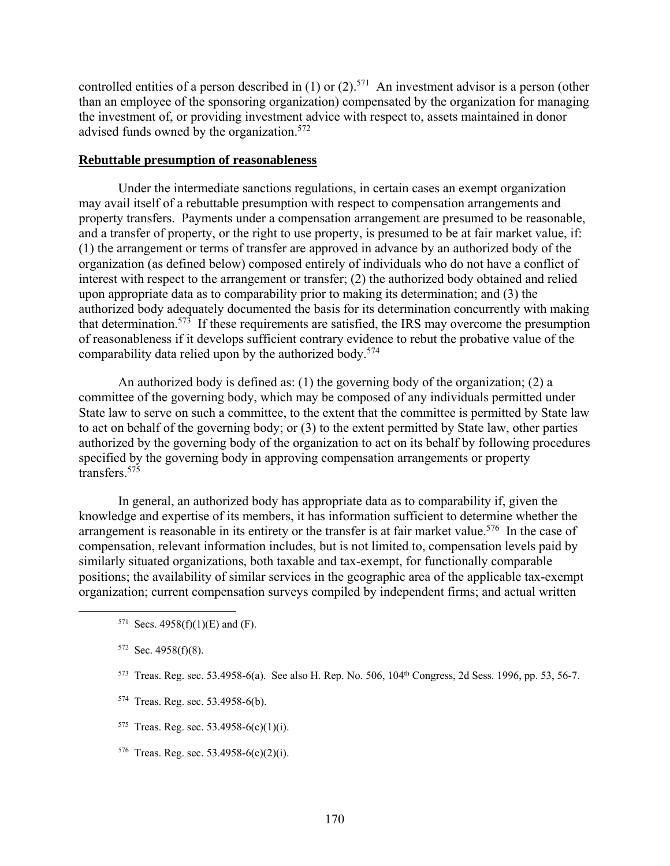controlled entities of a person described in (1) or (2).<sup>571</sup> An investment advisor is a person (other than an employee of the sponsoring organization) compensated by the organization for managing the investment of, or providing investment advice with respect to, assets maintained in donor advised funds owned by the organization.<sup>572</sup>

# **Rebuttable presumption of reasonableness**

Under the intermediate sanctions regulations, in certain cases an exempt organization may avail itself of a rebuttable presumption with respect to compensation arrangements and property transfers. Payments under a compensation arrangement are presumed to be reasonable, and a transfer of property, or the right to use property, is presumed to be at fair market value, if: (1) the arrangement or terms of transfer are approved in advance by an authorized body of the organization (as defined below) composed entirely of individuals who do not have a conflict of interest with respect to the arrangement or transfer; (2) the authorized body obtained and relied upon appropriate data as to comparability prior to making its determination; and (3) the authorized body adequately documented the basis for its determination concurrently with making that determination.573 If these requirements are satisfied, the IRS may overcome the presumption of reasonableness if it develops sufficient contrary evidence to rebut the probative value of the comparability data relied upon by the authorized body.574

An authorized body is defined as: (1) the governing body of the organization; (2) a committee of the governing body, which may be composed of any individuals permitted under State law to serve on such a committee, to the extent that the committee is permitted by State law to act on behalf of the governing body; or (3) to the extent permitted by State law, other parties authorized by the governing body of the organization to act on its behalf by following procedures specified by the governing body in approving compensation arrangements or property transfers.<sup>575</sup>

In general, an authorized body has appropriate data as to comparability if, given the knowledge and expertise of its members, it has information sufficient to determine whether the arrangement is reasonable in its entirety or the transfer is at fair market value.<sup>576</sup> In the case of compensation, relevant information includes, but is not limited to, compensation levels paid by similarly situated organizations, both taxable and tax-exempt, for functionally comparable positions; the availability of similar services in the geographic area of the applicable tax-exempt organization; current compensation surveys compiled by independent firms; and actual written

 $572$  Sec. 4958(f)(8).

576 Treas. Reg. sec. 53.4958-6(c)(2)(i).

<sup>571</sup> Secs. 4958(f)(1)(E) and (F).

<sup>573</sup> Treas. Reg. sec. 53.4958-6(a). See also H. Rep. No. 506, 104th Congress, 2d Sess. 1996, pp. 53, 56-7.

<sup>574</sup> Treas. Reg. sec. 53.4958-6(b).

<sup>575</sup> Treas. Reg. sec. 53.4958-6(c)(1)(i).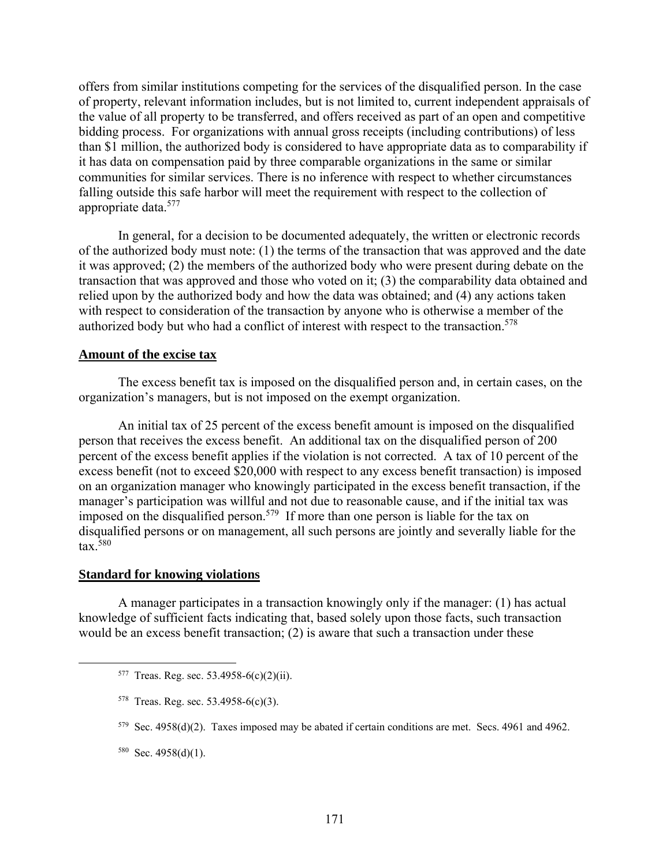offers from similar institutions competing for the services of the disqualified person. In the case of property, relevant information includes, but is not limited to, current independent appraisals of the value of all property to be transferred, and offers received as part of an open and competitive bidding process. For organizations with annual gross receipts (including contributions) of less than \$1 million, the authorized body is considered to have appropriate data as to comparability if it has data on compensation paid by three comparable organizations in the same or similar communities for similar services. There is no inference with respect to whether circumstances falling outside this safe harbor will meet the requirement with respect to the collection of appropriate data.577

In general, for a decision to be documented adequately, the written or electronic records of the authorized body must note: (1) the terms of the transaction that was approved and the date it was approved; (2) the members of the authorized body who were present during debate on the transaction that was approved and those who voted on it; (3) the comparability data obtained and relied upon by the authorized body and how the data was obtained; and (4) any actions taken with respect to consideration of the transaction by anyone who is otherwise a member of the authorized body but who had a conflict of interest with respect to the transaction.<sup>578</sup>

## **Amount of the excise tax**

The excess benefit tax is imposed on the disqualified person and, in certain cases, on the organization's managers, but is not imposed on the exempt organization.

An initial tax of 25 percent of the excess benefit amount is imposed on the disqualified person that receives the excess benefit. An additional tax on the disqualified person of 200 percent of the excess benefit applies if the violation is not corrected. A tax of 10 percent of the excess benefit (not to exceed \$20,000 with respect to any excess benefit transaction) is imposed on an organization manager who knowingly participated in the excess benefit transaction, if the manager's participation was willful and not due to reasonable cause, and if the initial tax was imposed on the disqualified person.<sup>579</sup> If more than one person is liable for the tax on disqualified persons or on management, all such persons are jointly and severally liable for the tax.580

### **Standard for knowing violations**

A manager participates in a transaction knowingly only if the manager: (1) has actual knowledge of sufficient facts indicating that, based solely upon those facts, such transaction would be an excess benefit transaction; (2) is aware that such a transaction under these

 $580$  Sec. 4958(d)(1).

 $577$  Treas. Reg. sec. 53.4958-6(c)(2)(ii).

<sup>578</sup> Treas. Reg. sec. 53.4958-6(c)(3).

 $579$  Sec. 4958(d)(2). Taxes imposed may be abated if certain conditions are met. Secs. 4961 and 4962.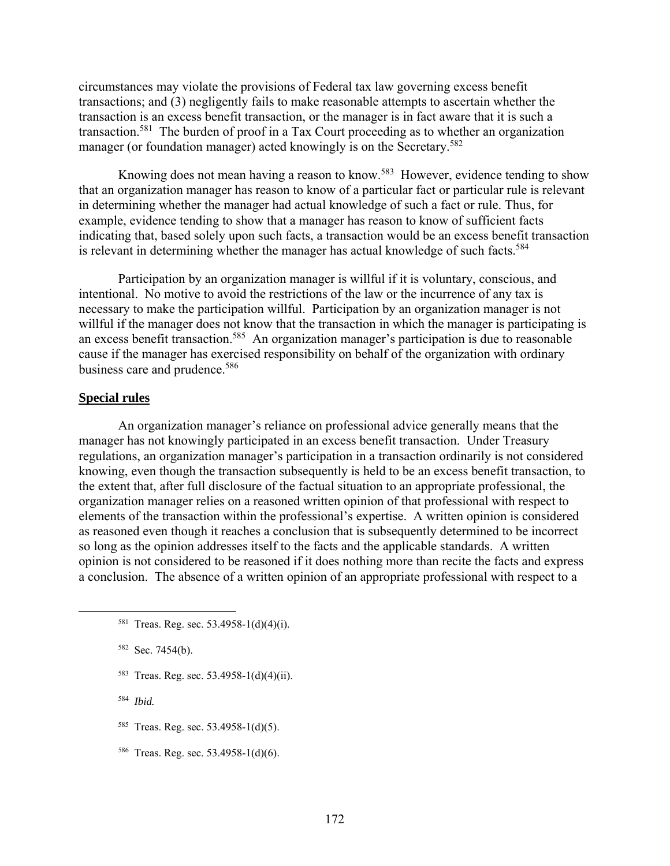circumstances may violate the provisions of Federal tax law governing excess benefit transactions; and (3) negligently fails to make reasonable attempts to ascertain whether the transaction is an excess benefit transaction, or the manager is in fact aware that it is such a transaction.581 The burden of proof in a Tax Court proceeding as to whether an organization manager (or foundation manager) acted knowingly is on the Secretary.<sup>582</sup>

Knowing does not mean having a reason to know.<sup>583</sup> However, evidence tending to show that an organization manager has reason to know of a particular fact or particular rule is relevant in determining whether the manager had actual knowledge of such a fact or rule. Thus, for example, evidence tending to show that a manager has reason to know of sufficient facts indicating that, based solely upon such facts, a transaction would be an excess benefit transaction is relevant in determining whether the manager has actual knowledge of such facts.<sup>584</sup>

Participation by an organization manager is willful if it is voluntary, conscious, and intentional. No motive to avoid the restrictions of the law or the incurrence of any tax is necessary to make the participation willful. Participation by an organization manager is not willful if the manager does not know that the transaction in which the manager is participating is an excess benefit transaction.585 An organization manager's participation is due to reasonable cause if the manager has exercised responsibility on behalf of the organization with ordinary business care and prudence.<sup>586</sup>

### **Special rules**

An organization manager's reliance on professional advice generally means that the manager has not knowingly participated in an excess benefit transaction. Under Treasury regulations, an organization manager's participation in a transaction ordinarily is not considered knowing, even though the transaction subsequently is held to be an excess benefit transaction, to the extent that, after full disclosure of the factual situation to an appropriate professional, the organization manager relies on a reasoned written opinion of that professional with respect to elements of the transaction within the professional's expertise. A written opinion is considered as reasoned even though it reaches a conclusion that is subsequently determined to be incorrect so long as the opinion addresses itself to the facts and the applicable standards. A written opinion is not considered to be reasoned if it does nothing more than recite the facts and express a conclusion. The absence of a written opinion of an appropriate professional with respect to a

 $581$  Treas. Reg. sec. 53.4958-1(d)(4)(i).

582 Sec. 7454(b).

- 583 Treas. Reg. sec. 53.4958-1(d)(4)(ii).
- 584 *Ibid.*
- 585 Treas. Reg. sec. 53.4958-1(d)(5).
- 586 Treas. Reg. sec. 53.4958-1(d)(6).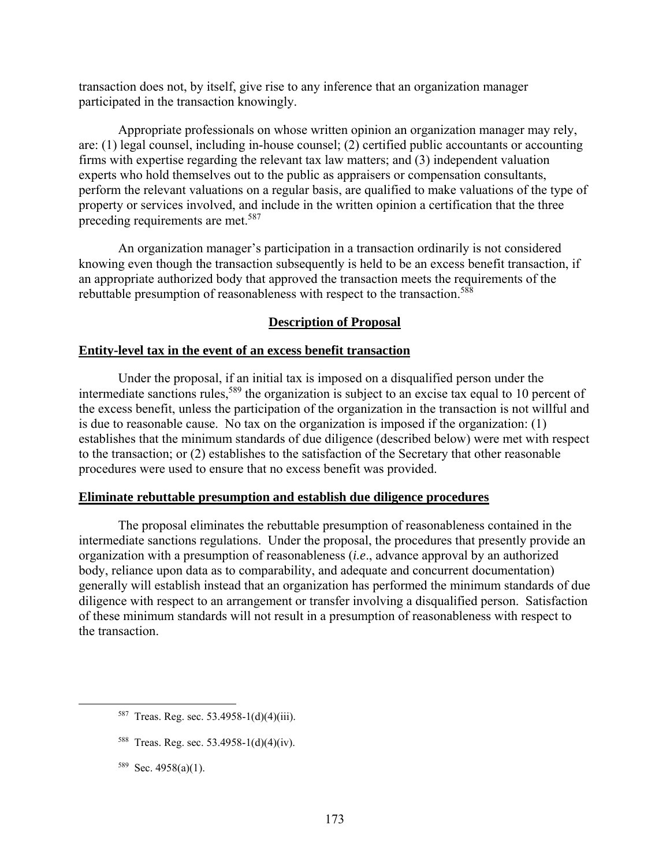transaction does not, by itself, give rise to any inference that an organization manager participated in the transaction knowingly.

Appropriate professionals on whose written opinion an organization manager may rely, are: (1) legal counsel, including in-house counsel; (2) certified public accountants or accounting firms with expertise regarding the relevant tax law matters; and (3) independent valuation experts who hold themselves out to the public as appraisers or compensation consultants, perform the relevant valuations on a regular basis, are qualified to make valuations of the type of property or services involved, and include in the written opinion a certification that the three preceding requirements are met.<sup>587</sup>

An organization manager's participation in a transaction ordinarily is not considered knowing even though the transaction subsequently is held to be an excess benefit transaction, if an appropriate authorized body that approved the transaction meets the requirements of the rebuttable presumption of reasonableness with respect to the transaction.<sup>588</sup>

# **Description of Proposal**

# **Entity-level tax in the event of an excess benefit transaction**

Under the proposal, if an initial tax is imposed on a disqualified person under the intermediate sanctions rules,589 the organization is subject to an excise tax equal to 10 percent of the excess benefit, unless the participation of the organization in the transaction is not willful and is due to reasonable cause. No tax on the organization is imposed if the organization: (1) establishes that the minimum standards of due diligence (described below) were met with respect to the transaction; or (2) establishes to the satisfaction of the Secretary that other reasonable procedures were used to ensure that no excess benefit was provided.

# **Eliminate rebuttable presumption and establish due diligence procedures**

The proposal eliminates the rebuttable presumption of reasonableness contained in the intermediate sanctions regulations. Under the proposal, the procedures that presently provide an organization with a presumption of reasonableness (*i.e*., advance approval by an authorized body, reliance upon data as to comparability, and adequate and concurrent documentation) generally will establish instead that an organization has performed the minimum standards of due diligence with respect to an arrangement or transfer involving a disqualified person. Satisfaction of these minimum standards will not result in a presumption of reasonableness with respect to the transaction.

- 588 Treas. Reg. sec. 53.4958-1(d)(4)(iv).
- $589$  Sec. 4958(a)(1).

 <sup>587</sup> Treas. Reg. sec. 53.4958-1(d)(4)(iii).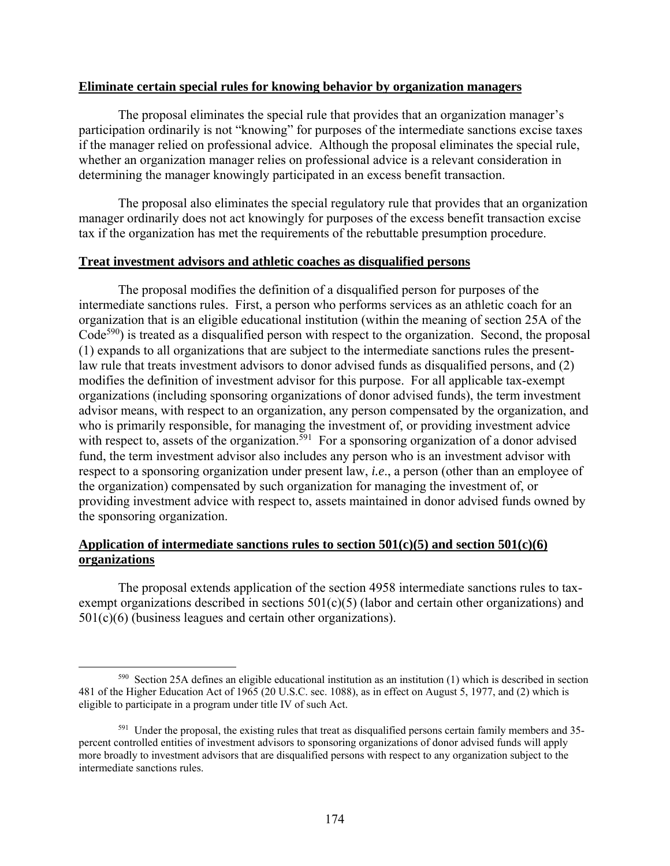### **Eliminate certain special rules for knowing behavior by organization managers**

The proposal eliminates the special rule that provides that an organization manager's participation ordinarily is not "knowing" for purposes of the intermediate sanctions excise taxes if the manager relied on professional advice. Although the proposal eliminates the special rule, whether an organization manager relies on professional advice is a relevant consideration in determining the manager knowingly participated in an excess benefit transaction.

The proposal also eliminates the special regulatory rule that provides that an organization manager ordinarily does not act knowingly for purposes of the excess benefit transaction excise tax if the organization has met the requirements of the rebuttable presumption procedure.

## **Treat investment advisors and athletic coaches as disqualified persons**

The proposal modifies the definition of a disqualified person for purposes of the intermediate sanctions rules. First, a person who performs services as an athletic coach for an organization that is an eligible educational institution (within the meaning of section 25A of the  $Code<sup>590</sup>$ ) is treated as a disqualified person with respect to the organization. Second, the proposal (1) expands to all organizations that are subject to the intermediate sanctions rules the presentlaw rule that treats investment advisors to donor advised funds as disqualified persons, and (2) modifies the definition of investment advisor for this purpose. For all applicable tax-exempt organizations (including sponsoring organizations of donor advised funds), the term investment advisor means, with respect to an organization, any person compensated by the organization, and who is primarily responsible, for managing the investment of, or providing investment advice with respect to, assets of the organization.<sup>591</sup> For a sponsoring organization of a donor advised fund, the term investment advisor also includes any person who is an investment advisor with respect to a sponsoring organization under present law, *i.e*., a person (other than an employee of the organization) compensated by such organization for managing the investment of, or providing investment advice with respect to, assets maintained in donor advised funds owned by the sponsoring organization.

# **Application of intermediate sanctions rules to section 501(c)(5) and section 501(c)(6) organizations**

The proposal extends application of the section 4958 intermediate sanctions rules to taxexempt organizations described in sections  $501(c)(5)$  (labor and certain other organizations) and 501(c)(6) (business leagues and certain other organizations).

 <sup>590</sup> Section 25A defines an eligible educational institution as an institution (1) which is described in section 481 of the Higher Education Act of 1965 (20 U.S.C. sec. 1088), as in effect on August 5, 1977, and (2) which is eligible to participate in a program under title IV of such Act.

 $591$  Under the proposal, the existing rules that treat as disqualified persons certain family members and 35percent controlled entities of investment advisors to sponsoring organizations of donor advised funds will apply more broadly to investment advisors that are disqualified persons with respect to any organization subject to the intermediate sanctions rules.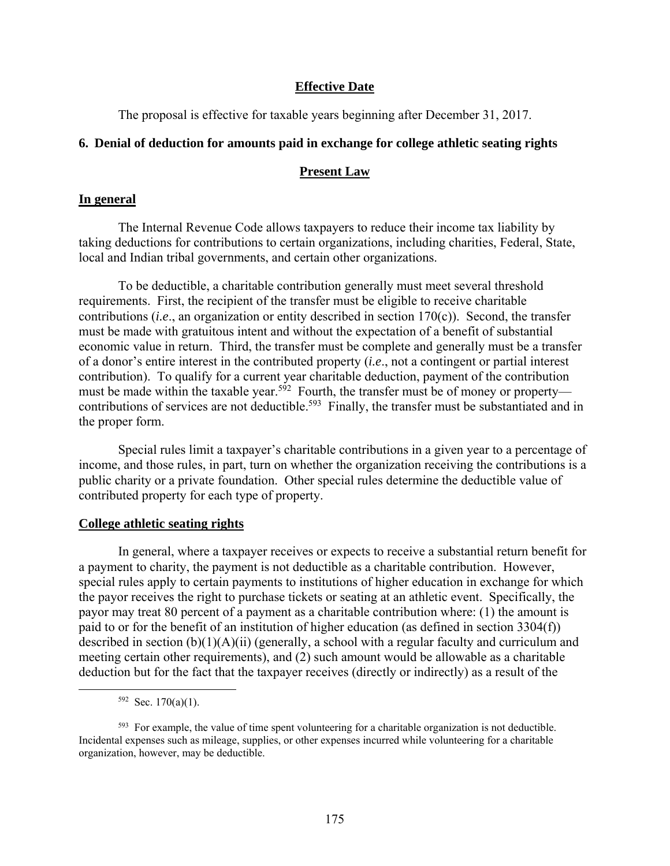## **Effective Date**

The proposal is effective for taxable years beginning after December 31, 2017.

## **6. Denial of deduction for amounts paid in exchange for college athletic seating rights**

## **Present Law**

## **In general**

The Internal Revenue Code allows taxpayers to reduce their income tax liability by taking deductions for contributions to certain organizations, including charities, Federal, State, local and Indian tribal governments, and certain other organizations.

To be deductible, a charitable contribution generally must meet several threshold requirements. First, the recipient of the transfer must be eligible to receive charitable contributions (*i.e*., an organization or entity described in section 170(c)). Second, the transfer must be made with gratuitous intent and without the expectation of a benefit of substantial economic value in return. Third, the transfer must be complete and generally must be a transfer of a donor's entire interest in the contributed property (*i.e*., not a contingent or partial interest contribution). To qualify for a current year charitable deduction, payment of the contribution must be made within the taxable year.<sup>592</sup> Fourth, the transfer must be of money or property contributions of services are not deductible.<sup>593</sup> Finally, the transfer must be substantiated and in the proper form.

Special rules limit a taxpayer's charitable contributions in a given year to a percentage of income, and those rules, in part, turn on whether the organization receiving the contributions is a public charity or a private foundation. Other special rules determine the deductible value of contributed property for each type of property.

## **College athletic seating rights**

In general, where a taxpayer receives or expects to receive a substantial return benefit for a payment to charity, the payment is not deductible as a charitable contribution. However, special rules apply to certain payments to institutions of higher education in exchange for which the payor receives the right to purchase tickets or seating at an athletic event. Specifically, the payor may treat 80 percent of a payment as a charitable contribution where: (1) the amount is paid to or for the benefit of an institution of higher education (as defined in section 3304(f)) described in section (b)(1)(A)(ii) (generally, a school with a regular faculty and curriculum and meeting certain other requirements), and (2) such amount would be allowable as a charitable deduction but for the fact that the taxpayer receives (directly or indirectly) as a result of the

 $592$  Sec. 170(a)(1).

<sup>&</sup>lt;sup>593</sup> For example, the value of time spent volunteering for a charitable organization is not deductible. Incidental expenses such as mileage, supplies, or other expenses incurred while volunteering for a charitable organization, however, may be deductible.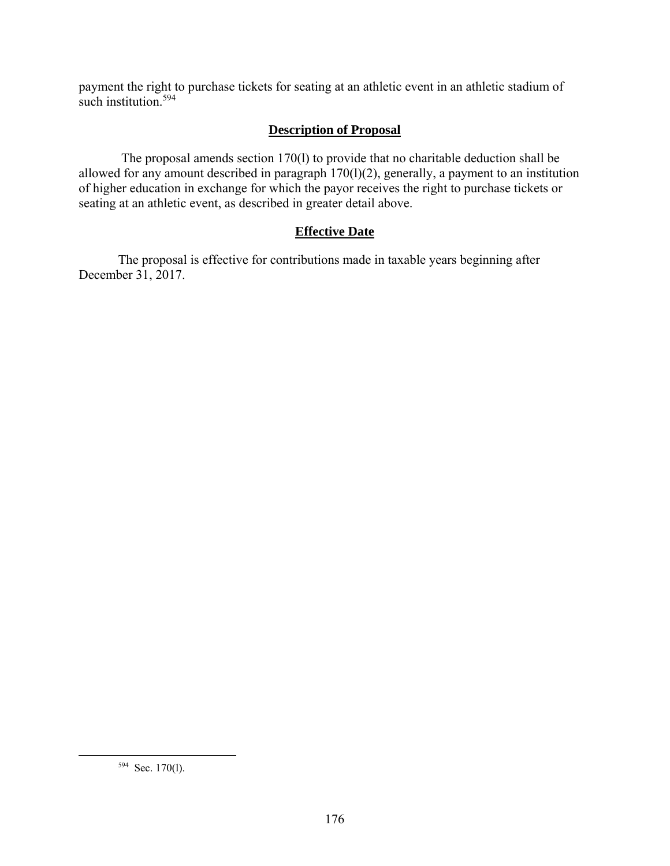payment the right to purchase tickets for seating at an athletic event in an athletic stadium of such institution.<sup>594</sup>

# **Description of Proposal**

 The proposal amends section 170(l) to provide that no charitable deduction shall be allowed for any amount described in paragraph  $170(1)(2)$ , generally, a payment to an institution of higher education in exchange for which the payor receives the right to purchase tickets or seating at an athletic event, as described in greater detail above.

# **Effective Date**

The proposal is effective for contributions made in taxable years beginning after December 31, 2017.

 <sup>594</sup> Sec. 170(l).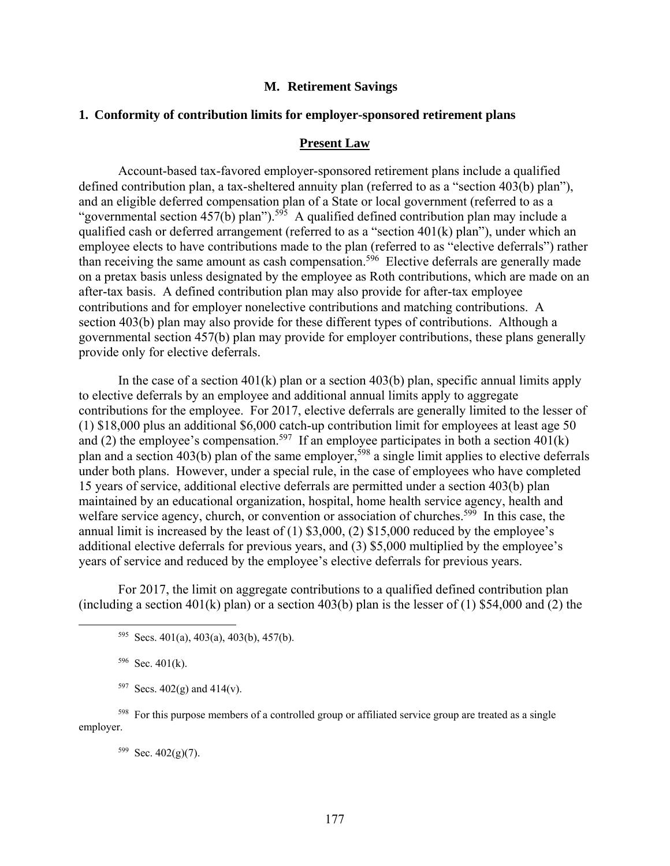#### **M. Retirement Savings**

## **1. Conformity of contribution limits for employer-sponsored retirement plans**

#### **Present Law**

Account-based tax-favored employer-sponsored retirement plans include a qualified defined contribution plan, a tax-sheltered annuity plan (referred to as a "section 403(b) plan"), and an eligible deferred compensation plan of a State or local government (referred to as a "governmental section 457(b) plan").<sup>595</sup> A qualified defined contribution plan may include a qualified cash or deferred arrangement (referred to as a "section 401(k) plan"), under which an employee elects to have contributions made to the plan (referred to as "elective deferrals") rather than receiving the same amount as cash compensation.<sup>596</sup> Elective deferrals are generally made on a pretax basis unless designated by the employee as Roth contributions, which are made on an after-tax basis. A defined contribution plan may also provide for after-tax employee contributions and for employer nonelective contributions and matching contributions. A section 403(b) plan may also provide for these different types of contributions. Although a governmental section 457(b) plan may provide for employer contributions, these plans generally provide only for elective deferrals.

In the case of a section  $401(k)$  plan or a section  $403(b)$  plan, specific annual limits apply to elective deferrals by an employee and additional annual limits apply to aggregate contributions for the employee. For 2017, elective deferrals are generally limited to the lesser of (1) \$18,000 plus an additional \$6,000 catch-up contribution limit for employees at least age 50 and (2) the employee's compensation.<sup>597</sup> If an employee participates in both a section  $401(k)$ plan and a section 403(b) plan of the same employer,<sup>598</sup> a single limit applies to elective deferrals under both plans. However, under a special rule, in the case of employees who have completed 15 years of service, additional elective deferrals are permitted under a section 403(b) plan maintained by an educational organization, hospital, home health service agency, health and welfare service agency, church, or convention or association of churches.<sup>599</sup> In this case, the annual limit is increased by the least of (1) \$3,000, (2) \$15,000 reduced by the employee's additional elective deferrals for previous years, and (3) \$5,000 multiplied by the employee's years of service and reduced by the employee's elective deferrals for previous years.

For 2017, the limit on aggregate contributions to a qualified defined contribution plan (including a section 401(k) plan) or a section 403(b) plan is the lesser of (1) \$54,000 and (2) the

 $596$  Sec.  $401(k)$ .

597 Secs.  $402(g)$  and  $414(y)$ .

598 For this purpose members of a controlled group or affiliated service group are treated as a single employer.

599 Sec.  $402(g)(7)$ .

 $595$  Secs. 401(a), 403(a), 403(b), 457(b).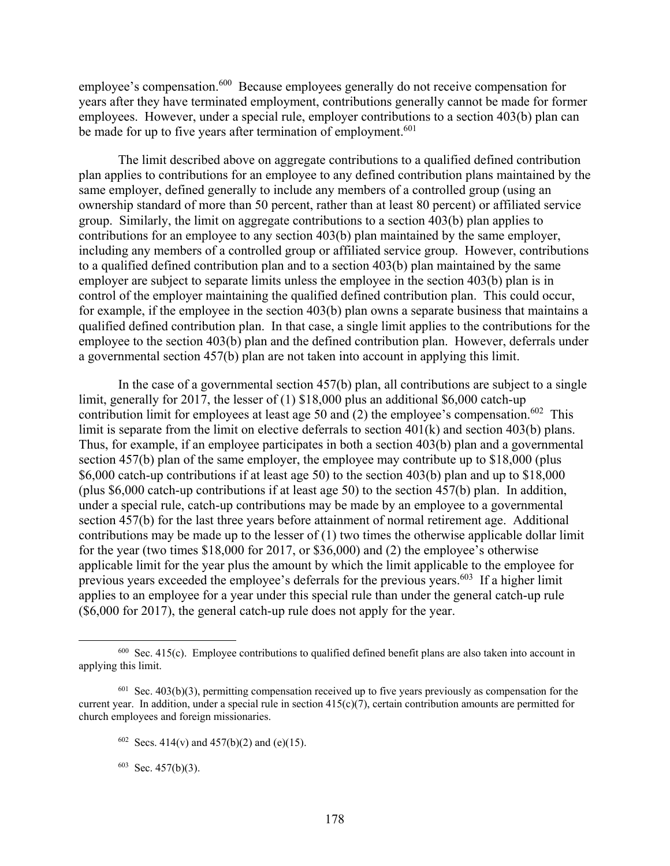employee's compensation.<sup>600</sup> Because employees generally do not receive compensation for years after they have terminated employment, contributions generally cannot be made for former employees. However, under a special rule, employer contributions to a section 403(b) plan can be made for up to five years after termination of employment.<sup>601</sup>

The limit described above on aggregate contributions to a qualified defined contribution plan applies to contributions for an employee to any defined contribution plans maintained by the same employer, defined generally to include any members of a controlled group (using an ownership standard of more than 50 percent, rather than at least 80 percent) or affiliated service group. Similarly, the limit on aggregate contributions to a section 403(b) plan applies to contributions for an employee to any section 403(b) plan maintained by the same employer, including any members of a controlled group or affiliated service group. However, contributions to a qualified defined contribution plan and to a section 403(b) plan maintained by the same employer are subject to separate limits unless the employee in the section 403(b) plan is in control of the employer maintaining the qualified defined contribution plan. This could occur, for example, if the employee in the section 403(b) plan owns a separate business that maintains a qualified defined contribution plan. In that case, a single limit applies to the contributions for the employee to the section 403(b) plan and the defined contribution plan. However, deferrals under a governmental section 457(b) plan are not taken into account in applying this limit.

In the case of a governmental section 457(b) plan, all contributions are subject to a single limit, generally for 2017, the lesser of (1) \$18,000 plus an additional \$6,000 catch-up contribution limit for employees at least age 50 and (2) the employee's compensation.<sup>602</sup> This limit is separate from the limit on elective deferrals to section 401(k) and section 403(b) plans. Thus, for example, if an employee participates in both a section 403(b) plan and a governmental section 457(b) plan of the same employer, the employee may contribute up to \$18,000 (plus \$6,000 catch-up contributions if at least age 50) to the section 403(b) plan and up to \$18,000 (plus \$6,000 catch-up contributions if at least age 50) to the section 457(b) plan. In addition, under a special rule, catch-up contributions may be made by an employee to a governmental section 457(b) for the last three years before attainment of normal retirement age. Additional contributions may be made up to the lesser of (1) two times the otherwise applicable dollar limit for the year (two times \$18,000 for 2017, or \$36,000) and (2) the employee's otherwise applicable limit for the year plus the amount by which the limit applicable to the employee for previous years exceeded the employee's deferrals for the previous years.<sup>603</sup> If a higher limit applies to an employee for a year under this special rule than under the general catch-up rule (\$6,000 for 2017), the general catch-up rule does not apply for the year.

 $603$  Sec. 457(b)(3).

 $600$  Sec. 415(c). Employee contributions to qualified defined benefit plans are also taken into account in applying this limit.

 $601$  Sec. 403(b)(3), permitting compensation received up to five years previously as compensation for the current year. In addition, under a special rule in section  $415(c)(7)$ , certain contribution amounts are permitted for church employees and foreign missionaries.

<sup>602</sup> Secs. 414(v) and 457(b)(2) and (e)(15).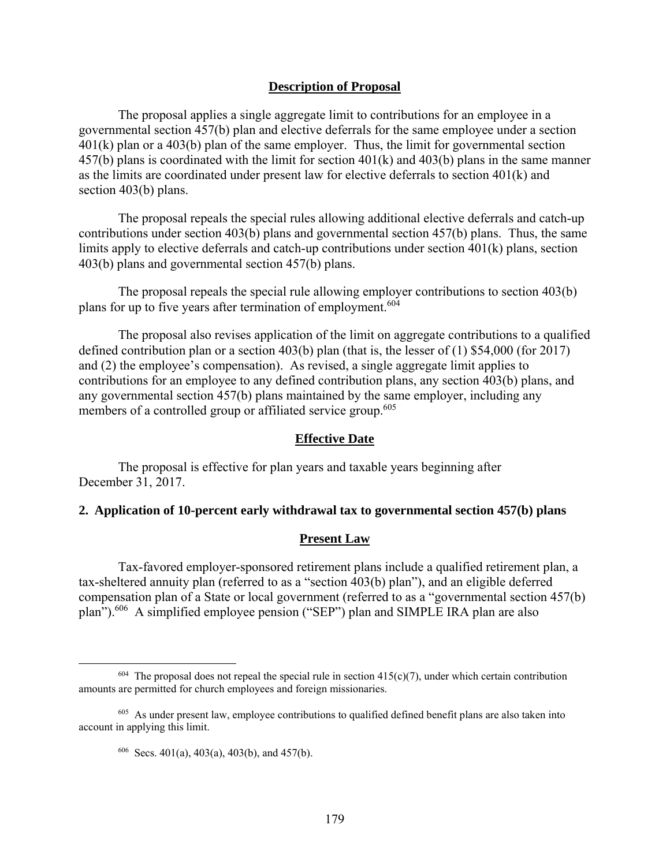## **Description of Proposal**

The proposal applies a single aggregate limit to contributions for an employee in a governmental section 457(b) plan and elective deferrals for the same employee under a section 401(k) plan or a 403(b) plan of the same employer. Thus, the limit for governmental section 457(b) plans is coordinated with the limit for section 401(k) and 403(b) plans in the same manner as the limits are coordinated under present law for elective deferrals to section 401(k) and section 403(b) plans.

The proposal repeals the special rules allowing additional elective deferrals and catch-up contributions under section 403(b) plans and governmental section 457(b) plans. Thus, the same limits apply to elective deferrals and catch-up contributions under section 401(k) plans, section 403(b) plans and governmental section 457(b) plans.

The proposal repeals the special rule allowing employer contributions to section 403(b) plans for up to five years after termination of employment.<sup>604</sup>

The proposal also revises application of the limit on aggregate contributions to a qualified defined contribution plan or a section 403(b) plan (that is, the lesser of (1) \$54,000 (for 2017) and (2) the employee's compensation). As revised, a single aggregate limit applies to contributions for an employee to any defined contribution plans, any section 403(b) plans, and any governmental section 457(b) plans maintained by the same employer, including any members of a controlled group or affiliated service group.<sup>605</sup>

## **Effective Date**

The proposal is effective for plan years and taxable years beginning after December 31, 2017.

#### **2. Application of 10-percent early withdrawal tax to governmental section 457(b) plans**

#### **Present Law**

Tax-favored employer-sponsored retirement plans include a qualified retirement plan, a tax-sheltered annuity plan (referred to as a "section 403(b) plan"), and an eligible deferred compensation plan of a State or local government (referred to as a "governmental section 457(b) plan").606 A simplified employee pension ("SEP") plan and SIMPLE IRA plan are also

<sup>&</sup>lt;sup>604</sup> The proposal does not repeal the special rule in section  $415(c)(7)$ , under which certain contribution amounts are permitted for church employees and foreign missionaries.

 $605$  As under present law, employee contributions to qualified defined benefit plans are also taken into account in applying this limit.

 $606$  Secs. 401(a), 403(a), 403(b), and 457(b).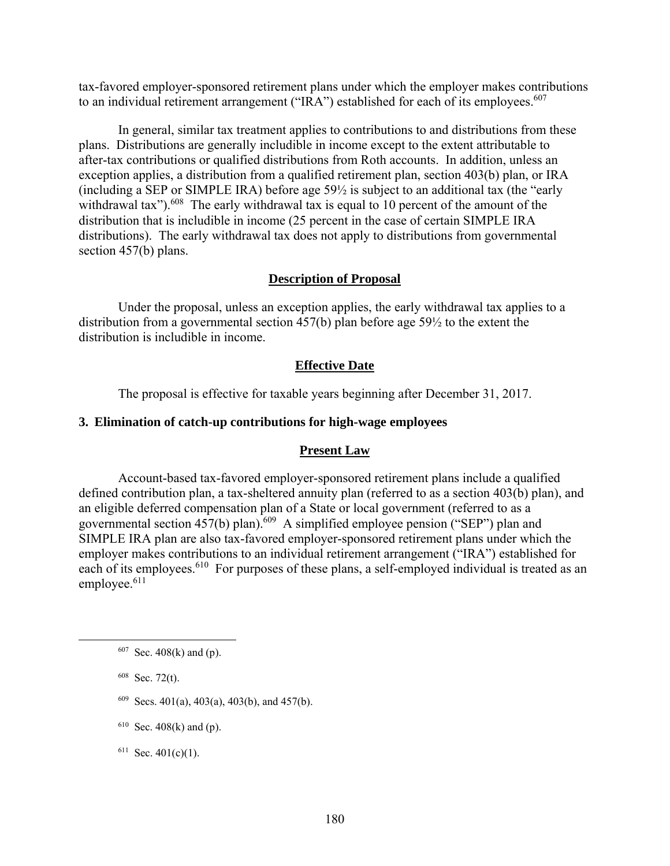tax-favored employer-sponsored retirement plans under which the employer makes contributions to an individual retirement arrangement ("IRA") established for each of its employees.<sup>607</sup>

In general, similar tax treatment applies to contributions to and distributions from these plans. Distributions are generally includible in income except to the extent attributable to after-tax contributions or qualified distributions from Roth accounts. In addition, unless an exception applies, a distribution from a qualified retirement plan, section 403(b) plan, or IRA (including a SEP or SIMPLE IRA) before age 59½ is subject to an additional tax (the "early withdrawal tax").<sup>608</sup> The early withdrawal tax is equal to 10 percent of the amount of the distribution that is includible in income (25 percent in the case of certain SIMPLE IRA distributions). The early withdrawal tax does not apply to distributions from governmental section 457(b) plans.

## **Description of Proposal**

Under the proposal, unless an exception applies, the early withdrawal tax applies to a distribution from a governmental section 457(b) plan before age 59½ to the extent the distribution is includible in income.

## **Effective Date**

The proposal is effective for taxable years beginning after December 31, 2017.

## **3. Elimination of catch-up contributions for high-wage employees**

## **Present Law**

Account-based tax-favored employer-sponsored retirement plans include a qualified defined contribution plan, a tax-sheltered annuity plan (referred to as a section 403(b) plan), and an eligible deferred compensation plan of a State or local government (referred to as a governmental section  $457(b)$  plan).<sup>609</sup> A simplified employee pension ("SEP") plan and SIMPLE IRA plan are also tax-favored employer-sponsored retirement plans under which the employer makes contributions to an individual retirement arrangement ("IRA") established for each of its employees.<sup>610</sup> For purposes of these plans, a self-employed individual is treated as an employee. $611$ 

- 608 Sec. 72(t).
- $609$  Secs. 401(a), 403(a), 403(b), and 457(b).
- $610$  Sec. 408(k) and (p).
- $611$  Sec.  $401(c)(1)$ .

 $607$  Sec. 408(k) and (p).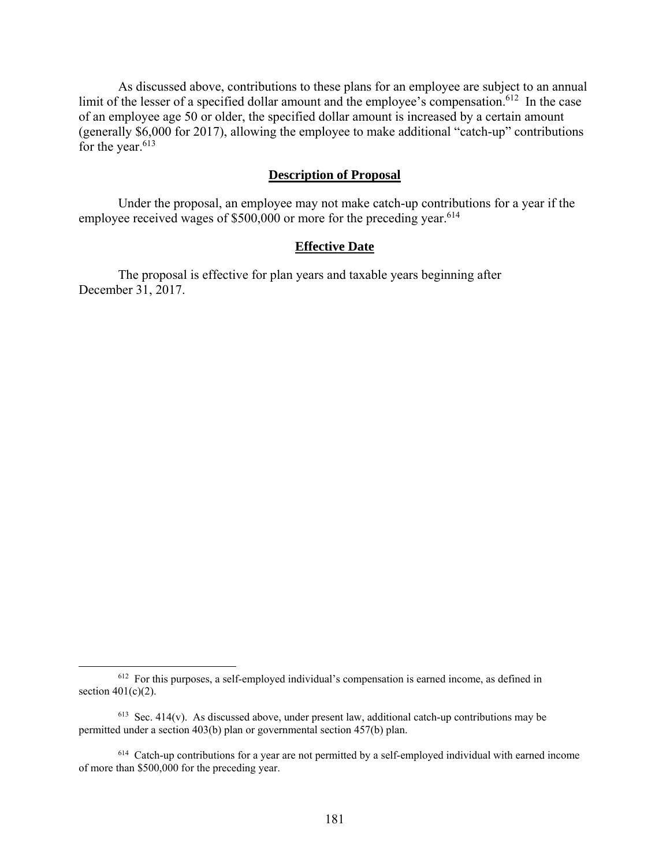As discussed above, contributions to these plans for an employee are subject to an annual limit of the lesser of a specified dollar amount and the employee's compensation.<sup>612</sup> In the case of an employee age 50 or older, the specified dollar amount is increased by a certain amount (generally \$6,000 for 2017), allowing the employee to make additional "catch-up" contributions for the year. $613$ 

## **Description of Proposal**

Under the proposal, an employee may not make catch-up contributions for a year if the employee received wages of  $$500,000$  or more for the preceding year.<sup>614</sup>

#### **Effective Date**

The proposal is effective for plan years and taxable years beginning after December 31, 2017.

 <sup>612</sup> For this purposes, a self-employed individual's compensation is earned income, as defined in section  $401(c)(2)$ .

 $613$  Sec. 414(v). As discussed above, under present law, additional catch-up contributions may be permitted under a section 403(b) plan or governmental section 457(b) plan.

<sup>614</sup> Catch-up contributions for a year are not permitted by a self-employed individual with earned income of more than \$500,000 for the preceding year.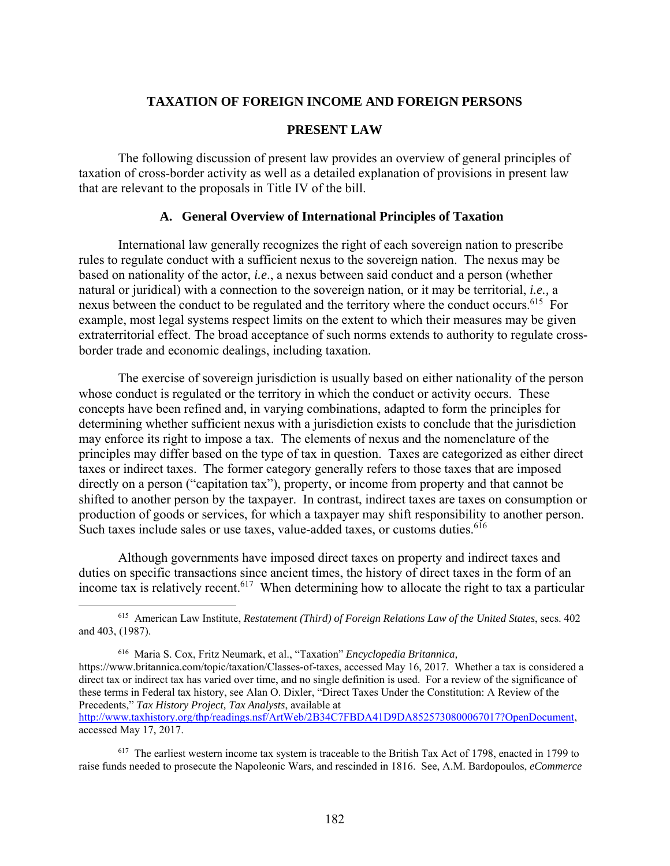## **TAXATION OF FOREIGN INCOME AND FOREIGN PERSONS**

#### **PRESENT LAW**

The following discussion of present law provides an overview of general principles of taxation of cross-border activity as well as a detailed explanation of provisions in present law that are relevant to the proposals in Title IV of the bill.

## **A. General Overview of International Principles of Taxation**

International law generally recognizes the right of each sovereign nation to prescribe rules to regulate conduct with a sufficient nexus to the sovereign nation. The nexus may be based on nationality of the actor, *i.e*., a nexus between said conduct and a person (whether natural or juridical) with a connection to the sovereign nation, or it may be territorial, *i.e.,* a nexus between the conduct to be regulated and the territory where the conduct occurs.<sup>615</sup> For example, most legal systems respect limits on the extent to which their measures may be given extraterritorial effect. The broad acceptance of such norms extends to authority to regulate crossborder trade and economic dealings, including taxation.

The exercise of sovereign jurisdiction is usually based on either nationality of the person whose conduct is regulated or the territory in which the conduct or activity occurs. These concepts have been refined and, in varying combinations, adapted to form the principles for determining whether sufficient nexus with a jurisdiction exists to conclude that the jurisdiction may enforce its right to impose a tax. The elements of nexus and the nomenclature of the principles may differ based on the type of tax in question. Taxes are categorized as either direct taxes or indirect taxes. The former category generally refers to those taxes that are imposed directly on a person ("capitation tax"), property, or income from property and that cannot be shifted to another person by the taxpayer. In contrast, indirect taxes are taxes on consumption or production of goods or services, for which a taxpayer may shift responsibility to another person. Such taxes include sales or use taxes, value-added taxes, or customs duties.<sup>616</sup>

Although governments have imposed direct taxes on property and indirect taxes and duties on specific transactions since ancient times, the history of direct taxes in the form of an income tax is relatively recent.<sup>617</sup> When determining how to allocate the right to tax a particular

 <sup>615</sup> American Law Institute, *Restatement (Third) of Foreign Relations Law of the United States*, secs. 402 and 403, (1987).

<sup>616</sup> Maria S. Cox, Fritz Neumark, et al., "Taxation" *Encyclopedia Britannica,*  https://www.britannica.com/topic/taxation/Classes-of-taxes, accessed May 16, 2017. Whether a tax is considered a direct tax or indirect tax has varied over time, and no single definition is used. For a review of the significance of these terms in Federal tax history, see Alan O. Dixler, "Direct Taxes Under the Constitution: A Review of the Precedents," *Tax History Project, Tax Analysts*, available at http://www.taxhistory.org/thp/readings.nsf/ArtWeb/2B34C7FBDA41D9DA8525730800067017?OpenDocument, accessed May 17, 2017.

<sup>&</sup>lt;sup>617</sup> The earliest western income tax system is traceable to the British Tax Act of 1798, enacted in 1799 to raise funds needed to prosecute the Napoleonic Wars, and rescinded in 1816. See, A.M. Bardopoulos, *eCommerce*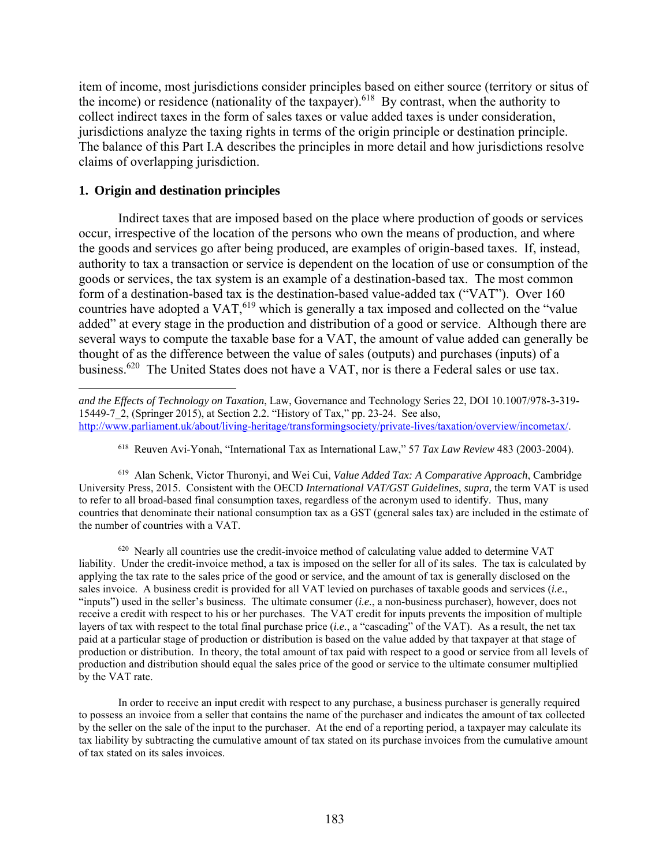item of income, most jurisdictions consider principles based on either source (territory or situs of the income) or residence (nationality of the taxpayer).<sup>618</sup> By contrast, when the authority to collect indirect taxes in the form of sales taxes or value added taxes is under consideration, jurisdictions analyze the taxing rights in terms of the origin principle or destination principle. The balance of this Part I.A describes the principles in more detail and how jurisdictions resolve claims of overlapping jurisdiction.

# **1. Origin and destination principles**

Indirect taxes that are imposed based on the place where production of goods or services occur, irrespective of the location of the persons who own the means of production, and where the goods and services go after being produced, are examples of origin-based taxes. If, instead, authority to tax a transaction or service is dependent on the location of use or consumption of the goods or services, the tax system is an example of a destination-based tax. The most common form of a destination-based tax is the destination-based value-added tax ("VAT"). Over 160 countries have adopted a VAT,<sup>619</sup> which is generally a tax imposed and collected on the "value" added" at every stage in the production and distribution of a good or service. Although there are several ways to compute the taxable base for a VAT, the amount of value added can generally be thought of as the difference between the value of sales (outputs) and purchases (inputs) of a business.<sup>620</sup> The United States does not have a VAT, nor is there a Federal sales or use tax.

619 Alan Schenk, Victor Thuronyi, and Wei Cui, *Value Added Tax: A Comparative Approach*, Cambridge University Press, 2015. Consistent with the OECD *International VAT/GST Guidelines*, *supra,* the term VAT is used to refer to all broad-based final consumption taxes, regardless of the acronym used to identify. Thus, many countries that denominate their national consumption tax as a GST (general sales tax) are included in the estimate of the number of countries with a VAT.

620 Nearly all countries use the credit-invoice method of calculating value added to determine VAT liability. Under the credit-invoice method, a tax is imposed on the seller for all of its sales. The tax is calculated by applying the tax rate to the sales price of the good or service, and the amount of tax is generally disclosed on the sales invoice. A business credit is provided for all VAT levied on purchases of taxable goods and services (*i.e.*, "inputs") used in the seller's business. The ultimate consumer (*i.e.*, a non-business purchaser), however, does not receive a credit with respect to his or her purchases. The VAT credit for inputs prevents the imposition of multiple layers of tax with respect to the total final purchase price (*i.e.*, a "cascading" of the VAT). As a result, the net tax paid at a particular stage of production or distribution is based on the value added by that taxpayer at that stage of production or distribution. In theory, the total amount of tax paid with respect to a good or service from all levels of production and distribution should equal the sales price of the good or service to the ultimate consumer multiplied by the VAT rate.

In order to receive an input credit with respect to any purchase, a business purchaser is generally required to possess an invoice from a seller that contains the name of the purchaser and indicates the amount of tax collected by the seller on the sale of the input to the purchaser. At the end of a reporting period, a taxpayer may calculate its tax liability by subtracting the cumulative amount of tax stated on its purchase invoices from the cumulative amount of tax stated on its sales invoices.

 $\overline{a}$ *and the Effects of Technology on Taxation*, Law, Governance and Technology Series 22, DOI 10.1007/978-3-319- 15449-7\_2, (Springer 2015), at Section 2.2. "History of Tax," pp. 23-24. See also, http://www.parliament.uk/about/living-heritage/transformingsociety/private-lives/taxation/overview/incometax/.

<sup>618</sup> Reuven Avi-Yonah, "International Tax as International Law," 57 *Tax Law Review* 483 (2003-2004).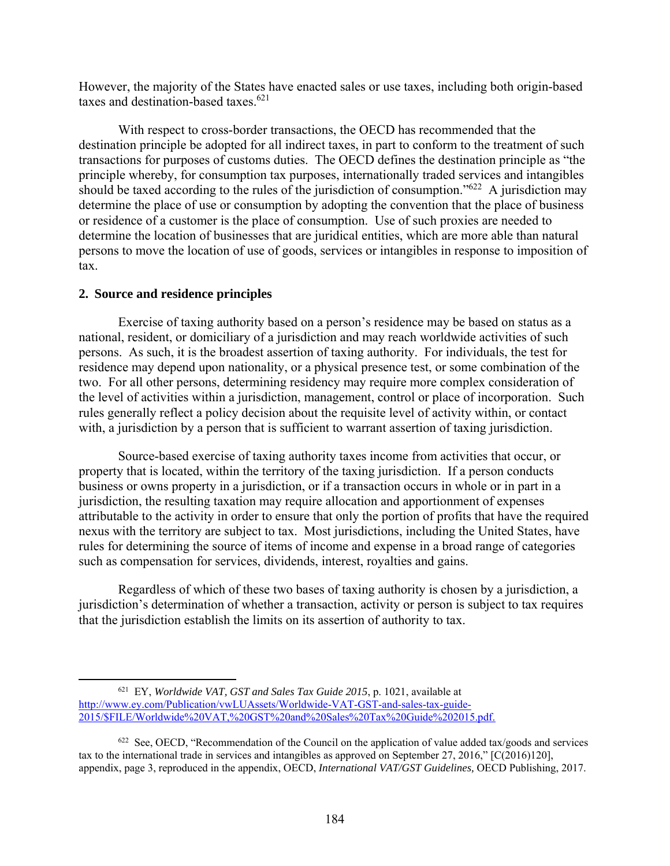However, the majority of the States have enacted sales or use taxes, including both origin-based taxes and destination-based taxes. $621$ 

With respect to cross-border transactions, the OECD has recommended that the destination principle be adopted for all indirect taxes, in part to conform to the treatment of such transactions for purposes of customs duties. The OECD defines the destination principle as "the principle whereby, for consumption tax purposes, internationally traded services and intangibles should be taxed according to the rules of the jurisdiction of consumption."<sup>622</sup> A jurisdiction may determine the place of use or consumption by adopting the convention that the place of business or residence of a customer is the place of consumption. Use of such proxies are needed to determine the location of businesses that are juridical entities, which are more able than natural persons to move the location of use of goods, services or intangibles in response to imposition of tax.

## **2. Source and residence principles**

Exercise of taxing authority based on a person's residence may be based on status as a national, resident, or domiciliary of a jurisdiction and may reach worldwide activities of such persons. As such, it is the broadest assertion of taxing authority. For individuals, the test for residence may depend upon nationality, or a physical presence test, or some combination of the two. For all other persons, determining residency may require more complex consideration of the level of activities within a jurisdiction, management, control or place of incorporation. Such rules generally reflect a policy decision about the requisite level of activity within, or contact with, a jurisdiction by a person that is sufficient to warrant assertion of taxing jurisdiction.

Source-based exercise of taxing authority taxes income from activities that occur, or property that is located, within the territory of the taxing jurisdiction. If a person conducts business or owns property in a jurisdiction, or if a transaction occurs in whole or in part in a jurisdiction, the resulting taxation may require allocation and apportionment of expenses attributable to the activity in order to ensure that only the portion of profits that have the required nexus with the territory are subject to tax. Most jurisdictions, including the United States, have rules for determining the source of items of income and expense in a broad range of categories such as compensation for services, dividends, interest, royalties and gains.

Regardless of which of these two bases of taxing authority is chosen by a jurisdiction, a jurisdiction's determination of whether a transaction, activity or person is subject to tax requires that the jurisdiction establish the limits on its assertion of authority to tax.

 <sup>621</sup> EY, *Worldwide VAT, GST and Sales Tax Guide 2015*, p. 1021, available at http://www.ey.com/Publication/vwLUAssets/Worldwide-VAT-GST-and-sales-tax-guide-2015/\$FILE/Worldwide%20VAT,%20GST%20and%20Sales%20Tax%20Guide%202015.pdf.

 $622$  See, OECD, "Recommendation of the Council on the application of value added tax/goods and services tax to the international trade in services and intangibles as approved on September 27, 2016," [C(2016)120], appendix, page 3, reproduced in the appendix, OECD, *International VAT/GST Guidelines,* OECD Publishing, 2017.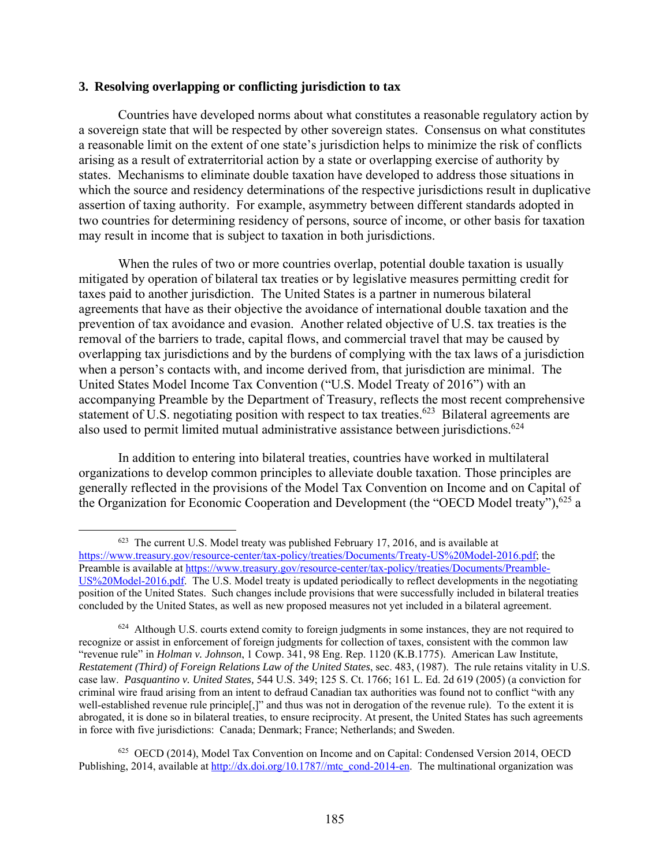## **3. Resolving overlapping or conflicting jurisdiction to tax**

Countries have developed norms about what constitutes a reasonable regulatory action by a sovereign state that will be respected by other sovereign states. Consensus on what constitutes a reasonable limit on the extent of one state's jurisdiction helps to minimize the risk of conflicts arising as a result of extraterritorial action by a state or overlapping exercise of authority by states. Mechanisms to eliminate double taxation have developed to address those situations in which the source and residency determinations of the respective jurisdictions result in duplicative assertion of taxing authority. For example, asymmetry between different standards adopted in two countries for determining residency of persons, source of income, or other basis for taxation may result in income that is subject to taxation in both jurisdictions.

When the rules of two or more countries overlap, potential double taxation is usually mitigated by operation of bilateral tax treaties or by legislative measures permitting credit for taxes paid to another jurisdiction. The United States is a partner in numerous bilateral agreements that have as their objective the avoidance of international double taxation and the prevention of tax avoidance and evasion. Another related objective of U.S. tax treaties is the removal of the barriers to trade, capital flows, and commercial travel that may be caused by overlapping tax jurisdictions and by the burdens of complying with the tax laws of a jurisdiction when a person's contacts with, and income derived from, that jurisdiction are minimal. The United States Model Income Tax Convention ("U.S. Model Treaty of 2016") with an accompanying Preamble by the Department of Treasury, reflects the most recent comprehensive statement of U.S. negotiating position with respect to tax treaties.<sup>623</sup> Bilateral agreements are also used to permit limited mutual administrative assistance between jurisdictions. $624$ 

In addition to entering into bilateral treaties, countries have worked in multilateral organizations to develop common principles to alleviate double taxation. Those principles are generally reflected in the provisions of the Model Tax Convention on Income and on Capital of the Organization for Economic Cooperation and Development (the "OECD Model treaty"),<sup>625</sup> a

 $625$  OECD (2014), Model Tax Convention on Income and on Capital: Condensed Version 2014, OECD Publishing, 2014, available at http://dx.doi.org/10.1787//mtc\_cond-2014-en. The multinational organization was

 <sup>623</sup> The current U.S. Model treaty was published February 17, 2016, and is available at https://www.treasury.gov/resource-center/tax-policy/treaties/Documents/Treaty-US%20Model-2016.pdf; the Preamble is available at https://www.treasury.gov/resource-center/tax-policy/treaties/Documents/Preamble-US%20Model-2016.pdf. The U.S. Model treaty is updated periodically to reflect developments in the negotiating position of the United States. Such changes include provisions that were successfully included in bilateral treaties concluded by the United States, as well as new proposed measures not yet included in a bilateral agreement.

 $624$  Although U.S. courts extend comity to foreign judgments in some instances, they are not required to recognize or assist in enforcement of foreign judgments for collection of taxes, consistent with the common law "revenue rule" in *Holman v. Johnson*, 1 Cowp. 341, 98 Eng. Rep. 1120 (K.B.1775). American Law Institute, *Restatement (Third) of Foreign Relations Law of the United States*, sec. 483, (1987). The rule retains vitality in U.S. case law. *Pasquantino v. United States,* 544 U.S. 349; 125 S. Ct. 1766; 161 L. Ed. 2d 619 (2005) (a conviction for criminal wire fraud arising from an intent to defraud Canadian tax authorities was found not to conflict "with any well-established revenue rule principle[,]" and thus was not in derogation of the revenue rule). To the extent it is abrogated, it is done so in bilateral treaties, to ensure reciprocity. At present, the United States has such agreements in force with five jurisdictions: Canada; Denmark; France; Netherlands; and Sweden.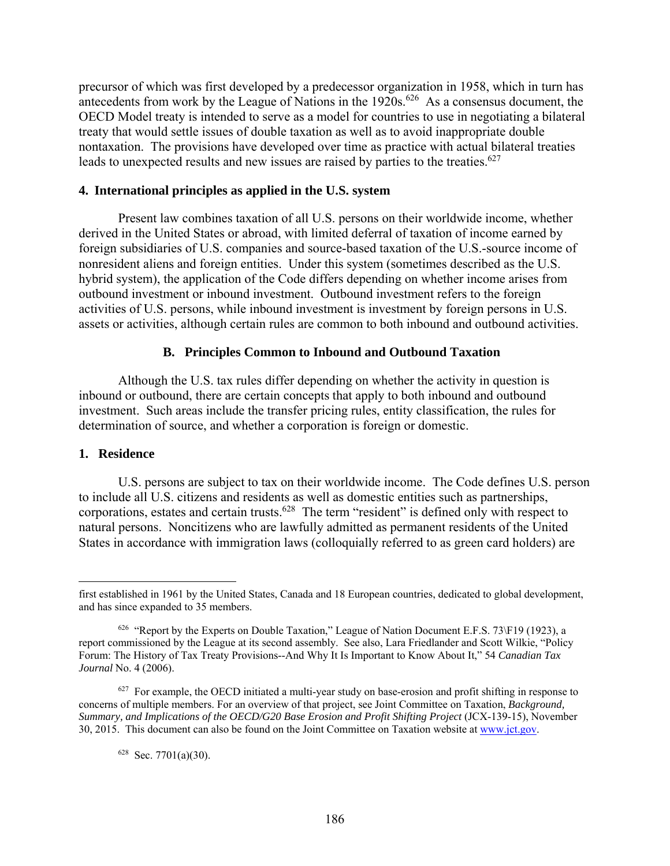precursor of which was first developed by a predecessor organization in 1958, which in turn has antecedents from work by the League of Nations in the  $1920s$ .<sup>626</sup> As a consensus document, the OECD Model treaty is intended to serve as a model for countries to use in negotiating a bilateral treaty that would settle issues of double taxation as well as to avoid inappropriate double nontaxation. The provisions have developed over time as practice with actual bilateral treaties leads to unexpected results and new issues are raised by parties to the treaties.<sup>627</sup>

## **4. International principles as applied in the U.S. system**

Present law combines taxation of all U.S. persons on their worldwide income, whether derived in the United States or abroad, with limited deferral of taxation of income earned by foreign subsidiaries of U.S. companies and source-based taxation of the U.S.-source income of nonresident aliens and foreign entities. Under this system (sometimes described as the U.S. hybrid system), the application of the Code differs depending on whether income arises from outbound investment or inbound investment. Outbound investment refers to the foreign activities of U.S. persons, while inbound investment is investment by foreign persons in U.S. assets or activities, although certain rules are common to both inbound and outbound activities.

## **B. Principles Common to Inbound and Outbound Taxation**

Although the U.S. tax rules differ depending on whether the activity in question is inbound or outbound, there are certain concepts that apply to both inbound and outbound investment. Such areas include the transfer pricing rules, entity classification, the rules for determination of source, and whether a corporation is foreign or domestic.

#### **1. Residence**

1

U.S. persons are subject to tax on their worldwide income. The Code defines U.S. person to include all U.S. citizens and residents as well as domestic entities such as partnerships, corporations, estates and certain trusts.<sup>628</sup> The term "resident" is defined only with respect to natural persons. Noncitizens who are lawfully admitted as permanent residents of the United States in accordance with immigration laws (colloquially referred to as green card holders) are

 $628$  Sec. 7701(a)(30).

first established in 1961 by the United States, Canada and 18 European countries, dedicated to global development, and has since expanded to 35 members.

 $626$  "Report by the Experts on Double Taxation," League of Nation Document E.F.S. 73\F19 (1923), a report commissioned by the League at its second assembly. See also, Lara Friedlander and Scott Wilkie, "Policy Forum: The History of Tax Treaty Provisions--And Why It Is Important to Know About It," 54 *Canadian Tax Journal* No. 4 (2006).

 $627$  For example, the OECD initiated a multi-year study on base-erosion and profit shifting in response to concerns of multiple members. For an overview of that project, see Joint Committee on Taxation, *Background, Summary, and Implications of the OECD/G20 Base Erosion and Profit Shifting Project* (JCX-139-15), November 30, 2015. This document can also be found on the Joint Committee on Taxation website at www.jct.gov.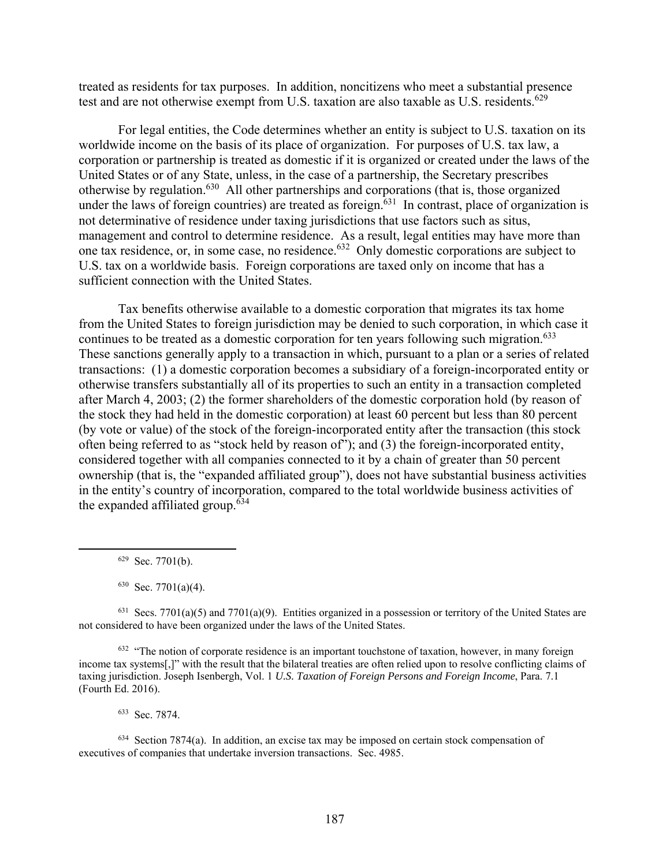treated as residents for tax purposes. In addition, noncitizens who meet a substantial presence test and are not otherwise exempt from U.S. taxation are also taxable as U.S. residents.<sup>629</sup>

For legal entities, the Code determines whether an entity is subject to U.S. taxation on its worldwide income on the basis of its place of organization. For purposes of U.S. tax law, a corporation or partnership is treated as domestic if it is organized or created under the laws of the United States or of any State, unless, in the case of a partnership, the Secretary prescribes otherwise by regulation.630 All other partnerships and corporations (that is, those organized under the laws of foreign countries) are treated as foreign. $631$  In contrast, place of organization is not determinative of residence under taxing jurisdictions that use factors such as situs, management and control to determine residence. As a result, legal entities may have more than one tax residence, or, in some case, no residence.<sup>632</sup> Only domestic corporations are subject to U.S. tax on a worldwide basis. Foreign corporations are taxed only on income that has a sufficient connection with the United States.

Tax benefits otherwise available to a domestic corporation that migrates its tax home from the United States to foreign jurisdiction may be denied to such corporation, in which case it continues to be treated as a domestic corporation for ten years following such migration.<sup>633</sup> These sanctions generally apply to a transaction in which, pursuant to a plan or a series of related transactions: (1) a domestic corporation becomes a subsidiary of a foreign-incorporated entity or otherwise transfers substantially all of its properties to such an entity in a transaction completed after March 4, 2003; (2) the former shareholders of the domestic corporation hold (by reason of the stock they had held in the domestic corporation) at least 60 percent but less than 80 percent (by vote or value) of the stock of the foreign-incorporated entity after the transaction (this stock often being referred to as "stock held by reason of"); and (3) the foreign-incorporated entity, considered together with all companies connected to it by a chain of greater than 50 percent ownership (that is, the "expanded affiliated group"), does not have substantial business activities in the entity's country of incorporation, compared to the total worldwide business activities of the expanded affiliated group.634

 $629$  Sec. 7701(b).

 $630$  Sec. 7701(a)(4).

 $631$  Secs. 7701(a)(5) and 7701(a)(9). Entities organized in a possession or territory of the United States are not considered to have been organized under the laws of the United States.

<sup>632</sup> "The notion of corporate residence is an important touchstone of taxation, however, in many foreign income tax systems[,]" with the result that the bilateral treaties are often relied upon to resolve conflicting claims of taxing jurisdiction. Joseph Isenbergh, Vol. 1 *U.S. Taxation of Foreign Persons and Foreign Income*, Para. 7.1 (Fourth Ed. 2016).

633 Sec. 7874.

634 Section 7874(a). In addition, an excise tax may be imposed on certain stock compensation of executives of companies that undertake inversion transactions. Sec. 4985.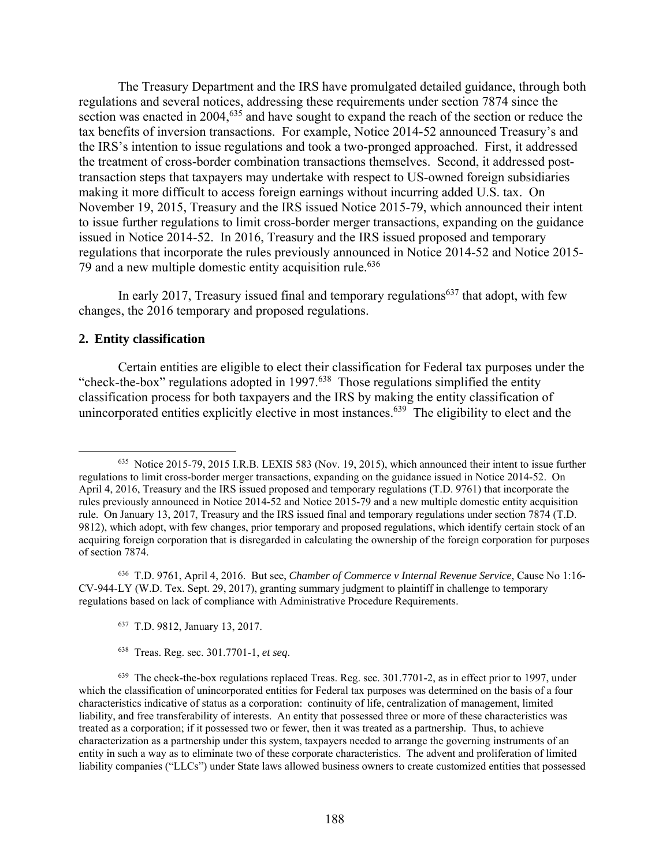The Treasury Department and the IRS have promulgated detailed guidance, through both regulations and several notices, addressing these requirements under section 7874 since the section was enacted in 2004,<sup>635</sup> and have sought to expand the reach of the section or reduce the tax benefits of inversion transactions. For example, Notice 2014-52 announced Treasury's and the IRS's intention to issue regulations and took a two-pronged approached. First, it addressed the treatment of cross-border combination transactions themselves. Second, it addressed posttransaction steps that taxpayers may undertake with respect to US-owned foreign subsidiaries making it more difficult to access foreign earnings without incurring added U.S. tax. On November 19, 2015, Treasury and the IRS issued Notice 2015-79, which announced their intent to issue further regulations to limit cross-border merger transactions, expanding on the guidance issued in Notice 2014-52. In 2016, Treasury and the IRS issued proposed and temporary regulations that incorporate the rules previously announced in Notice 2014-52 and Notice 2015- 79 and a new multiple domestic entity acquisition rule.<sup>636</sup>

In early 2017, Treasury issued final and temporary regulations<sup>637</sup> that adopt, with few changes, the 2016 temporary and proposed regulations.

## **2. Entity classification**

Certain entities are eligible to elect their classification for Federal tax purposes under the "check-the-box" regulations adopted in 1997.<sup>638</sup> Those regulations simplified the entity classification process for both taxpayers and the IRS by making the entity classification of unincorporated entities explicitly elective in most instances.<sup>639</sup> The eligibility to elect and the

- 637 T.D. 9812, January 13, 2017.
- 638 Treas. Reg. sec. 301.7701-1, *et seq*.

 <sup>635</sup> Notice 2015-79, 2015 I.R.B. LEXIS 583 (Nov. 19, 2015), which announced their intent to issue further regulations to limit cross-border merger transactions, expanding on the guidance issued in Notice 2014-52. On April 4, 2016, Treasury and the IRS issued proposed and temporary regulations (T.D. 9761) that incorporate the rules previously announced in Notice 2014-52 and Notice 2015-79 and a new multiple domestic entity acquisition rule. On January 13, 2017, Treasury and the IRS issued final and temporary regulations under section 7874 (T.D. 9812), which adopt, with few changes, prior temporary and proposed regulations, which identify certain stock of an acquiring foreign corporation that is disregarded in calculating the ownership of the foreign corporation for purposes of section 7874.

<sup>636</sup> T.D. 9761, April 4, 2016. But see, *Chamber of Commerce v Internal Revenue Service*, Cause No 1:16- CV-944-LY (W.D. Tex. Sept. 29, 2017), granting summary judgment to plaintiff in challenge to temporary regulations based on lack of compliance with Administrative Procedure Requirements.

 $639$  The check-the-box regulations replaced Treas. Reg. sec. 301.7701-2, as in effect prior to 1997, under which the classification of unincorporated entities for Federal tax purposes was determined on the basis of a four characteristics indicative of status as a corporation: continuity of life, centralization of management, limited liability, and free transferability of interests. An entity that possessed three or more of these characteristics was treated as a corporation; if it possessed two or fewer, then it was treated as a partnership. Thus, to achieve characterization as a partnership under this system, taxpayers needed to arrange the governing instruments of an entity in such a way as to eliminate two of these corporate characteristics. The advent and proliferation of limited liability companies ("LLCs") under State laws allowed business owners to create customized entities that possessed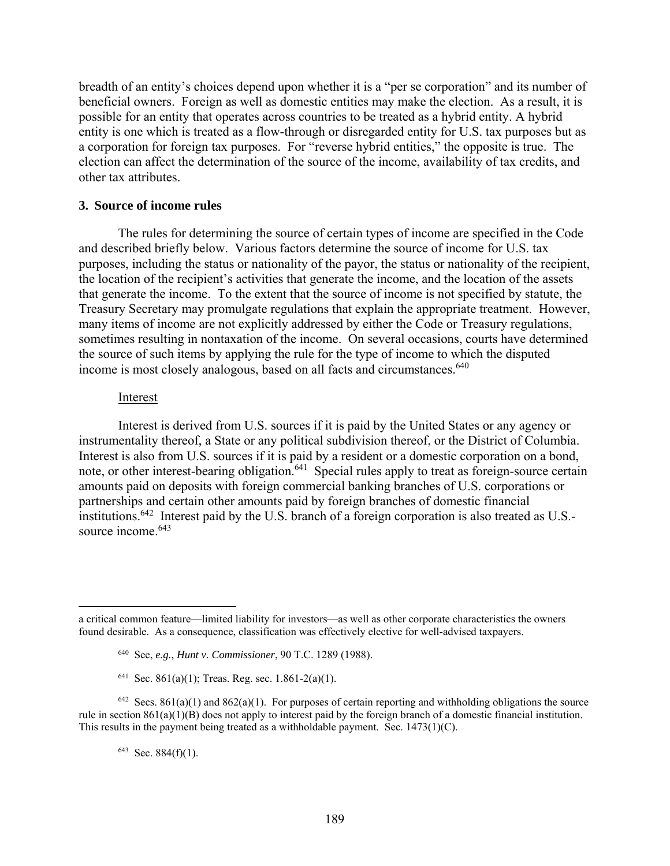breadth of an entity's choices depend upon whether it is a "per se corporation" and its number of beneficial owners. Foreign as well as domestic entities may make the election. As a result, it is possible for an entity that operates across countries to be treated as a hybrid entity. A hybrid entity is one which is treated as a flow-through or disregarded entity for U.S. tax purposes but as a corporation for foreign tax purposes. For "reverse hybrid entities," the opposite is true. The election can affect the determination of the source of the income, availability of tax credits, and other tax attributes.

#### **3. Source of income rules**

The rules for determining the source of certain types of income are specified in the Code and described briefly below. Various factors determine the source of income for U.S. tax purposes, including the status or nationality of the payor, the status or nationality of the recipient, the location of the recipient's activities that generate the income, and the location of the assets that generate the income. To the extent that the source of income is not specified by statute, the Treasury Secretary may promulgate regulations that explain the appropriate treatment. However, many items of income are not explicitly addressed by either the Code or Treasury regulations, sometimes resulting in nontaxation of the income. On several occasions, courts have determined the source of such items by applying the rule for the type of income to which the disputed income is most closely analogous, based on all facts and circumstances.<sup>640</sup>

#### Interest

 $\overline{a}$ 

Interest is derived from U.S. sources if it is paid by the United States or any agency or instrumentality thereof, a State or any political subdivision thereof, or the District of Columbia. Interest is also from U.S. sources if it is paid by a resident or a domestic corporation on a bond, note, or other interest-bearing obligation.<sup>641</sup> Special rules apply to treat as foreign-source certain amounts paid on deposits with foreign commercial banking branches of U.S. corporations or partnerships and certain other amounts paid by foreign branches of domestic financial institutions.642 Interest paid by the U.S. branch of a foreign corporation is also treated as U.S. source income <sup>643</sup>

<sup>641</sup> Sec. 861(a)(1); Treas. Reg. sec. 1.861-2(a)(1).

<sup>642</sup> Secs. 861(a)(1) and 862(a)(1). For purposes of certain reporting and withholding obligations the source rule in section 861(a)(1)(B) does not apply to interest paid by the foreign branch of a domestic financial institution. This results in the payment being treated as a withholdable payment. Sec. 1473(1)(C).

 $643$  Sec. 884(f)(1).

a critical common feature—limited liability for investors—as well as other corporate characteristics the owners found desirable. As a consequence, classification was effectively elective for well-advised taxpayers.

<sup>640</sup> See, *e.g.*, *Hunt v. Commissioner*, 90 T.C. 1289 (1988).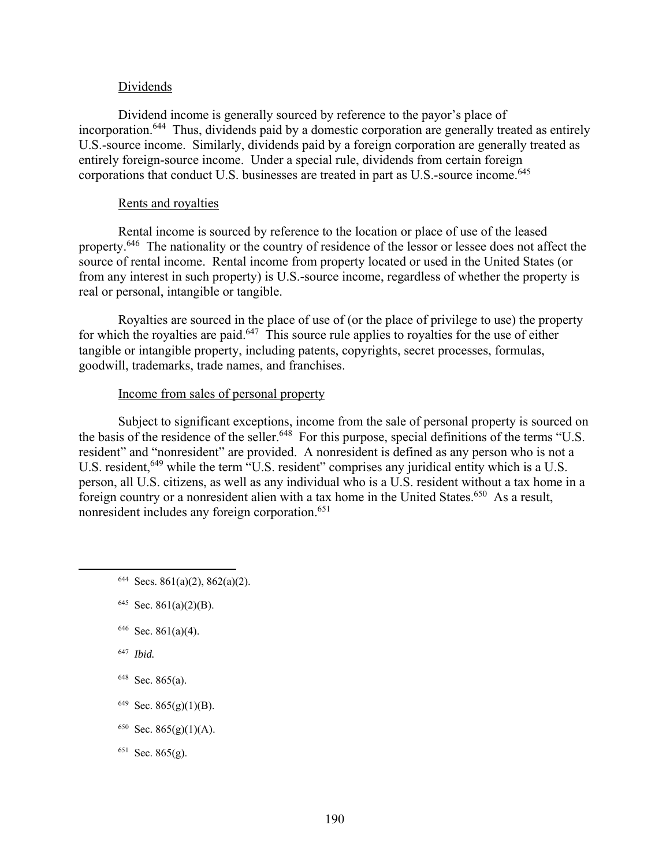## Dividends

Dividend income is generally sourced by reference to the payor's place of incorporation.644 Thus, dividends paid by a domestic corporation are generally treated as entirely U.S.-source income. Similarly, dividends paid by a foreign corporation are generally treated as entirely foreign-source income. Under a special rule, dividends from certain foreign corporations that conduct U.S. businesses are treated in part as U.S.-source income.<sup>645</sup>

#### Rents and royalties

Rental income is sourced by reference to the location or place of use of the leased property.<sup>646</sup> The nationality or the country of residence of the lessor or lessee does not affect the source of rental income. Rental income from property located or used in the United States (or from any interest in such property) is U.S.-source income, regardless of whether the property is real or personal, intangible or tangible.

Royalties are sourced in the place of use of (or the place of privilege to use) the property for which the royalties are paid.<sup>647</sup> This source rule applies to royalties for the use of either tangible or intangible property, including patents, copyrights, secret processes, formulas, goodwill, trademarks, trade names, and franchises.

#### Income from sales of personal property

Subject to significant exceptions, income from the sale of personal property is sourced on the basis of the residence of the seller.<sup>648</sup> For this purpose, special definitions of the terms "U.S. resident" and "nonresident" are provided. A nonresident is defined as any person who is not a U.S. resident,<sup>649</sup> while the term "U.S. resident" comprises any juridical entity which is a U.S. person, all U.S. citizens, as well as any individual who is a U.S. resident without a tax home in a foreign country or a nonresident alien with a tax home in the United States.<sup>650</sup> As a result, nonresident includes any foreign corporation.<sup>651</sup>

- 647 *Ibid.*
- $648$  Sec. 865(a).
- $649$  Sec.  $865(g)(1)(B)$ .
- $650$  Sec.  $865(g)(1)(A)$ .

 $651$  Sec.  $865(g)$ .

<sup>644</sup> Secs.  $861(a)(2)$ ,  $862(a)(2)$ .

 $645$  Sec.  $861(a)(2)(B)$ .

 $646$  Sec.  $861(a)(4)$ .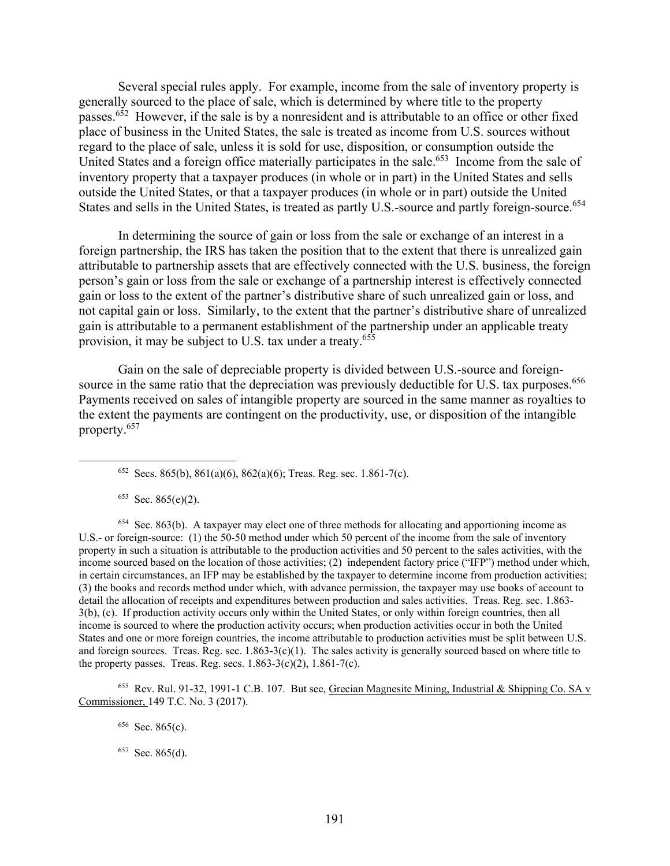Several special rules apply. For example, income from the sale of inventory property is generally sourced to the place of sale, which is determined by where title to the property passes.652 However, if the sale is by a nonresident and is attributable to an office or other fixed place of business in the United States, the sale is treated as income from U.S. sources without regard to the place of sale, unless it is sold for use, disposition, or consumption outside the United States and a foreign office materially participates in the sale.<sup>653</sup> Income from the sale of inventory property that a taxpayer produces (in whole or in part) in the United States and sells outside the United States, or that a taxpayer produces (in whole or in part) outside the United States and sells in the United States, is treated as partly U.S.-source and partly foreign-source.<sup>654</sup>

In determining the source of gain or loss from the sale or exchange of an interest in a foreign partnership, the IRS has taken the position that to the extent that there is unrealized gain attributable to partnership assets that are effectively connected with the U.S. business, the foreign person's gain or loss from the sale or exchange of a partnership interest is effectively connected gain or loss to the extent of the partner's distributive share of such unrealized gain or loss, and not capital gain or loss. Similarly, to the extent that the partner's distributive share of unrealized gain is attributable to a permanent establishment of the partnership under an applicable treaty provision, it may be subject to U.S. tax under a treaty.655

Gain on the sale of depreciable property is divided between U.S.-source and foreignsource in the same ratio that the depreciation was previously deductible for U.S. tax purposes.<sup>656</sup> Payments received on sales of intangible property are sourced in the same manner as royalties to the extent the payments are contingent on the productivity, use, or disposition of the intangible property.657

 $653$  Sec. 865(e)(2).

<sup>654</sup> Sec. 863(b). A taxpayer may elect one of three methods for allocating and apportioning income as U.S.- or foreign-source: (1) the 50-50 method under which 50 percent of the income from the sale of inventory property in such a situation is attributable to the production activities and 50 percent to the sales activities, with the income sourced based on the location of those activities; (2) independent factory price ("IFP") method under which, in certain circumstances, an IFP may be established by the taxpayer to determine income from production activities; (3) the books and records method under which, with advance permission, the taxpayer may use books of account to detail the allocation of receipts and expenditures between production and sales activities. Treas. Reg. sec. 1.863- 3(b), (c). If production activity occurs only within the United States, or only within foreign countries, then all income is sourced to where the production activity occurs; when production activities occur in both the United States and one or more foreign countries, the income attributable to production activities must be split between U.S. and foreign sources. Treas. Reg. sec.  $1.863-3(c)(1)$ . The sales activity is generally sourced based on where title to the property passes. Treas. Reg. secs.  $1.863-3(c)(2)$ ,  $1.861-7(c)$ .

655 Rev. Rul. 91-32, 1991-1 C.B. 107. But see, Grecian Magnesite Mining, Industrial & Shipping Co. SA v Commissioner, 149 T.C. No. 3 (2017).

656 Sec. 865(c).

 $657$  Sec. 865(d).

<sup>652</sup> Secs. 865(b), 861(a)(6), 862(a)(6); Treas. Reg. sec. 1.861-7(c).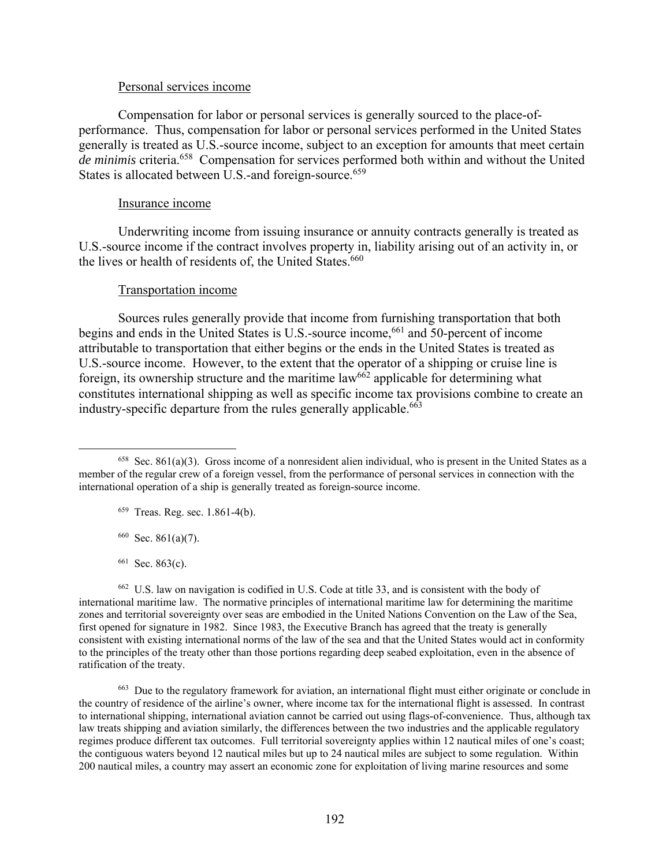#### Personal services income

Compensation for labor or personal services is generally sourced to the place-ofperformance. Thus, compensation for labor or personal services performed in the United States generally is treated as U.S.-source income, subject to an exception for amounts that meet certain *de minimis* criteria.658 Compensation for services performed both within and without the United States is allocated between U.S.-and foreign-source.<sup>659</sup>

#### Insurance income

Underwriting income from issuing insurance or annuity contracts generally is treated as U.S.-source income if the contract involves property in, liability arising out of an activity in, or the lives or health of residents of, the United States.<sup>660</sup>

## Transportation income

Sources rules generally provide that income from furnishing transportation that both begins and ends in the United States is U.S.-source income,<sup>661</sup> and 50-percent of income attributable to transportation that either begins or the ends in the United States is treated as U.S.-source income. However, to the extent that the operator of a shipping or cruise line is foreign, its ownership structure and the maritime  $law<sup>662</sup>$  applicable for determining what constitutes international shipping as well as specific income tax provisions combine to create an industry-specific departure from the rules generally applicable.<sup>663</sup>

660 Sec. 861(a)(7).

 $661$  Sec. 863(c).

662 U.S. law on navigation is codified in U.S. Code at title 33, and is consistent with the body of international maritime law. The normative principles of international maritime law for determining the maritime zones and territorial sovereignty over seas are embodied in the United Nations Convention on the Law of the Sea, first opened for signature in 1982. Since 1983, the Executive Branch has agreed that the treaty is generally consistent with existing international norms of the law of the sea and that the United States would act in conformity to the principles of the treaty other than those portions regarding deep seabed exploitation, even in the absence of ratification of the treaty.

663 Due to the regulatory framework for aviation, an international flight must either originate or conclude in the country of residence of the airline's owner, where income tax for the international flight is assessed. In contrast to international shipping, international aviation cannot be carried out using flags-of-convenience. Thus, although tax law treats shipping and aviation similarly, the differences between the two industries and the applicable regulatory regimes produce different tax outcomes. Full territorial sovereignty applies within 12 nautical miles of one's coast; the contiguous waters beyond 12 nautical miles but up to 24 nautical miles are subject to some regulation. Within 200 nautical miles, a country may assert an economic zone for exploitation of living marine resources and some

 $658$  Sec. 861(a)(3). Gross income of a nonresident alien individual, who is present in the United States as a member of the regular crew of a foreign vessel, from the performance of personal services in connection with the international operation of a ship is generally treated as foreign-source income.

<sup>659</sup> Treas. Reg. sec. 1.861-4(b).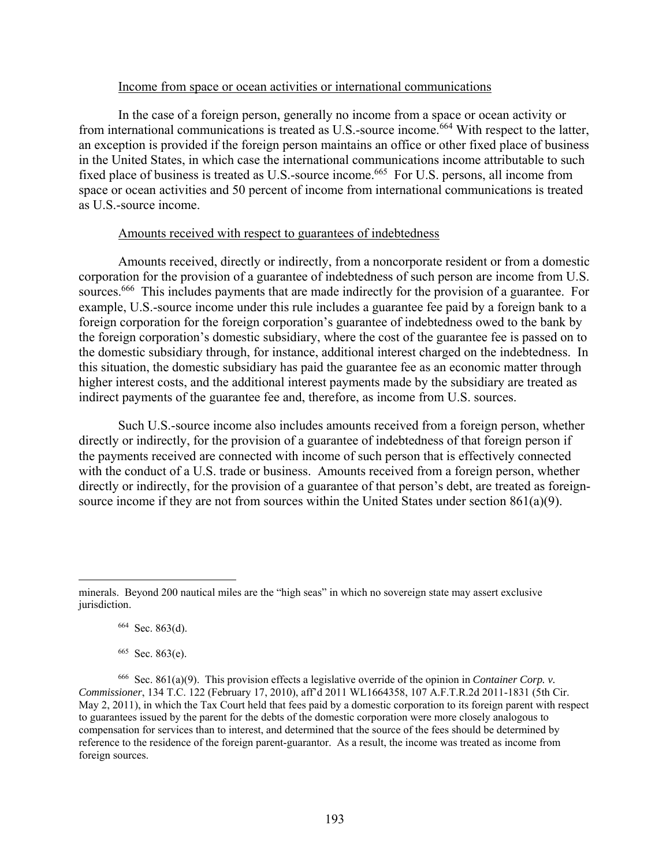#### Income from space or ocean activities or international communications

In the case of a foreign person, generally no income from a space or ocean activity or from international communications is treated as U.S.-source income.<sup>664</sup> With respect to the latter, an exception is provided if the foreign person maintains an office or other fixed place of business in the United States, in which case the international communications income attributable to such fixed place of business is treated as U.S.-source income.<sup>665</sup> For U.S. persons, all income from space or ocean activities and 50 percent of income from international communications is treated as U.S.-source income.

# Amounts received with respect to guarantees of indebtedness

Amounts received, directly or indirectly, from a noncorporate resident or from a domestic corporation for the provision of a guarantee of indebtedness of such person are income from U.S. sources.<sup>666</sup> This includes payments that are made indirectly for the provision of a guarantee. For example, U.S.-source income under this rule includes a guarantee fee paid by a foreign bank to a foreign corporation for the foreign corporation's guarantee of indebtedness owed to the bank by the foreign corporation's domestic subsidiary, where the cost of the guarantee fee is passed on to the domestic subsidiary through, for instance, additional interest charged on the indebtedness. In this situation, the domestic subsidiary has paid the guarantee fee as an economic matter through higher interest costs, and the additional interest payments made by the subsidiary are treated as indirect payments of the guarantee fee and, therefore, as income from U.S. sources.

Such U.S.-source income also includes amounts received from a foreign person, whether directly or indirectly, for the provision of a guarantee of indebtedness of that foreign person if the payments received are connected with income of such person that is effectively connected with the conduct of a U.S. trade or business. Amounts received from a foreign person, whether directly or indirectly, for the provision of a guarantee of that person's debt, are treated as foreignsource income if they are not from sources within the United States under section 861(a)(9).

664 Sec. 863(d).

1

665 Sec. 863(e).

minerals. Beyond 200 nautical miles are the "high seas" in which no sovereign state may assert exclusive jurisdiction.

<sup>666</sup> Sec. 861(a)(9). This provision effects a legislative override of the opinion in *Container Corp. v. Commissioner*, 134 T.C. 122 (February 17, 2010), aff'd 2011 WL1664358, 107 A.F.T.R.2d 2011-1831 (5th Cir. May 2, 2011), in which the Tax Court held that fees paid by a domestic corporation to its foreign parent with respect to guarantees issued by the parent for the debts of the domestic corporation were more closely analogous to compensation for services than to interest, and determined that the source of the fees should be determined by reference to the residence of the foreign parent-guarantor. As a result, the income was treated as income from foreign sources.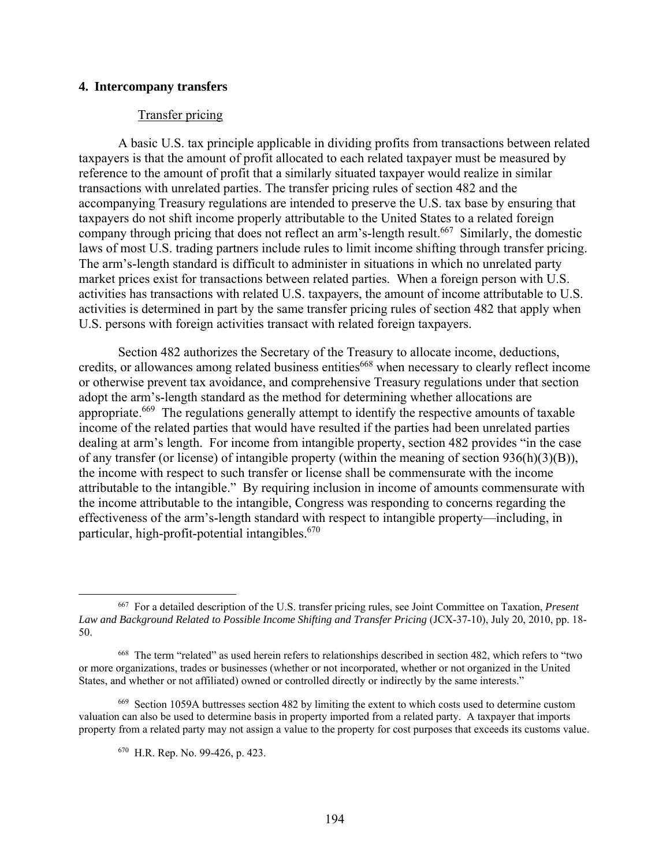## **4. Intercompany transfers**

## Transfer pricing

A basic U.S. tax principle applicable in dividing profits from transactions between related taxpayers is that the amount of profit allocated to each related taxpayer must be measured by reference to the amount of profit that a similarly situated taxpayer would realize in similar transactions with unrelated parties. The transfer pricing rules of section 482 and the accompanying Treasury regulations are intended to preserve the U.S. tax base by ensuring that taxpayers do not shift income properly attributable to the United States to a related foreign company through pricing that does not reflect an arm's-length result.<sup>667</sup> Similarly, the domestic laws of most U.S. trading partners include rules to limit income shifting through transfer pricing. The arm's-length standard is difficult to administer in situations in which no unrelated party market prices exist for transactions between related parties. When a foreign person with U.S. activities has transactions with related U.S. taxpayers, the amount of income attributable to U.S. activities is determined in part by the same transfer pricing rules of section 482 that apply when U.S. persons with foreign activities transact with related foreign taxpayers.

Section 482 authorizes the Secretary of the Treasury to allocate income, deductions, credits, or allowances among related business entities<sup>668</sup> when necessary to clearly reflect income or otherwise prevent tax avoidance, and comprehensive Treasury regulations under that section adopt the arm's-length standard as the method for determining whether allocations are appropriate.<sup>669</sup> The regulations generally attempt to identify the respective amounts of taxable income of the related parties that would have resulted if the parties had been unrelated parties dealing at arm's length. For income from intangible property, section 482 provides "in the case of any transfer (or license) of intangible property (within the meaning of section 936(h)(3)(B)), the income with respect to such transfer or license shall be commensurate with the income attributable to the intangible." By requiring inclusion in income of amounts commensurate with the income attributable to the intangible, Congress was responding to concerns regarding the effectiveness of the arm's-length standard with respect to intangible property—including, in particular, high-profit-potential intangibles. $670$ 

669 Section 1059A buttresses section 482 by limiting the extent to which costs used to determine custom valuation can also be used to determine basis in property imported from a related party. A taxpayer that imports property from a related party may not assign a value to the property for cost purposes that exceeds its customs value.

 <sup>667</sup> For a detailed description of the U.S. transfer pricing rules, see Joint Committee on Taxation, *Present Law and Background Related to Possible Income Shifting and Transfer Pricing* (JCX-37-10), July 20, 2010, pp. 18- 50.

<sup>668</sup> The term "related" as used herein refers to relationships described in section 482, which refers to "two or more organizations, trades or businesses (whether or not incorporated, whether or not organized in the United States, and whether or not affiliated) owned or controlled directly or indirectly by the same interests."

<sup>670</sup> H.R. Rep. No. 99-426, p. 423.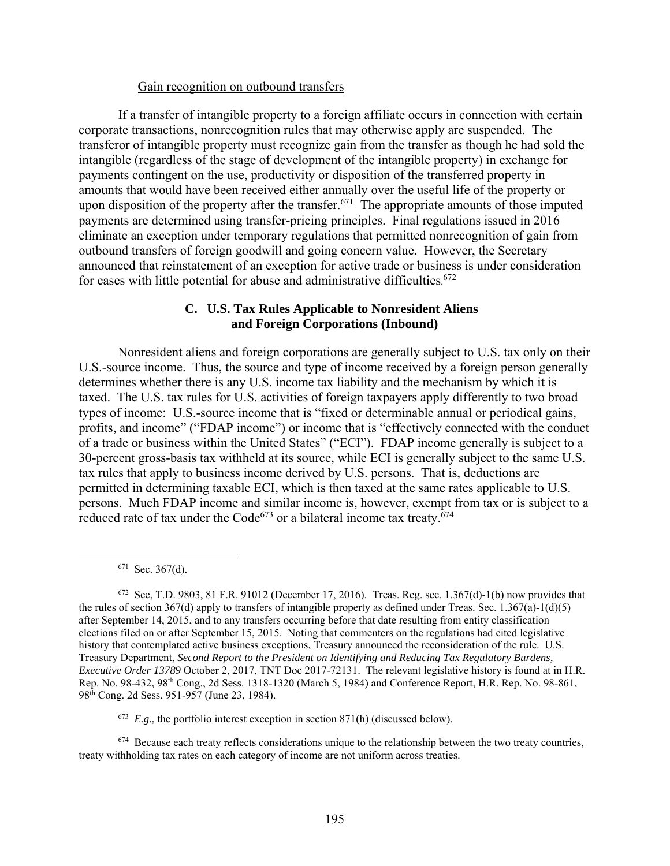## Gain recognition on outbound transfers

If a transfer of intangible property to a foreign affiliate occurs in connection with certain corporate transactions, nonrecognition rules that may otherwise apply are suspended. The transferor of intangible property must recognize gain from the transfer as though he had sold the intangible (regardless of the stage of development of the intangible property) in exchange for payments contingent on the use, productivity or disposition of the transferred property in amounts that would have been received either annually over the useful life of the property or upon disposition of the property after the transfer.<sup>671</sup> The appropriate amounts of those imputed payments are determined using transfer-pricing principles. Final regulations issued in 2016 eliminate an exception under temporary regulations that permitted nonrecognition of gain from outbound transfers of foreign goodwill and going concern value. However, the Secretary announced that reinstatement of an exception for active trade or business is under consideration for cases with little potential for abuse and administrative difficulties. 672

## **C. U.S. Tax Rules Applicable to Nonresident Aliens and Foreign Corporations (Inbound)**

Nonresident aliens and foreign corporations are generally subject to U.S. tax only on their U.S.-source income. Thus, the source and type of income received by a foreign person generally determines whether there is any U.S. income tax liability and the mechanism by which it is taxed. The U.S. tax rules for U.S. activities of foreign taxpayers apply differently to two broad types of income: U.S.-source income that is "fixed or determinable annual or periodical gains, profits, and income" ("FDAP income") or income that is "effectively connected with the conduct of a trade or business within the United States" ("ECI"). FDAP income generally is subject to a 30-percent gross-basis tax withheld at its source, while ECI is generally subject to the same U.S. tax rules that apply to business income derived by U.S. persons. That is, deductions are permitted in determining taxable ECI, which is then taxed at the same rates applicable to U.S. persons. Much FDAP income and similar income is, however, exempt from tax or is subject to a reduced rate of tax under the  $Code^{673}$  or a bilateral income tax treaty.<sup>674</sup>

 $671$  Sec. 367(d).

 $672$  See, T.D. 9803, 81 F.R. 91012 (December 17, 2016). Treas. Reg. sec. 1.367(d)-1(b) now provides that the rules of section 367(d) apply to transfers of intangible property as defined under Treas. Sec. 1.367(a)-1(d)(5) after September 14, 2015, and to any transfers occurring before that date resulting from entity classification elections filed on or after September 15, 2015. Noting that commenters on the regulations had cited legislative history that contemplated active business exceptions, Treasury announced the reconsideration of the rule. U.S. Treasury Department, *Second Report to the President on Identifying and Reducing Tax Regulatory Burdens, Executive Order 13789* October 2, 2017, TNT Doc 2017-72131. The relevant legislative history is found at in H.R. Rep. No. 98-432, 98th Cong., 2d Sess. 1318-1320 (March 5, 1984) and Conference Report, H.R. Rep. No. 98-861, 98th Cong. 2d Sess. 951-957 (June 23, 1984).

 $673$  *E.g.*, the portfolio interest exception in section 871(h) (discussed below).

 $674$  Because each treaty reflects considerations unique to the relationship between the two treaty countries. treaty withholding tax rates on each category of income are not uniform across treaties.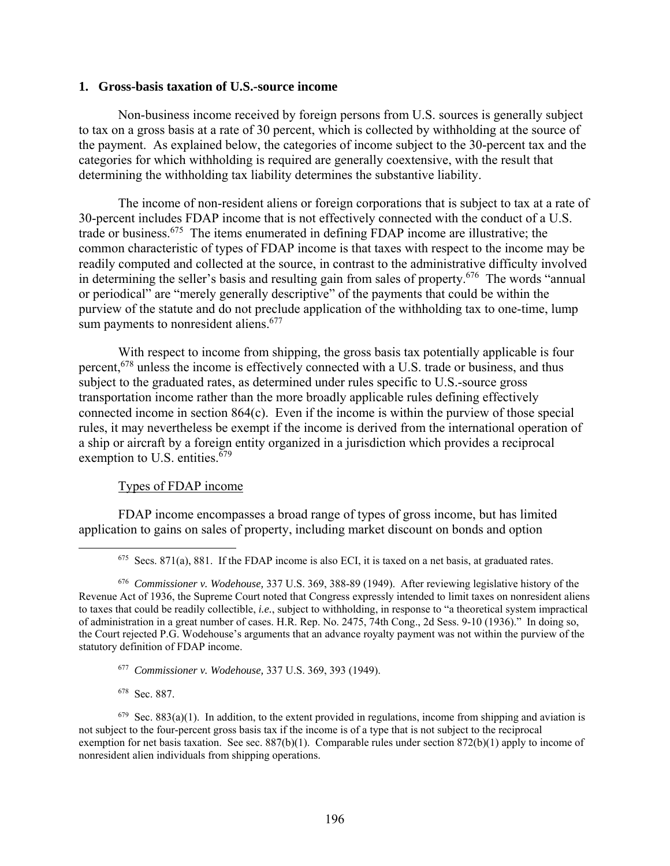#### **1. Gross-basis taxation of U.S.-source income**

Non-business income received by foreign persons from U.S. sources is generally subject to tax on a gross basis at a rate of 30 percent, which is collected by withholding at the source of the payment. As explained below, the categories of income subject to the 30-percent tax and the categories for which withholding is required are generally coextensive, with the result that determining the withholding tax liability determines the substantive liability.

The income of non-resident aliens or foreign corporations that is subject to tax at a rate of 30-percent includes FDAP income that is not effectively connected with the conduct of a U.S. trade or business.675 The items enumerated in defining FDAP income are illustrative; the common characteristic of types of FDAP income is that taxes with respect to the income may be readily computed and collected at the source, in contrast to the administrative difficulty involved in determining the seller's basis and resulting gain from sales of property.<sup>676</sup> The words "annual" or periodical" are "merely generally descriptive" of the payments that could be within the purview of the statute and do not preclude application of the withholding tax to one-time, lump sum payments to nonresident aliens.<sup>677</sup>

With respect to income from shipping, the gross basis tax potentially applicable is four percent,<sup>678</sup> unless the income is effectively connected with a U.S. trade or business, and thus subject to the graduated rates, as determined under rules specific to U.S.-source gross transportation income rather than the more broadly applicable rules defining effectively connected income in section 864(c). Even if the income is within the purview of those special rules, it may nevertheless be exempt if the income is derived from the international operation of a ship or aircraft by a foreign entity organized in a jurisdiction which provides a reciprocal exemption to U.S. entities.<sup>679</sup>

## Types of FDAP income

FDAP income encompasses a broad range of types of gross income, but has limited application to gains on sales of property, including market discount on bonds and option

677 *Commissioner v. Wodehouse,* 337 U.S. 369, 393 (1949).

678 Sec. 887.

 $679$  Sec. 883(a)(1). In addition, to the extent provided in regulations, income from shipping and aviation is not subject to the four-percent gross basis tax if the income is of a type that is not subject to the reciprocal exemption for net basis taxation. See sec.  $887(b)(1)$ . Comparable rules under section  $872(b)(1)$  apply to income of nonresident alien individuals from shipping operations.

 $675$  Secs. 871(a), 881. If the FDAP income is also ECI, it is taxed on a net basis, at graduated rates.

<sup>676</sup> *Commissioner v. Wodehouse,* 337 U.S. 369, 388-89 (1949). After reviewing legislative history of the Revenue Act of 1936, the Supreme Court noted that Congress expressly intended to limit taxes on nonresident aliens to taxes that could be readily collectible, *i.e.*, subject to withholding, in response to "a theoretical system impractical of administration in a great number of cases. H.R. Rep. No. 2475, 74th Cong., 2d Sess. 9-10 (1936)." In doing so, the Court rejected P.G. Wodehouse's arguments that an advance royalty payment was not within the purview of the statutory definition of FDAP income.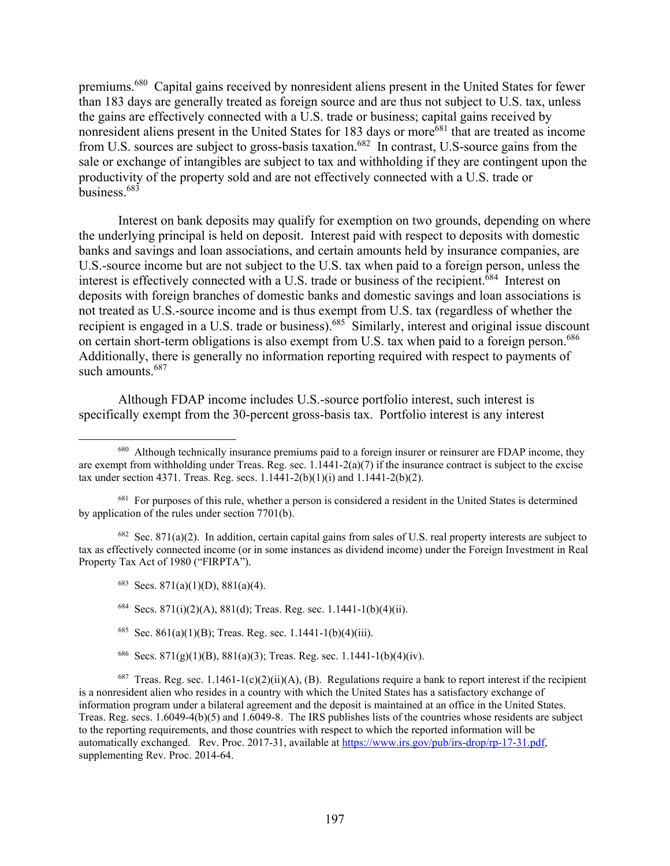premiums.680 Capital gains received by nonresident aliens present in the United States for fewer than 183 days are generally treated as foreign source and are thus not subject to U.S. tax, unless the gains are effectively connected with a U.S. trade or business; capital gains received by nonresident aliens present in the United States for 183 days or more<sup>681</sup> that are treated as income from U.S. sources are subject to gross-basis taxation.<sup>682</sup> In contrast, U.S-source gains from the sale or exchange of intangibles are subject to tax and withholding if they are contingent upon the productivity of the property sold and are not effectively connected with a U.S. trade or business.683

Interest on bank deposits may qualify for exemption on two grounds, depending on where the underlying principal is held on deposit. Interest paid with respect to deposits with domestic banks and savings and loan associations, and certain amounts held by insurance companies, are U.S.-source income but are not subject to the U.S. tax when paid to a foreign person, unless the interest is effectively connected with a U.S. trade or business of the recipient. $684$  Interest on deposits with foreign branches of domestic banks and domestic savings and loan associations is not treated as U.S.-source income and is thus exempt from U.S. tax (regardless of whether the recipient is engaged in a U.S. trade or business).<sup>685</sup> Similarly, interest and original issue discount on certain short-term obligations is also exempt from U.S. tax when paid to a foreign person.686 Additionally, there is generally no information reporting required with respect to payments of such amounts.<sup>687</sup>

Although FDAP income includes U.S.-source portfolio interest, such interest is specifically exempt from the 30-percent gross-basis tax. Portfolio interest is any interest

 $682$  Sec.  $871(a)(2)$ . In addition, certain capital gains from sales of U.S. real property interests are subject to tax as effectively connected income (or in some instances as dividend income) under the Foreign Investment in Real Property Tax Act of 1980 ("FIRPTA").

- 683 Secs.  $871(a)(1)(D)$ ,  $881(a)(4)$ .
- <sup>684</sup> Secs. 871(i)(2)(A), 881(d); Treas. Reg. sec. 1.1441-1(b)(4)(ii).
- <sup>685</sup> Sec. 861(a)(1)(B); Treas. Reg. sec. 1.1441-1(b)(4)(iii).
- <sup>686</sup> Secs. 871(g)(1)(B), 881(a)(3); Treas. Reg. sec. 1.1441-1(b)(4)(iv).

 $687$  Treas. Reg. sec. 1.1461-1(c)(2)(ii)(A), (B). Regulations require a bank to report interest if the recipient is a nonresident alien who resides in a country with which the United States has a satisfactory exchange of information program under a bilateral agreement and the deposit is maintained at an office in the United States. Treas. Reg. secs. 1.6049-4(b)(5) and 1.6049-8. The IRS publishes lists of the countries whose residents are subject to the reporting requirements, and those countries with respect to which the reported information will be automatically exchanged. Rev. Proc. 2017-31, available at https://www.irs.gov/pub/irs-drop/rp-17-31.pdf, supplementing Rev. Proc. 2014-64.

 <sup>680</sup> Although technically insurance premiums paid to a foreign insurer or reinsurer are FDAP income, they are exempt from withholding under Treas. Reg. sec. 1.1441-2(a)(7) if the insurance contract is subject to the excise tax under section 4371. Treas. Reg. secs.  $1.1441-2(b)(1)(i)$  and  $1.1441-2(b)(2)$ .

<sup>&</sup>lt;sup>681</sup> For purposes of this rule, whether a person is considered a resident in the United States is determined by application of the rules under section 7701(b).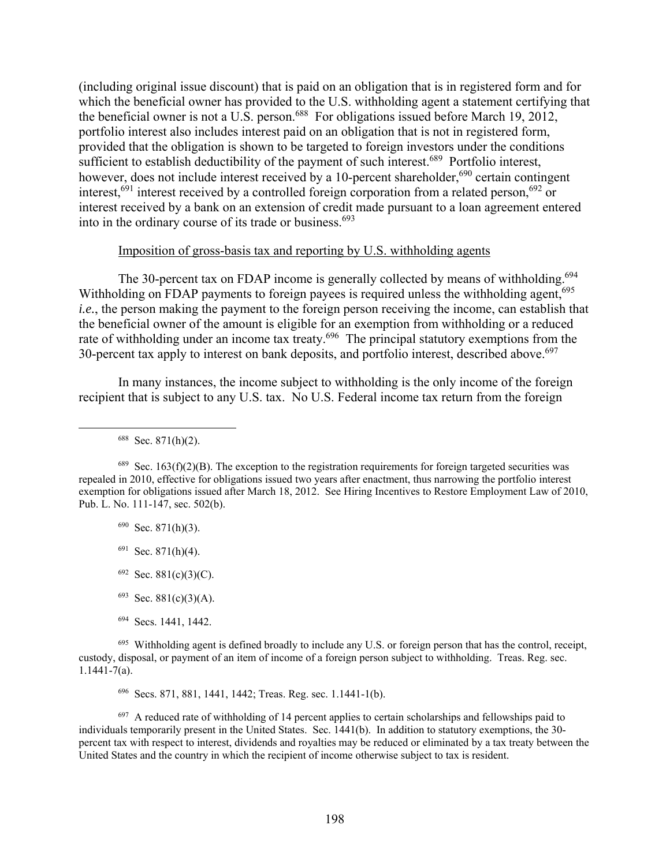(including original issue discount) that is paid on an obligation that is in registered form and for which the beneficial owner has provided to the U.S. withholding agent a statement certifying that the beneficial owner is not a U.S. person.<sup>688</sup> For obligations issued before March 19, 2012, portfolio interest also includes interest paid on an obligation that is not in registered form, provided that the obligation is shown to be targeted to foreign investors under the conditions sufficient to establish deductibility of the payment of such interest.<sup>689</sup> Portfolio interest, however, does not include interest received by a 10-percent shareholder,<sup>690</sup> certain contingent interest,<sup>691</sup> interest received by a controlled foreign corporation from a related person,<sup>692</sup> or interest received by a bank on an extension of credit made pursuant to a loan agreement entered into in the ordinary course of its trade or business. $693$ 

## Imposition of gross-basis tax and reporting by U.S. withholding agents

The 30-percent tax on FDAP income is generally collected by means of withholding.<sup>694</sup> Withholding on FDAP payments to foreign payees is required unless the withholding agent,<sup>695</sup> *i.e.*, the person making the payment to the foreign person receiving the income, can establish that the beneficial owner of the amount is eligible for an exemption from withholding or a reduced rate of withholding under an income tax treaty.<sup>696</sup> The principal statutory exemptions from the 30-percent tax apply to interest on bank deposits, and portfolio interest, described above.<sup>697</sup>

In many instances, the income subject to withholding is the only income of the foreign recipient that is subject to any U.S. tax. No U.S. Federal income tax return from the foreign

- $690$  Sec. 871(h)(3).
- $691$  Sec. 871(h)(4).
- $692$  Sec.  $881(c)(3)(C)$ .
- $693$  Sec.  $881(c)(3)(A)$ .
- 694 Secs. 1441, 1442.

696 Secs. 871, 881, 1441, 1442; Treas. Reg. sec. 1.1441-1(b).

 $697$  A reduced rate of withholding of 14 percent applies to certain scholarships and fellowships paid to individuals temporarily present in the United States. Sec. 1441(b). In addition to statutory exemptions, the 30 percent tax with respect to interest, dividends and royalties may be reduced or eliminated by a tax treaty between the United States and the country in which the recipient of income otherwise subject to tax is resident.

 $688$  Sec. 871(h)(2).

<sup>&</sup>lt;sup>689</sup> Sec. 163(f)(2)(B). The exception to the registration requirements for foreign targeted securities was repealed in 2010, effective for obligations issued two years after enactment, thus narrowing the portfolio interest exemption for obligations issued after March 18, 2012. See Hiring Incentives to Restore Employment Law of 2010, Pub. L. No. 111-147, sec. 502(b).

 $695$  Withholding agent is defined broadly to include any U.S. or foreign person that has the control, receipt, custody, disposal, or payment of an item of income of a foreign person subject to withholding. Treas. Reg. sec. 1.1441-7(a).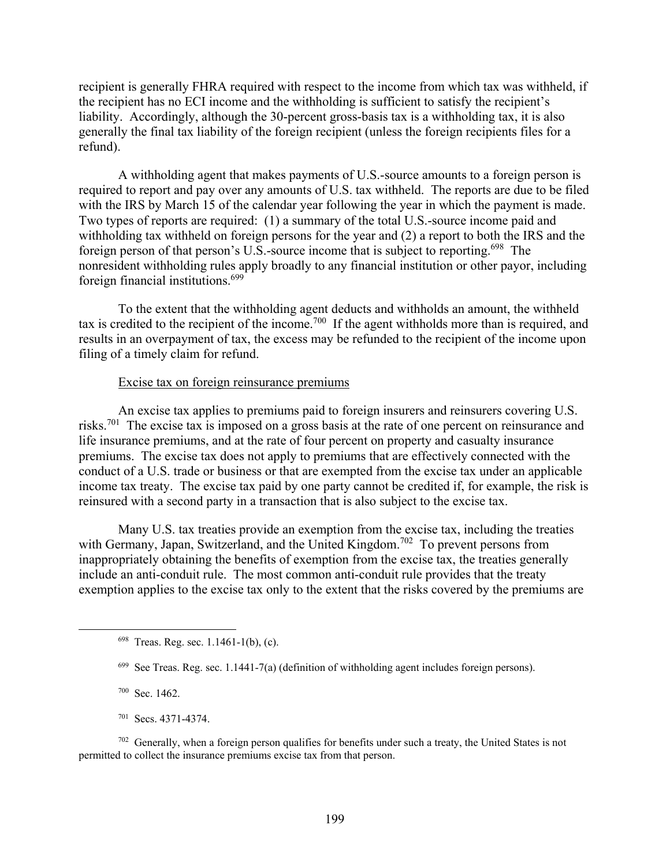recipient is generally FHRA required with respect to the income from which tax was withheld, if the recipient has no ECI income and the withholding is sufficient to satisfy the recipient's liability. Accordingly, although the 30-percent gross-basis tax is a withholding tax, it is also generally the final tax liability of the foreign recipient (unless the foreign recipients files for a refund).

A withholding agent that makes payments of U.S.-source amounts to a foreign person is required to report and pay over any amounts of U.S. tax withheld. The reports are due to be filed with the IRS by March 15 of the calendar year following the year in which the payment is made. Two types of reports are required: (1) a summary of the total U.S.-source income paid and withholding tax withheld on foreign persons for the year and (2) a report to both the IRS and the foreign person of that person's U.S.-source income that is subject to reporting.<sup>698</sup> The nonresident withholding rules apply broadly to any financial institution or other payor, including foreign financial institutions.699

To the extent that the withholding agent deducts and withholds an amount, the withheld tax is credited to the recipient of the income.<sup>700</sup> If the agent withholds more than is required, and results in an overpayment of tax, the excess may be refunded to the recipient of the income upon filing of a timely claim for refund.

#### Excise tax on foreign reinsurance premiums

An excise tax applies to premiums paid to foreign insurers and reinsurers covering U.S. risks.701 The excise tax is imposed on a gross basis at the rate of one percent on reinsurance and life insurance premiums, and at the rate of four percent on property and casualty insurance premiums. The excise tax does not apply to premiums that are effectively connected with the conduct of a U.S. trade or business or that are exempted from the excise tax under an applicable income tax treaty. The excise tax paid by one party cannot be credited if, for example, the risk is reinsured with a second party in a transaction that is also subject to the excise tax.

Many U.S. tax treaties provide an exemption from the excise tax, including the treaties with Germany, Japan, Switzerland, and the United Kingdom.<sup>702</sup> To prevent persons from inappropriately obtaining the benefits of exemption from the excise tax, the treaties generally include an anti-conduit rule. The most common anti-conduit rule provides that the treaty exemption applies to the excise tax only to the extent that the risks covered by the premiums are

700 Sec. 1462.

701 Secs. 4371-4374.

 $702$  Generally, when a foreign person qualifies for benefits under such a treaty, the United States is not permitted to collect the insurance premiums excise tax from that person.

 $698$  Treas. Reg. sec. 1.1461-1(b), (c).

 $699$  See Treas. Reg. sec. 1.1441-7(a) (definition of withholding agent includes foreign persons).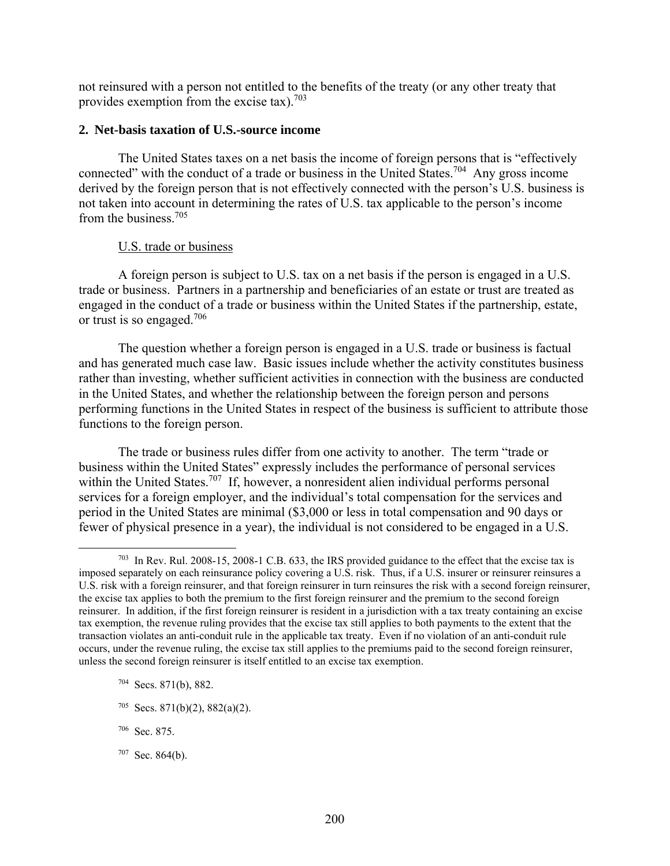not reinsured with a person not entitled to the benefits of the treaty (or any other treaty that provides exemption from the excise tax).<sup>703</sup>

#### **2. Net-basis taxation of U.S.-source income**

The United States taxes on a net basis the income of foreign persons that is "effectively connected" with the conduct of a trade or business in the United States.704 Any gross income derived by the foreign person that is not effectively connected with the person's U.S. business is not taken into account in determining the rates of U.S. tax applicable to the person's income from the business.705

## U.S. trade or business

A foreign person is subject to U.S. tax on a net basis if the person is engaged in a U.S. trade or business. Partners in a partnership and beneficiaries of an estate or trust are treated as engaged in the conduct of a trade or business within the United States if the partnership, estate, or trust is so engaged.706

The question whether a foreign person is engaged in a U.S. trade or business is factual and has generated much case law. Basic issues include whether the activity constitutes business rather than investing, whether sufficient activities in connection with the business are conducted in the United States, and whether the relationship between the foreign person and persons performing functions in the United States in respect of the business is sufficient to attribute those functions to the foreign person.

The trade or business rules differ from one activity to another. The term "trade or business within the United States" expressly includes the performance of personal services within the United States.<sup>707</sup> If, however, a nonresident alien individual performs personal services for a foreign employer, and the individual's total compensation for the services and period in the United States are minimal (\$3,000 or less in total compensation and 90 days or fewer of physical presence in a year), the individual is not considered to be engaged in a U.S.

 <sup>703</sup> In Rev. Rul. 2008-15, 2008-1 C.B. 633, the IRS provided guidance to the effect that the excise tax is imposed separately on each reinsurance policy covering a U.S. risk. Thus, if a U.S. insurer or reinsurer reinsures a U.S. risk with a foreign reinsurer, and that foreign reinsurer in turn reinsures the risk with a second foreign reinsurer, the excise tax applies to both the premium to the first foreign reinsurer and the premium to the second foreign reinsurer. In addition, if the first foreign reinsurer is resident in a jurisdiction with a tax treaty containing an excise tax exemption, the revenue ruling provides that the excise tax still applies to both payments to the extent that the transaction violates an anti-conduit rule in the applicable tax treaty. Even if no violation of an anti-conduit rule occurs, under the revenue ruling, the excise tax still applies to the premiums paid to the second foreign reinsurer, unless the second foreign reinsurer is itself entitled to an excise tax exemption.

<sup>704</sup> Secs. 871(b), 882.

<sup>705</sup> Secs. 871(b)(2), 882(a)(2).

<sup>706</sup> Sec. 875.

 $707$  Sec. 864(b).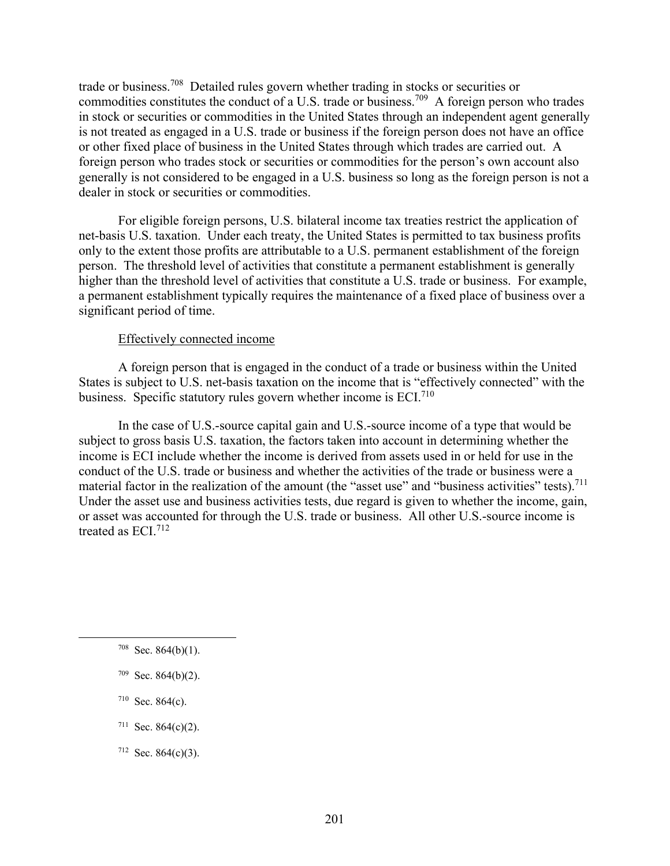trade or business.708 Detailed rules govern whether trading in stocks or securities or commodities constitutes the conduct of a U.S. trade or business.<sup>709</sup> A foreign person who trades in stock or securities or commodities in the United States through an independent agent generally is not treated as engaged in a U.S. trade or business if the foreign person does not have an office or other fixed place of business in the United States through which trades are carried out. A foreign person who trades stock or securities or commodities for the person's own account also generally is not considered to be engaged in a U.S. business so long as the foreign person is not a dealer in stock or securities or commodities.

For eligible foreign persons, U.S. bilateral income tax treaties restrict the application of net-basis U.S. taxation. Under each treaty, the United States is permitted to tax business profits only to the extent those profits are attributable to a U.S. permanent establishment of the foreign person. The threshold level of activities that constitute a permanent establishment is generally higher than the threshold level of activities that constitute a U.S. trade or business. For example, a permanent establishment typically requires the maintenance of a fixed place of business over a significant period of time.

## Effectively connected income

A foreign person that is engaged in the conduct of a trade or business within the United States is subject to U.S. net-basis taxation on the income that is "effectively connected" with the business. Specific statutory rules govern whether income is ECI.<sup>710</sup>

In the case of U.S.-source capital gain and U.S.-source income of a type that would be subject to gross basis U.S. taxation, the factors taken into account in determining whether the income is ECI include whether the income is derived from assets used in or held for use in the conduct of the U.S. trade or business and whether the activities of the trade or business were a material factor in the realization of the amount (the "asset use" and "business activities" tests).<sup>711</sup> Under the asset use and business activities tests, due regard is given to whether the income, gain, or asset was accounted for through the U.S. trade or business. All other U.S.-source income is treated as ECI $^{712}$ 

- 710 Sec. 864(c).
- $711$  Sec. 864(c)(2).
- $712$  Sec. 864(c)(3).

<sup>708</sup> Sec.  $864(b)(1)$ .

 $709$  Sec. 864(b)(2).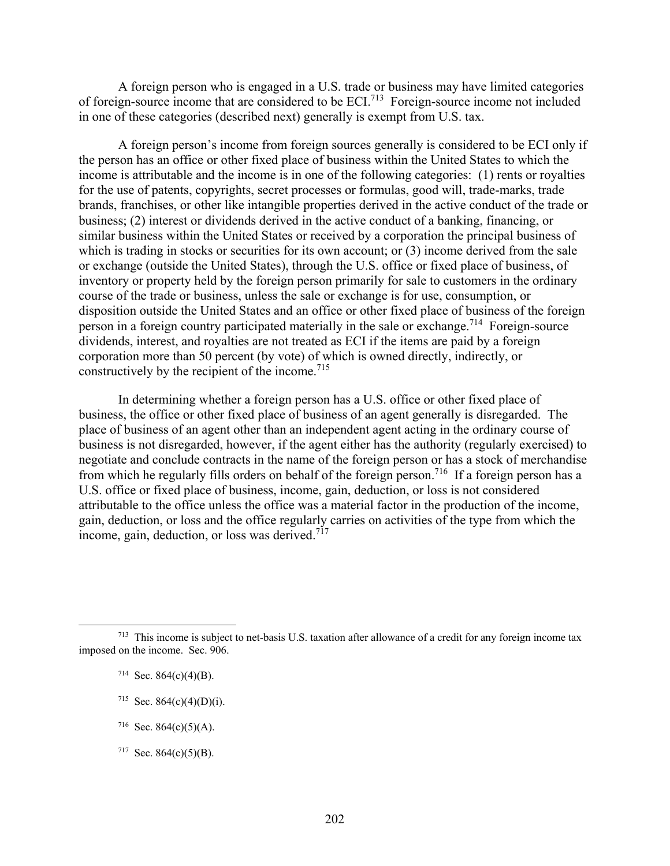A foreign person who is engaged in a U.S. trade or business may have limited categories of foreign-source income that are considered to be ECI.713 Foreign-source income not included in one of these categories (described next) generally is exempt from U.S. tax.

A foreign person's income from foreign sources generally is considered to be ECI only if the person has an office or other fixed place of business within the United States to which the income is attributable and the income is in one of the following categories: (1) rents or royalties for the use of patents, copyrights, secret processes or formulas, good will, trade-marks, trade brands, franchises, or other like intangible properties derived in the active conduct of the trade or business; (2) interest or dividends derived in the active conduct of a banking, financing, or similar business within the United States or received by a corporation the principal business of which is trading in stocks or securities for its own account; or  $(3)$  income derived from the sale or exchange (outside the United States), through the U.S. office or fixed place of business, of inventory or property held by the foreign person primarily for sale to customers in the ordinary course of the trade or business, unless the sale or exchange is for use, consumption, or disposition outside the United States and an office or other fixed place of business of the foreign person in a foreign country participated materially in the sale or exchange.<sup>714</sup> Foreign-source dividends, interest, and royalties are not treated as ECI if the items are paid by a foreign corporation more than 50 percent (by vote) of which is owned directly, indirectly, or constructively by the recipient of the income.<sup>715</sup>

In determining whether a foreign person has a U.S. office or other fixed place of business, the office or other fixed place of business of an agent generally is disregarded. The place of business of an agent other than an independent agent acting in the ordinary course of business is not disregarded, however, if the agent either has the authority (regularly exercised) to negotiate and conclude contracts in the name of the foreign person or has a stock of merchandise from which he regularly fills orders on behalf of the foreign person.<sup>716</sup> If a foreign person has a U.S. office or fixed place of business, income, gain, deduction, or loss is not considered attributable to the office unless the office was a material factor in the production of the income, gain, deduction, or loss and the office regularly carries on activities of the type from which the income, gain, deduction, or loss was derived. $717$ 

- 715 Sec.  $864(c)(4)(D)(i)$ .
- 716 Sec.  $864(c)(5)(A)$ .
- 717 Sec.  $864(c)(5)(B)$ .

 <sup>713</sup> This income is subject to net-basis U.S. taxation after allowance of a credit for any foreign income tax imposed on the income. Sec. 906.

 $714$  Sec. 864(c)(4)(B).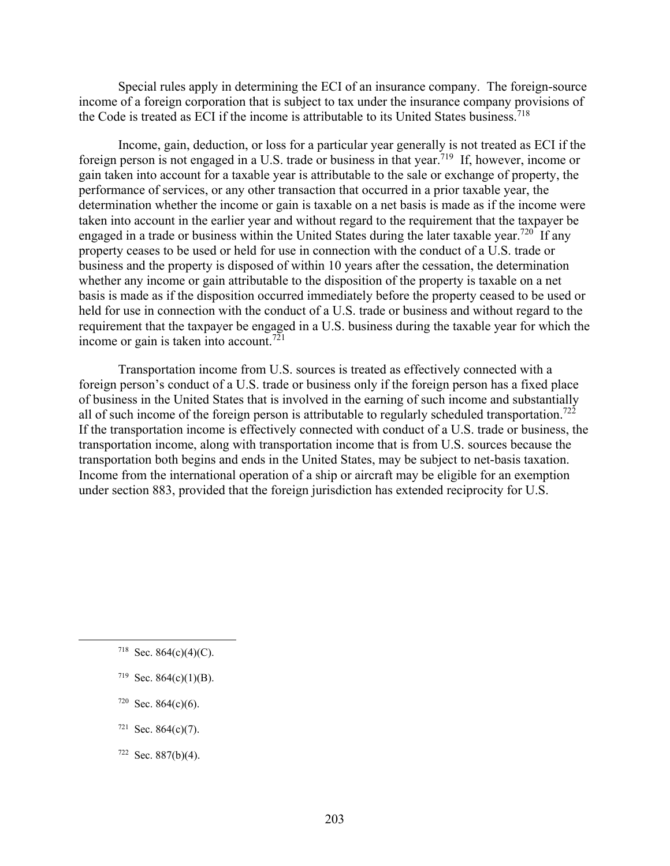Special rules apply in determining the ECI of an insurance company. The foreign-source income of a foreign corporation that is subject to tax under the insurance company provisions of the Code is treated as ECI if the income is attributable to its United States business.<sup>718</sup>

Income, gain, deduction, or loss for a particular year generally is not treated as ECI if the foreign person is not engaged in a U.S. trade or business in that year.<sup>719</sup> If, however, income or gain taken into account for a taxable year is attributable to the sale or exchange of property, the performance of services, or any other transaction that occurred in a prior taxable year, the determination whether the income or gain is taxable on a net basis is made as if the income were taken into account in the earlier year and without regard to the requirement that the taxpayer be engaged in a trade or business within the United States during the later taxable year.<sup>720</sup> If any property ceases to be used or held for use in connection with the conduct of a U.S. trade or business and the property is disposed of within 10 years after the cessation, the determination whether any income or gain attributable to the disposition of the property is taxable on a net basis is made as if the disposition occurred immediately before the property ceased to be used or held for use in connection with the conduct of a U.S. trade or business and without regard to the requirement that the taxpayer be engaged in a U.S. business during the taxable year for which the income or gain is taken into account.<sup>721</sup>

Transportation income from U.S. sources is treated as effectively connected with a foreign person's conduct of a U.S. trade or business only if the foreign person has a fixed place of business in the United States that is involved in the earning of such income and substantially all of such income of the foreign person is attributable to regularly scheduled transportation.<sup>722</sup> If the transportation income is effectively connected with conduct of a U.S. trade or business, the transportation income, along with transportation income that is from U.S. sources because the transportation both begins and ends in the United States, may be subject to net-basis taxation. Income from the international operation of a ship or aircraft may be eligible for an exemption under section 883, provided that the foreign jurisdiction has extended reciprocity for U.S.

- $719$  Sec. 864(c)(1)(B).
- $720$  Sec. 864(c)(6).
- $721$  Sec. 864(c)(7).
- $722$  Sec. 887(b)(4).

<sup>718</sup> Sec. 864(c)(4)(C).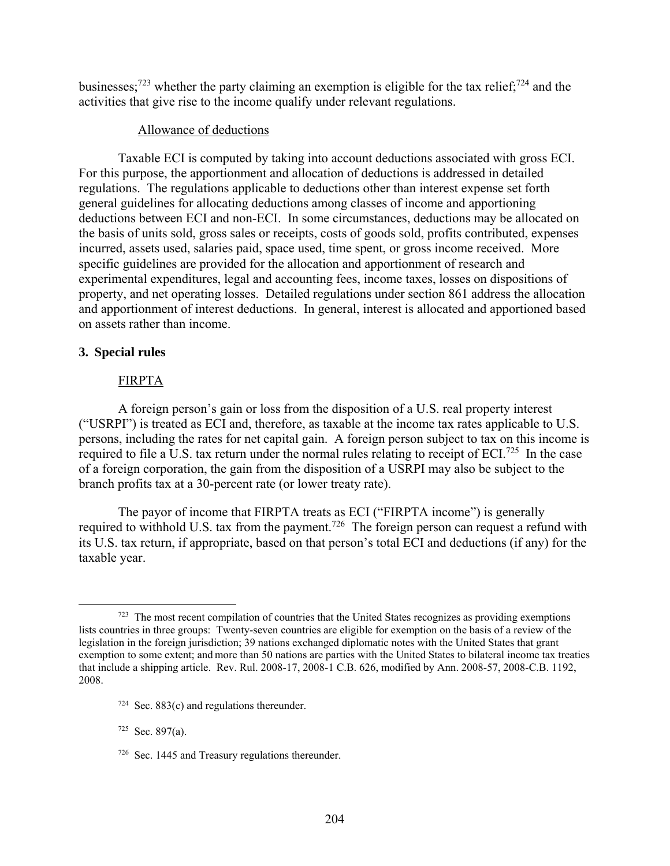businesses;<sup>723</sup> whether the party claiming an exemption is eligible for the tax relief;<sup>724</sup> and the activities that give rise to the income qualify under relevant regulations.

## Allowance of deductions

Taxable ECI is computed by taking into account deductions associated with gross ECI. For this purpose, the apportionment and allocation of deductions is addressed in detailed regulations. The regulations applicable to deductions other than interest expense set forth general guidelines for allocating deductions among classes of income and apportioning deductions between ECI and non-ECI. In some circumstances, deductions may be allocated on the basis of units sold, gross sales or receipts, costs of goods sold, profits contributed, expenses incurred, assets used, salaries paid, space used, time spent, or gross income received. More specific guidelines are provided for the allocation and apportionment of research and experimental expenditures, legal and accounting fees, income taxes, losses on dispositions of property, and net operating losses. Detailed regulations under section 861 address the allocation and apportionment of interest deductions. In general, interest is allocated and apportioned based on assets rather than income.

# **3. Special rules**

# FIRPTA

A foreign person's gain or loss from the disposition of a U.S. real property interest ("USRPI") is treated as ECI and, therefore, as taxable at the income tax rates applicable to U.S. persons, including the rates for net capital gain. A foreign person subject to tax on this income is required to file a U.S. tax return under the normal rules relating to receipt of ECI.<sup>725</sup> In the case of a foreign corporation, the gain from the disposition of a USRPI may also be subject to the branch profits tax at a 30-percent rate (or lower treaty rate).

The payor of income that FIRPTA treats as ECI ("FIRPTA income") is generally required to withhold U.S. tax from the payment.<sup>726</sup> The foreign person can request a refund with its U.S. tax return, if appropriate, based on that person's total ECI and deductions (if any) for the taxable year.

 $723$  The most recent compilation of countries that the United States recognizes as providing exemptions lists countries in three groups: Twenty-seven countries are eligible for exemption on the basis of a review of the legislation in the foreign jurisdiction; 39 nations exchanged diplomatic notes with the United States that grant exemption to some extent; and more than 50 nations are parties with the United States to bilateral income tax treaties that include a shipping article. Rev. Rul. 2008-17, 2008-1 C.B. 626, modified by Ann. 2008-57, 2008-C.B. 1192, 2008.

<sup>724</sup> Sec. 883(c) and regulations thereunder.

<sup>725</sup> Sec. 897(a).

<sup>726</sup> Sec. 1445 and Treasury regulations thereunder.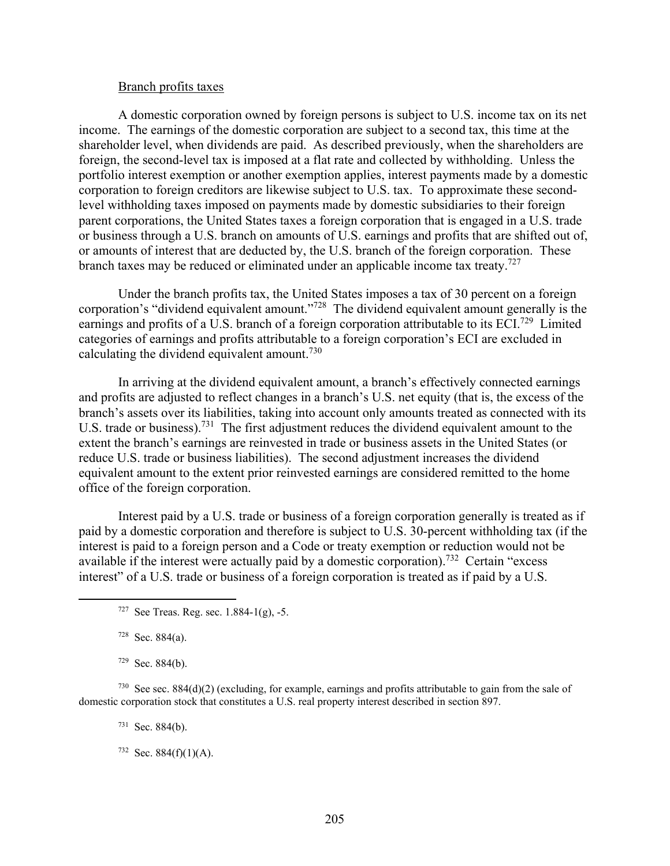#### Branch profits taxes

A domestic corporation owned by foreign persons is subject to U.S. income tax on its net income. The earnings of the domestic corporation are subject to a second tax, this time at the shareholder level, when dividends are paid. As described previously, when the shareholders are foreign, the second-level tax is imposed at a flat rate and collected by withholding. Unless the portfolio interest exemption or another exemption applies, interest payments made by a domestic corporation to foreign creditors are likewise subject to U.S. tax. To approximate these secondlevel withholding taxes imposed on payments made by domestic subsidiaries to their foreign parent corporations, the United States taxes a foreign corporation that is engaged in a U.S. trade or business through a U.S. branch on amounts of U.S. earnings and profits that are shifted out of, or amounts of interest that are deducted by, the U.S. branch of the foreign corporation. These branch taxes may be reduced or eliminated under an applicable income tax treaty.<sup>727</sup>

Under the branch profits tax, the United States imposes a tax of 30 percent on a foreign corporation's "dividend equivalent amount."<sup>728</sup> The dividend equivalent amount generally is the earnings and profits of a U.S. branch of a foreign corporation attributable to its ECI.<sup>729</sup> Limited categories of earnings and profits attributable to a foreign corporation's ECI are excluded in calculating the dividend equivalent amount.<sup>730</sup>

In arriving at the dividend equivalent amount, a branch's effectively connected earnings and profits are adjusted to reflect changes in a branch's U.S. net equity (that is, the excess of the branch's assets over its liabilities, taking into account only amounts treated as connected with its U.S. trade or business).<sup>731</sup> The first adjustment reduces the dividend equivalent amount to the extent the branch's earnings are reinvested in trade or business assets in the United States (or reduce U.S. trade or business liabilities). The second adjustment increases the dividend equivalent amount to the extent prior reinvested earnings are considered remitted to the home office of the foreign corporation.

Interest paid by a U.S. trade or business of a foreign corporation generally is treated as if paid by a domestic corporation and therefore is subject to U.S. 30-percent withholding tax (if the interest is paid to a foreign person and a Code or treaty exemption or reduction would not be available if the interest were actually paid by a domestic corporation).<sup>732</sup> Certain "excess" interest" of a U.S. trade or business of a foreign corporation is treated as if paid by a U.S.

728 Sec. 884(a).

729 Sec. 884(b).

 $730$  See sec.  $884(d)(2)$  (excluding, for example, earnings and profits attributable to gain from the sale of domestic corporation stock that constitutes a U.S. real property interest described in section 897.

731 Sec. 884(b).

 $732$  Sec. 884(f)(1)(A).

<sup>727</sup> See Treas. Reg. sec.  $1.884-1(g)$ ,  $-5$ .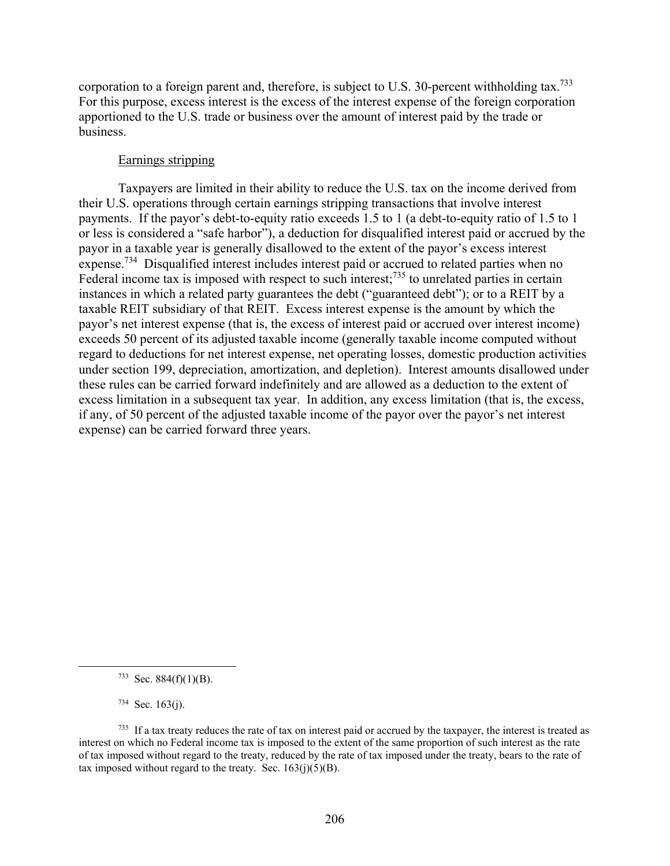corporation to a foreign parent and, therefore, is subject to U.S. 30-percent withholding tax.<sup>733</sup> For this purpose, excess interest is the excess of the interest expense of the foreign corporation apportioned to the U.S. trade or business over the amount of interest paid by the trade or business.

## Earnings stripping

Taxpayers are limited in their ability to reduce the U.S. tax on the income derived from their U.S. operations through certain earnings stripping transactions that involve interest payments. If the payor's debt-to-equity ratio exceeds 1.5 to 1 (a debt-to-equity ratio of 1.5 to 1 or less is considered a "safe harbor"), a deduction for disqualified interest paid or accrued by the payor in a taxable year is generally disallowed to the extent of the payor's excess interest expense.<sup>734</sup> Disqualified interest includes interest paid or accrued to related parties when no Federal income tax is imposed with respect to such interest;<sup>735</sup> to unrelated parties in certain instances in which a related party guarantees the debt ("guaranteed debt"); or to a REIT by a taxable REIT subsidiary of that REIT. Excess interest expense is the amount by which the payor's net interest expense (that is, the excess of interest paid or accrued over interest income) exceeds 50 percent of its adjusted taxable income (generally taxable income computed without regard to deductions for net interest expense, net operating losses, domestic production activities under section 199, depreciation, amortization, and depletion). Interest amounts disallowed under these rules can be carried forward indefinitely and are allowed as a deduction to the extent of excess limitation in a subsequent tax year. In addition, any excess limitation (that is, the excess, if any, of 50 percent of the adjusted taxable income of the payor over the payor's net interest expense) can be carried forward three years.

 $733$  Sec. 884(f)(1)(B).

 $734$  Sec. 163(j).

 $735$  If a tax treaty reduces the rate of tax on interest paid or accrued by the taxpayer, the interest is treated as interest on which no Federal income tax is imposed to the extent of the same proportion of such interest as the rate of tax imposed without regard to the treaty, reduced by the rate of tax imposed under the treaty, bears to the rate of tax imposed without regard to the treaty. Sec.  $163(i)(5)(B)$ .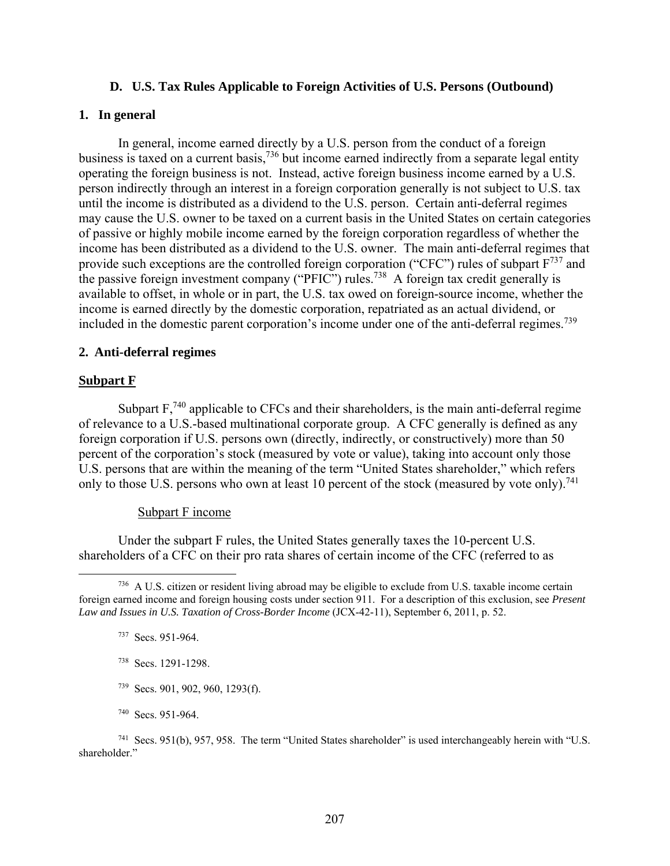## **D. U.S. Tax Rules Applicable to Foreign Activities of U.S. Persons (Outbound)**

## **1. In general**

In general, income earned directly by a U.S. person from the conduct of a foreign business is taxed on a current basis,<sup>736</sup> but income earned indirectly from a separate legal entity operating the foreign business is not. Instead, active foreign business income earned by a U.S. person indirectly through an interest in a foreign corporation generally is not subject to U.S. tax until the income is distributed as a dividend to the U.S. person. Certain anti-deferral regimes may cause the U.S. owner to be taxed on a current basis in the United States on certain categories of passive or highly mobile income earned by the foreign corporation regardless of whether the income has been distributed as a dividend to the U.S. owner. The main anti-deferral regimes that provide such exceptions are the controlled foreign corporation ("CFC") rules of subpart  $F^{737}$  and the passive foreign investment company ("PFIC") rules.<sup>738</sup> A foreign tax credit generally is available to offset, in whole or in part, the U.S. tax owed on foreign-source income, whether the income is earned directly by the domestic corporation, repatriated as an actual dividend, or included in the domestic parent corporation's income under one of the anti-deferral regimes.<sup>739</sup>

#### **2. Anti-deferral regimes**

#### **Subpart F**

Subpart  $F<sub>1</sub><sup>740</sup>$  applicable to CFCs and their shareholders, is the main anti-deferral regime of relevance to a U.S.-based multinational corporate group. A CFC generally is defined as any foreign corporation if U.S. persons own (directly, indirectly, or constructively) more than 50 percent of the corporation's stock (measured by vote or value), taking into account only those U.S. persons that are within the meaning of the term "United States shareholder," which refers only to those U.S. persons who own at least 10 percent of the stock (measured by vote only).<sup>741</sup>

#### Subpart F income

Under the subpart F rules, the United States generally taxes the 10-percent U.S. shareholders of a CFC on their pro rata shares of certain income of the CFC (referred to as

- 739 Secs. 901, 902, 960, 1293(f).
- 740 Secs. 951-964.

 $736$  A U.S. citizen or resident living abroad may be eligible to exclude from U.S. taxable income certain foreign earned income and foreign housing costs under section 911. For a description of this exclusion, see *Present Law and Issues in U.S. Taxation of Cross-Border Income* (JCX-42-11), September 6, 2011, p. 52.

<sup>737</sup> Secs. 951-964.

<sup>738</sup> Secs. 1291-1298.

<sup>741</sup> Secs. 951(b), 957, 958. The term "United States shareholder" is used interchangeably herein with "U.S. shareholder."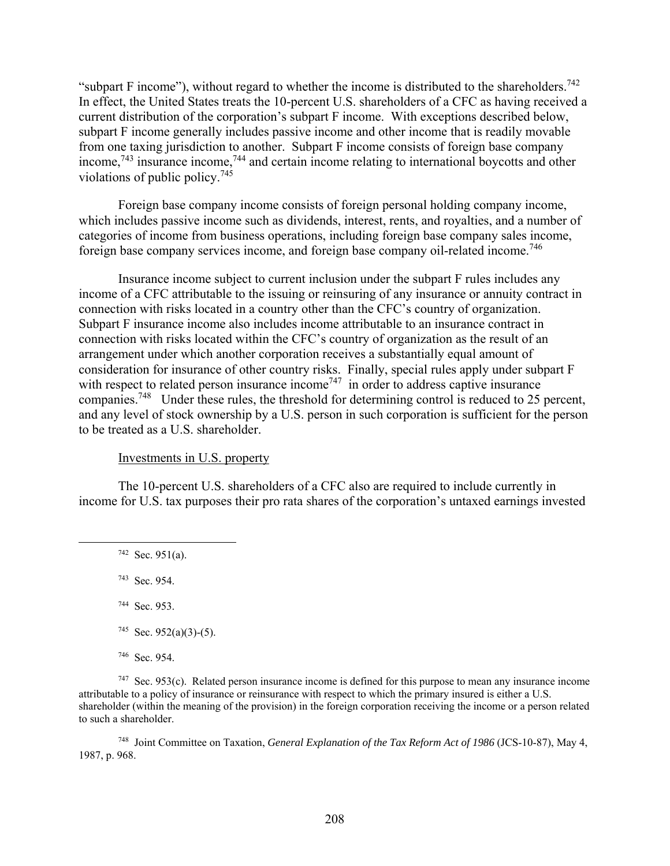"subpart F income"), without regard to whether the income is distributed to the shareholders.<sup>742</sup> In effect, the United States treats the 10-percent U.S. shareholders of a CFC as having received a current distribution of the corporation's subpart F income. With exceptions described below, subpart F income generally includes passive income and other income that is readily movable from one taxing jurisdiction to another. Subpart F income consists of foreign base company income,743 insurance income,744 and certain income relating to international boycotts and other violations of public policy.<sup>745</sup>

Foreign base company income consists of foreign personal holding company income, which includes passive income such as dividends, interest, rents, and royalties, and a number of categories of income from business operations, including foreign base company sales income, foreign base company services income, and foreign base company oil-related income.<sup>746</sup>

Insurance income subject to current inclusion under the subpart F rules includes any income of a CFC attributable to the issuing or reinsuring of any insurance or annuity contract in connection with risks located in a country other than the CFC's country of organization. Subpart F insurance income also includes income attributable to an insurance contract in connection with risks located within the CFC's country of organization as the result of an arrangement under which another corporation receives a substantially equal amount of consideration for insurance of other country risks. Finally, special rules apply under subpart F with respect to related person insurance income<sup>747</sup> in order to address captive insurance companies.748 Under these rules, the threshold for determining control is reduced to 25 percent, and any level of stock ownership by a U.S. person in such corporation is sufficient for the person to be treated as a U.S. shareholder.

## Investments in U.S. property

The 10-percent U.S. shareholders of a CFC also are required to include currently in income for U.S. tax purposes their pro rata shares of the corporation's untaxed earnings invested

742 Sec. 951(a).

743 Sec. 954.

744 Sec. 953.

745 Sec. 952(a)(3)-(5).

746 Sec. 954.

 $747$  Sec. 953(c). Related person insurance income is defined for this purpose to mean any insurance income attributable to a policy of insurance or reinsurance with respect to which the primary insured is either a U.S. shareholder (within the meaning of the provision) in the foreign corporation receiving the income or a person related to such a shareholder.

748 Joint Committee on Taxation, *General Explanation of the Tax Reform Act of 1986* (JCS-10-87), May 4, 1987, p. 968.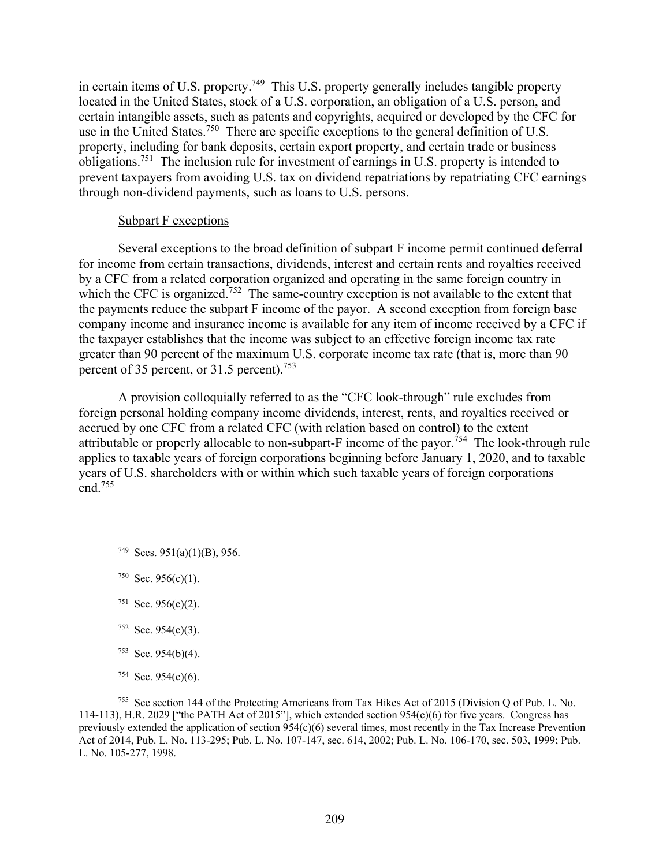in certain items of U.S. property.<sup>749</sup> This U.S. property generally includes tangible property located in the United States, stock of a U.S. corporation, an obligation of a U.S. person, and certain intangible assets, such as patents and copyrights, acquired or developed by the CFC for use in the United States.<sup>750</sup> There are specific exceptions to the general definition of U.S. property, including for bank deposits, certain export property, and certain trade or business obligations.751 The inclusion rule for investment of earnings in U.S. property is intended to prevent taxpayers from avoiding U.S. tax on dividend repatriations by repatriating CFC earnings through non-dividend payments, such as loans to U.S. persons.

## Subpart F exceptions

Several exceptions to the broad definition of subpart F income permit continued deferral for income from certain transactions, dividends, interest and certain rents and royalties received by a CFC from a related corporation organized and operating in the same foreign country in which the CFC is organized.<sup>752</sup> The same-country exception is not available to the extent that the payments reduce the subpart F income of the payor. A second exception from foreign base company income and insurance income is available for any item of income received by a CFC if the taxpayer establishes that the income was subject to an effective foreign income tax rate greater than 90 percent of the maximum U.S. corporate income tax rate (that is, more than 90 percent of 35 percent, or 31.5 percent).753

A provision colloquially referred to as the "CFC look-through" rule excludes from foreign personal holding company income dividends, interest, rents, and royalties received or accrued by one CFC from a related CFC (with relation based on control) to the extent attributable or properly allocable to non-subpart-F income of the payor.<sup> $754$ </sup> The look-through rule applies to taxable years of foreign corporations beginning before January 1, 2020, and to taxable years of U.S. shareholders with or within which such taxable years of foreign corporations end.755

- 749 Secs.  $951(a)(1)(B)$ , 956.
- 750 Sec. 956(c)(1).
- 751 Sec. 956(c)(2).
- 752 Sec. 954(c)(3).
- 753 Sec. 954(b)(4).
- 754 Sec. 954(c)(6).

755 See section 144 of the Protecting Americans from Tax Hikes Act of 2015 (Division Q of Pub. L. No. 114-113), H.R. 2029 ["the PATH Act of 2015"], which extended section 954(c)(6) for five years. Congress has previously extended the application of section  $954(c)(6)$  several times, most recently in the Tax Increase Prevention Act of 2014, Pub. L. No. 113-295; Pub. L. No. 107-147, sec. 614, 2002; Pub. L. No. 106-170, sec. 503, 1999; Pub. L. No. 105-277, 1998.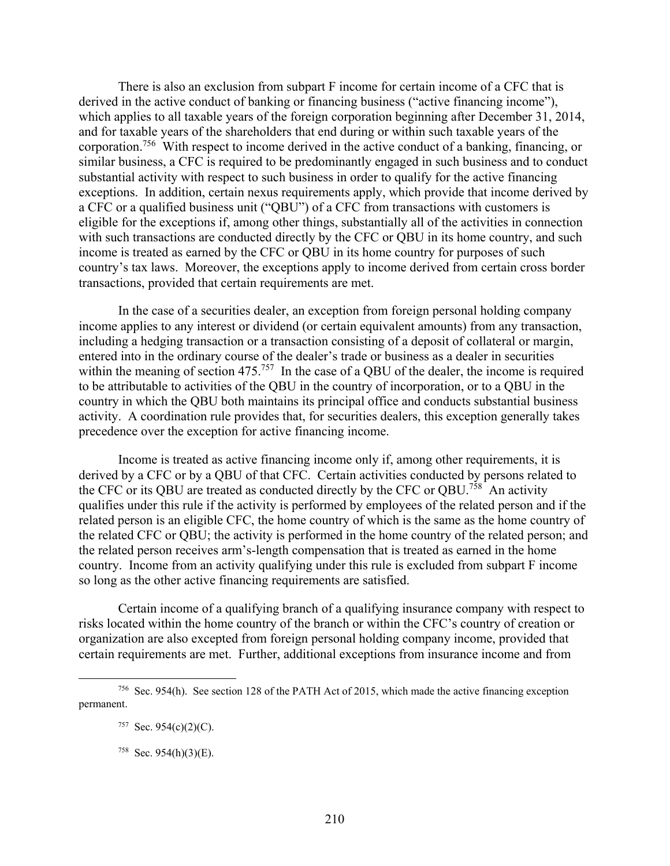There is also an exclusion from subpart F income for certain income of a CFC that is derived in the active conduct of banking or financing business ("active financing income"), which applies to all taxable years of the foreign corporation beginning after December 31, 2014, and for taxable years of the shareholders that end during or within such taxable years of the corporation.756 With respect to income derived in the active conduct of a banking, financing, or similar business, a CFC is required to be predominantly engaged in such business and to conduct substantial activity with respect to such business in order to qualify for the active financing exceptions. In addition, certain nexus requirements apply, which provide that income derived by a CFC or a qualified business unit ("QBU") of a CFC from transactions with customers is eligible for the exceptions if, among other things, substantially all of the activities in connection with such transactions are conducted directly by the CFC or QBU in its home country, and such income is treated as earned by the CFC or QBU in its home country for purposes of such country's tax laws. Moreover, the exceptions apply to income derived from certain cross border transactions, provided that certain requirements are met.

In the case of a securities dealer, an exception from foreign personal holding company income applies to any interest or dividend (or certain equivalent amounts) from any transaction, including a hedging transaction or a transaction consisting of a deposit of collateral or margin, entered into in the ordinary course of the dealer's trade or business as a dealer in securities within the meaning of section 475.<sup>757</sup> In the case of a QBU of the dealer, the income is required to be attributable to activities of the QBU in the country of incorporation, or to a QBU in the country in which the QBU both maintains its principal office and conducts substantial business activity. A coordination rule provides that, for securities dealers, this exception generally takes precedence over the exception for active financing income.

Income is treated as active financing income only if, among other requirements, it is derived by a CFC or by a QBU of that CFC. Certain activities conducted by persons related to the CFC or its QBU are treated as conducted directly by the CFC or QBU.758 An activity qualifies under this rule if the activity is performed by employees of the related person and if the related person is an eligible CFC, the home country of which is the same as the home country of the related CFC or QBU; the activity is performed in the home country of the related person; and the related person receives arm's-length compensation that is treated as earned in the home country. Income from an activity qualifying under this rule is excluded from subpart F income so long as the other active financing requirements are satisfied.

Certain income of a qualifying branch of a qualifying insurance company with respect to risks located within the home country of the branch or within the CFC's country of creation or organization are also excepted from foreign personal holding company income, provided that certain requirements are met. Further, additional exceptions from insurance income and from

 <sup>756</sup> Sec. 954(h). See section 128 of the PATH Act of 2015, which made the active financing exception permanent.

<sup>757</sup> Sec. 954(c)(2)(C).

 $758$  Sec. 954(h)(3)(E).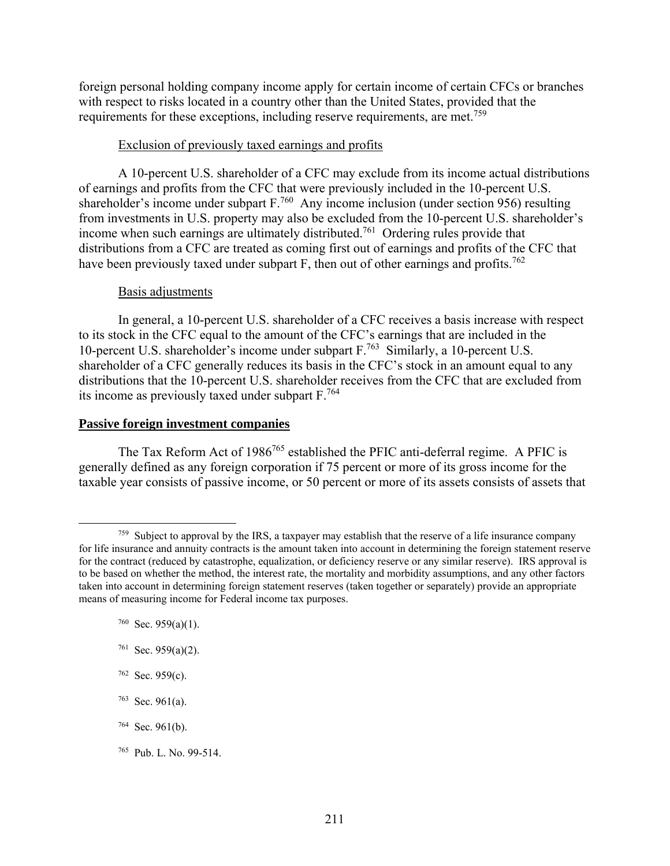foreign personal holding company income apply for certain income of certain CFCs or branches with respect to risks located in a country other than the United States, provided that the requirements for these exceptions, including reserve requirements, are met.759

### Exclusion of previously taxed earnings and profits

A 10-percent U.S. shareholder of a CFC may exclude from its income actual distributions of earnings and profits from the CFC that were previously included in the 10-percent U.S. shareholder's income under subpart F.<sup>760</sup> Any income inclusion (under section 956) resulting from investments in U.S. property may also be excluded from the 10-percent U.S. shareholder's income when such earnings are ultimately distributed.761 Ordering rules provide that distributions from a CFC are treated as coming first out of earnings and profits of the CFC that have been previously taxed under subpart F, then out of other earnings and profits.<sup>762</sup>

### Basis adjustments

In general, a 10-percent U.S. shareholder of a CFC receives a basis increase with respect to its stock in the CFC equal to the amount of the CFC's earnings that are included in the 10-percent U.S. shareholder's income under subpart F.763 Similarly, a 10-percent U.S. shareholder of a CFC generally reduces its basis in the CFC's stock in an amount equal to any distributions that the 10-percent U.S. shareholder receives from the CFC that are excluded from its income as previously taxed under subpart  $F<sup>764</sup>$ 

### **Passive foreign investment companies**

The Tax Reform Act of 1986<sup>765</sup> established the PFIC anti-deferral regime. A PFIC is generally defined as any foreign corporation if 75 percent or more of its gross income for the taxable year consists of passive income, or 50 percent or more of its assets consists of assets that

 <sup>759</sup> Subject to approval by the IRS, a taxpayer may establish that the reserve of a life insurance company for life insurance and annuity contracts is the amount taken into account in determining the foreign statement reserve for the contract (reduced by catastrophe, equalization, or deficiency reserve or any similar reserve). IRS approval is to be based on whether the method, the interest rate, the mortality and morbidity assumptions, and any other factors taken into account in determining foreign statement reserves (taken together or separately) provide an appropriate means of measuring income for Federal income tax purposes.

 $760$  Sec. 959(a)(1).

 $761$  Sec. 959(a)(2).

 $762$  Sec. 959(c).

 $763$  Sec. 961(a).

 $764$  Sec. 961(b).

<sup>765</sup> Pub. L. No. 99-514.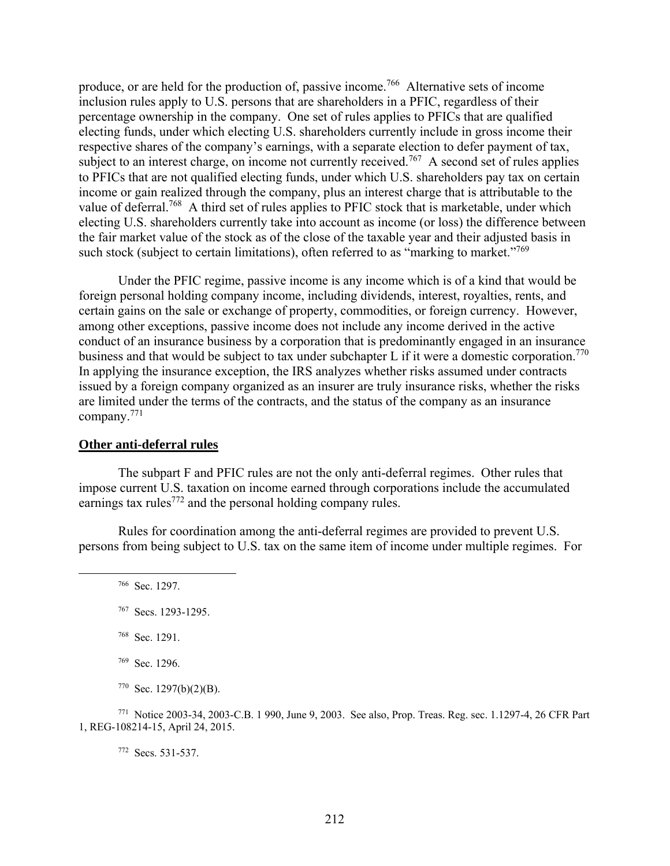produce, or are held for the production of, passive income.<sup>766</sup> Alternative sets of income inclusion rules apply to U.S. persons that are shareholders in a PFIC, regardless of their percentage ownership in the company. One set of rules applies to PFICs that are qualified electing funds, under which electing U.S. shareholders currently include in gross income their respective shares of the company's earnings, with a separate election to defer payment of tax, subject to an interest charge, on income not currently received.<sup>767</sup> A second set of rules applies to PFICs that are not qualified electing funds, under which U.S. shareholders pay tax on certain income or gain realized through the company, plus an interest charge that is attributable to the value of deferral.<sup>768</sup> A third set of rules applies to PFIC stock that is marketable, under which electing U.S. shareholders currently take into account as income (or loss) the difference between the fair market value of the stock as of the close of the taxable year and their adjusted basis in such stock (subject to certain limitations), often referred to as "marking to market."<sup>769</sup>

Under the PFIC regime, passive income is any income which is of a kind that would be foreign personal holding company income, including dividends, interest, royalties, rents, and certain gains on the sale or exchange of property, commodities, or foreign currency. However, among other exceptions, passive income does not include any income derived in the active conduct of an insurance business by a corporation that is predominantly engaged in an insurance business and that would be subject to tax under subchapter L if it were a domestic corporation.<sup>770</sup> In applying the insurance exception, the IRS analyzes whether risks assumed under contracts issued by a foreign company organized as an insurer are truly insurance risks, whether the risks are limited under the terms of the contracts, and the status of the company as an insurance company.771

### **Other anti-deferral rules**

The subpart F and PFIC rules are not the only anti-deferral regimes. Other rules that impose current U.S. taxation on income earned through corporations include the accumulated earnings tax rules<sup>772</sup> and the personal holding company rules.

Rules for coordination among the anti-deferral regimes are provided to prevent U.S. persons from being subject to U.S. tax on the same item of income under multiple regimes. For

- 768 Sec. 1291.
- 769 Sec. 1296.
- $770$  Sec. 1297(b)(2)(B).

771 Notice 2003-34, 2003-C.B. 1 990, June 9, 2003. See also, Prop. Treas. Reg. sec. 1.1297-4, 26 CFR Part 1, REG-108214-15, April 24, 2015.

772 Secs. 531-537.

 <sup>766</sup> Sec. 1297.

<sup>767</sup> Secs. 1293-1295.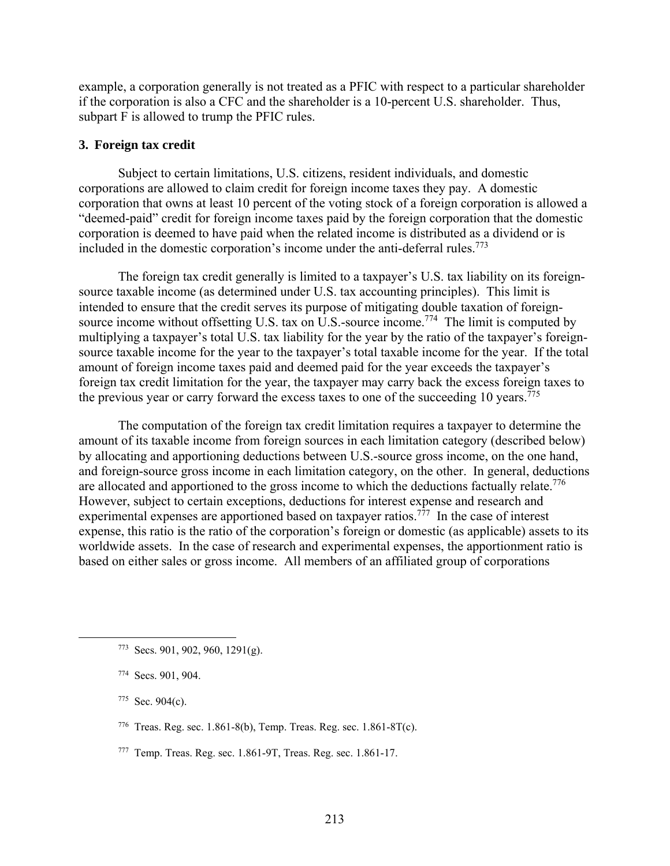example, a corporation generally is not treated as a PFIC with respect to a particular shareholder if the corporation is also a CFC and the shareholder is a 10-percent U.S. shareholder. Thus, subpart F is allowed to trump the PFIC rules.

#### **3. Foreign tax credit**

Subject to certain limitations, U.S. citizens, resident individuals, and domestic corporations are allowed to claim credit for foreign income taxes they pay. A domestic corporation that owns at least 10 percent of the voting stock of a foreign corporation is allowed a "deemed-paid" credit for foreign income taxes paid by the foreign corporation that the domestic corporation is deemed to have paid when the related income is distributed as a dividend or is included in the domestic corporation's income under the anti-deferral rules.773

The foreign tax credit generally is limited to a taxpayer's U.S. tax liability on its foreignsource taxable income (as determined under U.S. tax accounting principles). This limit is intended to ensure that the credit serves its purpose of mitigating double taxation of foreignsource income without offsetting U.S. tax on U.S.-source income.<sup>774</sup> The limit is computed by multiplying a taxpayer's total U.S. tax liability for the year by the ratio of the taxpayer's foreignsource taxable income for the year to the taxpayer's total taxable income for the year. If the total amount of foreign income taxes paid and deemed paid for the year exceeds the taxpayer's foreign tax credit limitation for the year, the taxpayer may carry back the excess foreign taxes to the previous year or carry forward the excess taxes to one of the succeeding 10 years.<sup>775</sup>

The computation of the foreign tax credit limitation requires a taxpayer to determine the amount of its taxable income from foreign sources in each limitation category (described below) by allocating and apportioning deductions between U.S.-source gross income, on the one hand, and foreign-source gross income in each limitation category, on the other. In general, deductions are allocated and apportioned to the gross income to which the deductions factually relate.<sup>776</sup> However, subject to certain exceptions, deductions for interest expense and research and experimental expenses are apportioned based on taxpayer ratios.<sup> $777$ </sup> In the case of interest expense, this ratio is the ratio of the corporation's foreign or domestic (as applicable) assets to its worldwide assets. In the case of research and experimental expenses, the apportionment ratio is based on either sales or gross income. All members of an affiliated group of corporations

 $775$  Sec. 904(c).

- 776 Treas. Reg. sec. 1.861-8(b), Temp. Treas. Reg. sec. 1.861-8T(c).
- 777 Temp. Treas. Reg. sec. 1.861-9T, Treas. Reg. sec. 1.861-17.

 <sup>773</sup> Secs. 901, 902, 960, 1291(g).

<sup>774</sup> Secs. 901, 904.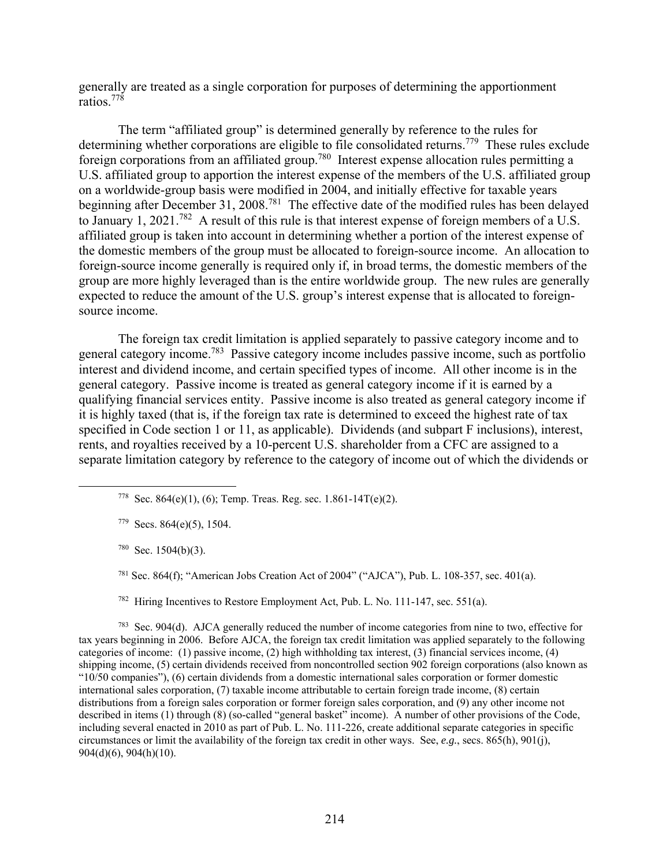generally are treated as a single corporation for purposes of determining the apportionment ratios.778

The term "affiliated group" is determined generally by reference to the rules for determining whether corporations are eligible to file consolidated returns.<sup>779</sup> These rules exclude foreign corporations from an affiliated group.780 Interest expense allocation rules permitting a U.S. affiliated group to apportion the interest expense of the members of the U.S. affiliated group on a worldwide-group basis were modified in 2004, and initially effective for taxable years beginning after December 31, 2008.<sup>781</sup> The effective date of the modified rules has been delayed to January 1, 2021.<sup>782</sup> A result of this rule is that interest expense of foreign members of a U.S. affiliated group is taken into account in determining whether a portion of the interest expense of the domestic members of the group must be allocated to foreign-source income. An allocation to foreign-source income generally is required only if, in broad terms, the domestic members of the group are more highly leveraged than is the entire worldwide group. The new rules are generally expected to reduce the amount of the U.S. group's interest expense that is allocated to foreignsource income.

The foreign tax credit limitation is applied separately to passive category income and to general category income.783 Passive category income includes passive income, such as portfolio interest and dividend income, and certain specified types of income. All other income is in the general category. Passive income is treated as general category income if it is earned by a qualifying financial services entity. Passive income is also treated as general category income if it is highly taxed (that is, if the foreign tax rate is determined to exceed the highest rate of tax specified in Code section 1 or 11, as applicable). Dividends (and subpart F inclusions), interest, rents, and royalties received by a 10-percent U.S. shareholder from a CFC are assigned to a separate limitation category by reference to the category of income out of which the dividends or

 $780$  Sec. 1504(b)(3).

781 Sec. 864(f); "American Jobs Creation Act of 2004" ("AJCA"), Pub. L. 108-357, sec. 401(a).

782 Hiring Incentives to Restore Employment Act, Pub. L. No. 111-147, sec. 551(a).

783 Sec. 904(d). AJCA generally reduced the number of income categories from nine to two, effective for tax years beginning in 2006. Before AJCA, the foreign tax credit limitation was applied separately to the following categories of income: (1) passive income, (2) high withholding tax interest, (3) financial services income, (4) shipping income, (5) certain dividends received from noncontrolled section 902 foreign corporations (also known as "10/50 companies"), (6) certain dividends from a domestic international sales corporation or former domestic international sales corporation, (7) taxable income attributable to certain foreign trade income, (8) certain distributions from a foreign sales corporation or former foreign sales corporation, and (9) any other income not described in items (1) through (8) (so-called "general basket" income). A number of other provisions of the Code, including several enacted in 2010 as part of Pub. L. No. 111-226, create additional separate categories in specific circumstances or limit the availability of the foreign tax credit in other ways. See, *e.g.*, secs. 865(h), 901(j), 904(d)(6), 904(h)(10).

<sup>778</sup> Sec. 864(e)(1), (6); Temp. Treas. Reg. sec. 1.861-14T(e)(2).

 $779$  Secs. 864(e)(5), 1504.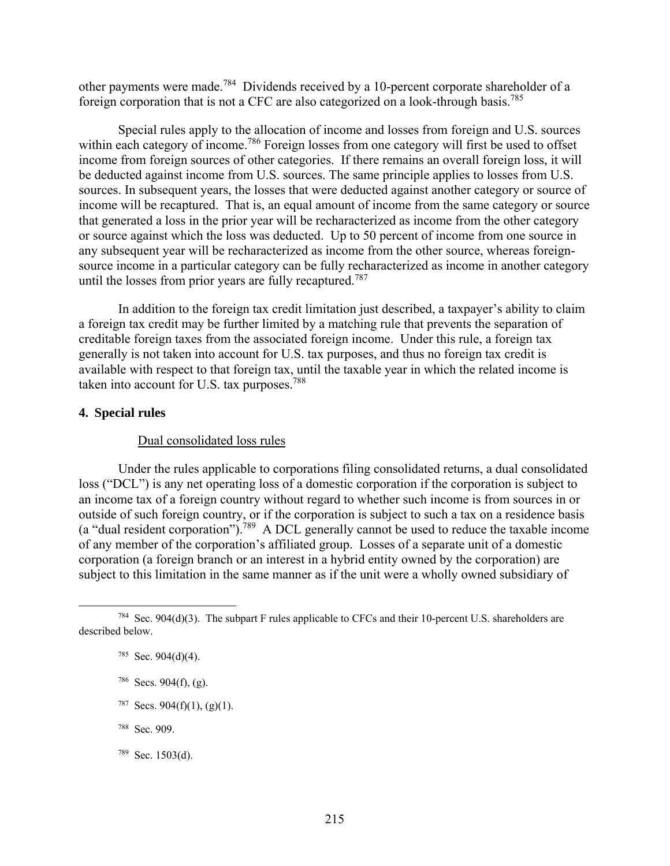other payments were made.784 Dividends received by a 10-percent corporate shareholder of a foreign corporation that is not a CFC are also categorized on a look-through basis.785

Special rules apply to the allocation of income and losses from foreign and U.S. sources within each category of income.<sup>786</sup> Foreign losses from one category will first be used to offset income from foreign sources of other categories. If there remains an overall foreign loss, it will be deducted against income from U.S. sources. The same principle applies to losses from U.S. sources. In subsequent years, the losses that were deducted against another category or source of income will be recaptured. That is, an equal amount of income from the same category or source that generated a loss in the prior year will be recharacterized as income from the other category or source against which the loss was deducted. Up to 50 percent of income from one source in any subsequent year will be recharacterized as income from the other source, whereas foreignsource income in a particular category can be fully recharacterized as income in another category until the losses from prior years are fully recaptured.<sup>787</sup>

In addition to the foreign tax credit limitation just described, a taxpayer's ability to claim a foreign tax credit may be further limited by a matching rule that prevents the separation of creditable foreign taxes from the associated foreign income. Under this rule, a foreign tax generally is not taken into account for U.S. tax purposes, and thus no foreign tax credit is available with respect to that foreign tax, until the taxable year in which the related income is taken into account for U.S. tax purposes.788

### **4. Special rules**

### Dual consolidated loss rules

Under the rules applicable to corporations filing consolidated returns, a dual consolidated loss ("DCL") is any net operating loss of a domestic corporation if the corporation is subject to an income tax of a foreign country without regard to whether such income is from sources in or outside of such foreign country, or if the corporation is subject to such a tax on a residence basis (a "dual resident corporation").789 A DCL generally cannot be used to reduce the taxable income of any member of the corporation's affiliated group. Losses of a separate unit of a domestic corporation (a foreign branch or an interest in a hybrid entity owned by the corporation) are subject to this limitation in the same manner as if the unit were a wholly owned subsidiary of

789 Sec. 1503(d).

 <sup>784</sup> Sec. 904(d)(3). The subpart F rules applicable to CFCs and their 10-percent U.S. shareholders are described below.

 $785$  Sec. 904(d)(4).

<sup>786</sup> Secs. 904(f), (g).

<sup>787</sup> Secs. 904(f)(1), (g)(1).

<sup>788</sup> Sec. 909.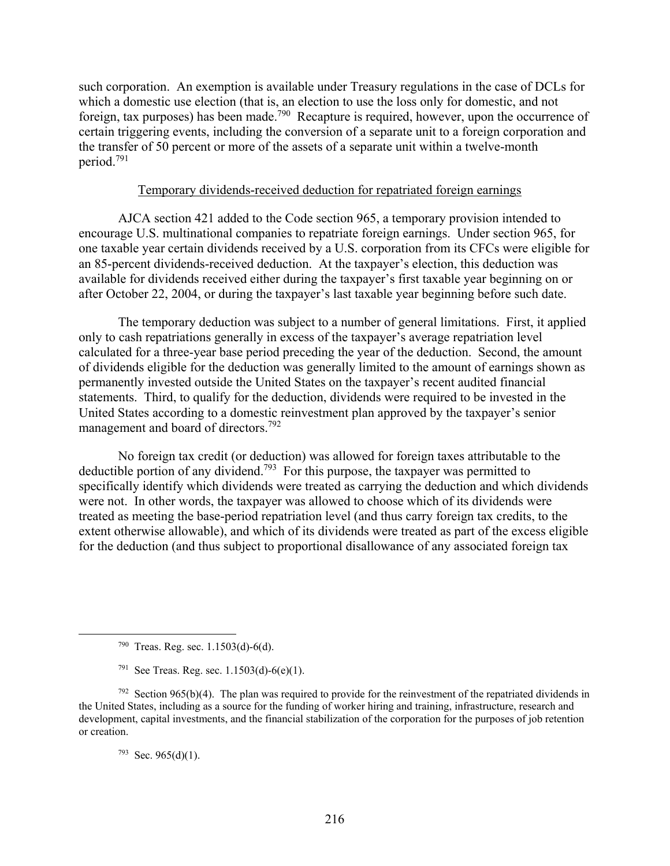such corporation. An exemption is available under Treasury regulations in the case of DCLs for which a domestic use election (that is, an election to use the loss only for domestic, and not foreign, tax purposes) has been made.790 Recapture is required, however, upon the occurrence of certain triggering events, including the conversion of a separate unit to a foreign corporation and the transfer of 50 percent or more of the assets of a separate unit within a twelve-month period.791

### Temporary dividends-received deduction for repatriated foreign earnings

AJCA section 421 added to the Code section 965, a temporary provision intended to encourage U.S. multinational companies to repatriate foreign earnings. Under section 965, for one taxable year certain dividends received by a U.S. corporation from its CFCs were eligible for an 85-percent dividends-received deduction. At the taxpayer's election, this deduction was available for dividends received either during the taxpayer's first taxable year beginning on or after October 22, 2004, or during the taxpayer's last taxable year beginning before such date.

The temporary deduction was subject to a number of general limitations. First, it applied only to cash repatriations generally in excess of the taxpayer's average repatriation level calculated for a three-year base period preceding the year of the deduction. Second, the amount of dividends eligible for the deduction was generally limited to the amount of earnings shown as permanently invested outside the United States on the taxpayer's recent audited financial statements. Third, to qualify for the deduction, dividends were required to be invested in the United States according to a domestic reinvestment plan approved by the taxpayer's senior management and board of directors.792

No foreign tax credit (or deduction) was allowed for foreign taxes attributable to the deductible portion of any dividend.793 For this purpose, the taxpayer was permitted to specifically identify which dividends were treated as carrying the deduction and which dividends were not. In other words, the taxpayer was allowed to choose which of its dividends were treated as meeting the base-period repatriation level (and thus carry foreign tax credits, to the extent otherwise allowable), and which of its dividends were treated as part of the excess eligible for the deduction (and thus subject to proportional disallowance of any associated foreign tax

<sup>791</sup> See Treas. Reg. sec. 1.1503(d)-6(e)(1).

 $793$  Sec. 965(d)(1).

 <sup>790</sup> Treas. Reg. sec. 1.1503(d)-6(d).

 $792$  Section 965(b)(4). The plan was required to provide for the reinvestment of the repatriated dividends in the United States, including as a source for the funding of worker hiring and training, infrastructure, research and development, capital investments, and the financial stabilization of the corporation for the purposes of job retention or creation.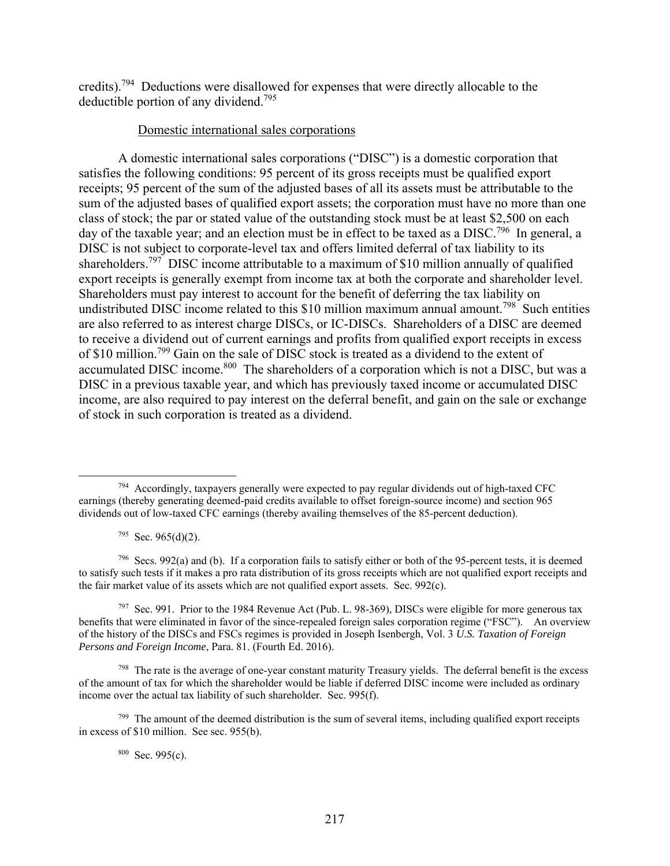credits).794 Deductions were disallowed for expenses that were directly allocable to the deductible portion of any dividend.795

### Domestic international sales corporations

A domestic international sales corporations ("DISC") is a domestic corporation that satisfies the following conditions: 95 percent of its gross receipts must be qualified export receipts; 95 percent of the sum of the adjusted bases of all its assets must be attributable to the sum of the adjusted bases of qualified export assets; the corporation must have no more than one class of stock; the par or stated value of the outstanding stock must be at least \$2,500 on each day of the taxable year; and an election must be in effect to be taxed as a DISC.<sup>796</sup> In general, a DISC is not subject to corporate-level tax and offers limited deferral of tax liability to its shareholders.<sup>797</sup> DISC income attributable to a maximum of \$10 million annually of qualified export receipts is generally exempt from income tax at both the corporate and shareholder level. Shareholders must pay interest to account for the benefit of deferring the tax liability on undistributed DISC income related to this \$10 million maximum annual amount.<sup>798</sup> Such entities are also referred to as interest charge DISCs, or IC-DISCs. Shareholders of a DISC are deemed to receive a dividend out of current earnings and profits from qualified export receipts in excess of \$10 million.<sup>799</sup> Gain on the sale of DISC stock is treated as a dividend to the extent of accumulated DISC income.<sup>800</sup> The shareholders of a corporation which is not a DISC, but was a DISC in a previous taxable year, and which has previously taxed income or accumulated DISC income, are also required to pay interest on the deferral benefit, and gain on the sale or exchange of stock in such corporation is treated as a dividend.

 $795$  Sec. 965(d)(2).

 $796$  Secs. 992(a) and (b). If a corporation fails to satisfy either or both of the 95-percent tests, it is deemed to satisfy such tests if it makes a pro rata distribution of its gross receipts which are not qualified export receipts and the fair market value of its assets which are not qualified export assets. Sec. 992(c).

 $797$  Sec. 991. Prior to the 1984 Revenue Act (Pub. L. 98-369), DISCs were eligible for more generous tax benefits that were eliminated in favor of the since-repealed foreign sales corporation regime ("FSC"). An overview of the history of the DISCs and FSCs regimes is provided in Joseph Isenbergh, Vol. 3 *U.S. Taxation of Foreign Persons and Foreign Income*, Para. 81. (Fourth Ed. 2016).

 $798$  The rate is the average of one-year constant maturity Treasury yields. The deferral benefit is the excess of the amount of tax for which the shareholder would be liable if deferred DISC income were included as ordinary income over the actual tax liability of such shareholder. Sec. 995(f).

799 The amount of the deemed distribution is the sum of several items, including qualified export receipts in excess of \$10 million. See sec. 955(b).

 $800$  Sec. 995(c).

 $794$  Accordingly, taxpayers generally were expected to pay regular dividends out of high-taxed CFC earnings (thereby generating deemed-paid credits available to offset foreign-source income) and section 965 dividends out of low-taxed CFC earnings (thereby availing themselves of the 85-percent deduction).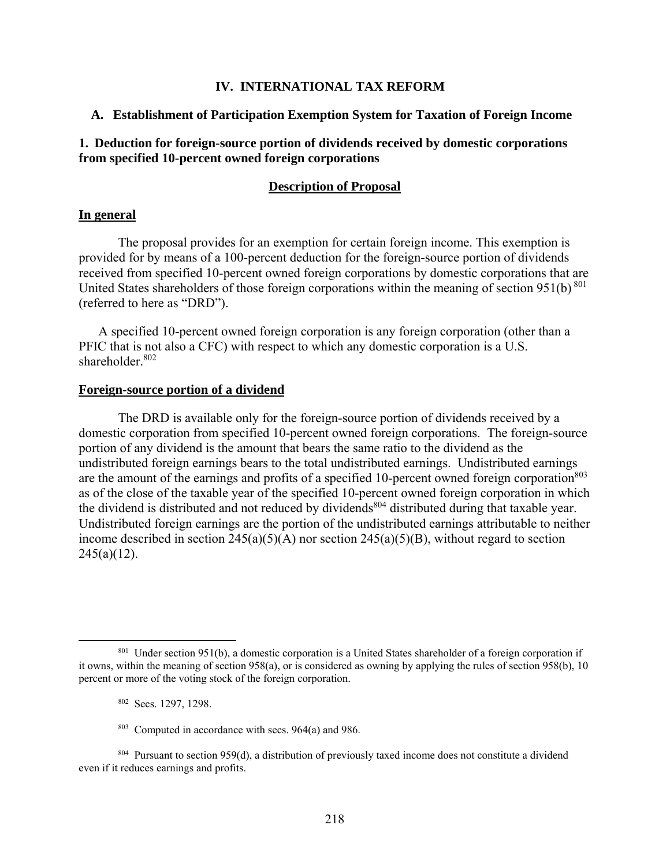#### **IV. INTERNATIONAL TAX REFORM**

#### **A. Establishment of Participation Exemption System for Taxation of Foreign Income**

### **1. Deduction for foreign-source portion of dividends received by domestic corporations from specified 10-percent owned foreign corporations**

#### **Description of Proposal**

#### **In general**

The proposal provides for an exemption for certain foreign income. This exemption is provided for by means of a 100-percent deduction for the foreign-source portion of dividends received from specified 10-percent owned foreign corporations by domestic corporations that are United States shareholders of those foreign corporations within the meaning of section 951(b)  $801$ (referred to here as "DRD").

A specified 10-percent owned foreign corporation is any foreign corporation (other than a PFIC that is not also a CFC) with respect to which any domestic corporation is a U.S. shareholder.<sup>802</sup>

#### **Foreign-source portion of a dividend**

The DRD is available only for the foreign-source portion of dividends received by a domestic corporation from specified 10-percent owned foreign corporations. The foreign-source portion of any dividend is the amount that bears the same ratio to the dividend as the undistributed foreign earnings bears to the total undistributed earnings. Undistributed earnings are the amount of the earnings and profits of a specified 10-percent owned foreign corporation $803$ as of the close of the taxable year of the specified 10-percent owned foreign corporation in which the dividend is distributed and not reduced by dividends<sup>804</sup> distributed during that taxable year. Undistributed foreign earnings are the portion of the undistributed earnings attributable to neither income described in section  $245(a)(5)(A)$  nor section  $245(a)(5)(B)$ , without regard to section  $245(a)(12)$ .

 <sup>801</sup> Under section 951(b), a domestic corporation is a United States shareholder of a foreign corporation if it owns, within the meaning of section 958(a), or is considered as owning by applying the rules of section 958(b), 10 percent or more of the voting stock of the foreign corporation.

<sup>802</sup> Secs. 1297, 1298.

<sup>803</sup> Computed in accordance with secs. 964(a) and 986.

<sup>804</sup> Pursuant to section 959(d), a distribution of previously taxed income does not constitute a dividend even if it reduces earnings and profits.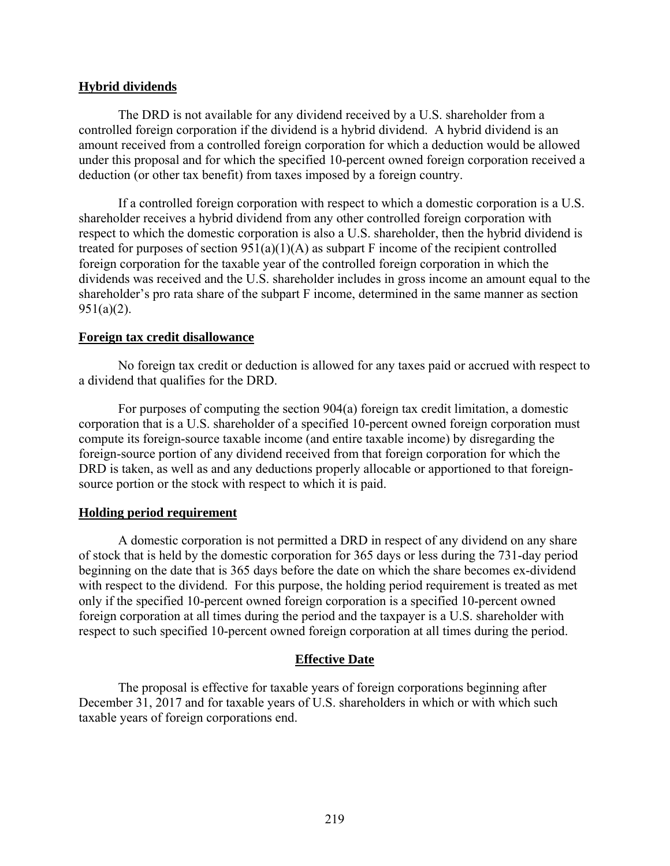### **Hybrid dividends**

The DRD is not available for any dividend received by a U.S. shareholder from a controlled foreign corporation if the dividend is a hybrid dividend. A hybrid dividend is an amount received from a controlled foreign corporation for which a deduction would be allowed under this proposal and for which the specified 10-percent owned foreign corporation received a deduction (or other tax benefit) from taxes imposed by a foreign country.

If a controlled foreign corporation with respect to which a domestic corporation is a U.S. shareholder receives a hybrid dividend from any other controlled foreign corporation with respect to which the domestic corporation is also a U.S. shareholder, then the hybrid dividend is treated for purposes of section  $951(a)(1)(A)$  as subpart F income of the recipient controlled foreign corporation for the taxable year of the controlled foreign corporation in which the dividends was received and the U.S. shareholder includes in gross income an amount equal to the shareholder's pro rata share of the subpart F income, determined in the same manner as section  $951(a)(2)$ .

### **Foreign tax credit disallowance**

No foreign tax credit or deduction is allowed for any taxes paid or accrued with respect to a dividend that qualifies for the DRD.

For purposes of computing the section 904(a) foreign tax credit limitation, a domestic corporation that is a U.S. shareholder of a specified 10-percent owned foreign corporation must compute its foreign-source taxable income (and entire taxable income) by disregarding the foreign-source portion of any dividend received from that foreign corporation for which the DRD is taken, as well as and any deductions properly allocable or apportioned to that foreignsource portion or the stock with respect to which it is paid.

### **Holding period requirement**

A domestic corporation is not permitted a DRD in respect of any dividend on any share of stock that is held by the domestic corporation for 365 days or less during the 731-day period beginning on the date that is 365 days before the date on which the share becomes ex-dividend with respect to the dividend. For this purpose, the holding period requirement is treated as met only if the specified 10-percent owned foreign corporation is a specified 10-percent owned foreign corporation at all times during the period and the taxpayer is a U.S. shareholder with respect to such specified 10-percent owned foreign corporation at all times during the period.

### **Effective Date**

The proposal is effective for taxable years of foreign corporations beginning after December 31, 2017 and for taxable years of U.S. shareholders in which or with which such taxable years of foreign corporations end.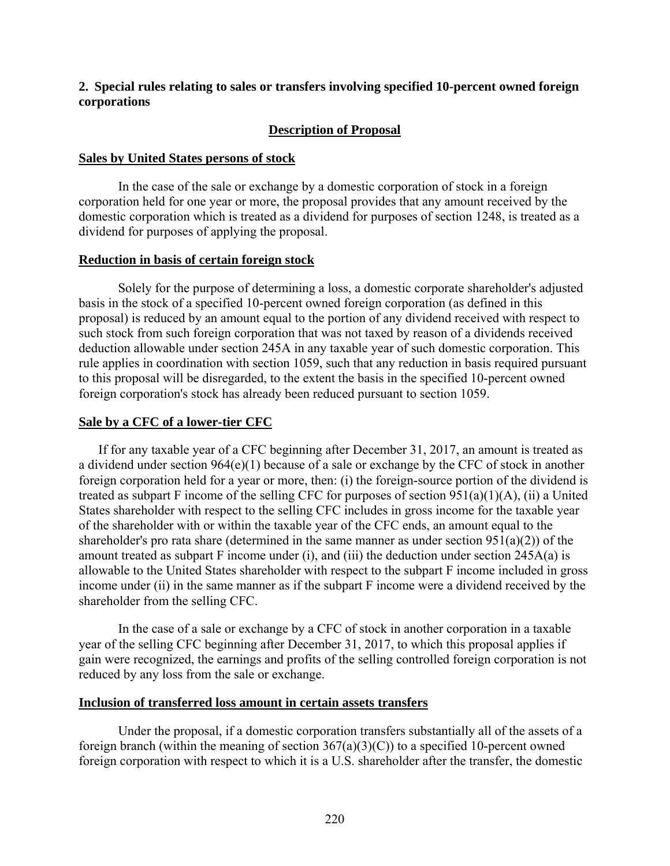### **2. Special rules relating to sales or transfers involving specified 10-percent owned foreign corporations**

## **Description of Proposal**

### **Sales by United States persons of stock**

In the case of the sale or exchange by a domestic corporation of stock in a foreign corporation held for one year or more, the proposal provides that any amount received by the domestic corporation which is treated as a dividend for purposes of section 1248, is treated as a dividend for purposes of applying the proposal.

### **Reduction in basis of certain foreign stock**

Solely for the purpose of determining a loss, a domestic corporate shareholder's adjusted basis in the stock of a specified 10-percent owned foreign corporation (as defined in this proposal) is reduced by an amount equal to the portion of any dividend received with respect to such stock from such foreign corporation that was not taxed by reason of a dividends received deduction allowable under section 245A in any taxable year of such domestic corporation. This rule applies in coordination with section 1059, such that any reduction in basis required pursuant to this proposal will be disregarded, to the extent the basis in the specified 10-percent owned foreign corporation's stock has already been reduced pursuant to section 1059.

### **Sale by a CFC of a lower-tier CFC**

 If for any taxable year of a CFC beginning after December 31, 2017, an amount is treated as a dividend under section 964(e)(1) because of a sale or exchange by the CFC of stock in another foreign corporation held for a year or more, then: (i) the foreign-source portion of the dividend is treated as subpart F income of the selling CFC for purposes of section 951(a)(1)(A), (ii) a United States shareholder with respect to the selling CFC includes in gross income for the taxable year of the shareholder with or within the taxable year of the CFC ends, an amount equal to the shareholder's pro rata share (determined in the same manner as under section  $951(a)(2)$ ) of the amount treated as subpart  $F$  income under (i), and (iii) the deduction under section  $245A(a)$  is allowable to the United States shareholder with respect to the subpart F income included in gross income under (ii) in the same manner as if the subpart F income were a dividend received by the shareholder from the selling CFC.

In the case of a sale or exchange by a CFC of stock in another corporation in a taxable year of the selling CFC beginning after December 31, 2017, to which this proposal applies if gain were recognized, the earnings and profits of the selling controlled foreign corporation is not reduced by any loss from the sale or exchange.

### **Inclusion of transferred loss amount in certain assets transfers**

Under the proposal, if a domestic corporation transfers substantially all of the assets of a foreign branch (within the meaning of section  $367(a)(3)(C)$ ) to a specified 10-percent owned foreign corporation with respect to which it is a U.S. shareholder after the transfer, the domestic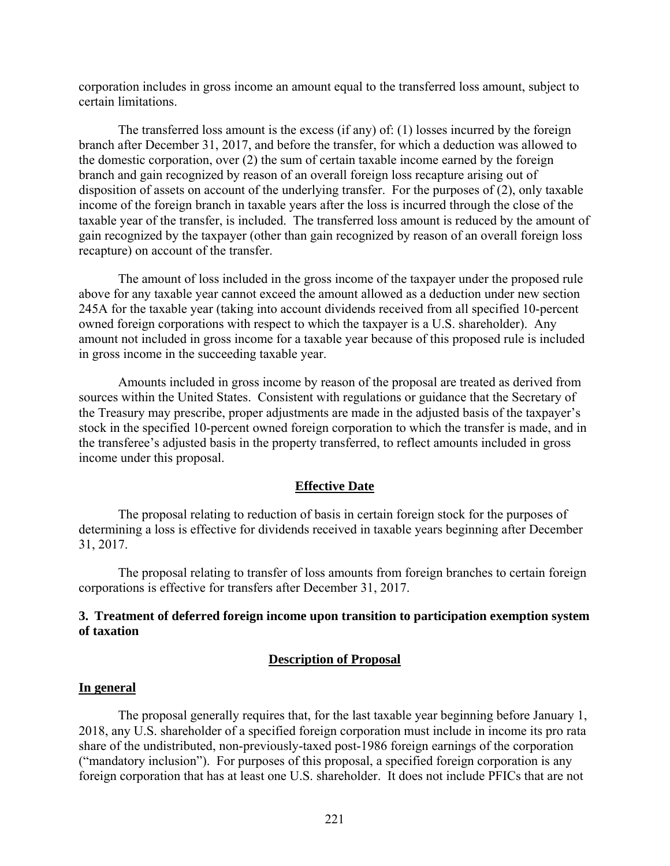corporation includes in gross income an amount equal to the transferred loss amount, subject to certain limitations.

The transferred loss amount is the excess (if any) of: (1) losses incurred by the foreign branch after December 31, 2017, and before the transfer, for which a deduction was allowed to the domestic corporation, over (2) the sum of certain taxable income earned by the foreign branch and gain recognized by reason of an overall foreign loss recapture arising out of disposition of assets on account of the underlying transfer. For the purposes of (2), only taxable income of the foreign branch in taxable years after the loss is incurred through the close of the taxable year of the transfer, is included. The transferred loss amount is reduced by the amount of gain recognized by the taxpayer (other than gain recognized by reason of an overall foreign loss recapture) on account of the transfer.

The amount of loss included in the gross income of the taxpayer under the proposed rule above for any taxable year cannot exceed the amount allowed as a deduction under new section 245A for the taxable year (taking into account dividends received from all specified 10-percent owned foreign corporations with respect to which the taxpayer is a U.S. shareholder). Any amount not included in gross income for a taxable year because of this proposed rule is included in gross income in the succeeding taxable year.

Amounts included in gross income by reason of the proposal are treated as derived from sources within the United States. Consistent with regulations or guidance that the Secretary of the Treasury may prescribe, proper adjustments are made in the adjusted basis of the taxpayer's stock in the specified 10-percent owned foreign corporation to which the transfer is made, and in the transferee's adjusted basis in the property transferred, to reflect amounts included in gross income under this proposal.

#### **Effective Date**

The proposal relating to reduction of basis in certain foreign stock for the purposes of determining a loss is effective for dividends received in taxable years beginning after December 31, 2017.

The proposal relating to transfer of loss amounts from foreign branches to certain foreign corporations is effective for transfers after December 31, 2017.

### **3. Treatment of deferred foreign income upon transition to participation exemption system of taxation**

#### **Description of Proposal**

#### **In general**

The proposal generally requires that, for the last taxable year beginning before January 1, 2018, any U.S. shareholder of a specified foreign corporation must include in income its pro rata share of the undistributed, non-previously-taxed post-1986 foreign earnings of the corporation ("mandatory inclusion"). For purposes of this proposal, a specified foreign corporation is any foreign corporation that has at least one U.S. shareholder. It does not include PFICs that are not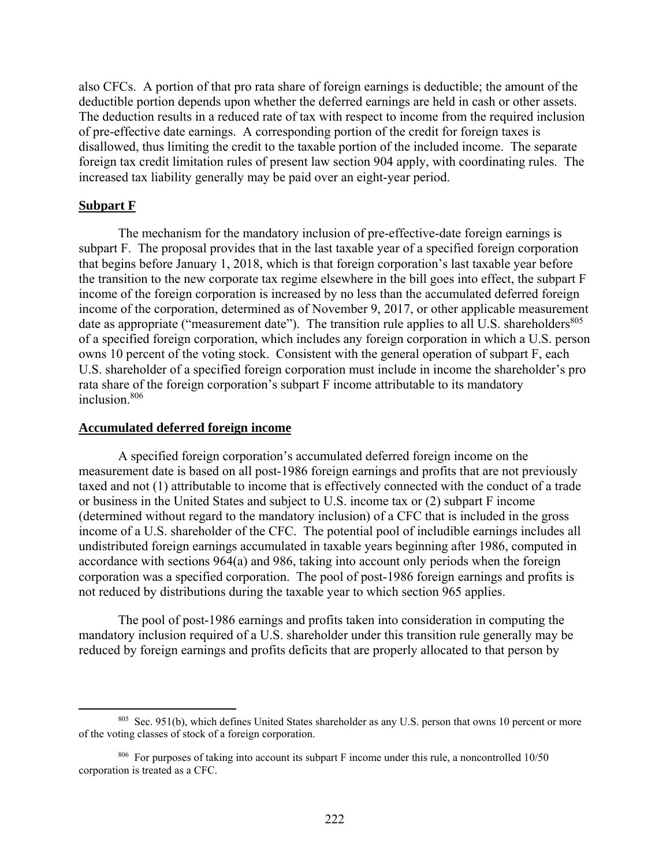also CFCs. A portion of that pro rata share of foreign earnings is deductible; the amount of the deductible portion depends upon whether the deferred earnings are held in cash or other assets. The deduction results in a reduced rate of tax with respect to income from the required inclusion of pre-effective date earnings. A corresponding portion of the credit for foreign taxes is disallowed, thus limiting the credit to the taxable portion of the included income. The separate foreign tax credit limitation rules of present law section 904 apply, with coordinating rules. The increased tax liability generally may be paid over an eight-year period.

#### **Subpart F**

The mechanism for the mandatory inclusion of pre-effective-date foreign earnings is subpart F. The proposal provides that in the last taxable year of a specified foreign corporation that begins before January 1, 2018, which is that foreign corporation's last taxable year before the transition to the new corporate tax regime elsewhere in the bill goes into effect, the subpart F income of the foreign corporation is increased by no less than the accumulated deferred foreign income of the corporation, determined as of November 9, 2017, or other applicable measurement date as appropriate ("measurement date"). The transition rule applies to all U.S. shareholders<sup>805</sup> of a specified foreign corporation, which includes any foreign corporation in which a U.S. person owns 10 percent of the voting stock. Consistent with the general operation of subpart F, each U.S. shareholder of a specified foreign corporation must include in income the shareholder's pro rata share of the foreign corporation's subpart F income attributable to its mandatory inclusion.806

#### **Accumulated deferred foreign income**

A specified foreign corporation's accumulated deferred foreign income on the measurement date is based on all post-1986 foreign earnings and profits that are not previously taxed and not (1) attributable to income that is effectively connected with the conduct of a trade or business in the United States and subject to U.S. income tax or (2) subpart F income (determined without regard to the mandatory inclusion) of a CFC that is included in the gross income of a U.S. shareholder of the CFC. The potential pool of includible earnings includes all undistributed foreign earnings accumulated in taxable years beginning after 1986, computed in accordance with sections 964(a) and 986, taking into account only periods when the foreign corporation was a specified corporation. The pool of post-1986 foreign earnings and profits is not reduced by distributions during the taxable year to which section 965 applies.

The pool of post-1986 earnings and profits taken into consideration in computing the mandatory inclusion required of a U.S. shareholder under this transition rule generally may be reduced by foreign earnings and profits deficits that are properly allocated to that person by

<sup>&</sup>lt;sup>805</sup> Sec. 951(b), which defines United States shareholder as any U.S. person that owns 10 percent or more of the voting classes of stock of a foreign corporation.

<sup>806</sup> For purposes of taking into account its subpart F income under this rule, a noncontrolled 10/50 corporation is treated as a CFC.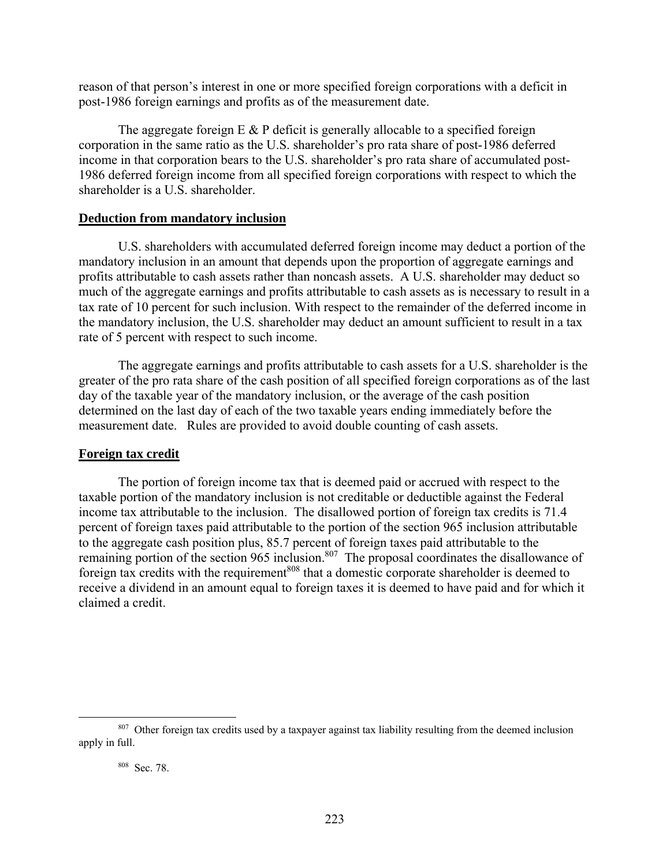reason of that person's interest in one or more specified foreign corporations with a deficit in post-1986 foreign earnings and profits as of the measurement date.

The aggregate foreign  $E \& P$  deficit is generally allocable to a specified foreign corporation in the same ratio as the U.S. shareholder's pro rata share of post-1986 deferred income in that corporation bears to the U.S. shareholder's pro rata share of accumulated post-1986 deferred foreign income from all specified foreign corporations with respect to which the shareholder is a U.S. shareholder.

#### **Deduction from mandatory inclusion**

U.S. shareholders with accumulated deferred foreign income may deduct a portion of the mandatory inclusion in an amount that depends upon the proportion of aggregate earnings and profits attributable to cash assets rather than noncash assets. A U.S. shareholder may deduct so much of the aggregate earnings and profits attributable to cash assets as is necessary to result in a tax rate of 10 percent for such inclusion. With respect to the remainder of the deferred income in the mandatory inclusion, the U.S. shareholder may deduct an amount sufficient to result in a tax rate of 5 percent with respect to such income.

The aggregate earnings and profits attributable to cash assets for a U.S. shareholder is the greater of the pro rata share of the cash position of all specified foreign corporations as of the last day of the taxable year of the mandatory inclusion, or the average of the cash position determined on the last day of each of the two taxable years ending immediately before the measurement date. Rules are provided to avoid double counting of cash assets.

#### **Foreign tax credit**

The portion of foreign income tax that is deemed paid or accrued with respect to the taxable portion of the mandatory inclusion is not creditable or deductible against the Federal income tax attributable to the inclusion. The disallowed portion of foreign tax credits is 71.4 percent of foreign taxes paid attributable to the portion of the section 965 inclusion attributable to the aggregate cash position plus, 85.7 percent of foreign taxes paid attributable to the remaining portion of the section 965 inclusion.<sup>807</sup> The proposal coordinates the disallowance of foreign tax credits with the requirement<sup>808</sup> that a domestic corporate shareholder is deemed to receive a dividend in an amount equal to foreign taxes it is deemed to have paid and for which it claimed a credit.

<sup>807</sup> Other foreign tax credits used by a taxpayer against tax liability resulting from the deemed inclusion apply in full.

<sup>808</sup> Sec. 78.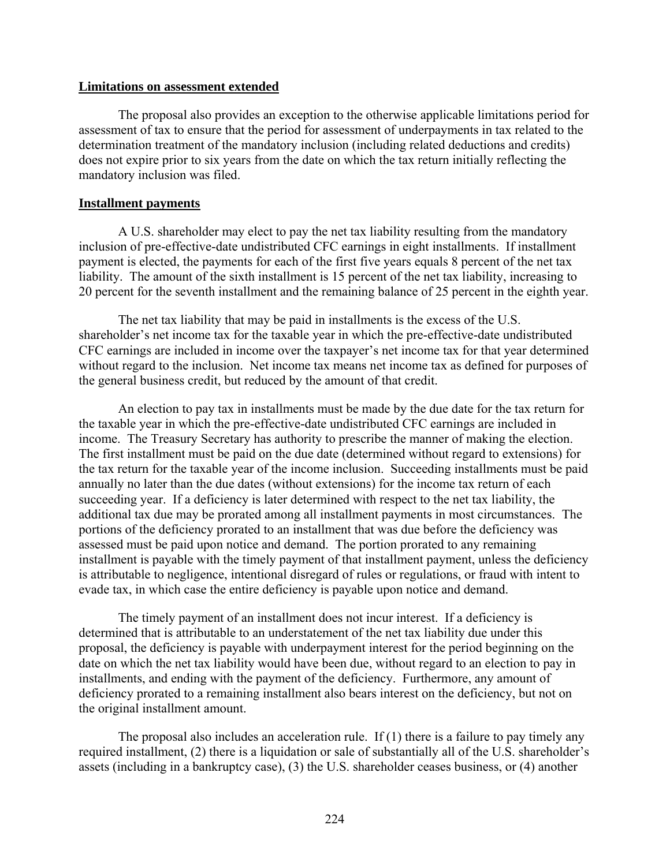#### **Limitations on assessment extended**

The proposal also provides an exception to the otherwise applicable limitations period for assessment of tax to ensure that the period for assessment of underpayments in tax related to the determination treatment of the mandatory inclusion (including related deductions and credits) does not expire prior to six years from the date on which the tax return initially reflecting the mandatory inclusion was filed.

### **Installment payments**

A U.S. shareholder may elect to pay the net tax liability resulting from the mandatory inclusion of pre-effective-date undistributed CFC earnings in eight installments. If installment payment is elected, the payments for each of the first five years equals 8 percent of the net tax liability. The amount of the sixth installment is 15 percent of the net tax liability, increasing to 20 percent for the seventh installment and the remaining balance of 25 percent in the eighth year.

The net tax liability that may be paid in installments is the excess of the U.S. shareholder's net income tax for the taxable year in which the pre-effective-date undistributed CFC earnings are included in income over the taxpayer's net income tax for that year determined without regard to the inclusion. Net income tax means net income tax as defined for purposes of the general business credit, but reduced by the amount of that credit.

An election to pay tax in installments must be made by the due date for the tax return for the taxable year in which the pre-effective-date undistributed CFC earnings are included in income. The Treasury Secretary has authority to prescribe the manner of making the election. The first installment must be paid on the due date (determined without regard to extensions) for the tax return for the taxable year of the income inclusion. Succeeding installments must be paid annually no later than the due dates (without extensions) for the income tax return of each succeeding year. If a deficiency is later determined with respect to the net tax liability, the additional tax due may be prorated among all installment payments in most circumstances. The portions of the deficiency prorated to an installment that was due before the deficiency was assessed must be paid upon notice and demand. The portion prorated to any remaining installment is payable with the timely payment of that installment payment, unless the deficiency is attributable to negligence, intentional disregard of rules or regulations, or fraud with intent to evade tax, in which case the entire deficiency is payable upon notice and demand.

The timely payment of an installment does not incur interest. If a deficiency is determined that is attributable to an understatement of the net tax liability due under this proposal, the deficiency is payable with underpayment interest for the period beginning on the date on which the net tax liability would have been due, without regard to an election to pay in installments, and ending with the payment of the deficiency. Furthermore, any amount of deficiency prorated to a remaining installment also bears interest on the deficiency, but not on the original installment amount.

The proposal also includes an acceleration rule. If (1) there is a failure to pay timely any required installment, (2) there is a liquidation or sale of substantially all of the U.S. shareholder's assets (including in a bankruptcy case), (3) the U.S. shareholder ceases business, or (4) another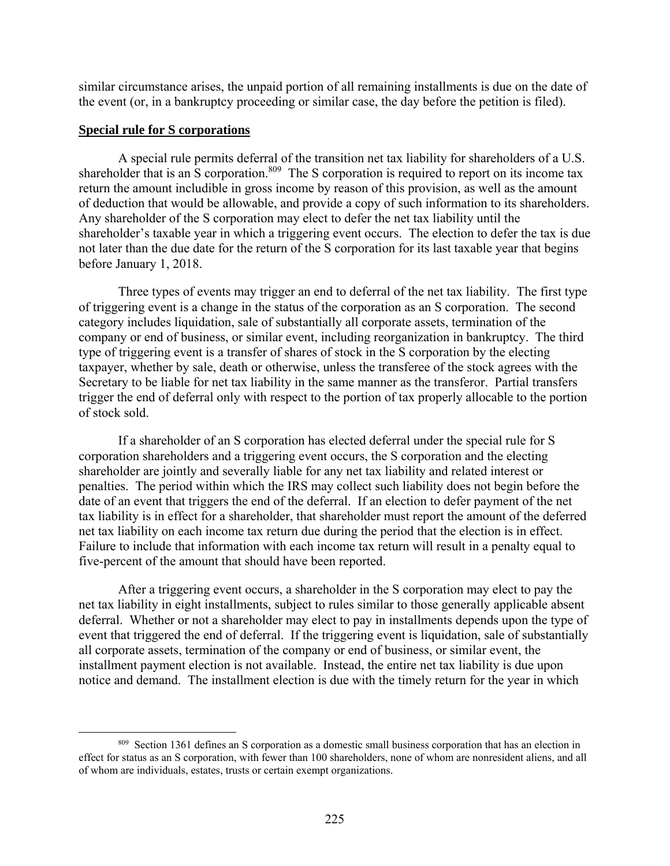similar circumstance arises, the unpaid portion of all remaining installments is due on the date of the event (or, in a bankruptcy proceeding or similar case, the day before the petition is filed).

### **Special rule for S corporations**

A special rule permits deferral of the transition net tax liability for shareholders of a U.S. shareholder that is an S corporation.<sup>809</sup> The S corporation is required to report on its income tax return the amount includible in gross income by reason of this provision, as well as the amount of deduction that would be allowable, and provide a copy of such information to its shareholders. Any shareholder of the S corporation may elect to defer the net tax liability until the shareholder's taxable year in which a triggering event occurs. The election to defer the tax is due not later than the due date for the return of the S corporation for its last taxable year that begins before January 1, 2018.

Three types of events may trigger an end to deferral of the net tax liability. The first type of triggering event is a change in the status of the corporation as an S corporation. The second category includes liquidation, sale of substantially all corporate assets, termination of the company or end of business, or similar event, including reorganization in bankruptcy. The third type of triggering event is a transfer of shares of stock in the S corporation by the electing taxpayer, whether by sale, death or otherwise, unless the transferee of the stock agrees with the Secretary to be liable for net tax liability in the same manner as the transferor. Partial transfers trigger the end of deferral only with respect to the portion of tax properly allocable to the portion of stock sold.

If a shareholder of an S corporation has elected deferral under the special rule for S corporation shareholders and a triggering event occurs, the S corporation and the electing shareholder are jointly and severally liable for any net tax liability and related interest or penalties. The period within which the IRS may collect such liability does not begin before the date of an event that triggers the end of the deferral. If an election to defer payment of the net tax liability is in effect for a shareholder, that shareholder must report the amount of the deferred net tax liability on each income tax return due during the period that the election is in effect. Failure to include that information with each income tax return will result in a penalty equal to five-percent of the amount that should have been reported.

After a triggering event occurs, a shareholder in the S corporation may elect to pay the net tax liability in eight installments, subject to rules similar to those generally applicable absent deferral. Whether or not a shareholder may elect to pay in installments depends upon the type of event that triggered the end of deferral. If the triggering event is liquidation, sale of substantially all corporate assets, termination of the company or end of business, or similar event, the installment payment election is not available. Instead, the entire net tax liability is due upon notice and demand. The installment election is due with the timely return for the year in which

<sup>&</sup>lt;sup>809</sup> Section 1361 defines an S corporation as a domestic small business corporation that has an election in effect for status as an S corporation, with fewer than 100 shareholders, none of whom are nonresident aliens, and all of whom are individuals, estates, trusts or certain exempt organizations.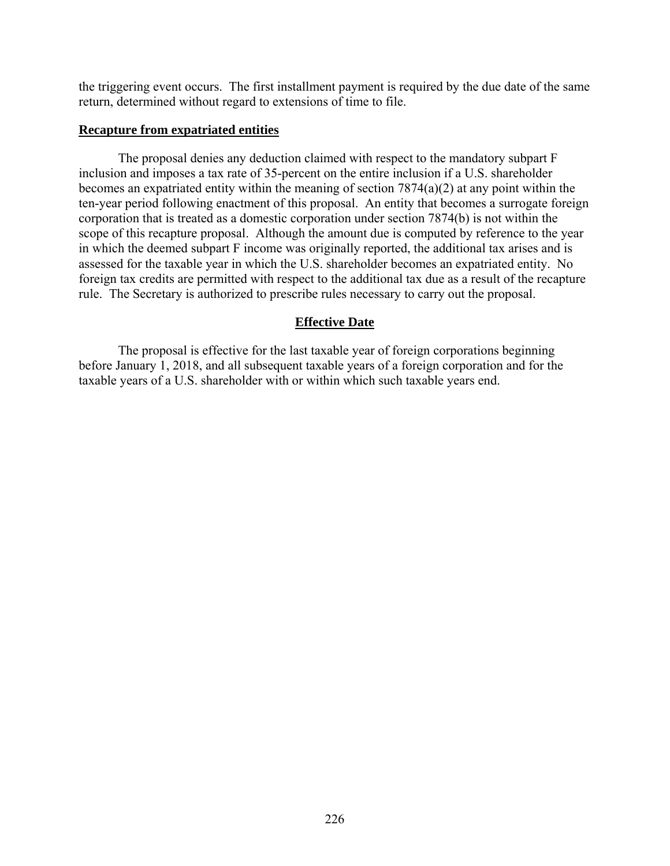the triggering event occurs. The first installment payment is required by the due date of the same return, determined without regard to extensions of time to file.

### **Recapture from expatriated entities**

The proposal denies any deduction claimed with respect to the mandatory subpart F inclusion and imposes a tax rate of 35-percent on the entire inclusion if a U.S. shareholder becomes an expatriated entity within the meaning of section 7874(a)(2) at any point within the ten-year period following enactment of this proposal. An entity that becomes a surrogate foreign corporation that is treated as a domestic corporation under section 7874(b) is not within the scope of this recapture proposal. Although the amount due is computed by reference to the year in which the deemed subpart F income was originally reported, the additional tax arises and is assessed for the taxable year in which the U.S. shareholder becomes an expatriated entity. No foreign tax credits are permitted with respect to the additional tax due as a result of the recapture rule. The Secretary is authorized to prescribe rules necessary to carry out the proposal.

## **Effective Date**

The proposal is effective for the last taxable year of foreign corporations beginning before January 1, 2018, and all subsequent taxable years of a foreign corporation and for the taxable years of a U.S. shareholder with or within which such taxable years end.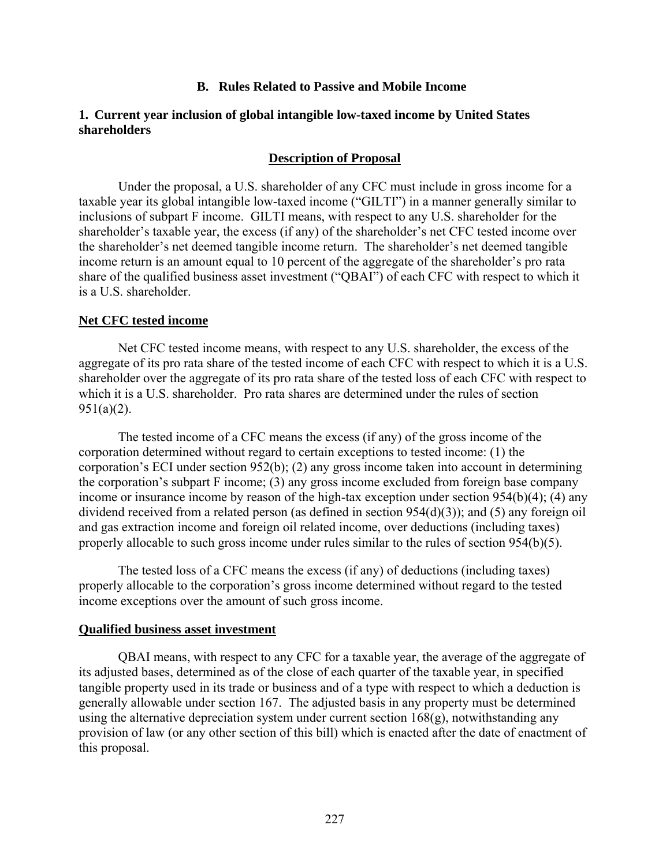### **B. Rules Related to Passive and Mobile Income**

### **1. Current year inclusion of global intangible low-taxed income by United States shareholders**

#### **Description of Proposal**

Under the proposal, a U.S. shareholder of any CFC must include in gross income for a taxable year its global intangible low-taxed income ("GILTI") in a manner generally similar to inclusions of subpart F income. GILTI means, with respect to any U.S. shareholder for the shareholder's taxable year, the excess (if any) of the shareholder's net CFC tested income over the shareholder's net deemed tangible income return. The shareholder's net deemed tangible income return is an amount equal to 10 percent of the aggregate of the shareholder's pro rata share of the qualified business asset investment ("QBAI") of each CFC with respect to which it is a U.S. shareholder.

#### **Net CFC tested income**

Net CFC tested income means, with respect to any U.S. shareholder, the excess of the aggregate of its pro rata share of the tested income of each CFC with respect to which it is a U.S. shareholder over the aggregate of its pro rata share of the tested loss of each CFC with respect to which it is a U.S. shareholder. Pro rata shares are determined under the rules of section  $951(a)(2)$ .

The tested income of a CFC means the excess (if any) of the gross income of the corporation determined without regard to certain exceptions to tested income: (1) the corporation's ECI under section 952(b); (2) any gross income taken into account in determining the corporation's subpart F income; (3) any gross income excluded from foreign base company income or insurance income by reason of the high-tax exception under section 954(b)(4); (4) any dividend received from a related person (as defined in section 954(d)(3)); and (5) any foreign oil and gas extraction income and foreign oil related income, over deductions (including taxes) properly allocable to such gross income under rules similar to the rules of section 954(b)(5).

The tested loss of a CFC means the excess (if any) of deductions (including taxes) properly allocable to the corporation's gross income determined without regard to the tested income exceptions over the amount of such gross income.

#### **Qualified business asset investment**

QBAI means, with respect to any CFC for a taxable year, the average of the aggregate of its adjusted bases, determined as of the close of each quarter of the taxable year, in specified tangible property used in its trade or business and of a type with respect to which a deduction is generally allowable under section 167. The adjusted basis in any property must be determined using the alternative depreciation system under current section  $168(g)$ , notwithstanding any provision of law (or any other section of this bill) which is enacted after the date of enactment of this proposal.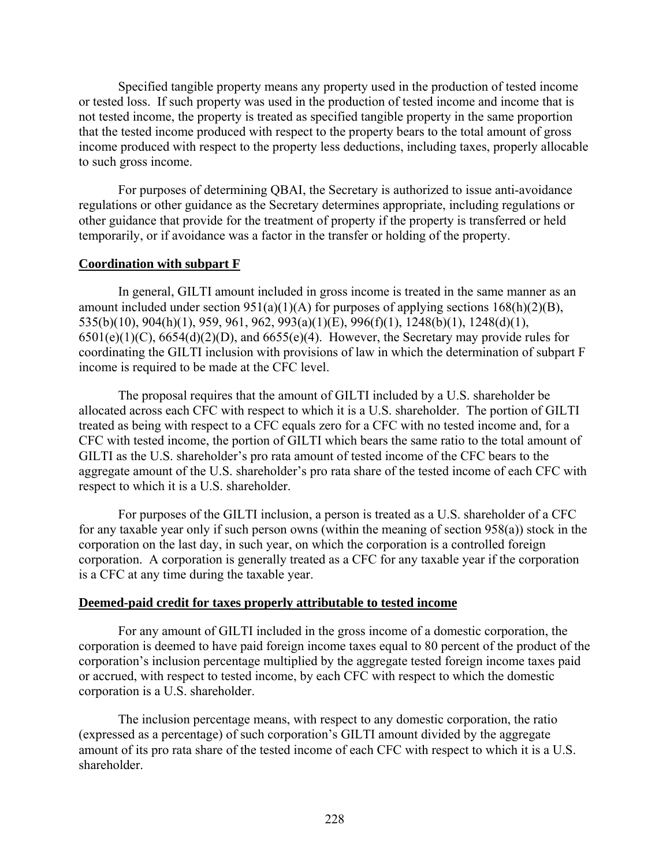Specified tangible property means any property used in the production of tested income or tested loss. If such property was used in the production of tested income and income that is not tested income, the property is treated as specified tangible property in the same proportion that the tested income produced with respect to the property bears to the total amount of gross income produced with respect to the property less deductions, including taxes, properly allocable to such gross income.

For purposes of determining QBAI, the Secretary is authorized to issue anti-avoidance regulations or other guidance as the Secretary determines appropriate, including regulations or other guidance that provide for the treatment of property if the property is transferred or held temporarily, or if avoidance was a factor in the transfer or holding of the property.

#### **Coordination with subpart F**

In general, GILTI amount included in gross income is treated in the same manner as an amount included under section  $951(a)(1)(A)$  for purposes of applying sections  $168(h)(2)(B)$ , 535(b)(10), 904(h)(1), 959, 961, 962, 993(a)(1)(E), 996(f)(1), 1248(b)(1), 1248(d)(1),  $6501(e)(1)(C)$ ,  $6654(d)(2)(D)$ , and  $6655(e)(4)$ . However, the Secretary may provide rules for coordinating the GILTI inclusion with provisions of law in which the determination of subpart F income is required to be made at the CFC level.

The proposal requires that the amount of GILTI included by a U.S. shareholder be allocated across each CFC with respect to which it is a U.S. shareholder. The portion of GILTI treated as being with respect to a CFC equals zero for a CFC with no tested income and, for a CFC with tested income, the portion of GILTI which bears the same ratio to the total amount of GILTI as the U.S. shareholder's pro rata amount of tested income of the CFC bears to the aggregate amount of the U.S. shareholder's pro rata share of the tested income of each CFC with respect to which it is a U.S. shareholder.

For purposes of the GILTI inclusion, a person is treated as a U.S. shareholder of a CFC for any taxable year only if such person owns (within the meaning of section 958(a)) stock in the corporation on the last day, in such year, on which the corporation is a controlled foreign corporation. A corporation is generally treated as a CFC for any taxable year if the corporation is a CFC at any time during the taxable year.

#### **Deemed-paid credit for taxes properly attributable to tested income**

For any amount of GILTI included in the gross income of a domestic corporation, the corporation is deemed to have paid foreign income taxes equal to 80 percent of the product of the corporation's inclusion percentage multiplied by the aggregate tested foreign income taxes paid or accrued, with respect to tested income, by each CFC with respect to which the domestic corporation is a U.S. shareholder.

The inclusion percentage means, with respect to any domestic corporation, the ratio (expressed as a percentage) of such corporation's GILTI amount divided by the aggregate amount of its pro rata share of the tested income of each CFC with respect to which it is a U.S. shareholder.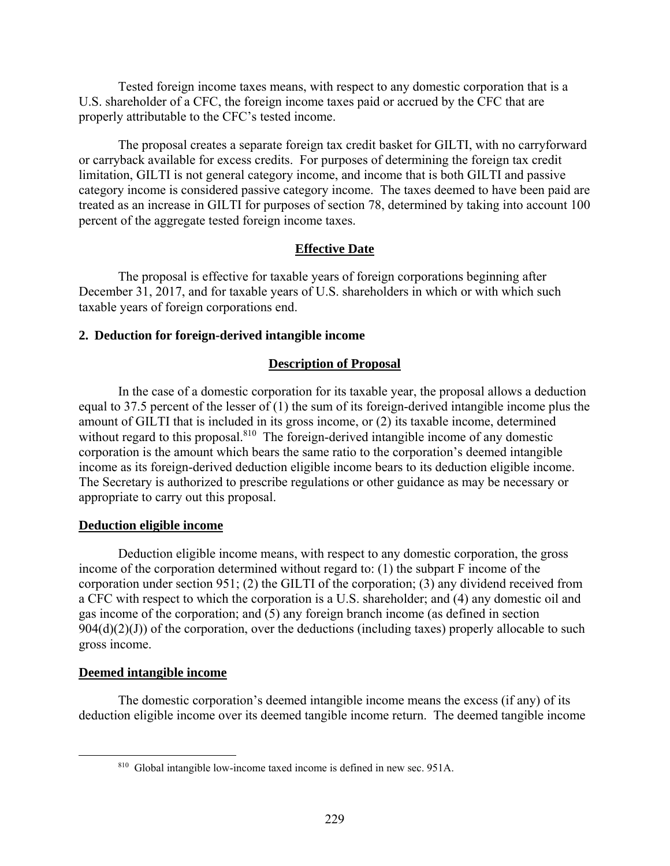Tested foreign income taxes means, with respect to any domestic corporation that is a U.S. shareholder of a CFC, the foreign income taxes paid or accrued by the CFC that are properly attributable to the CFC's tested income.

The proposal creates a separate foreign tax credit basket for GILTI, with no carryforward or carryback available for excess credits. For purposes of determining the foreign tax credit limitation, GILTI is not general category income, and income that is both GILTI and passive category income is considered passive category income. The taxes deemed to have been paid are treated as an increase in GILTI for purposes of section 78, determined by taking into account 100 percent of the aggregate tested foreign income taxes.

## **Effective Date**

The proposal is effective for taxable years of foreign corporations beginning after December 31, 2017, and for taxable years of U.S. shareholders in which or with which such taxable years of foreign corporations end.

## **2. Deduction for foreign-derived intangible income**

## **Description of Proposal**

In the case of a domestic corporation for its taxable year, the proposal allows a deduction equal to 37.5 percent of the lesser of (1) the sum of its foreign-derived intangible income plus the amount of GILTI that is included in its gross income, or (2) its taxable income, determined without regard to this proposal.<sup>810</sup> The foreign-derived intangible income of any domestic corporation is the amount which bears the same ratio to the corporation's deemed intangible income as its foreign-derived deduction eligible income bears to its deduction eligible income. The Secretary is authorized to prescribe regulations or other guidance as may be necessary or appropriate to carry out this proposal.

## **Deduction eligible income**

Deduction eligible income means, with respect to any domestic corporation, the gross income of the corporation determined without regard to: (1) the subpart F income of the corporation under section 951; (2) the GILTI of the corporation; (3) any dividend received from a CFC with respect to which the corporation is a U.S. shareholder; and (4) any domestic oil and gas income of the corporation; and (5) any foreign branch income (as defined in section  $904(d)(2)(J)$ ) of the corporation, over the deductions (including taxes) properly allocable to such gross income.

# **Deemed intangible income**

The domestic corporation's deemed intangible income means the excess (if any) of its deduction eligible income over its deemed tangible income return. The deemed tangible income

 <sup>810</sup> Global intangible low-income taxed income is defined in new sec. 951A.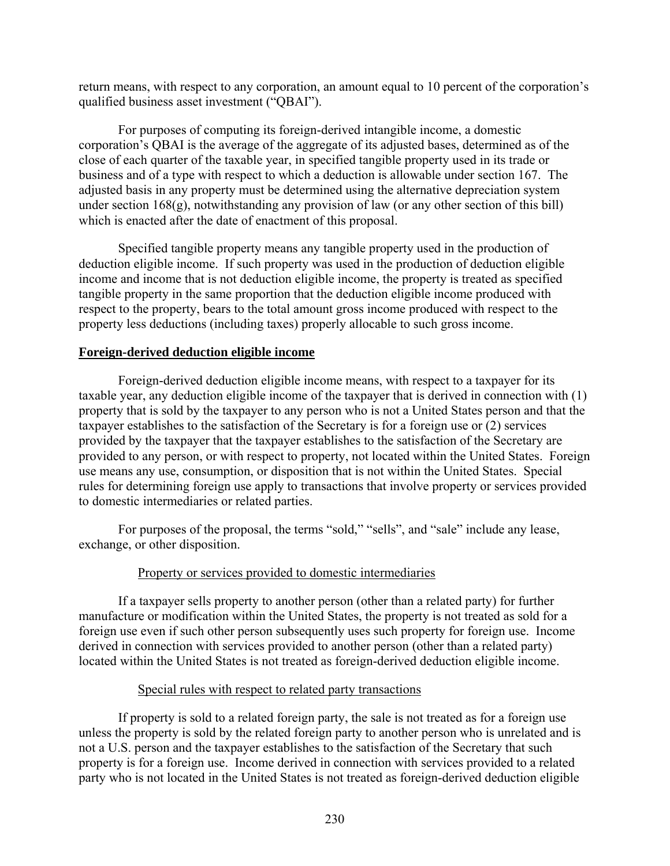return means, with respect to any corporation, an amount equal to 10 percent of the corporation's qualified business asset investment ("QBAI").

For purposes of computing its foreign-derived intangible income, a domestic corporation's QBAI is the average of the aggregate of its adjusted bases, determined as of the close of each quarter of the taxable year, in specified tangible property used in its trade or business and of a type with respect to which a deduction is allowable under section 167. The adjusted basis in any property must be determined using the alternative depreciation system under section 168(g), notwithstanding any provision of law (or any other section of this bill) which is enacted after the date of enactment of this proposal.

Specified tangible property means any tangible property used in the production of deduction eligible income. If such property was used in the production of deduction eligible income and income that is not deduction eligible income, the property is treated as specified tangible property in the same proportion that the deduction eligible income produced with respect to the property, bears to the total amount gross income produced with respect to the property less deductions (including taxes) properly allocable to such gross income.

### **Foreign-derived deduction eligible income**

Foreign-derived deduction eligible income means, with respect to a taxpayer for its taxable year, any deduction eligible income of the taxpayer that is derived in connection with (1) property that is sold by the taxpayer to any person who is not a United States person and that the taxpayer establishes to the satisfaction of the Secretary is for a foreign use or (2) services provided by the taxpayer that the taxpayer establishes to the satisfaction of the Secretary are provided to any person, or with respect to property, not located within the United States. Foreign use means any use, consumption, or disposition that is not within the United States. Special rules for determining foreign use apply to transactions that involve property or services provided to domestic intermediaries or related parties.

For purposes of the proposal, the terms "sold," "sells", and "sale" include any lease, exchange, or other disposition.

## Property or services provided to domestic intermediaries

If a taxpayer sells property to another person (other than a related party) for further manufacture or modification within the United States, the property is not treated as sold for a foreign use even if such other person subsequently uses such property for foreign use. Income derived in connection with services provided to another person (other than a related party) located within the United States is not treated as foreign-derived deduction eligible income.

### Special rules with respect to related party transactions

If property is sold to a related foreign party, the sale is not treated as for a foreign use unless the property is sold by the related foreign party to another person who is unrelated and is not a U.S. person and the taxpayer establishes to the satisfaction of the Secretary that such property is for a foreign use. Income derived in connection with services provided to a related party who is not located in the United States is not treated as foreign-derived deduction eligible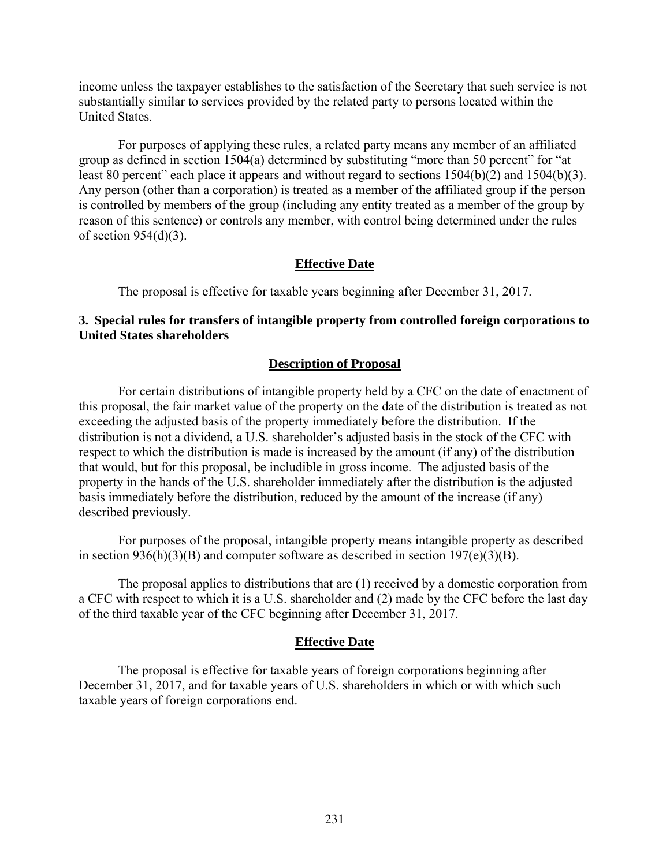income unless the taxpayer establishes to the satisfaction of the Secretary that such service is not substantially similar to services provided by the related party to persons located within the United States.

For purposes of applying these rules, a related party means any member of an affiliated group as defined in section 1504(a) determined by substituting "more than 50 percent" for "at least 80 percent" each place it appears and without regard to sections 1504(b)(2) and 1504(b)(3). Any person (other than a corporation) is treated as a member of the affiliated group if the person is controlled by members of the group (including any entity treated as a member of the group by reason of this sentence) or controls any member, with control being determined under the rules of section  $954(d)(3)$ .

### **Effective Date**

The proposal is effective for taxable years beginning after December 31, 2017.

### **3. Special rules for transfers of intangible property from controlled foreign corporations to United States shareholders**

#### **Description of Proposal**

For certain distributions of intangible property held by a CFC on the date of enactment of this proposal, the fair market value of the property on the date of the distribution is treated as not exceeding the adjusted basis of the property immediately before the distribution. If the distribution is not a dividend, a U.S. shareholder's adjusted basis in the stock of the CFC with respect to which the distribution is made is increased by the amount (if any) of the distribution that would, but for this proposal, be includible in gross income. The adjusted basis of the property in the hands of the U.S. shareholder immediately after the distribution is the adjusted basis immediately before the distribution, reduced by the amount of the increase (if any) described previously.

For purposes of the proposal, intangible property means intangible property as described in section  $936(h)(3)(B)$  and computer software as described in section  $197(e)(3)(B)$ .

The proposal applies to distributions that are (1) received by a domestic corporation from a CFC with respect to which it is a U.S. shareholder and (2) made by the CFC before the last day of the third taxable year of the CFC beginning after December 31, 2017.

#### **Effective Date**

The proposal is effective for taxable years of foreign corporations beginning after December 31, 2017, and for taxable years of U.S. shareholders in which or with which such taxable years of foreign corporations end.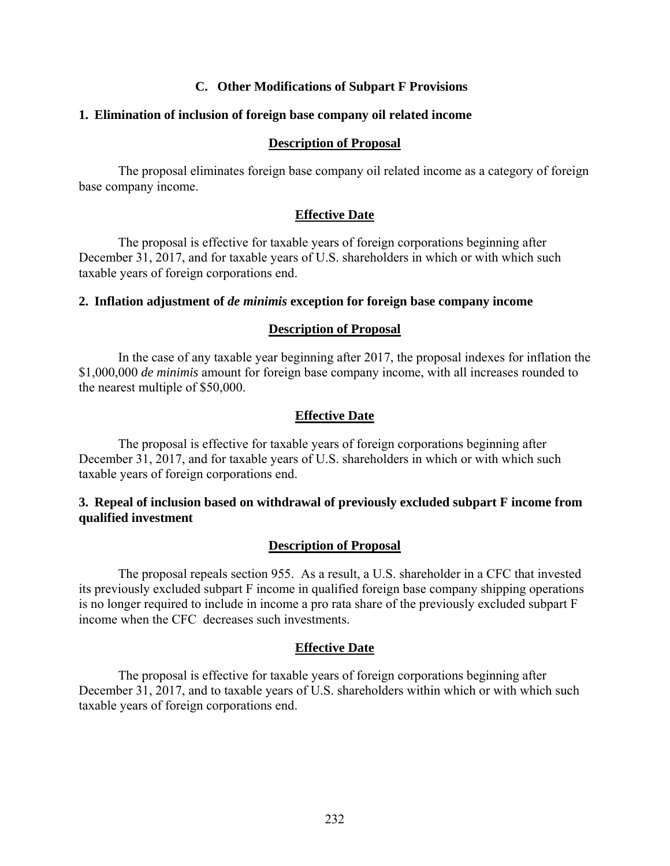### **C. Other Modifications of Subpart F Provisions**

### **1. Elimination of inclusion of foreign base company oil related income**

#### **Description of Proposal**

The proposal eliminates foreign base company oil related income as a category of foreign base company income.

#### **Effective Date**

The proposal is effective for taxable years of foreign corporations beginning after December 31, 2017, and for taxable years of U.S. shareholders in which or with which such taxable years of foreign corporations end.

#### **2. Inflation adjustment of** *de minimis* **exception for foreign base company income**

#### **Description of Proposal**

In the case of any taxable year beginning after 2017, the proposal indexes for inflation the \$1,000,000 *de minimis* amount for foreign base company income, with all increases rounded to the nearest multiple of \$50,000.

#### **Effective Date**

The proposal is effective for taxable years of foreign corporations beginning after December 31, 2017, and for taxable years of U.S. shareholders in which or with which such taxable years of foreign corporations end.

### **3. Repeal of inclusion based on withdrawal of previously excluded subpart F income from qualified investment**

#### **Description of Proposal**

The proposal repeals section 955. As a result, a U.S. shareholder in a CFC that invested its previously excluded subpart F income in qualified foreign base company shipping operations is no longer required to include in income a pro rata share of the previously excluded subpart F income when the CFC decreases such investments.

#### **Effective Date**

The proposal is effective for taxable years of foreign corporations beginning after December 31, 2017, and to taxable years of U.S. shareholders within which or with which such taxable years of foreign corporations end.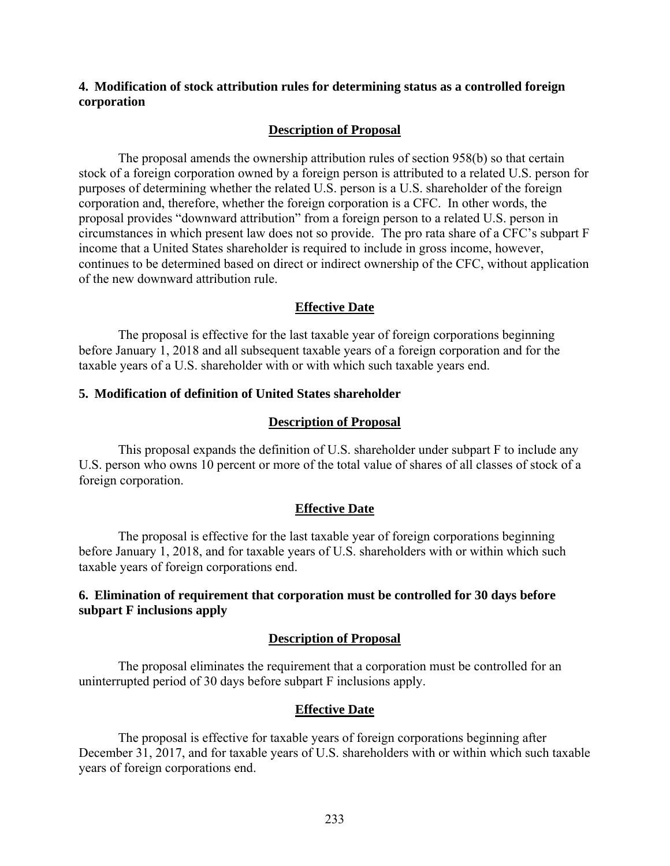### **4. Modification of stock attribution rules for determining status as a controlled foreign corporation**

### **Description of Proposal**

The proposal amends the ownership attribution rules of section 958(b) so that certain stock of a foreign corporation owned by a foreign person is attributed to a related U.S. person for purposes of determining whether the related U.S. person is a U.S. shareholder of the foreign corporation and, therefore, whether the foreign corporation is a CFC. In other words, the proposal provides "downward attribution" from a foreign person to a related U.S. person in circumstances in which present law does not so provide. The pro rata share of a CFC's subpart F income that a United States shareholder is required to include in gross income, however, continues to be determined based on direct or indirect ownership of the CFC, without application of the new downward attribution rule.

### **Effective Date**

The proposal is effective for the last taxable year of foreign corporations beginning before January 1, 2018 and all subsequent taxable years of a foreign corporation and for the taxable years of a U.S. shareholder with or with which such taxable years end.

### **5. Modification of definition of United States shareholder**

### **Description of Proposal**

This proposal expands the definition of U.S. shareholder under subpart F to include any U.S. person who owns 10 percent or more of the total value of shares of all classes of stock of a foreign corporation.

## **Effective Date**

The proposal is effective for the last taxable year of foreign corporations beginning before January 1, 2018, and for taxable years of U.S. shareholders with or within which such taxable years of foreign corporations end.

### **6. Elimination of requirement that corporation must be controlled for 30 days before subpart F inclusions apply**

### **Description of Proposal**

The proposal eliminates the requirement that a corporation must be controlled for an uninterrupted period of 30 days before subpart F inclusions apply.

### **Effective Date**

The proposal is effective for taxable years of foreign corporations beginning after December 31, 2017, and for taxable years of U.S. shareholders with or within which such taxable years of foreign corporations end.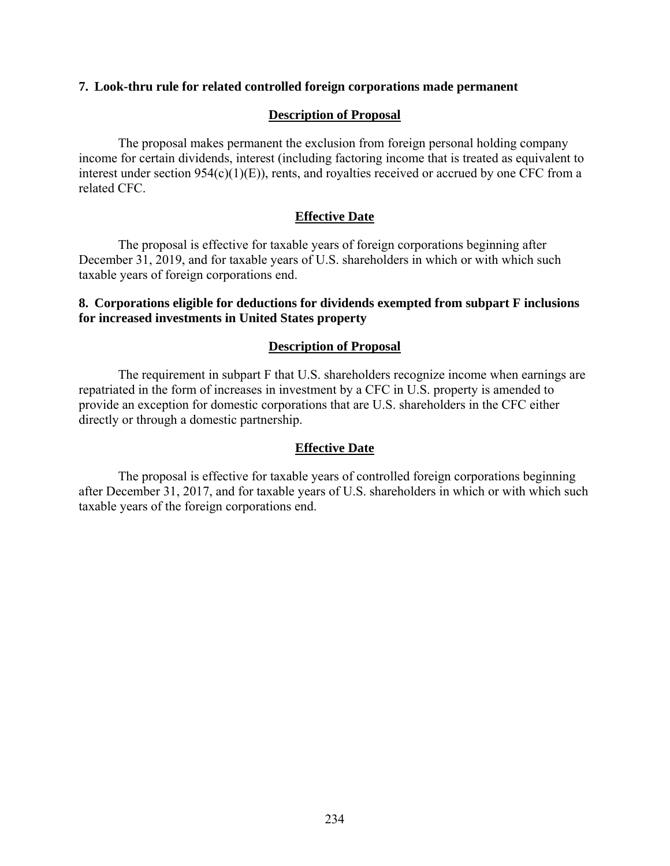### **7. Look-thru rule for related controlled foreign corporations made permanent**

### **Description of Proposal**

The proposal makes permanent the exclusion from foreign personal holding company income for certain dividends, interest (including factoring income that is treated as equivalent to interest under section  $954(c)(1)(E)$ , rents, and royalties received or accrued by one CFC from a related CFC.

### **Effective Date**

The proposal is effective for taxable years of foreign corporations beginning after December 31, 2019, and for taxable years of U.S. shareholders in which or with which such taxable years of foreign corporations end.

### **8. Corporations eligible for deductions for dividends exempted from subpart F inclusions for increased investments in United States property**

#### **Description of Proposal**

The requirement in subpart F that U.S. shareholders recognize income when earnings are repatriated in the form of increases in investment by a CFC in U.S. property is amended to provide an exception for domestic corporations that are U.S. shareholders in the CFC either directly or through a domestic partnership.

#### **Effective Date**

The proposal is effective for taxable years of controlled foreign corporations beginning after December 31, 2017, and for taxable years of U.S. shareholders in which or with which such taxable years of the foreign corporations end.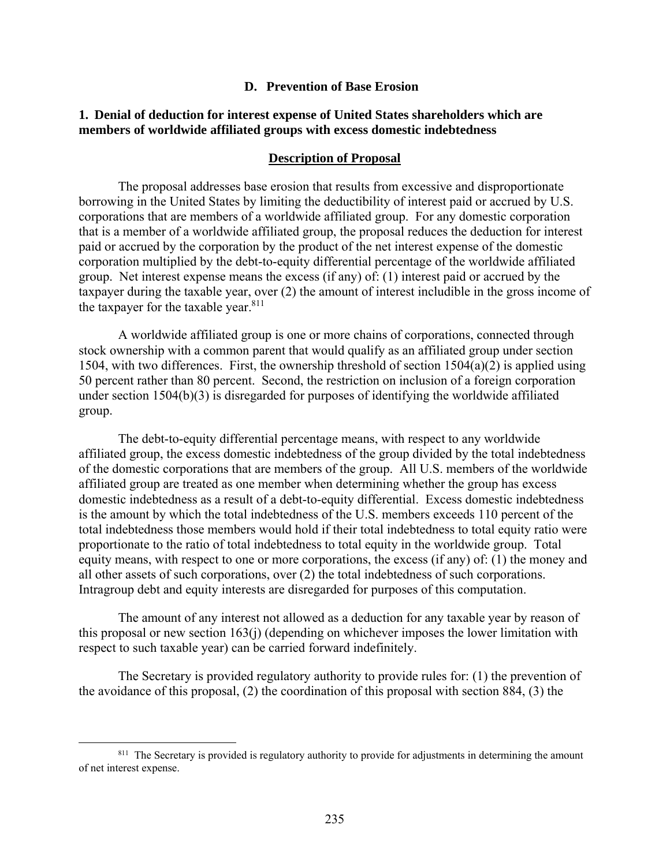#### **D. Prevention of Base Erosion**

### **1. Denial of deduction for interest expense of United States shareholders which are members of worldwide affiliated groups with excess domestic indebtedness**

### **Description of Proposal**

The proposal addresses base erosion that results from excessive and disproportionate borrowing in the United States by limiting the deductibility of interest paid or accrued by U.S. corporations that are members of a worldwide affiliated group. For any domestic corporation that is a member of a worldwide affiliated group, the proposal reduces the deduction for interest paid or accrued by the corporation by the product of the net interest expense of the domestic corporation multiplied by the debt-to-equity differential percentage of the worldwide affiliated group. Net interest expense means the excess (if any) of: (1) interest paid or accrued by the taxpayer during the taxable year, over (2) the amount of interest includible in the gross income of the taxpayer for the taxable year. $811$ 

A worldwide affiliated group is one or more chains of corporations, connected through stock ownership with a common parent that would qualify as an affiliated group under section 1504, with two differences. First, the ownership threshold of section  $1504(a)(2)$  is applied using 50 percent rather than 80 percent. Second, the restriction on inclusion of a foreign corporation under section 1504(b)(3) is disregarded for purposes of identifying the worldwide affiliated group.

The debt-to-equity differential percentage means, with respect to any worldwide affiliated group, the excess domestic indebtedness of the group divided by the total indebtedness of the domestic corporations that are members of the group. All U.S. members of the worldwide affiliated group are treated as one member when determining whether the group has excess domestic indebtedness as a result of a debt-to-equity differential. Excess domestic indebtedness is the amount by which the total indebtedness of the U.S. members exceeds 110 percent of the total indebtedness those members would hold if their total indebtedness to total equity ratio were proportionate to the ratio of total indebtedness to total equity in the worldwide group. Total equity means, with respect to one or more corporations, the excess (if any) of: (1) the money and all other assets of such corporations, over (2) the total indebtedness of such corporations. Intragroup debt and equity interests are disregarded for purposes of this computation.

The amount of any interest not allowed as a deduction for any taxable year by reason of this proposal or new section 163(j) (depending on whichever imposes the lower limitation with respect to such taxable year) can be carried forward indefinitely.

The Secretary is provided regulatory authority to provide rules for: (1) the prevention of the avoidance of this proposal, (2) the coordination of this proposal with section 884, (3) the

<sup>&</sup>lt;sup>811</sup> The Secretary is provided is regulatory authority to provide for adjustments in determining the amount of net interest expense.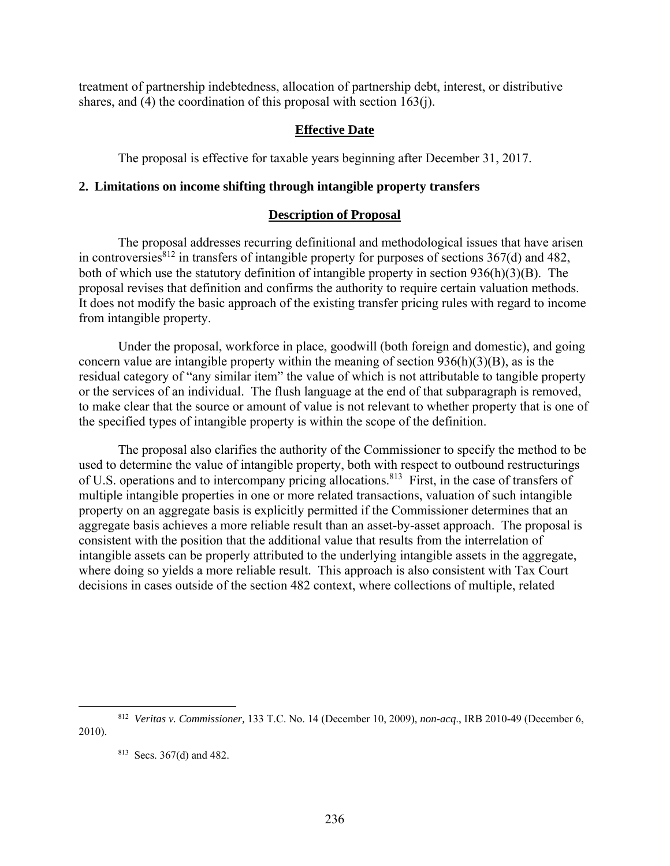treatment of partnership indebtedness, allocation of partnership debt, interest, or distributive shares, and (4) the coordination of this proposal with section 163(j).

### **Effective Date**

The proposal is effective for taxable years beginning after December 31, 2017.

### **2. Limitations on income shifting through intangible property transfers**

#### **Description of Proposal**

The proposal addresses recurring definitional and methodological issues that have arisen in controversies<sup>812</sup> in transfers of intangible property for purposes of sections  $367(d)$  and  $482$ , both of which use the statutory definition of intangible property in section 936(h)(3)(B). The proposal revises that definition and confirms the authority to require certain valuation methods. It does not modify the basic approach of the existing transfer pricing rules with regard to income from intangible property.

Under the proposal, workforce in place, goodwill (both foreign and domestic), and going concern value are intangible property within the meaning of section 936(h)(3)(B), as is the residual category of "any similar item" the value of which is not attributable to tangible property or the services of an individual. The flush language at the end of that subparagraph is removed, to make clear that the source or amount of value is not relevant to whether property that is one of the specified types of intangible property is within the scope of the definition.

The proposal also clarifies the authority of the Commissioner to specify the method to be used to determine the value of intangible property, both with respect to outbound restructurings of U.S. operations and to intercompany pricing allocations.813 First, in the case of transfers of multiple intangible properties in one or more related transactions, valuation of such intangible property on an aggregate basis is explicitly permitted if the Commissioner determines that an aggregate basis achieves a more reliable result than an asset-by-asset approach. The proposal is consistent with the position that the additional value that results from the interrelation of intangible assets can be properly attributed to the underlying intangible assets in the aggregate, where doing so yields a more reliable result. This approach is also consistent with Tax Court decisions in cases outside of the section 482 context, where collections of multiple, related

 <sup>812</sup> *Veritas v. Commissioner,* 133 T.C. No. 14 (December 10, 2009), *non-acq*., IRB 2010-49 (December 6, 2010).

<sup>813</sup> Secs. 367(d) and 482.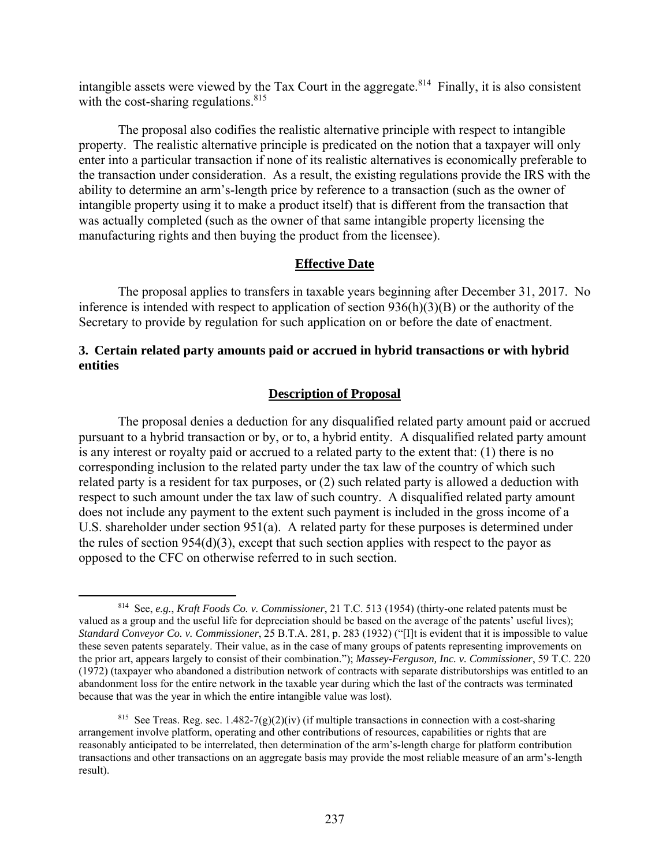intangible assets were viewed by the Tax Court in the aggregate.<sup>814</sup> Finally, it is also consistent with the cost-sharing regulations.  $815$ 

The proposal also codifies the realistic alternative principle with respect to intangible property. The realistic alternative principle is predicated on the notion that a taxpayer will only enter into a particular transaction if none of its realistic alternatives is economically preferable to the transaction under consideration. As a result, the existing regulations provide the IRS with the ability to determine an arm's-length price by reference to a transaction (such as the owner of intangible property using it to make a product itself) that is different from the transaction that was actually completed (such as the owner of that same intangible property licensing the manufacturing rights and then buying the product from the licensee).

### **Effective Date**

The proposal applies to transfers in taxable years beginning after December 31, 2017. No inference is intended with respect to application of section 936(h)(3)(B) or the authority of the Secretary to provide by regulation for such application on or before the date of enactment.

### **3. Certain related party amounts paid or accrued in hybrid transactions or with hybrid entities**

## **Description of Proposal**

The proposal denies a deduction for any disqualified related party amount paid or accrued pursuant to a hybrid transaction or by, or to, a hybrid entity. A disqualified related party amount is any interest or royalty paid or accrued to a related party to the extent that: (1) there is no corresponding inclusion to the related party under the tax law of the country of which such related party is a resident for tax purposes, or (2) such related party is allowed a deduction with respect to such amount under the tax law of such country. A disqualified related party amount does not include any payment to the extent such payment is included in the gross income of a U.S. shareholder under section 951(a). A related party for these purposes is determined under the rules of section 954(d)(3), except that such section applies with respect to the payor as opposed to the CFC on otherwise referred to in such section.

 <sup>814</sup> See, *e.g.*, *Kraft Foods Co. v. Commissioner*, 21 T.C. 513 (1954) (thirty-one related patents must be valued as a group and the useful life for depreciation should be based on the average of the patents' useful lives); *Standard Conveyor Co. v. Commissioner*, 25 B.T.A. 281, p. 283 (1932) ("[I]t is evident that it is impossible to value these seven patents separately. Their value, as in the case of many groups of patents representing improvements on the prior art, appears largely to consist of their combination."); *Massey-Ferguson, Inc. v. Commissioner*, 59 T.C. 220 (1972) (taxpayer who abandoned a distribution network of contracts with separate distributorships was entitled to an abandonment loss for the entire network in the taxable year during which the last of the contracts was terminated because that was the year in which the entire intangible value was lost).

<sup>&</sup>lt;sup>815</sup> See Treas. Reg. sec.  $1.482-7(g)(2)(iv)$  (if multiple transactions in connection with a cost-sharing arrangement involve platform, operating and other contributions of resources, capabilities or rights that are reasonably anticipated to be interrelated, then determination of the arm's-length charge for platform contribution transactions and other transactions on an aggregate basis may provide the most reliable measure of an arm's-length result).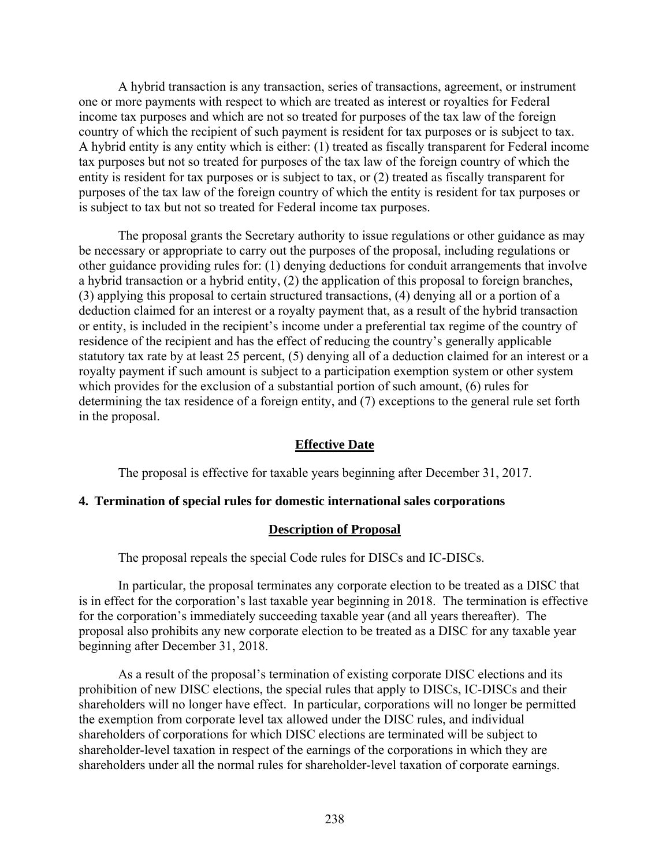A hybrid transaction is any transaction, series of transactions, agreement, or instrument one or more payments with respect to which are treated as interest or royalties for Federal income tax purposes and which are not so treated for purposes of the tax law of the foreign country of which the recipient of such payment is resident for tax purposes or is subject to tax. A hybrid entity is any entity which is either: (1) treated as fiscally transparent for Federal income tax purposes but not so treated for purposes of the tax law of the foreign country of which the entity is resident for tax purposes or is subject to tax, or (2) treated as fiscally transparent for purposes of the tax law of the foreign country of which the entity is resident for tax purposes or is subject to tax but not so treated for Federal income tax purposes.

The proposal grants the Secretary authority to issue regulations or other guidance as may be necessary or appropriate to carry out the purposes of the proposal, including regulations or other guidance providing rules for: (1) denying deductions for conduit arrangements that involve a hybrid transaction or a hybrid entity, (2) the application of this proposal to foreign branches, (3) applying this proposal to certain structured transactions, (4) denying all or a portion of a deduction claimed for an interest or a royalty payment that, as a result of the hybrid transaction or entity, is included in the recipient's income under a preferential tax regime of the country of residence of the recipient and has the effect of reducing the country's generally applicable statutory tax rate by at least 25 percent, (5) denying all of a deduction claimed for an interest or a royalty payment if such amount is subject to a participation exemption system or other system which provides for the exclusion of a substantial portion of such amount, (6) rules for determining the tax residence of a foreign entity, and (7) exceptions to the general rule set forth in the proposal.

### **Effective Date**

The proposal is effective for taxable years beginning after December 31, 2017.

### **4. Termination of special rules for domestic international sales corporations**

## **Description of Proposal**

The proposal repeals the special Code rules for DISCs and IC-DISCs.

In particular, the proposal terminates any corporate election to be treated as a DISC that is in effect for the corporation's last taxable year beginning in 2018. The termination is effective for the corporation's immediately succeeding taxable year (and all years thereafter). The proposal also prohibits any new corporate election to be treated as a DISC for any taxable year beginning after December 31, 2018.

As a result of the proposal's termination of existing corporate DISC elections and its prohibition of new DISC elections, the special rules that apply to DISCs, IC-DISCs and their shareholders will no longer have effect. In particular, corporations will no longer be permitted the exemption from corporate level tax allowed under the DISC rules, and individual shareholders of corporations for which DISC elections are terminated will be subject to shareholder-level taxation in respect of the earnings of the corporations in which they are shareholders under all the normal rules for shareholder-level taxation of corporate earnings.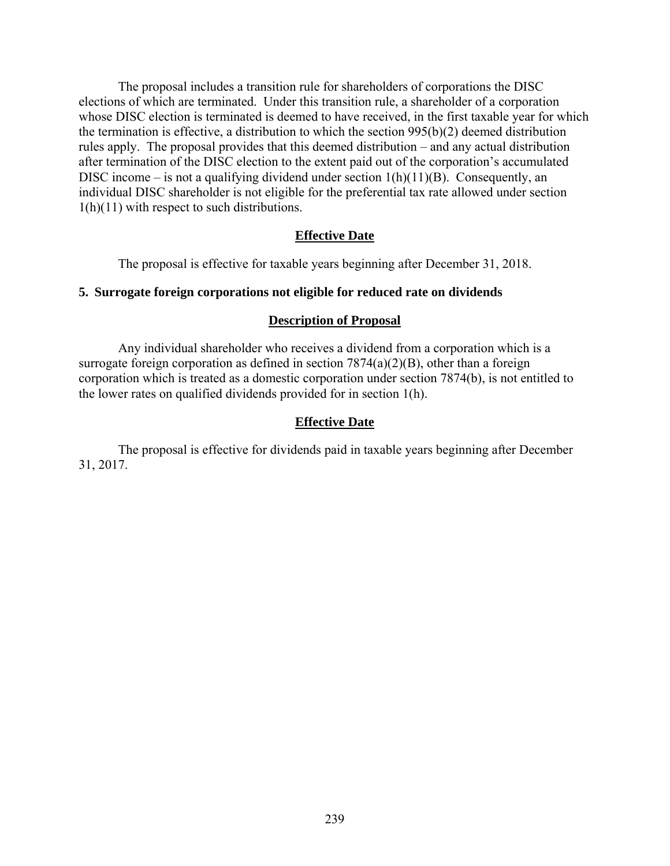The proposal includes a transition rule for shareholders of corporations the DISC elections of which are terminated. Under this transition rule, a shareholder of a corporation whose DISC election is terminated is deemed to have received, in the first taxable year for which the termination is effective, a distribution to which the section 995(b)(2) deemed distribution rules apply. The proposal provides that this deemed distribution – and any actual distribution after termination of the DISC election to the extent paid out of the corporation's accumulated DISC income – is not a qualifying dividend under section  $1(h)(11)(B)$ . Consequently, an individual DISC shareholder is not eligible for the preferential tax rate allowed under section 1(h)(11) with respect to such distributions.

### **Effective Date**

The proposal is effective for taxable years beginning after December 31, 2018.

### **5. Surrogate foreign corporations not eligible for reduced rate on dividends**

### **Description of Proposal**

Any individual shareholder who receives a dividend from a corporation which is a surrogate foreign corporation as defined in section 7874(a)(2)(B), other than a foreign corporation which is treated as a domestic corporation under section 7874(b), is not entitled to the lower rates on qualified dividends provided for in section 1(h).

### **Effective Date**

The proposal is effective for dividends paid in taxable years beginning after December 31, 2017.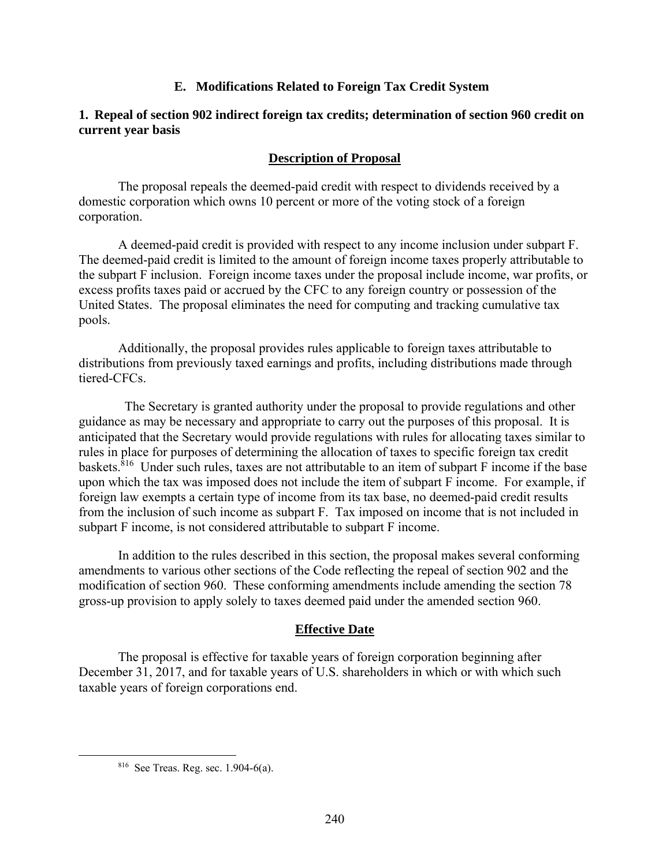### **E. Modifications Related to Foreign Tax Credit System**

## **1. Repeal of section 902 indirect foreign tax credits; determination of section 960 credit on current year basis**

### **Description of Proposal**

The proposal repeals the deemed-paid credit with respect to dividends received by a domestic corporation which owns 10 percent or more of the voting stock of a foreign corporation.

A deemed-paid credit is provided with respect to any income inclusion under subpart F. The deemed-paid credit is limited to the amount of foreign income taxes properly attributable to the subpart F inclusion. Foreign income taxes under the proposal include income, war profits, or excess profits taxes paid or accrued by the CFC to any foreign country or possession of the United States. The proposal eliminates the need for computing and tracking cumulative tax pools.

Additionally, the proposal provides rules applicable to foreign taxes attributable to distributions from previously taxed earnings and profits, including distributions made through tiered-CFCs.

 The Secretary is granted authority under the proposal to provide regulations and other guidance as may be necessary and appropriate to carry out the purposes of this proposal. It is anticipated that the Secretary would provide regulations with rules for allocating taxes similar to rules in place for purposes of determining the allocation of taxes to specific foreign tax credit baskets.816 Under such rules, taxes are not attributable to an item of subpart F income if the base upon which the tax was imposed does not include the item of subpart F income. For example, if foreign law exempts a certain type of income from its tax base, no deemed-paid credit results from the inclusion of such income as subpart F. Tax imposed on income that is not included in subpart F income, is not considered attributable to subpart F income.

In addition to the rules described in this section, the proposal makes several conforming amendments to various other sections of the Code reflecting the repeal of section 902 and the modification of section 960. These conforming amendments include amending the section 78 gross-up provision to apply solely to taxes deemed paid under the amended section 960.

## **Effective Date**

The proposal is effective for taxable years of foreign corporation beginning after December 31, 2017, and for taxable years of U.S. shareholders in which or with which such taxable years of foreign corporations end.

 <sup>816</sup> See Treas. Reg. sec. 1.904-6(a).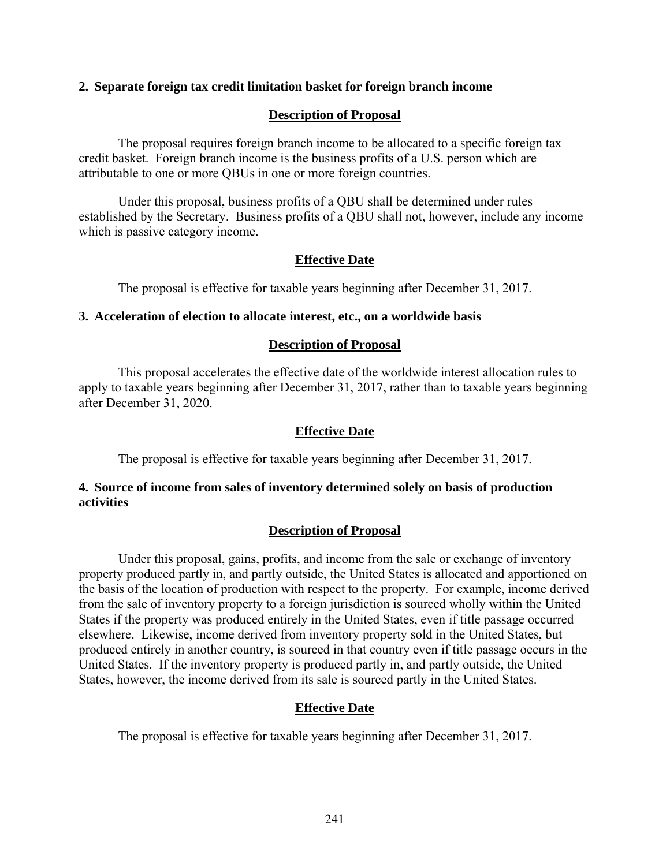### **2. Separate foreign tax credit limitation basket for foreign branch income**

### **Description of Proposal**

The proposal requires foreign branch income to be allocated to a specific foreign tax credit basket. Foreign branch income is the business profits of a U.S. person which are attributable to one or more QBUs in one or more foreign countries.

Under this proposal, business profits of a QBU shall be determined under rules established by the Secretary. Business profits of a QBU shall not, however, include any income which is passive category income.

### **Effective Date**

The proposal is effective for taxable years beginning after December 31, 2017.

### **3. Acceleration of election to allocate interest, etc., on a worldwide basis**

### **Description of Proposal**

This proposal accelerates the effective date of the worldwide interest allocation rules to apply to taxable years beginning after December 31, 2017, rather than to taxable years beginning after December 31, 2020.

### **Effective Date**

The proposal is effective for taxable years beginning after December 31, 2017.

### **4. Source of income from sales of inventory determined solely on basis of production activities**

## **Description of Proposal**

Under this proposal, gains, profits, and income from the sale or exchange of inventory property produced partly in, and partly outside, the United States is allocated and apportioned on the basis of the location of production with respect to the property. For example, income derived from the sale of inventory property to a foreign jurisdiction is sourced wholly within the United States if the property was produced entirely in the United States, even if title passage occurred elsewhere. Likewise, income derived from inventory property sold in the United States, but produced entirely in another country, is sourced in that country even if title passage occurs in the United States. If the inventory property is produced partly in, and partly outside, the United States, however, the income derived from its sale is sourced partly in the United States.

## **Effective Date**

The proposal is effective for taxable years beginning after December 31, 2017.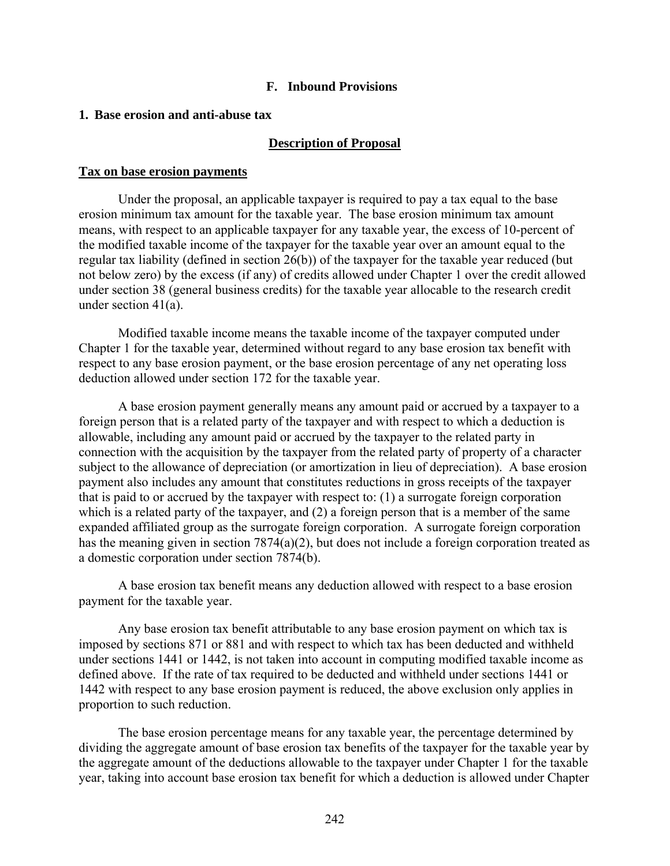### **F. Inbound Provisions**

### **1. Base erosion and anti-abuse tax**

### **Description of Proposal**

#### **Tax on base erosion payments**

Under the proposal, an applicable taxpayer is required to pay a tax equal to the base erosion minimum tax amount for the taxable year. The base erosion minimum tax amount means, with respect to an applicable taxpayer for any taxable year, the excess of 10-percent of the modified taxable income of the taxpayer for the taxable year over an amount equal to the regular tax liability (defined in section 26(b)) of the taxpayer for the taxable year reduced (but not below zero) by the excess (if any) of credits allowed under Chapter 1 over the credit allowed under section 38 (general business credits) for the taxable year allocable to the research credit under section 41(a).

Modified taxable income means the taxable income of the taxpayer computed under Chapter 1 for the taxable year, determined without regard to any base erosion tax benefit with respect to any base erosion payment, or the base erosion percentage of any net operating loss deduction allowed under section 172 for the taxable year.

A base erosion payment generally means any amount paid or accrued by a taxpayer to a foreign person that is a related party of the taxpayer and with respect to which a deduction is allowable, including any amount paid or accrued by the taxpayer to the related party in connection with the acquisition by the taxpayer from the related party of property of a character subject to the allowance of depreciation (or amortization in lieu of depreciation). A base erosion payment also includes any amount that constitutes reductions in gross receipts of the taxpayer that is paid to or accrued by the taxpayer with respect to: (1) a surrogate foreign corporation which is a related party of the taxpayer, and (2) a foreign person that is a member of the same expanded affiliated group as the surrogate foreign corporation. A surrogate foreign corporation has the meaning given in section 7874(a)(2), but does not include a foreign corporation treated as a domestic corporation under section 7874(b).

A base erosion tax benefit means any deduction allowed with respect to a base erosion payment for the taxable year.

Any base erosion tax benefit attributable to any base erosion payment on which tax is imposed by sections 871 or 881 and with respect to which tax has been deducted and withheld under sections 1441 or 1442, is not taken into account in computing modified taxable income as defined above. If the rate of tax required to be deducted and withheld under sections 1441 or 1442 with respect to any base erosion payment is reduced, the above exclusion only applies in proportion to such reduction.

The base erosion percentage means for any taxable year, the percentage determined by dividing the aggregate amount of base erosion tax benefits of the taxpayer for the taxable year by the aggregate amount of the deductions allowable to the taxpayer under Chapter 1 for the taxable year, taking into account base erosion tax benefit for which a deduction is allowed under Chapter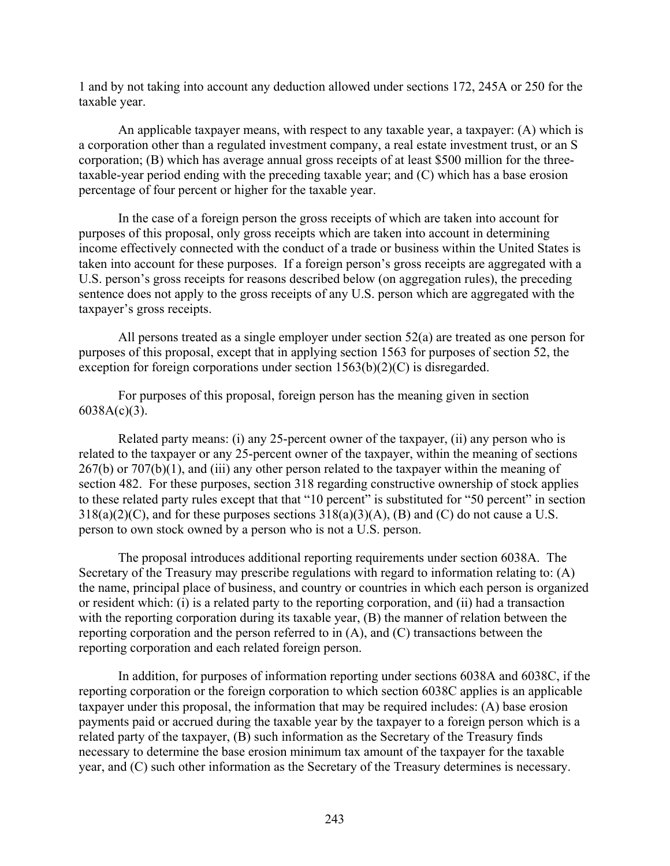1 and by not taking into account any deduction allowed under sections 172, 245A or 250 for the taxable year.

An applicable taxpayer means, with respect to any taxable year, a taxpayer: (A) which is a corporation other than a regulated investment company, a real estate investment trust, or an S corporation; (B) which has average annual gross receipts of at least \$500 million for the threetaxable-year period ending with the preceding taxable year; and (C) which has a base erosion percentage of four percent or higher for the taxable year.

In the case of a foreign person the gross receipts of which are taken into account for purposes of this proposal, only gross receipts which are taken into account in determining income effectively connected with the conduct of a trade or business within the United States is taken into account for these purposes. If a foreign person's gross receipts are aggregated with a U.S. person's gross receipts for reasons described below (on aggregation rules), the preceding sentence does not apply to the gross receipts of any U.S. person which are aggregated with the taxpayer's gross receipts.

All persons treated as a single employer under section 52(a) are treated as one person for purposes of this proposal, except that in applying section 1563 for purposes of section 52, the exception for foreign corporations under section 1563(b)(2)(C) is disregarded.

For purposes of this proposal, foreign person has the meaning given in section 6038A(c)(3).

Related party means: (i) any 25-percent owner of the taxpayer, (ii) any person who is related to the taxpayer or any 25-percent owner of the taxpayer, within the meaning of sections  $267(b)$  or  $707(b)(1)$ , and (iii) any other person related to the taxpayer within the meaning of section 482. For these purposes, section 318 regarding constructive ownership of stock applies to these related party rules except that that "10 percent" is substituted for "50 percent" in section  $318(a)(2)(C)$ , and for these purposes sections  $318(a)(3)(A)$ , (B) and (C) do not cause a U.S. person to own stock owned by a person who is not a U.S. person.

The proposal introduces additional reporting requirements under section 6038A. The Secretary of the Treasury may prescribe regulations with regard to information relating to: (A) the name, principal place of business, and country or countries in which each person is organized or resident which: (i) is a related party to the reporting corporation, and (ii) had a transaction with the reporting corporation during its taxable year, (B) the manner of relation between the reporting corporation and the person referred to in (A), and (C) transactions between the reporting corporation and each related foreign person.

In addition, for purposes of information reporting under sections 6038A and 6038C, if the reporting corporation or the foreign corporation to which section 6038C applies is an applicable taxpayer under this proposal, the information that may be required includes: (A) base erosion payments paid or accrued during the taxable year by the taxpayer to a foreign person which is a related party of the taxpayer, (B) such information as the Secretary of the Treasury finds necessary to determine the base erosion minimum tax amount of the taxpayer for the taxable year, and (C) such other information as the Secretary of the Treasury determines is necessary.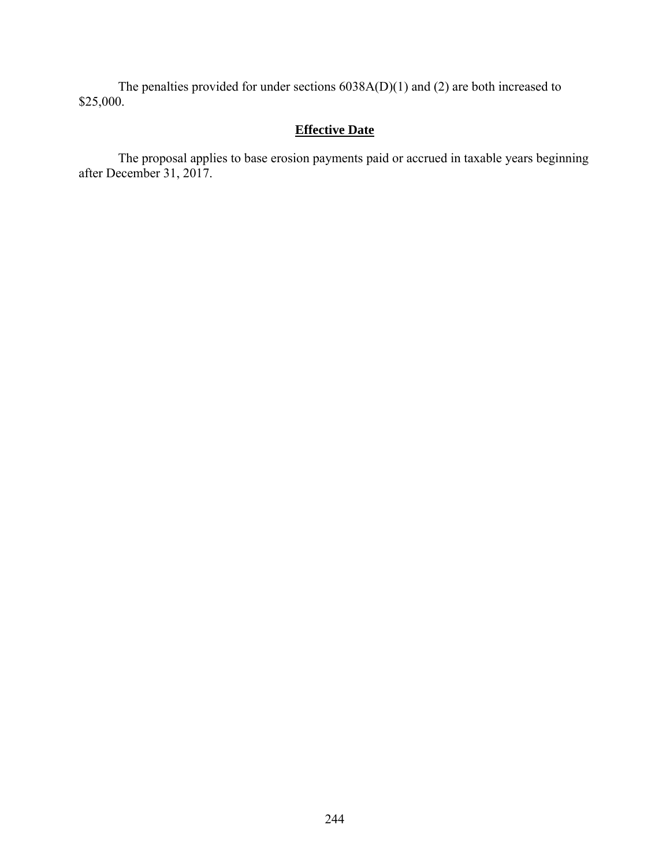The penalties provided for under sections 6038A(D)(1) and (2) are both increased to \$25,000.

# **Effective Date**

The proposal applies to base erosion payments paid or accrued in taxable years beginning after December 31, 2017.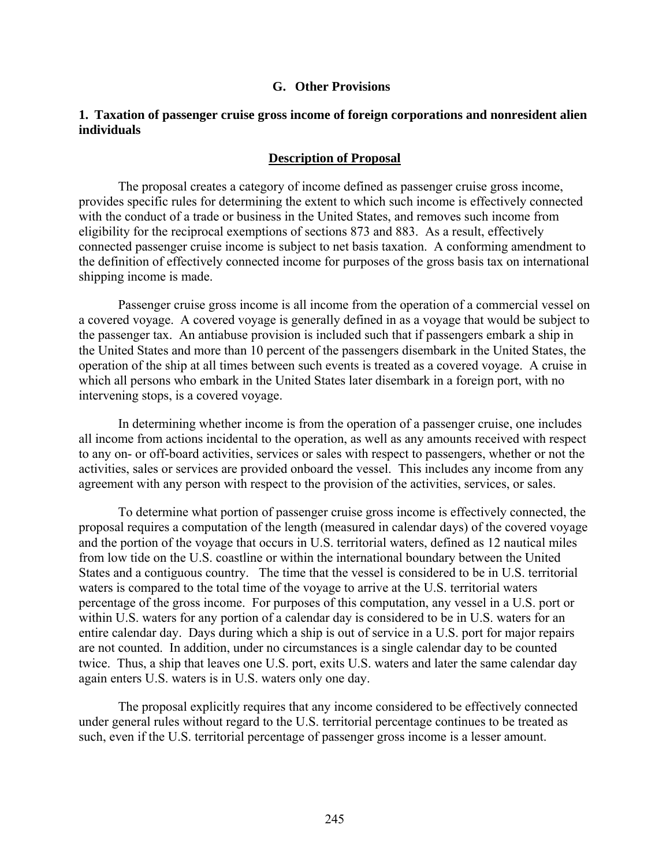#### **G. Other Provisions**

### **1. Taxation of passenger cruise gross income of foreign corporations and nonresident alien individuals**

#### **Description of Proposal**

The proposal creates a category of income defined as passenger cruise gross income, provides specific rules for determining the extent to which such income is effectively connected with the conduct of a trade or business in the United States, and removes such income from eligibility for the reciprocal exemptions of sections 873 and 883. As a result, effectively connected passenger cruise income is subject to net basis taxation. A conforming amendment to the definition of effectively connected income for purposes of the gross basis tax on international shipping income is made.

Passenger cruise gross income is all income from the operation of a commercial vessel on a covered voyage. A covered voyage is generally defined in as a voyage that would be subject to the passenger tax. An antiabuse provision is included such that if passengers embark a ship in the United States and more than 10 percent of the passengers disembark in the United States, the operation of the ship at all times between such events is treated as a covered voyage. A cruise in which all persons who embark in the United States later disembark in a foreign port, with no intervening stops, is a covered voyage.

In determining whether income is from the operation of a passenger cruise, one includes all income from actions incidental to the operation, as well as any amounts received with respect to any on- or off-board activities, services or sales with respect to passengers, whether or not the activities, sales or services are provided onboard the vessel. This includes any income from any agreement with any person with respect to the provision of the activities, services, or sales.

To determine what portion of passenger cruise gross income is effectively connected, the proposal requires a computation of the length (measured in calendar days) of the covered voyage and the portion of the voyage that occurs in U.S. territorial waters, defined as 12 nautical miles from low tide on the U.S. coastline or within the international boundary between the United States and a contiguous country. The time that the vessel is considered to be in U.S. territorial waters is compared to the total time of the voyage to arrive at the U.S. territorial waters percentage of the gross income. For purposes of this computation, any vessel in a U.S. port or within U.S. waters for any portion of a calendar day is considered to be in U.S. waters for an entire calendar day. Days during which a ship is out of service in a U.S. port for major repairs are not counted. In addition, under no circumstances is a single calendar day to be counted twice. Thus, a ship that leaves one U.S. port, exits U.S. waters and later the same calendar day again enters U.S. waters is in U.S. waters only one day.

The proposal explicitly requires that any income considered to be effectively connected under general rules without regard to the U.S. territorial percentage continues to be treated as such, even if the U.S. territorial percentage of passenger gross income is a lesser amount.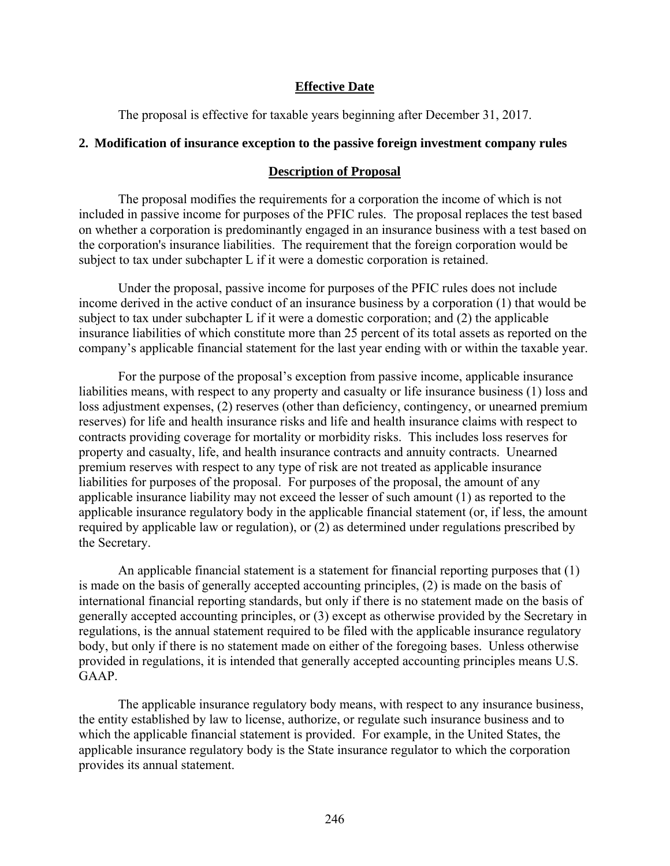### **Effective Date**

The proposal is effective for taxable years beginning after December 31, 2017.

### **2. Modification of insurance exception to the passive foreign investment company rules**

### **Description of Proposal**

The proposal modifies the requirements for a corporation the income of which is not included in passive income for purposes of the PFIC rules. The proposal replaces the test based on whether a corporation is predominantly engaged in an insurance business with a test based on the corporation's insurance liabilities. The requirement that the foreign corporation would be subject to tax under subchapter L if it were a domestic corporation is retained.

Under the proposal, passive income for purposes of the PFIC rules does not include income derived in the active conduct of an insurance business by a corporation (1) that would be subject to tax under subchapter L if it were a domestic corporation; and (2) the applicable insurance liabilities of which constitute more than 25 percent of its total assets as reported on the company's applicable financial statement for the last year ending with or within the taxable year.

For the purpose of the proposal's exception from passive income, applicable insurance liabilities means, with respect to any property and casualty or life insurance business (1) loss and loss adjustment expenses, (2) reserves (other than deficiency, contingency, or unearned premium reserves) for life and health insurance risks and life and health insurance claims with respect to contracts providing coverage for mortality or morbidity risks. This includes loss reserves for property and casualty, life, and health insurance contracts and annuity contracts. Unearned premium reserves with respect to any type of risk are not treated as applicable insurance liabilities for purposes of the proposal. For purposes of the proposal, the amount of any applicable insurance liability may not exceed the lesser of such amount (1) as reported to the applicable insurance regulatory body in the applicable financial statement (or, if less, the amount required by applicable law or regulation), or (2) as determined under regulations prescribed by the Secretary.

An applicable financial statement is a statement for financial reporting purposes that (1) is made on the basis of generally accepted accounting principles, (2) is made on the basis of international financial reporting standards, but only if there is no statement made on the basis of generally accepted accounting principles, or (3) except as otherwise provided by the Secretary in regulations, is the annual statement required to be filed with the applicable insurance regulatory body, but only if there is no statement made on either of the foregoing bases. Unless otherwise provided in regulations, it is intended that generally accepted accounting principles means U.S. GAAP.

The applicable insurance regulatory body means, with respect to any insurance business, the entity established by law to license, authorize, or regulate such insurance business and to which the applicable financial statement is provided. For example, in the United States, the applicable insurance regulatory body is the State insurance regulator to which the corporation provides its annual statement.